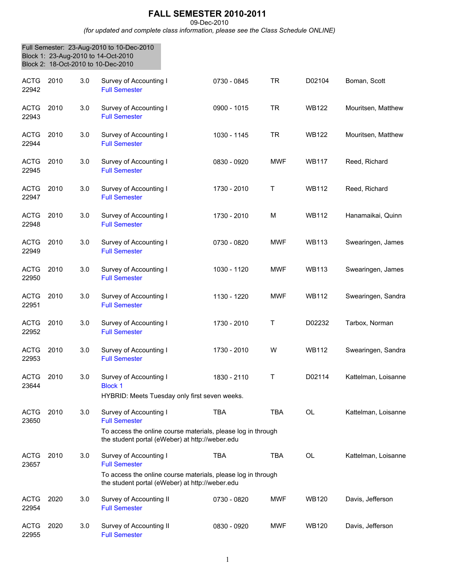## **FALL SEMESTER 2010-2011**

09-Dec-2010

*(for updated and complete class information, please see the Class Schedule ONLINE)*

|                      |      |     | Full Semester: 23-Aug-2010 to 10-Dec-2010<br>Block 1: 23-Aug-2010 to 14-Oct-2010<br>Block 2: 18-Oct-2010 to 10-Dec-2010                                           |             |            |              |                     |
|----------------------|------|-----|-------------------------------------------------------------------------------------------------------------------------------------------------------------------|-------------|------------|--------------|---------------------|
| <b>ACTG</b><br>22942 | 2010 | 3.0 | Survey of Accounting I<br><b>Full Semester</b>                                                                                                                    | 0730 - 0845 | <b>TR</b>  | D02104       | Boman, Scott        |
| <b>ACTG</b><br>22943 | 2010 | 3.0 | Survey of Accounting I<br><b>Full Semester</b>                                                                                                                    | 0900 - 1015 | <b>TR</b>  | <b>WB122</b> | Mouritsen, Matthew  |
| <b>ACTG</b><br>22944 | 2010 | 3.0 | Survey of Accounting I<br><b>Full Semester</b>                                                                                                                    | 1030 - 1145 | TR.        | <b>WB122</b> | Mouritsen, Matthew  |
| <b>ACTG</b><br>22945 | 2010 | 3.0 | Survey of Accounting I<br><b>Full Semester</b>                                                                                                                    | 0830 - 0920 | <b>MWF</b> | <b>WB117</b> | Reed, Richard       |
| <b>ACTG</b><br>22947 | 2010 | 3.0 | Survey of Accounting I<br><b>Full Semester</b>                                                                                                                    | 1730 - 2010 | Τ          | <b>WB112</b> | Reed, Richard       |
| <b>ACTG</b><br>22948 | 2010 | 3.0 | Survey of Accounting I<br><b>Full Semester</b>                                                                                                                    | 1730 - 2010 | M          | <b>WB112</b> | Hanamaikai, Quinn   |
| <b>ACTG</b><br>22949 | 2010 | 3.0 | Survey of Accounting I<br><b>Full Semester</b>                                                                                                                    | 0730 - 0820 | <b>MWF</b> | <b>WB113</b> | Swearingen, James   |
| <b>ACTG</b><br>22950 | 2010 | 3.0 | Survey of Accounting I<br><b>Full Semester</b>                                                                                                                    | 1030 - 1120 | <b>MWF</b> | <b>WB113</b> | Swearingen, James   |
| <b>ACTG</b><br>22951 | 2010 | 3.0 | Survey of Accounting I<br><b>Full Semester</b>                                                                                                                    | 1130 - 1220 | <b>MWF</b> | <b>WB112</b> | Swearingen, Sandra  |
| <b>ACTG</b><br>22952 | 2010 | 3.0 | Survey of Accounting I<br><b>Full Semester</b>                                                                                                                    | 1730 - 2010 | Τ          | D02232       | Tarbox, Norman      |
| <b>ACTG</b><br>22953 | 2010 | 3.0 | Survey of Accounting I<br><b>Full Semester</b>                                                                                                                    | 1730 - 2010 | W          | <b>WB112</b> | Swearingen, Sandra  |
| <b>ACTG</b><br>23644 | 2010 | 3.0 | Survey of Accounting I<br><b>Block 1</b>                                                                                                                          | 1830 - 2110 | Т          | D02114       | Kattelman, Loisanne |
|                      | 2010 |     | HYBRID: Meets Tuesday only first seven weeks.                                                                                                                     |             | <b>TBA</b> | <b>OL</b>    |                     |
| <b>ACTG</b><br>23650 |      | 3.0 | Survey of Accounting I<br><b>Full Semester</b><br>To access the online course materials, please log in through<br>the student portal (eWeber) at http://weber.edu | <b>TBA</b>  |            |              | Kattelman, Loisanne |
| <b>ACTG</b><br>23657 | 2010 | 3.0 | Survey of Accounting I<br><b>Full Semester</b>                                                                                                                    | <b>TBA</b>  | <b>TBA</b> | <b>OL</b>    | Kattelman, Loisanne |
|                      |      |     | To access the online course materials, please log in through<br>the student portal (eWeber) at http://weber.edu                                                   |             |            |              |                     |
| <b>ACTG</b><br>22954 | 2020 | 3.0 | Survey of Accounting II<br><b>Full Semester</b>                                                                                                                   | 0730 - 0820 | <b>MWF</b> | <b>WB120</b> | Davis, Jefferson    |
| <b>ACTG</b><br>22955 | 2020 | 3.0 | Survey of Accounting II<br><b>Full Semester</b>                                                                                                                   | 0830 - 0920 | <b>MWF</b> | <b>WB120</b> | Davis, Jefferson    |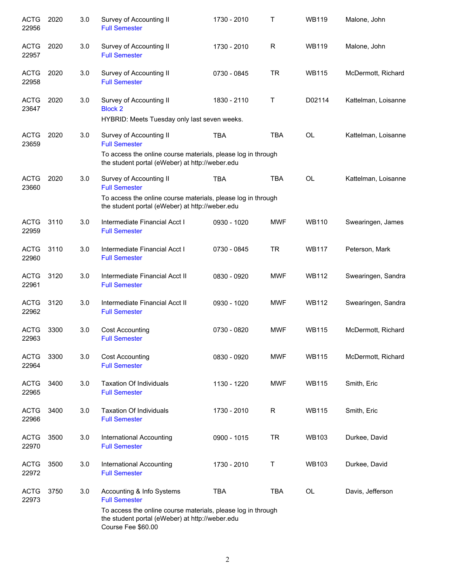| <b>ACTG</b><br>22956 | 2020 | 3.0 | Survey of Accounting II<br><b>Full Semester</b>                                                                                                                    | 1730 - 2010 | т          | <b>WB119</b> | Malone, John        |
|----------------------|------|-----|--------------------------------------------------------------------------------------------------------------------------------------------------------------------|-------------|------------|--------------|---------------------|
| <b>ACTG</b><br>22957 | 2020 | 3.0 | Survey of Accounting II<br><b>Full Semester</b>                                                                                                                    | 1730 - 2010 | R          | <b>WB119</b> | Malone, John        |
| <b>ACTG</b><br>22958 | 2020 | 3.0 | Survey of Accounting II<br><b>Full Semester</b>                                                                                                                    | 0730 - 0845 | <b>TR</b>  | <b>WB115</b> | McDermott, Richard  |
| <b>ACTG</b><br>23647 | 2020 | 3.0 | Survey of Accounting II<br><b>Block 2</b><br>HYBRID: Meets Tuesday only last seven weeks.                                                                          | 1830 - 2110 | Т          | D02114       | Kattelman, Loisanne |
| <b>ACTG</b><br>23659 | 2020 | 3.0 | Survey of Accounting II<br><b>Full Semester</b><br>To access the online course materials, please log in through<br>the student portal (eWeber) at http://weber.edu | <b>TBA</b>  | <b>TBA</b> | <b>OL</b>    | Kattelman, Loisanne |
| <b>ACTG</b><br>23660 | 2020 | 3.0 | Survey of Accounting II<br><b>Full Semester</b><br>To access the online course materials, please log in through                                                    | <b>TBA</b>  | <b>TBA</b> | <b>OL</b>    | Kattelman, Loisanne |
|                      |      |     | the student portal (eWeber) at http://weber.edu                                                                                                                    |             |            |              |                     |
| <b>ACTG</b><br>22959 | 3110 | 3.0 | Intermediate Financial Acct I<br><b>Full Semester</b>                                                                                                              | 0930 - 1020 | <b>MWF</b> | <b>WB110</b> | Swearingen, James   |
| <b>ACTG</b><br>22960 | 3110 | 3.0 | Intermediate Financial Acct I<br><b>Full Semester</b>                                                                                                              | 0730 - 0845 | <b>TR</b>  | <b>WB117</b> | Peterson, Mark      |
| <b>ACTG</b><br>22961 | 3120 | 3.0 | Intermediate Financial Acct II<br><b>Full Semester</b>                                                                                                             | 0830 - 0920 | <b>MWF</b> | <b>WB112</b> | Swearingen, Sandra  |
| <b>ACTG</b><br>22962 | 3120 | 3.0 | Intermediate Financial Acct II<br><b>Full Semester</b>                                                                                                             | 0930 - 1020 | <b>MWF</b> | <b>WB112</b> | Swearingen, Sandra  |
| <b>ACTG</b><br>22963 | 3300 | 3.0 | <b>Cost Accounting</b><br><b>Full Semester</b>                                                                                                                     | 0730 - 0820 | <b>MWF</b> | <b>WB115</b> | McDermott, Richard  |
| <b>ACTG</b><br>22964 | 3300 | 3.0 | <b>Cost Accounting</b><br><b>Full Semester</b>                                                                                                                     | 0830 - 0920 | <b>MWF</b> | <b>WB115</b> | McDermott, Richard  |
| <b>ACTG</b><br>22965 | 3400 | 3.0 | <b>Taxation Of Individuals</b><br><b>Full Semester</b>                                                                                                             | 1130 - 1220 | <b>MWF</b> | <b>WB115</b> | Smith, Eric         |
| <b>ACTG</b><br>22966 | 3400 | 3.0 | <b>Taxation Of Individuals</b><br><b>Full Semester</b>                                                                                                             | 1730 - 2010 | R          | <b>WB115</b> | Smith, Eric         |
| <b>ACTG</b><br>22970 | 3500 | 3.0 | International Accounting<br><b>Full Semester</b>                                                                                                                   | 0900 - 1015 | <b>TR</b>  | <b>WB103</b> | Durkee, David       |
| <b>ACTG</b><br>22972 | 3500 | 3.0 | International Accounting<br><b>Full Semester</b>                                                                                                                   | 1730 - 2010 | Т          | <b>WB103</b> | Durkee, David       |
| <b>ACTG</b><br>22973 | 3750 | 3.0 | Accounting & Info Systems<br><b>Full Semester</b><br>To access the online course materials, please log in through                                                  | <b>TBA</b>  | <b>TBA</b> | <b>OL</b>    | Davis, Jefferson    |
|                      |      |     | the student portal (eWeber) at http://weber.edu<br>Course Fee \$60.00                                                                                              |             |            |              |                     |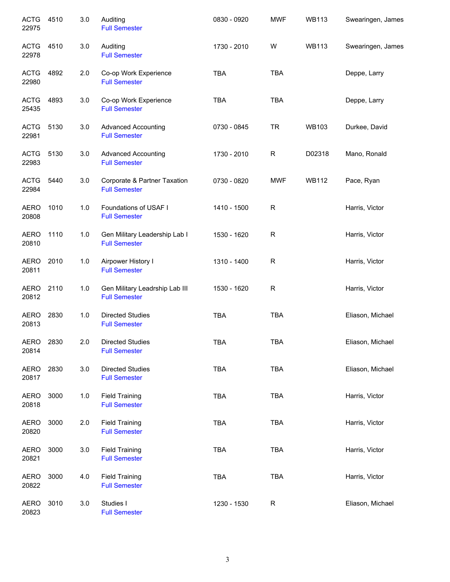| <b>ACTG</b><br>22975 | 4510 | 3.0   | Auditing<br><b>Full Semester</b>                       | 0830 - 0920 | <b>MWF</b> | <b>WB113</b> | Swearingen, James |
|----------------------|------|-------|--------------------------------------------------------|-------------|------------|--------------|-------------------|
| <b>ACTG</b><br>22978 | 4510 | 3.0   | Auditing<br><b>Full Semester</b>                       | 1730 - 2010 | W          | <b>WB113</b> | Swearingen, James |
| <b>ACTG</b><br>22980 | 4892 | 2.0   | Co-op Work Experience<br><b>Full Semester</b>          | <b>TBA</b>  | <b>TBA</b> |              | Deppe, Larry      |
| <b>ACTG</b><br>25435 | 4893 | 3.0   | Co-op Work Experience<br><b>Full Semester</b>          | <b>TBA</b>  | <b>TBA</b> |              | Deppe, Larry      |
| <b>ACTG</b><br>22981 | 5130 | 3.0   | <b>Advanced Accounting</b><br><b>Full Semester</b>     | 0730 - 0845 | <b>TR</b>  | <b>WB103</b> | Durkee, David     |
| <b>ACTG</b><br>22983 | 5130 | 3.0   | <b>Advanced Accounting</b><br><b>Full Semester</b>     | 1730 - 2010 | R          | D02318       | Mano, Ronald      |
| <b>ACTG</b><br>22984 | 5440 | 3.0   | Corporate & Partner Taxation<br><b>Full Semester</b>   | 0730 - 0820 | <b>MWF</b> | <b>WB112</b> | Pace, Ryan        |
| <b>AERO</b><br>20808 | 1010 | 1.0   | Foundations of USAF I<br><b>Full Semester</b>          | 1410 - 1500 | R          |              | Harris, Victor    |
| <b>AERO</b><br>20810 | 1110 | 1.0   | Gen Military Leadership Lab I<br><b>Full Semester</b>  | 1530 - 1620 | R          |              | Harris, Victor    |
| <b>AERO</b><br>20811 | 2010 | 1.0   | Airpower History I<br><b>Full Semester</b>             | 1310 - 1400 | ${\sf R}$  |              | Harris, Victor    |
| AERO<br>20812        | 2110 | 1.0   | Gen Military Leadrship Lab III<br><b>Full Semester</b> | 1530 - 1620 | ${\sf R}$  |              | Harris, Victor    |
| <b>AERO</b><br>20813 | 2830 | 1.0   | <b>Directed Studies</b><br><b>Full Semester</b>        | <b>TBA</b>  | TBA        |              | Eliason, Michael  |
| AERO<br>20814        | 2830 | 2.0   | <b>Directed Studies</b><br><b>Full Semester</b>        | <b>TBA</b>  | <b>TBA</b> |              | Eliason, Michael  |
| <b>AERO</b><br>20817 | 2830 | 3.0   | <b>Directed Studies</b><br><b>Full Semester</b>        | <b>TBA</b>  | <b>TBA</b> |              | Eliason, Michael  |
| <b>AERO</b><br>20818 | 3000 | $1.0$ | <b>Field Training</b><br><b>Full Semester</b>          | <b>TBA</b>  | <b>TBA</b> |              | Harris, Victor    |
| <b>AERO</b><br>20820 | 3000 | 2.0   | <b>Field Training</b><br><b>Full Semester</b>          | <b>TBA</b>  | <b>TBA</b> |              | Harris, Victor    |
| <b>AERO</b><br>20821 | 3000 | 3.0   | <b>Field Training</b><br><b>Full Semester</b>          | <b>TBA</b>  | <b>TBA</b> |              | Harris, Victor    |
| <b>AERO</b><br>20822 | 3000 | 4.0   | <b>Field Training</b><br><b>Full Semester</b>          | TBA         | <b>TBA</b> |              | Harris, Victor    |
| <b>AERO</b><br>20823 | 3010 | 3.0   | Studies I<br><b>Full Semester</b>                      | 1230 - 1530 | R          |              | Eliason, Michael  |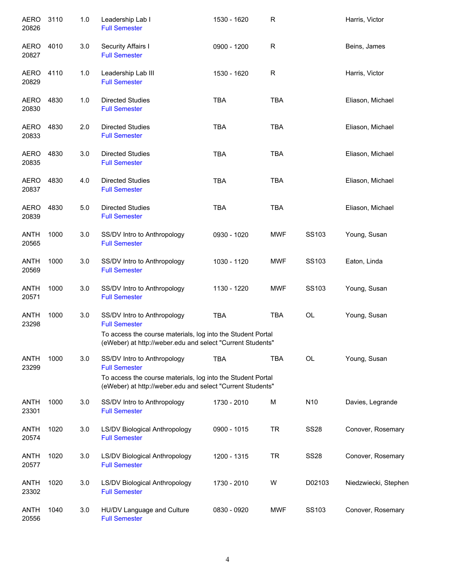| <b>AERO</b><br>20826 | 3110 | 1.0 | Leadership Lab I<br><b>Full Semester</b>                                                                                  | 1530 - 1620 | R            |             | Harris, Victor       |
|----------------------|------|-----|---------------------------------------------------------------------------------------------------------------------------|-------------|--------------|-------------|----------------------|
| <b>AERO</b><br>20827 | 4010 | 3.0 | Security Affairs I<br><b>Full Semester</b>                                                                                | 0900 - 1200 | $\mathsf{R}$ |             | Beins, James         |
| AERO<br>20829        | 4110 | 1.0 | Leadership Lab III<br><b>Full Semester</b>                                                                                | 1530 - 1620 | R            |             | Harris, Victor       |
| <b>AERO</b><br>20830 | 4830 | 1.0 | <b>Directed Studies</b><br><b>Full Semester</b>                                                                           | <b>TBA</b>  | <b>TBA</b>   |             | Eliason, Michael     |
| AERO<br>20833        | 4830 | 2.0 | <b>Directed Studies</b><br><b>Full Semester</b>                                                                           | <b>TBA</b>  | <b>TBA</b>   |             | Eliason, Michael     |
| AERO<br>20835        | 4830 | 3.0 | <b>Directed Studies</b><br><b>Full Semester</b>                                                                           | <b>TBA</b>  | <b>TBA</b>   |             | Eliason, Michael     |
| <b>AERO</b><br>20837 | 4830 | 4.0 | <b>Directed Studies</b><br><b>Full Semester</b>                                                                           | <b>TBA</b>  | <b>TBA</b>   |             | Eliason, Michael     |
| <b>AERO</b><br>20839 | 4830 | 5.0 | <b>Directed Studies</b><br><b>Full Semester</b>                                                                           | <b>TBA</b>  | <b>TBA</b>   |             | Eliason, Michael     |
| <b>ANTH</b><br>20565 | 1000 | 3.0 | SS/DV Intro to Anthropology<br><b>Full Semester</b>                                                                       | 0930 - 1020 | MWF          | SS103       | Young, Susan         |
| <b>ANTH</b><br>20569 | 1000 | 3.0 | SS/DV Intro to Anthropology<br><b>Full Semester</b>                                                                       | 1030 - 1120 | <b>MWF</b>   | SS103       | Eaton, Linda         |
| <b>ANTH</b><br>20571 | 1000 | 3.0 | SS/DV Intro to Anthropology<br><b>Full Semester</b>                                                                       | 1130 - 1220 | MWF          | SS103       | Young, Susan         |
| <b>ANTH</b><br>23298 | 1000 | 3.0 | SS/DV Intro to Anthropology<br><b>Full Semester</b><br>To access the course materials, log into the Student Portal        | <b>TBA</b>  | <b>TBA</b>   | OL          | Young, Susan         |
|                      |      |     | (eWeber) at http://weber.edu and select "Current Students"                                                                |             |              |             |                      |
| <b>ANTH</b><br>23299 | 1000 | 3.0 | SS/DV Intro to Anthropology<br><b>Full Semester</b>                                                                       | <b>TBA</b>  | <b>TBA</b>   | OL          | Young, Susan         |
|                      |      |     | To access the course materials, log into the Student Portal<br>(eWeber) at http://weber.edu and select "Current Students" |             |              |             |                      |
| <b>ANTH</b><br>23301 | 1000 | 3.0 | SS/DV Intro to Anthropology<br><b>Full Semester</b>                                                                       | 1730 - 2010 | M            | N10         | Davies, Legrande     |
| <b>ANTH</b><br>20574 | 1020 | 3.0 | LS/DV Biological Anthropology<br><b>Full Semester</b>                                                                     | 0900 - 1015 | <b>TR</b>    | <b>SS28</b> | Conover, Rosemary    |
| <b>ANTH</b><br>20577 | 1020 | 3.0 | LS/DV Biological Anthropology<br><b>Full Semester</b>                                                                     | 1200 - 1315 | <b>TR</b>    | <b>SS28</b> | Conover, Rosemary    |
| <b>ANTH</b><br>23302 | 1020 | 3.0 | LS/DV Biological Anthropology<br><b>Full Semester</b>                                                                     | 1730 - 2010 | W            | D02103      | Niedzwiecki, Stephen |
| ANTH<br>20556        | 1040 | 3.0 | HU/DV Language and Culture<br><b>Full Semester</b>                                                                        | 0830 - 0920 | <b>MWF</b>   | SS103       | Conover, Rosemary    |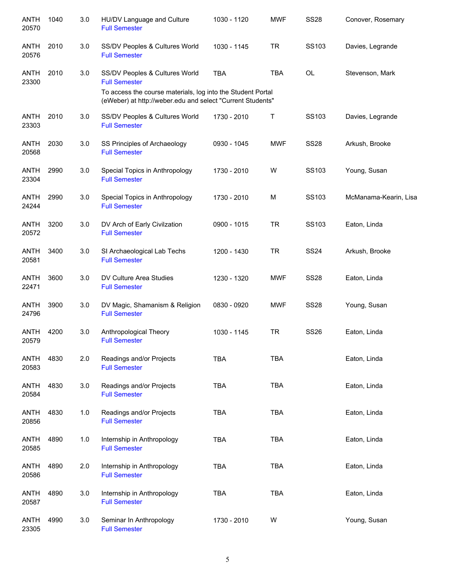| <b>ANTH</b><br>20570 | 1040 | 3.0 | HU/DV Language and Culture<br><b>Full Semester</b>                                                                        | 1030 - 1120 | <b>MWF</b> | <b>SS28</b> | Conover, Rosemary     |
|----------------------|------|-----|---------------------------------------------------------------------------------------------------------------------------|-------------|------------|-------------|-----------------------|
| ANTH<br>20576        | 2010 | 3.0 | SS/DV Peoples & Cultures World<br><b>Full Semester</b>                                                                    | 1030 - 1145 | <b>TR</b>  | SS103       | Davies, Legrande      |
| ANTH<br>23300        | 2010 | 3.0 | SS/DV Peoples & Cultures World<br><b>Full Semester</b>                                                                    | <b>TBA</b>  | <b>TBA</b> | OL          | Stevenson, Mark       |
|                      |      |     | To access the course materials, log into the Student Portal<br>(eWeber) at http://weber.edu and select "Current Students" |             |            |             |                       |
| <b>ANTH</b><br>23303 | 2010 | 3.0 | SS/DV Peoples & Cultures World<br><b>Full Semester</b>                                                                    | 1730 - 2010 | T          | SS103       | Davies, Legrande      |
| ANTH<br>20568        | 2030 | 3.0 | SS Principles of Archaeology<br><b>Full Semester</b>                                                                      | 0930 - 1045 | <b>MWF</b> | <b>SS28</b> | Arkush, Brooke        |
| ANTH<br>23304        | 2990 | 3.0 | Special Topics in Anthropology<br><b>Full Semester</b>                                                                    | 1730 - 2010 | W          | SS103       | Young, Susan          |
| ANTH<br>24244        | 2990 | 3.0 | Special Topics in Anthropology<br><b>Full Semester</b>                                                                    | 1730 - 2010 | M          | SS103       | McManama-Kearin, Lisa |
| <b>ANTH</b><br>20572 | 3200 | 3.0 | DV Arch of Early Civilzation<br><b>Full Semester</b>                                                                      | 0900 - 1015 | <b>TR</b>  | SS103       | Eaton, Linda          |
| <b>ANTH</b><br>20581 | 3400 | 3.0 | SI Archaeological Lab Techs<br><b>Full Semester</b>                                                                       | 1200 - 1430 | <b>TR</b>  | <b>SS24</b> | Arkush, Brooke        |
| <b>ANTH</b><br>22471 | 3600 | 3.0 | DV Culture Area Studies<br><b>Full Semester</b>                                                                           | 1230 - 1320 | <b>MWF</b> | <b>SS28</b> | Eaton, Linda          |
| <b>ANTH</b><br>24796 | 3900 | 3.0 | DV Magic, Shamanism & Religion<br><b>Full Semester</b>                                                                    | 0830 - 0920 | <b>MWF</b> | <b>SS28</b> | Young, Susan          |
| <b>ANTH</b><br>20579 | 4200 | 3.0 | Anthropological Theory<br><b>Full Semester</b>                                                                            | 1030 - 1145 | <b>TR</b>  | <b>SS26</b> | Eaton, Linda          |
| <b>ANTH</b><br>20583 | 4830 | 2.0 | Readings and/or Projects<br><b>Full Semester</b>                                                                          | <b>TBA</b>  | <b>TBA</b> |             | Eaton, Linda          |
| <b>ANTH</b><br>20584 | 4830 | 3.0 | Readings and/or Projects<br><b>Full Semester</b>                                                                          | <b>TBA</b>  | <b>TBA</b> |             | Eaton, Linda          |
| ANTH<br>20856        | 4830 | 1.0 | Readings and/or Projects<br><b>Full Semester</b>                                                                          | <b>TBA</b>  | <b>TBA</b> |             | Eaton, Linda          |
| ANTH<br>20585        | 4890 | 1.0 | Internship in Anthropology<br><b>Full Semester</b>                                                                        | <b>TBA</b>  | <b>TBA</b> |             | Eaton, Linda          |
| <b>ANTH</b><br>20586 | 4890 | 2.0 | Internship in Anthropology<br><b>Full Semester</b>                                                                        | <b>TBA</b>  | <b>TBA</b> |             | Eaton, Linda          |
| <b>ANTH</b><br>20587 | 4890 | 3.0 | Internship in Anthropology<br><b>Full Semester</b>                                                                        | <b>TBA</b>  | <b>TBA</b> |             | Eaton, Linda          |
| <b>ANTH</b><br>23305 | 4990 | 3.0 | Seminar In Anthropology<br><b>Full Semester</b>                                                                           | 1730 - 2010 | W          |             | Young, Susan          |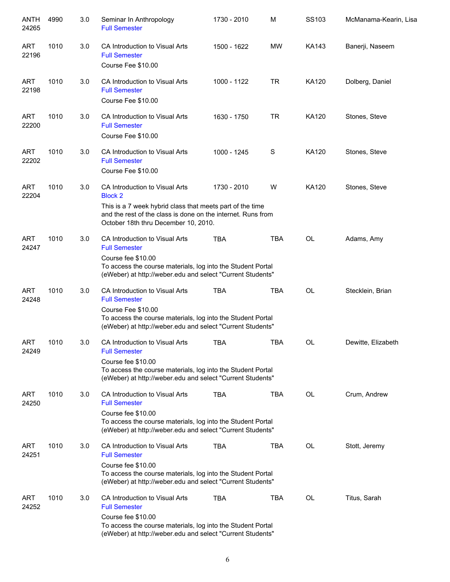| ANTH<br>24265       | 4990 | 3.0 | Seminar In Anthropology<br><b>Full Semester</b>                                                                                                                                                                       | 1730 - 2010 | M          | SS103        | McManama-Kearin, Lisa |
|---------------------|------|-----|-----------------------------------------------------------------------------------------------------------------------------------------------------------------------------------------------------------------------|-------------|------------|--------------|-----------------------|
| <b>ART</b><br>22196 | 1010 | 3.0 | CA Introduction to Visual Arts<br><b>Full Semester</b><br>Course Fee \$10.00                                                                                                                                          | 1500 - 1622 | MW         | <b>KA143</b> | Banerji, Naseem       |
| <b>ART</b><br>22198 | 1010 | 3.0 | CA Introduction to Visual Arts<br><b>Full Semester</b><br>Course Fee \$10.00                                                                                                                                          | 1000 - 1122 | <b>TR</b>  | KA120        | Dolberg, Daniel       |
| <b>ART</b><br>22200 | 1010 | 3.0 | CA Introduction to Visual Arts<br><b>Full Semester</b><br>Course Fee \$10.00                                                                                                                                          | 1630 - 1750 | <b>TR</b>  | KA120        | Stones, Steve         |
| <b>ART</b><br>22202 | 1010 | 3.0 | CA Introduction to Visual Arts<br><b>Full Semester</b><br>Course Fee \$10.00                                                                                                                                          | 1000 - 1245 | S          | KA120        | Stones, Steve         |
| <b>ART</b><br>22204 | 1010 | 3.0 | CA Introduction to Visual Arts<br><b>Block 2</b><br>This is a 7 week hybrid class that meets part of the time<br>and the rest of the class is done on the internet. Runs from<br>October 18th thru December 10, 2010. | 1730 - 2010 | W          | <b>KA120</b> | Stones, Steve         |
| <b>ART</b><br>24247 | 1010 | 3.0 | CA Introduction to Visual Arts<br><b>Full Semester</b><br>Course fee \$10.00<br>To access the course materials, log into the Student Portal<br>(eWeber) at http://weber.edu and select "Current Students"             | <b>TBA</b>  | <b>TBA</b> | OL           | Adams, Amy            |
| <b>ART</b><br>24248 | 1010 | 3.0 | CA Introduction to Visual Arts<br><b>Full Semester</b><br>Course Fee \$10.00<br>To access the course materials, log into the Student Portal<br>(eWeber) at http://weber.edu and select "Current Students"             | <b>TBA</b>  | <b>TBA</b> | <b>OL</b>    | Stecklein, Brian      |
| <b>ART</b><br>24249 | 1010 | 3.0 | CA Introduction to Visual Arts<br><b>Full Semester</b><br>Course fee \$10.00<br>To access the course materials, log into the Student Portal<br>(eWeber) at http://weber.edu and select "Current Students"             | <b>TBA</b>  | <b>TBA</b> | OL           | Dewitte, Elizabeth    |
| <b>ART</b><br>24250 | 1010 | 3.0 | CA Introduction to Visual Arts<br><b>Full Semester</b><br>Course fee \$10.00<br>To access the course materials, log into the Student Portal<br>(eWeber) at http://weber.edu and select "Current Students"             | <b>TBA</b>  | <b>TBA</b> | <b>OL</b>    | Crum, Andrew          |
| <b>ART</b><br>24251 | 1010 | 3.0 | CA Introduction to Visual Arts<br><b>Full Semester</b><br>Course fee \$10.00<br>To access the course materials, log into the Student Portal<br>(eWeber) at http://weber.edu and select "Current Students"             | <b>TBA</b>  | <b>TBA</b> | OL           | Stott, Jeremy         |
| ART<br>24252        | 1010 | 3.0 | CA Introduction to Visual Arts<br><b>Full Semester</b><br>Course fee \$10.00<br>To access the course materials, log into the Student Portal<br>(eWeber) at http://weber.edu and select "Current Students"             | <b>TBA</b>  | TBA        | OL           | Titus, Sarah          |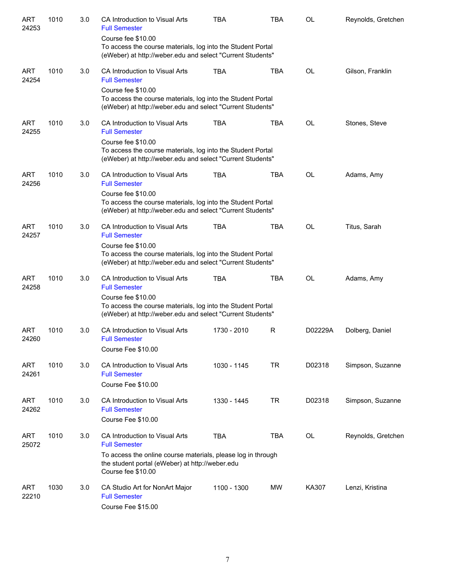| ART<br>24253        | 1010 | 3.0 | CA Introduction to Visual Arts<br><b>Full Semester</b>                                                                                          | <b>TBA</b>  | <b>TBA</b> | OL        | Reynolds, Gretchen |
|---------------------|------|-----|-------------------------------------------------------------------------------------------------------------------------------------------------|-------------|------------|-----------|--------------------|
|                     |      |     | Course fee \$10.00<br>To access the course materials, log into the Student Portal<br>(eWeber) at http://weber.edu and select "Current Students" |             |            |           |                    |
| <b>ART</b><br>24254 | 1010 | 3.0 | CA Introduction to Visual Arts<br><b>Full Semester</b>                                                                                          | <b>TBA</b>  | <b>TBA</b> | <b>OL</b> | Gilson, Franklin   |
|                     |      |     | Course fee \$10.00<br>To access the course materials, log into the Student Portal<br>(eWeber) at http://weber.edu and select "Current Students" |             |            |           |                    |
| ART<br>24255        | 1010 | 3.0 | CA Introduction to Visual Arts<br><b>Full Semester</b>                                                                                          | <b>TBA</b>  | <b>TBA</b> | <b>OL</b> | Stones, Steve      |
|                     |      |     | Course fee \$10.00<br>To access the course materials, log into the Student Portal<br>(eWeber) at http://weber.edu and select "Current Students" |             |            |           |                    |
| ART<br>24256        | 1010 | 3.0 | CA Introduction to Visual Arts<br><b>Full Semester</b>                                                                                          | <b>TBA</b>  | <b>TBA</b> | <b>OL</b> | Adams, Amy         |
|                     |      |     | Course fee \$10.00<br>To access the course materials, log into the Student Portal<br>(eWeber) at http://weber.edu and select "Current Students" |             |            |           |                    |
| ART<br>24257        | 1010 | 3.0 | CA Introduction to Visual Arts<br><b>Full Semester</b>                                                                                          | <b>TBA</b>  | <b>TBA</b> | <b>OL</b> | Titus, Sarah       |
|                     |      |     | Course fee \$10.00<br>To access the course materials, log into the Student Portal<br>(eWeber) at http://weber.edu and select "Current Students" |             |            |           |                    |
| <b>ART</b><br>24258 | 1010 | 3.0 | CA Introduction to Visual Arts<br><b>Full Semester</b>                                                                                          | <b>TBA</b>  | <b>TBA</b> | <b>OL</b> | Adams, Amy         |
|                     |      |     | Course fee \$10.00<br>To access the course materials, log into the Student Portal<br>(eWeber) at http://weber.edu and select "Current Students" |             |            |           |                    |
| <b>ART</b><br>24260 | 1010 | 3.0 | CA Introduction to Visual Arts<br><b>Full Semester</b><br>Course Fee \$10.00                                                                    | 1730 - 2010 | R          | D02229A   | Dolberg, Daniel    |
| <b>ART</b>          | 1010 | 3.0 | CA Introduction to Visual Arts                                                                                                                  | 1030 - 1145 | <b>TR</b>  | D02318    | Simpson, Suzanne   |
| 24261               |      |     | <b>Full Semester</b><br>Course Fee \$10.00                                                                                                      |             |            |           |                    |
| <b>ART</b><br>24262 | 1010 | 3.0 | CA Introduction to Visual Arts<br><b>Full Semester</b>                                                                                          | 1330 - 1445 | <b>TR</b>  | D02318    | Simpson, Suzanne   |
|                     |      |     | Course Fee \$10.00                                                                                                                              |             |            |           |                    |
| <b>ART</b><br>25072 | 1010 | 3.0 | CA Introduction to Visual Arts<br><b>Full Semester</b>                                                                                          | <b>TBA</b>  | <b>TBA</b> | OL        | Reynolds, Gretchen |
|                     |      |     | To access the online course materials, please log in through<br>the student portal (eWeber) at http://weber.edu<br>Course fee \$10.00           |             |            |           |                    |
| <b>ART</b><br>22210 | 1030 | 3.0 | CA Studio Art for NonArt Major<br><b>Full Semester</b><br>Course Fee \$15.00                                                                    | 1100 - 1300 | <b>MW</b>  | KA307     | Lenzi, Kristina    |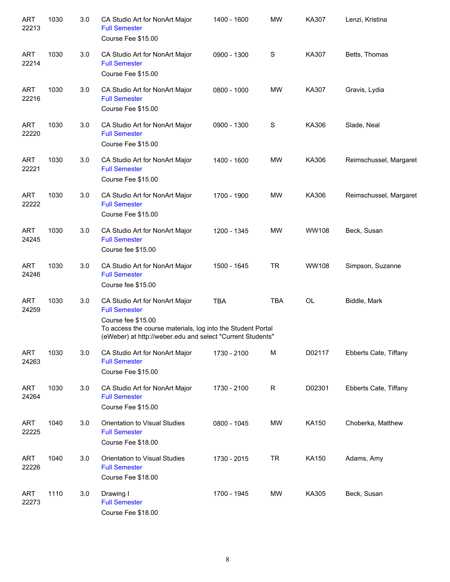| <b>ART</b><br>22213 | 1030 | 3.0 | CA Studio Art for NonArt Major<br><b>Full Semester</b><br>Course Fee \$15.00                                                                                                                              | 1400 - 1600 | <b>MW</b>  | KA307     | Lenzi, Kristina        |
|---------------------|------|-----|-----------------------------------------------------------------------------------------------------------------------------------------------------------------------------------------------------------|-------------|------------|-----------|------------------------|
| <b>ART</b><br>22214 | 1030 | 3.0 | CA Studio Art for NonArt Major<br><b>Full Semester</b><br>Course Fee \$15.00                                                                                                                              | 0900 - 1300 | S          | KA307     | Betts, Thomas          |
| <b>ART</b><br>22216 | 1030 | 3.0 | CA Studio Art for NonArt Major<br><b>Full Semester</b><br>Course Fee \$15.00                                                                                                                              | 0800 - 1000 | MW         | KA307     | Gravis, Lydia          |
| <b>ART</b><br>22220 | 1030 | 3.0 | CA Studio Art for NonArt Major<br><b>Full Semester</b><br>Course Fee \$15.00                                                                                                                              | 0900 - 1300 | S          | KA306     | Slade, Neal            |
| <b>ART</b><br>22221 | 1030 | 3.0 | CA Studio Art for NonArt Major<br><b>Full Semester</b><br>Course Fee \$15.00                                                                                                                              | 1400 - 1600 | <b>MW</b>  | KA306     | Reimschussel, Margaret |
| <b>ART</b><br>22222 | 1030 | 3.0 | CA Studio Art for NonArt Major<br><b>Full Semester</b><br>Course Fee \$15.00                                                                                                                              | 1700 - 1900 | <b>MW</b>  | KA306     | Reimschussel, Margaret |
| <b>ART</b><br>24245 | 1030 | 3.0 | CA Studio Art for NonArt Major<br><b>Full Semester</b><br>Course fee \$15.00                                                                                                                              | 1200 - 1345 | <b>MW</b>  | WW108     | Beck, Susan            |
| <b>ART</b><br>24246 | 1030 | 3.0 | CA Studio Art for NonArt Major<br><b>Full Semester</b><br>Course fee \$15.00                                                                                                                              | 1500 - 1645 | <b>TR</b>  | WW108     | Simpson, Suzanne       |
| <b>ART</b><br>24259 | 1030 | 3.0 | CA Studio Art for NonArt Major<br><b>Full Semester</b><br>Course fee \$15.00<br>To access the course materials, log into the Student Portal<br>(eWeber) at http://weber.edu and select "Current Students" | <b>TBA</b>  | <b>TBA</b> | <b>OL</b> | Biddle, Mark           |
| <b>ART</b><br>24263 | 1030 | 3.0 | CA Studio Art for NonArt Major<br><b>Full Semester</b><br>Course Fee \$15.00                                                                                                                              | 1730 - 2100 | M          | D02117    | Ebberts Cate, Tiffany  |
| <b>ART</b><br>24264 | 1030 | 3.0 | CA Studio Art for NonArt Major<br><b>Full Semester</b><br>Course Fee \$15.00                                                                                                                              | 1730 - 2100 | R          | D02301    | Ebberts Cate, Tiffany  |
| <b>ART</b><br>22225 | 1040 | 3.0 | Orientation to Visual Studies<br><b>Full Semester</b><br>Course Fee \$18.00                                                                                                                               | 0800 - 1045 | <b>MW</b>  | KA150     | Choberka, Matthew      |
| <b>ART</b><br>22226 | 1040 | 3.0 | Orientation to Visual Studies<br><b>Full Semester</b><br>Course Fee \$18.00                                                                                                                               | 1730 - 2015 | <b>TR</b>  | KA150     | Adams, Amy             |
| <b>ART</b><br>22273 | 1110 | 3.0 | Drawing I<br><b>Full Semester</b><br>Course Fee \$18.00                                                                                                                                                   | 1700 - 1945 | <b>MW</b>  | KA305     | Beck, Susan            |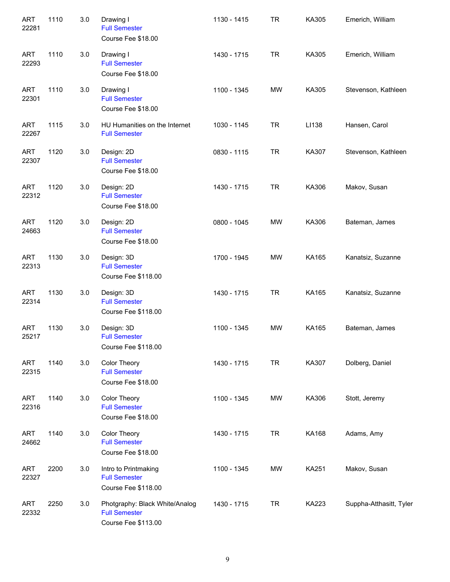| <b>ART</b><br>22281 | 1110 | 3.0 | Drawing I<br><b>Full Semester</b><br>Course Fee \$18.00                       | 1130 - 1415 | <b>TR</b> | KA305 | Emerich, William        |
|---------------------|------|-----|-------------------------------------------------------------------------------|-------------|-----------|-------|-------------------------|
| <b>ART</b><br>22293 | 1110 | 3.0 | Drawing I<br><b>Full Semester</b><br>Course Fee \$18.00                       | 1430 - 1715 | <b>TR</b> | KA305 | Emerich, William        |
| <b>ART</b><br>22301 | 1110 | 3.0 | Drawing I<br><b>Full Semester</b><br>Course Fee \$18.00                       | 1100 - 1345 | <b>MW</b> | KA305 | Stevenson, Kathleen     |
| <b>ART</b><br>22267 | 1115 | 3.0 | HU Humanities on the Internet<br><b>Full Semester</b>                         | 1030 - 1145 | <b>TR</b> | LI138 | Hansen, Carol           |
| <b>ART</b><br>22307 | 1120 | 3.0 | Design: 2D<br><b>Full Semester</b><br>Course Fee \$18.00                      | 0830 - 1115 | <b>TR</b> | KA307 | Stevenson, Kathleen     |
| <b>ART</b><br>22312 | 1120 | 3.0 | Design: 2D<br><b>Full Semester</b><br>Course Fee \$18.00                      | 1430 - 1715 | <b>TR</b> | KA306 | Makov, Susan            |
| <b>ART</b><br>24663 | 1120 | 3.0 | Design: 2D<br><b>Full Semester</b><br>Course Fee \$18.00                      | 0800 - 1045 | <b>MW</b> | KA306 | Bateman, James          |
| <b>ART</b><br>22313 | 1130 | 3.0 | Design: 3D<br><b>Full Semester</b><br>Course Fee \$118.00                     | 1700 - 1945 | <b>MW</b> | KA165 | Kanatsiz, Suzanne       |
| <b>ART</b><br>22314 | 1130 | 3.0 | Design: 3D<br><b>Full Semester</b><br>Course Fee \$118.00                     | 1430 - 1715 | <b>TR</b> | KA165 | Kanatsiz, Suzanne       |
| <b>ART</b><br>25217 | 1130 | 3.0 | Design: 3D<br><b>Full Semester</b><br>Course Fee \$118.00                     | 1100 - 1345 | <b>MW</b> | KA165 | Bateman, James          |
| <b>ART</b><br>22315 | 1140 | 3.0 | Color Theory<br><b>Full Semester</b><br>Course Fee \$18.00                    | 1430 - 1715 | <b>TR</b> | KA307 | Dolberg, Daniel         |
| <b>ART</b><br>22316 | 1140 | 3.0 | <b>Color Theory</b><br><b>Full Semester</b><br>Course Fee \$18.00             | 1100 - 1345 | MW        | KA306 | Stott, Jeremy           |
| <b>ART</b><br>24662 | 1140 | 3.0 | Color Theory<br><b>Full Semester</b><br>Course Fee \$18.00                    | 1430 - 1715 | <b>TR</b> | KA168 | Adams, Amy              |
| <b>ART</b><br>22327 | 2200 | 3.0 | Intro to Printmaking<br><b>Full Semester</b><br>Course Fee \$118.00           | 1100 - 1345 | MW        | KA251 | Makov, Susan            |
| <b>ART</b><br>22332 | 2250 | 3.0 | Photgraphy: Black White/Analog<br><b>Full Semester</b><br>Course Fee \$113.00 | 1430 - 1715 | <b>TR</b> | KA223 | Suppha-Atthasitt, Tyler |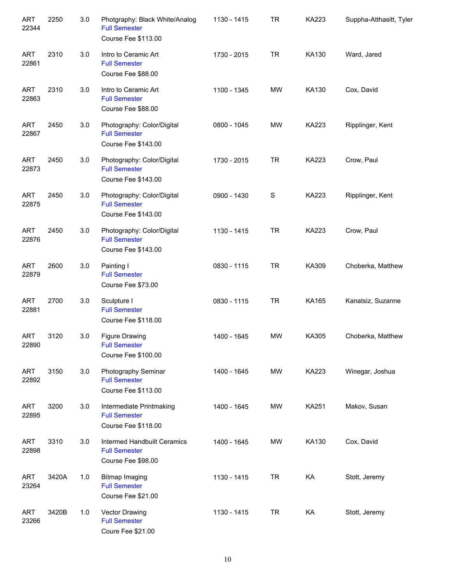| <b>ART</b><br>22344 | 2250  | 3.0 | Photgraphy: Black White/Analog<br><b>Full Semester</b><br>Course Fee \$113.00 | 1130 - 1415 | <b>TR</b>   | <b>KA223</b> | Suppha-Atthasitt, Tyler |
|---------------------|-------|-----|-------------------------------------------------------------------------------|-------------|-------------|--------------|-------------------------|
| <b>ART</b><br>22861 | 2310  | 3.0 | Intro to Ceramic Art<br><b>Full Semester</b><br>Course Fee \$88.00            | 1730 - 2015 | <b>TR</b>   | KA130        | Ward, Jared             |
| <b>ART</b><br>22863 | 2310  | 3.0 | Intro to Ceramic Art<br><b>Full Semester</b><br>Course Fee \$88.00            | 1100 - 1345 | <b>MW</b>   | KA130        | Cox, David              |
| <b>ART</b><br>22867 | 2450  | 3.0 | Photography: Color/Digital<br><b>Full Semester</b><br>Course Fee \$143.00     | 0800 - 1045 | MW          | KA223        | Ripplinger, Kent        |
| <b>ART</b><br>22873 | 2450  | 3.0 | Photography: Color/Digital<br><b>Full Semester</b><br>Course Fee \$143.00     | 1730 - 2015 | <b>TR</b>   | KA223        | Crow, Paul              |
| <b>ART</b><br>22875 | 2450  | 3.0 | Photography: Color/Digital<br><b>Full Semester</b><br>Course Fee \$143.00     | 0900 - 1430 | $\mathbf S$ | KA223        | Ripplinger, Kent        |
| <b>ART</b><br>22876 | 2450  | 3.0 | Photography: Color/Digital<br><b>Full Semester</b><br>Course Fee \$143.00     | 1130 - 1415 | <b>TR</b>   | <b>KA223</b> | Crow, Paul              |
| <b>ART</b><br>22879 | 2600  | 3.0 | Painting I<br><b>Full Semester</b><br>Course Fee \$73.00                      | 0830 - 1115 | <b>TR</b>   | KA309        | Choberka, Matthew       |
| <b>ART</b><br>22881 | 2700  | 3.0 | Sculpture I<br><b>Full Semester</b><br>Course Fee \$118.00                    | 0830 - 1115 | <b>TR</b>   | KA165        | Kanatsiz, Suzanne       |
| ART<br>22890        | 3120  | 3.0 | <b>Figure Drawing</b><br><b>Full Semester</b><br>Course Fee \$100.00          | 1400 - 1645 | <b>MW</b>   | KA305        | Choberka, Matthew       |
| <b>ART</b><br>22892 | 3150  | 3.0 | Photography Seminar<br><b>Full Semester</b><br>Course Fee \$113.00            | 1400 - 1645 | MW          | KA223        | Winegar, Joshua         |
| <b>ART</b><br>22895 | 3200  | 3.0 | Intermediate Printmaking<br><b>Full Semester</b><br>Course Fee \$118.00       | 1400 - 1645 | MW          | KA251        | Makov, Susan            |
| <b>ART</b><br>22898 | 3310  | 3.0 | Intermed Handbuilt Ceramics<br><b>Full Semester</b><br>Course Fee \$98.00     | 1400 - 1645 | MW          | KA130        | Cox, David              |
| <b>ART</b><br>23264 | 3420A | 1.0 | <b>Bitmap Imaging</b><br><b>Full Semester</b><br>Course Fee \$21.00           | 1130 - 1415 | <b>TR</b>   | KA           | Stott, Jeremy           |
| <b>ART</b><br>23266 | 3420B | 1.0 | Vector Drawing<br><b>Full Semester</b><br>Coure Fee \$21.00                   | 1130 - 1415 | <b>TR</b>   | KA           | Stott, Jeremy           |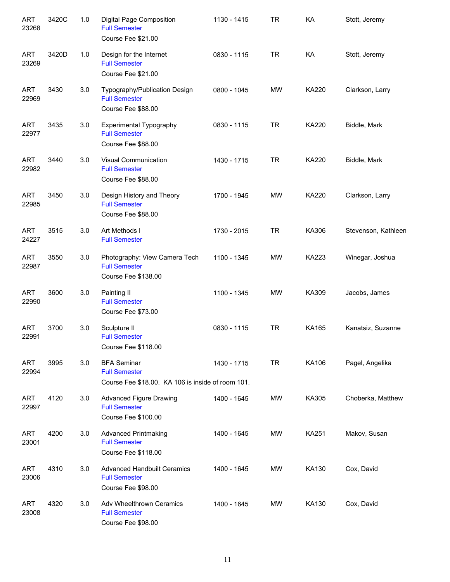| <b>ART</b><br>23268 | 3420C | 1.0 | Digital Page Composition<br><b>Full Semester</b><br>Course Fee \$21.00                          | 1130 - 1415 | <b>TR</b> | KA           | Stott, Jeremy       |
|---------------------|-------|-----|-------------------------------------------------------------------------------------------------|-------------|-----------|--------------|---------------------|
| <b>ART</b><br>23269 | 3420D | 1.0 | Design for the Internet<br><b>Full Semester</b><br>Course Fee \$21.00                           | 0830 - 1115 | <b>TR</b> | KA           | Stott, Jeremy       |
| <b>ART</b><br>22969 | 3430  | 3.0 | Typography/Publication Design<br><b>Full Semester</b><br>Course Fee \$88.00                     | 0800 - 1045 | <b>MW</b> | <b>KA220</b> | Clarkson, Larry     |
| <b>ART</b><br>22977 | 3435  | 3.0 | <b>Experimental Typography</b><br><b>Full Semester</b><br>Course Fee \$88.00                    | 0830 - 1115 | <b>TR</b> | <b>KA220</b> | Biddle, Mark        |
| <b>ART</b><br>22982 | 3440  | 3.0 | <b>Visual Communication</b><br><b>Full Semester</b><br>Course Fee \$88.00                       | 1430 - 1715 | <b>TR</b> | <b>KA220</b> | Biddle, Mark        |
| <b>ART</b><br>22985 | 3450  | 3.0 | Design History and Theory<br><b>Full Semester</b><br>Course Fee \$88.00                         | 1700 - 1945 | <b>MW</b> | <b>KA220</b> | Clarkson, Larry     |
| <b>ART</b><br>24227 | 3515  | 3.0 | Art Methods I<br><b>Full Semester</b>                                                           | 1730 - 2015 | <b>TR</b> | KA306        | Stevenson, Kathleen |
| <b>ART</b><br>22987 | 3550  | 3.0 | Photography: View Camera Tech<br><b>Full Semester</b><br>Course Fee \$138.00                    | 1100 - 1345 | <b>MW</b> | <b>KA223</b> | Winegar, Joshua     |
| <b>ART</b><br>22990 | 3600  | 3.0 | Painting II<br><b>Full Semester</b><br>Course Fee \$73.00                                       | 1100 - 1345 | <b>MW</b> | KA309        | Jacobs, James       |
| <b>ART</b><br>22991 | 3700  | 3.0 | Sculpture II<br><b>Full Semester</b><br>Course Fee \$118.00                                     | 0830 - 1115 | <b>TR</b> | KA165        | Kanatsiz, Suzanne   |
| <b>ART</b><br>22994 | 3995  | 3.0 | <b>BFA Seminar</b><br><b>Full Semester</b><br>Course Fee \$18.00. KA 106 is inside of room 101. | 1430 - 1715 | <b>TR</b> | KA106        | Pagel, Angelika     |
| ART<br>22997        | 4120  | 3.0 | <b>Advanced Figure Drawing</b><br><b>Full Semester</b><br>Course Fee \$100.00                   | 1400 - 1645 | MW        | KA305        | Choberka, Matthew   |
| <b>ART</b><br>23001 | 4200  | 3.0 | <b>Advanced Printmaking</b><br><b>Full Semester</b><br>Course Fee \$118.00                      | 1400 - 1645 | MW        | <b>KA251</b> | Makov, Susan        |
| <b>ART</b><br>23006 | 4310  | 3.0 | <b>Advanced Handbuilt Ceramics</b><br><b>Full Semester</b><br>Course Fee \$98.00                | 1400 - 1645 | MW        | KA130        | Cox, David          |
| <b>ART</b><br>23008 | 4320  | 3.0 | Adv Wheelthrown Ceramics<br><b>Full Semester</b><br>Course Fee \$98.00                          | 1400 - 1645 | MW        | KA130        | Cox, David          |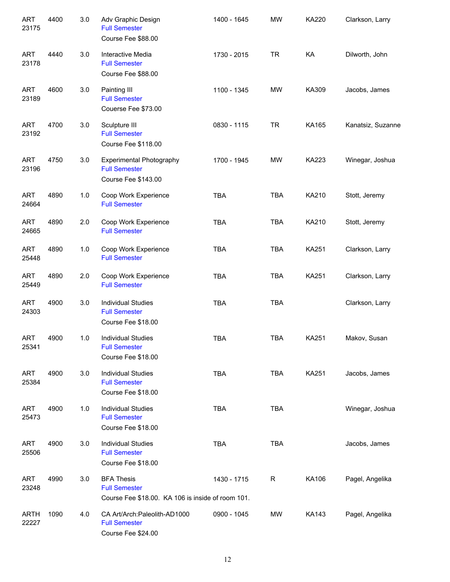| <b>ART</b><br>23175  | 4400 | 3.0 | Adv Graphic Design<br><b>Full Semester</b><br>Course Fee \$88.00                               | 1400 - 1645 | <b>MW</b>  | <b>KA220</b> | Clarkson, Larry   |
|----------------------|------|-----|------------------------------------------------------------------------------------------------|-------------|------------|--------------|-------------------|
| <b>ART</b><br>23178  | 4440 | 3.0 | Interactive Media<br><b>Full Semester</b><br>Course Fee \$88.00                                | 1730 - 2015 | <b>TR</b>  | KA           | Dilworth, John    |
| <b>ART</b><br>23189  | 4600 | 3.0 | Painting III<br><b>Full Semester</b><br>Couerse Fee \$73.00                                    | 1100 - 1345 | <b>MW</b>  | KA309        | Jacobs, James     |
| <b>ART</b><br>23192  | 4700 | 3.0 | Sculpture III<br><b>Full Semester</b><br>Course Fee \$118.00                                   | 0830 - 1115 | <b>TR</b>  | KA165        | Kanatsiz, Suzanne |
| <b>ART</b><br>23196  | 4750 | 3.0 | <b>Experimental Photography</b><br><b>Full Semester</b><br>Course Fee \$143.00                 | 1700 - 1945 | <b>MW</b>  | <b>KA223</b> | Winegar, Joshua   |
| <b>ART</b><br>24664  | 4890 | 1.0 | Coop Work Experience<br><b>Full Semester</b>                                                   | <b>TBA</b>  | <b>TBA</b> | KA210        | Stott, Jeremy     |
| <b>ART</b><br>24665  | 4890 | 2.0 | Coop Work Experience<br><b>Full Semester</b>                                                   | <b>TBA</b>  | <b>TBA</b> | KA210        | Stott, Jeremy     |
| <b>ART</b><br>25448  | 4890 | 1.0 | Coop Work Experience<br><b>Full Semester</b>                                                   | <b>TBA</b>  | <b>TBA</b> | KA251        | Clarkson, Larry   |
| <b>ART</b><br>25449  | 4890 | 2.0 | Coop Work Experience<br><b>Full Semester</b>                                                   | <b>TBA</b>  | <b>TBA</b> | KA251        | Clarkson, Larry   |
| <b>ART</b><br>24303  | 4900 | 3.0 | <b>Individual Studies</b><br><b>Full Semester</b><br>Course Fee \$18.00                        | <b>TBA</b>  | <b>TBA</b> |              | Clarkson, Larry   |
| <b>ART</b><br>25341  | 4900 | 1.0 | <b>Individual Studies</b><br><b>Full Semester</b><br>Course Fee \$18.00                        | <b>TBA</b>  | <b>TBA</b> | KA251        | Makov, Susan      |
| <b>ART</b><br>25384  | 4900 | 3.0 | <b>Individual Studies</b><br><b>Full Semester</b><br>Course Fee \$18.00                        | <b>TBA</b>  | <b>TBA</b> | KA251        | Jacobs, James     |
| <b>ART</b><br>25473  | 4900 | 1.0 | <b>Individual Studies</b><br><b>Full Semester</b><br>Course Fee \$18.00                        | <b>TBA</b>  | <b>TBA</b> |              | Winegar, Joshua   |
| <b>ART</b><br>25506  | 4900 | 3.0 | <b>Individual Studies</b><br><b>Full Semester</b><br>Course Fee \$18.00                        | <b>TBA</b>  | <b>TBA</b> |              | Jacobs, James     |
| <b>ART</b><br>23248  | 4990 | 3.0 | <b>BFA Thesis</b><br><b>Full Semester</b><br>Course Fee \$18.00. KA 106 is inside of room 101. | 1430 - 1715 | R          | KA106        | Pagel, Angelika   |
| <b>ARTH</b><br>22227 | 1090 | 4.0 | CA Art/Arch: Paleolith-AD1000<br><b>Full Semester</b><br>Course Fee \$24.00                    | 0900 - 1045 | MW         | KA143        | Pagel, Angelika   |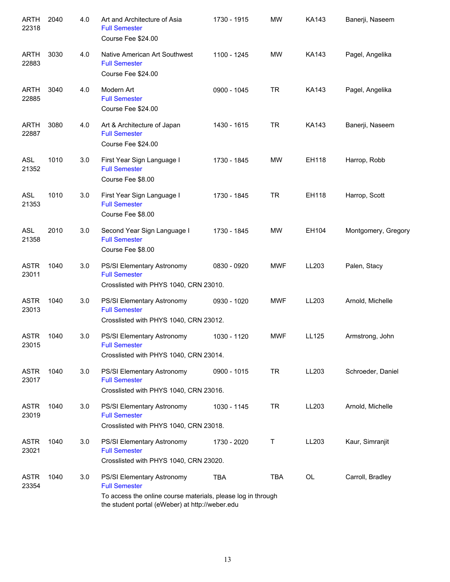| <b>ARTH</b><br>22318 | 2040 | 4.0 | Art and Architecture of Asia<br><b>Full Semester</b><br>Course Fee \$24.00                                                                                            | 1730 - 1915 | <b>MW</b>  | <b>KA143</b> | Banerji, Naseem     |
|----------------------|------|-----|-----------------------------------------------------------------------------------------------------------------------------------------------------------------------|-------------|------------|--------------|---------------------|
| <b>ARTH</b><br>22883 | 3030 | 4.0 | Native American Art Southwest<br><b>Full Semester</b><br>Course Fee \$24.00                                                                                           | 1100 - 1245 | MW         | <b>KA143</b> | Pagel, Angelika     |
| <b>ARTH</b><br>22885 | 3040 | 4.0 | Modern Art<br><b>Full Semester</b><br>Course Fee \$24.00                                                                                                              | 0900 - 1045 | <b>TR</b>  | KA143        | Pagel, Angelika     |
| <b>ARTH</b><br>22887 | 3080 | 4.0 | Art & Architecture of Japan<br><b>Full Semester</b><br>Course Fee \$24.00                                                                                             | 1430 - 1615 | <b>TR</b>  | KA143        | Banerji, Naseem     |
| <b>ASL</b><br>21352  | 1010 | 3.0 | First Year Sign Language I<br><b>Full Semester</b><br>Course Fee \$8.00                                                                                               | 1730 - 1845 | MW         | EH118        | Harrop, Robb        |
| <b>ASL</b><br>21353  | 1010 | 3.0 | First Year Sign Language I<br><b>Full Semester</b><br>Course Fee \$8.00                                                                                               | 1730 - 1845 | <b>TR</b>  | EH118        | Harrop, Scott       |
| <b>ASL</b><br>21358  | 2010 | 3.0 | Second Year Sign Language I<br><b>Full Semester</b><br>Course Fee \$8.00                                                                                              | 1730 - 1845 | <b>MW</b>  | EH104        | Montgomery, Gregory |
| <b>ASTR</b><br>23011 | 1040 | 3.0 | PS/SI Elementary Astronomy<br><b>Full Semester</b><br>Crosslisted with PHYS 1040, CRN 23010.                                                                          | 0830 - 0920 | <b>MWF</b> | LL203        | Palen, Stacy        |
| <b>ASTR</b><br>23013 | 1040 | 3.0 | PS/SI Elementary Astronomy<br><b>Full Semester</b><br>Crosslisted with PHYS 1040, CRN 23012.                                                                          | 0930 - 1020 | <b>MWF</b> | LL203        | Arnold, Michelle    |
| ASTR<br>23015        | 1040 | 3.0 | PS/SI Elementary Astronomy<br><b>Full Semester</b><br>Crosslisted with PHYS 1040, CRN 23014.                                                                          | 1030 - 1120 | <b>MWF</b> | LL125        | Armstrong, John     |
| <b>ASTR</b><br>23017 | 1040 | 3.0 | PS/SI Elementary Astronomy<br><b>Full Semester</b><br>Crosslisted with PHYS 1040, CRN 23016.                                                                          | 0900 - 1015 | <b>TR</b>  | LL203        | Schroeder, Daniel   |
| <b>ASTR</b><br>23019 | 1040 | 3.0 | PS/SI Elementary Astronomy<br><b>Full Semester</b><br>Crosslisted with PHYS 1040, CRN 23018.                                                                          | 1030 - 1145 | <b>TR</b>  | LL203        | Arnold, Michelle    |
| <b>ASTR</b><br>23021 | 1040 | 3.0 | PS/SI Elementary Astronomy<br><b>Full Semester</b><br>Crosslisted with PHYS 1040, CRN 23020.                                                                          | 1730 - 2020 | Τ          | LL203        | Kaur, Simranjit     |
| <b>ASTR</b><br>23354 | 1040 | 3.0 | PS/SI Elementary Astronomy<br><b>Full Semester</b><br>To access the online course materials, please log in through<br>the student portal (eWeber) at http://weber.edu | <b>TBA</b>  | <b>TBA</b> | OL           | Carroll, Bradley    |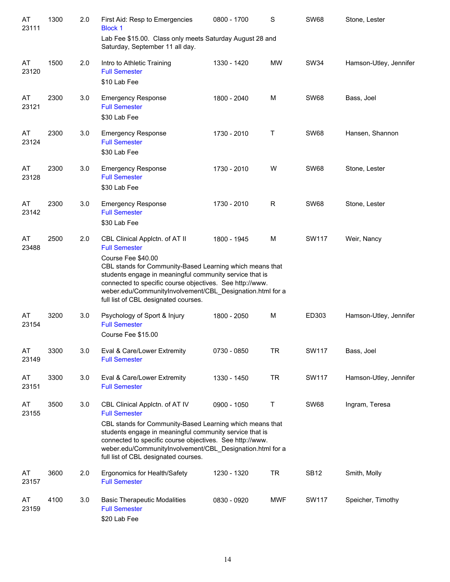| AT<br>23111 | 1300 | 2.0 | First Aid: Resp to Emergencies<br><b>Block 1</b>                                                                                                                                                                                                                                                                                               | 0800 - 1700 | S           | <b>SW68</b>  | Stone, Lester          |
|-------------|------|-----|------------------------------------------------------------------------------------------------------------------------------------------------------------------------------------------------------------------------------------------------------------------------------------------------------------------------------------------------|-------------|-------------|--------------|------------------------|
|             |      |     | Lab Fee \$15.00. Class only meets Saturday August 28 and<br>Saturday, September 11 all day.                                                                                                                                                                                                                                                    |             |             |              |                        |
| AT<br>23120 | 1500 | 2.0 | Intro to Athletic Training<br><b>Full Semester</b><br>\$10 Lab Fee                                                                                                                                                                                                                                                                             | 1330 - 1420 | <b>MW</b>   | <b>SW34</b>  | Hamson-Utley, Jennifer |
| AT<br>23121 | 2300 | 3.0 | <b>Emergency Response</b><br><b>Full Semester</b><br>\$30 Lab Fee                                                                                                                                                                                                                                                                              | 1800 - 2040 | M           | <b>SW68</b>  | Bass, Joel             |
| AT<br>23124 | 2300 | 3.0 | <b>Emergency Response</b><br><b>Full Semester</b><br>\$30 Lab Fee                                                                                                                                                                                                                                                                              | 1730 - 2010 | Τ           | <b>SW68</b>  | Hansen, Shannon        |
| AT<br>23128 | 2300 | 3.0 | <b>Emergency Response</b><br><b>Full Semester</b><br>\$30 Lab Fee                                                                                                                                                                                                                                                                              | 1730 - 2010 | W           | <b>SW68</b>  | Stone, Lester          |
| AT<br>23142 | 2300 | 3.0 | <b>Emergency Response</b><br><b>Full Semester</b><br>\$30 Lab Fee                                                                                                                                                                                                                                                                              | 1730 - 2010 | $\mathsf R$ | <b>SW68</b>  | Stone, Lester          |
| AT<br>23488 | 2500 | 2.0 | CBL Clinical Applctn. of AT II<br><b>Full Semester</b>                                                                                                                                                                                                                                                                                         | 1800 - 1945 | M           | <b>SW117</b> | Weir, Nancy            |
|             |      |     | Course Fee \$40.00<br>CBL stands for Community-Based Learning which means that<br>students engage in meaningful community service that is<br>connected to specific course objectives. See http://www.<br>weber.edu/CommunityInvolvement/CBL_Designation.html for a<br>full list of CBL designated courses.                                     |             |             |              |                        |
| AT<br>23154 | 3200 | 3.0 | Psychology of Sport & Injury<br><b>Full Semester</b><br>Course Fee \$15.00                                                                                                                                                                                                                                                                     | 1800 - 2050 | M           | ED303        | Hamson-Utley, Jennifer |
| AT<br>23149 | 3300 | 3.0 | Eval & Care/Lower Extremity<br><b>Full Semester</b>                                                                                                                                                                                                                                                                                            | 0730 - 0850 | <b>TR</b>   | <b>SW117</b> | Bass, Joel             |
| AT<br>23151 | 3300 | 3.0 | Eval & Care/Lower Extremity<br><b>Full Semester</b>                                                                                                                                                                                                                                                                                            | 1330 - 1450 | <b>TR</b>   | <b>SW117</b> | Hamson-Utley, Jennifer |
| AT<br>23155 | 3500 | 3.0 | CBL Clinical Applctn. of AT IV<br><b>Full Semester</b><br>CBL stands for Community-Based Learning which means that<br>students engage in meaningful community service that is<br>connected to specific course objectives. See http://www.<br>weber.edu/CommunityInvolvement/CBL_Designation.html for a<br>full list of CBL designated courses. | 0900 - 1050 | Τ           | <b>SW68</b>  | Ingram, Teresa         |
| AT<br>23157 | 3600 | 2.0 | Ergonomics for Health/Safety<br><b>Full Semester</b>                                                                                                                                                                                                                                                                                           | 1230 - 1320 | <b>TR</b>   | <b>SB12</b>  | Smith, Molly           |
| AT<br>23159 | 4100 | 3.0 | <b>Basic Therapeutic Modalities</b><br><b>Full Semester</b><br>\$20 Lab Fee                                                                                                                                                                                                                                                                    | 0830 - 0920 | MWF         | <b>SW117</b> | Speicher, Timothy      |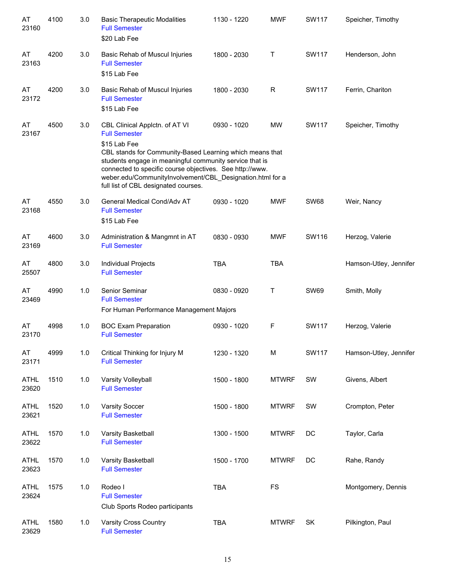| AT<br>23160          | 4100 | 3.0 | <b>Basic Therapeutic Modalities</b><br><b>Full Semester</b><br>\$20 Lab Fee                                                                                                                                                                                                                                                                                    | 1130 - 1220 | <b>MWF</b>   | <b>SW117</b> | Speicher, Timothy      |
|----------------------|------|-----|----------------------------------------------------------------------------------------------------------------------------------------------------------------------------------------------------------------------------------------------------------------------------------------------------------------------------------------------------------------|-------------|--------------|--------------|------------------------|
| AT<br>23163          | 4200 | 3.0 | Basic Rehab of Muscul Injuries<br><b>Full Semester</b><br>\$15 Lab Fee                                                                                                                                                                                                                                                                                         | 1800 - 2030 | Т            | <b>SW117</b> | Henderson, John        |
| AT<br>23172          | 4200 | 3.0 | Basic Rehab of Muscul Injuries<br><b>Full Semester</b><br>\$15 Lab Fee                                                                                                                                                                                                                                                                                         | 1800 - 2030 | $\mathsf{R}$ | <b>SW117</b> | Ferrin, Chariton       |
| AT<br>23167          | 4500 | 3.0 | CBL Clinical Applctn. of AT VI<br><b>Full Semester</b><br>\$15 Lab Fee<br>CBL stands for Community-Based Learning which means that<br>students engage in meaningful community service that is<br>connected to specific course objectives. See http://www.<br>weber.edu/CommunityInvolvement/CBL Designation.html for a<br>full list of CBL designated courses. | 0930 - 1020 | MW           | <b>SW117</b> | Speicher, Timothy      |
| AT<br>23168          | 4550 | 3.0 | General Medical Cond/Adv AT<br><b>Full Semester</b><br>\$15 Lab Fee                                                                                                                                                                                                                                                                                            | 0930 - 1020 | <b>MWF</b>   | <b>SW68</b>  | Weir, Nancy            |
| AT<br>23169          | 4600 | 3.0 | Administration & Mangmnt in AT<br><b>Full Semester</b>                                                                                                                                                                                                                                                                                                         | 0830 - 0930 | <b>MWF</b>   | SW116        | Herzog, Valerie        |
| AT<br>25507          | 4800 | 3.0 | Individual Projects<br><b>Full Semester</b>                                                                                                                                                                                                                                                                                                                    | <b>TBA</b>  | <b>TBA</b>   |              | Hamson-Utley, Jennifer |
| AT<br>23469          | 4990 | 1.0 | Senior Seminar<br><b>Full Semester</b><br>For Human Performance Management Majors                                                                                                                                                                                                                                                                              | 0830 - 0920 | Т            | <b>SW69</b>  | Smith, Molly           |
| AT<br>23170          | 4998 | 1.0 | <b>BOC Exam Preparation</b><br><b>Full Semester</b>                                                                                                                                                                                                                                                                                                            | 0930 - 1020 | $\mathsf F$  | <b>SW117</b> | Herzog, Valerie        |
| AT<br>23171          | 4999 | 1.0 | Critical Thinking for Injury M<br><b>Full Semester</b>                                                                                                                                                                                                                                                                                                         | 1230 - 1320 | M            | <b>SW117</b> | Hamson-Utley, Jennifer |
| ATHL<br>23620        | 1510 | 1.0 | Varsity Volleyball<br><b>Full Semester</b>                                                                                                                                                                                                                                                                                                                     | 1500 - 1800 | <b>MTWRF</b> | SW           | Givens, Albert         |
| <b>ATHL</b><br>23621 | 1520 | 1.0 | <b>Varsity Soccer</b><br><b>Full Semester</b>                                                                                                                                                                                                                                                                                                                  | 1500 - 1800 | <b>MTWRF</b> | SW           | Crompton, Peter        |
| <b>ATHL</b><br>23622 | 1570 | 1.0 | Varsity Basketball<br><b>Full Semester</b>                                                                                                                                                                                                                                                                                                                     | 1300 - 1500 | <b>MTWRF</b> | DC           | Taylor, Carla          |
| <b>ATHL</b><br>23623 | 1570 | 1.0 | Varsity Basketball<br><b>Full Semester</b>                                                                                                                                                                                                                                                                                                                     | 1500 - 1700 | <b>MTWRF</b> | DC           | Rahe, Randy            |
| <b>ATHL</b><br>23624 | 1575 | 1.0 | Rodeo I<br><b>Full Semester</b><br>Club Sports Rodeo participants                                                                                                                                                                                                                                                                                              | <b>TBA</b>  | <b>FS</b>    |              | Montgomery, Dennis     |
| <b>ATHL</b><br>23629 | 1580 | 1.0 | <b>Varsity Cross Country</b><br><b>Full Semester</b>                                                                                                                                                                                                                                                                                                           | <b>TBA</b>  | <b>MTWRF</b> | SK           | Pilkington, Paul       |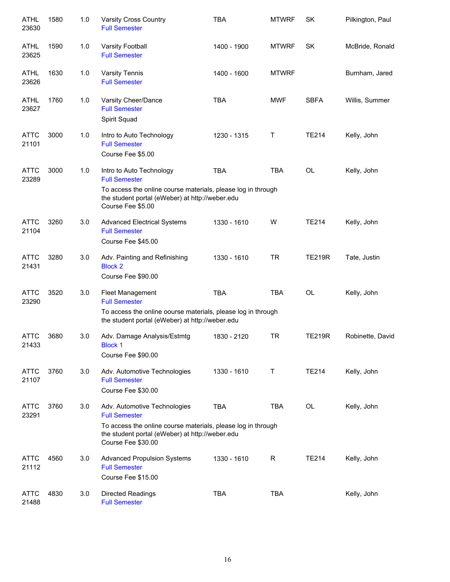| ATHL<br>23630        | 1580 | 1.0 | Varsity Cross Country<br><b>Full Semester</b>                                                                                                                           | <b>TBA</b>  | <b>MTWRF</b> | SK            | Pilkington, Paul |
|----------------------|------|-----|-------------------------------------------------------------------------------------------------------------------------------------------------------------------------|-------------|--------------|---------------|------------------|
| <b>ATHL</b><br>23625 | 1590 | 1.0 | <b>Varsity Football</b><br><b>Full Semester</b>                                                                                                                         | 1400 - 1900 | <b>MTWRF</b> | <b>SK</b>     | McBride, Ronald  |
| ATHL<br>23626        | 1630 | 1.0 | <b>Varsity Tennis</b><br><b>Full Semester</b>                                                                                                                           | 1400 - 1600 | <b>MTWRF</b> |               | Burnham, Jared   |
| ATHL<br>23627        | 1760 | 1.0 | Varsity Cheer/Dance<br><b>Full Semester</b><br>Spirit Squad                                                                                                             | <b>TBA</b>  | <b>MWF</b>   | <b>SBFA</b>   | Willis, Summer   |
| <b>ATTC</b><br>21101 | 3000 | 1.0 | Intro to Auto Technology<br><b>Full Semester</b><br>Course Fee \$5.00                                                                                                   | 1230 - 1315 | Τ            | <b>TE214</b>  | Kelly, John      |
| <b>ATTC</b><br>23289 | 3000 | 1.0 | Intro to Auto Technology<br><b>Full Semester</b>                                                                                                                        | <b>TBA</b>  | <b>TBA</b>   | OL            | Kelly, John      |
|                      |      |     | To access the online course materials, please log in through<br>the student portal (eWeber) at http://weber.edu<br>Course Fee \$5.00                                    |             |              |               |                  |
| <b>ATTC</b><br>21104 | 3260 | 3.0 | <b>Advanced Electrical Systems</b><br><b>Full Semester</b><br>Course Fee \$45.00                                                                                        | 1330 - 1610 | W            | <b>TE214</b>  | Kelly, John      |
| <b>ATTC</b><br>21431 | 3280 | 3.0 | Adv. Painting and Refinishing<br><b>Block 2</b><br>Course Fee \$90.00                                                                                                   | 1330 - 1610 | <b>TR</b>    | <b>TE219R</b> | Tate, Justin     |
| <b>ATTC</b><br>23290 | 3520 | 3.0 | <b>Fleet Management</b><br><b>Full Semester</b>                                                                                                                         | <b>TBA</b>  | <b>TBA</b>   | OL            | Kelly, John      |
|                      |      |     | To access the online oourse materials, please log in through<br>the student portal (eWeber) at http://weber.edu                                                         |             |              |               |                  |
| ATTC<br>21433        | 3680 | 3.0 | Adv. Damage Analysis/Estmtg<br><b>Block 1</b><br>Course Fee \$90.00                                                                                                     | 1830 - 2120 | <b>TR</b>    | <b>TE219R</b> | Robinette, David |
| <b>ATTC</b><br>21107 | 3760 | 3.0 | Adv. Automotive Technologies<br><b>Full Semester</b><br>Course Fee \$30.00                                                                                              | 1330 - 1610 | Т            | <b>TE214</b>  | Kelly, John      |
| <b>ATTC</b><br>23291 | 3760 | 3.0 | Adv. Automotive Technologies<br><b>Full Semester</b><br>To access the online course materials, please log in through<br>the student portal (eWeber) at http://weber.edu | TBA         | <b>TBA</b>   | OL            | Kelly, John      |
| <b>ATTC</b><br>21112 | 4560 | 3.0 | Course Fee \$30.00<br><b>Advanced Propulsion Systems</b><br><b>Full Semester</b><br>Course Fee \$15.00                                                                  | 1330 - 1610 | $\mathsf{R}$ | <b>TE214</b>  | Kelly, John      |
| <b>ATTC</b><br>21488 | 4830 | 3.0 | <b>Directed Readings</b><br><b>Full Semester</b>                                                                                                                        | <b>TBA</b>  | <b>TBA</b>   |               | Kelly, John      |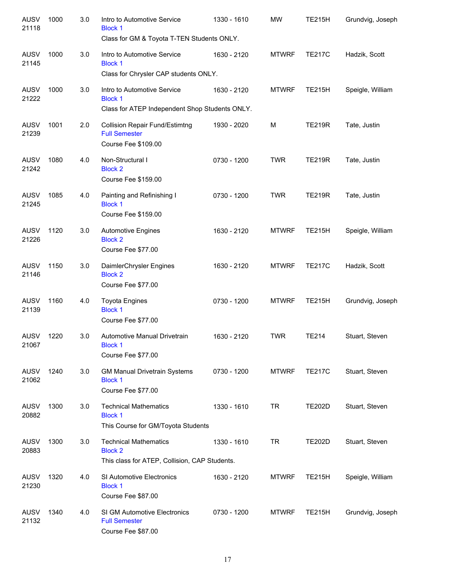| <b>AUSV</b><br>21118 | 1000 | 3.0 | Intro to Automotive Service<br><b>Block 1</b><br>Class for GM & Toyota T-TEN Students ONLY.     | 1330 - 1610 | <b>MW</b>    | <b>TE215H</b> | Grundvig, Joseph |
|----------------------|------|-----|-------------------------------------------------------------------------------------------------|-------------|--------------|---------------|------------------|
| <b>AUSV</b><br>21145 | 1000 | 3.0 | Intro to Automotive Service<br><b>Block 1</b><br>Class for Chrysler CAP students ONLY.          | 1630 - 2120 | <b>MTWRF</b> | <b>TE217C</b> | Hadzik, Scott    |
| <b>AUSV</b><br>21222 | 1000 | 3.0 | Intro to Automotive Service<br><b>Block 1</b><br>Class for ATEP Independent Shop Students ONLY. | 1630 - 2120 | <b>MTWRF</b> | <b>TE215H</b> | Speigle, William |
| <b>AUSV</b><br>21239 | 1001 | 2.0 | <b>Collision Repair Fund/Estimtng</b><br><b>Full Semester</b><br>Course Fee \$109.00            | 1930 - 2020 | M            | <b>TE219R</b> | Tate, Justin     |
| <b>AUSV</b><br>21242 | 1080 | 4.0 | Non-Structural I<br><b>Block 2</b><br>Course Fee \$159.00                                       | 0730 - 1200 | <b>TWR</b>   | <b>TE219R</b> | Tate, Justin     |
| <b>AUSV</b><br>21245 | 1085 | 4.0 | Painting and Refinishing I<br><b>Block 1</b><br>Course Fee \$159.00                             | 0730 - 1200 | <b>TWR</b>   | <b>TE219R</b> | Tate, Justin     |
| <b>AUSV</b><br>21226 | 1120 | 3.0 | <b>Automotive Engines</b><br><b>Block 2</b><br>Course Fee \$77.00                               | 1630 - 2120 | <b>MTWRF</b> | <b>TE215H</b> | Speigle, William |
| <b>AUSV</b><br>21146 | 1150 | 3.0 | DaimlerChrysler Engines<br><b>Block 2</b><br>Course Fee \$77.00                                 | 1630 - 2120 | <b>MTWRF</b> | <b>TE217C</b> | Hadzik, Scott    |
| <b>AUSV</b><br>21139 | 1160 | 4.0 | <b>Toyota Engines</b><br><b>Block 1</b><br>Course Fee \$77.00                                   | 0730 - 1200 | <b>MTWRF</b> | <b>TE215H</b> | Grundvig, Joseph |
| <b>AUSV</b><br>21067 | 1220 | 3.0 | Automotive Manual Drivetrain<br><b>Block 1</b><br>Course Fee \$77.00                            | 1630 - 2120 | <b>TWR</b>   | <b>TE214</b>  | Stuart, Steven   |
| <b>AUSV</b><br>21062 | 1240 | 3.0 | <b>GM Manual Drivetrain Systems</b><br><b>Block 1</b><br>Course Fee \$77.00                     | 0730 - 1200 | <b>MTWRF</b> | <b>TE217C</b> | Stuart, Steven   |
| AUSV<br>20882        | 1300 | 3.0 | <b>Technical Mathematics</b><br><b>Block 1</b><br>This Course for GM/Toyota Students            | 1330 - 1610 | <b>TR</b>    | <b>TE202D</b> | Stuart, Steven   |
| AUSV<br>20883        | 1300 | 3.0 | <b>Technical Mathematics</b><br><b>Block 2</b><br>This class for ATEP, Collision, CAP Students. | 1330 - 1610 | TR           | <b>TE202D</b> | Stuart, Steven   |
| AUSV<br>21230        | 1320 | 4.0 | SI Automotive Electronics<br><b>Block 1</b><br>Course Fee \$87.00                               | 1630 - 2120 | <b>MTWRF</b> | <b>TE215H</b> | Speigle, William |
| <b>AUSV</b><br>21132 | 1340 | 4.0 | SI GM Automotive Electronics<br><b>Full Semester</b><br>Course Fee \$87.00                      | 0730 - 1200 | <b>MTWRF</b> | <b>TE215H</b> | Grundvig, Joseph |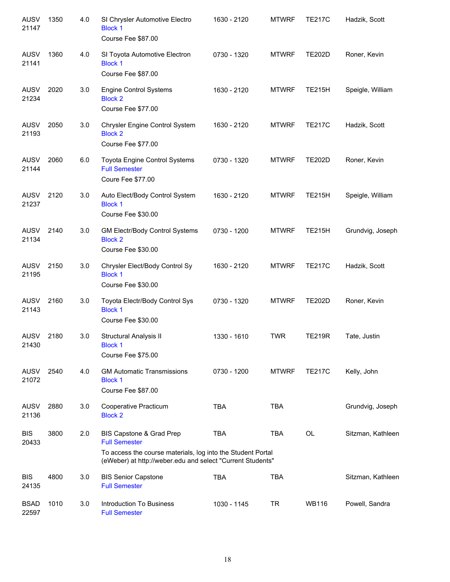| <b>AUSV</b><br>21147 | 1350 | 4.0 | SI Chrysler Automotive Electro<br><b>Block 1</b><br>Course Fee \$87.00                                                                                                        | 1630 - 2120 | <b>MTWRF</b> | <b>TE217C</b> | Hadzik, Scott     |
|----------------------|------|-----|-------------------------------------------------------------------------------------------------------------------------------------------------------------------------------|-------------|--------------|---------------|-------------------|
| <b>AUSV</b><br>21141 | 1360 | 4.0 | SI Toyota Automotive Electron<br><b>Block 1</b><br>Course Fee \$87.00                                                                                                         | 0730 - 1320 | <b>MTWRF</b> | <b>TE202D</b> | Roner, Kevin      |
| <b>AUSV</b><br>21234 | 2020 | 3.0 | <b>Engine Control Systems</b><br><b>Block 2</b><br>Course Fee \$77.00                                                                                                         | 1630 - 2120 | <b>MTWRF</b> | <b>TE215H</b> | Speigle, William  |
| <b>AUSV</b><br>21193 | 2050 | 3.0 | Chrysler Engine Control System<br><b>Block 2</b><br>Course Fee \$77.00                                                                                                        | 1630 - 2120 | <b>MTWRF</b> | <b>TE217C</b> | Hadzik, Scott     |
| <b>AUSV</b><br>21144 | 2060 | 6.0 | Toyota Engine Control Systems<br><b>Full Semester</b><br>Coure Fee \$77.00                                                                                                    | 0730 - 1320 | <b>MTWRF</b> | <b>TE202D</b> | Roner, Kevin      |
| AUSV<br>21237        | 2120 | 3.0 | Auto Elect/Body Control System<br><b>Block 1</b><br>Course Fee \$30.00                                                                                                        | 1630 - 2120 | <b>MTWRF</b> | <b>TE215H</b> | Speigle, William  |
| AUSV<br>21134        | 2140 | 3.0 | GM Electr/Body Control Systems<br><b>Block 2</b><br>Course Fee \$30.00                                                                                                        | 0730 - 1200 | <b>MTWRF</b> | <b>TE215H</b> | Grundvig, Joseph  |
| <b>AUSV</b><br>21195 | 2150 | 3.0 | Chrysler Elect/Body Control Sy<br><b>Block 1</b><br>Course Fee \$30.00                                                                                                        | 1630 - 2120 | <b>MTWRF</b> | <b>TE217C</b> | Hadzik, Scott     |
| <b>AUSV</b><br>21143 | 2160 | 3.0 | Toyota Electr/Body Control Sys<br><b>Block 1</b><br>Course Fee \$30.00                                                                                                        | 0730 - 1320 | <b>MTWRF</b> | <b>TE202D</b> | Roner, Kevin      |
| <b>AUSV</b><br>21430 | 2180 | 3.0 | Structural Analysis II<br><b>Block 1</b><br>Course Fee \$75.00                                                                                                                | 1330 - 1610 | <b>TWR</b>   | <b>TE219R</b> | Tate, Justin      |
| <b>AUSV</b><br>21072 | 2540 | 4.0 | <b>GM Automatic Transmissions</b><br><b>Block 1</b><br>Course Fee \$87.00                                                                                                     | 0730 - 1200 | <b>MTWRF</b> | <b>TE217C</b> | Kelly, John       |
| <b>AUSV</b><br>21136 | 2880 | 3.0 | Cooperative Practicum<br><b>Block 2</b>                                                                                                                                       | <b>TBA</b>  | <b>TBA</b>   |               | Grundvig, Joseph  |
| <b>BIS</b><br>20433  | 3800 | 2.0 | BIS Capstone & Grad Prep<br><b>Full Semester</b><br>To access the course materials, log into the Student Portal<br>(eWeber) at http://weber.edu and select "Current Students" | <b>TBA</b>  | TBA          | OL            | Sitzman, Kathleen |
| <b>BIS</b><br>24135  | 4800 | 3.0 | <b>BIS Senior Capstone</b><br><b>Full Semester</b>                                                                                                                            | <b>TBA</b>  | <b>TBA</b>   |               | Sitzman, Kathleen |
| <b>BSAD</b><br>22597 | 1010 | 3.0 | <b>Introduction To Business</b><br><b>Full Semester</b>                                                                                                                       | 1030 - 1145 | <b>TR</b>    | <b>WB116</b>  | Powell, Sandra    |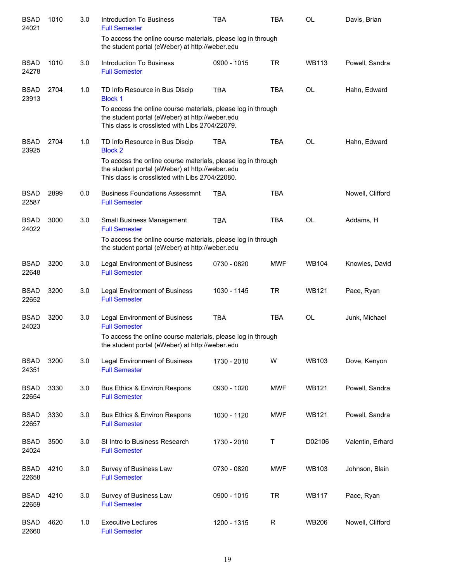| <b>BSAD</b><br>24021 | 1010 | 3.0 | <b>Introduction To Business</b><br><b>Full Semester</b>                                                                                                            | <b>TBA</b>  | <b>TBA</b> | <b>OL</b>    | Davis, Brian     |
|----------------------|------|-----|--------------------------------------------------------------------------------------------------------------------------------------------------------------------|-------------|------------|--------------|------------------|
|                      |      |     | To access the online course materials, please log in through<br>the student portal (eWeber) at http://weber.edu                                                    |             |            |              |                  |
| <b>BSAD</b><br>24278 | 1010 | 3.0 | <b>Introduction To Business</b><br><b>Full Semester</b>                                                                                                            | 0900 - 1015 | <b>TR</b>  | <b>WB113</b> | Powell, Sandra   |
| <b>BSAD</b><br>23913 | 2704 | 1.0 | TD Info Resource in Bus Discip<br><b>Block 1</b>                                                                                                                   | <b>TBA</b>  | <b>TBA</b> | <b>OL</b>    | Hahn, Edward     |
|                      |      |     | To access the online course materials, please log in through<br>the student portal (eWeber) at http://weber.edu<br>This class is crosslisted with Libs 2704/22079. |             |            |              |                  |
| <b>BSAD</b><br>23925 | 2704 | 1.0 | TD Info Resource in Bus Discip<br><b>Block 2</b>                                                                                                                   | <b>TBA</b>  | <b>TBA</b> | <b>OL</b>    | Hahn, Edward     |
|                      |      |     | To access the online course materials, please log in through<br>the student portal (eWeber) at http://weber.edu<br>This class is crosslisted with Libs 2704/22080. |             |            |              |                  |
| <b>BSAD</b><br>22587 | 2899 | 0.0 | <b>Business Foundations Assessmnt</b><br><b>Full Semester</b>                                                                                                      | <b>TBA</b>  | <b>TBA</b> |              | Nowell, Clifford |
| <b>BSAD</b><br>24022 | 3000 | 3.0 | <b>Small Business Management</b><br><b>Full Semester</b>                                                                                                           | <b>TBA</b>  | <b>TBA</b> | <b>OL</b>    | Addams, H        |
|                      |      |     | To access the online course materials, please log in through<br>the student portal (eWeber) at http://weber.edu                                                    |             |            |              |                  |
| <b>BSAD</b><br>22648 | 3200 | 3.0 | <b>Legal Environment of Business</b><br><b>Full Semester</b>                                                                                                       | 0730 - 0820 | <b>MWF</b> | <b>WB104</b> | Knowles, David   |
| <b>BSAD</b><br>22652 | 3200 | 3.0 | <b>Legal Environment of Business</b><br><b>Full Semester</b>                                                                                                       | 1030 - 1145 | <b>TR</b>  | <b>WB121</b> | Pace, Ryan       |
| <b>BSAD</b><br>24023 | 3200 | 3.0 | <b>Legal Environment of Business</b><br><b>Full Semester</b>                                                                                                       | <b>TBA</b>  | <b>TBA</b> | <b>OL</b>    | Junk, Michael    |
|                      |      |     | To access the online course materials, please log in through<br>the student portal (eWeber) at http://weber.edu                                                    |             |            |              |                  |
| <b>BSAD</b><br>24351 | 3200 | 3.0 | <b>Legal Environment of Business</b><br><b>Full Semester</b>                                                                                                       | 1730 - 2010 | W          | <b>WB103</b> | Dove, Kenyon     |
| <b>BSAD</b><br>22654 | 3330 | 3.0 | Bus Ethics & Environ Respons<br><b>Full Semester</b>                                                                                                               | 0930 - 1020 | <b>MWF</b> | <b>WB121</b> | Powell, Sandra   |
| <b>BSAD</b><br>22657 | 3330 | 3.0 | Bus Ethics & Environ Respons<br><b>Full Semester</b>                                                                                                               | 1030 - 1120 | <b>MWF</b> | <b>WB121</b> | Powell, Sandra   |
| <b>BSAD</b><br>24024 | 3500 | 3.0 | SI Intro to Business Research<br><b>Full Semester</b>                                                                                                              | 1730 - 2010 | Τ          | D02106       | Valentin, Erhard |
| <b>BSAD</b><br>22658 | 4210 | 3.0 | Survey of Business Law<br><b>Full Semester</b>                                                                                                                     | 0730 - 0820 | <b>MWF</b> | <b>WB103</b> | Johnson, Blain   |
| <b>BSAD</b><br>22659 | 4210 | 3.0 | Survey of Business Law<br><b>Full Semester</b>                                                                                                                     | 0900 - 1015 | <b>TR</b>  | <b>WB117</b> | Pace, Ryan       |
| <b>BSAD</b><br>22660 | 4620 | 1.0 | <b>Executive Lectures</b><br><b>Full Semester</b>                                                                                                                  | 1200 - 1315 | R          | WB206        | Nowell, Clifford |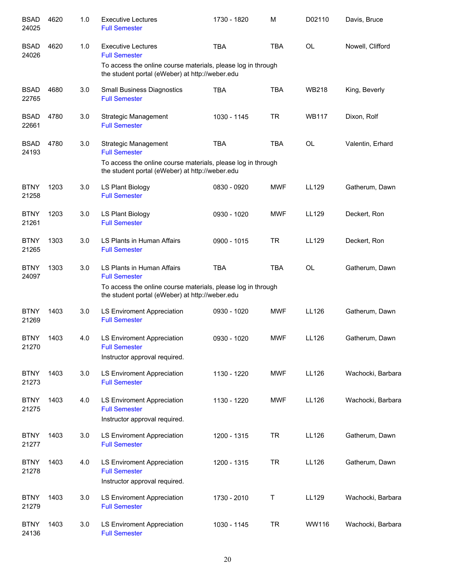| <b>BSAD</b><br>24025 | 4620 | 1.0 | <b>Executive Lectures</b><br><b>Full Semester</b>                                                               | 1730 - 1820 | M          | D02110       | Davis, Bruce      |
|----------------------|------|-----|-----------------------------------------------------------------------------------------------------------------|-------------|------------|--------------|-------------------|
| <b>BSAD</b><br>24026 | 4620 | 1.0 | <b>Executive Lectures</b><br><b>Full Semester</b>                                                               | <b>TBA</b>  | <b>TBA</b> | <b>OL</b>    | Nowell, Clifford  |
|                      |      |     | To access the online course materials, please log in through<br>the student portal (eWeber) at http://weber.edu |             |            |              |                   |
| <b>BSAD</b><br>22765 | 4680 | 3.0 | <b>Small Business Diagnostics</b><br><b>Full Semester</b>                                                       | <b>TBA</b>  | <b>TBA</b> | <b>WB218</b> | King, Beverly     |
| <b>BSAD</b><br>22661 | 4780 | 3.0 | Strategic Management<br><b>Full Semester</b>                                                                    | 1030 - 1145 | <b>TR</b>  | <b>WB117</b> | Dixon, Rolf       |
| <b>BSAD</b><br>24193 | 4780 | 3.0 | Strategic Management<br><b>Full Semester</b><br>To access the online course materials, please log in through    | <b>TBA</b>  | <b>TBA</b> | <b>OL</b>    | Valentin, Erhard  |
|                      |      |     | the student portal (eWeber) at http://weber.edu                                                                 |             |            |              |                   |
| <b>BTNY</b><br>21258 | 1203 | 3.0 | LS Plant Biology<br><b>Full Semester</b>                                                                        | 0830 - 0920 | <b>MWF</b> | LL129        | Gatherum, Dawn    |
| <b>BTNY</b><br>21261 | 1203 | 3.0 | LS Plant Biology<br><b>Full Semester</b>                                                                        | 0930 - 1020 | <b>MWF</b> | LL129        | Deckert, Ron      |
| <b>BTNY</b><br>21265 | 1303 | 3.0 | LS Plants in Human Affairs<br><b>Full Semester</b>                                                              | 0900 - 1015 | <b>TR</b>  | LL129        | Deckert, Ron      |
| <b>BTNY</b><br>24097 | 1303 | 3.0 | LS Plants in Human Affairs<br><b>Full Semester</b>                                                              | <b>TBA</b>  | <b>TBA</b> | <b>OL</b>    | Gatherum, Dawn    |
|                      |      |     | To access the online course materials, please log in through<br>the student portal (eWeber) at http://weber.edu |             |            |              |                   |
| <b>BTNY</b><br>21269 | 1403 | 3.0 | LS Enviroment Appreciation<br><b>Full Semester</b>                                                              | 0930 - 1020 | <b>MWF</b> | LL126        | Gatherum, Dawn    |
| <b>BTNY</b><br>21270 | 1403 | 4.0 | <b>LS Enviroment Appreciation</b><br><b>Full Semester</b>                                                       | 0930 - 1020 | <b>MWF</b> | LL126        | Gatherum, Dawn    |
|                      |      |     | Instructor approval required.                                                                                   |             |            |              |                   |
| <b>BTNY</b><br>21273 | 1403 | 3.0 | LS Enviroment Appreciation<br><b>Full Semester</b>                                                              | 1130 - 1220 | <b>MWF</b> | LL126        | Wachocki, Barbara |
| <b>BTNY</b><br>21275 | 1403 | 4.0 | LS Enviroment Appreciation<br><b>Full Semester</b><br>Instructor approval required.                             | 1130 - 1220 | <b>MWF</b> | LL126        | Wachocki, Barbara |
| <b>BTNY</b><br>21277 | 1403 | 3.0 | <b>LS Enviroment Appreciation</b><br><b>Full Semester</b>                                                       | 1200 - 1315 | <b>TR</b>  | LL126        | Gatherum, Dawn    |
| <b>BTNY</b><br>21278 | 1403 | 4.0 | LS Enviroment Appreciation<br><b>Full Semester</b><br>Instructor approval required.                             | 1200 - 1315 | <b>TR</b>  | LL126        | Gatherum, Dawn    |
| <b>BTNY</b><br>21279 | 1403 | 3.0 | <b>LS Enviroment Appreciation</b><br><b>Full Semester</b>                                                       | 1730 - 2010 | Τ          | LL129        | Wachocki, Barbara |
| <b>BTNY</b><br>24136 | 1403 | 3.0 | <b>LS Enviroment Appreciation</b><br><b>Full Semester</b>                                                       | 1030 - 1145 | <b>TR</b>  | WW116        | Wachocki, Barbara |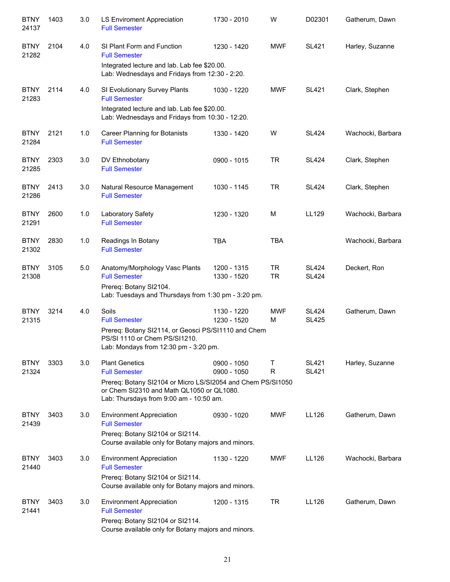| <b>BTNY</b><br>24137 | 1403 | 3.0 | LS Enviroment Appreciation<br><b>Full Semester</b>                                                                                                  | 1730 - 2010                | W                      | D02301                       | Gatherum, Dawn    |
|----------------------|------|-----|-----------------------------------------------------------------------------------------------------------------------------------------------------|----------------------------|------------------------|------------------------------|-------------------|
| <b>BTNY</b><br>21282 | 2104 | 4.0 | SI Plant Form and Function<br><b>Full Semester</b>                                                                                                  | 1230 - 1420                | <b>MWF</b>             | <b>SL421</b>                 | Harley, Suzanne   |
|                      |      |     | Integrated lecture and lab. Lab fee \$20.00.<br>Lab: Wednesdays and Fridays from 12:30 - 2:20.                                                      |                            |                        |                              |                   |
| <b>BTNY</b><br>21283 | 2114 | 4.0 | SI Evolutionary Survey Plants<br><b>Full Semester</b>                                                                                               | 1030 - 1220                | <b>MWF</b>             | <b>SL421</b>                 | Clark, Stephen    |
|                      |      |     | Integrated lecture and lab. Lab fee \$20.00.<br>Lab: Wednesdays and Fridays from 10:30 - 12:20.                                                     |                            |                        |                              |                   |
| <b>BTNY</b><br>21284 | 2121 | 1.0 | <b>Career Planning for Botanists</b><br><b>Full Semester</b>                                                                                        | 1330 - 1420                | W                      | <b>SL424</b>                 | Wachocki, Barbara |
| <b>BTNY</b><br>21285 | 2303 | 3.0 | DV Ethnobotany<br><b>Full Semester</b>                                                                                                              | 0900 - 1015                | <b>TR</b>              | <b>SL424</b>                 | Clark, Stephen    |
| <b>BTNY</b><br>21286 | 2413 | 3.0 | Natural Resource Management<br><b>Full Semester</b>                                                                                                 | 1030 - 1145                | <b>TR</b>              | <b>SL424</b>                 | Clark, Stephen    |
| <b>BTNY</b><br>21291 | 2600 | 1.0 | Laboratory Safety<br><b>Full Semester</b>                                                                                                           | 1230 - 1320                | M                      | LL129                        | Wachocki, Barbara |
| <b>BTNY</b><br>21302 | 2830 | 1.0 | Readings In Botany<br><b>Full Semester</b>                                                                                                          | <b>TBA</b>                 | <b>TBA</b>             |                              | Wachocki, Barbara |
| <b>BTNY</b><br>21308 | 3105 | 5.0 | Anatomy/Morphology Vasc Plants<br><b>Full Semester</b>                                                                                              | 1200 - 1315<br>1330 - 1520 | <b>TR</b><br><b>TR</b> | <b>SL424</b><br><b>SL424</b> | Deckert, Ron      |
|                      |      |     | Prereq: Botany SI2104.<br>Lab: Tuesdays and Thursdays from 1:30 pm - 3:20 pm.                                                                       |                            |                        |                              |                   |
| <b>BTNY</b><br>21315 | 3214 | 4.0 | Soils<br><b>Full Semester</b>                                                                                                                       | 1130 - 1220<br>1230 - 1520 | <b>MWF</b><br>M        | <b>SL424</b><br><b>SL425</b> | Gatherum, Dawn    |
|                      |      |     | Prereq: Botany SI2114, or Geosci PS/SI1110 and Chem<br>PS/SI 1110 or Chem PS/SI1210.<br>Lab: Mondays from 12:30 pm - 3:20 pm.                       |                            |                        |                              |                   |
| <b>BTNY</b><br>21324 | 3303 | 3.0 | <b>Plant Genetics</b><br><b>Full Semester</b>                                                                                                       | 0900 - 1050<br>0900 - 1050 | Т<br>R                 | <b>SL421</b><br><b>SL421</b> | Harley, Suzanne   |
|                      |      |     | Prereq: Botany SI2104 or Micro LS/SI2054 and Chem PS/SI1050<br>or Chem SI2310 and Math QL1050 or QL1080.<br>Lab: Thursdays from 9:00 am - 10:50 am. |                            |                        |                              |                   |
| <b>BTNY</b><br>21439 | 3403 | 3.0 | <b>Environment Appreciation</b><br><b>Full Semester</b><br>Prereq: Botany SI2104 or SI2114.<br>Course available only for Botany majors and minors.  | 0930 - 1020                | <b>MWF</b>             | LL126                        | Gatherum, Dawn    |
| <b>BTNY</b><br>21440 | 3403 | 3.0 | <b>Environment Appreciation</b><br><b>Full Semester</b><br>Prereq: Botany SI2104 or SI2114.<br>Course available only for Botany majors and minors.  | 1130 - 1220                | <b>MWF</b>             | LL126                        | Wachocki, Barbara |
| <b>BTNY</b><br>21441 | 3403 | 3.0 | <b>Environment Appreciation</b><br><b>Full Semester</b><br>Prereq: Botany SI2104 or SI2114.<br>Course available only for Botany majors and minors.  | 1200 - 1315                | <b>TR</b>              | LL126                        | Gatherum, Dawn    |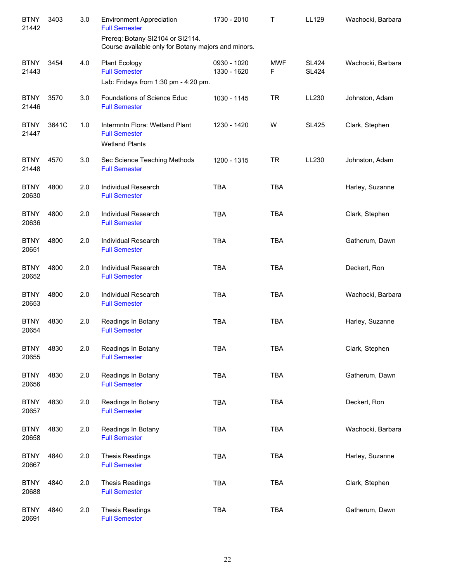| <b>BTNY</b><br>21442 | 3403  | 3.0 | <b>Environment Appreciation</b><br><b>Full Semester</b><br>Prereq: Botany SI2104 or SI2114.<br>Course available only for Botany majors and minors. | 1730 - 2010                | Τ               | LL129                        | Wachocki, Barbara |
|----------------------|-------|-----|----------------------------------------------------------------------------------------------------------------------------------------------------|----------------------------|-----------------|------------------------------|-------------------|
| <b>BTNY</b><br>21443 | 3454  | 4.0 | <b>Plant Ecology</b><br><b>Full Semester</b><br>Lab: Fridays from 1:30 pm - 4:20 pm.                                                               | 0930 - 1020<br>1330 - 1620 | <b>MWF</b><br>F | <b>SL424</b><br><b>SL424</b> | Wachocki, Barbara |
| <b>BTNY</b><br>21446 | 3570  | 3.0 | Foundations of Science Educ<br><b>Full Semester</b>                                                                                                | 1030 - 1145                | <b>TR</b>       | LL230                        | Johnston, Adam    |
| <b>BTNY</b><br>21447 | 3641C | 1.0 | Intermntn Flora: Wetland Plant<br><b>Full Semester</b><br><b>Wetland Plants</b>                                                                    | 1230 - 1420                | W               | <b>SL425</b>                 | Clark, Stephen    |
| <b>BTNY</b><br>21448 | 4570  | 3.0 | Sec Science Teaching Methods<br><b>Full Semester</b>                                                                                               | 1200 - 1315                | <b>TR</b>       | LL230                        | Johnston, Adam    |
| <b>BTNY</b><br>20630 | 4800  | 2.0 | Individual Research<br><b>Full Semester</b>                                                                                                        | <b>TBA</b>                 | <b>TBA</b>      |                              | Harley, Suzanne   |
| <b>BTNY</b><br>20636 | 4800  | 2.0 | Individual Research<br><b>Full Semester</b>                                                                                                        | <b>TBA</b>                 | <b>TBA</b>      |                              | Clark, Stephen    |
| <b>BTNY</b><br>20651 | 4800  | 2.0 | Individual Research<br><b>Full Semester</b>                                                                                                        | <b>TBA</b>                 | <b>TBA</b>      |                              | Gatherum, Dawn    |
| <b>BTNY</b><br>20652 | 4800  | 2.0 | Individual Research<br><b>Full Semester</b>                                                                                                        | <b>TBA</b>                 | <b>TBA</b>      |                              | Deckert, Ron      |
| <b>BTNY</b><br>20653 | 4800  | 2.0 | Individual Research<br><b>Full Semester</b>                                                                                                        | <b>TBA</b>                 | <b>TBA</b>      |                              | Wachocki, Barbara |
| <b>BTNY</b><br>20654 | 4830  | 2.0 | Readings In Botany<br><b>Full Semester</b>                                                                                                         | <b>TBA</b>                 | <b>TBA</b>      |                              | Harley, Suzanne   |
| <b>BTNY</b><br>20655 | 4830  | 2.0 | Readings In Botany<br><b>Full Semester</b>                                                                                                         | TBA                        | <b>TBA</b>      |                              | Clark, Stephen    |
| <b>BTNY</b><br>20656 | 4830  | 2.0 | Readings In Botany<br><b>Full Semester</b>                                                                                                         | <b>TBA</b>                 | TBA             |                              | Gatherum, Dawn    |
| <b>BTNY</b><br>20657 | 4830  | 2.0 | Readings In Botany<br><b>Full Semester</b>                                                                                                         | <b>TBA</b>                 | <b>TBA</b>      |                              | Deckert, Ron      |
| <b>BTNY</b><br>20658 | 4830  | 2.0 | Readings In Botany<br><b>Full Semester</b>                                                                                                         | <b>TBA</b>                 | <b>TBA</b>      |                              | Wachocki, Barbara |
| <b>BTNY</b><br>20667 | 4840  | 2.0 | <b>Thesis Readings</b><br><b>Full Semester</b>                                                                                                     | <b>TBA</b>                 | <b>TBA</b>      |                              | Harley, Suzanne   |
| <b>BTNY</b><br>20688 | 4840  | 2.0 | <b>Thesis Readings</b><br><b>Full Semester</b>                                                                                                     | <b>TBA</b>                 | <b>TBA</b>      |                              | Clark, Stephen    |
| <b>BTNY</b><br>20691 | 4840  | 2.0 | <b>Thesis Readings</b><br><b>Full Semester</b>                                                                                                     | <b>TBA</b>                 | <b>TBA</b>      |                              | Gatherum, Dawn    |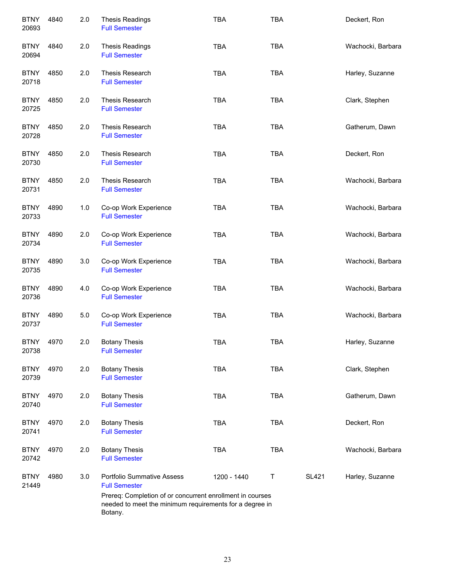| <b>BTNY</b><br>20693 | 4840 | 2.0 | <b>Thesis Readings</b><br><b>Full Semester</b>                                                                                  | <b>TBA</b>  | <b>TBA</b> |              | Deckert, Ron      |
|----------------------|------|-----|---------------------------------------------------------------------------------------------------------------------------------|-------------|------------|--------------|-------------------|
| <b>BTNY</b><br>20694 | 4840 | 2.0 | <b>Thesis Readings</b><br><b>Full Semester</b>                                                                                  | <b>TBA</b>  | <b>TBA</b> |              | Wachocki, Barbara |
| <b>BTNY</b><br>20718 | 4850 | 2.0 | Thesis Research<br><b>Full Semester</b>                                                                                         | <b>TBA</b>  | <b>TBA</b> |              | Harley, Suzanne   |
| <b>BTNY</b><br>20725 | 4850 | 2.0 | Thesis Research<br><b>Full Semester</b>                                                                                         | <b>TBA</b>  | <b>TBA</b> |              | Clark, Stephen    |
| <b>BTNY</b><br>20728 | 4850 | 2.0 | Thesis Research<br><b>Full Semester</b>                                                                                         | <b>TBA</b>  | <b>TBA</b> |              | Gatherum, Dawn    |
| <b>BTNY</b><br>20730 | 4850 | 2.0 | Thesis Research<br><b>Full Semester</b>                                                                                         | <b>TBA</b>  | <b>TBA</b> |              | Deckert, Ron      |
| <b>BTNY</b><br>20731 | 4850 | 2.0 | Thesis Research<br><b>Full Semester</b>                                                                                         | <b>TBA</b>  | <b>TBA</b> |              | Wachocki, Barbara |
| <b>BTNY</b><br>20733 | 4890 | 1.0 | Co-op Work Experience<br><b>Full Semester</b>                                                                                   | <b>TBA</b>  | <b>TBA</b> |              | Wachocki, Barbara |
| <b>BTNY</b><br>20734 | 4890 | 2.0 | Co-op Work Experience<br><b>Full Semester</b>                                                                                   | <b>TBA</b>  | <b>TBA</b> |              | Wachocki, Barbara |
| <b>BTNY</b><br>20735 | 4890 | 3.0 | Co-op Work Experience<br><b>Full Semester</b>                                                                                   | <b>TBA</b>  | <b>TBA</b> |              | Wachocki, Barbara |
| <b>BTNY</b><br>20736 | 4890 | 4.0 | Co-op Work Experience<br><b>Full Semester</b>                                                                                   | <b>TBA</b>  | <b>TBA</b> |              | Wachocki, Barbara |
| <b>BTNY</b><br>20737 | 4890 | 5.0 | Co-op Work Experience<br><b>Full Semester</b>                                                                                   | <b>TBA</b>  | <b>TBA</b> |              | Wachocki, Barbara |
| <b>BTNY</b><br>20738 | 4970 | 2.0 | <b>Botany Thesis</b><br><b>Full Semester</b>                                                                                    | <b>TBA</b>  | TBA        |              | Harley, Suzanne   |
| <b>BTNY</b><br>20739 | 4970 | 2.0 | <b>Botany Thesis</b><br><b>Full Semester</b>                                                                                    | <b>TBA</b>  | <b>TBA</b> |              | Clark, Stephen    |
| <b>BTNY</b><br>20740 | 4970 | 2.0 | <b>Botany Thesis</b><br><b>Full Semester</b>                                                                                    | <b>TBA</b>  | <b>TBA</b> |              | Gatherum, Dawn    |
| <b>BTNY</b><br>20741 | 4970 | 2.0 | <b>Botany Thesis</b><br><b>Full Semester</b>                                                                                    | <b>TBA</b>  | <b>TBA</b> |              | Deckert, Ron      |
| <b>BTNY</b><br>20742 | 4970 | 2.0 | <b>Botany Thesis</b><br><b>Full Semester</b>                                                                                    | <b>TBA</b>  | TBA        |              | Wachocki, Barbara |
| <b>BTNY</b><br>21449 | 4980 | 3.0 | <b>Portfolio Summative Assess</b><br><b>Full Semester</b>                                                                       | 1200 - 1440 | Τ          | <b>SL421</b> | Harley, Suzanne   |
|                      |      |     | Prereq: Completion of or concurrent enrollment in courses<br>needed to meet the minimum requirements for a degree in<br>Botany. |             |            |              |                   |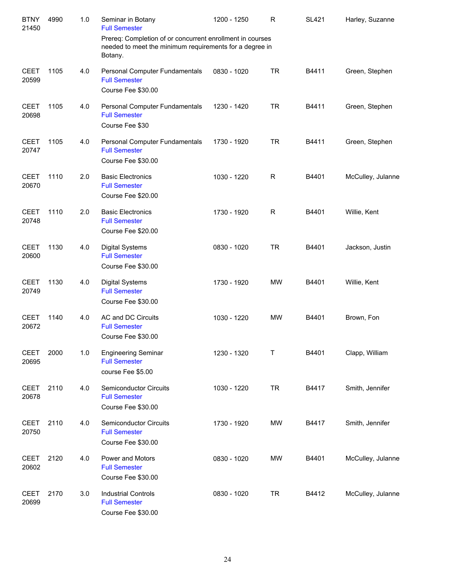| <b>BTNY</b><br>21450 | 4990 | 1.0 | Seminar in Botany<br><b>Full Semester</b>                                                                                       | 1200 - 1250 | R           | <b>SL421</b> | Harley, Suzanne   |
|----------------------|------|-----|---------------------------------------------------------------------------------------------------------------------------------|-------------|-------------|--------------|-------------------|
|                      |      |     | Prereq: Completion of or concurrent enrollment in courses<br>needed to meet the minimum requirements for a degree in<br>Botany. |             |             |              |                   |
| <b>CEET</b><br>20599 | 1105 | 4.0 | Personal Computer Fundamentals<br><b>Full Semester</b><br>Course Fee \$30.00                                                    | 0830 - 1020 | <b>TR</b>   | B4411        | Green, Stephen    |
| <b>CEET</b><br>20698 | 1105 | 4.0 | Personal Computer Fundamentals<br><b>Full Semester</b><br>Course Fee \$30                                                       | 1230 - 1420 | <b>TR</b>   | B4411        | Green, Stephen    |
| <b>CEET</b><br>20747 | 1105 | 4.0 | Personal Computer Fundamentals<br><b>Full Semester</b><br>Course Fee \$30.00                                                    | 1730 - 1920 | <b>TR</b>   | B4411        | Green, Stephen    |
| <b>CEET</b><br>20670 | 1110 | 2.0 | <b>Basic Electronics</b><br><b>Full Semester</b><br>Course Fee \$20.00                                                          | 1030 - 1220 | $\mathsf R$ | B4401        | McCulley, Julanne |
| <b>CEET</b><br>20748 | 1110 | 2.0 | <b>Basic Electronics</b><br><b>Full Semester</b><br>Course Fee \$20.00                                                          | 1730 - 1920 | $\mathsf R$ | B4401        | Willie, Kent      |
| <b>CEET</b><br>20600 | 1130 | 4.0 | <b>Digital Systems</b><br><b>Full Semester</b><br>Course Fee \$30.00                                                            | 0830 - 1020 | <b>TR</b>   | B4401        | Jackson, Justin   |
| <b>CEET</b><br>20749 | 1130 | 4.0 | <b>Digital Systems</b><br><b>Full Semester</b><br>Course Fee \$30.00                                                            | 1730 - 1920 | <b>MW</b>   | B4401        | Willie, Kent      |
| <b>CEET</b><br>20672 | 1140 | 4.0 | AC and DC Circuits<br><b>Full Semester</b><br>Course Fee \$30.00                                                                | 1030 - 1220 | <b>MW</b>   | B4401        | Brown, Fon        |
| <b>CEET</b><br>20695 | 2000 | 1.0 | <b>Engineering Seminar</b><br><b>Full Semester</b><br>course Fee \$5.00                                                         | 1230 - 1320 | Τ           | B4401        | Clapp, William    |
| <b>CEET</b><br>20678 | 2110 | 4.0 | Semiconductor Circuits<br><b>Full Semester</b><br>Course Fee \$30.00                                                            | 1030 - 1220 | <b>TR</b>   | B4417        | Smith, Jennifer   |
| <b>CEET</b><br>20750 | 2110 | 4.0 | <b>Semiconductor Circuits</b><br><b>Full Semester</b><br>Course Fee \$30.00                                                     | 1730 - 1920 | <b>MW</b>   | B4417        | Smith, Jennifer   |
| <b>CEET</b><br>20602 | 2120 | 4.0 | Power and Motors<br><b>Full Semester</b><br>Course Fee \$30.00                                                                  | 0830 - 1020 | <b>MW</b>   | B4401        | McCulley, Julanne |
| <b>CEET</b><br>20699 | 2170 | 3.0 | <b>Industrial Controls</b><br><b>Full Semester</b><br>Course Fee \$30.00                                                        | 0830 - 1020 | <b>TR</b>   | B4412        | McCulley, Julanne |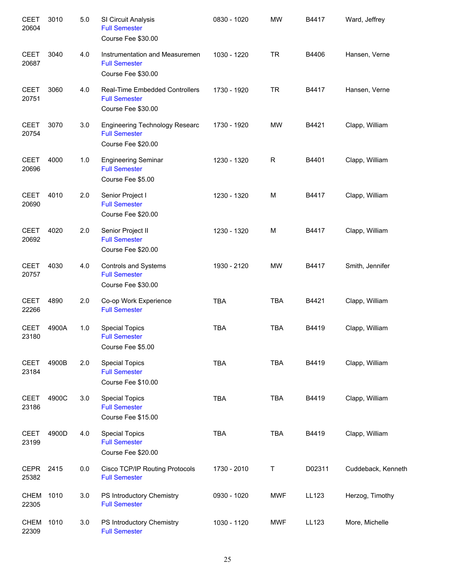| <b>CEET</b><br>20604 | 3010  | 5.0 | SI Circuit Analysis<br><b>Full Semester</b><br>Course Fee \$30.00                   | 0830 - 1020 | <b>MW</b>  | B4417  | Ward, Jeffrey      |
|----------------------|-------|-----|-------------------------------------------------------------------------------------|-------------|------------|--------|--------------------|
| <b>CEET</b><br>20687 | 3040  | 4.0 | Instrumentation and Measuremen<br><b>Full Semester</b><br>Course Fee \$30.00        | 1030 - 1220 | <b>TR</b>  | B4406  | Hansen, Verne      |
| <b>CEET</b><br>20751 | 3060  | 4.0 | Real-Time Embedded Controllers<br><b>Full Semester</b><br>Course Fee \$30.00        | 1730 - 1920 | <b>TR</b>  | B4417  | Hansen, Verne      |
| <b>CEET</b><br>20754 | 3070  | 3.0 | <b>Engineering Technology Researc</b><br><b>Full Semester</b><br>Course Fee \$20.00 | 1730 - 1920 | <b>MW</b>  | B4421  | Clapp, William     |
| <b>CEET</b><br>20696 | 4000  | 1.0 | <b>Engineering Seminar</b><br><b>Full Semester</b><br>Course Fee \$5.00             | 1230 - 1320 | R          | B4401  | Clapp, William     |
| <b>CEET</b><br>20690 | 4010  | 2.0 | Senior Project I<br><b>Full Semester</b><br>Course Fee \$20.00                      | 1230 - 1320 | M          | B4417  | Clapp, William     |
| <b>CEET</b><br>20692 | 4020  | 2.0 | Senior Project II<br><b>Full Semester</b><br>Course Fee \$20.00                     | 1230 - 1320 | M          | B4417  | Clapp, William     |
| <b>CEET</b><br>20757 | 4030  | 4.0 | <b>Controls and Systems</b><br><b>Full Semester</b><br>Course Fee \$30.00           | 1930 - 2120 | <b>MW</b>  | B4417  | Smith, Jennifer    |
| <b>CEET</b><br>22266 | 4890  | 2.0 | Co-op Work Experience<br><b>Full Semester</b>                                       | <b>TBA</b>  | <b>TBA</b> | B4421  | Clapp, William     |
| <b>CEET</b><br>23180 | 4900A | 1.0 | <b>Special Topics</b><br><b>Full Semester</b><br>Course Fee \$5.00                  | <b>TBA</b>  | <b>TBA</b> | B4419  | Clapp, William     |
| <b>CEET</b><br>23184 | 4900B | 2.0 | <b>Special Topics</b><br><b>Full Semester</b><br>Course Fee \$10.00                 | <b>TBA</b>  | <b>TBA</b> | B4419  | Clapp, William     |
| <b>CEET</b><br>23186 | 4900C | 3.0 | <b>Special Topics</b><br><b>Full Semester</b><br>Course Fee \$15.00                 | <b>TBA</b>  | <b>TBA</b> | B4419  | Clapp, William     |
| <b>CEET</b><br>23199 | 4900D | 4.0 | <b>Special Topics</b><br><b>Full Semester</b><br>Course Fee \$20.00                 | <b>TBA</b>  | <b>TBA</b> | B4419  | Clapp, William     |
| <b>CEPR</b><br>25382 | 2415  | 0.0 | Cisco TCP/IP Routing Protocols<br><b>Full Semester</b>                              | 1730 - 2010 | T          | D02311 | Cuddeback, Kenneth |
| <b>CHEM</b><br>22305 | 1010  | 3.0 | PS Introductory Chemistry<br><b>Full Semester</b>                                   | 0930 - 1020 | <b>MWF</b> | LL123  | Herzog, Timothy    |
| <b>CHEM</b><br>22309 | 1010  | 3.0 | PS Introductory Chemistry<br><b>Full Semester</b>                                   | 1030 - 1120 | <b>MWF</b> | LL123  | More, Michelle     |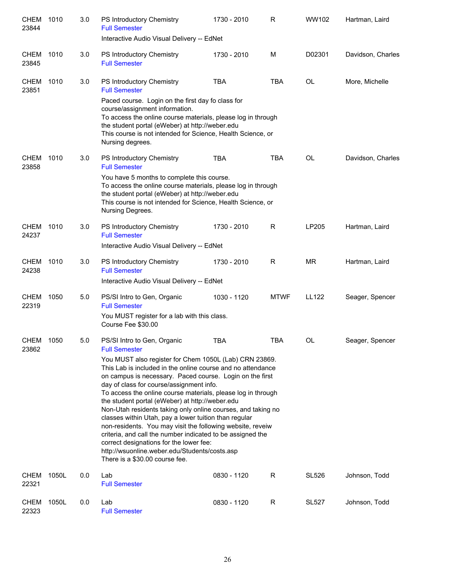| <b>CHEM</b><br>23844 | 1010  | 3.0 | PS Introductory Chemistry<br><b>Full Semester</b>                                                                                                                                                                                                                                                                                                                                                                                                                                                                                                                                                                                                                                                                                   | 1730 - 2010 | R           | WW102        | Hartman, Laird    |
|----------------------|-------|-----|-------------------------------------------------------------------------------------------------------------------------------------------------------------------------------------------------------------------------------------------------------------------------------------------------------------------------------------------------------------------------------------------------------------------------------------------------------------------------------------------------------------------------------------------------------------------------------------------------------------------------------------------------------------------------------------------------------------------------------------|-------------|-------------|--------------|-------------------|
|                      |       |     | Interactive Audio Visual Delivery -- EdNet                                                                                                                                                                                                                                                                                                                                                                                                                                                                                                                                                                                                                                                                                          |             |             |              |                   |
| <b>CHEM</b><br>23845 | 1010  | 3.0 | PS Introductory Chemistry<br><b>Full Semester</b>                                                                                                                                                                                                                                                                                                                                                                                                                                                                                                                                                                                                                                                                                   | 1730 - 2010 | M           | D02301       | Davidson, Charles |
| CHEM<br>23851        | 1010  | 3.0 | PS Introductory Chemistry<br><b>Full Semester</b>                                                                                                                                                                                                                                                                                                                                                                                                                                                                                                                                                                                                                                                                                   | <b>TBA</b>  | <b>TBA</b>  | OL           | More, Michelle    |
|                      |       |     | Paced course. Login on the first day fo class for<br>course/assignment information.<br>To access the online course materials, please log in through<br>the student portal (eWeber) at http://weber.edu<br>This course is not intended for Science, Health Science, or<br>Nursing degrees.                                                                                                                                                                                                                                                                                                                                                                                                                                           |             |             |              |                   |
| <b>CHEM</b><br>23858 | 1010  | 3.0 | PS Introductory Chemistry<br><b>Full Semester</b>                                                                                                                                                                                                                                                                                                                                                                                                                                                                                                                                                                                                                                                                                   | <b>TBA</b>  | <b>TBA</b>  | <b>OL</b>    | Davidson, Charles |
|                      |       |     | You have 5 months to complete this course.<br>To access the online course materials, please log in through<br>the student portal (eWeber) at http://weber.edu<br>This course is not intended for Science, Health Science, or<br>Nursing Degrees.                                                                                                                                                                                                                                                                                                                                                                                                                                                                                    |             |             |              |                   |
| <b>CHEM</b><br>24237 | 1010  | 3.0 | PS Introductory Chemistry<br><b>Full Semester</b><br>Interactive Audio Visual Delivery -- EdNet                                                                                                                                                                                                                                                                                                                                                                                                                                                                                                                                                                                                                                     | 1730 - 2010 | R           | LP205        | Hartman, Laird    |
| <b>CHEM</b><br>24238 | 1010  | 3.0 | PS Introductory Chemistry<br><b>Full Semester</b>                                                                                                                                                                                                                                                                                                                                                                                                                                                                                                                                                                                                                                                                                   | 1730 - 2010 | R           | <b>MR</b>    | Hartman, Laird    |
|                      |       |     | Interactive Audio Visual Delivery -- EdNet                                                                                                                                                                                                                                                                                                                                                                                                                                                                                                                                                                                                                                                                                          |             |             |              |                   |
| <b>CHEM</b><br>22319 | 1050  | 5.0 | PS/SI Intro to Gen, Organic<br><b>Full Semester</b>                                                                                                                                                                                                                                                                                                                                                                                                                                                                                                                                                                                                                                                                                 | 1030 - 1120 | <b>MTWF</b> | LL122        | Seager, Spencer   |
|                      |       |     | You MUST register for a lab with this class.<br>Course Fee \$30.00                                                                                                                                                                                                                                                                                                                                                                                                                                                                                                                                                                                                                                                                  |             |             |              |                   |
| CHEM<br>23862        | 1050  | 5.0 | PS/SI Intro to Gen, Organic<br><b>Full Semester</b>                                                                                                                                                                                                                                                                                                                                                                                                                                                                                                                                                                                                                                                                                 | <b>TBA</b>  | <b>TBA</b>  | OL           | Seager, Spencer   |
|                      |       |     | You MUST also register for Chem 1050L (Lab) CRN 23869.<br>This Lab is included in the online course and no attendance<br>on campus is necessary. Paced course. Login on the first<br>day of class for course/assignment info.<br>To access the online course materials, please log in through<br>the student portal (eWeber) at http://weber.edu<br>Non-Utah residents taking only online courses, and taking no<br>classes within Utah, pay a lower tuition than regular<br>non-residents. You may visit the following website, reveiw<br>criteria, and call the number indicated to be assigned the<br>correct designations for the lower fee:<br>http://wsuonline.weber.edu/Students/costs.asp<br>There is a \$30.00 course fee. |             |             |              |                   |
| <b>CHEM</b><br>22321 | 1050L | 0.0 | Lab<br><b>Full Semester</b>                                                                                                                                                                                                                                                                                                                                                                                                                                                                                                                                                                                                                                                                                                         | 0830 - 1120 | R           | <b>SL526</b> | Johnson, Todd     |
| <b>CHEM</b><br>22323 | 1050L | 0.0 | Lab<br><b>Full Semester</b>                                                                                                                                                                                                                                                                                                                                                                                                                                                                                                                                                                                                                                                                                                         | 0830 - 1120 | R           | <b>SL527</b> | Johnson, Todd     |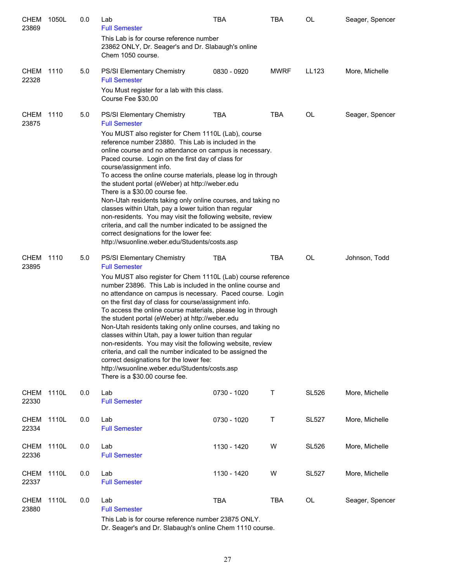| <b>CHEM 1050L</b><br>23869 |       | 0.0 | Lab<br><b>Full Semester</b>                                                                                                                                                                                                                                                                                                                                                                                                                                                                                                                                                                                                                                                                                                                                 | TBA         | <b>TBA</b>  | OL           | Seager, Spencer |
|----------------------------|-------|-----|-------------------------------------------------------------------------------------------------------------------------------------------------------------------------------------------------------------------------------------------------------------------------------------------------------------------------------------------------------------------------------------------------------------------------------------------------------------------------------------------------------------------------------------------------------------------------------------------------------------------------------------------------------------------------------------------------------------------------------------------------------------|-------------|-------------|--------------|-----------------|
|                            |       |     | This Lab is for course reference number<br>23862 ONLY, Dr. Seager's and Dr. Slabaugh's online<br>Chem 1050 course.                                                                                                                                                                                                                                                                                                                                                                                                                                                                                                                                                                                                                                          |             |             |              |                 |
| CHEM 1110<br>22328         |       | 5.0 | PS/SI Elementary Chemistry<br><b>Full Semester</b>                                                                                                                                                                                                                                                                                                                                                                                                                                                                                                                                                                                                                                                                                                          | 0830 - 0920 | <b>MWRF</b> | LL123        | More, Michelle  |
|                            |       |     | You Must register for a lab with this class.<br>Course Fee \$30.00                                                                                                                                                                                                                                                                                                                                                                                                                                                                                                                                                                                                                                                                                          |             |             |              |                 |
| CHEM<br>23875              | 1110  | 5.0 | <b>PS/SI Elementary Chemistry</b><br><b>Full Semester</b>                                                                                                                                                                                                                                                                                                                                                                                                                                                                                                                                                                                                                                                                                                   | <b>TBA</b>  | <b>TBA</b>  | OL           | Seager, Spencer |
|                            |       |     | You MUST also register for Chem 1110L (Lab), course<br>reference number 23880. This Lab is included in the<br>online course and no attendance on campus is necessary.<br>Paced course. Login on the first day of class for<br>course/assignment info.<br>To access the online course materials, please log in through<br>the student portal (eWeber) at http://weber.edu<br>There is a \$30.00 course fee.<br>Non-Utah residents taking only online courses, and taking no<br>classes within Utah, pay a lower tuition than regular<br>non-residents. You may visit the following website, review<br>criteria, and call the number indicated to be assigned the<br>correct designations for the lower fee:<br>http://wsuonline.weber.edu/Students/costs.asp |             |             |              |                 |
| CHEM<br>23895              | 1110  | 5.0 | PS/SI Elementary Chemistry<br><b>Full Semester</b>                                                                                                                                                                                                                                                                                                                                                                                                                                                                                                                                                                                                                                                                                                          | <b>TBA</b>  | <b>TBA</b>  | OL           | Johnson, Todd   |
|                            |       |     | You MUST also register for Chem 1110L (Lab) course reference<br>number 23896. This Lab is included in the online course and<br>no attendance on campus is necessary. Paced course. Login<br>on the first day of class for course/assignment info.<br>To access the online course materials, please log in through<br>the student portal (eWeber) at http://weber.edu<br>Non-Utah residents taking only online courses, and taking no<br>classes within Utah, pay a lower tuition than regular<br>non-residents. You may visit the following website, review<br>criteria, and call the number indicated to be assigned the<br>correct designations for the lower fee:<br>http://wsuonline.weber.edu/Students/costs.asp<br>There is a \$30.00 course fee.     |             |             |              |                 |
| <b>CHEM</b><br>22330       | 1110L | 0.0 | Lab<br><b>Full Semester</b>                                                                                                                                                                                                                                                                                                                                                                                                                                                                                                                                                                                                                                                                                                                                 | 0730 - 1020 | Τ           | <b>SL526</b> | More, Michelle  |
| <b>CHEM</b><br>22334       | 1110L | 0.0 | Lab<br><b>Full Semester</b>                                                                                                                                                                                                                                                                                                                                                                                                                                                                                                                                                                                                                                                                                                                                 | 0730 - 1020 | Τ           | <b>SL527</b> | More, Michelle  |
| CHEM<br>22336              | 1110L | 0.0 | Lab<br><b>Full Semester</b>                                                                                                                                                                                                                                                                                                                                                                                                                                                                                                                                                                                                                                                                                                                                 | 1130 - 1420 | W           | <b>SL526</b> | More, Michelle  |
| CHEM<br>22337              | 1110L | 0.0 | Lab<br><b>Full Semester</b>                                                                                                                                                                                                                                                                                                                                                                                                                                                                                                                                                                                                                                                                                                                                 | 1130 - 1420 | W           | <b>SL527</b> | More, Michelle  |
| CHEM<br>23880              | 1110L | 0.0 | Lab<br><b>Full Semester</b><br>This Lab is for course reference number 23875 ONLY.                                                                                                                                                                                                                                                                                                                                                                                                                                                                                                                                                                                                                                                                          | <b>TBA</b>  | TBA         | OL           | Seager, Spencer |

Dr. Seager's and Dr. Slabaugh's online Chem 1110 course.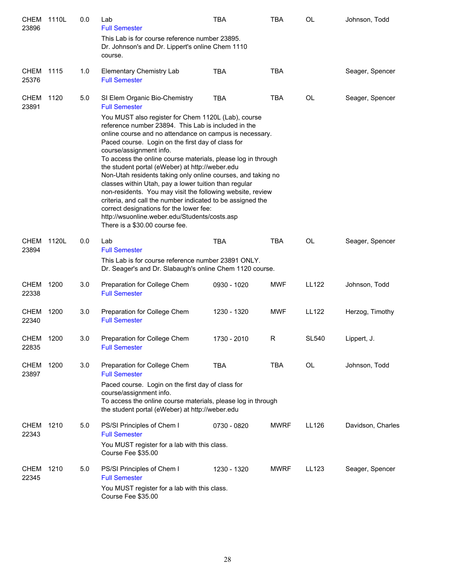| CHEM<br>23896        | 1110L | 0.0 | Lab<br><b>Full Semester</b>                                                                                                                                                                                                                                                                                                                                                                                                                                                                                                                                                        | <b>TBA</b>  | <b>TBA</b>  | <b>OL</b>    | Johnson, Todd     |
|----------------------|-------|-----|------------------------------------------------------------------------------------------------------------------------------------------------------------------------------------------------------------------------------------------------------------------------------------------------------------------------------------------------------------------------------------------------------------------------------------------------------------------------------------------------------------------------------------------------------------------------------------|-------------|-------------|--------------|-------------------|
|                      |       |     | This Lab is for course reference number 23895.<br>Dr. Johnson's and Dr. Lippert's online Chem 1110<br>course.                                                                                                                                                                                                                                                                                                                                                                                                                                                                      |             |             |              |                   |
| CHEM<br>25376        | 1115  | 1.0 | <b>Elementary Chemistry Lab</b><br><b>Full Semester</b>                                                                                                                                                                                                                                                                                                                                                                                                                                                                                                                            | <b>TBA</b>  | <b>TBA</b>  |              | Seager, Spencer   |
| <b>CHEM</b><br>23891 | 1120  | 5.0 | SI Elem Organic Bio-Chemistry<br><b>Full Semester</b><br>You MUST also register for Chem 1120L (Lab), course<br>reference number 23894. This Lab is included in the<br>online course and no attendance on campus is necessary.                                                                                                                                                                                                                                                                                                                                                     | <b>TBA</b>  | <b>TBA</b>  | <b>OL</b>    | Seager, Spencer   |
|                      |       |     | Paced course. Login on the first day of class for<br>course/assignment info.<br>To access the online course materials, please log in through<br>the student portal (eWeber) at http://weber.edu<br>Non-Utah residents taking only online courses, and taking no<br>classes within Utah, pay a lower tuition than regular<br>non-residents. You may visit the following website, review<br>criteria, and call the number indicated to be assigned the<br>correct designations for the lower fee:<br>http://wsuonline.weber.edu/Students/costs.asp<br>There is a \$30.00 course fee. |             |             |              |                   |
| <b>CHEM</b><br>23894 | 1120L | 0.0 | Lab<br><b>Full Semester</b><br>This Lab is for course reference number 23891 ONLY.<br>Dr. Seager's and Dr. Slabaugh's online Chem 1120 course.                                                                                                                                                                                                                                                                                                                                                                                                                                     | <b>TBA</b>  | <b>TBA</b>  | OL           | Seager, Spencer   |
| CHEM<br>22338        | 1200  | 3.0 | Preparation for College Chem<br><b>Full Semester</b>                                                                                                                                                                                                                                                                                                                                                                                                                                                                                                                               | 0930 - 1020 | <b>MWF</b>  | <b>LL122</b> | Johnson, Todd     |
| CHEM<br>22340        | 1200  | 3.0 | Preparation for College Chem<br><b>Full Semester</b>                                                                                                                                                                                                                                                                                                                                                                                                                                                                                                                               | 1230 - 1320 | <b>MWF</b>  | LL122        | Herzog, Timothy   |
| CHEM<br>22835        | 1200  | 3.0 | Preparation for College Chem<br><b>Full Semester</b>                                                                                                                                                                                                                                                                                                                                                                                                                                                                                                                               | 1730 - 2010 | R           | <b>SL540</b> | Lippert, J.       |
| <b>CHEM</b><br>23897 | 1200  | 3.0 | Preparation for College Chem<br><b>Full Semester</b>                                                                                                                                                                                                                                                                                                                                                                                                                                                                                                                               | <b>TBA</b>  | <b>TBA</b>  | <b>OL</b>    | Johnson, Todd     |
|                      |       |     | Paced course. Login on the first day of class for<br>course/assignment info.<br>To access the online course materials, please log in through<br>the student portal (eWeber) at http://weber.edu                                                                                                                                                                                                                                                                                                                                                                                    |             |             |              |                   |
| CHEM<br>22343        | 1210  | 5.0 | PS/SI Principles of Chem I<br><b>Full Semester</b><br>You MUST register for a lab with this class.<br>Course Fee \$35.00                                                                                                                                                                                                                                                                                                                                                                                                                                                           | 0730 - 0820 | <b>MWRF</b> | LL126        | Davidson, Charles |
| <b>CHEM</b><br>22345 | 1210  | 5.0 | PS/SI Principles of Chem I<br><b>Full Semester</b><br>You MUST register for a lab with this class.<br>Course Fee \$35.00                                                                                                                                                                                                                                                                                                                                                                                                                                                           | 1230 - 1320 | <b>MWRF</b> | LL123        | Seager, Spencer   |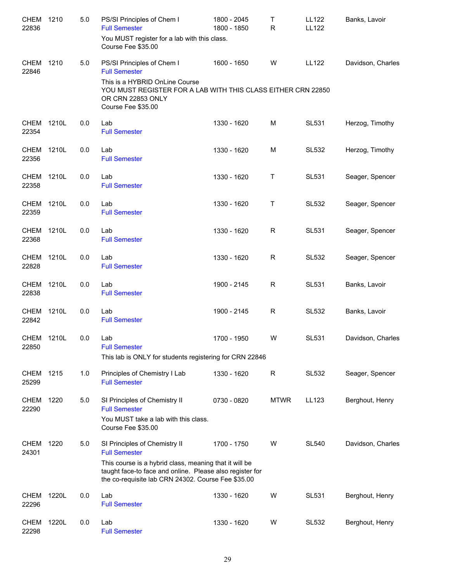| <b>CHEM</b><br>22836       | 1210  | 5.0 | PS/SI Principles of Chem I<br><b>Full Semester</b><br>You MUST register for a lab with this class.<br>Course Fee \$35.00                                                                                                          | 1800 - 2045<br>1800 - 1850 | Τ<br>R      | <b>LL122</b><br><b>LL122</b> | Banks, Lavoir     |
|----------------------------|-------|-----|-----------------------------------------------------------------------------------------------------------------------------------------------------------------------------------------------------------------------------------|----------------------------|-------------|------------------------------|-------------------|
| CHEM<br>22846              | 1210  | 5.0 | PS/SI Principles of Chem I<br><b>Full Semester</b><br>This is a HYBRID OnLine Course<br>YOU MUST REGISTER FOR A LAB WITH THIS CLASS EITHER CRN 22850                                                                              | 1600 - 1650                | W           | <b>LL122</b>                 | Davidson, Charles |
|                            |       |     | OR CRN 22853 ONLY<br>Course Fee \$35.00                                                                                                                                                                                           |                            |             |                              |                   |
| <b>CHEM</b><br>22354       | 1210L | 0.0 | Lab<br><b>Full Semester</b>                                                                                                                                                                                                       | 1330 - 1620                | M           | <b>SL531</b>                 | Herzog, Timothy   |
| <b>CHEM</b><br>22356       | 1210L | 0.0 | Lab<br><b>Full Semester</b>                                                                                                                                                                                                       | 1330 - 1620                | M           | <b>SL532</b>                 | Herzog, Timothy   |
| <b>CHEM</b><br>22358       | 1210L | 0.0 | Lab<br><b>Full Semester</b>                                                                                                                                                                                                       | 1330 - 1620                | Τ           | SL531                        | Seager, Spencer   |
| <b>CHEM</b><br>22359       | 1210L | 0.0 | Lab<br><b>Full Semester</b>                                                                                                                                                                                                       | 1330 - 1620                | Τ           | <b>SL532</b>                 | Seager, Spencer   |
| <b>CHEM</b><br>22368       | 1210L | 0.0 | Lab<br><b>Full Semester</b>                                                                                                                                                                                                       | 1330 - 1620                | R           | <b>SL531</b>                 | Seager, Spencer   |
| <b>CHEM</b><br>22828       | 1210L | 0.0 | Lab<br><b>Full Semester</b>                                                                                                                                                                                                       | 1330 - 1620                | R           | <b>SL532</b>                 | Seager, Spencer   |
| CHEM<br>22838              | 1210L | 0.0 | Lab<br><b>Full Semester</b>                                                                                                                                                                                                       | 1900 - 2145                | R           | SL531                        | Banks, Lavoir     |
| <b>CHEM</b><br>22842       | 1210L | 0.0 | Lab<br><b>Full Semester</b>                                                                                                                                                                                                       | 1900 - 2145                | R           | <b>SL532</b>                 | Banks, Lavoir     |
| <b>CHEM 1210L</b><br>22850 |       | 0.0 | Lab<br><b>Full Semester</b><br>This lab is ONLY for students registering for CRN 22846                                                                                                                                            | 1700 - 1950                | W           | <b>SL531</b>                 | Davidson, Charles |
| <b>CHEM</b><br>25299       | 1215  | 1.0 | Principles of Chemistry I Lab<br><b>Full Semester</b>                                                                                                                                                                             | 1330 - 1620                | R           | <b>SL532</b>                 | Seager, Spencer   |
| <b>CHEM</b><br>22290       | 1220  | 5.0 | SI Principles of Chemistry II<br><b>Full Semester</b><br>You MUST take a lab with this class.<br>Course Fee \$35.00                                                                                                               | 0730 - 0820                | <b>MTWR</b> | LL123                        | Berghout, Henry   |
| <b>CHEM</b><br>24301       | 1220  | 5.0 | SI Principles of Chemistry II<br><b>Full Semester</b><br>This course is a hybrid class, meaning that it will be<br>taught face-to face and online. Please also register for<br>the co-requisite lab CRN 24302. Course Fee \$35.00 | 1700 - 1750                | W           | <b>SL540</b>                 | Davidson, Charles |
| <b>CHEM</b><br>22296       | 1220L | 0.0 | Lab<br><b>Full Semester</b>                                                                                                                                                                                                       | 1330 - 1620                | W           | <b>SL531</b>                 | Berghout, Henry   |
| <b>CHEM</b><br>22298       | 1220L | 0.0 | Lab<br><b>Full Semester</b>                                                                                                                                                                                                       | 1330 - 1620                | W           | SL532                        | Berghout, Henry   |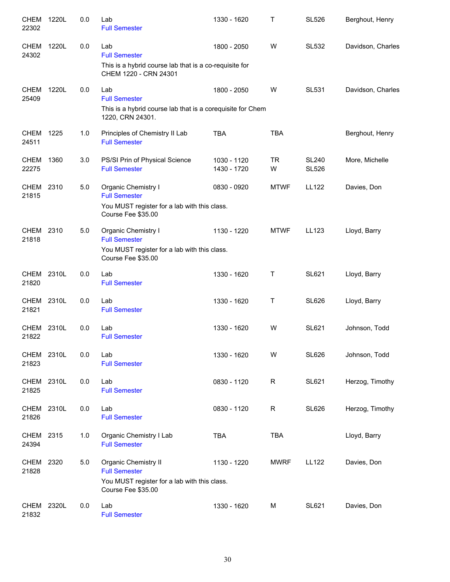| <b>CHEM</b><br>22302 | 1220L | 0.0 | Lab<br><b>Full Semester</b>                                                     | 1330 - 1620                | т              | <b>SL526</b>                 | Berghout, Henry   |
|----------------------|-------|-----|---------------------------------------------------------------------------------|----------------------------|----------------|------------------------------|-------------------|
| CHEM<br>24302        | 1220L | 0.0 | Lab<br><b>Full Semester</b>                                                     | 1800 - 2050                | W              | <b>SL532</b>                 | Davidson, Charles |
|                      |       |     | This is a hybrid course lab that is a co-requisite for<br>CHEM 1220 - CRN 24301 |                            |                |                              |                   |
| <b>CHEM</b><br>25409 | 1220L | 0.0 | Lab<br><b>Full Semester</b>                                                     | 1800 - 2050                | W              | <b>SL531</b>                 | Davidson, Charles |
|                      |       |     | This is a hybrid course lab that is a corequisite for Chem<br>1220, CRN 24301.  |                            |                |                              |                   |
| <b>CHEM</b><br>24511 | 1225  | 1.0 | Principles of Chemistry II Lab<br><b>Full Semester</b>                          | <b>TBA</b>                 | <b>TBA</b>     |                              | Berghout, Henry   |
| <b>CHEM</b><br>22275 | 1360  | 3.0 | PS/SI Prin of Physical Science<br><b>Full Semester</b>                          | 1030 - 1120<br>1430 - 1720 | <b>TR</b><br>W | <b>SL240</b><br><b>SL526</b> | More, Michelle    |
| CHEM<br>21815        | 2310  | 5.0 | Organic Chemistry I<br><b>Full Semester</b>                                     | 0830 - 0920                | <b>MTWF</b>    | LL122                        | Davies, Don       |
|                      |       |     | You MUST register for a lab with this class.<br>Course Fee \$35.00              |                            |                |                              |                   |
| CHEM 2310<br>21818   |       | 5.0 | Organic Chemistry I<br><b>Full Semester</b>                                     | 1130 - 1220                | <b>MTWF</b>    | LL123                        | Lloyd, Barry      |
|                      |       |     | You MUST register for a lab with this class.<br>Course Fee \$35.00              |                            |                |                              |                   |
| CHEM 2310L<br>21820  |       | 0.0 | Lab<br><b>Full Semester</b>                                                     | 1330 - 1620                | T              | <b>SL621</b>                 | Lloyd, Barry      |
| CHEM<br>21821        | 2310L | 0.0 | Lab<br><b>Full Semester</b>                                                     | 1330 - 1620                | Τ              | <b>SL626</b>                 | Lloyd, Barry      |
| <b>CHEM</b><br>21822 | 2310L | 0.0 | Lab<br><b>Full Semester</b>                                                     | 1330 - 1620                | W              | <b>SL621</b>                 | Johnson, Todd     |
| CHEM 2310L<br>21823  |       | 0.0 | Lab<br><b>Full Semester</b>                                                     | 1330 - 1620                | W              | <b>SL626</b>                 | Johnson, Todd     |
| CHEM 2310L<br>21825  |       | 0.0 | Lab<br><b>Full Semester</b>                                                     | 0830 - 1120                | $\mathsf R$    | <b>SL621</b>                 | Herzog, Timothy   |
| CHEM<br>21826        | 2310L | 0.0 | Lab<br><b>Full Semester</b>                                                     | 0830 - 1120                | $\mathsf R$    | <b>SL626</b>                 | Herzog, Timothy   |
| CHEM<br>24394        | 2315  | 1.0 | Organic Chemistry I Lab<br><b>Full Semester</b>                                 | <b>TBA</b>                 | <b>TBA</b>     |                              | Lloyd, Barry      |
| <b>CHEM</b><br>21828 | 2320  | 5.0 | Organic Chemistry II<br><b>Full Semester</b>                                    | 1130 - 1220                | <b>MWRF</b>    | <b>LL122</b>                 | Davies, Don       |
|                      |       |     | You MUST register for a lab with this class.<br>Course Fee \$35.00              |                            |                |                              |                   |
| CHEM 2320L<br>21832  |       | 0.0 | Lab<br><b>Full Semester</b>                                                     | 1330 - 1620                | M              | <b>SL621</b>                 | Davies, Don       |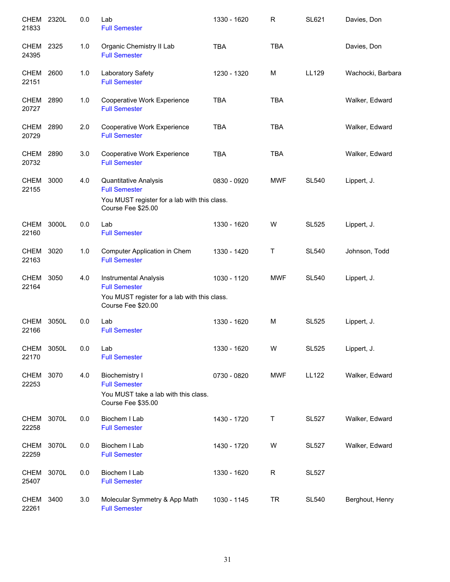| CHEM 2320L<br>21833  |       | 0.0     | Lab<br><b>Full Semester</b>                                                                                 | 1330 - 1620 | $\mathsf R$ | <b>SL621</b> | Davies, Don       |
|----------------------|-------|---------|-------------------------------------------------------------------------------------------------------------|-------------|-------------|--------------|-------------------|
| CHEM<br>24395        | 2325  | 1.0     | Organic Chemistry II Lab<br><b>Full Semester</b>                                                            | <b>TBA</b>  | <b>TBA</b>  |              | Davies, Don       |
| CHEM<br>22151        | 2600  | 1.0     | Laboratory Safety<br><b>Full Semester</b>                                                                   | 1230 - 1320 | M           | LL129        | Wachocki, Barbara |
| CHEM<br>20727        | 2890  | 1.0     | Cooperative Work Experience<br><b>Full Semester</b>                                                         | <b>TBA</b>  | <b>TBA</b>  |              | Walker, Edward    |
| <b>CHEM</b><br>20729 | 2890  | 2.0     | Cooperative Work Experience<br><b>Full Semester</b>                                                         | <b>TBA</b>  | <b>TBA</b>  |              | Walker, Edward    |
| CHEM 2890<br>20732   |       | 3.0     | Cooperative Work Experience<br><b>Full Semester</b>                                                         | <b>TBA</b>  | <b>TBA</b>  |              | Walker, Edward    |
| <b>CHEM</b><br>22155 | 3000  | 4.0     | <b>Quantitative Analysis</b><br><b>Full Semester</b>                                                        | 0830 - 0920 | <b>MWF</b>  | <b>SL540</b> | Lippert, J.       |
|                      |       |         | You MUST register for a lab with this class.<br>Course Fee \$25.00                                          |             |             |              |                   |
| <b>CHEM</b><br>22160 | 3000L | 0.0     | Lab<br><b>Full Semester</b>                                                                                 | 1330 - 1620 | W           | <b>SL525</b> | Lippert, J.       |
| CHEM 3020<br>22163   |       | 1.0     | Computer Application in Chem<br><b>Full Semester</b>                                                        | 1330 - 1420 | Τ           | <b>SL540</b> | Johnson, Todd     |
| <b>CHEM</b><br>22164 | 3050  | 4.0     | Instrumental Analysis<br><b>Full Semester</b>                                                               | 1030 - 1120 | <b>MWF</b>  | <b>SL540</b> | Lippert, J.       |
|                      |       |         | You MUST register for a lab with this class.<br>Course Fee \$20.00                                          |             |             |              |                   |
| <b>CHEM</b><br>22166 | 3050L | 0.0     | Lab<br><b>Full Semester</b>                                                                                 | 1330 - 1620 | M           | <b>SL525</b> | Lippert, J.       |
| CHEM<br>22170        | 3050L | $0.0\,$ | Lab<br><b>Full Semester</b>                                                                                 | 1330 - 1620 | W           | <b>SL525</b> | Lippert, J.       |
| <b>CHEM</b><br>22253 | 3070  | 4.0     | <b>Biochemistry I</b><br><b>Full Semester</b><br>You MUST take a lab with this class.<br>Course Fee \$35.00 | 0730 - 0820 | <b>MWF</b>  | <b>LL122</b> | Walker, Edward    |
| <b>CHEM</b><br>22258 | 3070L | 0.0     | Biochem I Lab<br><b>Full Semester</b>                                                                       | 1430 - 1720 | Τ           | <b>SL527</b> | Walker, Edward    |
| <b>CHEM</b><br>22259 | 3070L | 0.0     | Biochem I Lab<br><b>Full Semester</b>                                                                       | 1430 - 1720 | W           | <b>SL527</b> | Walker, Edward    |
| <b>CHEM</b><br>25407 | 3070L | 0.0     | Biochem I Lab<br><b>Full Semester</b>                                                                       | 1330 - 1620 | $\mathsf R$ | <b>SL527</b> |                   |
| <b>CHEM</b><br>22261 | 3400  | 3.0     | Molecular Symmetry & App Math<br><b>Full Semester</b>                                                       | 1030 - 1145 | <b>TR</b>   | <b>SL540</b> | Berghout, Henry   |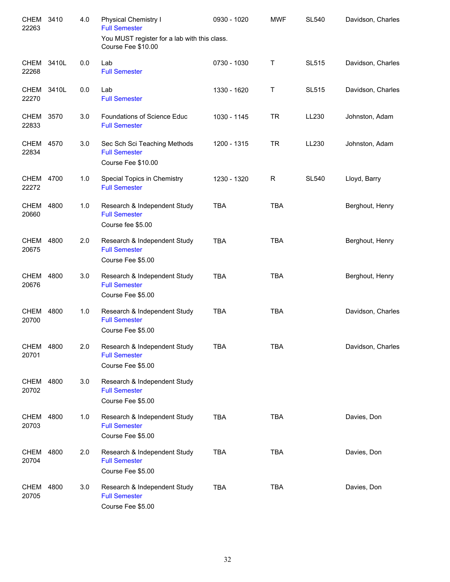| CHEM<br>22263       | 3410 | 4.0 | Physical Chemistry I<br><b>Full Semester</b>                               | 0930 - 1020 | <b>MWF</b>   | <b>SL540</b> | Davidson, Charles |
|---------------------|------|-----|----------------------------------------------------------------------------|-------------|--------------|--------------|-------------------|
|                     |      |     | You MUST register for a lab with this class.<br>Course Fee \$10.00         |             |              |              |                   |
| CHEM 3410L<br>22268 |      | 0.0 | Lab<br><b>Full Semester</b>                                                | 0730 - 1030 | $\mathsf{T}$ | <b>SL515</b> | Davidson, Charles |
| CHEM 3410L<br>22270 |      | 0.0 | Lab<br><b>Full Semester</b>                                                | 1330 - 1620 | Τ            | <b>SL515</b> | Davidson, Charles |
| CHEM 3570<br>22833  |      | 3.0 | <b>Foundations of Science Educ</b><br><b>Full Semester</b>                 | 1030 - 1145 | <b>TR</b>    | LL230        | Johnston, Adam    |
| CHEM 4570<br>22834  |      | 3.0 | Sec Sch Sci Teaching Methods<br><b>Full Semester</b><br>Course Fee \$10.00 | 1200 - 1315 | <b>TR</b>    | LL230        | Johnston, Adam    |
| CHEM 4700<br>22272  |      | 1.0 | Special Topics in Chemistry<br><b>Full Semester</b>                        | 1230 - 1320 | R            | <b>SL540</b> | Lloyd, Barry      |
| CHEM 4800<br>20660  |      | 1.0 | Research & Independent Study<br><b>Full Semester</b><br>Course fee \$5.00  | <b>TBA</b>  | <b>TBA</b>   |              | Berghout, Henry   |
| CHEM 4800<br>20675  |      | 2.0 | Research & Independent Study<br><b>Full Semester</b><br>Course Fee \$5.00  | <b>TBA</b>  | <b>TBA</b>   |              | Berghout, Henry   |
| CHEM 4800<br>20676  |      | 3.0 | Research & Independent Study<br><b>Full Semester</b><br>Course Fee \$5.00  | <b>TBA</b>  | <b>TBA</b>   |              | Berghout, Henry   |
| CHEM 4800<br>20700  |      | 1.0 | Research & Independent Study<br><b>Full Semester</b><br>Course Fee \$5.00  | <b>TBA</b>  | <b>TBA</b>   |              | Davidson, Charles |
| CHEM 4800<br>20701  |      | 2.0 | Research & Independent Study<br><b>Full Semester</b><br>Course Fee \$5.00  | TBA         | TBA          |              | Davidson, Charles |
| CHEM 4800<br>20702  |      | 3.0 | Research & Independent Study<br><b>Full Semester</b><br>Course Fee \$5.00  |             |              |              |                   |
| CHEM<br>20703       | 4800 | 1.0 | Research & Independent Study<br><b>Full Semester</b><br>Course Fee \$5.00  | <b>TBA</b>  | <b>TBA</b>   |              | Davies, Don       |
| CHEM<br>20704       | 4800 | 2.0 | Research & Independent Study<br><b>Full Semester</b><br>Course Fee \$5.00  | <b>TBA</b>  | <b>TBA</b>   |              | Davies, Don       |
| CHEM<br>20705       | 4800 | 3.0 | Research & Independent Study<br><b>Full Semester</b><br>Course Fee \$5.00  | <b>TBA</b>  | <b>TBA</b>   |              | Davies, Don       |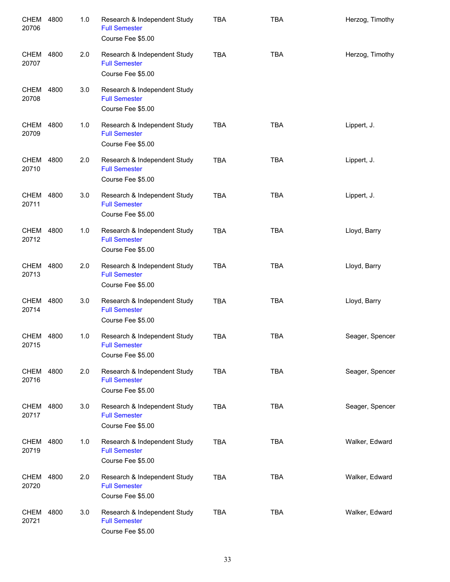| <b>CHEM</b><br>20706 | 4800 | 1.0 | Research & Independent Study<br><b>Full Semester</b><br>Course Fee \$5.00 | <b>TBA</b> | <b>TBA</b> | Herzog, Timothy |
|----------------------|------|-----|---------------------------------------------------------------------------|------------|------------|-----------------|
| CHEM<br>20707        | 4800 | 2.0 | Research & Independent Study<br><b>Full Semester</b><br>Course Fee \$5.00 | <b>TBA</b> | <b>TBA</b> | Herzog, Timothy |
| CHEM<br>20708        | 4800 | 3.0 | Research & Independent Study<br><b>Full Semester</b><br>Course Fee \$5.00 |            |            |                 |
| CHEM<br>20709        | 4800 | 1.0 | Research & Independent Study<br><b>Full Semester</b><br>Course Fee \$5.00 | <b>TBA</b> | <b>TBA</b> | Lippert, J.     |
| CHEM<br>20710        | 4800 | 2.0 | Research & Independent Study<br><b>Full Semester</b><br>Course Fee \$5.00 | <b>TBA</b> | <b>TBA</b> | Lippert, J.     |
| CHEM<br>20711        | 4800 | 3.0 | Research & Independent Study<br><b>Full Semester</b><br>Course Fee \$5.00 | <b>TBA</b> | <b>TBA</b> | Lippert, J.     |
| CHEM 4800<br>20712   |      | 1.0 | Research & Independent Study<br><b>Full Semester</b><br>Course Fee \$5.00 | <b>TBA</b> | <b>TBA</b> | Lloyd, Barry    |
| CHEM 4800<br>20713   |      | 2.0 | Research & Independent Study<br><b>Full Semester</b><br>Course Fee \$5.00 | <b>TBA</b> | <b>TBA</b> | Lloyd, Barry    |
| CHEM 4800<br>20714   |      | 3.0 | Research & Independent Study<br><b>Full Semester</b><br>Course Fee \$5.00 | <b>TBA</b> | <b>TBA</b> | Lloyd, Barry    |
| CHEM 4800<br>20715   |      | 1.0 | Research & Independent Study<br><b>Full Semester</b><br>Course Fee \$5.00 | <b>TBA</b> | <b>TBA</b> | Seager, Spencer |
| CHEM 4800<br>20716   |      | 2.0 | Research & Independent Study<br><b>Full Semester</b><br>Course Fee \$5.00 | <b>TBA</b> | <b>TBA</b> | Seager, Spencer |
| CHEM 4800<br>20717   |      | 3.0 | Research & Independent Study<br><b>Full Semester</b><br>Course Fee \$5.00 | <b>TBA</b> | <b>TBA</b> | Seager, Spencer |
| CHEM 4800<br>20719   |      | 1.0 | Research & Independent Study<br><b>Full Semester</b><br>Course Fee \$5.00 | <b>TBA</b> | <b>TBA</b> | Walker, Edward  |
| CHEM<br>20720        | 4800 | 2.0 | Research & Independent Study<br><b>Full Semester</b><br>Course Fee \$5.00 | <b>TBA</b> | <b>TBA</b> | Walker, Edward  |
| CHEM<br>20721        | 4800 | 3.0 | Research & Independent Study<br><b>Full Semester</b><br>Course Fee \$5.00 | <b>TBA</b> | <b>TBA</b> | Walker, Edward  |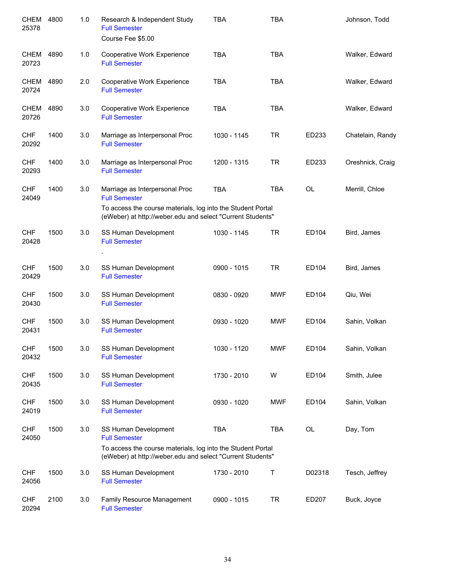| <b>CHEM</b><br>25378 | 4800 | 1.0 | Research & Independent Study<br><b>Full Semester</b><br>Course Fee \$5.00                                                 | <b>TBA</b>  | <b>TBA</b> |           | Johnson, Todd    |
|----------------------|------|-----|---------------------------------------------------------------------------------------------------------------------------|-------------|------------|-----------|------------------|
| CHEM<br>20723        | 4890 | 1.0 | Cooperative Work Experience<br><b>Full Semester</b>                                                                       | <b>TBA</b>  | <b>TBA</b> |           | Walker, Edward   |
| CHEM<br>20724        | 4890 | 2.0 | Cooperative Work Experience<br><b>Full Semester</b>                                                                       | <b>TBA</b>  | <b>TBA</b> |           | Walker, Edward   |
| CHEM<br>20726        | 4890 | 3.0 | Cooperative Work Experience<br><b>Full Semester</b>                                                                       | <b>TBA</b>  | <b>TBA</b> |           | Walker, Edward   |
| <b>CHF</b><br>20292  | 1400 | 3.0 | Marriage as Interpersonal Proc<br><b>Full Semester</b>                                                                    | 1030 - 1145 | <b>TR</b>  | ED233     | Chatelain, Randy |
| <b>CHF</b><br>20293  | 1400 | 3.0 | Marriage as Interpersonal Proc<br><b>Full Semester</b>                                                                    | 1200 - 1315 | <b>TR</b>  | ED233     | Oreshnick, Craig |
| <b>CHF</b><br>24049  | 1400 | 3.0 | Marriage as Interpersonal Proc<br><b>Full Semester</b>                                                                    | <b>TBA</b>  | <b>TBA</b> | <b>OL</b> | Merrill, Chloe   |
|                      |      |     | To access the course materials, log into the Student Portal<br>(eWeber) at http://weber.edu and select "Current Students" |             |            |           |                  |
| <b>CHF</b><br>20428  | 1500 | 3.0 | SS Human Development<br><b>Full Semester</b>                                                                              | 1030 - 1145 | <b>TR</b>  | ED104     | Bird, James      |
|                      |      |     |                                                                                                                           |             |            |           |                  |
| <b>CHF</b><br>20429  | 1500 | 3.0 | SS Human Development<br><b>Full Semester</b>                                                                              | 0900 - 1015 | <b>TR</b>  | ED104     | Bird, James      |
| <b>CHF</b><br>20430  | 1500 | 3.0 | SS Human Development<br><b>Full Semester</b>                                                                              | 0830 - 0920 | <b>MWF</b> | ED104     | Qiu, Wei         |
| <b>CHF</b><br>20431  | 1500 | 3.0 | SS Human Development<br><b>Full Semester</b>                                                                              | 0930 - 1020 | <b>MWF</b> | ED104     | Sahin, Volkan    |
| <b>CHF</b><br>20432  | 1500 | 3.0 | SS Human Development<br><b>Full Semester</b>                                                                              | 1030 - 1120 | <b>MWF</b> | ED104     | Sahin, Volkan    |
| <b>CHF</b><br>20435  | 1500 | 3.0 | SS Human Development<br><b>Full Semester</b>                                                                              | 1730 - 2010 | W          | ED104     | Smith, Julee     |
| <b>CHF</b><br>24019  | 1500 | 3.0 | SS Human Development<br><b>Full Semester</b>                                                                              | 0930 - 1020 | <b>MWF</b> | ED104     | Sahin, Volkan    |
| <b>CHF</b><br>24050  | 1500 | 3.0 | SS Human Development<br><b>Full Semester</b>                                                                              | <b>TBA</b>  | <b>TBA</b> | OL        | Day, Tom         |
|                      |      |     | To access the course materials, log into the Student Portal<br>(eWeber) at http://weber.edu and select "Current Students" |             |            |           |                  |
| <b>CHF</b><br>24056  | 1500 | 3.0 | SS Human Development<br><b>Full Semester</b>                                                                              | 1730 - 2010 | Τ          | D02318    | Tesch, Jeffrey   |
| <b>CHF</b><br>20294  | 2100 | 3.0 | Family Resource Management<br><b>Full Semester</b>                                                                        | 0900 - 1015 | <b>TR</b>  | ED207     | Buck, Joyce      |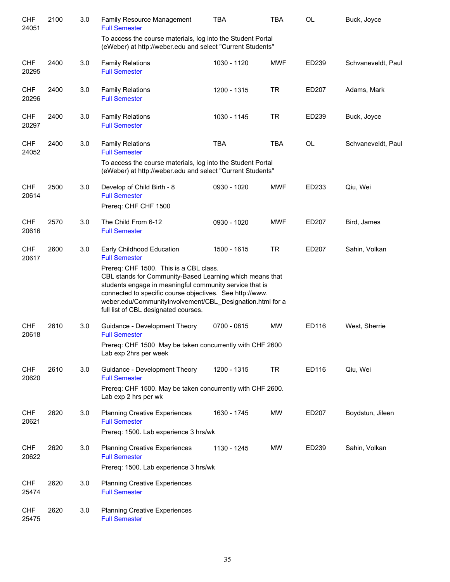| <b>CHF</b><br>24051 | 2100 | 3.0 | Family Resource Management<br><b>Full Semester</b>                                                                                                                                                                                                                                                                             | <b>TBA</b>  | <b>TBA</b> | OL    | Buck, Joyce        |
|---------------------|------|-----|--------------------------------------------------------------------------------------------------------------------------------------------------------------------------------------------------------------------------------------------------------------------------------------------------------------------------------|-------------|------------|-------|--------------------|
|                     |      |     | To access the course materials, log into the Student Portal<br>(eWeber) at http://weber.edu and select "Current Students"                                                                                                                                                                                                      |             |            |       |                    |
| <b>CHF</b><br>20295 | 2400 | 3.0 | <b>Family Relations</b><br><b>Full Semester</b>                                                                                                                                                                                                                                                                                | 1030 - 1120 | <b>MWF</b> | ED239 | Schvaneveldt, Paul |
| <b>CHF</b><br>20296 | 2400 | 3.0 | <b>Family Relations</b><br><b>Full Semester</b>                                                                                                                                                                                                                                                                                | 1200 - 1315 | <b>TR</b>  | ED207 | Adams, Mark        |
| <b>CHF</b><br>20297 | 2400 | 3.0 | <b>Family Relations</b><br><b>Full Semester</b>                                                                                                                                                                                                                                                                                | 1030 - 1145 | <b>TR</b>  | ED239 | Buck, Joyce        |
| <b>CHF</b><br>24052 | 2400 | 3.0 | <b>Family Relations</b><br><b>Full Semester</b>                                                                                                                                                                                                                                                                                | <b>TBA</b>  | <b>TBA</b> | OL    | Schvaneveldt, Paul |
|                     |      |     | To access the course materials, log into the Student Portal<br>(eWeber) at http://weber.edu and select "Current Students"                                                                                                                                                                                                      |             |            |       |                    |
| <b>CHF</b><br>20614 | 2500 | 3.0 | Develop of Child Birth - 8<br><b>Full Semester</b>                                                                                                                                                                                                                                                                             | 0930 - 1020 | <b>MWF</b> | ED233 | Qiu, Wei           |
|                     |      |     | Prereq: CHF CHF 1500                                                                                                                                                                                                                                                                                                           |             |            |       |                    |
| <b>CHF</b><br>20616 | 2570 | 3.0 | The Child From 6-12<br><b>Full Semester</b>                                                                                                                                                                                                                                                                                    | 0930 - 1020 | <b>MWF</b> | ED207 | Bird, James        |
| <b>CHF</b><br>20617 | 2600 | 3.0 | Early Childhood Education<br><b>Full Semester</b>                                                                                                                                                                                                                                                                              | 1500 - 1615 | <b>TR</b>  | ED207 | Sahin, Volkan      |
|                     |      |     | Prereq: CHF 1500. This is a CBL class.<br>CBL stands for Community-Based Learning which means that<br>students engage in meaningful community service that is<br>connected to specific course objectives. See http://www.<br>weber.edu/CommunityInvolvement/CBL_Designation.html for a<br>full list of CBL designated courses. |             |            |       |                    |
| <b>CHF</b><br>20618 | 2610 | 3.0 | Guidance - Development Theory<br><b>Full Semester</b>                                                                                                                                                                                                                                                                          | 0700 - 0815 | <b>MW</b>  | ED116 | West, Sherrie      |
|                     |      |     | Prereq: CHF 1500 May be taken concurrently with CHF 2600<br>Lab exp 2hrs per week                                                                                                                                                                                                                                              |             |            |       |                    |
| <b>CHF</b><br>20620 | 2610 | 3.0 | Guidance - Development Theory<br><b>Full Semester</b>                                                                                                                                                                                                                                                                          | 1200 - 1315 | <b>TR</b>  | ED116 | Qiu, Wei           |
|                     |      |     | Prereq: CHF 1500. May be taken concurrently with CHF 2600.<br>Lab exp 2 hrs per wk                                                                                                                                                                                                                                             |             |            |       |                    |
| <b>CHF</b><br>20621 | 2620 | 3.0 | <b>Planning Creative Experiences</b><br><b>Full Semester</b><br>Prereq: 1500. Lab experience 3 hrs/wk                                                                                                                                                                                                                          | 1630 - 1745 | MW         | ED207 | Boydstun, Jileen   |
| <b>CHF</b><br>20622 | 2620 | 3.0 | <b>Planning Creative Experiences</b><br><b>Full Semester</b><br>Prereq: 1500. Lab experience 3 hrs/wk                                                                                                                                                                                                                          | 1130 - 1245 | MW         | ED239 | Sahin, Volkan      |
| <b>CHF</b><br>25474 | 2620 | 3.0 | <b>Planning Creative Experiences</b><br><b>Full Semester</b>                                                                                                                                                                                                                                                                   |             |            |       |                    |
| <b>CHF</b><br>25475 | 2620 | 3.0 | <b>Planning Creative Experiences</b><br><b>Full Semester</b>                                                                                                                                                                                                                                                                   |             |            |       |                    |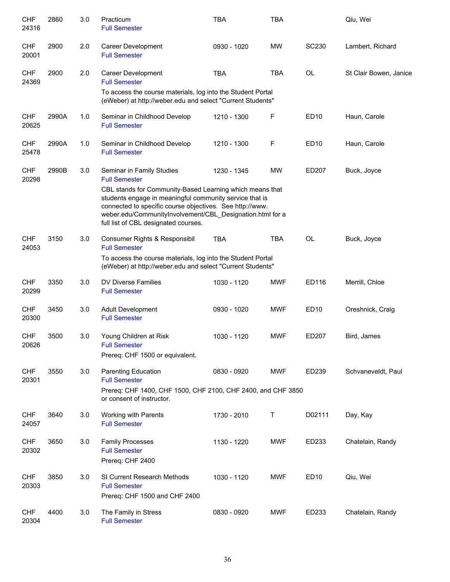| <b>CHF</b><br>24316 | 2860  | 3.0 | Practicum<br><b>Full Semester</b>                                                                                                                                                                                                                                                    | <b>TBA</b>  | <b>TBA</b> |              | Qiu, Wei               |
|---------------------|-------|-----|--------------------------------------------------------------------------------------------------------------------------------------------------------------------------------------------------------------------------------------------------------------------------------------|-------------|------------|--------------|------------------------|
| <b>CHF</b><br>20001 | 2900  | 2.0 | Career Development<br><b>Full Semester</b>                                                                                                                                                                                                                                           | 0930 - 1020 | <b>MW</b>  | <b>SC230</b> | Lambert, Richard       |
| <b>CHF</b><br>24369 | 2900  | 2.0 | Career Development<br><b>Full Semester</b>                                                                                                                                                                                                                                           | <b>TBA</b>  | <b>TBA</b> | <b>OL</b>    | St Clair Bowen, Janice |
|                     |       |     | To access the course materials, log into the Student Portal<br>(eWeber) at http://weber.edu and select "Current Students"                                                                                                                                                            |             |            |              |                        |
| <b>CHF</b><br>20625 | 2990A | 1.0 | Seminar in Childhood Develop<br><b>Full Semester</b>                                                                                                                                                                                                                                 | 1210 - 1300 | F          | <b>ED10</b>  | Haun, Carole           |
| <b>CHF</b><br>25478 | 2990A | 1.0 | Seminar in Childhood Develop<br><b>Full Semester</b>                                                                                                                                                                                                                                 | 1210 - 1300 | F          | <b>ED10</b>  | Haun, Carole           |
| <b>CHF</b><br>20298 | 2990B | 3.0 | Seminar in Family Studies<br><b>Full Semester</b>                                                                                                                                                                                                                                    | 1230 - 1345 | <b>MW</b>  | ED207        | Buck, Joyce            |
|                     |       |     | CBL stands for Community-Based Learning which means that<br>students engage in meaningful community service that is<br>connected to specific course objectives. See http://www.<br>weber.edu/CommunityInvolvement/CBL_Designation.html for a<br>full list of CBL designated courses. |             |            |              |                        |
| <b>CHF</b><br>24053 | 3150  | 3.0 | Consumer Rights & Responsibil<br><b>Full Semester</b>                                                                                                                                                                                                                                | <b>TBA</b>  | <b>TBA</b> | <b>OL</b>    | Buck, Joyce            |
|                     |       |     | To access the course materials, log into the Student Portal<br>(eWeber) at http://weber.edu and select "Current Students"                                                                                                                                                            |             |            |              |                        |
| CHF<br>20299        | 3350  | 3.0 | <b>DV Diverse Families</b><br><b>Full Semester</b>                                                                                                                                                                                                                                   | 1030 - 1120 | <b>MWF</b> | ED116        | Merrill, Chloe         |
| <b>CHF</b><br>20300 | 3450  | 3.0 | <b>Adult Development</b><br><b>Full Semester</b>                                                                                                                                                                                                                                     | 0930 - 1020 | <b>MWF</b> | <b>ED10</b>  | Oreshnick, Craig       |
| <b>CHF</b><br>20626 | 3500  | 3.0 | Young Children at Risk<br><b>Full Semester</b>                                                                                                                                                                                                                                       | 1030 - 1120 | <b>MWF</b> | ED207        | Bird, James            |
|                     |       |     | Prereq: CHF 1500 or equivalent.                                                                                                                                                                                                                                                      |             |            |              |                        |
| <b>CHF</b><br>20301 | 3550  | 3.0 | Parenting Education<br><b>Full Semester</b>                                                                                                                                                                                                                                          | 0830 - 0920 | <b>MWF</b> | ED239        | Schvaneveldt, Paul     |
|                     |       |     | Prereq: CHF 1400, CHF 1500, CHF 2100, CHF 2400, and CHF 3850<br>or consent of instructor.                                                                                                                                                                                            |             |            |              |                        |
| <b>CHF</b><br>24057 | 3640  | 3.0 | Working with Parents<br><b>Full Semester</b>                                                                                                                                                                                                                                         | 1730 - 2010 | Τ          | D02111       | Day, Kay               |
| <b>CHF</b><br>20302 | 3650  | 3.0 | <b>Family Processes</b><br><b>Full Semester</b><br>Prereq: CHF 2400                                                                                                                                                                                                                  | 1130 - 1220 | MWF        | ED233        | Chatelain, Randy       |
| <b>CHF</b><br>20303 | 3850  | 3.0 | SI Current Research Methods<br><b>Full Semester</b><br>Prereq: CHF 1500 and CHF 2400                                                                                                                                                                                                 | 1030 - 1120 | <b>MWF</b> | <b>ED10</b>  | Qiu, Wei               |
| <b>CHF</b><br>20304 | 4400  | 3.0 | The Family in Stress<br><b>Full Semester</b>                                                                                                                                                                                                                                         | 0830 - 0920 | <b>MWF</b> | ED233        | Chatelain, Randy       |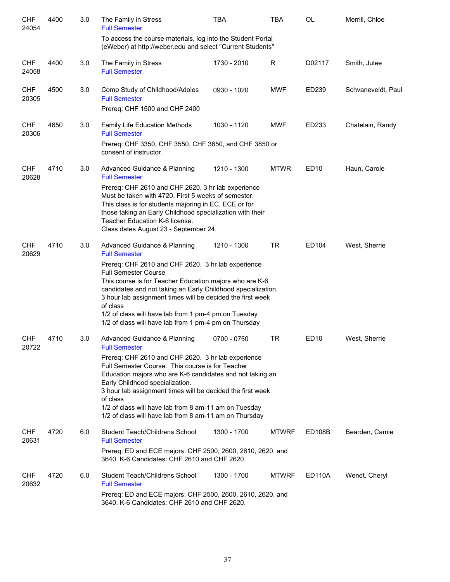| <b>CHF</b><br>24054 | 4400 | 3.0 | The Family in Stress<br><b>Full Semester</b>                                                                                                                                                                                                                                                                                                                                                                                                                    | <b>TBA</b>  | TBA          | <b>OL</b>        | Merrill, Chloe     |
|---------------------|------|-----|-----------------------------------------------------------------------------------------------------------------------------------------------------------------------------------------------------------------------------------------------------------------------------------------------------------------------------------------------------------------------------------------------------------------------------------------------------------------|-------------|--------------|------------------|--------------------|
|                     |      |     | To access the course materials, log into the Student Portal<br>(eWeber) at http://weber.edu and select "Current Students"                                                                                                                                                                                                                                                                                                                                       |             |              |                  |                    |
| <b>CHF</b><br>24058 | 4400 | 3.0 | The Family in Stress<br><b>Full Semester</b>                                                                                                                                                                                                                                                                                                                                                                                                                    | 1730 - 2010 | R            | D02117           | Smith, Julee       |
| <b>CHF</b><br>20305 | 4500 | 3.0 | Comp Study of Childhood/Adoles<br><b>Full Semester</b><br>Prereq: CHF 1500 and CHF 2400                                                                                                                                                                                                                                                                                                                                                                         | 0930 - 1020 | <b>MWF</b>   | ED239            | Schvaneveldt, Paul |
| <b>CHF</b><br>20306 | 4650 | 3.0 | Family Life Education Methods<br><b>Full Semester</b><br>Prereq: CHF 3350, CHF 3550, CHF 3650, and CHF 3850 or<br>consent of instructor.                                                                                                                                                                                                                                                                                                                        | 1030 - 1120 | <b>MWF</b>   | ED233            | Chatelain, Randy   |
| <b>CHF</b><br>20628 | 4710 | 3.0 | Advanced Guidance & Planning<br><b>Full Semester</b><br>Prereq: CHF 2610 and CHF 2620. 3 hr lab experience<br>Must be taken with 4720. First 5 weeks of semester.<br>This class is for students majoring in EC, ECE or for<br>those taking an Early Childhood specialization with their<br>Teacher Education K-6 license.<br>Class dates August 23 - September 24.                                                                                              | 1210 - 1300 | <b>MTWR</b>  | ED <sub>10</sub> | Haun, Carole       |
| <b>CHF</b><br>20629 | 4710 | 3.0 | Advanced Guidance & Planning<br><b>Full Semester</b><br>Prereq: CHF 2610 and CHF 2620. 3 hr lab experience<br><b>Full Semester Course</b><br>This course is for Teacher Education majors who are K-6<br>candidates and not taking an Early Childhood specialization.<br>3 hour lab assignment times will be decided the first week<br>of class<br>1/2 of class will have lab from 1 pm-4 pm on Tuesday<br>1/2 of class will have lab from 1 pm-4 pm on Thursday | 1210 - 1300 | <b>TR</b>    | ED104            | West, Sherrie      |
| <b>CHF</b><br>20722 | 4710 | 3.0 | Advanced Guidance & Planning<br><b>Full Semester</b><br>Prereq: CHF 2610 and CHF 2620. 3 hr lab experience<br>Full Semester Course. This course is for Teacher<br>Education majors who are K-6 candidates and not taking an<br>Early Childhood specialization.<br>3 hour lab assignment times will be decided the first week<br>of class<br>1/2 of class will have lab from 8 am-11 am on Tuesday<br>1/2 of class will have lab from 8 am-11 am on Thursday     | 0700 - 0750 | TR           | <b>ED10</b>      | West, Sherrie      |
| <b>CHF</b><br>20631 | 4720 | 6.0 | Student Teach/Childrens School<br><b>Full Semester</b><br>Prereq: ED and ECE majors: CHF 2500, 2600, 2610, 2620, and<br>3640. K-6 Candidates: CHF 2610 and CHF 2620.                                                                                                                                                                                                                                                                                            | 1300 - 1700 | <b>MTWRF</b> | <b>ED108B</b>    | Bearden, Camie     |
| <b>CHF</b><br>20632 | 4720 | 6.0 | Student Teach/Childrens School<br><b>Full Semester</b><br>Prereq: ED and ECE majors: CHF 2500, 2600, 2610, 2620, and<br>3640. K-6 Candidates: CHF 2610 and CHF 2620.                                                                                                                                                                                                                                                                                            | 1300 - 1700 | <b>MTWRF</b> | <b>ED110A</b>    | Wendt, Cheryl      |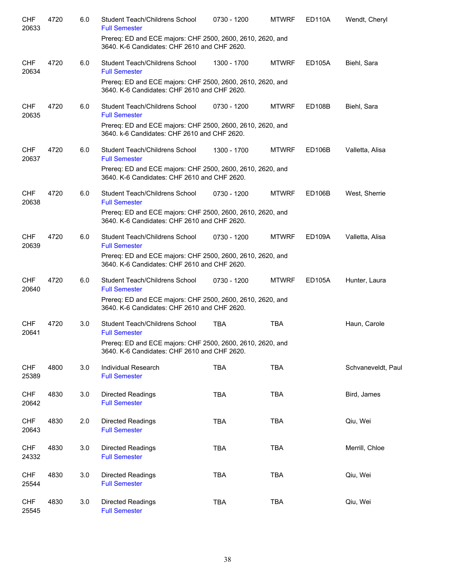| <b>CHF</b><br>20633 | 4720 | 6.0 | Student Teach/Childrens School<br><b>Full Semester</b>                                                     | 0730 - 1200 | <b>MTWRF</b> | <b>ED110A</b>       | Wendt, Cheryl      |
|---------------------|------|-----|------------------------------------------------------------------------------------------------------------|-------------|--------------|---------------------|--------------------|
|                     |      |     | Prereq: ED and ECE majors: CHF 2500, 2600, 2610, 2620, and<br>3640. K-6 Candidates: CHF 2610 and CHF 2620. |             |              |                     |                    |
| <b>CHF</b><br>20634 | 4720 | 6.0 | Student Teach/Childrens School<br><b>Full Semester</b>                                                     | 1300 - 1700 | <b>MTWRF</b> | ED105A              | Biehl, Sara        |
|                     |      |     | Prereq: ED and ECE majors: CHF 2500, 2600, 2610, 2620, and<br>3640. K-6 Candidates: CHF 2610 and CHF 2620. |             |              |                     |                    |
| <b>CHF</b><br>20635 | 4720 | 6.0 | Student Teach/Childrens School<br><b>Full Semester</b>                                                     | 0730 - 1200 | <b>MTWRF</b> | ED108B              | Biehl, Sara        |
|                     |      |     | Prereq: ED and ECE majors: CHF 2500, 2600, 2610, 2620, and<br>3640. k-6 Candidates: CHF 2610 and CHF 2620. |             |              |                     |                    |
| CHF<br>20637        | 4720 | 6.0 | Student Teach/Childrens School<br><b>Full Semester</b>                                                     | 1300 - 1700 | <b>MTWRF</b> | <b>ED106B</b>       | Valletta, Alisa    |
|                     |      |     | Prereq: ED and ECE majors: CHF 2500, 2600, 2610, 2620, and<br>3640. K-6 Candidates: CHF 2610 and CHF 2620. |             |              |                     |                    |
| <b>CHF</b><br>20638 | 4720 | 6.0 | <b>Student Teach/Childrens School</b><br><b>Full Semester</b>                                              | 0730 - 1200 | <b>MTWRF</b> | ED <sub>106</sub> B | West, Sherrie      |
|                     |      |     | Prereq: ED and ECE majors: CHF 2500, 2600, 2610, 2620, and<br>3640. K-6 Candidates: CHF 2610 and CHF 2620. |             |              |                     |                    |
| <b>CHF</b><br>20639 | 4720 | 6.0 | Student Teach/Childrens School<br><b>Full Semester</b>                                                     | 0730 - 1200 | <b>MTWRF</b> | <b>ED109A</b>       | Valletta, Alisa    |
|                     |      |     | Prereq: ED and ECE majors: CHF 2500, 2600, 2610, 2620, and<br>3640. K-6 Candidates: CHF 2610 and CHF 2620. |             |              |                     |                    |
| <b>CHF</b><br>20640 | 4720 | 6.0 | Student Teach/Childrens School<br><b>Full Semester</b>                                                     | 0730 - 1200 | <b>MTWRF</b> | ED105A              | Hunter, Laura      |
|                     |      |     | Prereq: ED and ECE majors: CHF 2500, 2600, 2610, 2620, and<br>3640. K-6 Candidates: CHF 2610 and CHF 2620. |             |              |                     |                    |
| <b>CHF</b><br>20641 | 4720 | 3.0 | Student Teach/Childrens School<br><b>Full Semester</b>                                                     | <b>TBA</b>  | <b>TBA</b>   |                     | Haun, Carole       |
|                     |      |     | Prereq: ED and ECE majors: CHF 2500, 2600, 2610, 2620, and<br>3640. K-6 Candidates: CHF 2610 and CHF 2620. |             |              |                     |                    |
| <b>CHF</b><br>25389 | 4800 | 3.0 | Individual Research<br><b>Full Semester</b>                                                                | <b>TBA</b>  | <b>TBA</b>   |                     | Schvaneveldt, Paul |
| <b>CHF</b><br>20642 | 4830 | 3.0 | Directed Readings<br><b>Full Semester</b>                                                                  | <b>TBA</b>  | <b>TBA</b>   |                     | Bird, James        |
| <b>CHF</b><br>20643 | 4830 | 2.0 | <b>Directed Readings</b><br><b>Full Semester</b>                                                           | <b>TBA</b>  | <b>TBA</b>   |                     | Qiu, Wei           |
| <b>CHF</b><br>24332 | 4830 | 3.0 | Directed Readings<br><b>Full Semester</b>                                                                  | <b>TBA</b>  | <b>TBA</b>   |                     | Merrill, Chloe     |
| <b>CHF</b><br>25544 | 4830 | 3.0 | Directed Readings<br><b>Full Semester</b>                                                                  | <b>TBA</b>  | <b>TBA</b>   |                     | Qiu, Wei           |
| <b>CHF</b><br>25545 | 4830 | 3.0 | Directed Readings<br><b>Full Semester</b>                                                                  | <b>TBA</b>  | <b>TBA</b>   |                     | Qiu, Wei           |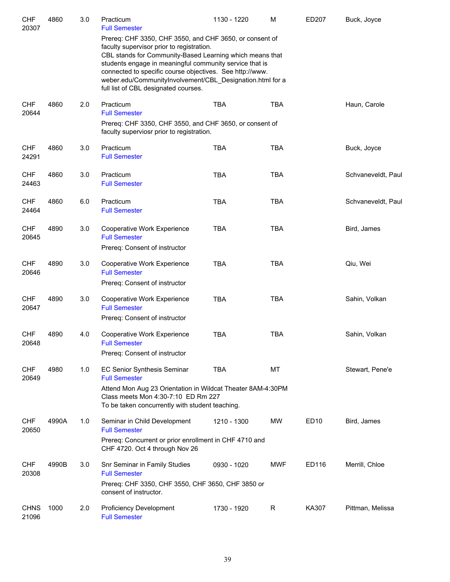| <b>CHF</b><br>20307  | 4860  | 3.0 | Practicum<br><b>Full Semester</b>                                                                                                                                                                                                                                                                                                                                                            | 1130 - 1220 | M          | ED207            | Buck, Joyce        |
|----------------------|-------|-----|----------------------------------------------------------------------------------------------------------------------------------------------------------------------------------------------------------------------------------------------------------------------------------------------------------------------------------------------------------------------------------------------|-------------|------------|------------------|--------------------|
|                      |       |     | Prereq: CHF 3350, CHF 3550, and CHF 3650, or consent of<br>faculty supervisor prior to registration.<br>CBL stands for Community-Based Learning which means that<br>students engage in meaningful community service that is<br>connected to specific course objectives. See http://www.<br>weber.edu/CommunityInvolvement/CBL_Designation.html for a<br>full list of CBL designated courses. |             |            |                  |                    |
| <b>CHF</b><br>20644  | 4860  | 2.0 | Practicum<br><b>Full Semester</b><br>Prereq: CHF 3350, CHF 3550, and CHF 3650, or consent of                                                                                                                                                                                                                                                                                                 | <b>TBA</b>  | <b>TBA</b> |                  | Haun, Carole       |
|                      |       |     | faculty superviosr prior to registration.                                                                                                                                                                                                                                                                                                                                                    |             |            |                  |                    |
| <b>CHF</b><br>24291  | 4860  | 3.0 | Practicum<br><b>Full Semester</b>                                                                                                                                                                                                                                                                                                                                                            | <b>TBA</b>  | <b>TBA</b> |                  | Buck, Joyce        |
| <b>CHF</b><br>24463  | 4860  | 3.0 | Practicum<br><b>Full Semester</b>                                                                                                                                                                                                                                                                                                                                                            | <b>TBA</b>  | <b>TBA</b> |                  | Schvaneveldt, Paul |
| <b>CHF</b><br>24464  | 4860  | 6.0 | Practicum<br><b>Full Semester</b>                                                                                                                                                                                                                                                                                                                                                            | <b>TBA</b>  | <b>TBA</b> |                  | Schvaneveldt, Paul |
| <b>CHF</b><br>20645  | 4890  | 3.0 | Cooperative Work Experience<br><b>Full Semester</b><br>Prereq: Consent of instructor                                                                                                                                                                                                                                                                                                         | <b>TBA</b>  | <b>TBA</b> |                  | Bird, James        |
| <b>CHF</b><br>20646  | 4890  | 3.0 | Cooperative Work Experience<br><b>Full Semester</b><br>Prereq: Consent of instructor                                                                                                                                                                                                                                                                                                         | <b>TBA</b>  | <b>TBA</b> |                  | Qiu, Wei           |
| <b>CHF</b><br>20647  | 4890  | 3.0 | Cooperative Work Experience<br><b>Full Semester</b><br>Prereq: Consent of instructor                                                                                                                                                                                                                                                                                                         | <b>TBA</b>  | <b>TBA</b> |                  | Sahin, Volkan      |
| <b>CHF</b><br>20648  | 4890  | 4.0 | Cooperative Work Experience<br><b>Full Semester</b><br>Prereq: Consent of instructor                                                                                                                                                                                                                                                                                                         | <b>TBA</b>  | <b>TBA</b> |                  | Sahin, Volkan      |
| <b>CHF</b><br>20649  | 4980  | 1.0 | <b>EC Senior Synthesis Seminar</b><br><b>Full Semester</b><br>Attend Mon Aug 23 Orientation in Wildcat Theater 8AM-4:30PM<br>Class meets Mon 4:30-7:10 ED Rm 227<br>To be taken concurrently with student teaching.                                                                                                                                                                          | <b>TBA</b>  | MT         |                  | Stewart, Pene'e    |
| <b>CHF</b><br>20650  | 4990A | 1.0 | Seminar in Child Development<br><b>Full Semester</b><br>Prereq: Concurrent or prior enrollment in CHF 4710 and<br>CHF 4720. Oct 4 through Nov 26                                                                                                                                                                                                                                             | 1210 - 1300 | MW         | ED <sub>10</sub> | Bird, James        |
| <b>CHF</b><br>20308  | 4990B | 3.0 | Snr Seminar in Family Studies<br><b>Full Semester</b><br>Prereq: CHF 3350, CHF 3550, CHF 3650, CHF 3850 or<br>consent of instructor.                                                                                                                                                                                                                                                         | 0930 - 1020 | <b>MWF</b> | ED116            | Merrill, Chloe     |
| <b>CHNS</b><br>21096 | 1000  | 2.0 | Proficiency Development<br><b>Full Semester</b>                                                                                                                                                                                                                                                                                                                                              | 1730 - 1920 | R          | KA307            | Pittman, Melissa   |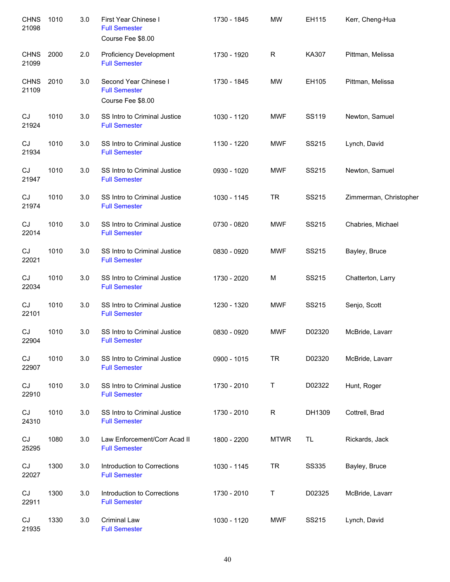| <b>CHNS</b><br>21098       | 1010 | 3.0 | First Year Chinese I<br><b>Full Semester</b><br>Course Fee \$8.00  | 1730 - 1845 | <b>MW</b>    | EH115        | Kerr, Cheng-Hua        |
|----------------------------|------|-----|--------------------------------------------------------------------|-------------|--------------|--------------|------------------------|
| <b>CHNS</b><br>21099       | 2000 | 2.0 | <b>Proficiency Development</b><br><b>Full Semester</b>             | 1730 - 1920 | $\mathsf{R}$ | KA307        | Pittman, Melissa       |
| <b>CHNS</b><br>21109       | 2010 | 3.0 | Second Year Chinese I<br><b>Full Semester</b><br>Course Fee \$8.00 | 1730 - 1845 | <b>MW</b>    | EH105        | Pittman, Melissa       |
| CJ<br>21924                | 1010 | 3.0 | SS Intro to Criminal Justice<br><b>Full Semester</b>               | 1030 - 1120 | MWF          | SS119        | Newton, Samuel         |
| CJ<br>21934                | 1010 | 3.0 | SS Intro to Criminal Justice<br><b>Full Semester</b>               | 1130 - 1220 | <b>MWF</b>   | SS215        | Lynch, David           |
| CJ<br>21947                | 1010 | 3.0 | SS Intro to Criminal Justice<br><b>Full Semester</b>               | 0930 - 1020 | <b>MWF</b>   | SS215        | Newton, Samuel         |
| CJ<br>21974                | 1010 | 3.0 | SS Intro to Criminal Justice<br><b>Full Semester</b>               | 1030 - 1145 | <b>TR</b>    | SS215        | Zimmerman, Christopher |
| CJ<br>22014                | 1010 | 3.0 | SS Intro to Criminal Justice<br><b>Full Semester</b>               | 0730 - 0820 | <b>MWF</b>   | SS215        | Chabries, Michael      |
| CJ<br>22021                | 1010 | 3.0 | SS Intro to Criminal Justice<br><b>Full Semester</b>               | 0830 - 0920 | <b>MWF</b>   | SS215        | Bayley, Bruce          |
| $\mathop{\rm CJ}$<br>22034 | 1010 | 3.0 | SS Intro to Criminal Justice<br><b>Full Semester</b>               | 1730 - 2020 | M            | SS215        | Chatterton, Larry      |
| CJ<br>22101                | 1010 | 3.0 | SS Intro to Criminal Justice<br><b>Full Semester</b>               | 1230 - 1320 | <b>MWF</b>   | SS215        | Senjo, Scott           |
| CJ<br>22904                | 1010 | 3.0 | SS Intro to Criminal Justice<br><b>Full Semester</b>               | 0830 - 0920 | <b>MWF</b>   | D02320       | McBride, Lavarr        |
| CJ<br>22907                | 1010 | 3.0 | SS Intro to Criminal Justice<br><b>Full Semester</b>               | 0900 - 1015 | <b>TR</b>    | D02320       | McBride, Lavarr        |
| CJ<br>22910                | 1010 | 3.0 | SS Intro to Criminal Justice<br><b>Full Semester</b>               | 1730 - 2010 | T            | D02322       | Hunt, Roger            |
| CJ<br>24310                | 1010 | 3.0 | SS Intro to Criminal Justice<br><b>Full Semester</b>               | 1730 - 2010 | R            | DH1309       | Cottrell, Brad         |
| CJ<br>25295                | 1080 | 3.0 | Law Enforcement/Corr Acad II<br><b>Full Semester</b>               | 1800 - 2200 | <b>MTWR</b>  | TL           | Rickards, Jack         |
| CJ<br>22027                | 1300 | 3.0 | Introduction to Corrections<br><b>Full Semester</b>                | 1030 - 1145 | <b>TR</b>    | <b>SS335</b> | Bayley, Bruce          |
| CJ<br>22911                | 1300 | 3.0 | Introduction to Corrections<br><b>Full Semester</b>                | 1730 - 2010 | Τ            | D02325       | McBride, Lavarr        |
| CJ<br>21935                | 1330 | 3.0 | <b>Criminal Law</b><br><b>Full Semester</b>                        | 1030 - 1120 | <b>MWF</b>   | SS215        | Lynch, David           |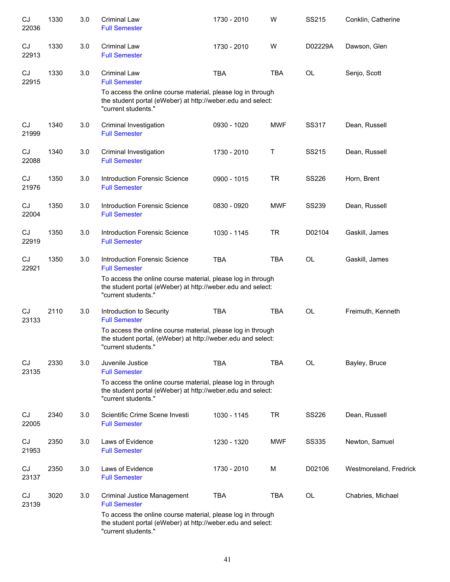| CJ<br>22036 | 1330 | 3.0 | <b>Criminal Law</b><br><b>Full Semester</b>                                                                                                        | 1730 - 2010 | W          | SS215        | Conklin, Catherine     |
|-------------|------|-----|----------------------------------------------------------------------------------------------------------------------------------------------------|-------------|------------|--------------|------------------------|
| CJ<br>22913 | 1330 | 3.0 | <b>Criminal Law</b><br><b>Full Semester</b>                                                                                                        | 1730 - 2010 | W          | D02229A      | Dawson, Glen           |
| CJ<br>22915 | 1330 | 3.0 | <b>Criminal Law</b><br><b>Full Semester</b>                                                                                                        | <b>TBA</b>  | <b>TBA</b> | OL           | Senjo, Scott           |
|             |      |     | To access the online course material, please log in through<br>the student portal (eWeber) at http://weber.edu and select:<br>"current students."  |             |            |              |                        |
| CJ<br>21999 | 1340 | 3.0 | Criminal Investigation<br><b>Full Semester</b>                                                                                                     | 0930 - 1020 | <b>MWF</b> | SS317        | Dean, Russell          |
| CJ<br>22088 | 1340 | 3.0 | Criminal Investigation<br><b>Full Semester</b>                                                                                                     | 1730 - 2010 | Т          | SS215        | Dean, Russell          |
| CJ<br>21976 | 1350 | 3.0 | Introduction Forensic Science<br><b>Full Semester</b>                                                                                              | 0900 - 1015 | <b>TR</b>  | <b>SS226</b> | Horn, Brent            |
| CJ<br>22004 | 1350 | 3.0 | <b>Introduction Forensic Science</b><br><b>Full Semester</b>                                                                                       | 0830 - 0920 | <b>MWF</b> | <b>SS239</b> | Dean, Russell          |
| CJ<br>22919 | 1350 | 3.0 | <b>Introduction Forensic Science</b><br><b>Full Semester</b>                                                                                       | 1030 - 1145 | <b>TR</b>  | D02104       | Gaskill, James         |
| CJ<br>22921 | 1350 | 3.0 | <b>Introduction Forensic Science</b><br><b>Full Semester</b>                                                                                       | <b>TBA</b>  | <b>TBA</b> | OL           | Gaskill, James         |
|             |      |     | To access the online course material, please log in through<br>the student portal (eWeber) at http://weber.edu and select:<br>"current students."  |             |            |              |                        |
| CJ<br>23133 | 2110 | 3.0 | Introduction to Security<br><b>Full Semester</b>                                                                                                   | <b>TBA</b>  | <b>TBA</b> | OL           | Freimuth, Kenneth      |
|             |      |     | To access the online course material, please log in through<br>the student portal, (eWeber) at http://weber.edu and select:<br>"current students." |             |            |              |                        |
| CJ<br>23135 | 2330 | 3.0 | Juvenile Justice<br><b>Full Semester</b>                                                                                                           | <b>TBA</b>  | <b>TBA</b> | OL           | Bayley, Bruce          |
|             |      |     | To access the online course material, please log in through<br>the student portal (eWeber) at http://weber.edu and select:<br>"current students."  |             |            |              |                        |
| CJ<br>22005 | 2340 | 3.0 | Scientific Crime Scene Investi<br><b>Full Semester</b>                                                                                             | 1030 - 1145 | <b>TR</b>  | SS226        | Dean, Russell          |
| CJ<br>21953 | 2350 | 3.0 | Laws of Evidence<br><b>Full Semester</b>                                                                                                           | 1230 - 1320 | <b>MWF</b> | <b>SS335</b> | Newton, Samuel         |
| CJ<br>23137 | 2350 | 3.0 | Laws of Evidence<br><b>Full Semester</b>                                                                                                           | 1730 - 2010 | M          | D02106       | Westmoreland, Fredrick |
| CJ<br>23139 | 3020 | 3.0 | <b>Criminal Justice Management</b><br><b>Full Semester</b>                                                                                         | <b>TBA</b>  | <b>TBA</b> | OL           | Chabries, Michael      |
|             |      |     | To access the online course material, please log in through<br>the student portal (eWeber) at http://weber.edu and select:<br>"current students."  |             |            |              |                        |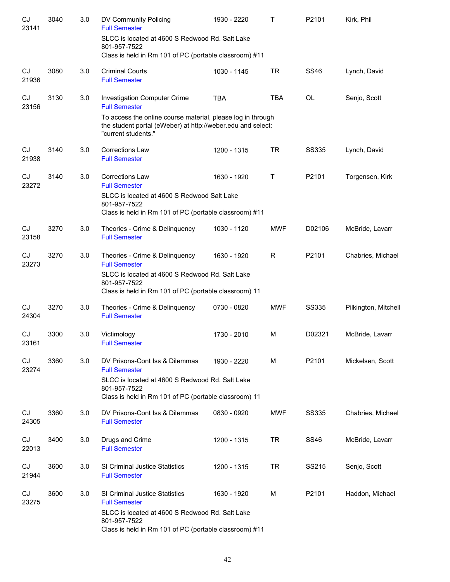| CJ<br>23141        | 3040 | 3.0 | DV Community Policing<br><b>Full Semester</b>                                                                                                     | 1930 - 2220 | T          | P2101        | Kirk, Phil           |
|--------------------|------|-----|---------------------------------------------------------------------------------------------------------------------------------------------------|-------------|------------|--------------|----------------------|
|                    |      |     | SLCC is located at 4600 S Redwood Rd. Salt Lake<br>801-957-7522<br>Class is held in Rm 101 of PC (portable classroom) #11                         |             |            |              |                      |
| CJ<br>21936        | 3080 | 3.0 | <b>Criminal Courts</b><br><b>Full Semester</b>                                                                                                    | 1030 - 1145 | <b>TR</b>  | <b>SS46</b>  | Lynch, David         |
| CJ<br>23156        | 3130 | 3.0 | <b>Investigation Computer Crime</b><br><b>Full Semester</b>                                                                                       | <b>TBA</b>  | <b>TBA</b> | <b>OL</b>    | Senjo, Scott         |
|                    |      |     | To access the online course material, please log in through<br>the student portal (eWeber) at http://weber.edu and select:<br>"current students." |             |            |              |                      |
| <b>CJ</b><br>21938 | 3140 | 3.0 | Corrections Law<br><b>Full Semester</b>                                                                                                           | 1200 - 1315 | <b>TR</b>  | <b>SS335</b> | Lynch, David         |
| CJ<br>23272        | 3140 | 3.0 | <b>Corrections Law</b><br><b>Full Semester</b>                                                                                                    | 1630 - 1920 | Τ          | P2101        | Torgensen, Kirk      |
|                    |      |     | SLCC is located at 4600 S Redwood Salt Lake<br>801-957-7522<br>Class is held in Rm 101 of PC (portable classroom) #11                             |             |            |              |                      |
| <b>CJ</b><br>23158 | 3270 | 3.0 | Theories - Crime & Delinquency<br><b>Full Semester</b>                                                                                            | 1030 - 1120 | <b>MWF</b> | D02106       | McBride, Lavarr      |
| <b>CJ</b><br>23273 | 3270 | 3.0 | Theories - Crime & Delinquency<br><b>Full Semester</b>                                                                                            | 1630 - 1920 | R          | P2101        | Chabries, Michael    |
|                    |      |     | SLCC is located at 4600 S Redwood Rd. Salt Lake<br>801-957-7522<br>Class is held in Rm 101 of PC (portable classroom) 11                          |             |            |              |                      |
| CJ<br>24304        | 3270 | 3.0 | Theories - Crime & Delinquency<br><b>Full Semester</b>                                                                                            | 0730 - 0820 | <b>MWF</b> | <b>SS335</b> | Pilkington, Mitchell |
| CJ<br>23161        | 3300 | 3.0 | Victimology<br><b>Full Semester</b>                                                                                                               | 1730 - 2010 | М          | D02321       | McBride, Lavarr      |
| CJ<br>23274        | 3360 | 3.0 | DV Prisons-Cont Iss & Dilemmas<br><b>Full Semester</b>                                                                                            | 1930 - 2220 | M          | P2101        | Mickelsen, Scott     |
|                    |      |     | SLCC is located at 4600 S Redwood Rd. Salt Lake<br>801-957-7522<br>Class is held in Rm 101 of PC (portable classroom) 11                          |             |            |              |                      |
| CJ<br>24305        | 3360 | 3.0 | DV Prisons-Cont Iss & Dilemmas<br><b>Full Semester</b>                                                                                            | 0830 - 0920 | <b>MWF</b> | SS335        | Chabries, Michael    |
| CJ<br>22013        | 3400 | 3.0 | Drugs and Crime<br><b>Full Semester</b>                                                                                                           | 1200 - 1315 | <b>TR</b>  | <b>SS46</b>  | McBride, Lavarr      |
| CJ<br>21944        | 3600 | 3.0 | <b>SI Criminal Justice Statistics</b><br><b>Full Semester</b>                                                                                     | 1200 - 1315 | TR         | SS215        | Senjo, Scott         |
| CJ<br>23275        | 3600 | 3.0 | SI Criminal Justice Statistics<br><b>Full Semester</b>                                                                                            | 1630 - 1920 | М          | P2101        | Haddon, Michael      |
|                    |      |     | SLCC is located at 4600 S Redwood Rd. Salt Lake<br>801-957-7522<br>Class is held in Rm 101 of PC (portable classroom) #11                         |             |            |              |                      |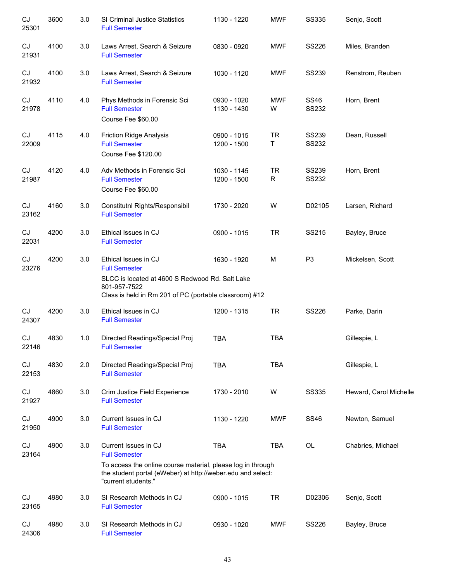| CJ<br>25301 | 3600 | 3.0 | SI Criminal Justice Statistics<br><b>Full Semester</b>                                                                                                                                            | 1130 - 1220                | <b>MWF</b>               | <b>SS335</b>                 | Senjo, Scott           |
|-------------|------|-----|---------------------------------------------------------------------------------------------------------------------------------------------------------------------------------------------------|----------------------------|--------------------------|------------------------------|------------------------|
| CJ<br>21931 | 4100 | 3.0 | Laws Arrest, Search & Seizure<br><b>Full Semester</b>                                                                                                                                             | 0830 - 0920                | <b>MWF</b>               | <b>SS226</b>                 | Miles, Branden         |
| CJ<br>21932 | 4100 | 3.0 | Laws Arrest, Search & Seizure<br><b>Full Semester</b>                                                                                                                                             | 1030 - 1120                | <b>MWF</b>               | <b>SS239</b>                 | Renstrom, Reuben       |
| CJ<br>21978 | 4110 | 4.0 | Phys Methods in Forensic Sci<br><b>Full Semester</b><br>Course Fee \$60.00                                                                                                                        | 0930 - 1020<br>1130 - 1430 | <b>MWF</b><br>W          | <b>SS46</b><br><b>SS232</b>  | Horn, Brent            |
| CJ<br>22009 | 4115 | 4.0 | <b>Friction Ridge Analysis</b><br><b>Full Semester</b><br>Course Fee \$120.00                                                                                                                     | 0900 - 1015<br>1200 - 1500 | <b>TR</b><br>Τ           | <b>SS239</b><br><b>SS232</b> | Dean, Russell          |
| CJ<br>21987 | 4120 | 4.0 | Adv Methods in Forensic Sci<br><b>Full Semester</b><br>Course Fee \$60.00                                                                                                                         | 1030 - 1145<br>1200 - 1500 | <b>TR</b><br>$\mathsf R$ | <b>SS239</b><br>SS232        | Horn, Brent            |
| CJ<br>23162 | 4160 | 3.0 | Constitutnl Rights/Responsibil<br><b>Full Semester</b>                                                                                                                                            | 1730 - 2020                | W                        | D02105                       | Larsen, Richard        |
| CJ<br>22031 | 4200 | 3.0 | Ethical Issues in CJ<br><b>Full Semester</b>                                                                                                                                                      | 0900 - 1015                | <b>TR</b>                | SS215                        | Bayley, Bruce          |
| CJ<br>23276 | 4200 | 3.0 | Ethical Issues in CJ<br><b>Full Semester</b><br>SLCC is located at 4600 S Redwood Rd. Salt Lake<br>801-957-7522<br>Class is held in Rm 201 of PC (portable classroom) #12                         | 1630 - 1920                | M                        | P <sub>3</sub>               | Mickelsen, Scott       |
| CJ<br>24307 | 4200 | 3.0 | Ethical Issues in CJ<br><b>Full Semester</b>                                                                                                                                                      | 1200 - 1315                | <b>TR</b>                | <b>SS226</b>                 | Parke, Darin           |
| CJ<br>22146 | 4830 | 1.0 | Directed Readings/Special Proj<br><b>Full Semester</b>                                                                                                                                            | <b>TBA</b>                 | <b>TBA</b>               |                              | Gillespie, L           |
| CJ<br>22153 | 4830 | 2.0 | Directed Readings/Special Proj<br><b>Full Semester</b>                                                                                                                                            | <b>TBA</b>                 | <b>TBA</b>               |                              | Gillespie, L           |
| CJ<br>21927 | 4860 | 3.0 | Crim Justice Field Experience<br><b>Full Semester</b>                                                                                                                                             | 1730 - 2010                | W                        | <b>SS335</b>                 | Heward, Carol Michelle |
| CJ<br>21950 | 4900 | 3.0 | Current Issues in CJ<br><b>Full Semester</b>                                                                                                                                                      | 1130 - 1220                | <b>MWF</b>               | <b>SS46</b>                  | Newton, Samuel         |
| CJ<br>23164 | 4900 | 3.0 | Current Issues in CJ<br><b>Full Semester</b><br>To access the online course material, please log in through<br>the student portal (eWeber) at http://weber.edu and select:<br>"current students." | <b>TBA</b>                 | <b>TBA</b>               | OL                           | Chabries, Michael      |
| CJ<br>23165 | 4980 | 3.0 | SI Research Methods in CJ<br><b>Full Semester</b>                                                                                                                                                 | 0900 - 1015                | <b>TR</b>                | D02306                       | Senjo, Scott           |
| CJ<br>24306 | 4980 | 3.0 | SI Research Methods in CJ<br><b>Full Semester</b>                                                                                                                                                 | 0930 - 1020                | <b>MWF</b>               | <b>SS226</b>                 | Bayley, Bruce          |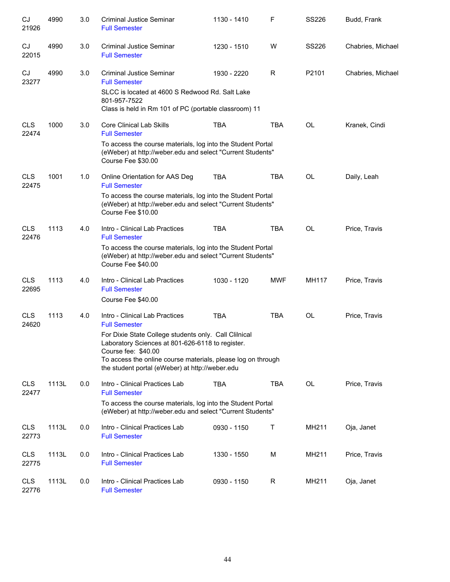| CJ<br>21926         | 4990  | 3.0 | <b>Criminal Justice Seminar</b><br><b>Full Semester</b>                                                                                                                                          | 1130 - 1410 | F          | SS226        | Budd, Frank       |
|---------------------|-------|-----|--------------------------------------------------------------------------------------------------------------------------------------------------------------------------------------------------|-------------|------------|--------------|-------------------|
| CJ<br>22015         | 4990  | 3.0 | <b>Criminal Justice Seminar</b><br><b>Full Semester</b>                                                                                                                                          | 1230 - 1510 | W          | <b>SS226</b> | Chabries, Michael |
| CJ<br>23277         | 4990  | 3.0 | Criminal Justice Seminar<br><b>Full Semester</b>                                                                                                                                                 | 1930 - 2220 | R          | P2101        | Chabries, Michael |
|                     |       |     | SLCC is located at 4600 S Redwood Rd. Salt Lake<br>801-957-7522<br>Class is held in Rm 101 of PC (portable classroom) 11                                                                         |             |            |              |                   |
| <b>CLS</b><br>22474 | 1000  | 3.0 | <b>Core Clinical Lab Skills</b><br><b>Full Semester</b>                                                                                                                                          | <b>TBA</b>  | <b>TBA</b> | OL           | Kranek, Cindi     |
|                     |       |     | To access the course materials, log into the Student Portal<br>(eWeber) at http://weber.edu and select "Current Students"<br>Course Fee \$30.00                                                  |             |            |              |                   |
| <b>CLS</b><br>22475 | 1001  | 1.0 | Online Orientation for AAS Deg<br><b>Full Semester</b>                                                                                                                                           | <b>TBA</b>  | <b>TBA</b> | <b>OL</b>    | Daily, Leah       |
|                     |       |     | To access the course materials, log into the Student Portal<br>(eWeber) at http://weber.edu and select "Current Students"<br>Course Fee \$10.00                                                  |             |            |              |                   |
| <b>CLS</b><br>22476 | 1113  | 4.0 | Intro - Clinical Lab Practices<br><b>Full Semester</b>                                                                                                                                           | <b>TBA</b>  | <b>TBA</b> | <b>OL</b>    | Price, Travis     |
|                     |       |     | To access the course materials, log into the Student Portal<br>(eWeber) at http://weber.edu and select "Current Students"<br>Course Fee \$40.00                                                  |             |            |              |                   |
| <b>CLS</b><br>22695 | 1113  | 4.0 | Intro - Clinical Lab Practices<br><b>Full Semester</b><br>Course Fee \$40.00                                                                                                                     | 1030 - 1120 | <b>MWF</b> | MH117        | Price, Travis     |
| <b>CLS</b><br>24620 | 1113  | 4.0 | Intro - Clinical Lab Practices<br><b>Full Semester</b>                                                                                                                                           | <b>TBA</b>  | <b>TBA</b> | <b>OL</b>    | Price, Travis     |
|                     |       |     | For Dixie State College students only. Call Clilnical<br>Laboratory Sciences at 801-626-6118 to register.<br>Course fee: \$40.00<br>To access the online course materials, please log on through |             |            |              |                   |
| <b>CLS</b>          | 1113L | 0.0 | the student portal (eWeber) at http://weber.edu<br>Intro - Clinical Practices Lab                                                                                                                | <b>TBA</b>  | <b>TBA</b> | OL           | Price, Travis     |
| 22477               |       |     | <b>Full Semester</b><br>To access the course materials, log into the Student Portal<br>(eWeber) at http://weber.edu and select "Current Students"                                                |             |            |              |                   |
| <b>CLS</b><br>22773 | 1113L | 0.0 | Intro - Clinical Practices Lab<br><b>Full Semester</b>                                                                                                                                           | 0930 - 1150 | Τ          | MH211        | Oja, Janet        |
| <b>CLS</b><br>22775 | 1113L | 0.0 | Intro - Clinical Practices Lab<br><b>Full Semester</b>                                                                                                                                           | 1330 - 1550 | М          | MH211        | Price, Travis     |
| <b>CLS</b><br>22776 | 1113L | 0.0 | Intro - Clinical Practices Lab<br><b>Full Semester</b>                                                                                                                                           | 0930 - 1150 | R          | MH211        | Oja, Janet        |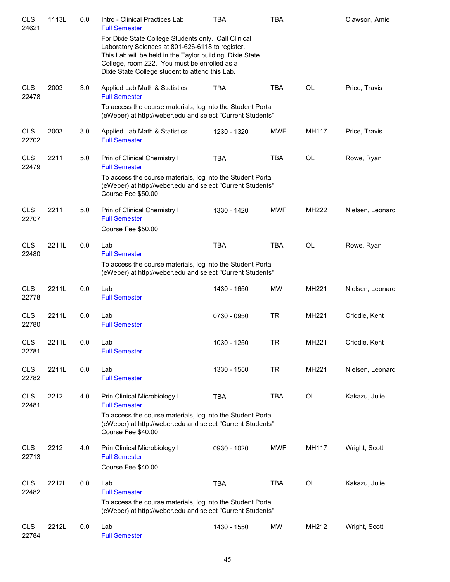| <b>CLS</b><br>24621 | 1113L | 0.0 | Intro - Clinical Practices Lab<br><b>Full Semester</b>                                                                                                                                                                                                                   | <b>TBA</b>  | <b>TBA</b> |              | Clawson, Amie    |
|---------------------|-------|-----|--------------------------------------------------------------------------------------------------------------------------------------------------------------------------------------------------------------------------------------------------------------------------|-------------|------------|--------------|------------------|
|                     |       |     | For Dixie State College Students only. Call Clinical<br>Laboratory Sciences at 801-626-6118 to register.<br>This Lab will be held in the Taylor building, Dixie State<br>College, room 222. You must be enrolled as a<br>Dixie State College student to attend this Lab. |             |            |              |                  |
| <b>CLS</b><br>22478 | 2003  | 3.0 | Applied Lab Math & Statistics<br><b>Full Semester</b>                                                                                                                                                                                                                    | <b>TBA</b>  | <b>TBA</b> | OL           | Price, Travis    |
|                     |       |     | To access the course materials, log into the Student Portal<br>(eWeber) at http://weber.edu and select "Current Students"                                                                                                                                                |             |            |              |                  |
| <b>CLS</b><br>22702 | 2003  | 3.0 | Applied Lab Math & Statistics<br><b>Full Semester</b>                                                                                                                                                                                                                    | 1230 - 1320 | <b>MWF</b> | MH117        | Price, Travis    |
| <b>CLS</b><br>22479 | 2211  | 5.0 | Prin of Clinical Chemistry I<br><b>Full Semester</b>                                                                                                                                                                                                                     | <b>TBA</b>  | <b>TBA</b> | OL           | Rowe, Ryan       |
|                     |       |     | To access the course materials, log into the Student Portal<br>(eWeber) at http://weber.edu and select "Current Students"<br>Course Fee \$50.00                                                                                                                          |             |            |              |                  |
| <b>CLS</b><br>22707 | 2211  | 5.0 | Prin of Clinical Chemistry I<br><b>Full Semester</b><br>Course Fee \$50.00                                                                                                                                                                                               | 1330 - 1420 | <b>MWF</b> | <b>MH222</b> | Nielsen, Leonard |
| <b>CLS</b><br>22480 | 2211L | 0.0 | Lab<br><b>Full Semester</b>                                                                                                                                                                                                                                              | <b>TBA</b>  | <b>TBA</b> | OL           | Rowe, Ryan       |
|                     |       |     | To access the course materials, log into the Student Portal<br>(eWeber) at http://weber.edu and select "Current Students"                                                                                                                                                |             |            |              |                  |
| <b>CLS</b><br>22778 | 2211L | 0.0 | Lab<br><b>Full Semester</b>                                                                                                                                                                                                                                              | 1430 - 1650 | <b>MW</b>  | MH221        | Nielsen, Leonard |
| <b>CLS</b><br>22780 | 2211L | 0.0 | Lab<br><b>Full Semester</b>                                                                                                                                                                                                                                              | 0730 - 0950 | <b>TR</b>  | <b>MH221</b> | Criddle, Kent    |
| <b>CLS</b><br>22781 | 2211L | 0.0 | Lab<br><b>Full Semester</b>                                                                                                                                                                                                                                              | 1030 - 1250 | TR         | MH221        | Criddle, Kent    |
| <b>CLS</b><br>22782 | 2211L | 0.0 | Lab<br><b>Full Semester</b>                                                                                                                                                                                                                                              | 1330 - 1550 | <b>TR</b>  | MH221        | Nielsen, Leonard |
| <b>CLS</b><br>22481 | 2212  | 4.0 | Prin Clinical Microbiology I<br><b>Full Semester</b>                                                                                                                                                                                                                     | <b>TBA</b>  | <b>TBA</b> | OL           | Kakazu, Julie    |
|                     |       |     | To access the course materials, log into the Student Portal<br>(eWeber) at http://weber.edu and select "Current Students"<br>Course Fee \$40.00                                                                                                                          |             |            |              |                  |
| <b>CLS</b><br>22713 | 2212  | 4.0 | Prin Clinical Microbiology I<br><b>Full Semester</b><br>Course Fee \$40.00                                                                                                                                                                                               | 0930 - 1020 | <b>MWF</b> | MH117        | Wright, Scott    |
| <b>CLS</b><br>22482 | 2212L | 0.0 | Lab<br><b>Full Semester</b>                                                                                                                                                                                                                                              | <b>TBA</b>  | <b>TBA</b> | <b>OL</b>    | Kakazu, Julie    |
|                     |       |     | To access the course materials, log into the Student Portal<br>(eWeber) at http://weber.edu and select "Current Students"                                                                                                                                                |             |            |              |                  |
| <b>CLS</b><br>22784 | 2212L | 0.0 | Lab<br><b>Full Semester</b>                                                                                                                                                                                                                                              | 1430 - 1550 | <b>MW</b>  | MH212        | Wright, Scott    |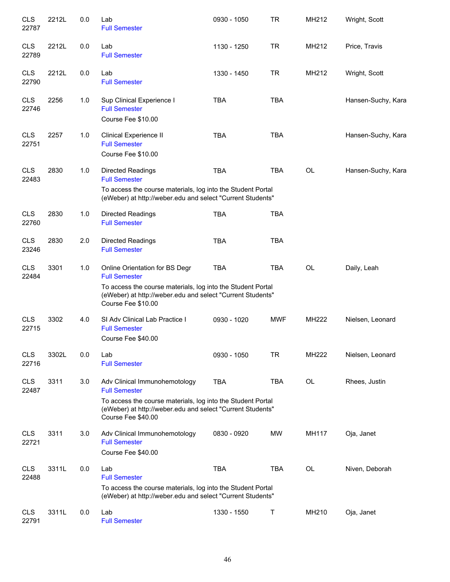| <b>CLS</b><br>22787 | 2212L | 0.0 | Lab<br><b>Full Semester</b>                                                                                                                                                                               | 0930 - 1050 | <b>TR</b>  | MH212     | Wright, Scott      |
|---------------------|-------|-----|-----------------------------------------------------------------------------------------------------------------------------------------------------------------------------------------------------------|-------------|------------|-----------|--------------------|
| <b>CLS</b><br>22789 | 2212L | 0.0 | Lab<br><b>Full Semester</b>                                                                                                                                                                               | 1130 - 1250 | <b>TR</b>  | MH212     | Price, Travis      |
| <b>CLS</b><br>22790 | 2212L | 0.0 | Lab<br><b>Full Semester</b>                                                                                                                                                                               | 1330 - 1450 | <b>TR</b>  | MH212     | Wright, Scott      |
| <b>CLS</b><br>22746 | 2256  | 1.0 | Sup Clinical Experience I<br><b>Full Semester</b><br>Course Fee \$10.00                                                                                                                                   | <b>TBA</b>  | <b>TBA</b> |           | Hansen-Suchy, Kara |
| <b>CLS</b><br>22751 | 2257  | 1.0 | Clinical Experience II<br><b>Full Semester</b><br>Course Fee \$10.00                                                                                                                                      | <b>TBA</b>  | <b>TBA</b> |           | Hansen-Suchy, Kara |
| <b>CLS</b><br>22483 | 2830  | 1.0 | <b>Directed Readings</b><br><b>Full Semester</b><br>To access the course materials, log into the Student Portal<br>(eWeber) at http://weber.edu and select "Current Students"                             | <b>TBA</b>  | <b>TBA</b> | <b>OL</b> | Hansen-Suchy, Kara |
| <b>CLS</b><br>22760 | 2830  | 1.0 | <b>Directed Readings</b><br><b>Full Semester</b>                                                                                                                                                          | <b>TBA</b>  | <b>TBA</b> |           |                    |
| <b>CLS</b><br>23246 | 2830  | 2.0 | Directed Readings<br><b>Full Semester</b>                                                                                                                                                                 | <b>TBA</b>  | <b>TBA</b> |           |                    |
| <b>CLS</b><br>22484 | 3301  | 1.0 | Online Orientation for BS Degr<br><b>Full Semester</b><br>To access the course materials, log into the Student Portal<br>(eWeber) at http://weber.edu and select "Current Students"<br>Course Fee \$10.00 | <b>TBA</b>  | <b>TBA</b> | OL        | Daily, Leah        |
| <b>CLS</b><br>22715 | 3302  | 4.0 | SI Adv Clinical Lab Practice I<br><b>Full Semester</b><br>Course Fee \$40.00                                                                                                                              | 0930 - 1020 | <b>MWF</b> | MH222     | Nielsen, Leonard   |
| <b>CLS</b><br>22716 | 3302L | 0.0 | Lab<br><b>Full Semester</b>                                                                                                                                                                               | 0930 - 1050 | <b>TR</b>  | MH222     | Nielsen, Leonard   |
| <b>CLS</b><br>22487 | 3311  | 3.0 | Adv Clinical Immunohemotology<br><b>Full Semester</b><br>To access the course materials, log into the Student Portal<br>(eWeber) at http://weber.edu and select "Current Students"<br>Course Fee \$40.00  | <b>TBA</b>  | <b>TBA</b> | <b>OL</b> | Rhees, Justin      |
| <b>CLS</b><br>22721 | 3311  | 3.0 | Adv Clinical Immunohemotology<br><b>Full Semester</b><br>Course Fee \$40.00                                                                                                                               | 0830 - 0920 | MW         | MH117     | Oja, Janet         |
| <b>CLS</b><br>22488 | 3311L | 0.0 | Lab<br><b>Full Semester</b><br>To access the course materials, log into the Student Portal<br>(eWeber) at http://weber.edu and select "Current Students"                                                  | <b>TBA</b>  | <b>TBA</b> | OL        | Niven, Deborah     |
| <b>CLS</b><br>22791 | 3311L | 0.0 | Lab<br><b>Full Semester</b>                                                                                                                                                                               | 1330 - 1550 | Τ          | MH210     | Oja, Janet         |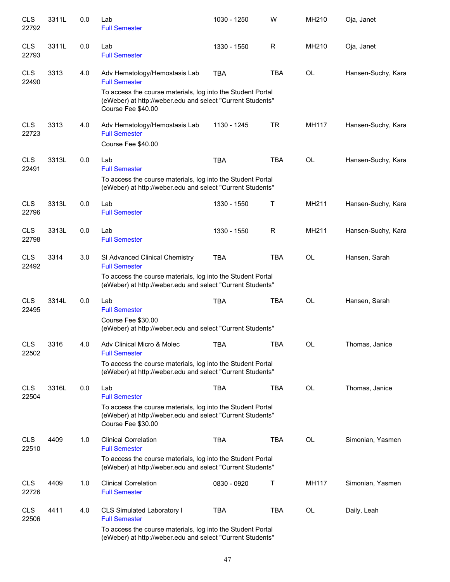| <b>CLS</b><br>22792 | 3311L | 0.0 | Lab<br><b>Full Semester</b>                                                                                                                       | 1030 - 1250 | W          | MH210        | Oja, Janet         |
|---------------------|-------|-----|---------------------------------------------------------------------------------------------------------------------------------------------------|-------------|------------|--------------|--------------------|
| <b>CLS</b><br>22793 | 3311L | 0.0 | Lab<br><b>Full Semester</b>                                                                                                                       | 1330 - 1550 | R          | MH210        | Oja, Janet         |
| <b>CLS</b><br>22490 | 3313  | 4.0 | Adv Hematology/Hemostasis Lab<br><b>Full Semester</b>                                                                                             | <b>TBA</b>  | <b>TBA</b> | <b>OL</b>    | Hansen-Suchy, Kara |
|                     |       |     | To access the course materials, log into the Student Portal<br>(eWeber) at http://weber.edu and select "Current Students"<br>Course Fee \$40.00   |             |            |              |                    |
| <b>CLS</b><br>22723 | 3313  | 4.0 | Adv Hematology/Hemostasis Lab<br><b>Full Semester</b><br>Course Fee \$40.00                                                                       | 1130 - 1245 | <b>TR</b>  | <b>MH117</b> | Hansen-Suchy, Kara |
| <b>CLS</b>          | 3313L | 0.0 | Lab                                                                                                                                               | <b>TBA</b>  | <b>TBA</b> | <b>OL</b>    | Hansen-Suchy, Kara |
| 22491               |       |     | <b>Full Semester</b><br>To access the course materials, log into the Student Portal<br>(eWeber) at http://weber.edu and select "Current Students" |             |            |              |                    |
| <b>CLS</b><br>22796 | 3313L | 0.0 | Lab<br><b>Full Semester</b>                                                                                                                       | 1330 - 1550 | Τ          | MH211        | Hansen-Suchy, Kara |
| <b>CLS</b><br>22798 | 3313L | 0.0 | Lab<br><b>Full Semester</b>                                                                                                                       | 1330 - 1550 | R          | MH211        | Hansen-Suchy, Kara |
| <b>CLS</b><br>22492 | 3314  | 3.0 | SI Advanced Clinical Chemistry<br><b>Full Semester</b>                                                                                            | <b>TBA</b>  | <b>TBA</b> | OL           | Hansen, Sarah      |
|                     |       |     | To access the course materials, log into the Student Portal<br>(eWeber) at http://weber.edu and select "Current Students"                         |             |            |              |                    |
| <b>CLS</b><br>22495 | 3314L | 0.0 | Lab<br><b>Full Semester</b>                                                                                                                       | <b>TBA</b>  | <b>TBA</b> | OL           | Hansen, Sarah      |
|                     |       |     | Course Fee \$30.00<br>(eWeber) at http://weber.edu and select "Current Students"                                                                  |             |            |              |                    |
| CLS<br>22502        | 3316  | 4.0 | Adv Clinical Micro & Molec<br><b>Full Semester</b>                                                                                                | TBA         | <b>TBA</b> | OL           | Thomas, Janice     |
|                     |       |     | To access the course materials, log into the Student Portal<br>(eWeber) at http://weber.edu and select "Current Students"                         |             |            |              |                    |
| <b>CLS</b><br>22504 | 3316L | 0.0 | Lab<br><b>Full Semester</b>                                                                                                                       | TBA         | TBA        | OL           | Thomas, Janice     |
|                     |       |     | To access the course materials, log into the Student Portal<br>(eWeber) at http://weber.edu and select "Current Students"<br>Course Fee \$30.00   |             |            |              |                    |
| <b>CLS</b><br>22510 | 4409  | 1.0 | <b>Clinical Correlation</b><br><b>Full Semester</b>                                                                                               | TBA         | <b>TBA</b> | OL           | Simonian, Yasmen   |
|                     |       |     | To access the course materials, log into the Student Portal<br>(eWeber) at http://weber.edu and select "Current Students"                         |             |            |              |                    |
| <b>CLS</b><br>22726 | 4409  | 1.0 | <b>Clinical Correlation</b><br><b>Full Semester</b>                                                                                               | 0830 - 0920 | Τ          | MH117        | Simonian, Yasmen   |
| <b>CLS</b><br>22506 | 4411  | 4.0 | CLS Simulated Laboratory I<br><b>Full Semester</b>                                                                                                | <b>TBA</b>  | TBA        | OL           | Daily, Leah        |
|                     |       |     | To access the course materials, log into the Student Portal<br>(eWeber) at http://weber.edu and select "Current Students"                         |             |            |              |                    |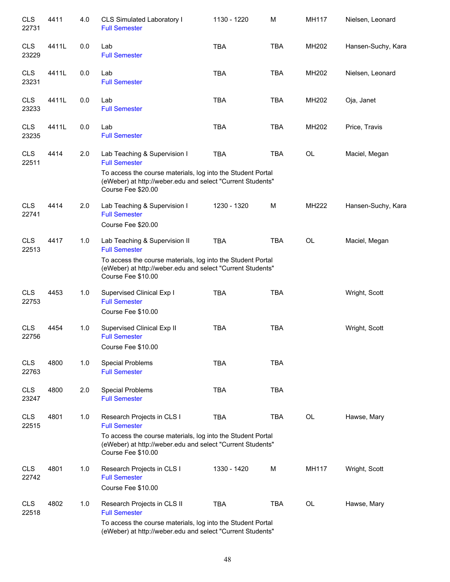| <b>CLS</b><br>22731 | 4411  | 4.0 | CLS Simulated Laboratory I<br><b>Full Semester</b>                                                                                                                                                       | 1130 - 1220 | M          | MH117     | Nielsen, Leonard   |
|---------------------|-------|-----|----------------------------------------------------------------------------------------------------------------------------------------------------------------------------------------------------------|-------------|------------|-----------|--------------------|
| <b>CLS</b><br>23229 | 4411L | 0.0 | Lab<br><b>Full Semester</b>                                                                                                                                                                              | <b>TBA</b>  | <b>TBA</b> | MH202     | Hansen-Suchy, Kara |
| <b>CLS</b><br>23231 | 4411L | 0.0 | Lab<br><b>Full Semester</b>                                                                                                                                                                              | <b>TBA</b>  | <b>TBA</b> | MH202     | Nielsen, Leonard   |
| <b>CLS</b><br>23233 | 4411L | 0.0 | Lab<br><b>Full Semester</b>                                                                                                                                                                              | <b>TBA</b>  | <b>TBA</b> | MH202     | Oja, Janet         |
| <b>CLS</b><br>23235 | 4411L | 0.0 | Lab<br><b>Full Semester</b>                                                                                                                                                                              | <b>TBA</b>  | <b>TBA</b> | MH202     | Price, Travis      |
| <b>CLS</b><br>22511 | 4414  | 2.0 | Lab Teaching & Supervision I<br><b>Full Semester</b>                                                                                                                                                     | <b>TBA</b>  | <b>TBA</b> | OL        | Maciel, Megan      |
|                     |       |     | To access the course materials, log into the Student Portal<br>(eWeber) at http://weber.edu and select "Current Students"<br>Course Fee \$20.00                                                          |             |            |           |                    |
| <b>CLS</b><br>22741 | 4414  | 2.0 | Lab Teaching & Supervision I<br><b>Full Semester</b><br>Course Fee \$20.00                                                                                                                               | 1230 - 1320 | M          | MH222     | Hansen-Suchy, Kara |
| <b>CLS</b><br>22513 | 4417  | 1.0 | Lab Teaching & Supervision II<br><b>Full Semester</b><br>To access the course materials, log into the Student Portal<br>(eWeber) at http://weber.edu and select "Current Students"<br>Course Fee \$10.00 | <b>TBA</b>  | <b>TBA</b> | <b>OL</b> | Maciel, Megan      |
| <b>CLS</b><br>22753 | 4453  | 1.0 | Supervised Clinical Exp I<br><b>Full Semester</b><br>Course Fee \$10.00                                                                                                                                  | <b>TBA</b>  | <b>TBA</b> |           | Wright, Scott      |
| <b>CLS</b><br>22756 | 4454  | 1.0 | Supervised Clinical Exp II<br><b>Full Semester</b><br>Course Fee \$10.00                                                                                                                                 | <b>TBA</b>  | <b>TBA</b> |           | Wright, Scott      |
| <b>CLS</b><br>22763 | 4800  | 1.0 | <b>Special Problems</b><br><b>Full Semester</b>                                                                                                                                                          | <b>TBA</b>  | <b>TBA</b> |           |                    |
| <b>CLS</b><br>23247 | 4800  | 2.0 | <b>Special Problems</b><br><b>Full Semester</b>                                                                                                                                                          | <b>TBA</b>  | <b>TBA</b> |           |                    |
| <b>CLS</b><br>22515 | 4801  | 1.0 | Research Projects in CLS I<br><b>Full Semester</b><br>To access the course materials, log into the Student Portal<br>(eWeber) at http://weber.edu and select "Current Students"<br>Course Fee \$10.00    | <b>TBA</b>  | <b>TBA</b> | OL        | Hawse, Mary        |
| <b>CLS</b><br>22742 | 4801  | 1.0 | Research Projects in CLS I<br><b>Full Semester</b><br>Course Fee \$10.00                                                                                                                                 | 1330 - 1420 | М          | MH117     | Wright, Scott      |
| <b>CLS</b><br>22518 | 4802  | 1.0 | Research Projects in CLS II<br><b>Full Semester</b><br>To access the course materials, log into the Student Portal<br>(eWeber) at http://weber.edu and select "Current Students"                         | <b>TBA</b>  | <b>TBA</b> | OL        | Hawse, Mary        |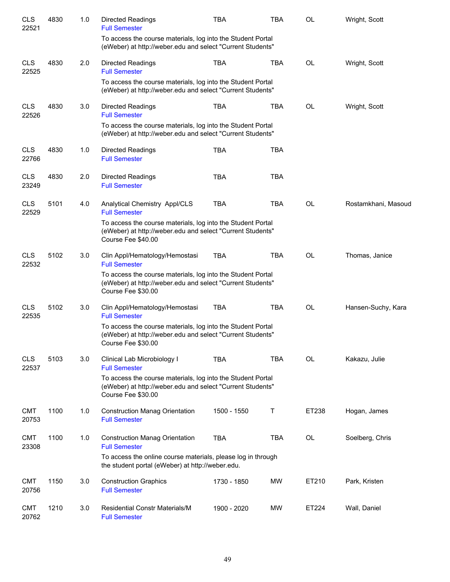| <b>CLS</b><br>22521 | 4830 | 1.0 | <b>Directed Readings</b><br><b>Full Semester</b>                                                                                                | <b>TBA</b>  | <b>TBA</b> | OL        | Wright, Scott       |
|---------------------|------|-----|-------------------------------------------------------------------------------------------------------------------------------------------------|-------------|------------|-----------|---------------------|
|                     |      |     | To access the course materials, log into the Student Portal<br>(eWeber) at http://weber.edu and select "Current Students"                       |             |            |           |                     |
| <b>CLS</b><br>22525 | 4830 | 2.0 | <b>Directed Readings</b><br><b>Full Semester</b>                                                                                                | <b>TBA</b>  | TBA        | <b>OL</b> | Wright, Scott       |
|                     |      |     | To access the course materials, log into the Student Portal<br>(eWeber) at http://weber.edu and select "Current Students"                       |             |            |           |                     |
| <b>CLS</b><br>22526 | 4830 | 3.0 | <b>Directed Readings</b><br><b>Full Semester</b>                                                                                                | <b>TBA</b>  | <b>TBA</b> | <b>OL</b> | Wright, Scott       |
|                     |      |     | To access the course materials, log into the Student Portal<br>(eWeber) at http://weber.edu and select "Current Students"                       |             |            |           |                     |
| <b>CLS</b><br>22766 | 4830 | 1.0 | <b>Directed Readings</b><br><b>Full Semester</b>                                                                                                | <b>TBA</b>  | <b>TBA</b> |           |                     |
| <b>CLS</b><br>23249 | 4830 | 2.0 | <b>Directed Readings</b><br><b>Full Semester</b>                                                                                                | <b>TBA</b>  | <b>TBA</b> |           |                     |
| <b>CLS</b><br>22529 | 5101 | 4.0 | Analytical Chemistry Appl/CLS<br><b>Full Semester</b>                                                                                           | <b>TBA</b>  | <b>TBA</b> | <b>OL</b> | Rostamkhani, Masoud |
|                     |      |     | To access the course materials, log into the Student Portal<br>(eWeber) at http://weber.edu and select "Current Students"<br>Course Fee \$40.00 |             |            |           |                     |
| <b>CLS</b><br>22532 | 5102 | 3.0 | Clin Appl/Hematology/Hemostasi<br><b>Full Semester</b>                                                                                          | <b>TBA</b>  | <b>TBA</b> | <b>OL</b> | Thomas, Janice      |
|                     |      |     | To access the course materials, log into the Student Portal<br>(eWeber) at http://weber.edu and select "Current Students"<br>Course Fee \$30.00 |             |            |           |                     |
| <b>CLS</b><br>22535 | 5102 | 3.0 | Clin Appl/Hematology/Hemostasi<br><b>Full Semester</b>                                                                                          | <b>TBA</b>  | <b>TBA</b> | <b>OL</b> | Hansen-Suchy, Kara  |
|                     |      |     | To access the course materials, log into the Student Portal<br>(eWeber) at http://weber.edu and select "Current Students"<br>Course Fee \$30.00 |             |            |           |                     |
| <b>CLS</b><br>22537 | 5103 | 3.0 | Clinical Lab Microbiology I<br><b>Full Semester</b>                                                                                             | <b>TBA</b>  | <b>TBA</b> | <b>OL</b> | Kakazu, Julie       |
|                     |      |     | To access the course materials, log into the Student Portal<br>(eWeber) at http://weber.edu and select "Current Students"<br>Course Fee \$30.00 |             |            |           |                     |
| <b>CMT</b><br>20753 | 1100 | 1.0 | <b>Construction Manag Orientation</b><br><b>Full Semester</b>                                                                                   | 1500 - 1550 | Т          | ET238     | Hogan, James        |
| <b>CMT</b><br>23308 | 1100 | 1.0 | <b>Construction Manag Orientation</b><br><b>Full Semester</b>                                                                                   | <b>TBA</b>  | <b>TBA</b> | OL        | Soelberg, Chris     |
|                     |      |     | To access the online course materials, please log in through<br>the student portal (eWeber) at http://weber.edu.                                |             |            |           |                     |
| <b>CMT</b><br>20756 | 1150 | 3.0 | <b>Construction Graphics</b><br><b>Full Semester</b>                                                                                            | 1730 - 1850 | MW         | ET210     | Park, Kristen       |
| <b>CMT</b><br>20762 | 1210 | 3.0 | <b>Residential Constr Materials/M</b><br><b>Full Semester</b>                                                                                   | 1900 - 2020 | MW         | ET224     | Wall, Daniel        |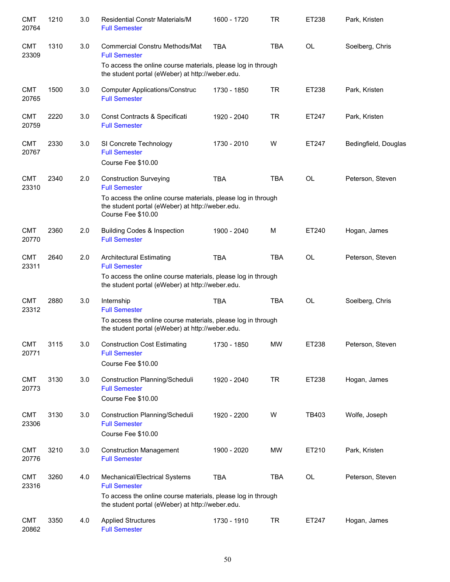| <b>CMT</b><br>20764 | 1210 | 3.0 | <b>Residential Constr Materials/M</b><br><b>Full Semester</b>                                                                          | 1600 - 1720 | <b>TR</b>  | ET238     | Park, Kristen        |
|---------------------|------|-----|----------------------------------------------------------------------------------------------------------------------------------------|-------------|------------|-----------|----------------------|
| <b>CMT</b><br>23309 | 1310 | 3.0 | Commercial Constru Methods/Mat<br><b>Full Semester</b>                                                                                 | <b>TBA</b>  | <b>TBA</b> | <b>OL</b> | Soelberg, Chris      |
|                     |      |     | To access the online course materials, please log in through<br>the student portal (eWeber) at http://weber.edu.                       |             |            |           |                      |
| <b>CMT</b><br>20765 | 1500 | 3.0 | <b>Computer Applications/Construc</b><br><b>Full Semester</b>                                                                          | 1730 - 1850 | TR         | ET238     | Park, Kristen        |
| <b>CMT</b><br>20759 | 2220 | 3.0 | Const Contracts & Specificati<br><b>Full Semester</b>                                                                                  | 1920 - 2040 | <b>TR</b>  | ET247     | Park, Kristen        |
| <b>CMT</b><br>20767 | 2330 | 3.0 | SI Concrete Technology<br><b>Full Semester</b>                                                                                         | 1730 - 2010 | W          | ET247     | Bedingfield, Douglas |
|                     |      |     | Course Fee \$10.00                                                                                                                     |             |            |           |                      |
| <b>CMT</b><br>23310 | 2340 | 2.0 | <b>Construction Surveying</b><br><b>Full Semester</b>                                                                                  | <b>TBA</b>  | <b>TBA</b> | <b>OL</b> | Peterson, Steven     |
|                     |      |     | To access the online course materials, please log in through<br>the student portal (eWeber) at http://weber.edu.<br>Course Fee \$10.00 |             |            |           |                      |
| <b>CMT</b><br>20770 | 2360 | 2.0 | <b>Building Codes &amp; Inspection</b><br><b>Full Semester</b>                                                                         | 1900 - 2040 | M          | ET240     | Hogan, James         |
| <b>CMT</b><br>23311 | 2640 | 2.0 | <b>Architectural Estimating</b><br><b>Full Semester</b>                                                                                | <b>TBA</b>  | <b>TBA</b> | <b>OL</b> | Peterson, Steven     |
|                     |      |     | To access the online course materials, please log in through<br>the student portal (eWeber) at http://weber.edu.                       |             |            |           |                      |
| <b>CMT</b><br>23312 | 2880 | 3.0 | Internship<br><b>Full Semester</b>                                                                                                     | <b>TBA</b>  | <b>TBA</b> | <b>OL</b> | Soelberg, Chris      |
|                     |      |     | To access the online course materials, please log in through<br>the student portal (eWeber) at http://weber.edu.                       |             |            |           |                      |
| <b>CMT</b><br>20771 | 3115 | 3.0 | <b>Construction Cost Estimating</b><br><b>Full Semester</b>                                                                            | 1730 - 1850 | MW         | ET238     | Peterson, Steven     |
|                     |      |     | Course Fee \$10.00                                                                                                                     |             |            |           |                      |
| <b>CMT</b><br>20773 | 3130 | 3.0 | Construction Planning/Scheduli<br><b>Full Semester</b><br>Course Fee \$10.00                                                           | 1920 - 2040 | <b>TR</b>  | ET238     | Hogan, James         |
| <b>CMT</b><br>23306 | 3130 | 3.0 | Construction Planning/Scheduli<br><b>Full Semester</b><br>Course Fee \$10.00                                                           | 1920 - 2200 | W          | TB403     | Wolfe, Joseph        |
| <b>CMT</b><br>20776 | 3210 | 3.0 | <b>Construction Management</b><br><b>Full Semester</b>                                                                                 | 1900 - 2020 | MW         | ET210     | Park, Kristen        |
| <b>CMT</b><br>23316 | 3260 | 4.0 | Mechanical/Electrical Systems<br><b>Full Semester</b>                                                                                  | <b>TBA</b>  | <b>TBA</b> | OL        | Peterson, Steven     |
|                     |      |     | To access the online course materials, please log in through<br>the student portal (eWeber) at http://weber.edu.                       |             |            |           |                      |
| <b>CMT</b><br>20862 | 3350 | 4.0 | <b>Applied Structures</b><br><b>Full Semester</b>                                                                                      | 1730 - 1910 | <b>TR</b>  | ET247     | Hogan, James         |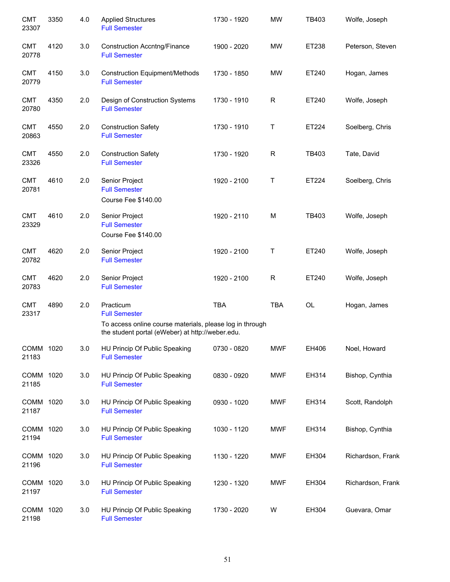| <b>CMT</b><br>23307 | 3350 | 4.0 | <b>Applied Structures</b><br><b>Full Semester</b>                                                                                                 | 1730 - 1920 | <b>MW</b>    | TB403     | Wolfe, Joseph     |
|---------------------|------|-----|---------------------------------------------------------------------------------------------------------------------------------------------------|-------------|--------------|-----------|-------------------|
| <b>CMT</b><br>20778 | 4120 | 3.0 | <b>Construction Accntng/Finance</b><br><b>Full Semester</b>                                                                                       | 1900 - 2020 | <b>MW</b>    | ET238     | Peterson, Steven  |
| <b>CMT</b><br>20779 | 4150 | 3.0 | <b>Construction Equipment/Methods</b><br><b>Full Semester</b>                                                                                     | 1730 - 1850 | <b>MW</b>    | ET240     | Hogan, James      |
| <b>CMT</b><br>20780 | 4350 | 2.0 | Design of Construction Systems<br><b>Full Semester</b>                                                                                            | 1730 - 1910 | R            | ET240     | Wolfe, Joseph     |
| <b>CMT</b><br>20863 | 4550 | 2.0 | <b>Construction Safety</b><br><b>Full Semester</b>                                                                                                | 1730 - 1910 | Τ            | ET224     | Soelberg, Chris   |
| <b>CMT</b><br>23326 | 4550 | 2.0 | <b>Construction Safety</b><br><b>Full Semester</b>                                                                                                | 1730 - 1920 | $\mathsf{R}$ | TB403     | Tate, David       |
| <b>CMT</b><br>20781 | 4610 | 2.0 | Senior Project<br><b>Full Semester</b><br>Course Fee \$140.00                                                                                     | 1920 - 2100 | Τ            | ET224     | Soelberg, Chris   |
| <b>CMT</b><br>23329 | 4610 | 2.0 | Senior Project<br><b>Full Semester</b><br>Course Fee \$140.00                                                                                     | 1920 - 2110 | M            | TB403     | Wolfe, Joseph     |
| <b>CMT</b><br>20782 | 4620 | 2.0 | Senior Project<br><b>Full Semester</b>                                                                                                            | 1920 - 2100 | Τ            | ET240     | Wolfe, Joseph     |
| <b>CMT</b><br>20783 | 4620 | 2.0 | Senior Project<br><b>Full Semester</b>                                                                                                            | 1920 - 2100 | $\mathsf{R}$ | ET240     | Wolfe, Joseph     |
| <b>CMT</b><br>23317 | 4890 | 2.0 | Practicum<br><b>Full Semester</b><br>To access online course materials, please log in through<br>the student portal (eWeber) at http://weber.edu. | TBA         | <b>TBA</b>   | <b>OL</b> | Hogan, James      |
| COMM 1020<br>21183  |      | 3.0 | HU Princip Of Public Speaking<br><b>Full Semester</b>                                                                                             | 0730 - 0820 | <b>MWF</b>   | EH406     | Noel, Howard      |
| COMM 1020<br>21185  |      | 3.0 | HU Princip Of Public Speaking<br><b>Full Semester</b>                                                                                             | 0830 - 0920 | <b>MWF</b>   | EH314     | Bishop, Cynthia   |
| COMM 1020<br>21187  |      | 3.0 | HU Princip Of Public Speaking<br><b>Full Semester</b>                                                                                             | 0930 - 1020 | <b>MWF</b>   | EH314     | Scott, Randolph   |
| COMM 1020<br>21194  |      | 3.0 | HU Princip Of Public Speaking<br><b>Full Semester</b>                                                                                             | 1030 - 1120 | MWF          | EH314     | Bishop, Cynthia   |
| COMM 1020<br>21196  |      | 3.0 | HU Princip Of Public Speaking<br><b>Full Semester</b>                                                                                             | 1130 - 1220 | MWF          | EH304     | Richardson, Frank |
| COMM 1020<br>21197  |      | 3.0 | HU Princip Of Public Speaking<br><b>Full Semester</b>                                                                                             | 1230 - 1320 | MWF          | EH304     | Richardson, Frank |
| COMM 1020<br>21198  |      | 3.0 | HU Princip Of Public Speaking<br><b>Full Semester</b>                                                                                             | 1730 - 2020 | W            | EH304     | Guevara, Omar     |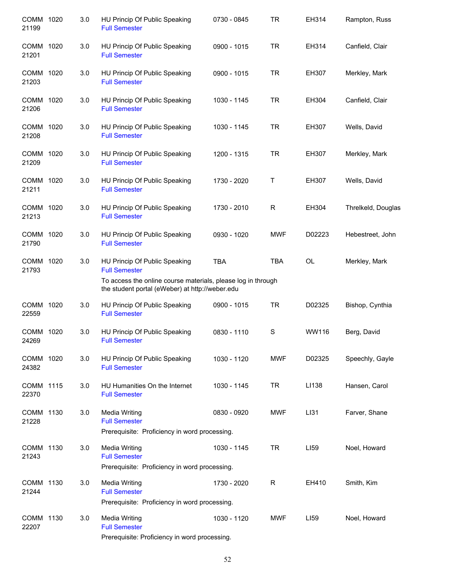| COMM 1020<br>21199   |      | 3.0 | HU Princip Of Public Speaking<br><b>Full Semester</b>                                                                                                                    | 0730 - 0845 | <b>TR</b>    | EH314  | Rampton, Russ      |
|----------------------|------|-----|--------------------------------------------------------------------------------------------------------------------------------------------------------------------------|-------------|--------------|--------|--------------------|
| COMM 1020<br>21201   |      | 3.0 | HU Princip Of Public Speaking<br><b>Full Semester</b>                                                                                                                    | 0900 - 1015 | <b>TR</b>    | EH314  | Canfield, Clair    |
| COMM 1020<br>21203   |      | 3.0 | HU Princip Of Public Speaking<br><b>Full Semester</b>                                                                                                                    | 0900 - 1015 | <b>TR</b>    | EH307  | Merkley, Mark      |
| COMM 1020<br>21206   |      | 3.0 | HU Princip Of Public Speaking<br><b>Full Semester</b>                                                                                                                    | 1030 - 1145 | <b>TR</b>    | EH304  | Canfield, Clair    |
| COMM 1020<br>21208   |      | 3.0 | HU Princip Of Public Speaking<br><b>Full Semester</b>                                                                                                                    | 1030 - 1145 | <b>TR</b>    | EH307  | Wells, David       |
| COMM 1020<br>21209   |      | 3.0 | HU Princip Of Public Speaking<br><b>Full Semester</b>                                                                                                                    | 1200 - 1315 | <b>TR</b>    | EH307  | Merkley, Mark      |
| COMM 1020<br>21211   |      | 3.0 | HU Princip Of Public Speaking<br><b>Full Semester</b>                                                                                                                    | 1730 - 2020 | Τ            | EH307  | Wells, David       |
| COMM 1020<br>21213   |      | 3.0 | HU Princip Of Public Speaking<br><b>Full Semester</b>                                                                                                                    | 1730 - 2010 | $\mathsf{R}$ | EH304  | Threlkeld, Douglas |
| COMM 1020<br>21790   |      | 3.0 | HU Princip Of Public Speaking<br><b>Full Semester</b>                                                                                                                    | 0930 - 1020 | <b>MWF</b>   | D02223 | Hebestreet, John   |
| COMM 1020<br>21793   |      | 3.0 | HU Princip Of Public Speaking<br><b>Full Semester</b><br>To access the online course materials, please log in through<br>the student portal (eWeber) at http://weber.edu | <b>TBA</b>  | <b>TBA</b>   | OL     | Merkley, Mark      |
| COMM 1020            |      | 3.0 | HU Princip Of Public Speaking                                                                                                                                            | 0900 - 1015 | <b>TR</b>    | D02325 | Bishop, Cynthia    |
| 22559                |      |     | <b>Full Semester</b>                                                                                                                                                     |             |              |        |                    |
| <b>COMM</b><br>24269 | 1020 | 3.0 | HU Princip Of Public Speaking<br><b>Full Semester</b>                                                                                                                    | 0830 - 1110 | S            | WW116  | Berg, David        |
| COMM 1020<br>24382   |      | 3.0 | HU Princip Of Public Speaking<br><b>Full Semester</b>                                                                                                                    | 1030 - 1120 | <b>MWF</b>   | D02325 | Speechly, Gayle    |
| COMM 1115<br>22370   |      | 3.0 | HU Humanities On the Internet<br><b>Full Semester</b>                                                                                                                    | 1030 - 1145 | TR           | LI138  | Hansen, Carol      |
| COMM 1130<br>21228   |      | 3.0 | <b>Media Writing</b><br><b>Full Semester</b><br>Prerequisite: Proficiency in word processing.                                                                            | 0830 - 0920 | <b>MWF</b>   | LI31   | Farver, Shane      |
| COMM 1130<br>21243   |      | 3.0 | <b>Media Writing</b><br><b>Full Semester</b><br>Prerequisite: Proficiency in word processing.                                                                            | 1030 - 1145 | <b>TR</b>    | LI59   | Noel, Howard       |
| COMM 1130<br>21244   |      | 3.0 | <b>Media Writing</b><br><b>Full Semester</b><br>Prerequisite: Proficiency in word processing.                                                                            | 1730 - 2020 | R            | EH410  | Smith, Kim         |
| COMM 1130<br>22207   |      | 3.0 | Media Writing<br><b>Full Semester</b><br>Prerequisite: Proficiency in word processing.                                                                                   | 1030 - 1120 | <b>MWF</b>   | LI59   | Noel, Howard       |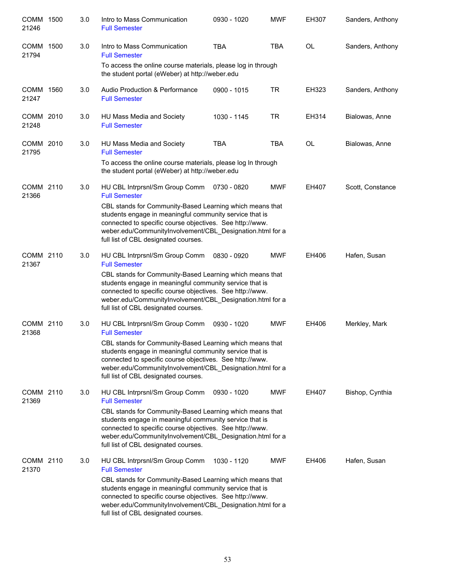| COMM 1500<br>21246   |      | 3.0 | Intro to Mass Communication<br><b>Full Semester</b>                                                                                                                                                                                                                                  | 0930 - 1020 | <b>MWF</b> | EH307     | Sanders, Anthony |
|----------------------|------|-----|--------------------------------------------------------------------------------------------------------------------------------------------------------------------------------------------------------------------------------------------------------------------------------------|-------------|------------|-----------|------------------|
| <b>COMM</b><br>21794 | 1500 | 3.0 | Intro to Mass Communication<br><b>Full Semester</b>                                                                                                                                                                                                                                  | <b>TBA</b>  | <b>TBA</b> | <b>OL</b> | Sanders, Anthony |
|                      |      |     | To access the online course materials, please log in through<br>the student portal (eWeber) at http://weber.edu                                                                                                                                                                      |             |            |           |                  |
| COMM 1560<br>21247   |      | 3.0 | Audio Production & Performance<br><b>Full Semester</b>                                                                                                                                                                                                                               | 0900 - 1015 | <b>TR</b>  | EH323     | Sanders, Anthony |
| COMM 2010<br>21248   |      | 3.0 | HU Mass Media and Society<br><b>Full Semester</b>                                                                                                                                                                                                                                    | 1030 - 1145 | <b>TR</b>  | EH314     | Bialowas, Anne   |
| COMM 2010<br>21795   |      | 3.0 | HU Mass Media and Society<br><b>Full Semester</b>                                                                                                                                                                                                                                    | <b>TBA</b>  | <b>TBA</b> | OL        | Bialowas, Anne   |
|                      |      |     | To access the online course materials, please log In through<br>the student portal (eWeber) at http://weber.edu                                                                                                                                                                      |             |            |           |                  |
| COMM 2110<br>21366   |      | 3.0 | HU CBL Intrprsnl/Sm Group Comm<br><b>Full Semester</b>                                                                                                                                                                                                                               | 0730 - 0820 | <b>MWF</b> | EH407     | Scott, Constance |
|                      |      |     | CBL stands for Community-Based Learning which means that<br>students engage in meaningful community service that is<br>connected to specific course objectives. See http://www.<br>weber.edu/CommunityInvolvement/CBL_Designation.html for a<br>full list of CBL designated courses. |             |            |           |                  |
| COMM 2110<br>21367   |      | 3.0 | HU CBL Intrprsnl/Sm Group Comm<br><b>Full Semester</b>                                                                                                                                                                                                                               | 0830 - 0920 | <b>MWF</b> | EH406     | Hafen, Susan     |
|                      |      |     | CBL stands for Community-Based Learning which means that<br>students engage in meaningful community service that is<br>connected to specific course objectives. See http://www.<br>weber.edu/CommunityInvolvement/CBL_Designation.html for a<br>full list of CBL designated courses. |             |            |           |                  |
| COMM 2110<br>21368   |      | 3.0 | HU CBL Intrprsnl/Sm Group Comm<br><b>Full Semester</b>                                                                                                                                                                                                                               | 0930 - 1020 | <b>MWF</b> | EH406     | Merkley, Mark    |
|                      |      |     | CBL stands for Community-Based Learning which means that<br>students engage in meaningful community service that is<br>connected to specific course objectives. See http://www.<br>weber.edu/CommunityInvolvement/CBL Designation.html for a<br>full list of CBL designated courses. |             |            |           |                  |
| COMM 2110<br>21369   |      | 3.0 | HU CBL Intrprsnl/Sm Group Comm<br><b>Full Semester</b>                                                                                                                                                                                                                               | 0930 - 1020 | <b>MWF</b> | EH407     | Bishop, Cynthia  |
|                      |      |     | CBL stands for Community-Based Learning which means that<br>students engage in meaningful community service that is<br>connected to specific course objectives. See http://www.<br>weber.edu/CommunityInvolvement/CBL_Designation.html for a<br>full list of CBL designated courses. |             |            |           |                  |
| COMM 2110<br>21370   |      | 3.0 | HU CBL Intrprsnl/Sm Group Comm<br><b>Full Semester</b>                                                                                                                                                                                                                               | 1030 - 1120 | <b>MWF</b> | EH406     | Hafen, Susan     |
|                      |      |     | CBL stands for Community-Based Learning which means that<br>students engage in meaningful community service that is<br>connected to specific course objectives. See http://www.<br>weber.edu/CommunityInvolvement/CBL_Designation.html for a<br>full list of CBL designated courses. |             |            |           |                  |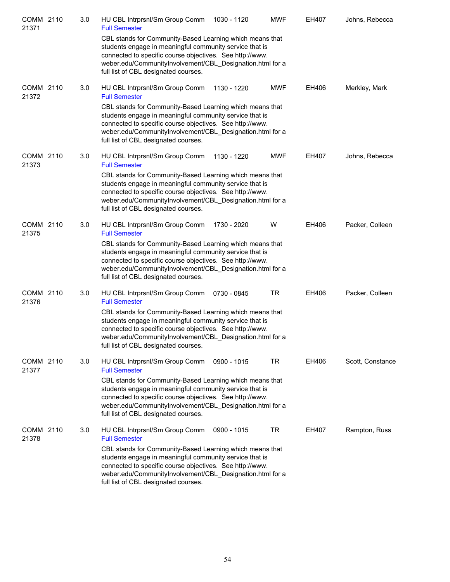| COMM 2110<br>21371 | 3.0 | HU CBL Intrprsnl/Sm Group Comm<br><b>Full Semester</b>                                                                                                                                                                                                                               | 1030 - 1120 | <b>MWF</b> | EH407 | Johns, Rebecca   |
|--------------------|-----|--------------------------------------------------------------------------------------------------------------------------------------------------------------------------------------------------------------------------------------------------------------------------------------|-------------|------------|-------|------------------|
|                    |     | CBL stands for Community-Based Learning which means that<br>students engage in meaningful community service that is<br>connected to specific course objectives. See http://www.<br>weber.edu/CommunityInvolvement/CBL Designation.html for a<br>full list of CBL designated courses. |             |            |       |                  |
| COMM 2110<br>21372 | 3.0 | HU CBL Intrprsnl/Sm Group Comm<br><b>Full Semester</b>                                                                                                                                                                                                                               | 1130 - 1220 | <b>MWF</b> | EH406 | Merkley, Mark    |
|                    |     | CBL stands for Community-Based Learning which means that<br>students engage in meaningful community service that is<br>connected to specific course objectives. See http://www.<br>weber.edu/CommunityInvolvement/CBL_Designation.html for a<br>full list of CBL designated courses. |             |            |       |                  |
| COMM 2110<br>21373 | 3.0 | HU CBL Intrprsnl/Sm Group Comm<br><b>Full Semester</b>                                                                                                                                                                                                                               | 1130 - 1220 | <b>MWF</b> | EH407 | Johns, Rebecca   |
|                    |     | CBL stands for Community-Based Learning which means that<br>students engage in meaningful community service that is<br>connected to specific course objectives. See http://www.<br>weber.edu/CommunityInvolvement/CBL_Designation.html for a<br>full list of CBL designated courses. |             |            |       |                  |
| COMM 2110<br>21375 | 3.0 | HU CBL Intrprsnl/Sm Group Comm<br><b>Full Semester</b>                                                                                                                                                                                                                               | 1730 - 2020 | W          | EH406 | Packer, Colleen  |
|                    |     | CBL stands for Community-Based Learning which means that<br>students engage in meaningful community service that is<br>connected to specific course objectives. See http://www.<br>weber.edu/CommunityInvolvement/CBL_Designation.html for a<br>full list of CBL designated courses. |             |            |       |                  |
| COMM 2110<br>21376 | 3.0 | HU CBL Intrprsnl/Sm Group Comm<br><b>Full Semester</b>                                                                                                                                                                                                                               | 0730 - 0845 | <b>TR</b>  | EH406 | Packer, Colleen  |
|                    |     | CBL stands for Community-Based Learning which means that<br>students engage in meaningful community service that is<br>connected to specific course objectives. See http://www.<br>weber.edu/CommunityInvolvement/CBL Designation.html for a<br>full list of CBL designated courses. |             |            |       |                  |
| COMM 2110<br>21377 | 3.0 | HU CBL Intrprsnl/Sm Group Comm<br><b>Full Semester</b>                                                                                                                                                                                                                               | 0900 - 1015 | TR         | EH406 | Scott, Constance |
|                    |     | CBL stands for Community-Based Learning which means that<br>students engage in meaningful community service that is<br>connected to specific course objectives. See http://www.<br>weber.edu/CommunityInvolvement/CBL_Designation.html for a<br>full list of CBL designated courses. |             |            |       |                  |
| COMM 2110<br>21378 | 3.0 | HU CBL Intrprsnl/Sm Group Comm<br><b>Full Semester</b>                                                                                                                                                                                                                               | 0900 - 1015 | <b>TR</b>  | EH407 | Rampton, Russ    |
|                    |     | CBL stands for Community-Based Learning which means that<br>students engage in meaningful community service that is<br>connected to specific course objectives. See http://www.<br>weber.edu/CommunityInvolvement/CBL_Designation.html for a<br>full list of CBL designated courses. |             |            |       |                  |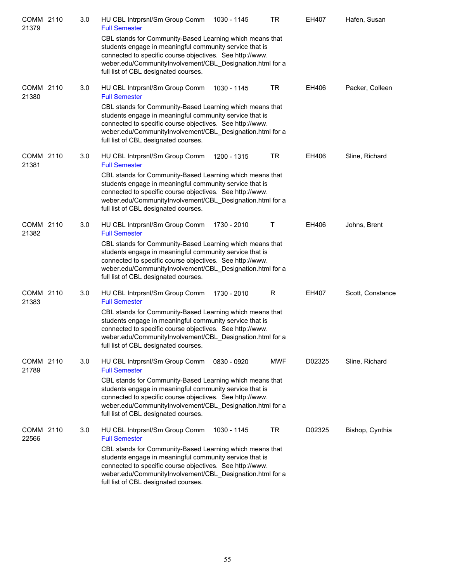| COMM 2110<br>21379 | 3.0 | HU CBL Intrprsnl/Sm Group Comm<br><b>Full Semester</b>                                                                                                                                                                                                                               | 1030 - 1145 | <b>TR</b>  | EH407  | Hafen, Susan     |
|--------------------|-----|--------------------------------------------------------------------------------------------------------------------------------------------------------------------------------------------------------------------------------------------------------------------------------------|-------------|------------|--------|------------------|
|                    |     | CBL stands for Community-Based Learning which means that<br>students engage in meaningful community service that is<br>connected to specific course objectives. See http://www.<br>weber.edu/CommunityInvolvement/CBL_Designation.html for a<br>full list of CBL designated courses. |             |            |        |                  |
| COMM 2110<br>21380 | 3.0 | HU CBL Intrprsnl/Sm Group Comm<br><b>Full Semester</b>                                                                                                                                                                                                                               | 1030 - 1145 | <b>TR</b>  | EH406  | Packer, Colleen  |
|                    |     | CBL stands for Community-Based Learning which means that<br>students engage in meaningful community service that is<br>connected to specific course objectives. See http://www.<br>weber.edu/CommunityInvolvement/CBL_Designation.html for a<br>full list of CBL designated courses. |             |            |        |                  |
| COMM 2110<br>21381 | 3.0 | HU CBL Intrprsnl/Sm Group Comm<br><b>Full Semester</b>                                                                                                                                                                                                                               | 1200 - 1315 | <b>TR</b>  | EH406  | Sline, Richard   |
|                    |     | CBL stands for Community-Based Learning which means that<br>students engage in meaningful community service that is<br>connected to specific course objectives. See http://www.<br>weber.edu/CommunityInvolvement/CBL_Designation.html for a<br>full list of CBL designated courses. |             |            |        |                  |
| COMM 2110<br>21382 | 3.0 | HU CBL Intrprsnl/Sm Group Comm<br><b>Full Semester</b>                                                                                                                                                                                                                               | 1730 - 2010 | Т          | EH406  | Johns, Brent     |
|                    |     | CBL stands for Community-Based Learning which means that<br>students engage in meaningful community service that is<br>connected to specific course objectives. See http://www.<br>weber.edu/CommunityInvolvement/CBL_Designation.html for a<br>full list of CBL designated courses. |             |            |        |                  |
| COMM 2110<br>21383 | 3.0 | HU CBL Intrprsnl/Sm Group Comm<br><b>Full Semester</b>                                                                                                                                                                                                                               | 1730 - 2010 | R          | EH407  | Scott, Constance |
|                    |     | CBL stands for Community-Based Learning which means that<br>students engage in meaningful community service that is<br>connected to specific course objectives. See http://www.<br>weber.edu/CommunityInvolvement/CBL Designation.html for a<br>full list of CBL designated courses. |             |            |        |                  |
| COMM 2110<br>21789 | 3.0 | HU CBL Intrprsnl/Sm Group Comm<br><b>Full Semester</b>                                                                                                                                                                                                                               | 0830 - 0920 | <b>MWF</b> | D02325 | Sline, Richard   |
|                    |     | CBL stands for Community-Based Learning which means that<br>students engage in meaningful community service that is<br>connected to specific course objectives. See http://www.<br>weber.edu/CommunityInvolvement/CBL_Designation.html for a<br>full list of CBL designated courses. |             |            |        |                  |
| COMM 2110<br>22566 | 3.0 | HU CBL Intrprsnl/Sm Group Comm<br><b>Full Semester</b>                                                                                                                                                                                                                               | 1030 - 1145 | <b>TR</b>  | D02325 | Bishop, Cynthia  |
|                    |     | CBL stands for Community-Based Learning which means that<br>students engage in meaningful community service that is<br>connected to specific course objectives. See http://www.<br>weber.edu/CommunityInvolvement/CBL_Designation.html for a<br>full list of CBL designated courses. |             |            |        |                  |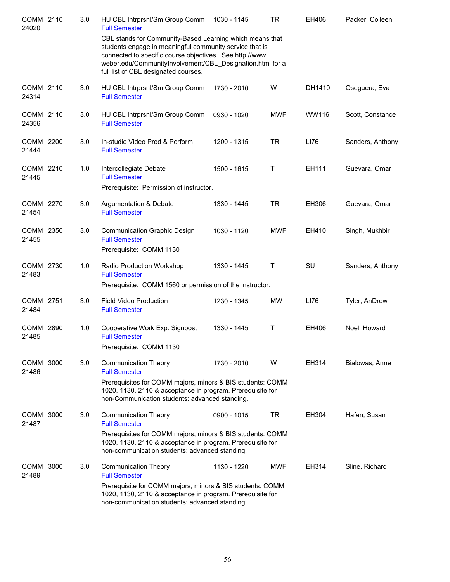| COMM 2110<br>24020 | 3.0 | HU CBL Intrprsnl/Sm Group Comm<br><b>Full Semester</b>                                                                                                                                                                                                                               | 1030 - 1145 | TR         | EH406     | Packer, Colleen  |
|--------------------|-----|--------------------------------------------------------------------------------------------------------------------------------------------------------------------------------------------------------------------------------------------------------------------------------------|-------------|------------|-----------|------------------|
|                    |     | CBL stands for Community-Based Learning which means that<br>students engage in meaningful community service that is<br>connected to specific course objectives. See http://www.<br>weber.edu/CommunityInvolvement/CBL_Designation.html for a<br>full list of CBL designated courses. |             |            |           |                  |
| COMM 2110<br>24314 | 3.0 | HU CBL Intrprsnl/Sm Group Comm<br><b>Full Semester</b>                                                                                                                                                                                                                               | 1730 - 2010 | W          | DH1410    | Oseguera, Eva    |
| COMM 2110<br>24356 | 3.0 | HU CBL Intrprsnl/Sm Group Comm<br><b>Full Semester</b>                                                                                                                                                                                                                               | 0930 - 1020 | <b>MWF</b> | WW116     | Scott, Constance |
| COMM 2200<br>21444 | 3.0 | In-studio Video Prod & Perform<br><b>Full Semester</b>                                                                                                                                                                                                                               | 1200 - 1315 | TR         | LI76      | Sanders, Anthony |
| COMM 2210<br>21445 | 1.0 | Intercollegiate Debate<br><b>Full Semester</b><br>Prerequisite: Permission of instructor.                                                                                                                                                                                            | 1500 - 1615 | T          | EH111     | Guevara, Omar    |
| COMM 2270<br>21454 | 3.0 | Argumentation & Debate<br><b>Full Semester</b>                                                                                                                                                                                                                                       | 1330 - 1445 | <b>TR</b>  | EH306     | Guevara, Omar    |
| COMM 2350<br>21455 | 3.0 | <b>Communication Graphic Design</b><br><b>Full Semester</b><br>Prerequisite: COMM 1130                                                                                                                                                                                               | 1030 - 1120 | <b>MWF</b> | EH410     | Singh, Mukhbir   |
| COMM 2730<br>21483 | 1.0 | Radio Production Workshop<br><b>Full Semester</b><br>Prerequisite: COMM 1560 or permission of the instructor.                                                                                                                                                                        | 1330 - 1445 | Т          | <b>SU</b> | Sanders, Anthony |
| COMM 2751<br>21484 | 3.0 | Field Video Production<br><b>Full Semester</b>                                                                                                                                                                                                                                       | 1230 - 1345 | <b>MW</b>  | LI76      | Tyler, AnDrew    |
| COMM 2890<br>21485 | 1.0 | Cooperative Work Exp. Signpost<br><b>Full Semester</b><br>Prerequisite: COMM 1130                                                                                                                                                                                                    | 1330 - 1445 | Τ          | EH406     | Noel, Howard     |
| COMM 3000<br>21486 | 3.0 | <b>Communication Theory</b><br><b>Full Semester</b><br>Prerequisites for COMM majors, minors & BIS students: COMM<br>1020, 1130, 2110 & acceptance in program. Prerequisite for<br>non-Communication students: advanced standing.                                                    | 1730 - 2010 | W          | EH314     | Bialowas, Anne   |
| COMM 3000<br>21487 | 3.0 | <b>Communication Theory</b><br><b>Full Semester</b><br>Prerequisites for COMM majors, minors & BIS students: COMM<br>1020, 1130, 2110 & acceptance in program. Prerequisite for<br>non-communication students: advanced standing.                                                    | 0900 - 1015 | <b>TR</b>  | EH304     | Hafen, Susan     |
| COMM 3000<br>21489 | 3.0 | <b>Communication Theory</b><br><b>Full Semester</b><br>Prerequisite for COMM majors, minors & BIS students: COMM<br>1020, 1130, 2110 & acceptance in program. Prerequisite for<br>non-communication students: advanced standing.                                                     | 1130 - 1220 | <b>MWF</b> | EH314     | Sline, Richard   |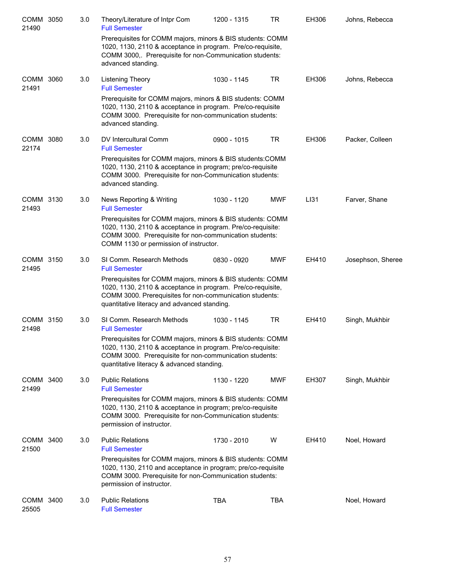| COMM 3050<br>21490 | 3.0 | Theory/Literature of Intpr Com<br><b>Full Semester</b>                                                                                                                                                                                | 1200 - 1315   | TR         | EH306 | Johns, Rebecca    |
|--------------------|-----|---------------------------------------------------------------------------------------------------------------------------------------------------------------------------------------------------------------------------------------|---------------|------------|-------|-------------------|
|                    |     | Prerequisites for COMM majors, minors & BIS students: COMM<br>1020, 1130, 2110 & acceptance in program. Pre/co-requisite,<br>COMM 3000,. Prerequisite for non-Communication students:<br>advanced standing.                           |               |            |       |                   |
| COMM 3060<br>21491 | 3.0 | Listening Theory<br><b>Full Semester</b>                                                                                                                                                                                              | 1030 - 1145   | <b>TR</b>  | EH306 | Johns, Rebecca    |
|                    |     | Prerequisite for COMM majors, minors & BIS students: COMM<br>1020, 1130, 2110 & acceptance in program. Pre/co-requisite<br>COMM 3000. Prerequisite for non-communication students:<br>advanced standing.                              |               |            |       |                   |
| COMM 3080<br>22174 | 3.0 | DV Intercultural Comm<br><b>Full Semester</b>                                                                                                                                                                                         | $0900 - 1015$ | <b>TR</b>  | EH306 | Packer, Colleen   |
|                    |     | Prerequisites for COMM majors, minors & BIS students: COMM<br>1020, 1130, 2110 & acceptance in program; pre/co-requisite<br>COMM 3000. Prerequisite for non-Communication students:<br>advanced standing.                             |               |            |       |                   |
| COMM 3130<br>21493 | 3.0 | News Reporting & Writing<br><b>Full Semester</b>                                                                                                                                                                                      | 1030 - 1120   | <b>MWF</b> | LI31  | Farver, Shane     |
|                    |     | Prerequisites for COMM majors, minors & BIS students: COMM<br>1020, 1130, 2110 & acceptance in program. Pre/co-requisite:<br>COMM 3000. Prerequisite for non-communication students:<br>COMM 1130 or permission of instructor.        |               |            |       |                   |
| COMM 3150<br>21495 | 3.0 | SI Comm. Research Methods<br><b>Full Semester</b>                                                                                                                                                                                     | 0830 - 0920   | <b>MWF</b> | EH410 | Josephson, Sheree |
|                    |     | Prerequisites for COMM majors, minors & BIS students: COMM<br>1020, 1130, 2110 & acceptance in program. Pre/co-requisite,<br>COMM 3000. Prerequisites for non-communication students:<br>quantitative literacy and advanced standing. |               |            |       |                   |
| COMM 3150<br>21498 | 3.0 | SI Comm. Research Methods<br><b>Full Semester</b>                                                                                                                                                                                     | 1030 - 1145   | <b>TR</b>  | EH410 | Singh, Mukhbir    |
|                    |     | Prerequisites for COMM majors, minors & BIS students: COMM<br>1020, 1130, 2110 & acceptance in program. Pre/co-requisite:<br>COMM 3000. Prerequisite for non-communication students:<br>quantitative literacy & advanced standing.    |               |            |       |                   |
| COMM 3400<br>21499 | 3.0 | <b>Public Relations</b><br><b>Full Semester</b>                                                                                                                                                                                       | 1130 - 1220   | <b>MWF</b> | EH307 | Singh, Mukhbir    |
|                    |     | Prerequisites for COMM majors, minors & BIS students: COMM<br>1020, 1130, 2110 & acceptance in program; pre/co-requisite<br>COMM 3000. Prerequisite for non-Communication students:<br>permission of instructor.                      |               |            |       |                   |
| COMM 3400<br>21500 | 3.0 | <b>Public Relations</b><br><b>Full Semester</b>                                                                                                                                                                                       | 1730 - 2010   | W          | EH410 | Noel, Howard      |
|                    |     | Prerequisites for COMM majors, minors & BIS students: COMM<br>1020, 1130, 2110 and acceptance in program; pre/co-requisite<br>COMM 3000. Prerequisite for non-Communication students:<br>permission of instructor.                    |               |            |       |                   |
| COMM 3400<br>25505 | 3.0 | <b>Public Relations</b><br><b>Full Semester</b>                                                                                                                                                                                       | <b>TBA</b>    | <b>TBA</b> |       | Noel, Howard      |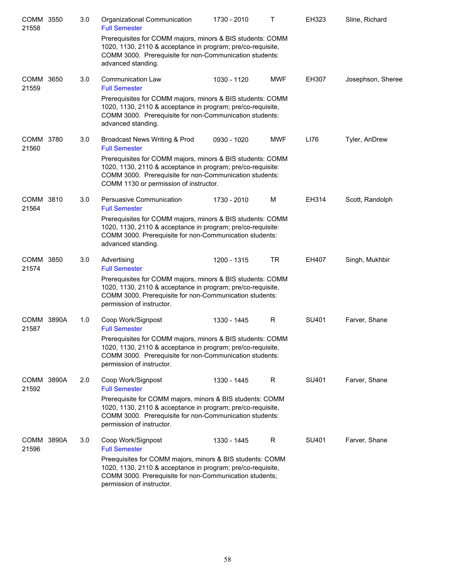| COMM 3550<br>21558  | 3.0 | Organizational Communication<br><b>Full Semester</b>                                                                                                                                                                           | 1730 - 2010 | Τ          | EH323 | Sline, Richard    |
|---------------------|-----|--------------------------------------------------------------------------------------------------------------------------------------------------------------------------------------------------------------------------------|-------------|------------|-------|-------------------|
|                     |     | Prerequisites for COMM majors, minors & BIS students: COMM<br>1020, 1130, 2110 & acceptance in program; pre/co-requisite,<br>COMM 3000. Prerequisite for non-Communication students:<br>advanced standing.                     |             |            |       |                   |
| COMM 3650<br>21559  | 3.0 | <b>Communication Law</b><br><b>Full Semester</b>                                                                                                                                                                               | 1030 - 1120 | <b>MWF</b> | EH307 | Josephson, Sheree |
|                     |     | Prerequisites for COMM majors, minors & BIS students: COMM<br>1020, 1130, 2110 & acceptance in program; pre/co-requisite,<br>COMM 3000. Prerequisite for non-Communication students:<br>advanced standing.                     |             |            |       |                   |
| COMM 3780<br>21560  | 3.0 | Broadcast News Writing & Prod<br><b>Full Semester</b>                                                                                                                                                                          | 0930 - 1020 | <b>MWF</b> | LI76  | Tyler, AnDrew     |
|                     |     | Prerequisites for COMM majors, minors & BIS students: COMM<br>1020, 1130, 2110 & acceptance in program; pre/co-requisite:<br>COMM 3000. Prerequisite for non-Communication students:<br>COMM 1130 or permission of instructor. |             |            |       |                   |
| COMM 3810<br>21564  | 3.0 | Persuasive Communication<br><b>Full Semester</b>                                                                                                                                                                               | 1730 - 2010 | M          | EH314 | Scott, Randolph   |
|                     |     | Prerequisites for COMM majors, minors & BIS students: COMM<br>1020, 1130, 2110 & acceptance in program; pre/co-requisite:<br>COMM 3000. Prerequisite for non-Communication students:<br>advanced standing.                     |             |            |       |                   |
| COMM 3850<br>21574  | 3.0 | Advertising<br><b>Full Semester</b>                                                                                                                                                                                            | 1200 - 1315 | <b>TR</b>  | EH407 | Singh, Mukhbir    |
|                     |     | Prerequisites for COMM majors, minors & BIS students: COMM<br>1020, 1130, 2110 & acceptance in program; pre/co-requisite,<br>COMM 3000. Prerequisite for non-Communication students:<br>permission of instructor.              |             |            |       |                   |
| COMM 3890A<br>21587 | 1.0 | Coop Work/Signpost<br><b>Full Semester</b>                                                                                                                                                                                     | 1330 - 1445 | R          | SU401 | Farver, Shane     |
|                     |     | Prerequisites for COMM majors, minors & BIS students: COMM<br>1020, 1130, 2110 & acceptance in program; pre/co-requisite,<br>COMM 3000. Prerequisite for non-Communication students:<br>permission of instructor.              |             |            |       |                   |
| COMM 3890A<br>21592 | 2.0 | Coop Work/Signpost<br><b>Full Semester</b>                                                                                                                                                                                     | 1330 - 1445 | R          | SU401 | Farver, Shane     |
|                     |     | Prerequisite for COMM majors, minors & BIS students: COMM<br>1020, 1130, 2110 & acceptance in program; pre/co-requisite,<br>COMM 3000. Prerequisite for non-Communication students:<br>permission of instructor.               |             |            |       |                   |
| COMM 3890A<br>21596 | 3.0 | Coop Work/Signpost<br><b>Full Semester</b>                                                                                                                                                                                     | 1330 - 1445 | R          | SU401 | Farver, Shane     |
|                     |     | Preequisites for COMM majors, minors & BIS students: COMM<br>1020, 1130, 2110 & acceptance in program; pre/co-requisite,<br>COMM 3000. Prerequisite for non-Communication students;<br>permission of instructor.               |             |            |       |                   |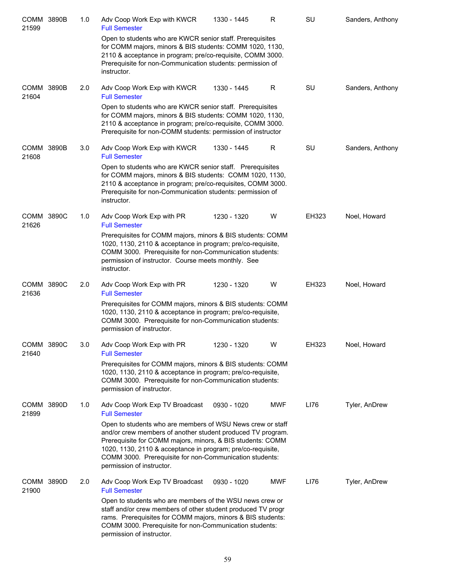| COMM 3890B<br>21599  |       | 1.0 | Adv Coop Work Exp with KWCR<br><b>Full Semester</b>                                                                                                                                                                                                                                                                                            | 1330 - 1445 | R          | <b>SU</b> | Sanders, Anthony |
|----------------------|-------|-----|------------------------------------------------------------------------------------------------------------------------------------------------------------------------------------------------------------------------------------------------------------------------------------------------------------------------------------------------|-------------|------------|-----------|------------------|
|                      |       |     | Open to students who are KWCR senior staff. Prerequisites<br>for COMM majors, minors & BIS students: COMM 1020, 1130,<br>2110 & acceptance in program; pre/co-requisite, COMM 3000.<br>Prerequisite for non-Communication students: permission of<br>instructor.                                                                               |             |            |           |                  |
| COMM 3890B<br>21604  |       | 2.0 | Adv Coop Work Exp with KWCR<br><b>Full Semester</b>                                                                                                                                                                                                                                                                                            | 1330 - 1445 | R.         | SU        | Sanders, Anthony |
|                      |       |     | Open to students who are KWCR senior staff. Prerequisites<br>for COMM majors, minors & BIS students: COMM 1020, 1130,<br>2110 & acceptance in program; pre/co-requisite, COMM 3000.<br>Prerequisite for non-COMM students: permission of instructor                                                                                            |             |            |           |                  |
| COMM 3890B<br>21608  |       | 3.0 | Adv Coop Work Exp with KWCR<br><b>Full Semester</b>                                                                                                                                                                                                                                                                                            | 1330 - 1445 | R          | SU        | Sanders, Anthony |
|                      |       |     | Open to students who are KWCR senior staff. Prerequisites<br>for COMM majors, minors & BIS students: COMM 1020, 1130,<br>2110 & acceptance in program; pre/co-requisites, COMM 3000.<br>Prerequisite for non-Communication students: permission of<br>instructor.                                                                              |             |            |           |                  |
| COMM 3890C<br>21626  |       | 1.0 | Adv Coop Work Exp with PR<br><b>Full Semester</b>                                                                                                                                                                                                                                                                                              | 1230 - 1320 | W          | EH323     | Noel, Howard     |
|                      |       |     | Prerequisites for COMM majors, minors & BIS students: COMM<br>1020, 1130, 2110 & acceptance in program; pre/co-requisite,<br>COMM 3000. Prerequisite for non-Communication students:<br>permission of instructor. Course meets monthly. See<br>instructor.                                                                                     |             |            |           |                  |
| COMM 3890C<br>21636  |       | 2.0 | Adv Coop Work Exp with PR<br><b>Full Semester</b>                                                                                                                                                                                                                                                                                              | 1230 - 1320 | W          | EH323     | Noel, Howard     |
|                      |       |     | Prerequisites for COMM majors, minors & BIS students: COMM<br>1020, 1130, 2110 & acceptance in program; pre/co-requisite,<br>COMM 3000. Prerequisite for non-Communication students:<br>permission of instructor.                                                                                                                              |             |            |           |                  |
| <b>COMM</b><br>21640 | 3890C | 3.0 | Adv Coop Work Exp with PR<br><b>Full Semester</b>                                                                                                                                                                                                                                                                                              | 1230 - 1320 | W          | EH323     | Noel, Howard     |
|                      |       |     | Prerequisites for COMM majors, minors & BIS students: COMM<br>1020, 1130, 2110 & acceptance in program; pre/co-requisite,<br>COMM 3000. Prerequisite for non-Communication students:<br>permission of instructor.                                                                                                                              |             |            |           |                  |
| COMM 3890D<br>21899  |       | 1.0 | Adv Coop Work Exp TV Broadcast<br><b>Full Semester</b>                                                                                                                                                                                                                                                                                         | 0930 - 1020 | <b>MWF</b> | LI76      | Tyler, AnDrew    |
|                      |       |     | Open to students who are members of WSU News crew or staff<br>and/or crew members of another student produced TV program.<br>Prerequisite for COMM majors, minors, & BIS students: COMM<br>1020, 1130, 2110 & acceptance in program; pre/co-requisite,<br>COMM 3000. Prerequisite for non-Communication students:<br>permission of instructor. |             |            |           |                  |
| COMM 3890D<br>21900  |       | 2.0 | Adv Coop Work Exp TV Broadcast<br><b>Full Semester</b>                                                                                                                                                                                                                                                                                         | 0930 - 1020 | <b>MWF</b> | LI76      | Tyler, AnDrew    |
|                      |       |     | Open to students who are members of the WSU news crew or<br>staff and/or crew members of other student produced TV progr<br>rams. Prerequisites for COMM majors, minors & BIS students:<br>COMM 3000. Prerequisite for non-Communication students:<br>permission of instructor.                                                                |             |            |           |                  |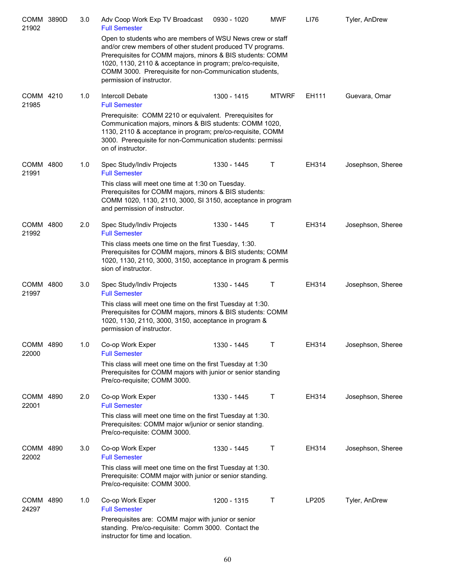| COMM 3890D<br>21902 | 3.0 | Adv Coop Work Exp TV Broadcast<br><b>Full Semester</b>                                                                                                                                                                                                                                                                                        | 0930 - 1020 | <b>MWF</b>   | LI76  | Tyler, AnDrew     |
|---------------------|-----|-----------------------------------------------------------------------------------------------------------------------------------------------------------------------------------------------------------------------------------------------------------------------------------------------------------------------------------------------|-------------|--------------|-------|-------------------|
|                     |     | Open to students who are members of WSU News crew or staff<br>and/or crew members of other student produced TV programs.<br>Prerequisites for COMM majors, minors & BIS students: COMM<br>1020, 1130, 2110 & acceptance in program; pre/co-requisite,<br>COMM 3000. Prerequisite for non-Communication students,<br>permission of instructor. |             |              |       |                   |
| COMM 4210<br>21985  | 1.0 | Intercoll Debate<br><b>Full Semester</b>                                                                                                                                                                                                                                                                                                      | 1300 - 1415 | <b>MTWRF</b> | EH111 | Guevara, Omar     |
|                     |     | Prerequisite: COMM 2210 or equivalent. Prerequisites for<br>Communication majors, minors & BIS students: COMM 1020,<br>1130, 2110 & acceptance in program; pre/co-requisite, COMM<br>3000. Prerequisite for non-Communication students: permissi<br>on of instructor.                                                                         |             |              |       |                   |
| COMM 4800<br>21991  | 1.0 | Spec Study/Indiv Projects<br><b>Full Semester</b>                                                                                                                                                                                                                                                                                             | 1330 - 1445 | Т            | EH314 | Josephson, Sheree |
|                     |     | This class will meet one time at 1:30 on Tuesday.<br>Prerequisites for COMM majors, minors & BIS students:<br>COMM 1020, 1130, 2110, 3000, SI 3150, acceptance in program<br>and permission of instructor.                                                                                                                                    |             |              |       |                   |
| COMM 4800<br>21992  | 2.0 | Spec Study/Indiv Projects<br><b>Full Semester</b>                                                                                                                                                                                                                                                                                             | 1330 - 1445 | т            | EH314 | Josephson, Sheree |
|                     |     | This class meets one time on the first Tuesday, 1:30.<br>Prerequisites for COMM majors, minors & BIS students; COMM<br>1020, 1130, 2110, 3000, 3150, acceptance in program & permis<br>sion of instructor.                                                                                                                                    |             |              |       |                   |
| COMM 4800<br>21997  | 3.0 | Spec Study/Indiv Projects<br><b>Full Semester</b>                                                                                                                                                                                                                                                                                             | 1330 - 1445 | Τ            | EH314 | Josephson, Sheree |
|                     |     | This class will meet one time on the first Tuesday at 1:30.<br>Prerequisites for COMM majors, minors & BIS students: COMM<br>1020, 1130, 2110, 3000, 3150, acceptance in program &<br>permission of instructor.                                                                                                                               |             |              |       |                   |
| COMM 4890<br>22000  | 1.0 | Co-op Work Exper<br><b>Full Semester</b>                                                                                                                                                                                                                                                                                                      | 1330 - 1445 | Τ            | EH314 | Josephson, Sheree |
|                     |     | This class will meet one time on the first Tuesday at 1:30<br>Prerequisites for COMM majors with junior or senior standing<br>Pre/co-requisite; COMM 3000.                                                                                                                                                                                    |             |              |       |                   |
| COMM 4890<br>22001  | 2.0 | Co-op Work Exper<br><b>Full Semester</b>                                                                                                                                                                                                                                                                                                      | 1330 - 1445 | т            | EH314 | Josephson, Sheree |
|                     |     | This class will meet one time on the first Tuesday at 1:30.<br>Prerequisites: COMM major w/junior or senior standing.<br>Pre/co-requisite: COMM 3000.                                                                                                                                                                                         |             |              |       |                   |
| COMM 4890<br>22002  | 3.0 | Co-op Work Exper<br><b>Full Semester</b>                                                                                                                                                                                                                                                                                                      | 1330 - 1445 | Τ            | EH314 | Josephson, Sheree |
|                     |     | This class will meet one time on the first Tuesday at 1:30.<br>Prerequisite: COMM major with junior or senior standing.<br>Pre/co-requisite: COMM 3000.                                                                                                                                                                                       |             |              |       |                   |
| COMM 4890<br>24297  | 1.0 | Co-op Work Exper<br><b>Full Semester</b>                                                                                                                                                                                                                                                                                                      | 1200 - 1315 | Т            | LP205 | Tyler, AnDrew     |
|                     |     | Prerequisites are: COMM major with junior or senior<br>standing. Pre/co-requisite: Comm 3000. Contact the<br>instructor for time and location.                                                                                                                                                                                                |             |              |       |                   |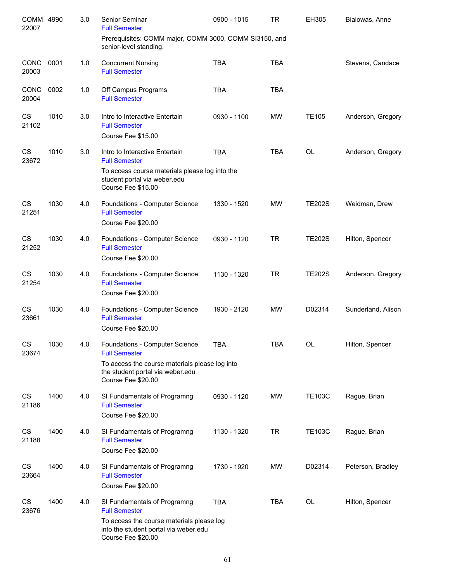| COMM 4990<br>22007 |      | 3.0 | Senior Seminar<br><b>Full Semester</b>                                                                   | 0900 - 1015 | <b>TR</b>  | EH305         | Bialowas, Anne     |
|--------------------|------|-----|----------------------------------------------------------------------------------------------------------|-------------|------------|---------------|--------------------|
|                    |      |     | Prerequisites: COMM major, COMM 3000, COMM SI3150, and<br>senior-level standing.                         |             |            |               |                    |
| CONC<br>20003      | 0001 | 1.0 | <b>Concurrent Nursing</b><br><b>Full Semester</b>                                                        | <b>TBA</b>  | <b>TBA</b> |               | Stevens, Candace   |
| CONC<br>20004      | 0002 | 1.0 | Off Campus Programs<br><b>Full Semester</b>                                                              | <b>TBA</b>  | <b>TBA</b> |               |                    |
| CS<br>21102        | 1010 | 3.0 | Intro to Interactive Entertain<br><b>Full Semester</b><br>Course Fee \$15.00                             | 0930 - 1100 | <b>MW</b>  | <b>TE105</b>  | Anderson, Gregory  |
|                    |      |     |                                                                                                          |             |            |               |                    |
| CS<br>23672        | 1010 | 3.0 | Intro to Interactive Entertain<br><b>Full Semester</b>                                                   | <b>TBA</b>  | <b>TBA</b> | <b>OL</b>     | Anderson, Gregory  |
|                    |      |     | To access course materials please log into the<br>student portal via weber.edu<br>Course Fee \$15.00     |             |            |               |                    |
| CS<br>21251        | 1030 | 4.0 | Foundations - Computer Science<br><b>Full Semester</b><br>Course Fee \$20.00                             | 1330 - 1520 | <b>MW</b>  | <b>TE202S</b> | Weidman, Drew      |
| <b>CS</b><br>21252 | 1030 | 4.0 | Foundations - Computer Science<br><b>Full Semester</b><br>Course Fee \$20.00                             | 0930 - 1120 | <b>TR</b>  | <b>TE202S</b> | Hilton, Spencer    |
| <b>CS</b><br>21254 | 1030 | 4.0 | Foundations - Computer Science<br><b>Full Semester</b><br>Course Fee \$20.00                             | 1130 - 1320 | <b>TR</b>  | <b>TE202S</b> | Anderson, Gregory  |
| <b>CS</b><br>23661 | 1030 | 4.0 | Foundations - Computer Science<br><b>Full Semester</b><br>Course Fee \$20.00                             | 1930 - 2120 | <b>MW</b>  | D02314        | Sunderland, Alison |
| CS<br>23674        | 1030 | 4.0 | Foundations - Computer Science<br><b>Full Semester</b>                                                   | <b>TBA</b>  | <b>TBA</b> | OL            | Hilton, Spencer    |
|                    |      |     | To access the course materials please log into<br>the student portal via weber.edu<br>Course Fee \$20.00 |             |            |               |                    |
| CS<br>21186        | 1400 | 4.0 | SI Fundamentals of Programng<br><b>Full Semester</b><br>Course Fee \$20.00                               | 0930 - 1120 | MW         | <b>TE103C</b> | Rague, Brian       |
| CS<br>21188        | 1400 | 4.0 | SI Fundamentals of Programng<br><b>Full Semester</b><br>Course Fee \$20.00                               | 1130 - 1320 | <b>TR</b>  | <b>TE103C</b> | Rague, Brian       |
| CS<br>23664        | 1400 | 4.0 | SI Fundamentals of Programng<br><b>Full Semester</b><br>Course Fee \$20.00                               | 1730 - 1920 | MW         | D02314        | Peterson, Bradley  |
| CS<br>23676        | 1400 | 4.0 | SI Fundamentals of Programng<br><b>Full Semester</b>                                                     | <b>TBA</b>  | <b>TBA</b> | OL            | Hilton, Spencer    |
|                    |      |     | To access the course materials please log<br>into the student portal via weber.edu<br>Course Fee \$20.00 |             |            |               |                    |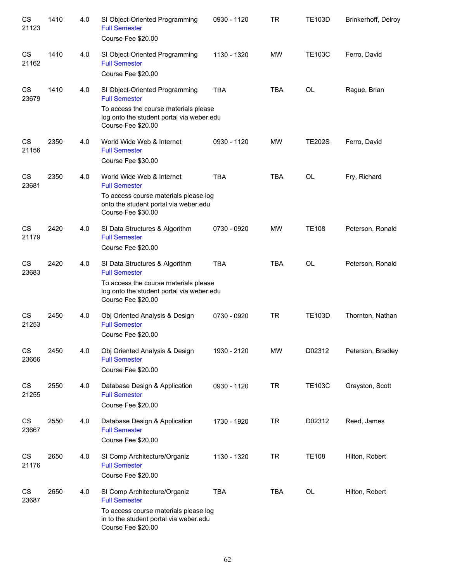| CS<br>21123 | 1410 | 4.0 | SI Object-Oriented Programming<br><b>Full Semester</b><br>Course Fee \$20.00                                                                                       | 0930 - 1120 | <b>TR</b>  | <b>TE103D</b> | Brinkerhoff, Delroy |
|-------------|------|-----|--------------------------------------------------------------------------------------------------------------------------------------------------------------------|-------------|------------|---------------|---------------------|
| CS<br>21162 | 1410 | 4.0 | SI Object-Oriented Programming<br><b>Full Semester</b><br>Course Fee \$20.00                                                                                       | 1130 - 1320 | <b>MW</b>  | <b>TE103C</b> | Ferro, David        |
| CS<br>23679 | 1410 | 4.0 | SI Object-Oriented Programming<br><b>Full Semester</b><br>To access the course materials please<br>log onto the student portal via weber.edu<br>Course Fee \$20.00 | <b>TBA</b>  | <b>TBA</b> | OL            | Rague, Brian        |
| CS<br>21156 | 2350 | 4.0 | World Wide Web & Internet<br><b>Full Semester</b><br>Course Fee \$30.00                                                                                            | 0930 - 1120 | <b>MW</b>  | <b>TE202S</b> | Ferro, David        |
| CS<br>23681 | 2350 | 4.0 | World Wide Web & Internet<br><b>Full Semester</b><br>To access course materials please log<br>onto the student portal via weber.edu<br>Course Fee \$30.00          | <b>TBA</b>  | <b>TBA</b> | <b>OL</b>     | Fry, Richard        |
| CS<br>21179 | 2420 | 4.0 | SI Data Structures & Algorithm<br><b>Full Semester</b><br>Course Fee \$20.00                                                                                       | 0730 - 0920 | <b>MW</b>  | <b>TE108</b>  | Peterson, Ronald    |
| CS<br>23683 | 2420 | 4.0 | SI Data Structures & Algorithm<br><b>Full Semester</b><br>To access the course materials please<br>log onto the student portal via weber.edu<br>Course Fee \$20.00 | <b>TBA</b>  | <b>TBA</b> | <b>OL</b>     | Peterson, Ronald    |
| CS<br>21253 | 2450 | 4.0 | Obj Oriented Analysis & Design<br><b>Full Semester</b><br>Course Fee \$20.00                                                                                       | 0730 - 0920 | <b>TR</b>  | <b>TE103D</b> | Thornton, Nathan    |
| CS<br>23666 | 2450 | 4.0 | Obj Oriented Analysis & Design<br><b>Full Semester</b><br>Course Fee \$20.00                                                                                       | 1930 - 2120 | <b>MW</b>  | D02312        | Peterson, Bradley   |
| CS<br>21255 | 2550 | 4.0 | Database Design & Application<br><b>Full Semester</b><br>Course Fee \$20.00                                                                                        | 0930 - 1120 | <b>TR</b>  | <b>TE103C</b> | Grayston, Scott     |
| CS<br>23667 | 2550 | 4.0 | Database Design & Application<br><b>Full Semester</b><br>Course Fee \$20.00                                                                                        | 1730 - 1920 | <b>TR</b>  | D02312        | Reed, James         |
| CS<br>21176 | 2650 | 4.0 | SI Comp Architecture/Organiz<br><b>Full Semester</b><br>Course Fee \$20.00                                                                                         | 1130 - 1320 | <b>TR</b>  | <b>TE108</b>  | Hilton, Robert      |
| CS<br>23687 | 2650 | 4.0 | SI Comp Architecture/Organiz<br><b>Full Semester</b><br>To access course materials please log<br>in to the student portal via weber.edu<br>Course Fee \$20.00      | <b>TBA</b>  | <b>TBA</b> | OL            | Hilton, Robert      |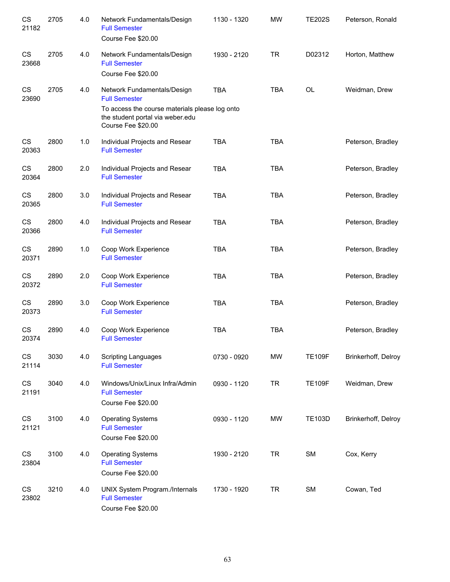| CS<br>21182                     | 2705 | 4.0   | Network Fundamentals/Design<br><b>Full Semester</b><br>Course Fee \$20.00                                                                                       | 1130 - 1320 | <b>MW</b>  | <b>TE202S</b> | Peterson, Ronald    |
|---------------------------------|------|-------|-----------------------------------------------------------------------------------------------------------------------------------------------------------------|-------------|------------|---------------|---------------------|
| CS<br>23668                     | 2705 | 4.0   | Network Fundamentals/Design<br><b>Full Semester</b><br>Course Fee \$20.00                                                                                       | 1930 - 2120 | <b>TR</b>  | D02312        | Horton, Matthew     |
| CS<br>23690                     | 2705 | 4.0   | Network Fundamentals/Design<br><b>Full Semester</b><br>To access the course materials please log onto<br>the student portal via weber.edu<br>Course Fee \$20.00 | <b>TBA</b>  | <b>TBA</b> | OL            | Weidman, Drew       |
| CS<br>20363                     | 2800 | $1.0$ | Individual Projects and Resear<br><b>Full Semester</b>                                                                                                          | <b>TBA</b>  | <b>TBA</b> |               | Peterson, Bradley   |
| $\mathbb{C}\mathbb{S}$<br>20364 | 2800 | 2.0   | Individual Projects and Resear<br><b>Full Semester</b>                                                                                                          | <b>TBA</b>  | <b>TBA</b> |               | Peterson, Bradley   |
| CS<br>20365                     | 2800 | 3.0   | Individual Projects and Resear<br><b>Full Semester</b>                                                                                                          | <b>TBA</b>  | <b>TBA</b> |               | Peterson, Bradley   |
| CS<br>20366                     | 2800 | 4.0   | Individual Projects and Resear<br><b>Full Semester</b>                                                                                                          | <b>TBA</b>  | <b>TBA</b> |               | Peterson, Bradley   |
| CS<br>20371                     | 2890 | 1.0   | Coop Work Experience<br><b>Full Semester</b>                                                                                                                    | <b>TBA</b>  | <b>TBA</b> |               | Peterson, Bradley   |
| CS<br>20372                     | 2890 | 2.0   | Coop Work Experience<br><b>Full Semester</b>                                                                                                                    | <b>TBA</b>  | <b>TBA</b> |               | Peterson, Bradley   |
| CS<br>20373                     | 2890 | 3.0   | Coop Work Experience<br><b>Full Semester</b>                                                                                                                    | <b>TBA</b>  | <b>TBA</b> |               | Peterson, Bradley   |
| CS<br>20374                     | 2890 | 4.0   | Coop Work Experience<br><b>Full Semester</b>                                                                                                                    | <b>TBA</b>  | <b>TBA</b> |               | Peterson, Bradley   |
| CS<br>21114                     | 3030 | 4.0   | <b>Scripting Languages</b><br><b>Full Semester</b>                                                                                                              | 0730 - 0920 | <b>MW</b>  | <b>TE109F</b> | Brinkerhoff, Delroy |
| CS<br>21191                     | 3040 | 4.0   | Windows/Unix/Linux Infra/Admin<br><b>Full Semester</b><br>Course Fee \$20.00                                                                                    | 0930 - 1120 | <b>TR</b>  | <b>TE109F</b> | Weidman, Drew       |
| CS<br>21121                     | 3100 | 4.0   | <b>Operating Systems</b><br><b>Full Semester</b><br>Course Fee \$20.00                                                                                          | 0930 - 1120 | <b>MW</b>  | <b>TE103D</b> | Brinkerhoff, Delroy |
| CS<br>23804                     | 3100 | 4.0   | <b>Operating Systems</b><br><b>Full Semester</b><br>Course Fee \$20.00                                                                                          | 1930 - 2120 | <b>TR</b>  | SM            | Cox, Kerry          |
| CS<br>23802                     | 3210 | 4.0   | UNIX System Program./Internals<br><b>Full Semester</b><br>Course Fee \$20.00                                                                                    | 1730 - 1920 | <b>TR</b>  | SM            | Cowan, Ted          |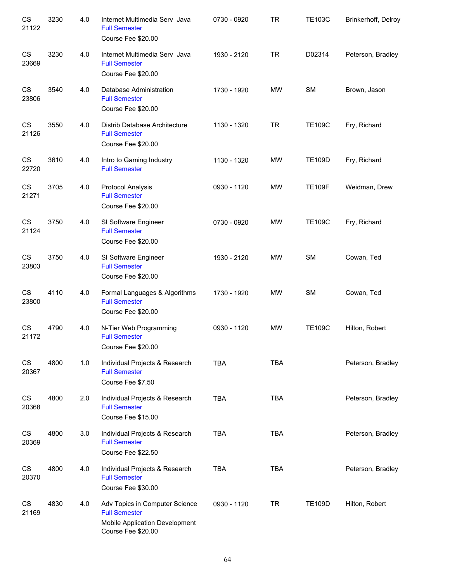| CS<br>21122 | 3230 | 4.0 | Internet Multimedia Serv Java<br><b>Full Semester</b><br>Course Fee \$20.00                                    | 0730 - 0920 | <b>TR</b>  | <b>TE103C</b> | Brinkerhoff, Delroy |
|-------------|------|-----|----------------------------------------------------------------------------------------------------------------|-------------|------------|---------------|---------------------|
| CS<br>23669 | 3230 | 4.0 | Internet Multimedia Serv Java<br><b>Full Semester</b><br>Course Fee \$20.00                                    | 1930 - 2120 | <b>TR</b>  | D02314        | Peterson, Bradley   |
| CS<br>23806 | 3540 | 4.0 | Database Administration<br><b>Full Semester</b><br>Course Fee \$20.00                                          | 1730 - 1920 | MW         | <b>SM</b>     | Brown, Jason        |
| CS<br>21126 | 3550 | 4.0 | Distrib Database Architecture<br><b>Full Semester</b><br>Course Fee \$20.00                                    | 1130 - 1320 | <b>TR</b>  | <b>TE109C</b> | Fry, Richard        |
| CS<br>22720 | 3610 | 4.0 | Intro to Gaming Industry<br><b>Full Semester</b>                                                               | 1130 - 1320 | MW         | <b>TE109D</b> | Fry, Richard        |
| CS<br>21271 | 3705 | 4.0 | <b>Protocol Analysis</b><br><b>Full Semester</b><br>Course Fee \$20.00                                         | 0930 - 1120 | <b>MW</b>  | <b>TE109F</b> | Weidman, Drew       |
| CS<br>21124 | 3750 | 4.0 | SI Software Engineer<br><b>Full Semester</b><br>Course Fee \$20.00                                             | 0730 - 0920 | <b>MW</b>  | <b>TE109C</b> | Fry, Richard        |
| CS<br>23803 | 3750 | 4.0 | SI Software Engineer<br><b>Full Semester</b><br>Course Fee \$20.00                                             | 1930 - 2120 | <b>MW</b>  | <b>SM</b>     | Cowan, Ted          |
| CS<br>23800 | 4110 | 4.0 | Formal Languages & Algorithms<br><b>Full Semester</b><br>Course Fee \$20.00                                    | 1730 - 1920 | MW         | <b>SM</b>     | Cowan, Ted          |
| CS<br>21172 | 4790 | 4.0 | N-Tier Web Programming<br><b>Full Semester</b><br>Course Fee \$20.00                                           | 0930 - 1120 | MW         | <b>TE109C</b> | Hilton, Robert      |
| CS<br>20367 | 4800 | 1.0 | Individual Projects & Research<br><b>Full Semester</b><br>Course Fee \$7.50                                    | <b>TBA</b>  | <b>TBA</b> |               | Peterson, Bradley   |
| CS<br>20368 | 4800 | 2.0 | Individual Projects & Research<br><b>Full Semester</b><br>Course Fee \$15.00                                   | <b>TBA</b>  | <b>TBA</b> |               | Peterson, Bradley   |
| CS<br>20369 | 4800 | 3.0 | Individual Projects & Research<br><b>Full Semester</b><br>Course Fee \$22.50                                   | <b>TBA</b>  | <b>TBA</b> |               | Peterson, Bradley   |
| CS<br>20370 | 4800 | 4.0 | Individual Projects & Research<br><b>Full Semester</b><br>Course Fee \$30.00                                   | <b>TBA</b>  | <b>TBA</b> |               | Peterson, Bradley   |
| CS<br>21169 | 4830 | 4.0 | Adv Topics in Computer Science<br><b>Full Semester</b><br>Mobile Application Development<br>Course Fee \$20.00 | 0930 - 1120 | <b>TR</b>  | <b>TE109D</b> | Hilton, Robert      |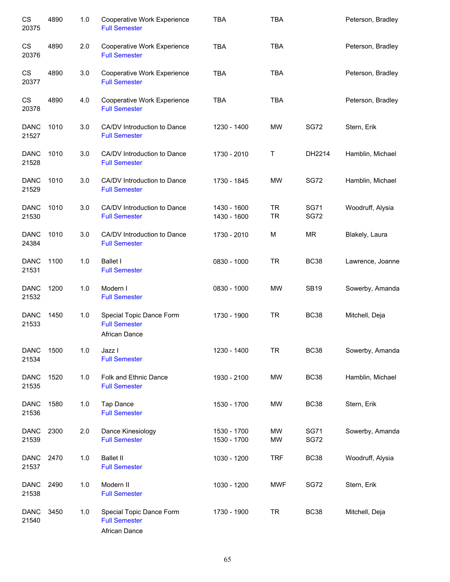| CS<br>20375          | 4890 | 1.0 | Cooperative Work Experience<br><b>Full Semester</b>                      | <b>TBA</b>                 | <b>TBA</b>             |                            | Peterson, Bradley |
|----------------------|------|-----|--------------------------------------------------------------------------|----------------------------|------------------------|----------------------------|-------------------|
| CS<br>20376          | 4890 | 2.0 | Cooperative Work Experience<br><b>Full Semester</b>                      | <b>TBA</b>                 | <b>TBA</b>             |                            | Peterson, Bradley |
| CS<br>20377          | 4890 | 3.0 | Cooperative Work Experience<br><b>Full Semester</b>                      | <b>TBA</b>                 | <b>TBA</b>             |                            | Peterson, Bradley |
| CS<br>20378          | 4890 | 4.0 | Cooperative Work Experience<br><b>Full Semester</b>                      | <b>TBA</b>                 | <b>TBA</b>             |                            | Peterson, Bradley |
| <b>DANC</b><br>21527 | 1010 | 3.0 | CA/DV Introduction to Dance<br><b>Full Semester</b>                      | 1230 - 1400                | <b>MW</b>              | <b>SG72</b>                | Stern, Erik       |
| <b>DANC</b><br>21528 | 1010 | 3.0 | CA/DV Introduction to Dance<br><b>Full Semester</b>                      | 1730 - 2010                | Τ                      | DH2214                     | Hamblin, Michael  |
| <b>DANC</b><br>21529 | 1010 | 3.0 | CA/DV Introduction to Dance<br><b>Full Semester</b>                      | 1730 - 1845                | <b>MW</b>              | <b>SG72</b>                | Hamblin, Michael  |
| <b>DANC</b><br>21530 | 1010 | 3.0 | CA/DV Introduction to Dance<br><b>Full Semester</b>                      | 1430 - 1600<br>1430 - 1600 | <b>TR</b><br><b>TR</b> | <b>SG71</b><br><b>SG72</b> | Woodruff, Alysia  |
| <b>DANC</b><br>24384 | 1010 | 3.0 | CA/DV Introduction to Dance<br><b>Full Semester</b>                      | 1730 - 2010                | M                      | <b>MR</b>                  | Blakely, Laura    |
| <b>DANC</b><br>21531 | 1100 | 1.0 | <b>Ballet I</b><br><b>Full Semester</b>                                  | 0830 - 1000                | <b>TR</b>              | <b>BC38</b>                | Lawrence, Joanne  |
| <b>DANC</b><br>21532 | 1200 | 1.0 | Modern I<br><b>Full Semester</b>                                         | 0830 - 1000                | <b>MW</b>              | <b>SB19</b>                | Sowerby, Amanda   |
| <b>DANC</b><br>21533 | 1450 | 1.0 | Special Topic Dance Form<br><b>Full Semester</b><br><b>African Dance</b> | 1730 - 1900                | <b>TR</b>              | <b>BC38</b>                | Mitchell, Deja    |
| <b>DANC</b><br>21534 | 1500 | 1.0 | Jazz I<br><b>Full Semester</b>                                           | 1230 - 1400                | <b>TR</b>              | <b>BC38</b>                | Sowerby, Amanda   |
| <b>DANC</b><br>21535 | 1520 | 1.0 | Folk and Ethnic Dance<br><b>Full Semester</b>                            | 1930 - 2100                | MW                     | <b>BC38</b>                | Hamblin, Michael  |
| <b>DANC</b><br>21536 | 1580 | 1.0 | Tap Dance<br><b>Full Semester</b>                                        | 1530 - 1700                | MW                     | <b>BC38</b>                | Stern, Erik       |
| <b>DANC</b><br>21539 | 2300 | 2.0 | Dance Kinesiology<br><b>Full Semester</b>                                | 1530 - 1700<br>1530 - 1700 | MW<br><b>MW</b>        | <b>SG71</b><br><b>SG72</b> | Sowerby, Amanda   |
| <b>DANC</b><br>21537 | 2470 | 1.0 | <b>Ballet II</b><br><b>Full Semester</b>                                 | 1030 - 1200                | <b>TRF</b>             | <b>BC38</b>                | Woodruff, Alysia  |
| <b>DANC</b><br>21538 | 2490 | 1.0 | Modern II<br><b>Full Semester</b>                                        | 1030 - 1200                | <b>MWF</b>             | <b>SG72</b>                | Stern, Erik       |
| <b>DANC</b><br>21540 | 3450 | 1.0 | Special Topic Dance Form<br><b>Full Semester</b><br>African Dance        | 1730 - 1900                | <b>TR</b>              | <b>BC38</b>                | Mitchell, Deja    |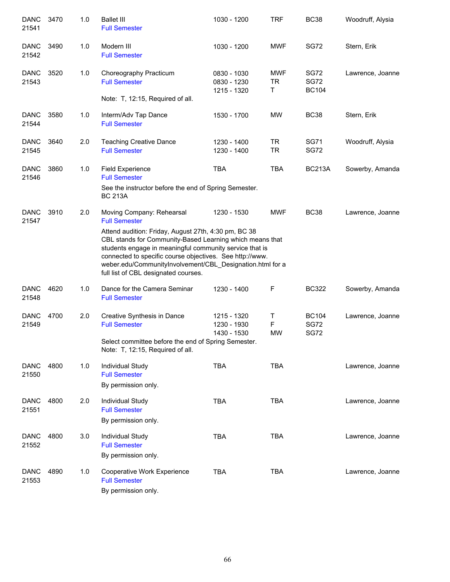| <b>DANC</b><br>21541 | 3470 | 1.0 | <b>Ballet III</b><br><b>Full Semester</b>                                                                                                                                                                                                                                                                                                                                                         | 1030 - 1200                               | <b>TRF</b>                   | <b>BC38</b>                                | Woodruff, Alysia |
|----------------------|------|-----|---------------------------------------------------------------------------------------------------------------------------------------------------------------------------------------------------------------------------------------------------------------------------------------------------------------------------------------------------------------------------------------------------|-------------------------------------------|------------------------------|--------------------------------------------|------------------|
| <b>DANC</b><br>21542 | 3490 | 1.0 | Modern III<br><b>Full Semester</b>                                                                                                                                                                                                                                                                                                                                                                | 1030 - 1200                               | <b>MWF</b>                   | <b>SG72</b>                                | Stern, Erik      |
| <b>DANC</b><br>21543 | 3520 | 1.0 | Choreography Practicum<br><b>Full Semester</b><br>Note: T, 12:15, Required of all.                                                                                                                                                                                                                                                                                                                | 0830 - 1030<br>0830 - 1230<br>1215 - 1320 | <b>MWF</b><br><b>TR</b><br>Τ | <b>SG72</b><br><b>SG72</b><br><b>BC104</b> | Lawrence, Joanne |
| <b>DANC</b><br>21544 | 3580 | 1.0 | Interm/Adv Tap Dance<br><b>Full Semester</b>                                                                                                                                                                                                                                                                                                                                                      | 1530 - 1700                               | <b>MW</b>                    | <b>BC38</b>                                | Stern, Erik      |
| <b>DANC</b><br>21545 | 3640 | 2.0 | <b>Teaching Creative Dance</b><br><b>Full Semester</b>                                                                                                                                                                                                                                                                                                                                            | 1230 - 1400<br>1230 - 1400                | <b>TR</b><br><b>TR</b>       | <b>SG71</b><br><b>SG72</b>                 | Woodruff, Alysia |
| <b>DANC</b><br>21546 | 3860 | 1.0 | <b>Field Experience</b><br><b>Full Semester</b><br>See the instructor before the end of Spring Semester.<br><b>BC 213A</b>                                                                                                                                                                                                                                                                        | <b>TBA</b>                                | <b>TBA</b>                   | <b>BC213A</b>                              | Sowerby, Amanda  |
| <b>DANC</b><br>21547 | 3910 | 2.0 | Moving Company: Rehearsal<br><b>Full Semester</b><br>Attend audition: Friday, August 27th, 4:30 pm, BC 38<br>CBL stands for Community-Based Learning which means that<br>students engage in meaningful community service that is<br>connected to specific course objectives. See http://www.<br>weber.edu/CommunityInvolvement/CBL_Designation.html for a<br>full list of CBL designated courses. | 1230 - 1530                               | <b>MWF</b>                   | <b>BC38</b>                                | Lawrence, Joanne |
| <b>DANC</b><br>21548 | 4620 | 1.0 | Dance for the Camera Seminar<br><b>Full Semester</b>                                                                                                                                                                                                                                                                                                                                              | 1230 - 1400                               | F                            | <b>BC322</b>                               | Sowerby, Amanda  |
| <b>DANC</b><br>21549 | 4700 | 2.0 | Creative Synthesis in Dance<br><b>Full Semester</b><br>Select committee before the end of Spring Semester.<br>Note: T, 12:15, Required of all.                                                                                                                                                                                                                                                    | 1215 - 1320<br>1230 - 1930<br>1430 - 1530 | Т<br>F<br><b>MW</b>          | <b>BC104</b><br><b>SG72</b><br><b>SG72</b> | Lawrence, Joanne |
| <b>DANC</b><br>21550 | 4800 | 1.0 | <b>Individual Study</b><br><b>Full Semester</b><br>By permission only.                                                                                                                                                                                                                                                                                                                            | <b>TBA</b>                                | <b>TBA</b>                   |                                            | Lawrence, Joanne |
| <b>DANC</b><br>21551 | 4800 | 2.0 | Individual Study<br><b>Full Semester</b><br>By permission only.                                                                                                                                                                                                                                                                                                                                   | <b>TBA</b>                                | <b>TBA</b>                   |                                            | Lawrence, Joanne |
| <b>DANC</b><br>21552 | 4800 | 3.0 | Individual Study<br><b>Full Semester</b><br>By permission only.                                                                                                                                                                                                                                                                                                                                   | <b>TBA</b>                                | <b>TBA</b>                   |                                            | Lawrence, Joanne |
| <b>DANC</b><br>21553 | 4890 | 1.0 | Cooperative Work Experience<br><b>Full Semester</b><br>By permission only.                                                                                                                                                                                                                                                                                                                        | <b>TBA</b>                                | <b>TBA</b>                   |                                            | Lawrence, Joanne |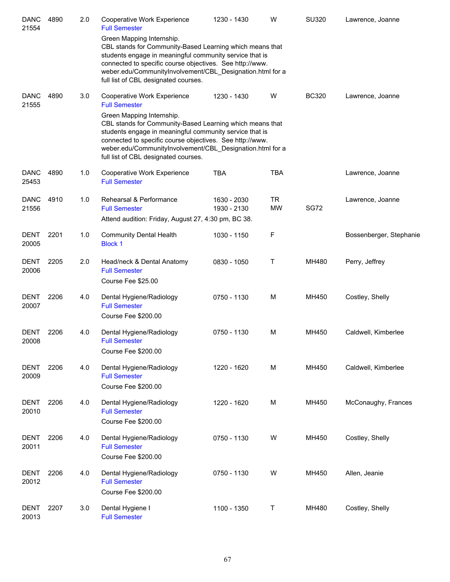| <b>DANC</b><br>21554 | 4890 | 2.0 | Cooperative Work Experience<br><b>Full Semester</b>                                                                                                                                                                                                                                                                                                                      | 1230 - 1430                | W                | <b>SU320</b> | Lawrence, Joanne        |
|----------------------|------|-----|--------------------------------------------------------------------------------------------------------------------------------------------------------------------------------------------------------------------------------------------------------------------------------------------------------------------------------------------------------------------------|----------------------------|------------------|--------------|-------------------------|
|                      |      |     | Green Mapping Internship.<br>CBL stands for Community-Based Learning which means that<br>students engage in meaningful community service that is<br>connected to specific course objectives. See http://www.<br>weber.edu/CommunityInvolvement/CBL_Designation.html for a<br>full list of CBL designated courses.                                                        |                            |                  |              |                         |
| <b>DANC</b><br>21555 | 4890 | 3.0 | Cooperative Work Experience<br><b>Full Semester</b><br>Green Mapping Internship.<br>CBL stands for Community-Based Learning which means that<br>students engage in meaningful community service that is<br>connected to specific course objectives. See http://www.<br>weber.edu/CommunityInvolvement/CBL_Designation.html for a<br>full list of CBL designated courses. | 1230 - 1430                | W                | <b>BC320</b> | Lawrence, Joanne        |
| <b>DANC</b><br>25453 | 4890 | 1.0 | Cooperative Work Experience<br><b>Full Semester</b>                                                                                                                                                                                                                                                                                                                      | <b>TBA</b>                 | <b>TBA</b>       |              | Lawrence, Joanne        |
| <b>DANC</b><br>21556 | 4910 | 1.0 | Rehearsal & Performance<br><b>Full Semester</b><br>Attend audition: Friday, August 27, 4:30 pm, BC 38.                                                                                                                                                                                                                                                                   | 1630 - 2030<br>1930 - 2130 | TR.<br><b>MW</b> | <b>SG72</b>  | Lawrence, Joanne        |
| <b>DENT</b><br>20005 | 2201 | 1.0 | <b>Community Dental Health</b><br><b>Block 1</b>                                                                                                                                                                                                                                                                                                                         | 1030 - 1150                | F                |              | Bossenberger, Stephanie |
| <b>DENT</b><br>20006 | 2205 | 2.0 | Head/neck & Dental Anatomy<br><b>Full Semester</b><br>Course Fee \$25.00                                                                                                                                                                                                                                                                                                 | 0830 - 1050                | Τ                | MH480        | Perry, Jeffrey          |
| <b>DENT</b><br>20007 | 2206 | 4.0 | Dental Hygiene/Radiology<br><b>Full Semester</b><br>Course Fee \$200.00                                                                                                                                                                                                                                                                                                  | 0750 - 1130                | M                | MH450        | Costley, Shelly         |
| <b>DENT</b><br>20008 | 2206 | 4.0 | Dental Hygiene/Radiology<br><b>Full Semester</b><br>Course Fee \$200.00                                                                                                                                                                                                                                                                                                  | 0750 - 1130                | M                | MH450        | Caldwell, Kimberlee     |
| <b>DENT</b><br>20009 | 2206 | 4.0 | Dental Hygiene/Radiology<br><b>Full Semester</b><br>Course Fee \$200.00                                                                                                                                                                                                                                                                                                  | 1220 - 1620                | M                | MH450        | Caldwell, Kimberlee     |
| <b>DENT</b><br>20010 | 2206 | 4.0 | Dental Hygiene/Radiology<br><b>Full Semester</b><br>Course Fee \$200.00                                                                                                                                                                                                                                                                                                  | 1220 - 1620                | M                | MH450        | McConaughy, Frances     |
| <b>DENT</b><br>20011 | 2206 | 4.0 | Dental Hygiene/Radiology<br><b>Full Semester</b><br>Course Fee \$200.00                                                                                                                                                                                                                                                                                                  | 0750 - 1130                | W                | MH450        | Costley, Shelly         |
| <b>DENT</b><br>20012 | 2206 | 4.0 | Dental Hygiene/Radiology<br><b>Full Semester</b><br>Course Fee \$200.00                                                                                                                                                                                                                                                                                                  | 0750 - 1130                | W                | MH450        | Allen, Jeanie           |
| <b>DENT</b><br>20013 | 2207 | 3.0 | Dental Hygiene I<br><b>Full Semester</b>                                                                                                                                                                                                                                                                                                                                 | 1100 - 1350                | Τ                | MH480        | Costley, Shelly         |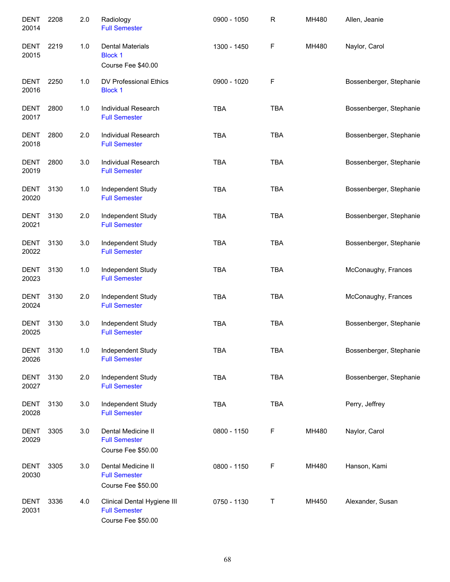| <b>DENT</b><br>20014 | 2208 | 2.0 | Radiology<br><b>Full Semester</b>                                         | 0900 - 1050 | R          | MH480 | Allen, Jeanie           |
|----------------------|------|-----|---------------------------------------------------------------------------|-------------|------------|-------|-------------------------|
| <b>DENT</b><br>20015 | 2219 | 1.0 | <b>Dental Materials</b><br><b>Block 1</b><br>Course Fee \$40.00           | 1300 - 1450 | F          | MH480 | Naylor, Carol           |
| <b>DENT</b><br>20016 | 2250 | 1.0 | DV Professional Ethics<br><b>Block 1</b>                                  | 0900 - 1020 | F          |       | Bossenberger, Stephanie |
| <b>DENT</b><br>20017 | 2800 | 1.0 | <b>Individual Research</b><br><b>Full Semester</b>                        | <b>TBA</b>  | <b>TBA</b> |       | Bossenberger, Stephanie |
| <b>DENT</b><br>20018 | 2800 | 2.0 | Individual Research<br><b>Full Semester</b>                               | <b>TBA</b>  | <b>TBA</b> |       | Bossenberger, Stephanie |
| <b>DENT</b><br>20019 | 2800 | 3.0 | Individual Research<br><b>Full Semester</b>                               | <b>TBA</b>  | <b>TBA</b> |       | Bossenberger, Stephanie |
| <b>DENT</b><br>20020 | 3130 | 1.0 | Independent Study<br><b>Full Semester</b>                                 | <b>TBA</b>  | <b>TBA</b> |       | Bossenberger, Stephanie |
| <b>DENT</b><br>20021 | 3130 | 2.0 | Independent Study<br><b>Full Semester</b>                                 | <b>TBA</b>  | <b>TBA</b> |       | Bossenberger, Stephanie |
| <b>DENT</b><br>20022 | 3130 | 3.0 | Independent Study<br><b>Full Semester</b>                                 | <b>TBA</b>  | <b>TBA</b> |       | Bossenberger, Stephanie |
| <b>DENT</b><br>20023 | 3130 | 1.0 | Independent Study<br><b>Full Semester</b>                                 | <b>TBA</b>  | <b>TBA</b> |       | McConaughy, Frances     |
| <b>DENT</b><br>20024 | 3130 | 2.0 | Independent Study<br><b>Full Semester</b>                                 | <b>TBA</b>  | <b>TBA</b> |       | McConaughy, Frances     |
| <b>DENT</b><br>20025 | 3130 | 3.0 | Independent Study<br><b>Full Semester</b>                                 | <b>TBA</b>  | <b>TBA</b> |       | Bossenberger, Stephanie |
| <b>DENT</b><br>20026 | 3130 | 1.0 | Independent Study<br><b>Full Semester</b>                                 | <b>TBA</b>  | <b>TBA</b> |       | Bossenberger, Stephanie |
| <b>DENT</b><br>20027 | 3130 | 2.0 | Independent Study<br><b>Full Semester</b>                                 | <b>TBA</b>  | <b>TBA</b> |       | Bossenberger, Stephanie |
| DENT<br>20028        | 3130 | 3.0 | Independent Study<br><b>Full Semester</b>                                 | <b>TBA</b>  | <b>TBA</b> |       | Perry, Jeffrey          |
| <b>DENT</b><br>20029 | 3305 | 3.0 | Dental Medicine II<br><b>Full Semester</b><br>Course Fee \$50.00          | 0800 - 1150 | F          | MH480 | Naylor, Carol           |
| DENT<br>20030        | 3305 | 3.0 | Dental Medicine II<br><b>Full Semester</b><br>Course Fee \$50.00          | 0800 - 1150 | F          | MH480 | Hanson, Kami            |
| <b>DENT</b><br>20031 | 3336 | 4.0 | Clinical Dental Hygiene III<br><b>Full Semester</b><br>Course Fee \$50.00 | 0750 - 1130 | $\sf T$    | MH450 | Alexander, Susan        |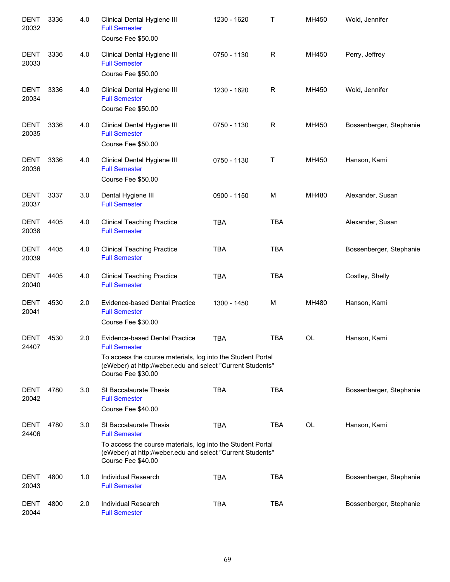| DENT<br>20032        | 3336 | 4.0 | Clinical Dental Hygiene III<br><b>Full Semester</b><br>Course Fee \$50.00                                                                       | 1230 - 1620 | Τ            | MH450     | Wold, Jennifer          |
|----------------------|------|-----|-------------------------------------------------------------------------------------------------------------------------------------------------|-------------|--------------|-----------|-------------------------|
| <b>DENT</b><br>20033 | 3336 | 4.0 | Clinical Dental Hygiene III<br><b>Full Semester</b><br>Course Fee \$50.00                                                                       | 0750 - 1130 | $\mathsf{R}$ | MH450     | Perry, Jeffrey          |
| <b>DENT</b><br>20034 | 3336 | 4.0 | Clinical Dental Hygiene III<br><b>Full Semester</b><br>Course Fee \$50.00                                                                       | 1230 - 1620 | R            | MH450     | Wold, Jennifer          |
| <b>DENT</b><br>20035 | 3336 | 4.0 | Clinical Dental Hygiene III<br><b>Full Semester</b><br>Course Fee \$50.00                                                                       | 0750 - 1130 | R            | MH450     | Bossenberger, Stephanie |
| <b>DENT</b><br>20036 | 3336 | 4.0 | Clinical Dental Hygiene III<br><b>Full Semester</b><br>Course Fee \$50.00                                                                       | 0750 - 1130 | Τ            | MH450     | Hanson, Kami            |
| <b>DENT</b><br>20037 | 3337 | 3.0 | Dental Hygiene III<br><b>Full Semester</b>                                                                                                      | 0900 - 1150 | M            | MH480     | Alexander, Susan        |
| <b>DENT</b><br>20038 | 4405 | 4.0 | <b>Clinical Teaching Practice</b><br><b>Full Semester</b>                                                                                       | <b>TBA</b>  | <b>TBA</b>   |           | Alexander, Susan        |
| <b>DENT</b><br>20039 | 4405 | 4.0 | <b>Clinical Teaching Practice</b><br><b>Full Semester</b>                                                                                       | <b>TBA</b>  | <b>TBA</b>   |           | Bossenberger, Stephanie |
| <b>DENT</b><br>20040 | 4405 | 4.0 | <b>Clinical Teaching Practice</b><br><b>Full Semester</b>                                                                                       | <b>TBA</b>  | <b>TBA</b>   |           | Costley, Shelly         |
| <b>DENT</b><br>20041 | 4530 | 2.0 | <b>Evidence-based Dental Practice</b><br><b>Full Semester</b><br>Course Fee \$30.00                                                             | 1300 - 1450 | M            | MH480     | Hanson, Kami            |
| <b>DENT</b><br>24407 | 4530 | 2.0 | <b>Evidence-based Dental Practice</b><br><b>Full Semester</b>                                                                                   | <b>TBA</b>  | <b>TBA</b>   | <b>OL</b> | Hanson, Kami            |
|                      |      |     | To access the course materials, log into the Student Portal<br>(eWeber) at http://weber.edu and select "Current Students"<br>Course Fee \$30.00 |             |              |           |                         |
| <b>DENT</b><br>20042 | 4780 | 3.0 | SI Baccalaurate Thesis<br><b>Full Semester</b><br>Course Fee \$40.00                                                                            | <b>TBA</b>  | <b>TBA</b>   |           | Bossenberger, Stephanie |
| <b>DENT</b><br>24406 | 4780 | 3.0 | SI Baccalaurate Thesis<br><b>Full Semester</b>                                                                                                  | <b>TBA</b>  | <b>TBA</b>   | OL        | Hanson, Kami            |
|                      |      |     | To access the course materials, log into the Student Portal<br>(eWeber) at http://weber.edu and select "Current Students"<br>Course Fee \$40.00 |             |              |           |                         |
| DENT<br>20043        | 4800 | 1.0 | Individual Research<br><b>Full Semester</b>                                                                                                     | <b>TBA</b>  | <b>TBA</b>   |           | Bossenberger, Stephanie |
| <b>DENT</b><br>20044 | 4800 | 2.0 | Individual Research<br><b>Full Semester</b>                                                                                                     | <b>TBA</b>  | <b>TBA</b>   |           | Bossenberger, Stephanie |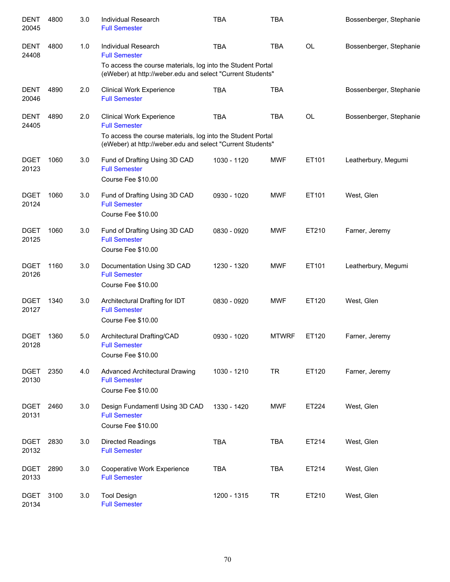| <b>DENT</b><br>20045 | 4800 | 3.0 | <b>Individual Research</b><br><b>Full Semester</b>                                                                        | <b>TBA</b>  | <b>TBA</b>   |           | Bossenberger, Stephanie |
|----------------------|------|-----|---------------------------------------------------------------------------------------------------------------------------|-------------|--------------|-----------|-------------------------|
| <b>DENT</b><br>24408 | 4800 | 1.0 | Individual Research<br><b>Full Semester</b>                                                                               | <b>TBA</b>  | <b>TBA</b>   | OL        | Bossenberger, Stephanie |
|                      |      |     | To access the course materials, log into the Student Portal<br>(eWeber) at http://weber.edu and select "Current Students" |             |              |           |                         |
| <b>DENT</b><br>20046 | 4890 | 2.0 | <b>Clinical Work Experience</b><br><b>Full Semester</b>                                                                   | <b>TBA</b>  | <b>TBA</b>   |           | Bossenberger, Stephanie |
| <b>DENT</b><br>24405 | 4890 | 2.0 | <b>Clinical Work Experience</b><br><b>Full Semester</b><br>To access the course materials, log into the Student Portal    | <b>TBA</b>  | <b>TBA</b>   | <b>OL</b> | Bossenberger, Stephanie |
|                      |      |     | (eWeber) at http://weber.edu and select "Current Students"                                                                |             |              |           |                         |
| <b>DGET</b><br>20123 | 1060 | 3.0 | Fund of Drafting Using 3D CAD<br><b>Full Semester</b><br>Course Fee \$10.00                                               | 1030 - 1120 | <b>MWF</b>   | ET101     | Leatherbury, Megumi     |
| <b>DGET</b><br>20124 | 1060 | 3.0 | Fund of Drafting Using 3D CAD<br><b>Full Semester</b><br>Course Fee \$10.00                                               | 0930 - 1020 | <b>MWF</b>   | ET101     | West, Glen              |
| <b>DGET</b><br>20125 | 1060 | 3.0 | Fund of Drafting Using 3D CAD<br><b>Full Semester</b><br>Course Fee \$10.00                                               | 0830 - 0920 | <b>MWF</b>   | ET210     | Farner, Jeremy          |
| <b>DGET</b><br>20126 | 1160 | 3.0 | Documentation Using 3D CAD<br><b>Full Semester</b><br>Course Fee \$10.00                                                  | 1230 - 1320 | <b>MWF</b>   | ET101     | Leatherbury, Megumi     |
| <b>DGET</b><br>20127 | 1340 | 3.0 | Architectural Drafting for IDT<br><b>Full Semester</b><br>Course Fee \$10.00                                              | 0830 - 0920 | <b>MWF</b>   | ET120     | West, Glen              |
| <b>DGET</b><br>20128 | 1360 | 5.0 | Architectural Drafting/CAD<br><b>Full Semester</b><br>Course Fee \$10.00                                                  | 0930 - 1020 | <b>MTWRF</b> | ET120     | Farner, Jeremy          |
| <b>DGET</b><br>20130 | 2350 | 4.0 | <b>Advanced Architectural Drawing</b><br><b>Full Semester</b><br>Course Fee \$10.00                                       | 1030 - 1210 | <b>TR</b>    | ET120     | Farner, Jeremy          |
| <b>DGET</b><br>20131 | 2460 | 3.0 | Design Fundamentl Using 3D CAD<br><b>Full Semester</b><br>Course Fee \$10.00                                              | 1330 - 1420 | <b>MWF</b>   | ET224     | West, Glen              |
| <b>DGET</b><br>20132 | 2830 | 3.0 | Directed Readings<br><b>Full Semester</b>                                                                                 | <b>TBA</b>  | <b>TBA</b>   | ET214     | West, Glen              |
| <b>DGET</b><br>20133 | 2890 | 3.0 | Cooperative Work Experience<br><b>Full Semester</b>                                                                       | <b>TBA</b>  | <b>TBA</b>   | ET214     | West, Glen              |
| <b>DGET</b><br>20134 | 3100 | 3.0 | <b>Tool Design</b><br><b>Full Semester</b>                                                                                | 1200 - 1315 | <b>TR</b>    | ET210     | West, Glen              |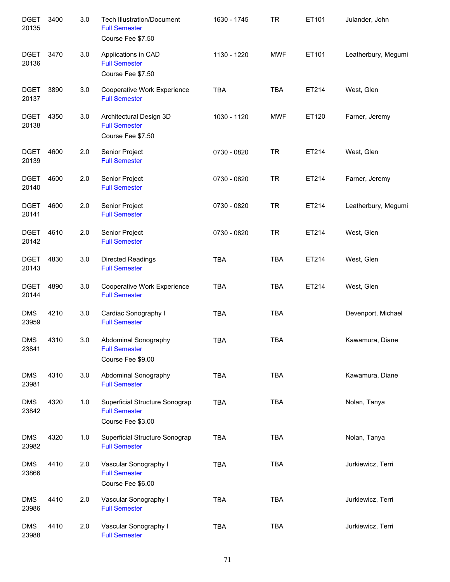| <b>DGET</b><br>20135 | 3400 | 3.0 | <b>Tech Illustration/Document</b><br><b>Full Semester</b><br>Course Fee \$7.50 | 1630 - 1745 | <b>TR</b>  | ET101 | Julander, John      |
|----------------------|------|-----|--------------------------------------------------------------------------------|-------------|------------|-------|---------------------|
| <b>DGET</b><br>20136 | 3470 | 3.0 | Applications in CAD<br><b>Full Semester</b><br>Course Fee \$7.50               | 1130 - 1220 | <b>MWF</b> | ET101 | Leatherbury, Megumi |
| <b>DGET</b><br>20137 | 3890 | 3.0 | Cooperative Work Experience<br><b>Full Semester</b>                            | <b>TBA</b>  | <b>TBA</b> | ET214 | West, Glen          |
| <b>DGET</b><br>20138 | 4350 | 3.0 | Architectural Design 3D<br><b>Full Semester</b><br>Course Fee \$7.50           | 1030 - 1120 | <b>MWF</b> | ET120 | Farner, Jeremy      |
| <b>DGET</b><br>20139 | 4600 | 2.0 | Senior Project<br><b>Full Semester</b>                                         | 0730 - 0820 | <b>TR</b>  | ET214 | West, Glen          |
| <b>DGET</b><br>20140 | 4600 | 2.0 | Senior Project<br><b>Full Semester</b>                                         | 0730 - 0820 | <b>TR</b>  | ET214 | Farner, Jeremy      |
| <b>DGET</b><br>20141 | 4600 | 2.0 | Senior Project<br><b>Full Semester</b>                                         | 0730 - 0820 | <b>TR</b>  | ET214 | Leatherbury, Megumi |
| <b>DGET</b><br>20142 | 4610 | 2.0 | Senior Project<br><b>Full Semester</b>                                         | 0730 - 0820 | <b>TR</b>  | ET214 | West, Glen          |
| <b>DGET</b><br>20143 | 4830 | 3.0 | <b>Directed Readings</b><br><b>Full Semester</b>                               | <b>TBA</b>  | <b>TBA</b> | ET214 | West, Glen          |
| <b>DGET</b><br>20144 | 4890 | 3.0 | Cooperative Work Experience<br><b>Full Semester</b>                            | <b>TBA</b>  | <b>TBA</b> | ET214 | West, Glen          |
| <b>DMS</b><br>23959  | 4210 | 3.0 | Cardiac Sonography I<br><b>Full Semester</b>                                   | <b>TBA</b>  | <b>TBA</b> |       | Devenport, Michael  |
| <b>DMS</b><br>23841  | 4310 | 3.0 | Abdominal Sonography<br><b>Full Semester</b><br>Course Fee \$9.00              | <b>TBA</b>  | <b>TBA</b> |       | Kawamura, Diane     |
| <b>DMS</b><br>23981  | 4310 | 3.0 | Abdominal Sonography<br><b>Full Semester</b>                                   | <b>TBA</b>  | <b>TBA</b> |       | Kawamura, Diane     |
| <b>DMS</b><br>23842  | 4320 | 1.0 | Superficial Structure Sonograp<br><b>Full Semester</b><br>Course Fee \$3.00    | <b>TBA</b>  | <b>TBA</b> |       | Nolan, Tanya        |
| <b>DMS</b><br>23982  | 4320 | 1.0 | Superficial Structure Sonograp<br><b>Full Semester</b>                         | <b>TBA</b>  | <b>TBA</b> |       | Nolan, Tanya        |
| <b>DMS</b><br>23866  | 4410 | 2.0 | Vascular Sonography I<br><b>Full Semester</b><br>Course Fee \$6.00             | <b>TBA</b>  | <b>TBA</b> |       | Jurkiewicz, Terri   |
| <b>DMS</b><br>23986  | 4410 | 2.0 | Vascular Sonography I<br><b>Full Semester</b>                                  | <b>TBA</b>  | <b>TBA</b> |       | Jurkiewicz, Terri   |
| <b>DMS</b><br>23988  | 4410 | 2.0 | Vascular Sonography I<br><b>Full Semester</b>                                  | <b>TBA</b>  | <b>TBA</b> |       | Jurkiewicz, Terri   |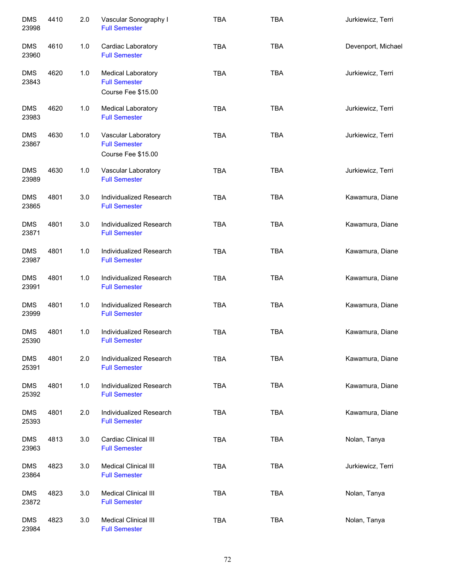| <b>DMS</b><br>23998 | 4410 | 2.0 | Vascular Sonography I<br><b>Full Semester</b>                           | <b>TBA</b> | <b>TBA</b> | Jurkiewicz, Terri  |
|---------------------|------|-----|-------------------------------------------------------------------------|------------|------------|--------------------|
| <b>DMS</b><br>23960 | 4610 | 1.0 | Cardiac Laboratory<br><b>Full Semester</b>                              | <b>TBA</b> | <b>TBA</b> | Devenport, Michael |
| <b>DMS</b><br>23843 | 4620 | 1.0 | <b>Medical Laboratory</b><br><b>Full Semester</b><br>Course Fee \$15.00 | <b>TBA</b> | <b>TBA</b> | Jurkiewicz, Terri  |
| <b>DMS</b><br>23983 | 4620 | 1.0 | <b>Medical Laboratory</b><br><b>Full Semester</b>                       | <b>TBA</b> | <b>TBA</b> | Jurkiewicz, Terri  |
| <b>DMS</b><br>23867 | 4630 | 1.0 | Vascular Laboratory<br><b>Full Semester</b><br>Course Fee \$15.00       | <b>TBA</b> | <b>TBA</b> | Jurkiewicz, Terri  |
| <b>DMS</b><br>23989 | 4630 | 1.0 | Vascular Laboratory<br><b>Full Semester</b>                             | <b>TBA</b> | <b>TBA</b> | Jurkiewicz, Terri  |
| <b>DMS</b><br>23865 | 4801 | 3.0 | Individualized Research<br><b>Full Semester</b>                         | <b>TBA</b> | <b>TBA</b> | Kawamura, Diane    |
| <b>DMS</b><br>23871 | 4801 | 3.0 | Individualized Research<br><b>Full Semester</b>                         | <b>TBA</b> | <b>TBA</b> | Kawamura, Diane    |
| <b>DMS</b><br>23987 | 4801 | 1.0 | Individualized Research<br><b>Full Semester</b>                         | <b>TBA</b> | <b>TBA</b> | Kawamura, Diane    |
| <b>DMS</b><br>23991 | 4801 | 1.0 | Individualized Research<br><b>Full Semester</b>                         | <b>TBA</b> | <b>TBA</b> | Kawamura, Diane    |
| <b>DMS</b><br>23999 | 4801 | 1.0 | Individualized Research<br><b>Full Semester</b>                         | <b>TBA</b> | <b>TBA</b> | Kawamura, Diane    |
| <b>DMS</b><br>25390 | 4801 | 1.0 | Individualized Research<br><b>Full Semester</b>                         | <b>TBA</b> | <b>TBA</b> | Kawamura, Diane    |
| <b>DMS</b><br>25391 | 4801 | 2.0 | Individualized Research<br><b>Full Semester</b>                         | <b>TBA</b> | <b>TBA</b> | Kawamura, Diane    |
| <b>DMS</b><br>25392 | 4801 | 1.0 | Individualized Research<br><b>Full Semester</b>                         | <b>TBA</b> | <b>TBA</b> | Kawamura, Diane    |
| <b>DMS</b><br>25393 | 4801 | 2.0 | Individualized Research<br><b>Full Semester</b>                         | <b>TBA</b> | <b>TBA</b> | Kawamura, Diane    |
| <b>DMS</b><br>23963 | 4813 | 3.0 | <b>Cardiac Clinical III</b><br><b>Full Semester</b>                     | <b>TBA</b> | <b>TBA</b> | Nolan, Tanya       |
| <b>DMS</b><br>23864 | 4823 | 3.0 | <b>Medical Clinical III</b><br><b>Full Semester</b>                     | <b>TBA</b> | <b>TBA</b> | Jurkiewicz, Terri  |
| <b>DMS</b><br>23872 | 4823 | 3.0 | <b>Medical Clinical III</b><br><b>Full Semester</b>                     | <b>TBA</b> | TBA        | Nolan, Tanya       |
| <b>DMS</b><br>23984 | 4823 | 3.0 | <b>Medical Clinical III</b><br><b>Full Semester</b>                     | <b>TBA</b> | <b>TBA</b> | Nolan, Tanya       |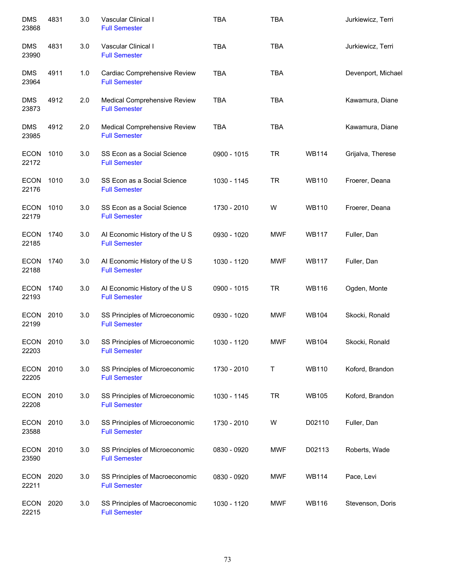| <b>DMS</b><br>23868  | 4831 | 3.0 | Vascular Clinical I<br><b>Full Semester</b>            | <b>TBA</b>  | <b>TBA</b> |              | Jurkiewicz, Terri  |
|----------------------|------|-----|--------------------------------------------------------|-------------|------------|--------------|--------------------|
| <b>DMS</b><br>23990  | 4831 | 3.0 | Vascular Clinical I<br><b>Full Semester</b>            | <b>TBA</b>  | <b>TBA</b> |              | Jurkiewicz, Terri  |
| <b>DMS</b><br>23964  | 4911 | 1.0 | Cardiac Comprehensive Review<br><b>Full Semester</b>   | <b>TBA</b>  | <b>TBA</b> |              | Devenport, Michael |
| <b>DMS</b><br>23873  | 4912 | 2.0 | Medical Comprehensive Review<br><b>Full Semester</b>   | <b>TBA</b>  | <b>TBA</b> |              | Kawamura, Diane    |
| <b>DMS</b><br>23985  | 4912 | 2.0 | Medical Comprehensive Review<br><b>Full Semester</b>   | <b>TBA</b>  | <b>TBA</b> |              | Kawamura, Diane    |
| ECON<br>22172        | 1010 | 3.0 | SS Econ as a Social Science<br><b>Full Semester</b>    | 0900 - 1015 | <b>TR</b>  | <b>WB114</b> | Grijalva, Therese  |
| ECON 1010<br>22176   |      | 3.0 | SS Econ as a Social Science<br><b>Full Semester</b>    | 1030 - 1145 | <b>TR</b>  | <b>WB110</b> | Froerer, Deana     |
| ECON 1010<br>22179   |      | 3.0 | SS Econ as a Social Science<br><b>Full Semester</b>    | 1730 - 2010 | W          | <b>WB110</b> | Froerer, Deana     |
| <b>ECON</b><br>22185 | 1740 | 3.0 | Al Economic History of the U S<br><b>Full Semester</b> | 0930 - 1020 | <b>MWF</b> | <b>WB117</b> | Fuller, Dan        |
| <b>ECON</b><br>22188 | 1740 | 3.0 | Al Economic History of the U S<br><b>Full Semester</b> | 1030 - 1120 | <b>MWF</b> | <b>WB117</b> | Fuller, Dan        |
| <b>ECON</b><br>22193 | 1740 | 3.0 | Al Economic History of the U S<br><b>Full Semester</b> | 0900 - 1015 | <b>TR</b>  | <b>WB116</b> | Ogden, Monte       |
| ECON<br>22199        | 2010 | 3.0 | SS Principles of Microeconomic<br><b>Full Semester</b> | 0930 - 1020 | <b>MWF</b> | <b>WB104</b> | Skocki, Ronald     |
| ECON<br>22203        | 2010 | 3.0 | SS Principles of Microeconomic<br><b>Full Semester</b> | 1030 - 1120 | <b>MWF</b> | <b>WB104</b> | Skocki, Ronald     |
| <b>ECON</b><br>22205 | 2010 | 3.0 | SS Principles of Microeconomic<br><b>Full Semester</b> | 1730 - 2010 | Τ          | <b>WB110</b> | Koford, Brandon    |
| <b>ECON</b><br>22208 | 2010 | 3.0 | SS Principles of Microeconomic<br><b>Full Semester</b> | 1030 - 1145 | <b>TR</b>  | <b>WB105</b> | Koford, Brandon    |
| <b>ECON</b><br>23588 | 2010 | 3.0 | SS Principles of Microeconomic<br><b>Full Semester</b> | 1730 - 2010 | W          | D02110       | Fuller, Dan        |
| ECON<br>23590        | 2010 | 3.0 | SS Principles of Microeconomic<br><b>Full Semester</b> | 0830 - 0920 | <b>MWF</b> | D02113       | Roberts, Wade      |
| <b>ECON</b><br>22211 | 2020 | 3.0 | SS Principles of Macroeconomic<br><b>Full Semester</b> | 0830 - 0920 | <b>MWF</b> | <b>WB114</b> | Pace, Levi         |
| <b>ECON</b><br>22215 | 2020 | 3.0 | SS Principles of Macroeconomic<br><b>Full Semester</b> | 1030 - 1120 | <b>MWF</b> | <b>WB116</b> | Stevenson, Doris   |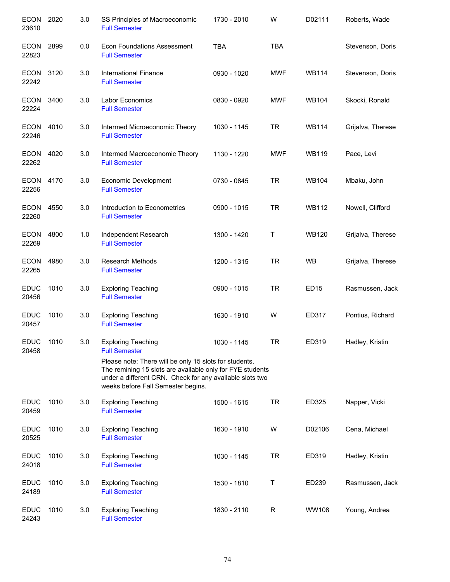| <b>ECON</b><br>23610 | 2020 | 3.0 | SS Principles of Macroeconomic<br><b>Full Semester</b>                                                                                                                                                                | 1730 - 2010 | W          | D02111       | Roberts, Wade     |
|----------------------|------|-----|-----------------------------------------------------------------------------------------------------------------------------------------------------------------------------------------------------------------------|-------------|------------|--------------|-------------------|
| <b>ECON</b><br>22823 | 2899 | 0.0 | <b>Econ Foundations Assessment</b><br><b>Full Semester</b>                                                                                                                                                            | <b>TBA</b>  | <b>TBA</b> |              | Stevenson, Doris  |
| <b>ECON</b><br>22242 | 3120 | 3.0 | International Finance<br><b>Full Semester</b>                                                                                                                                                                         | 0930 - 1020 | <b>MWF</b> | <b>WB114</b> | Stevenson, Doris  |
| <b>ECON</b><br>22224 | 3400 | 3.0 | Labor Economics<br><b>Full Semester</b>                                                                                                                                                                               | 0830 - 0920 | <b>MWF</b> | <b>WB104</b> | Skocki, Ronald    |
| ECON<br>22246        | 4010 | 3.0 | Intermed Microeconomic Theory<br><b>Full Semester</b>                                                                                                                                                                 | 1030 - 1145 | <b>TR</b>  | <b>WB114</b> | Grijalva, Therese |
| ECON<br>22262        | 4020 | 3.0 | Intermed Macroeconomic Theory<br><b>Full Semester</b>                                                                                                                                                                 | 1130 - 1220 | <b>MWF</b> | <b>WB119</b> | Pace, Levi        |
| <b>ECON</b><br>22256 | 4170 | 3.0 | Economic Development<br><b>Full Semester</b>                                                                                                                                                                          | 0730 - 0845 | <b>TR</b>  | <b>WB104</b> | Mbaku, John       |
| <b>ECON</b><br>22260 | 4550 | 3.0 | Introduction to Econometrics<br><b>Full Semester</b>                                                                                                                                                                  | 0900 - 1015 | <b>TR</b>  | <b>WB112</b> | Nowell, Clifford  |
| <b>ECON</b><br>22269 | 4800 | 1.0 | Independent Research<br><b>Full Semester</b>                                                                                                                                                                          | 1300 - 1420 | Τ          | <b>WB120</b> | Grijalva, Therese |
| <b>ECON</b><br>22265 | 4980 | 3.0 | <b>Research Methods</b><br><b>Full Semester</b>                                                                                                                                                                       | 1200 - 1315 | <b>TR</b>  | WB           | Grijalva, Therese |
| <b>EDUC</b><br>20456 | 1010 | 3.0 | <b>Exploring Teaching</b><br><b>Full Semester</b>                                                                                                                                                                     | 0900 - 1015 | <b>TR</b>  | <b>ED15</b>  | Rasmussen, Jack   |
| <b>EDUC</b><br>20457 | 1010 | 3.0 | <b>Exploring Teaching</b><br><b>Full Semester</b>                                                                                                                                                                     | 1630 - 1910 | W          | ED317        | Pontius, Richard  |
| <b>EDUC</b><br>20458 | 1010 | 3.0 | <b>Exploring Teaching</b><br><b>Full Semester</b>                                                                                                                                                                     | 1030 - 1145 | <b>TR</b>  | ED319        | Hadley, Kristin   |
|                      |      |     | Please note: There will be only 15 slots for students.<br>The remining 15 slots are available only for FYE students<br>under a different CRN. Check for any available slots two<br>weeks before Fall Semester begins. |             |            |              |                   |
| <b>EDUC</b><br>20459 | 1010 | 3.0 | <b>Exploring Teaching</b><br><b>Full Semester</b>                                                                                                                                                                     | 1500 - 1615 | <b>TR</b>  | ED325        | Napper, Vicki     |
| <b>EDUC</b><br>20525 | 1010 | 3.0 | <b>Exploring Teaching</b><br><b>Full Semester</b>                                                                                                                                                                     | 1630 - 1910 | W          | D02106       | Cena, Michael     |
| <b>EDUC</b><br>24018 | 1010 | 3.0 | <b>Exploring Teaching</b><br><b>Full Semester</b>                                                                                                                                                                     | 1030 - 1145 | TR         | ED319        | Hadley, Kristin   |
| <b>EDUC</b><br>24189 | 1010 | 3.0 | <b>Exploring Teaching</b><br><b>Full Semester</b>                                                                                                                                                                     | 1530 - 1810 | Τ          | ED239        | Rasmussen, Jack   |
| <b>EDUC</b><br>24243 | 1010 | 3.0 | <b>Exploring Teaching</b><br><b>Full Semester</b>                                                                                                                                                                     | 1830 - 2110 | R          | WW108        | Young, Andrea     |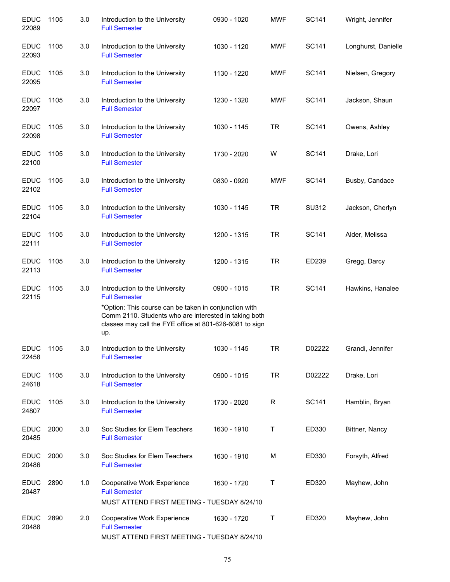| <b>EDUC</b><br>22089          | 1105 | 3.0 | Introduction to the University<br><b>Full Semester</b>                                                                                                                                                                              | 0930 - 1020 | <b>MWF</b>   | <b>SC141</b> | Wright, Jennifer    |
|-------------------------------|------|-----|-------------------------------------------------------------------------------------------------------------------------------------------------------------------------------------------------------------------------------------|-------------|--------------|--------------|---------------------|
| <b>EDUC</b><br>22093          | 1105 | 3.0 | Introduction to the University<br><b>Full Semester</b>                                                                                                                                                                              | 1030 - 1120 | <b>MWF</b>   | SC141        | Longhurst, Danielle |
| <b>EDUC</b><br>22095          | 1105 | 3.0 | Introduction to the University<br><b>Full Semester</b>                                                                                                                                                                              | 1130 - 1220 | <b>MWF</b>   | SC141        | Nielsen, Gregory    |
| <b>EDUC</b><br>22097          | 1105 | 3.0 | Introduction to the University<br><b>Full Semester</b>                                                                                                                                                                              | 1230 - 1320 | <b>MWF</b>   | SC141        | Jackson, Shaun      |
| <b>EDUC</b><br>22098          | 1105 | 3.0 | Introduction to the University<br><b>Full Semester</b>                                                                                                                                                                              | 1030 - 1145 | <b>TR</b>    | SC141        | Owens, Ashley       |
| <b>EDUC</b><br>22100          | 1105 | 3.0 | Introduction to the University<br><b>Full Semester</b>                                                                                                                                                                              | 1730 - 2020 | W            | <b>SC141</b> | Drake, Lori         |
| <b>EDUC</b><br>22102          | 1105 | 3.0 | Introduction to the University<br><b>Full Semester</b>                                                                                                                                                                              | 0830 - 0920 | <b>MWF</b>   | SC141        | Busby, Candace      |
| <b>EDUC</b><br>22104          | 1105 | 3.0 | Introduction to the University<br><b>Full Semester</b>                                                                                                                                                                              | 1030 - 1145 | <b>TR</b>    | SU312        | Jackson, Cherlyn    |
| <b>EDUC</b><br>22111          | 1105 | 3.0 | Introduction to the University<br><b>Full Semester</b>                                                                                                                                                                              | 1200 - 1315 | <b>TR</b>    | <b>SC141</b> | Alder, Melissa      |
| <b>EDUC</b><br>22113          | 1105 | 3.0 | Introduction to the University<br><b>Full Semester</b>                                                                                                                                                                              | 1200 - 1315 | <b>TR</b>    | ED239        | Gregg, Darcy        |
| <b>EDUC</b><br>22115          | 1105 | 3.0 | Introduction to the University<br><b>Full Semester</b><br>*Option: This course can be taken in conjunction with<br>Comm 2110. Students who are interested in taking both<br>classes may call the FYE office at 801-626-6081 to sign | 0900 - 1015 | <b>TR</b>    | SC141        | Hawkins, Hanalee    |
| <b>EDUC</b>                   | 1105 | 3.0 | up.<br>Introduction to the University                                                                                                                                                                                               | 1030 - 1145 | <b>TR</b>    | D02222       | Grandi, Jennifer    |
| 22458<br><b>EDUC</b><br>24618 | 1105 | 3.0 | <b>Full Semester</b><br>Introduction to the University<br><b>Full Semester</b>                                                                                                                                                      | 0900 - 1015 | <b>TR</b>    | D02222       | Drake, Lori         |
| <b>EDUC</b><br>24807          | 1105 | 3.0 | Introduction to the University<br><b>Full Semester</b>                                                                                                                                                                              | 1730 - 2020 | $\mathsf{R}$ | SC141        | Hamblin, Bryan      |
| <b>EDUC</b><br>20485          | 2000 | 3.0 | Soc Studies for Elem Teachers<br><b>Full Semester</b>                                                                                                                                                                               | 1630 - 1910 | Τ            | ED330        | Bittner, Nancy      |
| <b>EDUC</b><br>20486          | 2000 | 3.0 | Soc Studies for Elem Teachers<br><b>Full Semester</b>                                                                                                                                                                               | 1630 - 1910 | M            | ED330        | Forsyth, Alfred     |
| <b>EDUC</b><br>20487          | 2890 | 1.0 | Cooperative Work Experience<br><b>Full Semester</b><br>MUST ATTEND FIRST MEETING - TUESDAY 8/24/10                                                                                                                                  | 1630 - 1720 | Τ            | ED320        | Mayhew, John        |
| <b>EDUC</b><br>20488          | 2890 | 2.0 | Cooperative Work Experience<br><b>Full Semester</b><br>MUST ATTEND FIRST MEETING - TUESDAY 8/24/10                                                                                                                                  | 1630 - 1720 | $\mathsf T$  | ED320        | Mayhew, John        |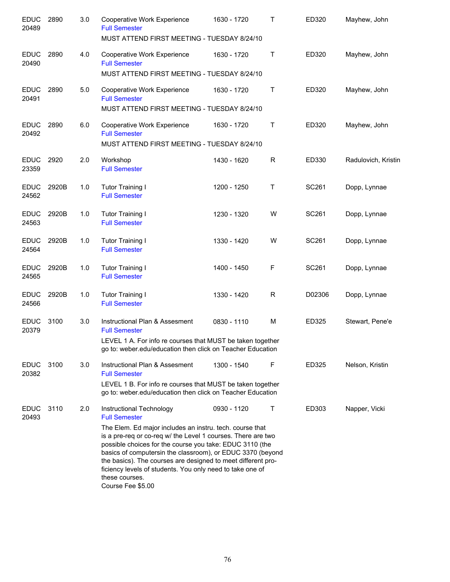| <b>EDUC</b><br>20489 | 2890  | 3.0 | Cooperative Work Experience<br><b>Full Semester</b><br>MUST ATTEND FIRST MEETING - TUESDAY 8/24/10                                                                                                                                                                                                                                                                                                                                                                         | 1630 - 1720 | T           | ED320  | Mayhew, John        |
|----------------------|-------|-----|----------------------------------------------------------------------------------------------------------------------------------------------------------------------------------------------------------------------------------------------------------------------------------------------------------------------------------------------------------------------------------------------------------------------------------------------------------------------------|-------------|-------------|--------|---------------------|
| <b>EDUC</b><br>20490 | 2890  | 4.0 | Cooperative Work Experience<br><b>Full Semester</b><br>MUST ATTEND FIRST MEETING - TUESDAY 8/24/10                                                                                                                                                                                                                                                                                                                                                                         | 1630 - 1720 | Τ           | ED320  | Mayhew, John        |
| <b>EDUC</b><br>20491 | 2890  | 5.0 | Cooperative Work Experience<br><b>Full Semester</b><br>MUST ATTEND FIRST MEETING - TUESDAY 8/24/10                                                                                                                                                                                                                                                                                                                                                                         | 1630 - 1720 | $\mathsf T$ | ED320  | Mayhew, John        |
| <b>EDUC</b><br>20492 | 2890  | 6.0 | Cooperative Work Experience<br><b>Full Semester</b><br>MUST ATTEND FIRST MEETING - TUESDAY 8/24/10                                                                                                                                                                                                                                                                                                                                                                         | 1630 - 1720 | $\mathsf T$ | ED320  | Mayhew, John        |
| <b>EDUC</b><br>23359 | 2920  | 2.0 | Workshop<br><b>Full Semester</b>                                                                                                                                                                                                                                                                                                                                                                                                                                           | 1430 - 1620 | R           | ED330  | Radulovich, Kristin |
| <b>EDUC</b><br>24562 | 2920B | 1.0 | <b>Tutor Training I</b><br><b>Full Semester</b>                                                                                                                                                                                                                                                                                                                                                                                                                            | 1200 - 1250 | Τ           | SC261  | Dopp, Lynnae        |
| <b>EDUC</b><br>24563 | 2920B | 1.0 | <b>Tutor Training I</b><br><b>Full Semester</b>                                                                                                                                                                                                                                                                                                                                                                                                                            | 1230 - 1320 | W           | SC261  | Dopp, Lynnae        |
| <b>EDUC</b><br>24564 | 2920B | 1.0 | <b>Tutor Training I</b><br><b>Full Semester</b>                                                                                                                                                                                                                                                                                                                                                                                                                            | 1330 - 1420 | W           | SC261  | Dopp, Lynnae        |
| <b>EDUC</b><br>24565 | 2920B | 1.0 | <b>Tutor Training I</b><br><b>Full Semester</b>                                                                                                                                                                                                                                                                                                                                                                                                                            | 1400 - 1450 | F           | SC261  | Dopp, Lynnae        |
| <b>EDUC</b><br>24566 | 2920B | 1.0 | <b>Tutor Training I</b><br><b>Full Semester</b>                                                                                                                                                                                                                                                                                                                                                                                                                            | 1330 - 1420 | R           | D02306 | Dopp, Lynnae        |
| <b>EDUC</b><br>20379 | 3100  | 3.0 | Instructional Plan & Assesment<br><b>Full Semester</b><br>LEVEL 1 A. For info re courses that MUST be taken together<br>go to: weber.edu/education then click on Teacher Education                                                                                                                                                                                                                                                                                         | 0830 - 1110 | M           | ED325  | Stewart, Pene'e     |
| <b>EDUC</b><br>20382 | 3100  | 3.0 | Instructional Plan & Assesment<br><b>Full Semester</b><br>LEVEL 1 B. For info re courses that MUST be taken together<br>go to: weber.edu/education then click on Teacher Education                                                                                                                                                                                                                                                                                         | 1300 - 1540 | F           | ED325  | Nelson, Kristin     |
| <b>EDUC</b><br>20493 | 3110  | 2.0 | Instructional Technology<br><b>Full Semester</b><br>The Elem. Ed major includes an instru. tech. course that<br>is a pre-req or co-req w/ the Level 1 courses. There are two<br>possible choices for the course you take: EDUC 3110 (the<br>basics of computersin the classroom), or EDUC 3370 (beyond<br>the basics). The courses are designed to meet different pro-<br>ficiency levels of students. You only need to take one of<br>these courses.<br>Course Fee \$5.00 | 0930 - 1120 | Т           | ED303  | Napper, Vicki       |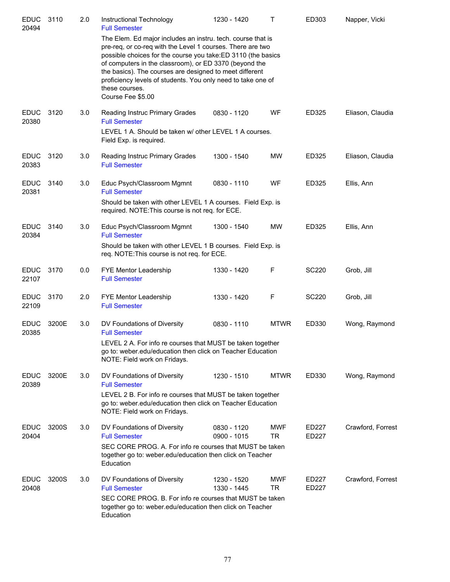| <b>EDUC</b><br>20494 | 3110  | 2.0 | Instructional Technology<br><b>Full Semester</b>                                                                                                                                                                                                                                                                                                                                                                      | 1230 - 1420                | $\mathsf{T}$      | ED303          | Napper, Vicki     |
|----------------------|-------|-----|-----------------------------------------------------------------------------------------------------------------------------------------------------------------------------------------------------------------------------------------------------------------------------------------------------------------------------------------------------------------------------------------------------------------------|----------------------------|-------------------|----------------|-------------------|
|                      |       |     | The Elem. Ed major includes an instru. tech. course that is<br>pre-req, or co-req with the Level 1 courses. There are two<br>possible choices for the course you take:ED 3110 (the basics<br>of computers in the classroom), or ED 3370 (beyond the<br>the basics). The courses are designed to meet different<br>proficiency levels of students. You only need to take one of<br>these courses.<br>Course Fee \$5.00 |                            |                   |                |                   |
| <b>EDUC</b><br>20380 | 3120  | 3.0 | Reading Instruc Primary Grades<br><b>Full Semester</b>                                                                                                                                                                                                                                                                                                                                                                | 0830 - 1120                | WF                | ED325          | Eliason, Claudia  |
|                      |       |     | LEVEL 1 A. Should be taken w/ other LEVEL 1 A courses.<br>Field Exp. is required.                                                                                                                                                                                                                                                                                                                                     |                            |                   |                |                   |
| <b>EDUC</b><br>20383 | 3120  | 3.0 | Reading Instruc Primary Grades<br><b>Full Semester</b>                                                                                                                                                                                                                                                                                                                                                                | 1300 - 1540                | MW                | ED325          | Eliason, Claudia  |
| <b>EDUC</b><br>20381 | 3140  | 3.0 | Educ Psych/Classroom Mgmnt<br><b>Full Semester</b>                                                                                                                                                                                                                                                                                                                                                                    | 0830 - 1110                | WF                | ED325          | Ellis, Ann        |
|                      |       |     | Should be taken with other LEVEL 1 A courses. Field Exp. is<br>required. NOTE: This course is not req. for ECE.                                                                                                                                                                                                                                                                                                       |                            |                   |                |                   |
| <b>EDUC</b><br>20384 | 3140  | 3.0 | Educ Psych/Classroom Mgmnt<br><b>Full Semester</b>                                                                                                                                                                                                                                                                                                                                                                    | 1300 - 1540                | MW                | ED325          | Ellis, Ann        |
|                      |       |     | Should be taken with other LEVEL 1 B courses. Field Exp. is<br>req. NOTE: This course is not req. for ECE.                                                                                                                                                                                                                                                                                                            |                            |                   |                |                   |
| <b>EDUC</b><br>22107 | 3170  | 0.0 | FYE Mentor Leadership<br><b>Full Semester</b>                                                                                                                                                                                                                                                                                                                                                                         | 1330 - 1420                | F                 | <b>SC220</b>   | Grob, Jill        |
| <b>EDUC</b><br>22109 | 3170  | 2.0 | FYE Mentor Leadership<br><b>Full Semester</b>                                                                                                                                                                                                                                                                                                                                                                         | 1330 - 1420                | F                 | SC220          | Grob, Jill        |
| <b>EDUC</b><br>20385 | 3200E | 3.0 | DV Foundations of Diversity<br><b>Full Semester</b>                                                                                                                                                                                                                                                                                                                                                                   | 0830 - 1110                | <b>MTWR</b>       | ED330          | Wong, Raymond     |
|                      |       |     | LEVEL 2 A. For info re courses that MUST be taken together<br>go to: weber.edu/education then click on Teacher Education<br>NOTE: Field work on Fridays.                                                                                                                                                                                                                                                              |                            |                   |                |                   |
| <b>EDUC</b><br>20389 | 3200E | 3.0 | DV Foundations of Diversity<br><b>Full Semester</b>                                                                                                                                                                                                                                                                                                                                                                   | 1230 - 1510                | <b>MTWR</b>       | ED330          | Wong, Raymond     |
|                      |       |     | LEVEL 2 B. For info re courses that MUST be taken together<br>go to: weber.edu/education then click on Teacher Education<br>NOTE: Field work on Fridays.                                                                                                                                                                                                                                                              |                            |                   |                |                   |
| <b>EDUC</b><br>20404 | 3200S | 3.0 | DV Foundations of Diversity<br><b>Full Semester</b>                                                                                                                                                                                                                                                                                                                                                                   | 0830 - 1120<br>0900 - 1015 | <b>MWF</b><br>TR. | ED227<br>ED227 | Crawford, Forrest |
|                      |       |     | SEC CORE PROG. A. For info re courses that MUST be taken<br>together go to: weber.edu/education then click on Teacher<br>Education                                                                                                                                                                                                                                                                                    |                            |                   |                |                   |
| <b>EDUC</b><br>20408 | 3200S | 3.0 | DV Foundations of Diversity<br><b>Full Semester</b>                                                                                                                                                                                                                                                                                                                                                                   | 1230 - 1520<br>1330 - 1445 | <b>MWF</b><br>TR  | ED227<br>ED227 | Crawford, Forrest |
|                      |       |     | SEC CORE PROG. B. For info re courses that MUST be taken<br>together go to: weber.edu/education then click on Teacher<br>Education                                                                                                                                                                                                                                                                                    |                            |                   |                |                   |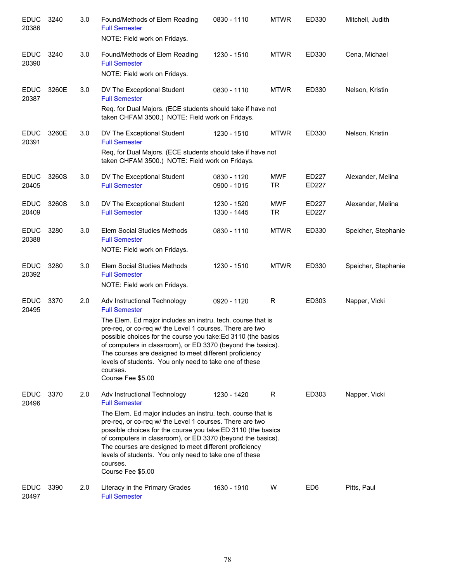| <b>EDUC</b><br>20386 | 3240  | 3.0 | Found/Methods of Elem Reading<br><b>Full Semester</b><br>NOTE: Field work on Fridays.                                                                                                                                                                                                                                                                                                                                                                                | 0830 - 1110                | <b>MTWR</b>             | ED330           | Mitchell, Judith    |
|----------------------|-------|-----|----------------------------------------------------------------------------------------------------------------------------------------------------------------------------------------------------------------------------------------------------------------------------------------------------------------------------------------------------------------------------------------------------------------------------------------------------------------------|----------------------------|-------------------------|-----------------|---------------------|
| <b>EDUC</b><br>20390 | 3240  | 3.0 | Found/Methods of Elem Reading<br><b>Full Semester</b><br>NOTE: Field work on Fridays.                                                                                                                                                                                                                                                                                                                                                                                | 1230 - 1510                | <b>MTWR</b>             | ED330           | Cena, Michael       |
| <b>EDUC</b><br>20387 | 3260E | 3.0 | DV The Exceptional Student<br><b>Full Semester</b><br>Req. for Dual Majors. (ECE students should take if have not<br>taken CHFAM 3500.) NOTE: Field work on Fridays.                                                                                                                                                                                                                                                                                                 | 0830 - 1110                | <b>MTWR</b>             | ED330           | Nelson, Kristin     |
| <b>EDUC</b><br>20391 | 3260E | 3.0 | DV The Exceptional Student<br><b>Full Semester</b><br>Req, for Dual Majors. (ECE students should take if have not<br>taken CHFAM 3500.) NOTE: Field work on Fridays.                                                                                                                                                                                                                                                                                                 | 1230 - 1510                | <b>MTWR</b>             | ED330           | Nelson, Kristin     |
| <b>EDUC</b><br>20405 | 3260S | 3.0 | DV The Exceptional Student<br><b>Full Semester</b>                                                                                                                                                                                                                                                                                                                                                                                                                   | 0830 - 1120<br>0900 - 1015 | <b>MWF</b><br><b>TR</b> | ED227<br>ED227  | Alexander, Melina   |
| <b>EDUC</b><br>20409 | 3260S | 3.0 | DV The Exceptional Student<br><b>Full Semester</b>                                                                                                                                                                                                                                                                                                                                                                                                                   | 1230 - 1520<br>1330 - 1445 | <b>MWF</b><br><b>TR</b> | ED227<br>ED227  | Alexander, Melina   |
| <b>EDUC</b><br>20388 | 3280  | 3.0 | Elem Social Studies Methods<br><b>Full Semester</b><br>NOTE: Field work on Fridays.                                                                                                                                                                                                                                                                                                                                                                                  | 0830 - 1110                | <b>MTWR</b>             | ED330           | Speicher, Stephanie |
| <b>EDUC</b><br>20392 | 3280  | 3.0 | Elem Social Studies Methods<br><b>Full Semester</b><br>NOTE: Field work on Fridays.                                                                                                                                                                                                                                                                                                                                                                                  | 1230 - 1510                | <b>MTWR</b>             | ED330           | Speicher, Stephanie |
| <b>EDUC</b><br>20495 | 3370  | 2.0 | Adv Instructional Technology<br><b>Full Semester</b><br>The Elem. Ed major includes an instru. tech. course that is<br>pre-req, or co-req w/ the Level 1 courses. There are two<br>possibie choices for the course you take: Ed 3110 (the basics<br>of computers in classroom), or ED 3370 (beyond the basics).<br>The courses are designed to meet different proficiency<br>levels of students. You only need to take one of these<br>courses.<br>Course Fee \$5.00 | 0920 - 1120                | R                       | ED303           | Napper, Vicki       |
| <b>EDUC</b><br>20496 | 3370  | 2.0 | Adv Instructional Technology<br><b>Full Semester</b><br>The Elem. Ed major includes an instru. tech. course that is<br>pre-req, or co-req w/ the Level 1 courses. There are two<br>possible choices for the course you take: ED 3110 (the basics<br>of computers in classroom), or ED 3370 (beyond the basics).<br>The courses are designed to meet different proficiency<br>levels of students. You only need to take one of these<br>courses.<br>Course Fee \$5.00 | 1230 - 1420                | R                       | ED303           | Napper, Vicki       |
| <b>EDUC</b><br>20497 | 3390  | 2.0 | Literacy in the Primary Grades<br><b>Full Semester</b>                                                                                                                                                                                                                                                                                                                                                                                                               | 1630 - 1910                | W                       | ED <sub>6</sub> | Pitts, Paul         |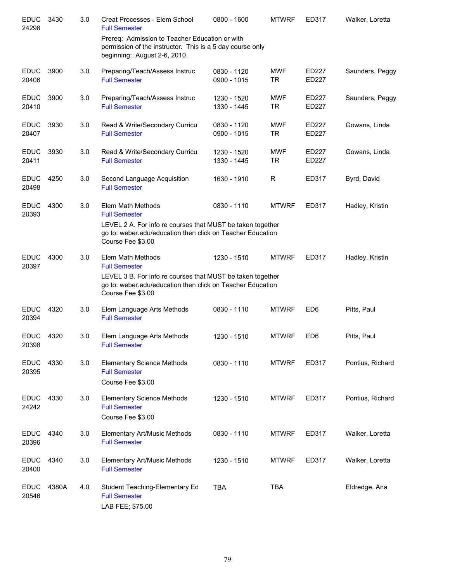| <b>EDUC</b><br>24298 | 3430  | 3.0 | Creat Processes - Elem School<br><b>Full Semester</b>                                                                                         | 0800 - 1600                | <b>MTWRF</b>            | ED317                 | Walker, Loretta  |
|----------------------|-------|-----|-----------------------------------------------------------------------------------------------------------------------------------------------|----------------------------|-------------------------|-----------------------|------------------|
|                      |       |     | Prereq: Admission to Teacher Education or with<br>permission of the instructor. This is a 5 day course only<br>beginning: August 2-6, 2010.   |                            |                         |                       |                  |
| <b>EDUC</b><br>20406 | 3900  | 3.0 | Preparing/Teach/Assess Instruc<br><b>Full Semester</b>                                                                                        | 0830 - 1120<br>0900 - 1015 | <b>MWF</b><br><b>TR</b> | <b>ED227</b><br>ED227 | Saunders, Peggy  |
| <b>EDUC</b><br>20410 | 3900  | 3.0 | Preparing/Teach/Assess Instruc<br><b>Full Semester</b>                                                                                        | 1230 - 1520<br>1330 - 1445 | <b>MWF</b><br><b>TR</b> | ED227<br><b>ED227</b> | Saunders, Peggy  |
| <b>EDUC</b><br>20407 | 3930  | 3.0 | Read & Write/Secondary Curricu<br><b>Full Semester</b>                                                                                        | 0830 - 1120<br>0900 - 1015 | <b>MWF</b><br><b>TR</b> | ED227<br>ED227        | Gowans, Linda    |
| <b>EDUC</b><br>20411 | 3930  | 3.0 | Read & Write/Secondary Curricu<br><b>Full Semester</b>                                                                                        | 1230 - 1520<br>1330 - 1445 | <b>MWF</b><br><b>TR</b> | ED227<br>ED227        | Gowans, Linda    |
| <b>EDUC</b><br>20498 | 4250  | 3.0 | Second Language Acquisition<br><b>Full Semester</b>                                                                                           | 1630 - 1910                | R                       | ED317                 | Byrd, David      |
| <b>EDUC</b><br>20393 | 4300  | 3.0 | Elem Math Methods<br><b>Full Semester</b>                                                                                                     | 0830 - 1110                | <b>MTWRF</b>            | ED317                 | Hadley, Kristin  |
|                      |       |     | LEVEL 2 A. For info re courses that MUST be taken together<br>go to: weber.edu/education then click on Teacher Education<br>Course Fee \$3.00 |                            |                         |                       |                  |
| <b>EDUC</b><br>20397 | 4300  | 3.0 | Elem Math Methods<br><b>Full Semester</b>                                                                                                     | 1230 - 1510                | <b>MTWRF</b>            | ED317                 | Hadley, Kristin  |
|                      |       |     | LEVEL 3 B. For info re courses that MUST be taken together<br>go to: weber.edu/education then click on Teacher Education<br>Course Fee \$3.00 |                            |                         |                       |                  |
| <b>EDUC</b><br>20394 | 4320  | 3.0 | Elem Language Arts Methods<br><b>Full Semester</b>                                                                                            | 0830 - 1110                | <b>MTWRF</b>            | ED <sub>6</sub>       | Pitts, Paul      |
| <b>EDUC</b><br>20398 | 4320  | 3.0 | Elem Language Arts Methods<br><b>Full Semester</b>                                                                                            | 1230 - 1510                | <b>MTWRF</b>            | ED <sub>6</sub>       | Pitts, Paul      |
| <b>EDUC</b><br>20395 | 4330  | 3.0 | <b>Elementary Science Methods</b><br><b>Full Semester</b><br>Course Fee \$3.00                                                                | 0830 - 1110                | <b>MTWRF</b>            | ED317                 | Pontius, Richard |
| <b>EDUC</b><br>24242 | 4330  | 3.0 | <b>Elementary Science Methods</b><br><b>Full Semester</b><br>Course Fee \$3.00                                                                | 1230 - 1510                | <b>MTWRF</b>            | ED317                 | Pontius, Richard |
| <b>EDUC</b><br>20396 | 4340  | 3.0 | Elementary Art/Music Methods<br><b>Full Semester</b>                                                                                          | 0830 - 1110                | <b>MTWRF</b>            | ED317                 | Walker, Loretta  |
| <b>EDUC</b><br>20400 | 4340  | 3.0 | Elementary Art/Music Methods<br><b>Full Semester</b>                                                                                          | 1230 - 1510                | <b>MTWRF</b>            | ED317                 | Walker, Loretta  |
| <b>EDUC</b><br>20546 | 4380A | 4.0 | Student Teaching-Elementary Ed<br><b>Full Semester</b><br>LAB FEE; \$75.00                                                                    | <b>TBA</b>                 | <b>TBA</b>              |                       | Eldredge, Ana    |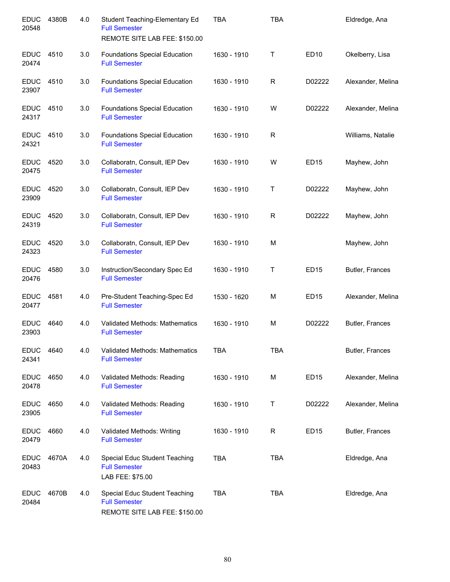| <b>EDUC</b><br>20548 | 4380B | 4.0 | Student Teaching-Elementary Ed<br><b>Full Semester</b><br>REMOTE SITE LAB FEE: \$150.00 | <b>TBA</b>  | <b>TBA</b>  |                  | Eldredge, Ana     |
|----------------------|-------|-----|-----------------------------------------------------------------------------------------|-------------|-------------|------------------|-------------------|
| <b>EDUC</b><br>20474 | 4510  | 3.0 | <b>Foundations Special Education</b><br><b>Full Semester</b>                            | 1630 - 1910 | Τ           | ED10             | Okelberry, Lisa   |
| <b>EDUC</b><br>23907 | 4510  | 3.0 | <b>Foundations Special Education</b><br><b>Full Semester</b>                            | 1630 - 1910 | R           | D02222           | Alexander, Melina |
| <b>EDUC</b><br>24317 | 4510  | 3.0 | <b>Foundations Special Education</b><br><b>Full Semester</b>                            | 1630 - 1910 | W           | D02222           | Alexander, Melina |
| <b>EDUC</b><br>24321 | 4510  | 3.0 | <b>Foundations Special Education</b><br><b>Full Semester</b>                            | 1630 - 1910 | $\mathsf R$ |                  | Williams, Natalie |
| <b>EDUC</b><br>20475 | 4520  | 3.0 | Collaboratn, Consult, IEP Dev<br><b>Full Semester</b>                                   | 1630 - 1910 | W           | <b>ED15</b>      | Mayhew, John      |
| <b>EDUC</b><br>23909 | 4520  | 3.0 | Collaboratn, Consult, IEP Dev<br><b>Full Semester</b>                                   | 1630 - 1910 | Τ           | D02222           | Mayhew, John      |
| <b>EDUC</b><br>24319 | 4520  | 3.0 | Collaboratn, Consult, IEP Dev<br><b>Full Semester</b>                                   | 1630 - 1910 | R           | D02222           | Mayhew, John      |
| <b>EDUC</b><br>24323 | 4520  | 3.0 | Collaboratn, Consult, IEP Dev<br><b>Full Semester</b>                                   | 1630 - 1910 | M           |                  | Mayhew, John      |
| <b>EDUC</b><br>20476 | 4580  | 3.0 | Instruction/Secondary Spec Ed<br><b>Full Semester</b>                                   | 1630 - 1910 | Τ           | ED <sub>15</sub> | Butler, Frances   |
| <b>EDUC</b><br>20477 | 4581  | 4.0 | Pre-Student Teaching-Spec Ed<br><b>Full Semester</b>                                    | 1530 - 1620 | M           | <b>ED15</b>      | Alexander, Melina |
| <b>EDUC</b><br>23903 | 4640  | 4.0 | Validated Methods: Mathematics<br><b>Full Semester</b>                                  | 1630 - 1910 | M           | D02222           | Butler, Frances   |
| <b>EDUC</b><br>24341 | 4640  | 4.0 | <b>Validated Methods: Mathematics</b><br><b>Full Semester</b>                           | <b>TBA</b>  | <b>TBA</b>  |                  | Butler, Frances   |
| <b>EDUC</b><br>20478 | 4650  | 4.0 | Validated Methods: Reading<br><b>Full Semester</b>                                      | 1630 - 1910 | М           | ED <sub>15</sub> | Alexander, Melina |
| <b>EDUC</b><br>23905 | 4650  | 4.0 | Validated Methods: Reading<br><b>Full Semester</b>                                      | 1630 - 1910 | Т           | D02222           | Alexander, Melina |
| <b>EDUC</b><br>20479 | 4660  | 4.0 | Validated Methods: Writing<br><b>Full Semester</b>                                      | 1630 - 1910 | R           | ED <sub>15</sub> | Butler, Frances   |
| <b>EDUC</b><br>20483 | 4670A | 4.0 | Special Educ Student Teaching<br><b>Full Semester</b><br>LAB FEE: \$75.00               | <b>TBA</b>  | <b>TBA</b>  |                  | Eldredge, Ana     |
| <b>EDUC</b><br>20484 | 4670B | 4.0 | Special Educ Student Teaching<br><b>Full Semester</b><br>REMOTE SITE LAB FEE: \$150.00  | <b>TBA</b>  | <b>TBA</b>  |                  | Eldredge, Ana     |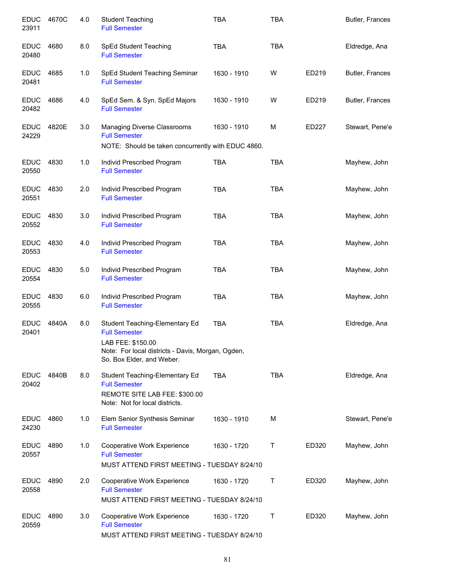| <b>EDUC</b><br>23911 | 4670C | 4.0 | <b>Student Teaching</b><br><b>Full Semester</b>                                                     | <b>TBA</b>  | <b>TBA</b> |       | Butler, Frances |
|----------------------|-------|-----|-----------------------------------------------------------------------------------------------------|-------------|------------|-------|-----------------|
| <b>EDUC</b><br>20480 | 4680  | 8.0 | <b>SpEd Student Teaching</b><br><b>Full Semester</b>                                                | <b>TBA</b>  | <b>TBA</b> |       | Eldredge, Ana   |
| <b>EDUC</b><br>20481 | 4685  | 1.0 | SpEd Student Teaching Seminar<br><b>Full Semester</b>                                               | 1630 - 1910 | W          | ED219 | Butler, Frances |
| <b>EDUC</b><br>20482 | 4686  | 4.0 | SpEd Sem. & Syn. SpEd Majors<br><b>Full Semester</b>                                                | 1630 - 1910 | W          | ED219 | Butler, Frances |
| <b>EDUC</b><br>24229 | 4820E | 3.0 | Managing Diverse Classrooms<br><b>Full Semester</b>                                                 | 1630 - 1910 | M          | ED227 | Stewart, Pene'e |
|                      |       |     | NOTE: Should be taken concurrently with EDUC 4860.                                                  |             |            |       |                 |
| <b>EDUC</b><br>20550 | 4830  | 1.0 | Individ Prescribed Program<br><b>Full Semester</b>                                                  | <b>TBA</b>  | <b>TBA</b> |       | Mayhew, John    |
| <b>EDUC</b><br>20551 | 4830  | 2.0 | Individ Prescribed Program<br><b>Full Semester</b>                                                  | <b>TBA</b>  | <b>TBA</b> |       | Mayhew, John    |
| <b>EDUC</b><br>20552 | 4830  | 3.0 | Individ Prescribed Program<br><b>Full Semester</b>                                                  | <b>TBA</b>  | <b>TBA</b> |       | Mayhew, John    |
| <b>EDUC</b><br>20553 | 4830  | 4.0 | Individ Prescribed Program<br><b>Full Semester</b>                                                  | <b>TBA</b>  | <b>TBA</b> |       | Mayhew, John    |
| <b>EDUC</b><br>20554 | 4830  | 5.0 | Individ Prescribed Program<br><b>Full Semester</b>                                                  | <b>TBA</b>  | <b>TBA</b> |       | Mayhew, John    |
| <b>EDUC</b><br>20555 | 4830  | 6.0 | Individ Prescribed Program<br><b>Full Semester</b>                                                  | <b>TBA</b>  | <b>TBA</b> |       | Mayhew, John    |
| <b>EDUC</b><br>20401 | 4840A | 8.0 | Student Teaching-Elementary Ed<br><b>Full Semester</b>                                              | <b>TBA</b>  | <b>TBA</b> |       | Eldredge, Ana   |
|                      |       |     | LAB FEE: \$150.00<br>Note: For local districts - Davis, Morgan, Ogden,<br>So. Box Elder, and Weber. |             |            |       |                 |
| <b>EDUC</b><br>20402 | 4840B | 8.0 | Student Teaching-Elementary Ed<br><b>Full Semester</b><br>REMOTE SITE LAB FEE: \$300.00             | <b>TBA</b>  | <b>TBA</b> |       | Eldredge, Ana   |
|                      |       |     | Note: Not for local districts.                                                                      |             |            |       |                 |
| <b>EDUC</b><br>24230 | 4860  | 1.0 | Elem Senior Synthesis Seminar<br><b>Full Semester</b>                                               | 1630 - 1910 | м          |       | Stewart, Pene'e |
| <b>EDUC</b><br>20557 | 4890  | 1.0 | Cooperative Work Experience<br><b>Full Semester</b>                                                 | 1630 - 1720 | Τ          | ED320 | Mayhew, John    |
|                      |       |     | MUST ATTEND FIRST MEETING - TUESDAY 8/24/10                                                         |             |            |       |                 |
| <b>EDUC</b><br>20558 | 4890  | 2.0 | Cooperative Work Experience<br><b>Full Semester</b><br>MUST ATTEND FIRST MEETING - TUESDAY 8/24/10  | 1630 - 1720 | Τ          | ED320 | Mayhew, John    |
| <b>EDUC</b><br>20559 | 4890  | 3.0 | Cooperative Work Experience<br><b>Full Semester</b>                                                 | 1630 - 1720 | Τ          | ED320 | Mayhew, John    |
|                      |       |     | MUST ATTEND FIRST MEETING - TUESDAY 8/24/10                                                         |             |            |       |                 |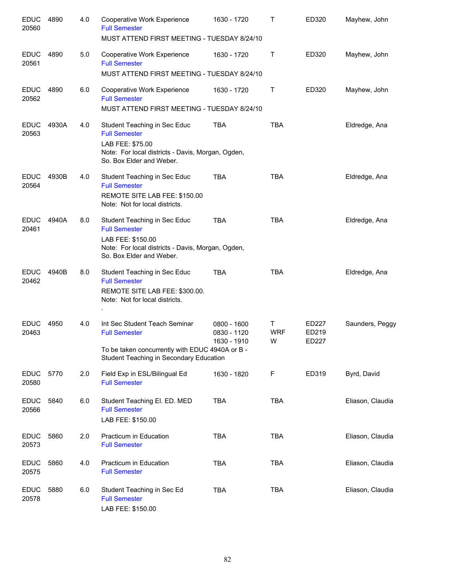| <b>EDUC</b><br>20560 | 4890  | 4.0 | Cooperative Work Experience<br><b>Full Semester</b><br>MUST ATTEND FIRST MEETING - TUESDAY 8/24/10                                                         | 1630 - 1720                               | T.                   | ED320                          | Mayhew, John     |
|----------------------|-------|-----|------------------------------------------------------------------------------------------------------------------------------------------------------------|-------------------------------------------|----------------------|--------------------------------|------------------|
| <b>EDUC</b><br>20561 | 4890  | 5.0 | Cooperative Work Experience<br><b>Full Semester</b><br>MUST ATTEND FIRST MEETING - TUESDAY 8/24/10                                                         | 1630 - 1720                               | Τ                    | ED320                          | Mayhew, John     |
| <b>EDUC</b><br>20562 | 4890  | 6.0 | Cooperative Work Experience<br><b>Full Semester</b><br>MUST ATTEND FIRST MEETING - TUESDAY 8/24/10                                                         | 1630 - 1720                               | Τ                    | ED320                          | Mayhew, John     |
| <b>EDUC</b><br>20563 | 4930A | 4.0 | Student Teaching in Sec Educ<br><b>Full Semester</b><br>LAB FEE: \$75.00<br>Note: For local districts - Davis, Morgan, Ogden,<br>So. Box Elder and Weber.  | <b>TBA</b>                                | <b>TBA</b>           |                                | Eldredge, Ana    |
| <b>EDUC</b><br>20564 | 4930B | 4.0 | Student Teaching in Sec Educ<br><b>Full Semester</b><br>REMOTE SITE LAB FEE: \$150.00<br>Note: Not for local districts.                                    | <b>TBA</b>                                | <b>TBA</b>           |                                | Eldredge, Ana    |
| <b>EDUC</b><br>20461 | 4940A | 8.0 | Student Teaching in Sec Educ<br><b>Full Semester</b><br>LAB FEE: \$150.00<br>Note: For local districts - Davis, Morgan, Ogden,<br>So. Box Elder and Weber. | <b>TBA</b>                                | <b>TBA</b>           |                                | Eldredge, Ana    |
| <b>EDUC</b><br>20462 | 4940B | 8.0 | Student Teaching in Sec Educ<br><b>Full Semester</b><br>REMOTE SITE LAB FEE: \$300.00.<br>Note: Not for local districts.                                   | <b>TBA</b>                                | <b>TBA</b>           |                                | Eldredge, Ana    |
| <b>EDUC</b><br>20463 | 4950  | 4.0 | Int Sec Student Teach Seminar<br><b>Full Semester</b><br>To be taken concurrently with EDUC 4940A or B -<br>Student Teaching in Secondary Education        | 0800 - 1600<br>0830 - 1120<br>1630 - 1910 | т<br><b>WRF</b><br>W | <b>ED227</b><br>ED219<br>ED227 | Saunders, Peggy  |
| <b>EDUC</b><br>20580 | 5770  | 2.0 | Field Exp in ESL/Bilingual Ed<br><b>Full Semester</b>                                                                                                      | 1630 - 1820                               | F                    | ED319                          | Byrd, David      |
| <b>EDUC</b><br>20566 | 5840  | 6.0 | Student Teaching El. ED. MED<br><b>Full Semester</b><br>LAB FEE: \$150.00                                                                                  | <b>TBA</b>                                | <b>TBA</b>           |                                | Eliason, Claudia |
| <b>EDUC</b><br>20573 | 5860  | 2.0 | Practicum in Education<br><b>Full Semester</b>                                                                                                             | <b>TBA</b>                                | <b>TBA</b>           |                                | Eliason, Claudia |
| <b>EDUC</b><br>20575 | 5860  | 4.0 | Practicum in Education<br><b>Full Semester</b>                                                                                                             | <b>TBA</b>                                | TBA                  |                                | Eliason, Claudia |
| <b>EDUC</b><br>20578 | 5880  | 6.0 | Student Teaching in Sec Ed<br><b>Full Semester</b><br>LAB FEE: \$150.00                                                                                    | <b>TBA</b>                                | <b>TBA</b>           |                                | Eliason, Claudia |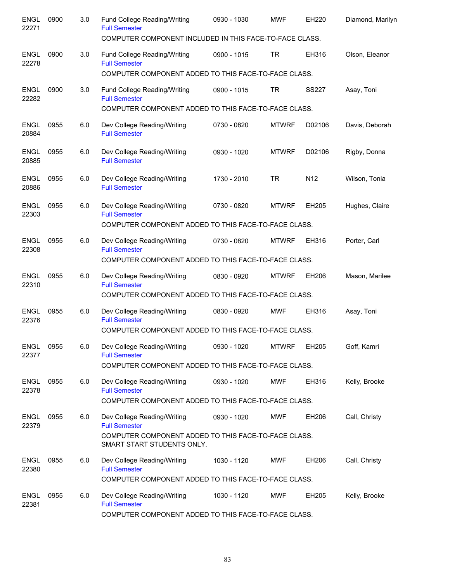| <b>ENGL</b><br>22271 | 0900 | 3.0 | Fund College Reading/Writing<br><b>Full Semester</b><br>COMPUTER COMPONENT INCLUDED IN THIS FACE-TO-FACE CLASS.                           | 0930 - 1030   | <b>MWF</b>   | EH220           | Diamond, Marilyn |
|----------------------|------|-----|-------------------------------------------------------------------------------------------------------------------------------------------|---------------|--------------|-----------------|------------------|
| <b>ENGL</b><br>22278 | 0900 | 3.0 | Fund College Reading/Writing<br><b>Full Semester</b><br>COMPUTER COMPONENT ADDED TO THIS FACE-TO-FACE CLASS.                              | $0900 - 1015$ | TR           | EH316           | Olson, Eleanor   |
| <b>ENGL</b><br>22282 | 0900 | 3.0 | Fund College Reading/Writing<br><b>Full Semester</b><br>COMPUTER COMPONENT ADDED TO THIS FACE-TO-FACE CLASS.                              | 0900 - 1015   | TR           | <b>SS227</b>    | Asay, Toni       |
| <b>ENGL</b><br>20884 | 0955 | 6.0 | Dev College Reading/Writing<br><b>Full Semester</b>                                                                                       | 0730 - 0820   | <b>MTWRF</b> | D02106          | Davis, Deborah   |
| <b>ENGL</b><br>20885 | 0955 | 6.0 | Dev College Reading/Writing<br><b>Full Semester</b>                                                                                       | 0930 - 1020   | <b>MTWRF</b> | D02106          | Rigby, Donna     |
| <b>ENGL</b><br>20886 | 0955 | 6.0 | Dev College Reading/Writing<br><b>Full Semester</b>                                                                                       | 1730 - 2010   | <b>TR</b>    | N <sub>12</sub> | Wilson, Tonia    |
| <b>ENGL</b><br>22303 | 0955 | 6.0 | Dev College Reading/Writing<br><b>Full Semester</b><br>COMPUTER COMPONENT ADDED TO THIS FACE-TO-FACE CLASS.                               | 0730 - 0820   | <b>MTWRF</b> | EH205           | Hughes, Claire   |
| <b>ENGL</b><br>22308 | 0955 | 6.0 | Dev College Reading/Writing<br><b>Full Semester</b><br>COMPUTER COMPONENT ADDED TO THIS FACE-TO-FACE CLASS.                               | 0730 - 0820   | <b>MTWRF</b> | EH316           | Porter, Carl     |
| <b>ENGL</b><br>22310 | 0955 | 6.0 | Dev College Reading/Writing<br><b>Full Semester</b><br>COMPUTER COMPONENT ADDED TO THIS FACE-TO-FACE CLASS.                               | 0830 - 0920   | <b>MTWRF</b> | EH206           | Mason, Marilee   |
| <b>ENGL</b><br>22376 | 0955 | 6.0 | Dev College Reading/Writing<br><b>Full Semester</b><br>COMPUTER COMPONENT ADDED TO THIS FACE-TO-FACE CLASS.                               | 0830 - 0920   | <b>MWF</b>   | EH316           | Asay, Toni       |
| ENGL<br>22377        | 0955 | 6.0 | Dev College Reading/Writing<br><b>Full Semester</b><br>COMPUTER COMPONENT ADDED TO THIS FACE-TO-FACE CLASS.                               | 0930 - 1020   | <b>MTWRF</b> | EH205           | Goff, Kamri      |
| <b>ENGL</b><br>22378 | 0955 | 6.0 | Dev College Reading/Writing<br><b>Full Semester</b><br>COMPUTER COMPONENT ADDED TO THIS FACE-TO-FACE CLASS.                               | 0930 - 1020   | <b>MWF</b>   | EH316           | Kelly, Brooke    |
| <b>ENGL</b><br>22379 | 0955 | 6.0 | Dev College Reading/Writing<br><b>Full Semester</b><br>COMPUTER COMPONENT ADDED TO THIS FACE-TO-FACE CLASS.<br>SMART START STUDENTS ONLY. | 0930 - 1020   | <b>MWF</b>   | EH206           | Call, Christy    |
| <b>ENGL</b><br>22380 | 0955 | 6.0 | Dev College Reading/Writing<br><b>Full Semester</b><br>COMPUTER COMPONENT ADDED TO THIS FACE-TO-FACE CLASS.                               | 1030 - 1120   | <b>MWF</b>   | EH206           | Call, Christy    |
| <b>ENGL</b><br>22381 | 0955 | 6.0 | Dev College Reading/Writing<br><b>Full Semester</b><br>COMPUTER COMPONENT ADDED TO THIS FACE-TO-FACE CLASS.                               | 1030 - 1120   | <b>MWF</b>   | EH205           | Kelly, Brooke    |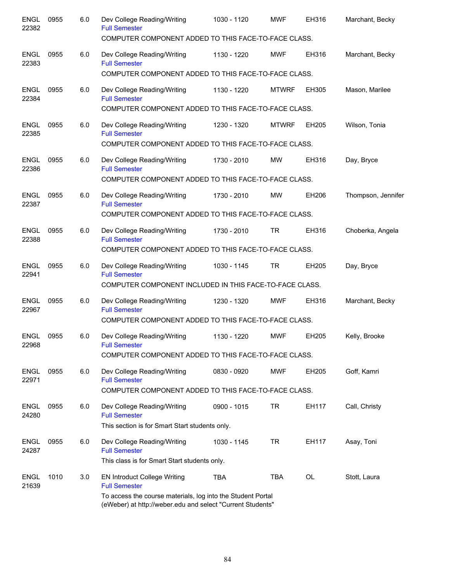| <b>ENGL</b><br>22382 | 0955 | 6.0 | Dev College Reading/Writing<br><b>Full Semester</b><br>COMPUTER COMPONENT ADDED TO THIS FACE-TO-FACE CLASS.               | 1030 - 1120   | <b>MWF</b>   | EH316     | Marchant, Becky    |
|----------------------|------|-----|---------------------------------------------------------------------------------------------------------------------------|---------------|--------------|-----------|--------------------|
| <b>ENGL</b><br>22383 | 0955 | 6.0 | Dev College Reading/Writing<br><b>Full Semester</b>                                                                       | 1130 - 1220   | <b>MWF</b>   | EH316     | Marchant, Becky    |
|                      |      |     | COMPUTER COMPONENT ADDED TO THIS FACE-TO-FACE CLASS.                                                                      |               |              |           |                    |
| <b>ENGL</b><br>22384 | 0955 | 6.0 | Dev College Reading/Writing<br><b>Full Semester</b><br>COMPUTER COMPONENT ADDED TO THIS FACE-TO-FACE CLASS.               | 1130 - 1220   | <b>MTWRF</b> | EH305     | Mason, Marilee     |
| <b>ENGL</b><br>22385 | 0955 | 6.0 | Dev College Reading/Writing<br><b>Full Semester</b><br>COMPUTER COMPONENT ADDED TO THIS FACE-TO-FACE CLASS.               | 1230 - 1320   | <b>MTWRF</b> | EH205     | Wilson, Tonia      |
|                      |      |     |                                                                                                                           |               |              |           |                    |
| <b>ENGL</b><br>22386 | 0955 | 6.0 | Dev College Reading/Writing<br><b>Full Semester</b><br>COMPUTER COMPONENT ADDED TO THIS FACE-TO-FACE CLASS.               | 1730 - 2010   | MW           | EH316     | Day, Bryce         |
| <b>ENGL</b>          | 0955 | 6.0 | Dev College Reading/Writing                                                                                               | 1730 - 2010   | MW           | EH206     | Thompson, Jennifer |
| 22387                |      |     | <b>Full Semester</b>                                                                                                      |               |              |           |                    |
|                      |      |     | COMPUTER COMPONENT ADDED TO THIS FACE-TO-FACE CLASS.                                                                      |               |              |           |                    |
| <b>ENGL</b><br>22388 | 0955 | 6.0 | Dev College Reading/Writing<br><b>Full Semester</b>                                                                       | 1730 - 2010   | TR           | EH316     | Choberka, Angela   |
|                      |      |     | COMPUTER COMPONENT ADDED TO THIS FACE-TO-FACE CLASS.                                                                      |               |              |           |                    |
| ENGL<br>22941        | 0955 | 6.0 | Dev College Reading/Writing<br><b>Full Semester</b>                                                                       | 1030 - 1145   | TR           | EH205     | Day, Bryce         |
|                      |      |     | COMPUTER COMPONENT INCLUDED IN THIS FACE-TO-FACE CLASS.                                                                   |               |              |           |                    |
| <b>ENGL</b><br>22967 | 0955 | 6.0 | Dev College Reading/Writing<br><b>Full Semester</b>                                                                       | 1230 - 1320   | <b>MWF</b>   | EH316     | Marchant, Becky    |
|                      |      |     | COMPUTER COMPONENT ADDED TO THIS FACE-TO-FACE CLASS.                                                                      |               |              |           |                    |
| <b>ENGL</b><br>22968 | 0955 | 6.0 | Dev College Reading/Writing<br><b>Full Semester</b>                                                                       | 1130 - 1220   | <b>MWF</b>   | EH205     | Kelly, Brooke      |
|                      |      |     | COMPUTER COMPONENT ADDED TO THIS FACE-TO-FACE CLASS.                                                                      |               |              |           |                    |
| <b>ENGL</b><br>22971 | 0955 | 6.0 | Dev College Reading/Writing<br><b>Full Semester</b>                                                                       | 0830 - 0920   | <b>MWF</b>   | EH205     | Goff, Kamri        |
|                      |      |     | COMPUTER COMPONENT ADDED TO THIS FACE-TO-FACE CLASS.                                                                      |               |              |           |                    |
| <b>ENGL</b><br>24280 | 0955 | 6.0 | Dev College Reading/Writing<br><b>Full Semester</b><br>This section is for Smart Start students only.                     | $0900 - 1015$ | <b>TR</b>    | EH117     | Call, Christy      |
|                      |      |     |                                                                                                                           |               |              |           |                    |
| <b>ENGL</b><br>24287 | 0955 | 6.0 | Dev College Reading/Writing<br><b>Full Semester</b>                                                                       | 1030 - 1145   | <b>TR</b>    | EH117     | Asay, Toni         |
|                      |      |     | This class is for Smart Start students only.                                                                              |               |              |           |                    |
| <b>ENGL</b><br>21639 | 1010 | 3.0 | <b>EN Introduct College Writing</b><br><b>Full Semester</b>                                                               | <b>TBA</b>    | <b>TBA</b>   | <b>OL</b> | Stott, Laura       |
|                      |      |     | To access the course materials, log into the Student Portal<br>(eWeber) at http://weber.edu and select "Current Students" |               |              |           |                    |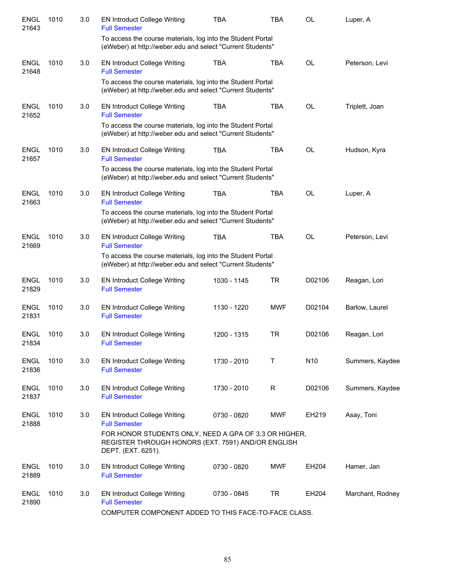| <b>ENGL</b><br>21643 | 1010 | 3.0 | <b>EN Introduct College Writing</b><br><b>Full Semester</b><br>To access the course materials, log into the Student Portal        | <b>TBA</b>  | <b>TBA</b> | <b>OL</b>       | Luper, A         |
|----------------------|------|-----|-----------------------------------------------------------------------------------------------------------------------------------|-------------|------------|-----------------|------------------|
|                      |      |     | (eWeber) at http://weber.edu and select "Current Students"                                                                        |             |            |                 |                  |
| <b>ENGL</b><br>21648 | 1010 | 3.0 | <b>EN Introduct College Writing</b><br><b>Full Semester</b>                                                                       | <b>TBA</b>  | <b>TBA</b> | <b>OL</b>       | Peterson, Levi   |
|                      |      |     | To access the course materials, log into the Student Portal<br>(eWeber) at http://weber.edu and select "Current Students"         |             |            |                 |                  |
| <b>ENGL</b><br>21652 | 1010 | 3.0 | <b>EN Introduct College Writing</b><br><b>Full Semester</b>                                                                       | <b>TBA</b>  | <b>TBA</b> | OL              | Triplett, Joan   |
|                      |      |     | To access the course materials, log into the Student Portal<br>(eWeber) at http://weber.edu and select "Current Students"         |             |            |                 |                  |
| <b>ENGL</b><br>21657 | 1010 | 3.0 | <b>EN Introduct College Writing</b><br><b>Full Semester</b>                                                                       | <b>TBA</b>  | <b>TBA</b> | OL              | Hudson, Kyra     |
|                      |      |     | To access the course materials, log into the Student Portal<br>(eWeber) at http://weber.edu and select "Current Students"         |             |            |                 |                  |
| <b>ENGL</b><br>21663 | 1010 | 3.0 | <b>EN Introduct College Writing</b><br><b>Full Semester</b>                                                                       | <b>TBA</b>  | <b>TBA</b> | <b>OL</b>       | Luper, A         |
|                      |      |     | To access the course materials, log into the Student Portal<br>(eWeber) at http://weber.edu and select "Current Students"         |             |            |                 |                  |
| <b>ENGL</b><br>21669 | 1010 | 3.0 | <b>EN Introduct College Writing</b><br><b>Full Semester</b>                                                                       | <b>TBA</b>  | <b>TBA</b> | <b>OL</b>       | Peterson, Levi   |
|                      |      |     | To access the course materials, log into the Student Portal<br>(eWeber) at http://weber.edu and select "Current Students"         |             |            |                 |                  |
| <b>ENGL</b><br>21829 | 1010 | 3.0 | <b>EN Introduct College Writing</b><br><b>Full Semester</b>                                                                       | 1030 - 1145 | <b>TR</b>  | D02106          | Reagan, Lori     |
| <b>ENGL</b><br>21831 | 1010 | 3.0 | <b>EN Introduct College Writing</b><br><b>Full Semester</b>                                                                       | 1130 - 1220 | <b>MWF</b> | D02104          | Barlow, Laurel   |
| <b>ENGL</b><br>21834 | 1010 | 3.0 | <b>EN Introduct College Writing</b><br><b>Full Semester</b>                                                                       | 1200 - 1315 | <b>TR</b>  | D02106          | Reagan, Lori     |
| <b>ENGL</b><br>21836 | 1010 | 3.0 | <b>EN Introduct College Writing</b><br><b>Full Semester</b>                                                                       | 1730 - 2010 | T          | N <sub>10</sub> | Summers, Kaydee  |
| <b>ENGL</b><br>21837 | 1010 | 3.0 | <b>EN Introduct College Writing</b><br><b>Full Semester</b>                                                                       | 1730 - 2010 | R          | D02106          | Summers, Kaydee  |
| <b>ENGL</b><br>21888 | 1010 | 3.0 | <b>EN Introduct College Writing</b><br><b>Full Semester</b>                                                                       | 0730 - 0820 | MWF        | EH219           | Asay, Toni       |
|                      |      |     | FOR HONOR STUDENTS ONLY, NEED A GPA OF 3.3 OR HIGHER,<br>REGISTER THROUGH HONORS (EXT. 7591) AND/OR ENGLISH<br>DEPT. (EXT. 6251). |             |            |                 |                  |
| <b>ENGL</b><br>21889 | 1010 | 3.0 | <b>EN Introduct College Writing</b><br><b>Full Semester</b>                                                                       | 0730 - 0820 | MWF        | EH204           | Hamer, Jan       |
| <b>ENGL</b><br>21890 | 1010 | 3.0 | <b>EN Introduct College Writing</b><br><b>Full Semester</b><br>COMPUTER COMPONENT ADDED TO THIS FACE-TO-FACE CLASS.               | 0730 - 0845 | <b>TR</b>  | EH204           | Marchant, Rodney |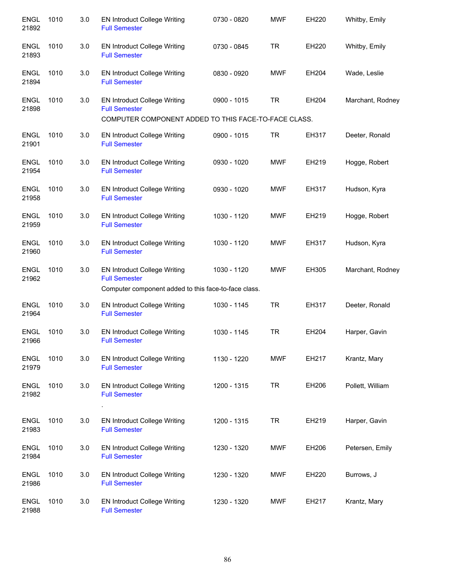| <b>ENGL</b><br>21892 | 1010 | 3.0 | <b>EN Introduct College Writing</b><br><b>Full Semester</b>                                                         | 0730 - 0820 | <b>MWF</b> | EH220 | Whitby, Emily    |
|----------------------|------|-----|---------------------------------------------------------------------------------------------------------------------|-------------|------------|-------|------------------|
| <b>ENGL</b><br>21893 | 1010 | 3.0 | <b>EN Introduct College Writing</b><br><b>Full Semester</b>                                                         | 0730 - 0845 | <b>TR</b>  | EH220 | Whitby, Emily    |
| <b>ENGL</b><br>21894 | 1010 | 3.0 | <b>EN Introduct College Writing</b><br><b>Full Semester</b>                                                         | 0830 - 0920 | <b>MWF</b> | EH204 | Wade, Leslie     |
| <b>ENGL</b><br>21898 | 1010 | 3.0 | <b>EN Introduct College Writing</b><br><b>Full Semester</b><br>COMPUTER COMPONENT ADDED TO THIS FACE-TO-FACE CLASS. | 0900 - 1015 | <b>TR</b>  | EH204 | Marchant, Rodney |
|                      |      |     |                                                                                                                     |             |            |       |                  |
| <b>ENGL</b><br>21901 | 1010 | 3.0 | <b>EN Introduct College Writing</b><br><b>Full Semester</b>                                                         | 0900 - 1015 | <b>TR</b>  | EH317 | Deeter, Ronald   |
| <b>ENGL</b><br>21954 | 1010 | 3.0 | <b>EN Introduct College Writing</b><br><b>Full Semester</b>                                                         | 0930 - 1020 | <b>MWF</b> | EH219 | Hogge, Robert    |
| <b>ENGL</b><br>21958 | 1010 | 3.0 | <b>EN Introduct College Writing</b><br><b>Full Semester</b>                                                         | 0930 - 1020 | <b>MWF</b> | EH317 | Hudson, Kyra     |
| <b>ENGL</b><br>21959 | 1010 | 3.0 | <b>EN Introduct College Writing</b><br><b>Full Semester</b>                                                         | 1030 - 1120 | <b>MWF</b> | EH219 | Hogge, Robert    |
| <b>ENGL</b><br>21960 | 1010 | 3.0 | <b>EN Introduct College Writing</b><br><b>Full Semester</b>                                                         | 1030 - 1120 | <b>MWF</b> | EH317 | Hudson, Kyra     |
| <b>ENGL</b><br>21962 | 1010 | 3.0 | <b>EN Introduct College Writing</b><br><b>Full Semester</b>                                                         | 1030 - 1120 | <b>MWF</b> | EH305 | Marchant, Rodney |
|                      |      |     | Computer component added to this face-to-face class.                                                                |             |            |       |                  |
| <b>ENGL</b><br>21964 | 1010 | 3.0 | <b>EN Introduct College Writing</b><br><b>Full Semester</b>                                                         | 1030 - 1145 | <b>TR</b>  | EH317 | Deeter, Ronald   |
| <b>ENGL</b><br>21966 | 1010 | 3.0 | <b>EN Introduct College Writing</b><br><b>Full Semester</b>                                                         | 1030 - 1145 | <b>TR</b>  | EH204 | Harper, Gavin    |
| <b>ENGL</b><br>21979 | 1010 | 3.0 | <b>EN Introduct College Writing</b><br><b>Full Semester</b>                                                         | 1130 - 1220 | <b>MWF</b> | EH217 | Krantz, Mary     |
| <b>ENGL</b><br>21982 | 1010 | 3.0 | <b>EN Introduct College Writing</b><br><b>Full Semester</b>                                                         | 1200 - 1315 | <b>TR</b>  | EH206 | Pollett, William |
| <b>ENGL</b><br>21983 | 1010 | 3.0 | <b>EN Introduct College Writing</b><br><b>Full Semester</b>                                                         | 1200 - 1315 | TR         | EH219 | Harper, Gavin    |
| <b>ENGL</b><br>21984 | 1010 | 3.0 | <b>EN Introduct College Writing</b><br><b>Full Semester</b>                                                         | 1230 - 1320 | <b>MWF</b> | EH206 | Petersen, Emily  |
| <b>ENGL</b><br>21986 | 1010 | 3.0 | <b>EN Introduct College Writing</b><br><b>Full Semester</b>                                                         | 1230 - 1320 | MWF        | EH220 | Burrows, J       |
| <b>ENGL</b><br>21988 | 1010 | 3.0 | <b>EN Introduct College Writing</b><br><b>Full Semester</b>                                                         | 1230 - 1320 | <b>MWF</b> | EH217 | Krantz, Mary     |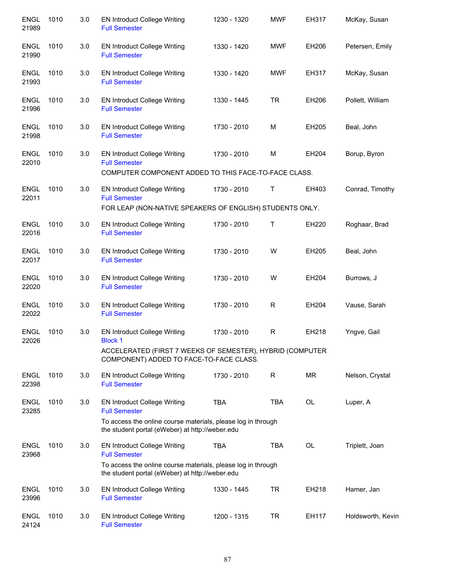| <b>ENGL</b><br>21989 | 1010 | 3.0 | <b>EN Introduct College Writing</b><br><b>Full Semester</b>                                                         | 1230 - 1320 | <b>MWF</b>  | EH317        | McKay, Susan      |
|----------------------|------|-----|---------------------------------------------------------------------------------------------------------------------|-------------|-------------|--------------|-------------------|
| <b>ENGL</b><br>21990 | 1010 | 3.0 | <b>EN Introduct College Writing</b><br><b>Full Semester</b>                                                         | 1330 - 1420 | <b>MWF</b>  | EH206        | Petersen, Emily   |
| <b>ENGL</b><br>21993 | 1010 | 3.0 | <b>EN Introduct College Writing</b><br><b>Full Semester</b>                                                         | 1330 - 1420 | <b>MWF</b>  | EH317        | McKay, Susan      |
| <b>ENGL</b><br>21996 | 1010 | 3.0 | <b>EN Introduct College Writing</b><br><b>Full Semester</b>                                                         | 1330 - 1445 | <b>TR</b>   | EH206        | Pollett, William  |
| <b>ENGL</b><br>21998 | 1010 | 3.0 | <b>EN Introduct College Writing</b><br><b>Full Semester</b>                                                         | 1730 - 2010 | M           | EH205        | Beal, John        |
| <b>ENGL</b><br>22010 | 1010 | 3.0 | <b>EN Introduct College Writing</b><br><b>Full Semester</b><br>COMPUTER COMPONENT ADDED TO THIS FACE-TO-FACE CLASS. | 1730 - 2010 | М           | EH204        | Borup, Byron      |
| <b>ENGL</b>          | 1010 | 3.0 | <b>EN Introduct College Writing</b>                                                                                 | 1730 - 2010 | Τ           | EH403        | Conrad, Timothy   |
| 22011                |      |     | <b>Full Semester</b><br>FOR LEAP (NON-NATIVE SPEAKERS OF ENGLISH) STUDENTS ONLY.                                    |             |             |              |                   |
| <b>ENGL</b><br>22016 | 1010 | 3.0 | EN Introduct College Writing<br><b>Full Semester</b>                                                                | 1730 - 2010 | Т           | <b>EH220</b> | Roghaar, Brad     |
| <b>ENGL</b><br>22017 | 1010 | 3.0 | <b>EN Introduct College Writing</b><br><b>Full Semester</b>                                                         | 1730 - 2010 | W           | EH205        | Beal, John        |
| ENGL<br>22020        | 1010 | 3.0 | <b>EN Introduct College Writing</b><br><b>Full Semester</b>                                                         | 1730 - 2010 | W           | EH204        | Burrows, J        |
| <b>ENGL</b><br>22022 | 1010 | 3.0 | <b>EN Introduct College Writing</b><br><b>Full Semester</b>                                                         | 1730 - 2010 | $\mathsf R$ | EH204        | Vause, Sarah      |
| <b>ENGL</b><br>22026 | 1010 | 3.0 | <b>EN Introduct College Writing</b><br><b>Block 1</b>                                                               | 1730 - 2010 | $\mathsf R$ | EH218        | Yngve, Gail       |
|                      |      |     | ACCELERATED (FIRST 7 WEEKS OF SEMESTER), HYBRID (COMPUTER<br>COMPONENT) ADDED TO FACE-TO-FACE CLASS.                |             |             |              |                   |
| <b>ENGL</b><br>22398 | 1010 | 3.0 | <b>EN Introduct College Writing</b><br><b>Full Semester</b>                                                         | 1730 - 2010 | R           | MR           | Nelson, Crystal   |
| <b>ENGL</b><br>23285 | 1010 | 3.0 | <b>EN Introduct College Writing</b><br><b>Full Semester</b>                                                         | <b>TBA</b>  | <b>TBA</b>  | OL           | Luper, A          |
|                      |      |     | To access the online course materials, please log in through<br>the student portal (eWeber) at http://weber.edu     |             |             |              |                   |
| <b>ENGL</b><br>23968 | 1010 | 3.0 | <b>EN Introduct College Writing</b><br><b>Full Semester</b>                                                         | <b>TBA</b>  | <b>TBA</b>  | <b>OL</b>    | Triplett, Joan    |
|                      |      |     | To access the online course materials, please log in through<br>the student portal (eWeber) at http://weber.edu     |             |             |              |                   |
| <b>ENGL</b><br>23996 | 1010 | 3.0 | <b>EN Introduct College Writing</b><br><b>Full Semester</b>                                                         | 1330 - 1445 | <b>TR</b>   | EH218        | Hamer, Jan        |
| <b>ENGL</b><br>24124 | 1010 | 3.0 | <b>EN Introduct College Writing</b><br><b>Full Semester</b>                                                         | 1200 - 1315 | TR          | EH117        | Holdsworth, Kevin |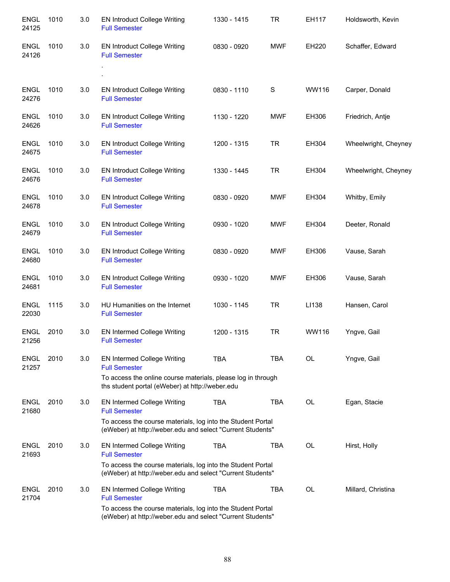| <b>ENGL</b><br>24125 | 1010 | 3.0 | <b>EN Introduct College Writing</b><br><b>Full Semester</b>                                                               | 1330 - 1415 | <b>TR</b>   | EH117     | Holdsworth, Kevin    |
|----------------------|------|-----|---------------------------------------------------------------------------------------------------------------------------|-------------|-------------|-----------|----------------------|
| <b>ENGL</b><br>24126 | 1010 | 3.0 | <b>EN Introduct College Writing</b><br><b>Full Semester</b>                                                               | 0830 - 0920 | <b>MWF</b>  | EH220     | Schaffer, Edward     |
|                      |      |     |                                                                                                                           |             |             |           |                      |
| ENGL<br>24276        | 1010 | 3.0 | <b>EN Introduct College Writing</b><br><b>Full Semester</b>                                                               | 0830 - 1110 | $\mathbf S$ | WW116     | Carper, Donald       |
| ENGL<br>24626        | 1010 | 3.0 | <b>EN Introduct College Writing</b><br><b>Full Semester</b>                                                               | 1130 - 1220 | <b>MWF</b>  | EH306     | Friedrich, Antje     |
| <b>ENGL</b><br>24675 | 1010 | 3.0 | <b>EN Introduct College Writing</b><br><b>Full Semester</b>                                                               | 1200 - 1315 | TR.         | EH304     | Wheelwright, Cheyney |
| <b>ENGL</b><br>24676 | 1010 | 3.0 | <b>EN Introduct College Writing</b><br><b>Full Semester</b>                                                               | 1330 - 1445 | <b>TR</b>   | EH304     | Wheelwright, Cheyney |
| <b>ENGL</b><br>24678 | 1010 | 3.0 | <b>EN Introduct College Writing</b><br><b>Full Semester</b>                                                               | 0830 - 0920 | <b>MWF</b>  | EH304     | Whitby, Emily        |
| <b>ENGL</b><br>24679 | 1010 | 3.0 | <b>EN Introduct College Writing</b><br><b>Full Semester</b>                                                               | 0930 - 1020 | <b>MWF</b>  | EH304     | Deeter, Ronald       |
| <b>ENGL</b><br>24680 | 1010 | 3.0 | <b>EN Introduct College Writing</b><br><b>Full Semester</b>                                                               | 0830 - 0920 | <b>MWF</b>  | EH306     | Vause, Sarah         |
| <b>ENGL</b><br>24681 | 1010 | 3.0 | <b>EN Introduct College Writing</b><br><b>Full Semester</b>                                                               | 0930 - 1020 | <b>MWF</b>  | EH306     | Vause, Sarah         |
| <b>ENGL</b><br>22030 | 1115 | 3.0 | HU Humanities on the Internet<br><b>Full Semester</b>                                                                     | 1030 - 1145 | TR.         | LI138     | Hansen, Carol        |
| <b>ENGL</b><br>21256 | 2010 | 3.0 | EN Intermed College Writing<br><b>Full Semester</b>                                                                       | 1200 - 1315 | <b>TR</b>   | WW116     | Yngve, Gail          |
| <b>ENGL</b><br>21257 | 2010 | 3.0 | <b>EN Intermed College Writing</b><br><b>Full Semester</b>                                                                | <b>TBA</b>  | TBA         | OL        | Yngve, Gail          |
|                      |      |     | To access the online course materials, please log in through<br>ths student portal (eWeber) at http://weber.edu           |             |             |           |                      |
| <b>ENGL</b><br>21680 | 2010 | 3.0 | <b>EN Intermed College Writing</b><br><b>Full Semester</b>                                                                | <b>TBA</b>  | TBA         | <b>OL</b> | Egan, Stacie         |
|                      |      |     | To access the course materials, log into the Student Portal<br>(eWeber) at http://weber.edu and select "Current Students" |             |             |           |                      |
| <b>ENGL</b><br>21693 | 2010 | 3.0 | <b>EN Intermed College Writing</b><br><b>Full Semester</b>                                                                | <b>TBA</b>  | TBA         | <b>OL</b> | Hirst, Holly         |
|                      |      |     | To access the course materials, log into the Student Portal<br>(eWeber) at http://weber.edu and select "Current Students" |             |             |           |                      |
| <b>ENGL</b><br>21704 | 2010 | 3.0 | <b>EN Intermed College Writing</b><br><b>Full Semester</b>                                                                | <b>TBA</b>  | <b>TBA</b>  | <b>OL</b> | Millard, Christina   |
|                      |      |     | To access the course materials, log into the Student Portal<br>(eWeber) at http://weber.edu and select "Current Students" |             |             |           |                      |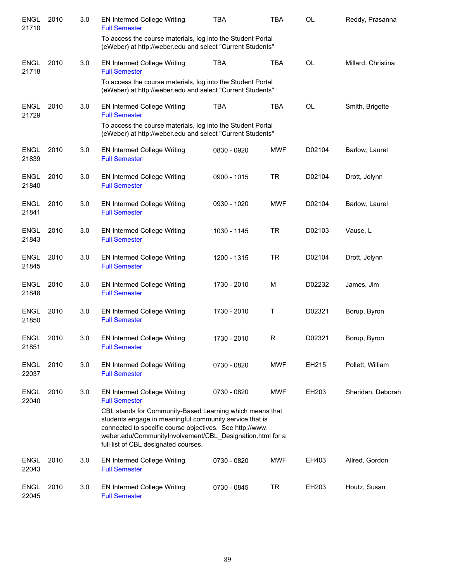| <b>ENGL</b><br>21710 | 2010 | 3.0 | <b>EN Intermed College Writing</b><br><b>Full Semester</b>                                                                                                                                                                                                                           | <b>TBA</b>  | <b>TBA</b> | <b>OL</b> | Reddy, Prasanna    |
|----------------------|------|-----|--------------------------------------------------------------------------------------------------------------------------------------------------------------------------------------------------------------------------------------------------------------------------------------|-------------|------------|-----------|--------------------|
|                      |      |     | To access the course materials, log into the Student Portal<br>(eWeber) at http://weber.edu and select "Current Students"                                                                                                                                                            |             |            |           |                    |
| <b>ENGL</b><br>21718 | 2010 | 3.0 | EN Intermed College Writing<br><b>Full Semester</b>                                                                                                                                                                                                                                  | <b>TBA</b>  | <b>TBA</b> | <b>OL</b> | Millard, Christina |
|                      |      |     | To access the course materials, log into the Student Portal<br>(eWeber) at http://weber.edu and select "Current Students"                                                                                                                                                            |             |            |           |                    |
| <b>ENGL</b><br>21729 | 2010 | 3.0 | <b>EN Intermed College Writing</b><br><b>Full Semester</b>                                                                                                                                                                                                                           | <b>TBA</b>  | <b>TBA</b> | <b>OL</b> | Smith, Brigette    |
|                      |      |     | To access the course materials, log into the Student Portal<br>(eWeber) at http://weber.edu and select "Current Students"                                                                                                                                                            |             |            |           |                    |
| ENGL<br>21839        | 2010 | 3.0 | <b>EN Intermed College Writing</b><br><b>Full Semester</b>                                                                                                                                                                                                                           | 0830 - 0920 | <b>MWF</b> | D02104    | Barlow, Laurel     |
| <b>ENGL</b><br>21840 | 2010 | 3.0 | <b>EN Intermed College Writing</b><br><b>Full Semester</b>                                                                                                                                                                                                                           | 0900 - 1015 | <b>TR</b>  | D02104    | Drott, Jolynn      |
| <b>ENGL</b><br>21841 | 2010 | 3.0 | <b>EN Intermed College Writing</b><br><b>Full Semester</b>                                                                                                                                                                                                                           | 0930 - 1020 | <b>MWF</b> | D02104    | Barlow, Laurel     |
| <b>ENGL</b><br>21843 | 2010 | 3.0 | <b>EN Intermed College Writing</b><br><b>Full Semester</b>                                                                                                                                                                                                                           | 1030 - 1145 | <b>TR</b>  | D02103    | Vause, L           |
| <b>ENGL</b><br>21845 | 2010 | 3.0 | <b>EN Intermed College Writing</b><br><b>Full Semester</b>                                                                                                                                                                                                                           | 1200 - 1315 | <b>TR</b>  | D02104    | Drott, Jolynn      |
| <b>ENGL</b><br>21848 | 2010 | 3.0 | EN Intermed College Writing<br><b>Full Semester</b>                                                                                                                                                                                                                                  | 1730 - 2010 | м          | D02232    | James, Jim         |
| <b>ENGL</b><br>21850 | 2010 | 3.0 | EN Intermed College Writing<br><b>Full Semester</b>                                                                                                                                                                                                                                  | 1730 - 2010 | Τ          | D02321    | Borup, Byron       |
| <b>ENGL</b><br>21851 | 2010 | 3.0 | <b>EN Intermed College Writing</b><br><b>Full Semester</b>                                                                                                                                                                                                                           | 1730 - 2010 | R          | D02321    | Borup, Byron       |
| <b>ENGL</b><br>22037 | 2010 | 3.0 | <b>EN Intermed College Writing</b><br><b>Full Semester</b>                                                                                                                                                                                                                           | 0730 - 0820 | <b>MWF</b> | EH215     | Pollett, William   |
| <b>ENGL</b><br>22040 | 2010 | 3.0 | <b>EN Intermed College Writing</b><br><b>Full Semester</b>                                                                                                                                                                                                                           | 0730 - 0820 | <b>MWF</b> | EH203     | Sheridan, Deborah  |
|                      |      |     | CBL stands for Community-Based Learning which means that<br>students engage in meaningful community service that is<br>connected to specific course objectives. See http://www.<br>weber.edu/CommunityInvolvement/CBL_Designation.html for a<br>full list of CBL designated courses. |             |            |           |                    |
| <b>ENGL</b><br>22043 | 2010 | 3.0 | <b>EN Intermed College Writing</b><br><b>Full Semester</b>                                                                                                                                                                                                                           | 0730 - 0820 | <b>MWF</b> | EH403     | Allred, Gordon     |
| <b>ENGL</b><br>22045 | 2010 | 3.0 | EN Intermed College Writing<br><b>Full Semester</b>                                                                                                                                                                                                                                  | 0730 - 0845 | TR         | EH203     | Houtz, Susan       |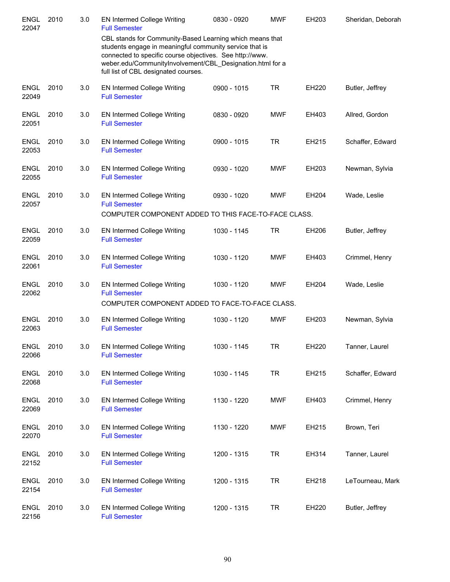| <b>ENGL</b><br>22047 | 2010 | 3.0 | <b>EN Intermed College Writing</b><br><b>Full Semester</b>                                                                                                                                                                                                                           | 0830 - 0920 | <b>MWF</b> | EH203 | Sheridan, Deborah |
|----------------------|------|-----|--------------------------------------------------------------------------------------------------------------------------------------------------------------------------------------------------------------------------------------------------------------------------------------|-------------|------------|-------|-------------------|
|                      |      |     | CBL stands for Community-Based Learning which means that<br>students engage in meaningful community service that is<br>connected to specific course objectives. See http://www.<br>weber.edu/CommunityInvolvement/CBL_Designation.html for a<br>full list of CBL designated courses. |             |            |       |                   |
| <b>ENGL</b><br>22049 | 2010 | 3.0 | EN Intermed College Writing<br><b>Full Semester</b>                                                                                                                                                                                                                                  | 0900 - 1015 | <b>TR</b>  | EH220 | Butler, Jeffrey   |
| <b>ENGL</b><br>22051 | 2010 | 3.0 | <b>EN Intermed College Writing</b><br><b>Full Semester</b>                                                                                                                                                                                                                           | 0830 - 0920 | <b>MWF</b> | EH403 | Allred, Gordon    |
| <b>ENGL</b><br>22053 | 2010 | 3.0 | <b>EN Intermed College Writing</b><br><b>Full Semester</b>                                                                                                                                                                                                                           | 0900 - 1015 | <b>TR</b>  | EH215 | Schaffer, Edward  |
| <b>ENGL</b><br>22055 | 2010 | 3.0 | <b>EN Intermed College Writing</b><br><b>Full Semester</b>                                                                                                                                                                                                                           | 0930 - 1020 | <b>MWF</b> | EH203 | Newman, Sylvia    |
| <b>ENGL</b><br>22057 | 2010 | 3.0 | EN Intermed College Writing<br><b>Full Semester</b><br>COMPUTER COMPONENT ADDED TO THIS FACE-TO-FACE CLASS.                                                                                                                                                                          | 0930 - 1020 | <b>MWF</b> | EH204 | Wade, Leslie      |
| <b>ENGL</b><br>22059 | 2010 | 3.0 | <b>EN Intermed College Writing</b><br><b>Full Semester</b>                                                                                                                                                                                                                           | 1030 - 1145 | <b>TR</b>  | EH206 | Butler, Jeffrey   |
| <b>ENGL</b><br>22061 | 2010 | 3.0 | <b>EN Intermed College Writing</b><br><b>Full Semester</b>                                                                                                                                                                                                                           | 1030 - 1120 | <b>MWF</b> | EH403 | Crimmel, Henry    |
| <b>ENGL</b><br>22062 | 2010 | 3.0 | <b>EN Intermed College Writing</b><br><b>Full Semester</b><br>COMPUTER COMPONENT ADDED TO FACE-TO-FACE CLASS.                                                                                                                                                                        | 1030 - 1120 | <b>MWF</b> | EH204 | Wade, Leslie      |
| <b>ENGL</b><br>22063 | 2010 | 3.0 | <b>EN Intermed College Writing</b><br><b>Full Semester</b>                                                                                                                                                                                                                           | 1030 - 1120 | <b>MWF</b> | EH203 | Newman, Sylvia    |
| <b>ENGL</b><br>22066 | 2010 | 3.0 | EN Intermed College Writing<br><b>Full Semester</b>                                                                                                                                                                                                                                  | 1030 - 1145 | TR         | EH220 | Tanner, Laurel    |
| <b>ENGL</b><br>22068 | 2010 | 3.0 | <b>EN Intermed College Writing</b><br><b>Full Semester</b>                                                                                                                                                                                                                           | 1030 - 1145 | <b>TR</b>  | EH215 | Schaffer, Edward  |
| <b>ENGL</b><br>22069 | 2010 | 3.0 | EN Intermed College Writing<br><b>Full Semester</b>                                                                                                                                                                                                                                  | 1130 - 1220 | <b>MWF</b> | EH403 | Crimmel, Henry    |
| <b>ENGL</b><br>22070 | 2010 | 3.0 | EN Intermed College Writing<br><b>Full Semester</b>                                                                                                                                                                                                                                  | 1130 - 1220 | <b>MWF</b> | EH215 | Brown, Teri       |
| <b>ENGL</b><br>22152 | 2010 | 3.0 | EN Intermed College Writing<br><b>Full Semester</b>                                                                                                                                                                                                                                  | 1200 - 1315 | <b>TR</b>  | EH314 | Tanner, Laurel    |
| <b>ENGL</b><br>22154 | 2010 | 3.0 | EN Intermed College Writing<br><b>Full Semester</b>                                                                                                                                                                                                                                  | 1200 - 1315 | <b>TR</b>  | EH218 | LeTourneau, Mark  |
| <b>ENGL</b><br>22156 | 2010 | 3.0 | <b>EN Intermed College Writing</b><br><b>Full Semester</b>                                                                                                                                                                                                                           | 1200 - 1315 | <b>TR</b>  | EH220 | Butler, Jeffrey   |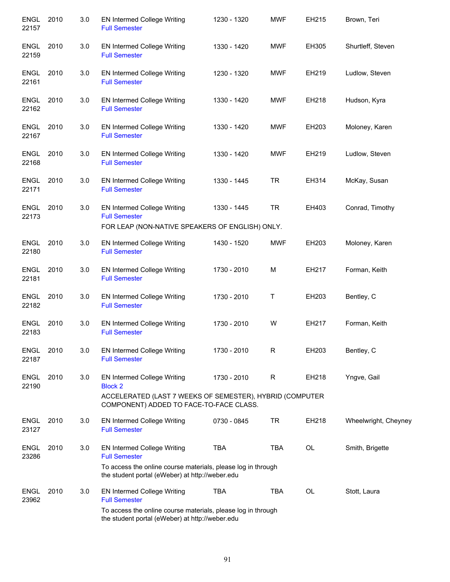| <b>ENGL</b><br>22157 | 2010 | 3.0 | EN Intermed College Writing<br><b>Full Semester</b>                                                             | 1230 - 1320 | <b>MWF</b> | EH215 | Brown, Teri          |
|----------------------|------|-----|-----------------------------------------------------------------------------------------------------------------|-------------|------------|-------|----------------------|
| ENGL<br>22159        | 2010 | 3.0 | EN Intermed College Writing<br><b>Full Semester</b>                                                             | 1330 - 1420 | <b>MWF</b> | EH305 | Shurtleff, Steven    |
| ENGL<br>22161        | 2010 | 3.0 | EN Intermed College Writing<br><b>Full Semester</b>                                                             | 1230 - 1320 | <b>MWF</b> | EH219 | Ludlow, Steven       |
| <b>ENGL</b><br>22162 | 2010 | 3.0 | EN Intermed College Writing<br><b>Full Semester</b>                                                             | 1330 - 1420 | <b>MWF</b> | EH218 | Hudson, Kyra         |
| <b>ENGL</b><br>22167 | 2010 | 3.0 | EN Intermed College Writing<br><b>Full Semester</b>                                                             | 1330 - 1420 | <b>MWF</b> | EH203 | Moloney, Karen       |
| <b>ENGL</b><br>22168 | 2010 | 3.0 | EN Intermed College Writing<br><b>Full Semester</b>                                                             | 1330 - 1420 | <b>MWF</b> | EH219 | Ludlow, Steven       |
| <b>ENGL</b><br>22171 | 2010 | 3.0 | EN Intermed College Writing<br><b>Full Semester</b>                                                             | 1330 - 1445 | <b>TR</b>  | EH314 | McKay, Susan         |
| <b>ENGL</b><br>22173 | 2010 | 3.0 | <b>EN Intermed College Writing</b><br><b>Full Semester</b>                                                      | 1330 - 1445 | <b>TR</b>  | EH403 | Conrad, Timothy      |
|                      |      |     | FOR LEAP (NON-NATIVE SPEAKERS OF ENGLISH) ONLY.                                                                 |             |            |       |                      |
| <b>ENGL</b><br>22180 | 2010 | 3.0 | EN Intermed College Writing<br><b>Full Semester</b>                                                             | 1430 - 1520 | <b>MWF</b> | EH203 | Moloney, Karen       |
| <b>ENGL</b><br>22181 | 2010 | 3.0 | <b>EN Intermed College Writing</b><br><b>Full Semester</b>                                                      | 1730 - 2010 | M          | EH217 | Forman, Keith        |
| <b>ENGL</b><br>22182 | 2010 | 3.0 | EN Intermed College Writing<br><b>Full Semester</b>                                                             | 1730 - 2010 | Τ          | EH203 | Bentley, C           |
| <b>ENGL</b><br>22183 | 2010 | 3.0 | EN Intermed College Writing<br><b>Full Semester</b>                                                             | 1730 - 2010 | W          | EH217 | Forman, Keith        |
| <b>ENGL</b><br>22187 | 2010 | 3.0 | <b>EN Intermed College Writing</b><br><b>Full Semester</b>                                                      | 1730 - 2010 | R          | EH203 | Bentley, C           |
| <b>ENGL</b><br>22190 | 2010 | 3.0 | EN Intermed College Writing<br><b>Block 2</b>                                                                   | 1730 - 2010 | R          | EH218 | Yngve, Gail          |
|                      |      |     | ACCELERATED (LAST 7 WEEKS OF SEMESTER), HYBRID (COMPUTER<br>COMPONENT) ADDED TO FACE-TO-FACE CLASS.             |             |            |       |                      |
| <b>ENGL</b><br>23127 | 2010 | 3.0 | <b>EN Intermed College Writing</b><br><b>Full Semester</b>                                                      | 0730 - 0845 | TR         | EH218 | Wheelwright, Cheyney |
| <b>ENGL</b><br>23286 | 2010 | 3.0 | <b>EN Intermed College Writing</b><br><b>Full Semester</b>                                                      | <b>TBA</b>  | <b>TBA</b> | OL    | Smith, Brigette      |
|                      |      |     | To access the online course materials, please log in through<br>the student portal (eWeber) at http://weber.edu |             |            |       |                      |
| <b>ENGL</b><br>23962 | 2010 | 3.0 | <b>EN Intermed College Writing</b><br><b>Full Semester</b>                                                      | <b>TBA</b>  | <b>TBA</b> | OL    | Stott, Laura         |
|                      |      |     | To access the online course materials, please log in through<br>the student portal (eWeber) at http://weber.edu |             |            |       |                      |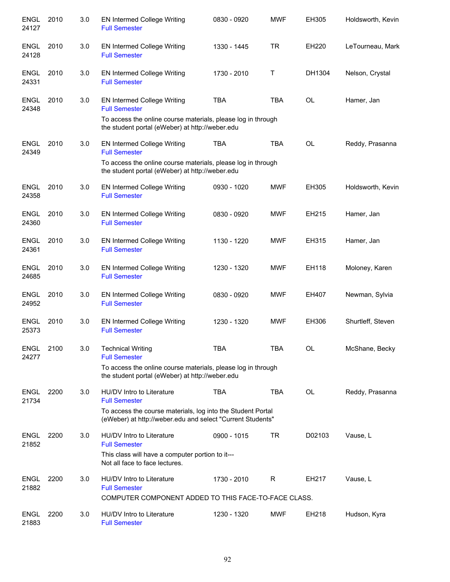| <b>ENGL</b><br>24127 | 2010 | 3.0 | <b>EN Intermed College Writing</b><br><b>Full Semester</b>                                                                | 0830 - 0920 | <b>MWF</b>   | EH305     | Holdsworth, Kevin |
|----------------------|------|-----|---------------------------------------------------------------------------------------------------------------------------|-------------|--------------|-----------|-------------------|
| <b>ENGL</b><br>24128 | 2010 | 3.0 | EN Intermed College Writing<br><b>Full Semester</b>                                                                       | 1330 - 1445 | <b>TR</b>    | EH220     | LeTourneau, Mark  |
| <b>ENGL</b><br>24331 | 2010 | 3.0 | <b>EN Intermed College Writing</b><br><b>Full Semester</b>                                                                | 1730 - 2010 | $\mathsf{T}$ | DH1304    | Nelson, Crystal   |
| <b>ENGL</b><br>24348 | 2010 | 3.0 | <b>EN Intermed College Writing</b><br><b>Full Semester</b>                                                                | <b>TBA</b>  | <b>TBA</b>   | <b>OL</b> | Hamer, Jan        |
|                      |      |     | To access the online course materials, please log in through<br>the student portal (eWeber) at http://weber.edu           |             |              |           |                   |
| <b>ENGL</b><br>24349 | 2010 | 3.0 | EN Intermed College Writing<br><b>Full Semester</b>                                                                       | <b>TBA</b>  | <b>TBA</b>   | <b>OL</b> | Reddy, Prasanna   |
|                      |      |     | To access the online course materials, please log in through<br>the student portal (eWeber) at http://weber.edu           |             |              |           |                   |
| <b>ENGL</b><br>24358 | 2010 | 3.0 | EN Intermed College Writing<br><b>Full Semester</b>                                                                       | 0930 - 1020 | <b>MWF</b>   | EH305     | Holdsworth, Kevin |
| <b>ENGL</b><br>24360 | 2010 | 3.0 | EN Intermed College Writing<br><b>Full Semester</b>                                                                       | 0830 - 0920 | <b>MWF</b>   | EH215     | Hamer, Jan        |
| <b>ENGL</b><br>24361 | 2010 | 3.0 | EN Intermed College Writing<br><b>Full Semester</b>                                                                       | 1130 - 1220 | <b>MWF</b>   | EH315     | Hamer, Jan        |
| <b>ENGL</b><br>24685 | 2010 | 3.0 | EN Intermed College Writing<br><b>Full Semester</b>                                                                       | 1230 - 1320 | <b>MWF</b>   | EH118     | Moloney, Karen    |
| <b>ENGL</b><br>24952 | 2010 | 3.0 | EN Intermed College Writing<br><b>Full Semester</b>                                                                       | 0830 - 0920 | <b>MWF</b>   | EH407     | Newman, Sylvia    |
| <b>ENGL</b><br>25373 | 2010 | 3.0 | EN Intermed College Writing<br><b>Full Semester</b>                                                                       | 1230 - 1320 | <b>MWF</b>   | EH306     | Shurtleff, Steven |
| <b>ENGL</b><br>24277 | 2100 | 3.0 | <b>Technical Writing</b><br><b>Full Semester</b>                                                                          | TBA         | <b>TBA</b>   | OL        | McShane, Becky    |
|                      |      |     | To access the online course materials, please log in through<br>the student portal (eWeber) at http://weber.edu           |             |              |           |                   |
| <b>ENGL</b><br>21734 | 2200 | 3.0 | HU/DV Intro to Literature<br><b>Full Semester</b>                                                                         | <b>TBA</b>  | <b>TBA</b>   | OL        | Reddy, Prasanna   |
|                      |      |     | To access the course materials, log into the Student Portal<br>(eWeber) at http://weber.edu and select "Current Students" |             |              |           |                   |
| <b>ENGL</b><br>21852 | 2200 | 3.0 | HU/DV Intro to Literature<br><b>Full Semester</b>                                                                         | 0900 - 1015 | <b>TR</b>    | D02103    | Vause, L          |
|                      |      |     | This class will have a computer portion to it---<br>Not all face to face lectures.                                        |             |              |           |                   |
| <b>ENGL</b><br>21882 | 2200 | 3.0 | HU/DV Intro to Literature<br><b>Full Semester</b>                                                                         | 1730 - 2010 | R            | EH217     | Vause, L          |
|                      |      |     | COMPUTER COMPONENT ADDED TO THIS FACE-TO-FACE CLASS.                                                                      |             |              |           |                   |
| <b>ENGL</b><br>21883 | 2200 | 3.0 | HU/DV Intro to Literature<br><b>Full Semester</b>                                                                         | 1230 - 1320 | <b>MWF</b>   | EH218     | Hudson, Kyra      |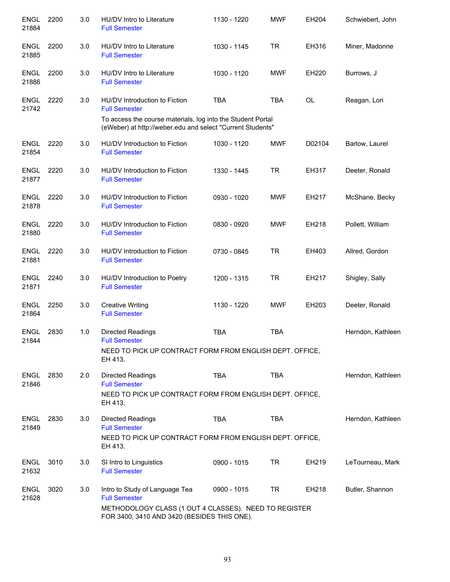| <b>ENGL</b><br>21884 | 2200 | 3.0 | HU/DV Intro to Literature<br><b>Full Semester</b>                                                                                                                                  | 1130 - 1220 | <b>MWF</b> | EH204     | Schwiebert, John  |
|----------------------|------|-----|------------------------------------------------------------------------------------------------------------------------------------------------------------------------------------|-------------|------------|-----------|-------------------|
| <b>ENGL</b><br>21885 | 2200 | 3.0 | HU/DV Intro to Literature<br><b>Full Semester</b>                                                                                                                                  | 1030 - 1145 | <b>TR</b>  | EH316     | Miner, Madonne    |
| <b>ENGL</b><br>21886 | 2200 | 3.0 | HU/DV Intro to Literature<br><b>Full Semester</b>                                                                                                                                  | 1030 - 1120 | <b>MWF</b> | EH220     | Burrows, J        |
| <b>ENGL</b><br>21742 | 2220 | 3.0 | HU/DV Introduction to Fiction<br><b>Full Semester</b><br>To access the course materials, log into the Student Portal<br>(eWeber) at http://weber.edu and select "Current Students" | <b>TBA</b>  | <b>TBA</b> | <b>OL</b> | Reagan, Lori      |
| <b>ENGL</b><br>21854 | 2220 | 3.0 | HU/DV Introduction to Fiction<br><b>Full Semester</b>                                                                                                                              | 1030 - 1120 | <b>MWF</b> | D02104    | Barlow, Laurel    |
| <b>ENGL</b><br>21877 | 2220 | 3.0 | HU/DV Introduction to Fiction<br><b>Full Semester</b>                                                                                                                              | 1330 - 1445 | <b>TR</b>  | EH317     | Deeter, Ronald    |
| <b>ENGL</b><br>21878 | 2220 | 3.0 | HU/DV Introduction to Fiction<br><b>Full Semester</b>                                                                                                                              | 0930 - 1020 | <b>MWF</b> | EH217     | McShane, Becky    |
| <b>ENGL</b><br>21880 | 2220 | 3.0 | HU/DV Introduction to Fiction<br><b>Full Semester</b>                                                                                                                              | 0830 - 0920 | <b>MWF</b> | EH218     | Pollett, William  |
| <b>ENGL</b><br>21881 | 2220 | 3.0 | HU/DV Introduction to Fiction<br><b>Full Semester</b>                                                                                                                              | 0730 - 0845 | <b>TR</b>  | EH403     | Allred, Gordon    |
| <b>ENGL</b><br>21871 | 2240 | 3.0 | HU/DV Introduction to Poetry<br><b>Full Semester</b>                                                                                                                               | 1200 - 1315 | <b>TR</b>  | EH217     | Shigley, Sally    |
| <b>ENGL</b><br>21864 | 2250 | 3.0 | <b>Creative Writing</b><br><b>Full Semester</b>                                                                                                                                    | 1130 - 1220 | <b>MWF</b> | EH203     | Deeter, Ronald    |
| <b>ENGL</b><br>21844 | 2830 | 1.0 | Directed Readings<br><b>Full Semester</b><br>NEED TO PICK UP CONTRACT FORM FROM ENGLISH DEPT. OFFICE,<br>EH 413.                                                                   | <b>TBA</b>  | <b>TBA</b> |           | Herndon, Kathleen |
| <b>ENGL</b><br>21846 | 2830 | 2.0 | <b>Directed Readings</b><br><b>Full Semester</b><br>NEED TO PICK UP CONTRACT FORM FROM ENGLISH DEPT. OFFICE,<br>EH 413.                                                            | <b>TBA</b>  | <b>TBA</b> |           | Herndon, Kathleen |
| <b>ENGL</b><br>21849 | 2830 | 3.0 | <b>Directed Readings</b><br><b>Full Semester</b><br>NEED TO PICK UP CONTRACT FORM FROM ENGLISH DEPT. OFFICE,<br>EH 413.                                                            | <b>TBA</b>  | <b>TBA</b> |           | Herndon, Kathleen |
| <b>ENGL</b><br>21632 | 3010 | 3.0 | SI Intro to Linguistics<br><b>Full Semester</b>                                                                                                                                    | 0900 - 1015 | <b>TR</b>  | EH219     | LeTourneau, Mark  |
| <b>ENGL</b><br>21628 | 3020 | 3.0 | Intro to Study of Language Tea<br><b>Full Semester</b><br>METHODOLOGY CLASS (1 OUT 4 CLASSES). NEED TO REGISTER<br>FOR 3400, 3410 AND 3420 (BESIDES THIS ONE).                     | 0900 - 1015 | TR.        | EH218     | Butler, Shannon   |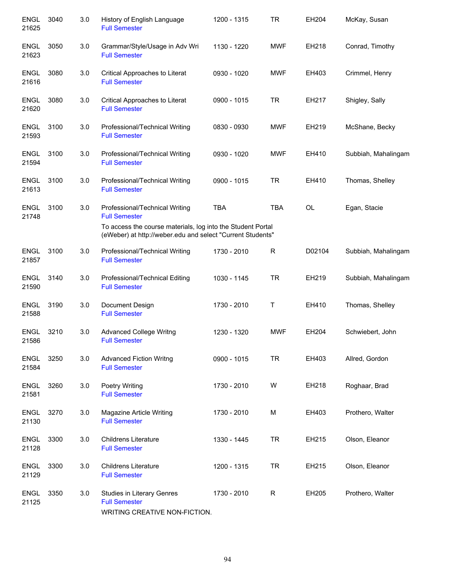| <b>ENGL</b><br>21625 | 3040 | 3.0 | History of English Language<br><b>Full Semester</b>                                                                       | 1200 - 1315 | <b>TR</b>    | EH204  | McKay, Susan        |
|----------------------|------|-----|---------------------------------------------------------------------------------------------------------------------------|-------------|--------------|--------|---------------------|
| <b>ENGL</b><br>21623 | 3050 | 3.0 | Grammar/Style/Usage in Adv Wri<br><b>Full Semester</b>                                                                    | 1130 - 1220 | <b>MWF</b>   | EH218  | Conrad, Timothy     |
| <b>ENGL</b><br>21616 | 3080 | 3.0 | Critical Approaches to Literat<br><b>Full Semester</b>                                                                    | 0930 - 1020 | <b>MWF</b>   | EH403  | Crimmel, Henry      |
| <b>ENGL</b><br>21620 | 3080 | 3.0 | Critical Approaches to Literat<br><b>Full Semester</b>                                                                    | 0900 - 1015 | <b>TR</b>    | EH217  | Shigley, Sally      |
| <b>ENGL</b><br>21593 | 3100 | 3.0 | Professional/Technical Writing<br><b>Full Semester</b>                                                                    | 0830 - 0930 | <b>MWF</b>   | EH219  | McShane, Becky      |
| <b>ENGL</b><br>21594 | 3100 | 3.0 | Professional/Technical Writing<br><b>Full Semester</b>                                                                    | 0930 - 1020 | <b>MWF</b>   | EH410  | Subbiah, Mahalingam |
| <b>ENGL</b><br>21613 | 3100 | 3.0 | Professional/Technical Writing<br><b>Full Semester</b>                                                                    | 0900 - 1015 | <b>TR</b>    | EH410  | Thomas, Shelley     |
| <b>ENGL</b><br>21748 | 3100 | 3.0 | Professional/Technical Writing<br><b>Full Semester</b>                                                                    | <b>TBA</b>  | <b>TBA</b>   | OL     | Egan, Stacie        |
|                      |      |     | To access the course materials, log into the Student Portal<br>(eWeber) at http://weber.edu and select "Current Students" |             |              |        |                     |
| <b>ENGL</b><br>21857 | 3100 | 3.0 | Professional/Technical Writing<br><b>Full Semester</b>                                                                    | 1730 - 2010 | $\mathsf{R}$ | D02104 | Subbiah, Mahalingam |
| <b>ENGL</b><br>21590 | 3140 | 3.0 | Professional/Technical Editing<br><b>Full Semester</b>                                                                    | 1030 - 1145 | <b>TR</b>    | EH219  | Subbiah, Mahalingam |
| ENGL<br>21588        | 3190 | 3.0 | Document Design<br><b>Full Semester</b>                                                                                   | 1730 - 2010 | Τ            | EH410  | Thomas, Shelley     |
| <b>ENGL</b><br>21586 | 3210 | 3.0 | <b>Advanced College Writng</b><br><b>Full Semester</b>                                                                    | 1230 - 1320 | <b>MWF</b>   | EH204  | Schwiebert, John    |
| <b>ENGL</b><br>21584 | 3250 | 3.0 | <b>Advanced Fiction Writng</b><br><b>Full Semester</b>                                                                    | 0900 - 1015 | <b>TR</b>    | EH403  | Allred, Gordon      |
| <b>ENGL</b><br>21581 | 3260 | 3.0 | <b>Poetry Writing</b><br><b>Full Semester</b>                                                                             | 1730 - 2010 | W            | EH218  | Roghaar, Brad       |
| <b>ENGL</b><br>21130 | 3270 | 3.0 | Magazine Article Writing<br><b>Full Semester</b>                                                                          | 1730 - 2010 | м            | EH403  | Prothero, Walter    |
| <b>ENGL</b><br>21128 | 3300 | 3.0 | <b>Childrens Literature</b><br><b>Full Semester</b>                                                                       | 1330 - 1445 | <b>TR</b>    | EH215  | Olson, Eleanor      |
| <b>ENGL</b><br>21129 | 3300 | 3.0 | <b>Childrens Literature</b><br><b>Full Semester</b>                                                                       | 1200 - 1315 | <b>TR</b>    | EH215  | Olson, Eleanor      |
| <b>ENGL</b><br>21125 | 3350 | 3.0 | Studies in Literary Genres<br><b>Full Semester</b><br>WRITING CREATIVE NON-FICTION.                                       | 1730 - 2010 | R            | EH205  | Prothero, Walter    |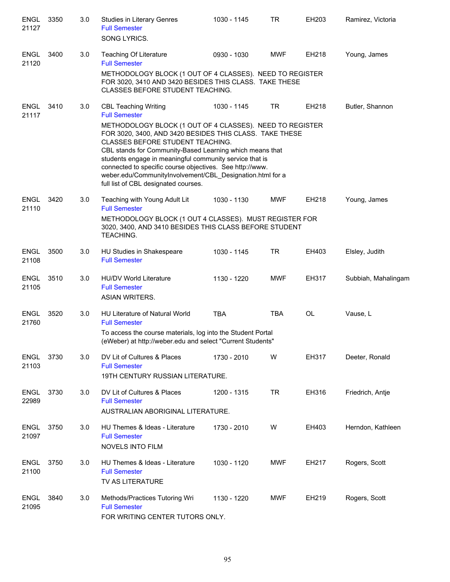| <b>ENGL</b><br>21127 | 3350 | 3.0 | Studies in Literary Genres<br><b>Full Semester</b><br>SONG LYRICS.                                                                                                                                                                                                                                                                                                                                                                                                                                     | 1030 - 1145 | <b>TR</b>  | EH203 | Ramirez, Victoria   |
|----------------------|------|-----|--------------------------------------------------------------------------------------------------------------------------------------------------------------------------------------------------------------------------------------------------------------------------------------------------------------------------------------------------------------------------------------------------------------------------------------------------------------------------------------------------------|-------------|------------|-------|---------------------|
| <b>ENGL</b><br>21120 | 3400 | 3.0 | <b>Teaching Of Literature</b><br><b>Full Semester</b><br>METHODOLOGY BLOCK (1 OUT OF 4 CLASSES). NEED TO REGISTER<br>FOR 3020, 3410 AND 3420 BESIDES THIS CLASS. TAKE THESE<br>CLASSES BEFORE STUDENT TEACHING.                                                                                                                                                                                                                                                                                        | 0930 - 1030 | <b>MWF</b> | EH218 | Young, James        |
| <b>ENGL</b><br>21117 | 3410 | 3.0 | <b>CBL Teaching Writing</b><br><b>Full Semester</b><br>METHODOLOGY BLOCK (1 OUT OF 4 CLASSES). NEED TO REGISTER<br>FOR 3020, 3400, AND 3420 BESIDES THIS CLASS. TAKE THESE<br>CLASSES BEFORE STUDENT TEACHING.<br>CBL stands for Community-Based Learning which means that<br>students engage in meaningful community service that is<br>connected to specific course objectives. See http://www.<br>weber.edu/CommunityInvolvement/CBL_Designation.html for a<br>full list of CBL designated courses. | 1030 - 1145 | <b>TR</b>  | EH218 | Butler, Shannon     |
| <b>ENGL</b><br>21110 | 3420 | 3.0 | Teaching with Young Adult Lit<br><b>Full Semester</b><br>METHODOLOGY BLOCK (1 OUT 4 CLASSES). MUST REGISTER FOR<br>3020, 3400, AND 3410 BESIDES THIS CLASS BEFORE STUDENT<br>TEACHING.                                                                                                                                                                                                                                                                                                                 | 1030 - 1130 | <b>MWF</b> | EH218 | Young, James        |
| <b>ENGL</b><br>21108 | 3500 | 3.0 | HU Studies in Shakespeare<br><b>Full Semester</b>                                                                                                                                                                                                                                                                                                                                                                                                                                                      | 1030 - 1145 | TR         | EH403 | Elsley, Judith      |
| <b>ENGL</b><br>21105 | 3510 | 3.0 | <b>HU/DV World Literature</b><br><b>Full Semester</b><br><b>ASIAN WRITERS.</b>                                                                                                                                                                                                                                                                                                                                                                                                                         | 1130 - 1220 | <b>MWF</b> | EH317 | Subbiah, Mahalingam |
| <b>ENGL</b><br>21760 | 3520 | 3.0 | HU Literature of Natural World<br><b>Full Semester</b><br>To access the course materials, log into the Student Portal<br>(eWeber) at http://weber.edu and select "Current Students"                                                                                                                                                                                                                                                                                                                    | <b>TBA</b>  | <b>TBA</b> | OL    | Vause, L            |
| <b>ENGL</b><br>21103 | 3730 | 3.0 | DV Lit of Cultures & Places<br><b>Full Semester</b><br>19TH CENTURY RUSSIAN LITERATURE.                                                                                                                                                                                                                                                                                                                                                                                                                | 1730 - 2010 | W          | EH317 | Deeter, Ronald      |
| <b>ENGL</b><br>22989 | 3730 | 3.0 | DV Lit of Cultures & Places<br><b>Full Semester</b><br>AUSTRALIAN ABORIGINAL LITERATURE.                                                                                                                                                                                                                                                                                                                                                                                                               | 1200 - 1315 | <b>TR</b>  | EH316 | Friedrich, Antie    |
| <b>ENGL</b><br>21097 | 3750 | 3.0 | HU Themes & Ideas - Literature<br><b>Full Semester</b><br>NOVELS INTO FILM                                                                                                                                                                                                                                                                                                                                                                                                                             | 1730 - 2010 | W          | EH403 | Herndon, Kathleen   |
| <b>ENGL</b><br>21100 | 3750 | 3.0 | HU Themes & Ideas - Literature<br><b>Full Semester</b><br>TV AS LITERATURE                                                                                                                                                                                                                                                                                                                                                                                                                             | 1030 - 1120 | <b>MWF</b> | EH217 | Rogers, Scott       |
| <b>ENGL</b><br>21095 | 3840 | 3.0 | Methods/Practices Tutoring Wri<br><b>Full Semester</b><br>FOR WRITING CENTER TUTORS ONLY.                                                                                                                                                                                                                                                                                                                                                                                                              | 1130 - 1220 | <b>MWF</b> | EH219 | Rogers, Scott       |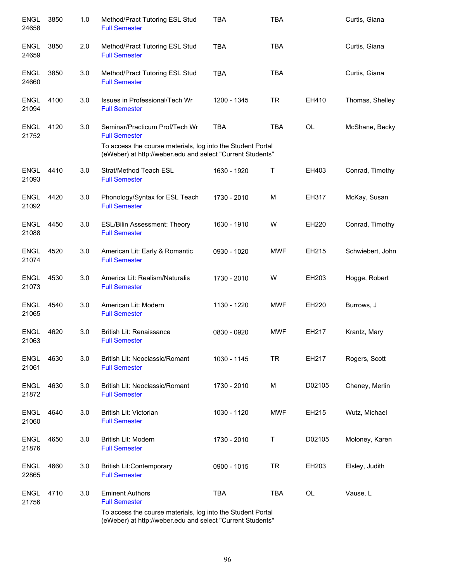| <b>ENGL</b><br>24658 | 3850 | 1.0 | Method/Pract Tutoring ESL Stud<br><b>Full Semester</b>                                                                    | <b>TBA</b>  | <b>TBA</b> |           | Curtis, Giana    |
|----------------------|------|-----|---------------------------------------------------------------------------------------------------------------------------|-------------|------------|-----------|------------------|
| <b>ENGL</b><br>24659 | 3850 | 2.0 | Method/Pract Tutoring ESL Stud<br><b>Full Semester</b>                                                                    | <b>TBA</b>  | <b>TBA</b> |           | Curtis, Giana    |
| <b>ENGL</b><br>24660 | 3850 | 3.0 | Method/Pract Tutoring ESL Stud<br><b>Full Semester</b>                                                                    | <b>TBA</b>  | <b>TBA</b> |           | Curtis, Giana    |
| <b>ENGL</b><br>21094 | 4100 | 3.0 | Issues in Professional/Tech Wr<br><b>Full Semester</b>                                                                    | 1200 - 1345 | <b>TR</b>  | EH410     | Thomas, Shelley  |
| <b>ENGL</b><br>21752 | 4120 | 3.0 | Seminar/Practicum Prof/Tech Wr<br><b>Full Semester</b>                                                                    | <b>TBA</b>  | <b>TBA</b> | OL        | McShane, Becky   |
|                      |      |     | To access the course materials, log into the Student Portal<br>(eWeber) at http://weber.edu and select "Current Students" |             |            |           |                  |
| <b>ENGL</b><br>21093 | 4410 | 3.0 | Strat/Method Teach ESL<br><b>Full Semester</b>                                                                            | 1630 - 1920 | Τ          | EH403     | Conrad, Timothy  |
| <b>ENGL</b><br>21092 | 4420 | 3.0 | Phonology/Syntax for ESL Teach<br><b>Full Semester</b>                                                                    | 1730 - 2010 | M          | EH317     | McKay, Susan     |
| <b>ENGL</b><br>21088 | 4450 | 3.0 | <b>ESL/Bilin Assessment: Theory</b><br><b>Full Semester</b>                                                               | 1630 - 1910 | W          | EH220     | Conrad, Timothy  |
| <b>ENGL</b><br>21074 | 4520 | 3.0 | American Lit: Early & Romantic<br><b>Full Semester</b>                                                                    | 0930 - 1020 | <b>MWF</b> | EH215     | Schwiebert, John |
| <b>ENGL</b><br>21073 | 4530 | 3.0 | America Lit: Realism/Naturalis<br><b>Full Semester</b>                                                                    | 1730 - 2010 | W          | EH203     | Hogge, Robert    |
| ENGL<br>21065        | 4540 | 3.0 | American Lit: Modern<br><b>Full Semester</b>                                                                              | 1130 - 1220 | <b>MWF</b> | EH220     | Burrows, J       |
| <b>ENGL</b><br>21063 | 4620 | 3.0 | British Lit: Renaissance<br><b>Full Semester</b>                                                                          | 0830 - 0920 | <b>MWF</b> | EH217     | Krantz, Mary     |
| <b>ENGL</b><br>21061 | 4630 | 3.0 | British Lit: Neoclassic/Romant<br><b>Full Semester</b>                                                                    | 1030 - 1145 | <b>TR</b>  | EH217     | Rogers, Scott    |
| <b>ENGL</b><br>21872 | 4630 | 3.0 | British Lit: Neoclassic/Romant<br><b>Full Semester</b>                                                                    | 1730 - 2010 | M          | D02105    | Cheney, Merlin   |
| <b>ENGL</b><br>21060 | 4640 | 3.0 | British Lit: Victorian<br><b>Full Semester</b>                                                                            | 1030 - 1120 | <b>MWF</b> | EH215     | Wutz, Michael    |
| <b>ENGL</b><br>21876 | 4650 | 3.0 | <b>British Lit: Modern</b><br><b>Full Semester</b>                                                                        | 1730 - 2010 | Т          | D02105    | Moloney, Karen   |
| <b>ENGL</b><br>22865 | 4660 | 3.0 | <b>British Lit:Contemporary</b><br><b>Full Semester</b>                                                                   | 0900 - 1015 | <b>TR</b>  | EH203     | Elsley, Judith   |
| <b>ENGL</b><br>21756 | 4710 | 3.0 | <b>Eminent Authors</b><br><b>Full Semester</b>                                                                            | <b>TBA</b>  | <b>TBA</b> | <b>OL</b> | Vause, L         |
|                      |      |     | To access the course materials, log into the Student Portal                                                               |             |            |           |                  |

(eWeber) at http://weber.edu and select "Current Students"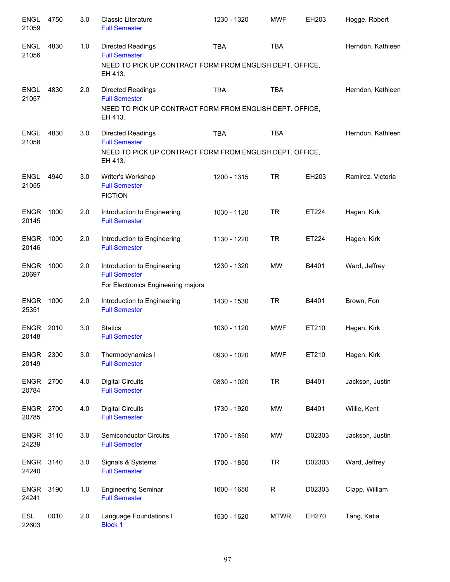| <b>ENGL</b><br>21059 | 4750 | 3.0 | <b>Classic Literature</b><br><b>Full Semester</b>                                                                | 1230 - 1320 | <b>MWF</b>   | EH203  | Hogge, Robert     |
|----------------------|------|-----|------------------------------------------------------------------------------------------------------------------|-------------|--------------|--------|-------------------|
| <b>ENGL</b><br>21056 | 4830 | 1.0 | Directed Readings<br><b>Full Semester</b><br>NEED TO PICK UP CONTRACT FORM FROM ENGLISH DEPT. OFFICE,<br>EH 413. | <b>TBA</b>  | <b>TBA</b>   |        | Herndon, Kathleen |
| <b>ENGL</b><br>21057 | 4830 | 2.0 | Directed Readings<br><b>Full Semester</b><br>NEED TO PICK UP CONTRACT FORM FROM ENGLISH DEPT. OFFICE,<br>EH 413. | <b>TBA</b>  | <b>TBA</b>   |        | Herndon, Kathleen |
| <b>ENGL</b><br>21058 | 4830 | 3.0 | Directed Readings<br><b>Full Semester</b><br>NEED TO PICK UP CONTRACT FORM FROM ENGLISH DEPT. OFFICE,<br>EH 413. | <b>TBA</b>  | <b>TBA</b>   |        | Herndon, Kathleen |
| <b>ENGL</b><br>21055 | 4940 | 3.0 | Writer's Workshop<br><b>Full Semester</b><br><b>FICTION</b>                                                      | 1200 - 1315 | <b>TR</b>    | EH203  | Ramirez, Victoria |
| <b>ENGR</b><br>20145 | 1000 | 2.0 | Introduction to Engineering<br><b>Full Semester</b>                                                              | 1030 - 1120 | <b>TR</b>    | ET224  | Hagen, Kirk       |
| <b>ENGR</b><br>20146 | 1000 | 2.0 | Introduction to Engineering<br><b>Full Semester</b>                                                              | 1130 - 1220 | <b>TR</b>    | ET224  | Hagen, Kirk       |
| <b>ENGR</b><br>20697 | 1000 | 2.0 | Introduction to Engineering<br><b>Full Semester</b><br>For Electronics Engineering majors                        | 1230 - 1320 | <b>MW</b>    | B4401  | Ward, Jeffrey     |
| <b>ENGR</b><br>25351 | 1000 | 2.0 | Introduction to Engineering<br><b>Full Semester</b>                                                              | 1430 - 1530 | <b>TR</b>    | B4401  | Brown, Fon        |
| <b>ENGR</b><br>20148 | 2010 | 3.0 | <b>Statics</b><br><b>Full Semester</b>                                                                           | 1030 - 1120 | <b>MWF</b>   | ET210  | Hagen, Kirk       |
| ENGR<br>20149        | 2300 | 3.0 | Thermodynamics I<br><b>Full Semester</b>                                                                         | 0930 - 1020 | <b>MWF</b>   | ET210  | Hagen, Kirk       |
| <b>ENGR</b><br>20784 | 2700 | 4.0 | <b>Digital Circuits</b><br><b>Full Semester</b>                                                                  | 0830 - 1020 | <b>TR</b>    | B4401  | Jackson, Justin   |
| <b>ENGR</b><br>20785 | 2700 | 4.0 | <b>Digital Circuits</b><br><b>Full Semester</b>                                                                  | 1730 - 1920 | <b>MW</b>    | B4401  | Willie, Kent      |
| <b>ENGR</b><br>24239 | 3110 | 3.0 | Semiconductor Circuits<br><b>Full Semester</b>                                                                   | 1700 - 1850 | <b>MW</b>    | D02303 | Jackson, Justin   |
| <b>ENGR</b><br>24240 | 3140 | 3.0 | Signals & Systems<br><b>Full Semester</b>                                                                        | 1700 - 1850 | <b>TR</b>    | D02303 | Ward, Jeffrey     |
| <b>ENGR</b><br>24241 | 3190 | 1.0 | <b>Engineering Seminar</b><br><b>Full Semester</b>                                                               | 1600 - 1650 | $\mathsf{R}$ | D02303 | Clapp, William    |
| <b>ESL</b><br>22603  | 0010 | 2.0 | Language Foundations I<br><b>Block 1</b>                                                                         | 1530 - 1620 | <b>MTWR</b>  | EH270  | Tang, Katia       |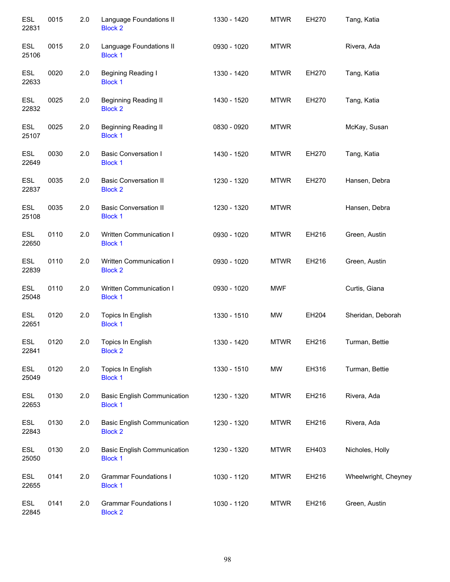| <b>ESL</b><br>22831 | 0015 | 2.0 | Language Foundations II<br><b>Block 2</b>            | 1330 - 1420 | <b>MTWR</b> | EH270 | Tang, Katia          |
|---------------------|------|-----|------------------------------------------------------|-------------|-------------|-------|----------------------|
| <b>ESL</b><br>25106 | 0015 | 2.0 | Language Foundations II<br><b>Block 1</b>            | 0930 - 1020 | <b>MTWR</b> |       | Rivera, Ada          |
| <b>ESL</b><br>22633 | 0020 | 2.0 | Begining Reading I<br><b>Block 1</b>                 | 1330 - 1420 | <b>MTWR</b> | EH270 | Tang, Katia          |
| <b>ESL</b><br>22832 | 0025 | 2.0 | <b>Beginning Reading II</b><br><b>Block 2</b>        | 1430 - 1520 | <b>MTWR</b> | EH270 | Tang, Katia          |
| <b>ESL</b><br>25107 | 0025 | 2.0 | <b>Beginning Reading II</b><br><b>Block 1</b>        | 0830 - 0920 | <b>MTWR</b> |       | McKay, Susan         |
| <b>ESL</b><br>22649 | 0030 | 2.0 | <b>Basic Conversation I</b><br><b>Block 1</b>        | 1430 - 1520 | <b>MTWR</b> | EH270 | Tang, Katia          |
| <b>ESL</b><br>22837 | 0035 | 2.0 | <b>Basic Conversation II</b><br><b>Block 2</b>       | 1230 - 1320 | <b>MTWR</b> | EH270 | Hansen, Debra        |
| <b>ESL</b><br>25108 | 0035 | 2.0 | <b>Basic Conversation II</b><br><b>Block 1</b>       | 1230 - 1320 | <b>MTWR</b> |       | Hansen, Debra        |
| <b>ESL</b><br>22650 | 0110 | 2.0 | Written Communication I<br><b>Block 1</b>            | 0930 - 1020 | <b>MTWR</b> | EH216 | Green, Austin        |
| <b>ESL</b><br>22839 | 0110 | 2.0 | Written Communication I<br><b>Block 2</b>            | 0930 - 1020 | <b>MTWR</b> | EH216 | Green, Austin        |
| <b>ESL</b><br>25048 | 0110 | 2.0 | Written Communication I<br><b>Block 1</b>            | 0930 - 1020 | <b>MWF</b>  |       | Curtis, Giana        |
| <b>ESL</b><br>22651 | 0120 | 2.0 | Topics In English<br><b>Block 1</b>                  | 1330 - 1510 | <b>MW</b>   | EH204 | Sheridan, Deborah    |
| <b>ESL</b><br>22841 | 0120 | 2.0 | Topics In English<br><b>Block 2</b>                  | 1330 - 1420 | <b>MTWR</b> | EH216 | Turman, Bettie       |
| <b>ESL</b><br>25049 | 0120 | 2.0 | Topics In English<br><b>Block 1</b>                  | 1330 - 1510 | MW          | EH316 | Turman, Bettie       |
| <b>ESL</b><br>22653 | 0130 | 2.0 | <b>Basic English Communication</b><br><b>Block 1</b> | 1230 - 1320 | <b>MTWR</b> | EH216 | Rivera, Ada          |
| <b>ESL</b><br>22843 | 0130 | 2.0 | <b>Basic English Communication</b><br><b>Block 2</b> | 1230 - 1320 | <b>MTWR</b> | EH216 | Rivera, Ada          |
| <b>ESL</b><br>25050 | 0130 | 2.0 | <b>Basic English Communication</b><br><b>Block 1</b> | 1230 - 1320 | <b>MTWR</b> | EH403 | Nicholes, Holly      |
| ESL<br>22655        | 0141 | 2.0 | <b>Grammar Foundations I</b><br><b>Block 1</b>       | 1030 - 1120 | <b>MTWR</b> | EH216 | Wheelwright, Cheyney |
| <b>ESL</b><br>22845 | 0141 | 2.0 | <b>Grammar Foundations I</b><br><b>Block 2</b>       | 1030 - 1120 | <b>MTWR</b> | EH216 | Green, Austin        |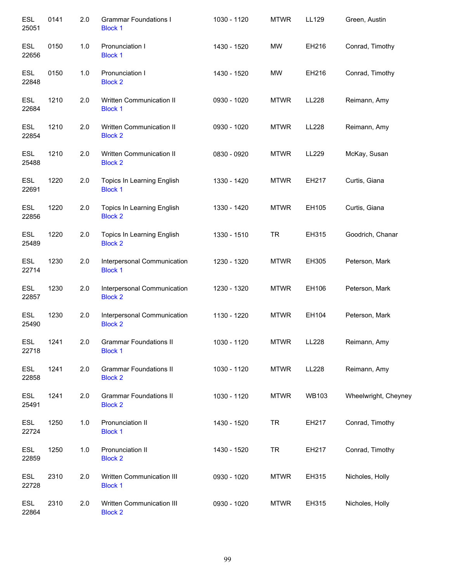| <b>ESL</b><br>25051 | 0141 | 2.0 | <b>Grammar Foundations I</b><br><b>Block 1</b>  | 1030 - 1120 | <b>MTWR</b> | LL129        | Green, Austin        |
|---------------------|------|-----|-------------------------------------------------|-------------|-------------|--------------|----------------------|
| <b>ESL</b><br>22656 | 0150 | 1.0 | Pronunciation I<br><b>Block 1</b>               | 1430 - 1520 | <b>MW</b>   | EH216        | Conrad, Timothy      |
| <b>ESL</b><br>22848 | 0150 | 1.0 | Pronunciation I<br><b>Block 2</b>               | 1430 - 1520 | <b>MW</b>   | EH216        | Conrad, Timothy      |
| <b>ESL</b><br>22684 | 1210 | 2.0 | Written Communication II<br><b>Block 1</b>      | 0930 - 1020 | <b>MTWR</b> | LL228        | Reimann, Amy         |
| <b>ESL</b><br>22854 | 1210 | 2.0 | Written Communication II<br><b>Block 2</b>      | 0930 - 1020 | <b>MTWR</b> | <b>LL228</b> | Reimann, Amy         |
| <b>ESL</b><br>25488 | 1210 | 2.0 | Written Communication II<br><b>Block 2</b>      | 0830 - 0920 | <b>MTWR</b> | LL229        | McKay, Susan         |
| <b>ESL</b><br>22691 | 1220 | 2.0 | Topics In Learning English<br><b>Block 1</b>    | 1330 - 1420 | <b>MTWR</b> | EH217        | Curtis, Giana        |
| <b>ESL</b><br>22856 | 1220 | 2.0 | Topics In Learning English<br><b>Block 2</b>    | 1330 - 1420 | <b>MTWR</b> | EH105        | Curtis, Giana        |
| <b>ESL</b><br>25489 | 1220 | 2.0 | Topics In Learning English<br><b>Block 2</b>    | 1330 - 1510 | <b>TR</b>   | EH315        | Goodrich, Chanar     |
| <b>ESL</b><br>22714 | 1230 | 2.0 | Interpersonal Communication<br><b>Block 1</b>   | 1230 - 1320 | <b>MTWR</b> | EH305        | Peterson, Mark       |
| <b>ESL</b><br>22857 | 1230 | 2.0 | Interpersonal Communication<br><b>Block 2</b>   | 1230 - 1320 | <b>MTWR</b> | EH106        | Peterson, Mark       |
| <b>ESL</b><br>25490 | 1230 | 2.0 | Interpersonal Communication<br><b>Block 2</b>   | 1130 - 1220 | <b>MTWR</b> | EH104        | Peterson, Mark       |
| <b>ESL</b><br>22718 | 1241 | 2.0 | <b>Grammar Foundations II</b><br><b>Block 1</b> | 1030 - 1120 | <b>MTWR</b> | LL228        | Reimann, Amy         |
| <b>ESL</b><br>22858 | 1241 | 2.0 | <b>Grammar Foundations II</b><br><b>Block 2</b> | 1030 - 1120 | <b>MTWR</b> | LL228        | Reimann, Amy         |
| <b>ESL</b><br>25491 | 1241 | 2.0 | <b>Grammar Foundations II</b><br><b>Block 2</b> | 1030 - 1120 | <b>MTWR</b> | <b>WB103</b> | Wheelwright, Cheyney |
| <b>ESL</b><br>22724 | 1250 | 1.0 | Pronunciation II<br><b>Block 1</b>              | 1430 - 1520 | <b>TR</b>   | EH217        | Conrad, Timothy      |
| ESL<br>22859        | 1250 | 1.0 | Pronunciation II<br><b>Block 2</b>              | 1430 - 1520 | <b>TR</b>   | EH217        | Conrad, Timothy      |
| ESL<br>22728        | 2310 | 2.0 | Written Communication III<br><b>Block 1</b>     | 0930 - 1020 | <b>MTWR</b> | EH315        | Nicholes, Holly      |
| ESL<br>22864        | 2310 | 2.0 | Written Communication III<br><b>Block 2</b>     | 0930 - 1020 | <b>MTWR</b> | EH315        | Nicholes, Holly      |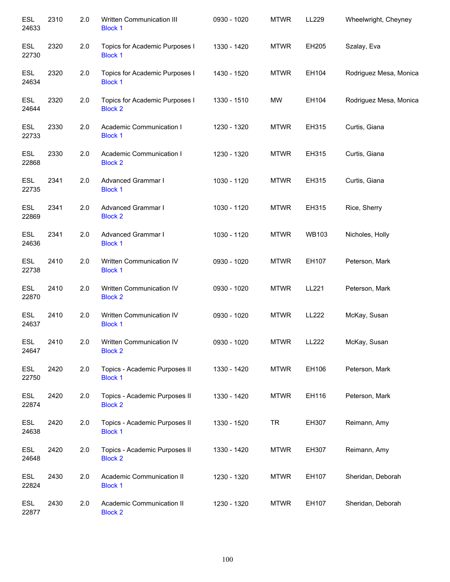| <b>ESL</b><br>24633 | 2310 | 2.0 | Written Communication III<br><b>Block 1</b>      | 0930 - 1020 | <b>MTWR</b> | LL229        | Wheelwright, Cheyney   |
|---------------------|------|-----|--------------------------------------------------|-------------|-------------|--------------|------------------------|
| <b>ESL</b><br>22730 | 2320 | 2.0 | Topics for Academic Purposes I<br><b>Block 1</b> | 1330 - 1420 | <b>MTWR</b> | EH205        | Szalay, Eva            |
| <b>ESL</b><br>24634 | 2320 | 2.0 | Topics for Academic Purposes I<br><b>Block 1</b> | 1430 - 1520 | <b>MTWR</b> | EH104        | Rodriguez Mesa, Monica |
| <b>ESL</b><br>24644 | 2320 | 2.0 | Topics for Academic Purposes I<br><b>Block 2</b> | 1330 - 1510 | <b>MW</b>   | EH104        | Rodriguez Mesa, Monica |
| <b>ESL</b><br>22733 | 2330 | 2.0 | Academic Communication I<br><b>Block 1</b>       | 1230 - 1320 | <b>MTWR</b> | EH315        | Curtis, Giana          |
| <b>ESL</b><br>22868 | 2330 | 2.0 | Academic Communication I<br><b>Block 2</b>       | 1230 - 1320 | <b>MTWR</b> | EH315        | Curtis, Giana          |
| <b>ESL</b><br>22735 | 2341 | 2.0 | <b>Advanced Grammar I</b><br><b>Block 1</b>      | 1030 - 1120 | <b>MTWR</b> | EH315        | Curtis, Giana          |
| <b>ESL</b><br>22869 | 2341 | 2.0 | Advanced Grammar I<br><b>Block 2</b>             | 1030 - 1120 | <b>MTWR</b> | EH315        | Rice, Sherry           |
| <b>ESL</b><br>24636 | 2341 | 2.0 | Advanced Grammar I<br><b>Block 1</b>             | 1030 - 1120 | <b>MTWR</b> | <b>WB103</b> | Nicholes, Holly        |
| <b>ESL</b><br>22738 | 2410 | 2.0 | Written Communication IV<br><b>Block 1</b>       | 0930 - 1020 | <b>MTWR</b> | EH107        | Peterson, Mark         |
| <b>ESL</b><br>22870 | 2410 | 2.0 | Written Communication IV<br><b>Block 2</b>       | 0930 - 1020 | <b>MTWR</b> | LL221        | Peterson, Mark         |
| <b>ESL</b><br>24637 | 2410 | 2.0 | Written Communication IV<br><b>Block 1</b>       | 0930 - 1020 | <b>MTWR</b> | LL222        | McKay, Susan           |
| <b>ESL</b><br>24647 | 2410 | 2.0 | Written Communication IV<br><b>Block 2</b>       | 0930 - 1020 | <b>MTWR</b> | LL222        | McKay, Susan           |
| <b>ESL</b><br>22750 | 2420 | 2.0 | Topics - Academic Purposes II<br><b>Block 1</b>  | 1330 - 1420 | <b>MTWR</b> | EH106        | Peterson, Mark         |
| <b>ESL</b><br>22874 | 2420 | 2.0 | Topics - Academic Purposes II<br><b>Block 2</b>  | 1330 - 1420 | <b>MTWR</b> | EH116        | Peterson, Mark         |
| <b>ESL</b><br>24638 | 2420 | 2.0 | Topics - Academic Purposes II<br><b>Block 1</b>  | 1330 - 1520 | <b>TR</b>   | EH307        | Reimann, Amy           |
| ESL<br>24648        | 2420 | 2.0 | Topics - Academic Purposes II<br><b>Block 2</b>  | 1330 - 1420 | <b>MTWR</b> | EH307        | Reimann, Amy           |
| ESL<br>22824        | 2430 | 2.0 | Academic Communication II<br><b>Block 1</b>      | 1230 - 1320 | <b>MTWR</b> | EH107        | Sheridan, Deborah      |
| <b>ESL</b><br>22877 | 2430 | 2.0 | Academic Communication II<br><b>Block 2</b>      | 1230 - 1320 | <b>MTWR</b> | EH107        | Sheridan, Deborah      |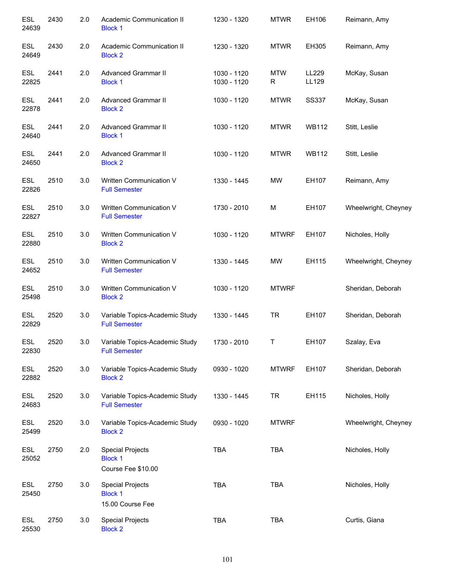| <b>ESL</b><br>24639 | 2430 | 2.0     | Academic Communication II<br><b>Block 1</b>                     | 1230 - 1320                | <b>MTWR</b>  | EH106          | Reimann, Amy         |
|---------------------|------|---------|-----------------------------------------------------------------|----------------------------|--------------|----------------|----------------------|
| ESL<br>24649        | 2430 | 2.0     | Academic Communication II<br><b>Block 2</b>                     | 1230 - 1320                | <b>MTWR</b>  | EH305          | Reimann, Amy         |
| <b>ESL</b><br>22825 | 2441 | 2.0     | Advanced Grammar II<br><b>Block 1</b>                           | 1030 - 1120<br>1030 - 1120 | MTW<br>R     | LL229<br>LL129 | McKay, Susan         |
| <b>ESL</b><br>22878 | 2441 | 2.0     | Advanced Grammar II<br><b>Block 2</b>                           | 1030 - 1120                | <b>MTWR</b>  | <b>SS337</b>   | McKay, Susan         |
| <b>ESL</b><br>24640 | 2441 | 2.0     | Advanced Grammar II<br><b>Block 1</b>                           | 1030 - 1120                | <b>MTWR</b>  | <b>WB112</b>   | Stitt, Leslie        |
| <b>ESL</b><br>24650 | 2441 | 2.0     | Advanced Grammar II<br><b>Block 2</b>                           | 1030 - 1120                | <b>MTWR</b>  | <b>WB112</b>   | Stitt, Leslie        |
| <b>ESL</b><br>22826 | 2510 | 3.0     | Written Communication V<br><b>Full Semester</b>                 | 1330 - 1445                | MW           | EH107          | Reimann, Amy         |
| <b>ESL</b><br>22827 | 2510 | 3.0     | Written Communication V<br><b>Full Semester</b>                 | 1730 - 2010                | M            | EH107          | Wheelwright, Cheyney |
| <b>ESL</b><br>22880 | 2510 | 3.0     | Written Communication V<br><b>Block 2</b>                       | 1030 - 1120                | <b>MTWRF</b> | EH107          | Nicholes, Holly      |
| <b>ESL</b><br>24652 | 2510 | 3.0     | Written Communication V<br><b>Full Semester</b>                 | 1330 - 1445                | MW           | EH115          | Wheelwright, Cheyney |
| <b>ESL</b><br>25498 | 2510 | 3.0     | Written Communication V<br><b>Block 2</b>                       | 1030 - 1120                | <b>MTWRF</b> |                | Sheridan, Deborah    |
| <b>ESL</b><br>22829 | 2520 | $3.0\,$ | Variable Topics-Academic Study<br><b>Full Semester</b>          | 1330 - 1445                | <b>TR</b>    | EH107          | Sheridan, Deborah    |
| <b>ESL</b><br>22830 | 2520 | 3.0     | Variable Topics-Academic Study<br><b>Full Semester</b>          | 1730 - 2010                | Τ            | EH107          | Szalay, Eva          |
| ESL<br>22882        | 2520 | 3.0     | Variable Topics-Academic Study<br><b>Block 2</b>                | 0930 - 1020                | <b>MTWRF</b> | EH107          | Sheridan, Deborah    |
| ESL<br>24683        | 2520 | 3.0     | Variable Topics-Academic Study<br><b>Full Semester</b>          | 1330 - 1445                | <b>TR</b>    | EH115          | Nicholes, Holly      |
| ESL<br>25499        | 2520 | 3.0     | Variable Topics-Academic Study<br><b>Block 2</b>                | 0930 - 1020                | <b>MTWRF</b> |                | Wheelwright, Cheyney |
| ESL<br>25052        | 2750 | 2.0     | <b>Special Projects</b><br><b>Block 1</b><br>Course Fee \$10.00 | <b>TBA</b>                 | <b>TBA</b>   |                | Nicholes, Holly      |
| ESL<br>25450        | 2750 | 3.0     | <b>Special Projects</b><br><b>Block 1</b><br>15.00 Course Fee   | <b>TBA</b>                 | <b>TBA</b>   |                | Nicholes, Holly      |
| ESL<br>25530        | 2750 | 3.0     | <b>Special Projects</b><br><b>Block 2</b>                       | <b>TBA</b>                 | <b>TBA</b>   |                | Curtis, Giana        |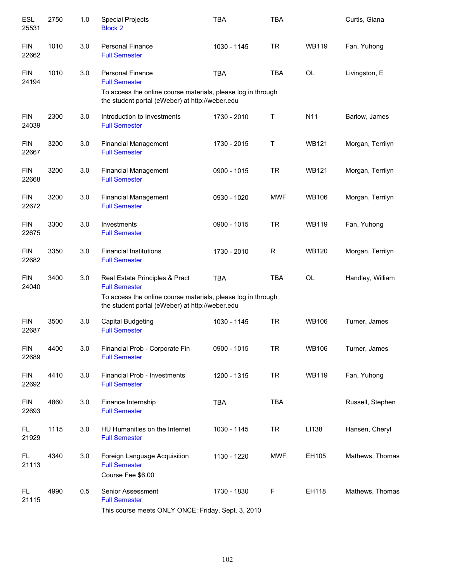| <b>ESL</b><br>25531 | 2750 | 1.0 | <b>Special Projects</b><br><b>Block 2</b>                                                                                                                          | <b>TBA</b>    | <b>TBA</b>   |              | Curtis, Giana    |
|---------------------|------|-----|--------------------------------------------------------------------------------------------------------------------------------------------------------------------|---------------|--------------|--------------|------------------|
| <b>FIN</b><br>22662 | 1010 | 3.0 | <b>Personal Finance</b><br><b>Full Semester</b>                                                                                                                    | 1030 - 1145   | <b>TR</b>    | <b>WB119</b> | Fan, Yuhong      |
| <b>FIN</b><br>24194 | 1010 | 3.0 | <b>Personal Finance</b><br><b>Full Semester</b><br>To access the online course materials, please log in through<br>the student portal (eWeber) at http://weber.edu | <b>TBA</b>    | <b>TBA</b>   | <b>OL</b>    | Livingston, E    |
| <b>FIN</b><br>24039 | 2300 | 3.0 | Introduction to Investments<br><b>Full Semester</b>                                                                                                                | 1730 - 2010   | Τ            | N11          | Barlow, James    |
| <b>FIN</b><br>22667 | 3200 | 3.0 | <b>Financial Management</b><br><b>Full Semester</b>                                                                                                                | 1730 - 2015   | Τ            | <b>WB121</b> | Morgan, Terrilyn |
| <b>FIN</b><br>22668 | 3200 | 3.0 | <b>Financial Management</b><br><b>Full Semester</b>                                                                                                                | 0900 - 1015   | <b>TR</b>    | <b>WB121</b> | Morgan, Terrilyn |
| <b>FIN</b><br>22672 | 3200 | 3.0 | <b>Financial Management</b><br><b>Full Semester</b>                                                                                                                | 0930 - 1020   | <b>MWF</b>   | <b>WB106</b> | Morgan, Terrilyn |
| <b>FIN</b><br>22675 | 3300 | 3.0 | Investments<br><b>Full Semester</b>                                                                                                                                | $0900 - 1015$ | <b>TR</b>    | <b>WB119</b> | Fan, Yuhong      |
| <b>FIN</b><br>22682 | 3350 | 3.0 | <b>Financial Institutions</b><br><b>Full Semester</b>                                                                                                              | 1730 - 2010   | $\mathsf{R}$ | <b>WB120</b> | Morgan, Terrilyn |
| <b>FIN</b><br>24040 | 3400 | 3.0 | Real Estate Principles & Pract<br><b>Full Semester</b>                                                                                                             | <b>TBA</b>    | <b>TBA</b>   | <b>OL</b>    | Handley, William |
|                     |      |     | To access the online course materials, please log in through<br>the student portal (eWeber) at http://weber.edu                                                    |               |              |              |                  |
| <b>FIN</b><br>22687 | 3500 | 3.0 | <b>Capital Budgeting</b><br><b>Full Semester</b>                                                                                                                   | 1030 - 1145   | <b>TR</b>    | <b>WB106</b> | Turner, James    |
| <b>FIN</b><br>22689 | 4400 | 3.0 | Financial Prob - Corporate Fin<br><b>Full Semester</b>                                                                                                             | 0900 - 1015   | <b>TR</b>    | <b>WB106</b> | Turner, James    |
| <b>FIN</b><br>22692 | 4410 | 3.0 | Financial Prob - Investments<br><b>Full Semester</b>                                                                                                               | 1200 - 1315   | <b>TR</b>    | <b>WB119</b> | Fan, Yuhong      |
| <b>FIN</b><br>22693 | 4860 | 3.0 | Finance Internship<br><b>Full Semester</b>                                                                                                                         | <b>TBA</b>    | <b>TBA</b>   |              | Russell, Stephen |
| FL.<br>21929        | 1115 | 3.0 | HU Humanities on the Internet<br><b>Full Semester</b>                                                                                                              | 1030 - 1145   | <b>TR</b>    | LI138        | Hansen, Cheryl   |
| FL.<br>21113        | 4340 | 3.0 | Foreign Language Acquisition<br><b>Full Semester</b><br>Course Fee \$6.00                                                                                          | 1130 - 1220   | <b>MWF</b>   | EH105        | Mathews, Thomas  |
| FL.<br>21115        | 4990 | 0.5 | Senior Assessment<br><b>Full Semester</b><br>This course meets ONLY ONCE: Friday, Sept. 3, 2010                                                                    | 1730 - 1830   | F            | EH118        | Mathews, Thomas  |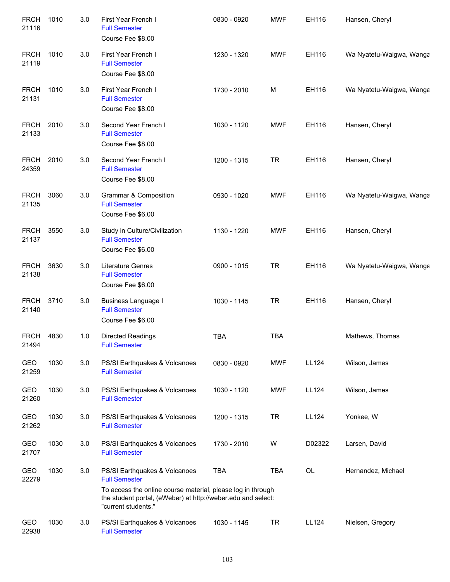| <b>FRCH</b><br>21116 | 1010 | 3.0 | First Year French I<br><b>Full Semester</b><br>Course Fee \$8.00                                                                                                                                            | 0830 - 0920 | <b>MWF</b> | EH116        | Hansen, Cheryl           |
|----------------------|------|-----|-------------------------------------------------------------------------------------------------------------------------------------------------------------------------------------------------------------|-------------|------------|--------------|--------------------------|
| <b>FRCH</b><br>21119 | 1010 | 3.0 | First Year French I<br><b>Full Semester</b><br>Course Fee \$8.00                                                                                                                                            | 1230 - 1320 | <b>MWF</b> | EH116        | Wa Nyatetu-Waigwa, Wanga |
| <b>FRCH</b><br>21131 | 1010 | 3.0 | First Year French I<br><b>Full Semester</b><br>Course Fee \$8.00                                                                                                                                            | 1730 - 2010 | M          | EH116        | Wa Nyatetu-Waigwa, Wanga |
| <b>FRCH</b><br>21133 | 2010 | 3.0 | Second Year French I<br><b>Full Semester</b><br>Course Fee \$8.00                                                                                                                                           | 1030 - 1120 | <b>MWF</b> | EH116        | Hansen, Cheryl           |
| <b>FRCH</b><br>24359 | 2010 | 3.0 | Second Year French I<br><b>Full Semester</b><br>Course Fee \$8.00                                                                                                                                           | 1200 - 1315 | <b>TR</b>  | EH116        | Hansen, Cheryl           |
| <b>FRCH</b><br>21135 | 3060 | 3.0 | Grammar & Composition<br><b>Full Semester</b><br>Course Fee \$6.00                                                                                                                                          | 0930 - 1020 | <b>MWF</b> | EH116        | Wa Nyatetu-Waigwa, Wanga |
| <b>FRCH</b><br>21137 | 3550 | 3.0 | Study in Culture/Civilization<br><b>Full Semester</b><br>Course Fee \$6.00                                                                                                                                  | 1130 - 1220 | <b>MWF</b> | EH116        | Hansen, Cheryl           |
| <b>FRCH</b><br>21138 | 3630 | 3.0 | <b>Literature Genres</b><br><b>Full Semester</b><br>Course Fee \$6.00                                                                                                                                       | 0900 - 1015 | <b>TR</b>  | EH116        | Wa Nyatetu-Waigwa, Wanga |
| <b>FRCH</b><br>21140 | 3710 | 3.0 | <b>Business Language I</b><br><b>Full Semester</b><br>Course Fee \$6.00                                                                                                                                     | 1030 - 1145 | <b>TR</b>  | EH116        | Hansen, Cheryl           |
| <b>FRCH</b><br>21494 | 4830 | 1.0 | Directed Readings<br><b>Full Semester</b>                                                                                                                                                                   | <b>TBA</b>  | <b>TBA</b> |              | Mathews, Thomas          |
| GEO<br>21259         | 1030 | 3.0 | PS/SI Earthquakes & Volcanoes<br><b>Full Semester</b>                                                                                                                                                       | 0830 - 0920 | <b>MWF</b> | <b>LL124</b> | Wilson, James            |
| GEO<br>21260         | 1030 | 3.0 | PS/SI Earthquakes & Volcanoes<br><b>Full Semester</b>                                                                                                                                                       | 1030 - 1120 | <b>MWF</b> | <b>LL124</b> | Wilson, James            |
| GEO<br>21262         | 1030 | 3.0 | PS/SI Earthquakes & Volcanoes<br><b>Full Semester</b>                                                                                                                                                       | 1200 - 1315 | <b>TR</b>  | <b>LL124</b> | Yonkee, W                |
| GEO<br>21707         | 1030 | 3.0 | PS/SI Earthquakes & Volcanoes<br><b>Full Semester</b>                                                                                                                                                       | 1730 - 2010 | W          | D02322       | Larsen, David            |
| GEO<br>22279         | 1030 | 3.0 | PS/SI Earthquakes & Volcanoes<br><b>Full Semester</b><br>To access the online course material, please log in through<br>the student portal, (eWeber) at http://weber.edu and select:<br>"current students." | <b>TBA</b>  | <b>TBA</b> | OL           | Hernandez, Michael       |
| GEO<br>22938         | 1030 | 3.0 | PS/SI Earthquakes & Volcanoes<br><b>Full Semester</b>                                                                                                                                                       | 1030 - 1145 | <b>TR</b>  | <b>LL124</b> | Nielsen, Gregory         |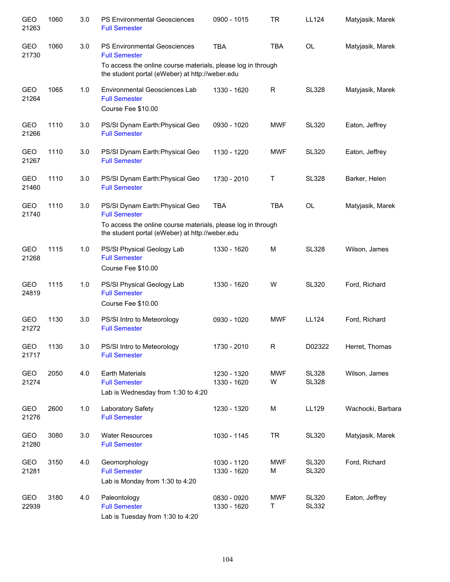| <b>GEO</b><br>21263 | 1060 | 3.0 | PS Environmental Geosciences<br><b>Full Semester</b>                                                            | 0900 - 1015                | <b>TR</b>       | <b>LL124</b>                 | Matyjasik, Marek  |
|---------------------|------|-----|-----------------------------------------------------------------------------------------------------------------|----------------------------|-----------------|------------------------------|-------------------|
| GEO<br>21730        | 1060 | 3.0 | <b>PS Environmental Geosciences</b><br><b>Full Semester</b>                                                     | <b>TBA</b>                 | <b>TBA</b>      | <b>OL</b>                    | Matyjasik, Marek  |
|                     |      |     | To access the online course materials, please log in through<br>the student portal (eWeber) at http://weber.edu |                            |                 |                              |                   |
| <b>GEO</b><br>21264 | 1065 | 1.0 | Environmental Geosciences Lab<br><b>Full Semester</b><br>Course Fee \$10.00                                     | 1330 - 1620                | R               | <b>SL328</b>                 | Matyjasik, Marek  |
| <b>GEO</b><br>21266 | 1110 | 3.0 | PS/SI Dynam Earth: Physical Geo<br><b>Full Semester</b>                                                         | 0930 - 1020                | <b>MWF</b>      | <b>SL320</b>                 | Eaton, Jeffrey    |
| GEO<br>21267        | 1110 | 3.0 | PS/SI Dynam Earth: Physical Geo<br><b>Full Semester</b>                                                         | 1130 - 1220                | <b>MWF</b>      | <b>SL320</b>                 | Eaton, Jeffrey    |
| GEO<br>21460        | 1110 | 3.0 | PS/SI Dynam Earth: Physical Geo<br><b>Full Semester</b>                                                         | 1730 - 2010                | Τ               | <b>SL328</b>                 | Barker, Helen     |
| GEO<br>21740        | 1110 | 3.0 | PS/SI Dynam Earth: Physical Geo<br><b>Full Semester</b>                                                         | <b>TBA</b>                 | <b>TBA</b>      | <b>OL</b>                    | Matyjasik, Marek  |
|                     |      |     | To access the online course materials, please log in through<br>the student portal (eWeber) at http://weber.edu |                            |                 |                              |                   |
| GEO<br>21268        | 1115 | 1.0 | PS/SI Physical Geology Lab<br><b>Full Semester</b><br>Course Fee \$10.00                                        | 1330 - 1620                | M               | <b>SL328</b>                 | Wilson, James     |
| GEO<br>24819        | 1115 | 1.0 | PS/SI Physical Geology Lab<br><b>Full Semester</b><br>Course Fee \$10.00                                        | 1330 - 1620                | W               | <b>SL320</b>                 | Ford, Richard     |
| GEO<br>21272        | 1130 | 3.0 | PS/SI Intro to Meteorology<br><b>Full Semester</b>                                                              | 0930 - 1020                | <b>MWF</b>      | LL124                        | Ford, Richard     |
| GEO<br>21717        | 1130 | 3.0 | PS/SI Intro to Meteorology<br><b>Full Semester</b>                                                              | 1730 - 2010                | R               | D02322                       | Herret, Thomas    |
| GEO<br>21274        | 2050 | 4.0 | <b>Earth Materials</b><br><b>Full Semester</b><br>Lab is Wednesday from 1:30 to 4:20                            | 1230 - 1320<br>1330 - 1620 | <b>MWF</b><br>W | <b>SL328</b><br><b>SL328</b> | Wilson, James     |
| GEO<br>21276        | 2600 | 1.0 | Laboratory Safety<br><b>Full Semester</b>                                                                       | 1230 - 1320                | M               | LL129                        | Wachocki, Barbara |
| GEO<br>21280        | 3080 | 3.0 | <b>Water Resources</b><br><b>Full Semester</b>                                                                  | 1030 - 1145                | <b>TR</b>       | <b>SL320</b>                 | Matyjasik, Marek  |
| GEO<br>21281        | 3150 | 4.0 | Geomorphology<br><b>Full Semester</b><br>Lab is Monday from 1:30 to 4:20                                        | 1030 - 1120<br>1330 - 1620 | <b>MWF</b><br>M | <b>SL320</b><br><b>SL320</b> | Ford, Richard     |
| GEO<br>22939        | 3180 | 4.0 | Paleontology<br><b>Full Semester</b><br>Lab is Tuesday from 1:30 to 4:20                                        | 0830 - 0920<br>1330 - 1620 | <b>MWF</b><br>Τ | <b>SL320</b><br><b>SL332</b> | Eaton, Jeffrey    |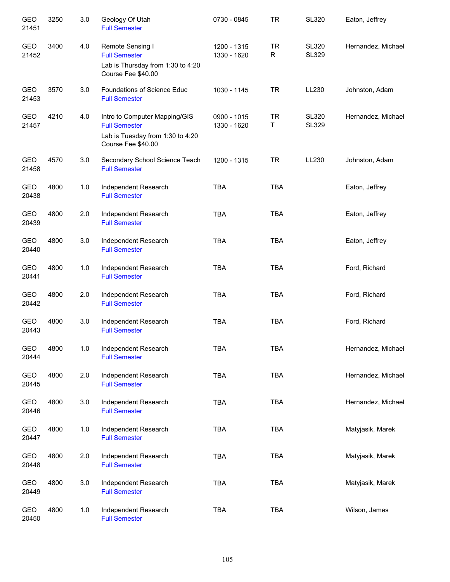| <b>GEO</b><br>21451 | 3250 | 3.0   | Geology Of Utah<br><b>Full Semester</b>                                                                         | 0730 - 0845                | <b>TR</b>                 | <b>SL320</b>                 | Eaton, Jeffrey     |
|---------------------|------|-------|-----------------------------------------------------------------------------------------------------------------|----------------------------|---------------------------|------------------------------|--------------------|
| GEO<br>21452        | 3400 | 4.0   | Remote Sensing I<br><b>Full Semester</b><br>Lab is Thursday from 1:30 to 4:20<br>Course Fee \$40.00             | 1200 - 1315<br>1330 - 1620 | <b>TR</b><br>$\mathsf{R}$ | <b>SL320</b><br><b>SL329</b> | Hernandez, Michael |
| GEO<br>21453        | 3570 | 3.0   | Foundations of Science Educ<br><b>Full Semester</b>                                                             | 1030 - 1145                | <b>TR</b>                 | LL230                        | Johnston, Adam     |
| GEO<br>21457        | 4210 | 4.0   | Intro to Computer Mapping/GIS<br><b>Full Semester</b><br>Lab is Tuesday from 1:30 to 4:20<br>Course Fee \$40.00 | 0900 - 1015<br>1330 - 1620 | <b>TR</b><br>Τ            | <b>SL320</b><br><b>SL329</b> | Hernandez, Michael |
| GEO<br>21458        | 4570 | 3.0   | Secondary School Science Teach<br><b>Full Semester</b>                                                          | 1200 - 1315                | <b>TR</b>                 | LL230                        | Johnston, Adam     |
| GEO<br>20438        | 4800 | 1.0   | Independent Research<br><b>Full Semester</b>                                                                    | <b>TBA</b>                 | <b>TBA</b>                |                              | Eaton, Jeffrey     |
| GEO<br>20439        | 4800 | 2.0   | Independent Research<br><b>Full Semester</b>                                                                    | <b>TBA</b>                 | <b>TBA</b>                |                              | Eaton, Jeffrey     |
| GEO<br>20440        | 4800 | 3.0   | Independent Research<br><b>Full Semester</b>                                                                    | <b>TBA</b>                 | <b>TBA</b>                |                              | Eaton, Jeffrey     |
| GEO<br>20441        | 4800 | 1.0   | Independent Research<br><b>Full Semester</b>                                                                    | <b>TBA</b>                 | <b>TBA</b>                |                              | Ford, Richard      |
| GEO<br>20442        | 4800 | 2.0   | Independent Research<br><b>Full Semester</b>                                                                    | <b>TBA</b>                 | <b>TBA</b>                |                              | Ford, Richard      |
| GEO<br>20443        | 4800 | 3.0   | Independent Research<br><b>Full Semester</b>                                                                    | <b>TBA</b>                 | <b>TBA</b>                |                              | Ford, Richard      |
| GEO<br>20444        | 4800 | $1.0$ | Independent Research<br><b>Full Semester</b>                                                                    | <b>TBA</b>                 | <b>TBA</b>                |                              | Hernandez, Michael |
| GEO<br>20445        | 4800 | 2.0   | Independent Research<br><b>Full Semester</b>                                                                    | <b>TBA</b>                 | TBA                       |                              | Hernandez, Michael |
| GEO<br>20446        | 4800 | 3.0   | Independent Research<br><b>Full Semester</b>                                                                    | <b>TBA</b>                 | <b>TBA</b>                |                              | Hernandez, Michael |
| <b>GEO</b><br>20447 | 4800 | 1.0   | Independent Research<br><b>Full Semester</b>                                                                    | <b>TBA</b>                 | <b>TBA</b>                |                              | Matyjasik, Marek   |
| <b>GEO</b><br>20448 | 4800 | 2.0   | Independent Research<br><b>Full Semester</b>                                                                    | <b>TBA</b>                 | TBA                       |                              | Matyjasik, Marek   |
| GEO<br>20449        | 4800 | 3.0   | Independent Research<br><b>Full Semester</b>                                                                    | <b>TBA</b>                 | <b>TBA</b>                |                              | Matyjasik, Marek   |
| GEO<br>20450        | 4800 | 1.0   | Independent Research<br><b>Full Semester</b>                                                                    | <b>TBA</b>                 | TBA                       |                              | Wilson, James      |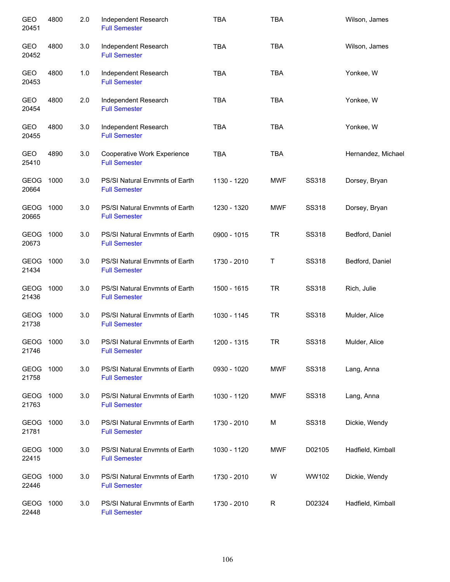| <b>GEO</b><br>20451  | 4800 | 2.0 | Independent Research<br><b>Full Semester</b>           | <b>TBA</b>  | <b>TBA</b> |              | Wilson, James      |
|----------------------|------|-----|--------------------------------------------------------|-------------|------------|--------------|--------------------|
| GEO<br>20452         | 4800 | 3.0 | Independent Research<br><b>Full Semester</b>           | <b>TBA</b>  | <b>TBA</b> |              | Wilson, James      |
| GEO<br>20453         | 4800 | 1.0 | Independent Research<br><b>Full Semester</b>           | <b>TBA</b>  | <b>TBA</b> |              | Yonkee, W          |
| GEO<br>20454         | 4800 | 2.0 | Independent Research<br><b>Full Semester</b>           | <b>TBA</b>  | <b>TBA</b> |              | Yonkee, W          |
| GEO<br>20455         | 4800 | 3.0 | Independent Research<br><b>Full Semester</b>           | <b>TBA</b>  | <b>TBA</b> |              | Yonkee, W          |
| GEO<br>25410         | 4890 | 3.0 | Cooperative Work Experience<br><b>Full Semester</b>    | <b>TBA</b>  | <b>TBA</b> |              | Hernandez, Michael |
| GEOG<br>20664        | 1000 | 3.0 | PS/SI Natural Envmnts of Earth<br><b>Full Semester</b> | 1130 - 1220 | <b>MWF</b> | SS318        | Dorsey, Bryan      |
| <b>GEOG</b><br>20665 | 1000 | 3.0 | PS/SI Natural Envmnts of Earth<br><b>Full Semester</b> | 1230 - 1320 | <b>MWF</b> | <b>SS318</b> | Dorsey, Bryan      |
| <b>GEOG</b><br>20673 | 1000 | 3.0 | PS/SI Natural Envmnts of Earth<br><b>Full Semester</b> | 0900 - 1015 | <b>TR</b>  | <b>SS318</b> | Bedford, Daniel    |
| <b>GEOG</b><br>21434 | 1000 | 3.0 | PS/SI Natural Envmnts of Earth<br><b>Full Semester</b> | 1730 - 2010 | Τ          | SS318        | Bedford, Daniel    |
| <b>GEOG</b><br>21436 | 1000 | 3.0 | PS/SI Natural Envmnts of Earth<br><b>Full Semester</b> | 1500 - 1615 | <b>TR</b>  | SS318        | Rich, Julie        |
| <b>GEOG</b><br>21738 | 1000 | 3.0 | PS/SI Natural Envmnts of Earth<br><b>Full Semester</b> | 1030 - 1145 | <b>TR</b>  | SS318        | Mulder, Alice      |
| GEOG<br>21746        | 1000 | 3.0 | PS/SI Natural Envmnts of Earth<br><b>Full Semester</b> | 1200 - 1315 | <b>TR</b>  | SS318        | Mulder, Alice      |
| GEOG<br>21758        | 1000 | 3.0 | PS/SI Natural Envmnts of Earth<br><b>Full Semester</b> | 0930 - 1020 | MWF        | SS318        | Lang, Anna         |
| GEOG<br>21763        | 1000 | 3.0 | PS/SI Natural Envmnts of Earth<br><b>Full Semester</b> | 1030 - 1120 | <b>MWF</b> | SS318        | Lang, Anna         |
| GEOG<br>21781        | 1000 | 3.0 | PS/SI Natural Envmnts of Earth<br><b>Full Semester</b> | 1730 - 2010 | М          | SS318        | Dickie, Wendy      |
| GEOG<br>22415        | 1000 | 3.0 | PS/SI Natural Envmnts of Earth<br><b>Full Semester</b> | 1030 - 1120 | <b>MWF</b> | D02105       | Hadfield, Kimball  |
| GEOG<br>22446        | 1000 | 3.0 | PS/SI Natural Envmnts of Earth<br><b>Full Semester</b> | 1730 - 2010 | W          | WW102        | Dickie, Wendy      |
| GEOG<br>22448        | 1000 | 3.0 | PS/SI Natural Envmnts of Earth<br><b>Full Semester</b> | 1730 - 2010 | R          | D02324       | Hadfield, Kimball  |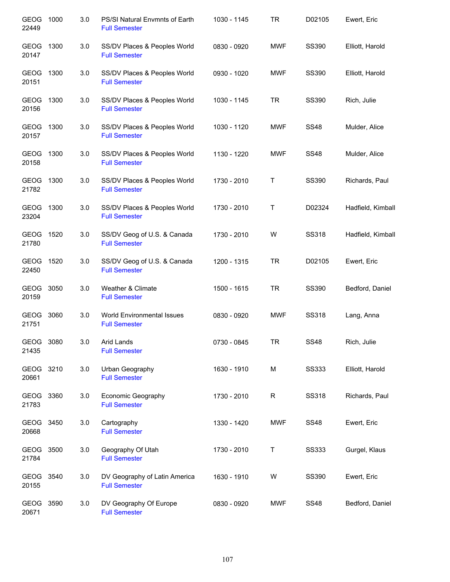| <b>GEOG</b><br>22449 | 1000 | 3.0 | PS/SI Natural Envmnts of Earth<br><b>Full Semester</b> | 1030 - 1145 | <b>TR</b>  | D02105       | Ewert, Eric       |
|----------------------|------|-----|--------------------------------------------------------|-------------|------------|--------------|-------------------|
| GEOG<br>20147        | 1300 | 3.0 | SS/DV Places & Peoples World<br><b>Full Semester</b>   | 0830 - 0920 | <b>MWF</b> | SS390        | Elliott, Harold   |
| GEOG<br>20151        | 1300 | 3.0 | SS/DV Places & Peoples World<br><b>Full Semester</b>   | 0930 - 1020 | <b>MWF</b> | SS390        | Elliott, Harold   |
| GEOG 1300<br>20156   |      | 3.0 | SS/DV Places & Peoples World<br><b>Full Semester</b>   | 1030 - 1145 | TR         | SS390        | Rich, Julie       |
| GEOG 1300<br>20157   |      | 3.0 | SS/DV Places & Peoples World<br><b>Full Semester</b>   | 1030 - 1120 | <b>MWF</b> | <b>SS48</b>  | Mulder, Alice     |
| GEOG 1300<br>20158   |      | 3.0 | SS/DV Places & Peoples World<br><b>Full Semester</b>   | 1130 - 1220 | <b>MWF</b> | <b>SS48</b>  | Mulder, Alice     |
| GEOG<br>21782        | 1300 | 3.0 | SS/DV Places & Peoples World<br><b>Full Semester</b>   | 1730 - 2010 | Τ          | <b>SS390</b> | Richards, Paul    |
| <b>GEOG</b><br>23204 | 1300 | 3.0 | SS/DV Places & Peoples World<br><b>Full Semester</b>   | 1730 - 2010 | Τ          | D02324       | Hadfield, Kimball |
| GEOG 1520<br>21780   |      | 3.0 | SS/DV Geog of U.S. & Canada<br><b>Full Semester</b>    | 1730 - 2010 | W          | <b>SS318</b> | Hadfield, Kimball |
| GEOG<br>22450        | 1520 | 3.0 | SS/DV Geog of U.S. & Canada<br><b>Full Semester</b>    | 1200 - 1315 | <b>TR</b>  | D02105       | Ewert, Eric       |
| GEOG<br>20159        | 3050 | 3.0 | Weather & Climate<br><b>Full Semester</b>              | 1500 - 1615 | <b>TR</b>  | <b>SS390</b> | Bedford, Daniel   |
| GEOG<br>21751        | 3060 | 3.0 | World Environmental Issues<br><b>Full Semester</b>     | 0830 - 0920 | <b>MWF</b> | SS318        | Lang, Anna        |
| GEOG 3080<br>21435   |      | 3.0 | Arid Lands<br><b>Full Semester</b>                     | 0730 - 0845 | <b>TR</b>  | <b>SS48</b>  | Rich, Julie       |
| <b>GEOG</b><br>20661 | 3210 | 3.0 | Urban Geography<br><b>Full Semester</b>                | 1630 - 1910 | M          | <b>SS333</b> | Elliott, Harold   |
| GEOG<br>21783        | 3360 | 3.0 | Economic Geography<br><b>Full Semester</b>             | 1730 - 2010 | R          | SS318        | Richards, Paul    |
| GEOG 3450<br>20668   |      | 3.0 | Cartography<br><b>Full Semester</b>                    | 1330 - 1420 | <b>MWF</b> | <b>SS48</b>  | Ewert, Eric       |
| GEOG<br>21784        | 3500 | 3.0 | Geography Of Utah<br><b>Full Semester</b>              | 1730 - 2010 | Τ          | <b>SS333</b> | Gurgel, Klaus     |
| <b>GEOG</b><br>20155 | 3540 | 3.0 | DV Geography of Latin America<br><b>Full Semester</b>  | 1630 - 1910 | W          | SS390        | Ewert, Eric       |
| <b>GEOG</b><br>20671 | 3590 | 3.0 | DV Geography Of Europe<br><b>Full Semester</b>         | 0830 - 0920 | <b>MWF</b> | <b>SS48</b>  | Bedford, Daniel   |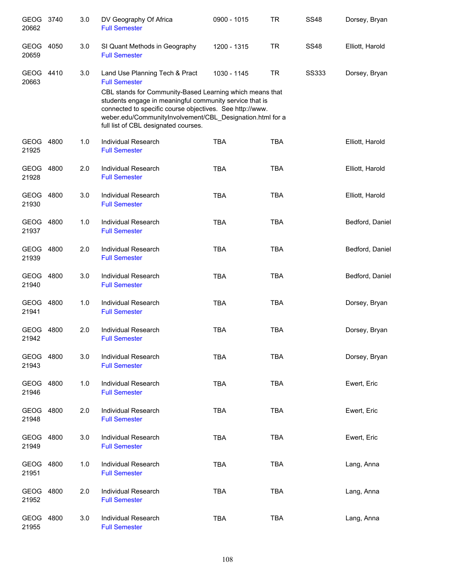| GEOG 3740<br>20662   |      | 3.0 | DV Geography Of Africa<br><b>Full Semester</b>                                                                                                                                                                                                                                       | 0900 - 1015 | <b>TR</b>  | <b>SS48</b>  | Dorsey, Bryan   |
|----------------------|------|-----|--------------------------------------------------------------------------------------------------------------------------------------------------------------------------------------------------------------------------------------------------------------------------------------|-------------|------------|--------------|-----------------|
| <b>GEOG</b><br>20659 | 4050 | 3.0 | SI Quant Methods in Geography<br><b>Full Semester</b>                                                                                                                                                                                                                                | 1200 - 1315 | <b>TR</b>  | <b>SS48</b>  | Elliott, Harold |
| GEOG 4410<br>20663   |      | 3.0 | Land Use Planning Tech & Pract<br><b>Full Semester</b>                                                                                                                                                                                                                               | 1030 - 1145 | <b>TR</b>  | <b>SS333</b> | Dorsey, Bryan   |
|                      |      |     | CBL stands for Community-Based Learning which means that<br>students engage in meaningful community service that is<br>connected to specific course objectives. See http://www.<br>weber.edu/CommunityInvolvement/CBL_Designation.html for a<br>full list of CBL designated courses. |             |            |              |                 |
| GEOG 4800<br>21925   |      | 1.0 | Individual Research<br><b>Full Semester</b>                                                                                                                                                                                                                                          | <b>TBA</b>  | <b>TBA</b> |              | Elliott, Harold |
| GEOG 4800<br>21928   |      | 2.0 | <b>Individual Research</b><br><b>Full Semester</b>                                                                                                                                                                                                                                   | <b>TBA</b>  | <b>TBA</b> |              | Elliott, Harold |
| GEOG 4800<br>21930   |      | 3.0 | <b>Individual Research</b><br><b>Full Semester</b>                                                                                                                                                                                                                                   | <b>TBA</b>  | <b>TBA</b> |              | Elliott, Harold |
| GEOG 4800<br>21937   |      | 1.0 | Individual Research<br><b>Full Semester</b>                                                                                                                                                                                                                                          | <b>TBA</b>  | <b>TBA</b> |              | Bedford, Daniel |
| GEOG 4800<br>21939   |      | 2.0 | Individual Research<br><b>Full Semester</b>                                                                                                                                                                                                                                          | <b>TBA</b>  | <b>TBA</b> |              | Bedford, Daniel |
| GEOG 4800<br>21940   |      | 3.0 | Individual Research<br><b>Full Semester</b>                                                                                                                                                                                                                                          | <b>TBA</b>  | <b>TBA</b> |              | Bedford, Daniel |
| GEOG 4800<br>21941   |      | 1.0 | Individual Research<br><b>Full Semester</b>                                                                                                                                                                                                                                          | <b>TBA</b>  | <b>TBA</b> |              | Dorsey, Bryan   |
| <b>GEOG</b><br>21942 | 4800 | 2.0 | Individual Research<br><b>Full Semester</b>                                                                                                                                                                                                                                          | <b>TBA</b>  | <b>TBA</b> |              | Dorsey, Bryan   |
| <b>GEOG</b><br>21943 | 4800 | 3.0 | Individual Research<br><b>Full Semester</b>                                                                                                                                                                                                                                          | <b>TBA</b>  | <b>TBA</b> |              | Dorsey, Bryan   |
| <b>GEOG</b><br>21946 | 4800 | 1.0 | Individual Research<br><b>Full Semester</b>                                                                                                                                                                                                                                          | <b>TBA</b>  | <b>TBA</b> |              | Ewert, Eric     |
| GEOG<br>21948        | 4800 | 2.0 | Individual Research<br><b>Full Semester</b>                                                                                                                                                                                                                                          | <b>TBA</b>  | <b>TBA</b> |              | Ewert, Eric     |
| GEOG<br>21949        | 4800 | 3.0 | <b>Individual Research</b><br><b>Full Semester</b>                                                                                                                                                                                                                                   | <b>TBA</b>  | <b>TBA</b> |              | Ewert, Eric     |
| GEOG<br>21951        | 4800 | 1.0 | <b>Individual Research</b><br><b>Full Semester</b>                                                                                                                                                                                                                                   | <b>TBA</b>  | <b>TBA</b> |              | Lang, Anna      |
| <b>GEOG</b><br>21952 | 4800 | 2.0 | Individual Research<br><b>Full Semester</b>                                                                                                                                                                                                                                          | <b>TBA</b>  | <b>TBA</b> |              | Lang, Anna      |
| <b>GEOG</b><br>21955 | 4800 | 3.0 | Individual Research<br><b>Full Semester</b>                                                                                                                                                                                                                                          | <b>TBA</b>  | <b>TBA</b> |              | Lang, Anna      |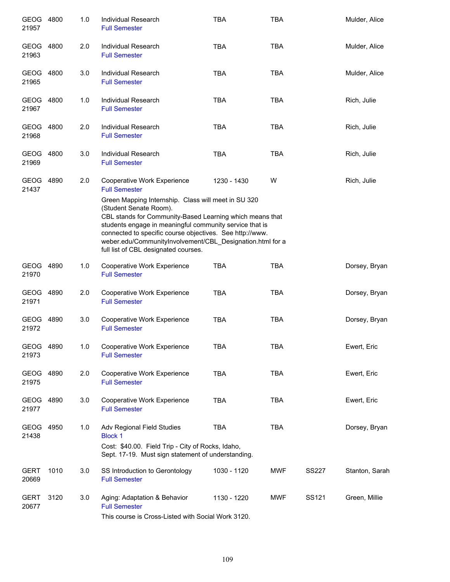| GEOG 4800<br>21957   |      | 1.0 | Individual Research<br><b>Full Semester</b>                                                                                                                                                                                                                                                                                                                           | <b>TBA</b>  | TBA        |              | Mulder, Alice  |
|----------------------|------|-----|-----------------------------------------------------------------------------------------------------------------------------------------------------------------------------------------------------------------------------------------------------------------------------------------------------------------------------------------------------------------------|-------------|------------|--------------|----------------|
| GEOG 4800<br>21963   |      | 2.0 | <b>Individual Research</b><br><b>Full Semester</b>                                                                                                                                                                                                                                                                                                                    | <b>TBA</b>  | <b>TBA</b> |              | Mulder, Alice  |
| GEOG 4800<br>21965   |      | 3.0 | <b>Individual Research</b><br><b>Full Semester</b>                                                                                                                                                                                                                                                                                                                    | <b>TBA</b>  | <b>TBA</b> |              | Mulder, Alice  |
| GEOG 4800<br>21967   |      | 1.0 | Individual Research<br><b>Full Semester</b>                                                                                                                                                                                                                                                                                                                           | <b>TBA</b>  | <b>TBA</b> |              | Rich, Julie    |
| GEOG 4800<br>21968   |      | 2.0 | Individual Research<br><b>Full Semester</b>                                                                                                                                                                                                                                                                                                                           | <b>TBA</b>  | <b>TBA</b> |              | Rich, Julie    |
| GEOG 4800<br>21969   |      | 3.0 | Individual Research<br><b>Full Semester</b>                                                                                                                                                                                                                                                                                                                           | <b>TBA</b>  | <b>TBA</b> |              | Rich, Julie    |
| GEOG 4890<br>21437   |      | 2.0 | Cooperative Work Experience<br><b>Full Semester</b>                                                                                                                                                                                                                                                                                                                   | 1230 - 1430 | W          |              | Rich, Julie    |
|                      |      |     | Green Mapping Internship. Class will meet in SU 320<br>(Student Senate Room).<br>CBL stands for Community-Based Learning which means that<br>students engage in meaningful community service that is<br>connected to specific course objectives. See http://www.<br>weber.edu/CommunityInvolvement/CBL_Designation.html for a<br>full list of CBL designated courses. |             |            |              |                |
| GEOG 4890<br>21970   |      | 1.0 | Cooperative Work Experience<br><b>Full Semester</b>                                                                                                                                                                                                                                                                                                                   | <b>TBA</b>  | <b>TBA</b> |              | Dorsey, Bryan  |
| GEOG 4890<br>21971   |      | 2.0 | Cooperative Work Experience<br><b>Full Semester</b>                                                                                                                                                                                                                                                                                                                   | <b>TBA</b>  | <b>TBA</b> |              | Dorsey, Bryan  |
| GEOG 4890<br>21972   |      | 3.0 | Cooperative Work Experience<br><b>Full Semester</b>                                                                                                                                                                                                                                                                                                                   | <b>TBA</b>  | <b>TBA</b> |              | Dorsey, Bryan  |
| GEOG 4890<br>21973   |      | 1.0 | Cooperative Work Experience<br><b>Full Semester</b>                                                                                                                                                                                                                                                                                                                   | TBA         | TBA        |              | Ewert, Eric    |
| GEOG<br>21975        | 4890 | 2.0 | Cooperative Work Experience<br><b>Full Semester</b>                                                                                                                                                                                                                                                                                                                   | <b>TBA</b>  | <b>TBA</b> |              | Ewert, Eric    |
| <b>GEOG</b><br>21977 | 4890 | 3.0 | Cooperative Work Experience<br><b>Full Semester</b>                                                                                                                                                                                                                                                                                                                   | <b>TBA</b>  | <b>TBA</b> |              | Ewert, Eric    |
| <b>GEOG</b><br>21438 | 4950 | 1.0 | Adv Regional Field Studies<br><b>Block 1</b><br>Cost: \$40.00. Field Trip - City of Rocks, Idaho,<br>Sept. 17-19. Must sign statement of understanding.                                                                                                                                                                                                               | <b>TBA</b>  | <b>TBA</b> |              | Dorsey, Bryan  |
| <b>GERT</b><br>20669 | 1010 | 3.0 | SS Introduction to Gerontology<br><b>Full Semester</b>                                                                                                                                                                                                                                                                                                                | 1030 - 1120 | <b>MWF</b> | <b>SS227</b> | Stanton, Sarah |
| <b>GERT</b><br>20677 | 3120 | 3.0 | Aging: Adaptation & Behavior<br><b>Full Semester</b><br>course in Cross Listed with CooisLWerk 2420                                                                                                                                                                                                                                                                   | 1130 - 1220 | <b>MWF</b> | SS121        | Green, Millie  |
|                      |      |     |                                                                                                                                                                                                                                                                                                                                                                       |             |            |              |                |

This course is Cross-Listed with Social Work 3120.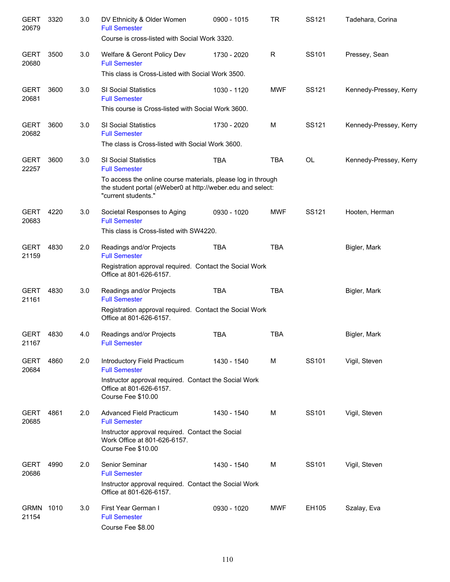| <b>GERT</b><br>20679 | 3320 | 3.0 | DV Ethnicity & Older Women<br><b>Full Semester</b><br>Course is cross-listed with Social Work 3320.                                                | 0900 - 1015 | <b>TR</b>   | SS121     | Tadehara, Corina       |
|----------------------|------|-----|----------------------------------------------------------------------------------------------------------------------------------------------------|-------------|-------------|-----------|------------------------|
| <b>GERT</b><br>20680 | 3500 | 3.0 | Welfare & Geront Policy Dev<br><b>Full Semester</b>                                                                                                | 1730 - 2020 | $\mathsf R$ | SS101     | Pressey, Sean          |
|                      |      |     | This class is Cross-Listed with Social Work 3500.                                                                                                  |             |             |           |                        |
| <b>GERT</b><br>20681 | 3600 | 3.0 | SI Social Statistics<br><b>Full Semester</b>                                                                                                       | 1030 - 1120 | <b>MWF</b>  | SS121     | Kennedy-Pressey, Kerry |
|                      |      |     | This course is Cross-listed with Social Work 3600.                                                                                                 |             |             |           |                        |
| <b>GERT</b><br>20682 | 3600 | 3.0 | SI Social Statistics<br><b>Full Semester</b>                                                                                                       | 1730 - 2020 | M           | SS121     | Kennedy-Pressey, Kerry |
|                      |      |     | The class is Cross-listed with Social Work 3600.                                                                                                   |             |             |           |                        |
| <b>GERT</b><br>22257 | 3600 | 3.0 | SI Social Statistics<br><b>Full Semester</b>                                                                                                       | <b>TBA</b>  | <b>TBA</b>  | <b>OL</b> | Kennedy-Pressey, Kerry |
|                      |      |     | To access the online course materials, please log in through<br>the student portal (eWeber0 at http://weber.edu and select:<br>"current students." |             |             |           |                        |
| <b>GERT</b><br>20683 | 4220 | 3.0 | Societal Responses to Aging<br><b>Full Semester</b>                                                                                                | 0930 - 1020 | <b>MWF</b>  | SS121     | Hooten, Herman         |
|                      |      |     | This class is Cross-listed with SW4220.                                                                                                            |             |             |           |                        |
| <b>GERT</b><br>21159 | 4830 | 2.0 | Readings and/or Projects<br><b>Full Semester</b>                                                                                                   | <b>TBA</b>  | <b>TBA</b>  |           | Bigler, Mark           |
|                      |      |     | Registration approval required. Contact the Social Work<br>Office at 801-626-6157.                                                                 |             |             |           |                        |
| <b>GERT</b><br>21161 | 4830 | 3.0 | Readings and/or Projects<br><b>Full Semester</b>                                                                                                   | <b>TBA</b>  | <b>TBA</b>  |           | Bigler, Mark           |
|                      |      |     | Registration approval required. Contact the Social Work<br>Office at 801-626-6157.                                                                 |             |             |           |                        |
| <b>GERT</b><br>21167 | 4830 | 4.0 | Readings and/or Projects<br><b>Full Semester</b>                                                                                                   | <b>TBA</b>  | <b>TBA</b>  |           | Bigler, Mark           |
| <b>GERT</b><br>20684 | 4860 | 2.0 | Introductory Field Practicum<br><b>Full Semester</b>                                                                                               | 1430 - 1540 | м           | SS101     | Vigil, Steven          |
|                      |      |     | Instructor approval required. Contact the Social Work<br>Office at 801-626-6157.<br>Course Fee \$10.00                                             |             |             |           |                        |
| <b>GERT</b><br>20685 | 4861 | 2.0 | <b>Advanced Field Practicum</b><br><b>Full Semester</b>                                                                                            | 1430 - 1540 | м           | SS101     | Vigil, Steven          |
|                      |      |     | Instructor approval required. Contact the Social<br>Work Office at 801-626-6157.<br>Course Fee \$10.00                                             |             |             |           |                        |
| <b>GERT</b><br>20686 | 4990 | 2.0 | Senior Seminar<br><b>Full Semester</b>                                                                                                             | 1430 - 1540 | м           | SS101     | Vigil, Steven          |
|                      |      |     | Instructor approval required. Contact the Social Work<br>Office at 801-626-6157.                                                                   |             |             |           |                        |
| <b>GRMN</b><br>21154 | 1010 | 3.0 | First Year German I<br><b>Full Semester</b><br>Course Fee \$8.00                                                                                   | 0930 - 1020 | <b>MWF</b>  | EH105     | Szalay, Eva            |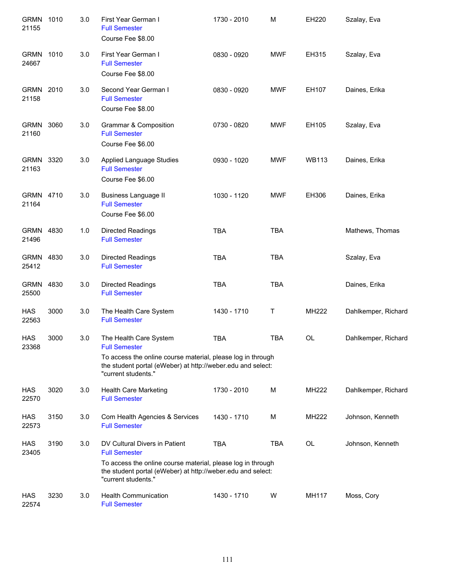| GRMN 1010<br>21155   |      | 3.0 | First Year German I<br><b>Full Semester</b><br>Course Fee \$8.00                                                                                                                                           | 1730 - 2010 | М          | EH220        | Szalay, Eva         |
|----------------------|------|-----|------------------------------------------------------------------------------------------------------------------------------------------------------------------------------------------------------------|-------------|------------|--------------|---------------------|
| GRMN 1010<br>24667   |      | 3.0 | First Year German I<br><b>Full Semester</b><br>Course Fee \$8.00                                                                                                                                           | 0830 - 0920 | <b>MWF</b> | EH315        | Szalay, Eva         |
| GRMN 2010<br>21158   |      | 3.0 | Second Year German I<br><b>Full Semester</b><br>Course Fee \$8.00                                                                                                                                          | 0830 - 0920 | <b>MWF</b> | EH107        | Daines, Erika       |
| <b>GRMN</b><br>21160 | 3060 | 3.0 | Grammar & Composition<br><b>Full Semester</b><br>Course Fee \$6.00                                                                                                                                         | 0730 - 0820 | <b>MWF</b> | EH105        | Szalay, Eva         |
| GRMN 3320<br>21163   |      | 3.0 | Applied Language Studies<br><b>Full Semester</b><br>Course Fee \$6.00                                                                                                                                      | 0930 - 1020 | <b>MWF</b> | <b>WB113</b> | Daines, Erika       |
| GRMN 4710<br>21164   |      | 3.0 | <b>Business Language II</b><br><b>Full Semester</b><br>Course Fee \$6.00                                                                                                                                   | 1030 - 1120 | <b>MWF</b> | EH306        | Daines, Erika       |
| GRMN 4830<br>21496   |      | 1.0 | <b>Directed Readings</b><br><b>Full Semester</b>                                                                                                                                                           | <b>TBA</b>  | <b>TBA</b> |              | Mathews, Thomas     |
| GRMN 4830<br>25412   |      | 3.0 | Directed Readings<br><b>Full Semester</b>                                                                                                                                                                  | <b>TBA</b>  | <b>TBA</b> |              | Szalay, Eva         |
| <b>GRMN</b><br>25500 | 4830 | 3.0 | Directed Readings<br><b>Full Semester</b>                                                                                                                                                                  | <b>TBA</b>  | <b>TBA</b> |              | Daines, Erika       |
| <b>HAS</b><br>22563  | 3000 | 3.0 | The Health Care System<br><b>Full Semester</b>                                                                                                                                                             | 1430 - 1710 | Т          | MH222        | Dahlkemper, Richard |
| <b>HAS</b><br>23368  | 3000 | 3.0 | The Health Care System<br><b>Full Semester</b>                                                                                                                                                             | <b>TBA</b>  | <b>TBA</b> | OL           | Dahlkemper, Richard |
|                      |      |     | To access the online course material, please log in through<br>the student portal (eWeber) at http://weber.edu and select:<br>"current students."                                                          |             |            |              |                     |
| HAS<br>22570         | 3020 | 3.0 | Health Care Marketing<br><b>Full Semester</b>                                                                                                                                                              | 1730 - 2010 | M          | MH222        | Dahlkemper, Richard |
| <b>HAS</b><br>22573  | 3150 | 3.0 | Com Health Agencies & Services<br><b>Full Semester</b>                                                                                                                                                     | 1430 - 1710 | M          | <b>MH222</b> | Johnson, Kenneth    |
| <b>HAS</b><br>23405  | 3190 | 3.0 | DV Cultural Divers in Patient<br><b>Full Semester</b><br>To access the online course material, please log in through<br>the student portal (eWeber) at http://weber.edu and select:<br>"current students." | <b>TBA</b>  | <b>TBA</b> | <b>OL</b>    | Johnson, Kenneth    |
| HAS<br>22574         | 3230 | 3.0 | <b>Health Communication</b><br><b>Full Semester</b>                                                                                                                                                        | 1430 - 1710 | W          | MH117        | Moss, Cory          |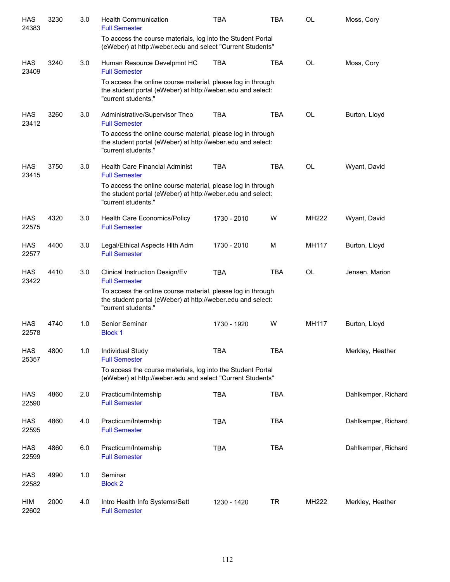| <b>HAS</b><br>24383 | 3230 | 3.0 | <b>Health Communication</b><br><b>Full Semester</b><br>To access the course materials, log into the Student Portal                                | <b>TBA</b>  | <b>TBA</b> | <b>OL</b> | Moss, Cory          |
|---------------------|------|-----|---------------------------------------------------------------------------------------------------------------------------------------------------|-------------|------------|-----------|---------------------|
|                     |      |     | (eWeber) at http://weber.edu and select "Current Students"                                                                                        |             |            |           |                     |
| HAS<br>23409        | 3240 | 3.0 | Human Resource Develpmnt HC<br><b>Full Semester</b>                                                                                               | <b>TBA</b>  | <b>TBA</b> | <b>OL</b> | Moss, Cory          |
|                     |      |     | To access the online course material, please log in through<br>the student portal (eWeber) at http://weber.edu and select:<br>"current students." |             |            |           |                     |
| HAS<br>23412        | 3260 | 3.0 | Administrative/Supervisor Theo<br><b>Full Semester</b>                                                                                            | <b>TBA</b>  | <b>TBA</b> | <b>OL</b> | Burton, Lloyd       |
|                     |      |     | To access the online course material, please log in through<br>the student portal (eWeber) at http://weber.edu and select:<br>"current students." |             |            |           |                     |
| <b>HAS</b><br>23415 | 3750 | 3.0 | <b>Health Care Financial Administ</b><br><b>Full Semester</b>                                                                                     | <b>TBA</b>  | <b>TBA</b> | <b>OL</b> | Wyant, David        |
|                     |      |     | To access the online course material, please log in through<br>the student portal (eWeber) at http://weber.edu and select:<br>"current students." |             |            |           |                     |
| <b>HAS</b><br>22575 | 4320 | 3.0 | Health Care Economics/Policy<br><b>Full Semester</b>                                                                                              | 1730 - 2010 | W          | MH222     | Wyant, David        |
| <b>HAS</b><br>22577 | 4400 | 3.0 | Legal/Ethical Aspects Hith Adm<br><b>Full Semester</b>                                                                                            | 1730 - 2010 | M          | MH117     | Burton, Lloyd       |
| <b>HAS</b><br>23422 | 4410 | 3.0 | Clinical Instruction Design/Ev<br><b>Full Semester</b>                                                                                            | <b>TBA</b>  | <b>TBA</b> | <b>OL</b> | Jensen, Marion      |
|                     |      |     | To access the online course material, please log in through<br>the student portal (eWeber) at http://weber.edu and select:<br>"current students." |             |            |           |                     |
| HAS<br>22578        | 4740 | 1.0 | Senior Seminar<br><b>Block 1</b>                                                                                                                  | 1730 - 1920 | W          | MH117     | Burton, Lloyd       |
| HAS<br>25357        | 4800 | 1.0 | Individual Study<br><b>Full Semester</b>                                                                                                          | <b>TBA</b>  | <b>TBA</b> |           | Merkley, Heather    |
|                     |      |     | To access the course materials, log into the Student Portal<br>(eWeber) at http://weber.edu and select "Current Students"                         |             |            |           |                     |
| HAS<br>22590        | 4860 | 2.0 | Practicum/Internship<br><b>Full Semester</b>                                                                                                      | <b>TBA</b>  | <b>TBA</b> |           | Dahlkemper, Richard |
| HAS<br>22595        | 4860 | 4.0 | Practicum/Internship<br><b>Full Semester</b>                                                                                                      | <b>TBA</b>  | <b>TBA</b> |           | Dahlkemper, Richard |
| HAS<br>22599        | 4860 | 6.0 | Practicum/Internship<br><b>Full Semester</b>                                                                                                      | <b>TBA</b>  | <b>TBA</b> |           | Dahlkemper, Richard |
| HAS<br>22582        | 4990 | 1.0 | Seminar<br><b>Block 2</b>                                                                                                                         |             |            |           |                     |
| HIM<br>22602        | 2000 | 4.0 | Intro Health Info Systems/Sett<br><b>Full Semester</b>                                                                                            | 1230 - 1420 | TR         | MH222     | Merkley, Heather    |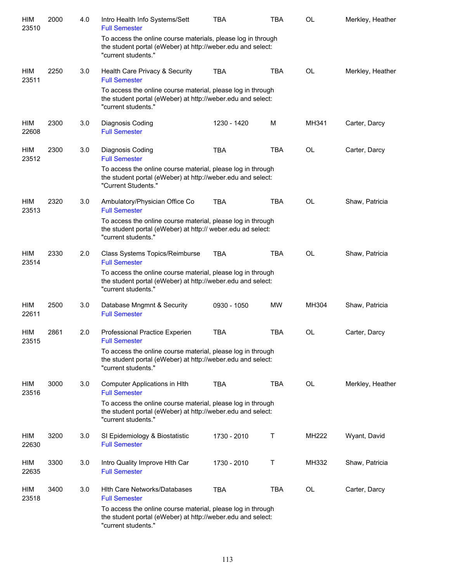| HIM<br>23510 | 2000 | 4.0 | Intro Health Info Systems/Sett<br><b>Full Semester</b>                                                                                             | TBA         | TBA          | <b>OL</b> | Merkley, Heather |
|--------------|------|-----|----------------------------------------------------------------------------------------------------------------------------------------------------|-------------|--------------|-----------|------------------|
|              |      |     | To access the online course materials, please log in through<br>the student portal (eWeber) at http://weber.edu and select:<br>"current students." |             |              |           |                  |
| HIM<br>23511 | 2250 | 3.0 | Health Care Privacy & Security<br><b>Full Semester</b>                                                                                             | <b>TBA</b>  | <b>TBA</b>   | <b>OL</b> | Merkley, Heather |
|              |      |     | To access the online course material, please log in through<br>the student portal (eWeber) at http://weber.edu and select:<br>"current students."  |             |              |           |                  |
| HIM<br>22608 | 2300 | 3.0 | Diagnosis Coding<br><b>Full Semester</b>                                                                                                           | 1230 - 1420 | M            | MH341     | Carter, Darcy    |
| HIM<br>23512 | 2300 | 3.0 | Diagnosis Coding<br><b>Full Semester</b>                                                                                                           | <b>TBA</b>  | <b>TBA</b>   | <b>OL</b> | Carter, Darcy    |
|              |      |     | To access the online course material, please log in through<br>the student portal (eWeber) at http://weber.edu and select:<br>"Current Students."  |             |              |           |                  |
| HIM<br>23513 | 2320 | 3.0 | Ambulatory/Physician Office Co<br><b>Full Semester</b>                                                                                             | <b>TBA</b>  | <b>TBA</b>   | <b>OL</b> | Shaw, Patricia   |
|              |      |     | To access the online course material, please log in through<br>the student portal (eWeber) at http:// weber.edu ad select:<br>"current students."  |             |              |           |                  |
| HIM<br>23514 | 2330 | 2.0 | Class Systems Topics/Reimburse<br><b>Full Semester</b>                                                                                             | <b>TBA</b>  | <b>TBA</b>   | <b>OL</b> | Shaw, Patricia   |
|              |      |     | To access the online course material, please log in through<br>the student portal (eWeber) at http://weber.edu and select:<br>"current students."  |             |              |           |                  |
| HIM<br>22611 | 2500 | 3.0 | Database Mngmnt & Security<br><b>Full Semester</b>                                                                                                 | 0930 - 1050 | MW           | MH304     | Shaw, Patricia   |
| HIM<br>23515 | 2861 | 2.0 | Professional Practice Experien<br><b>Full Semester</b>                                                                                             | <b>TBA</b>  | <b>TBA</b>   | OL        | Carter, Darcy    |
|              |      |     | To access the online course material, please log in through<br>the student portal (eWeber) at http://weber.edu and select:<br>"current students."  |             |              |           |                  |
| HIM<br>23516 | 3000 | 3.0 | Computer Applications in Hlth<br><b>Full Semester</b>                                                                                              | <b>TBA</b>  | <b>TBA</b>   | <b>OL</b> | Merkley, Heather |
|              |      |     | To access the online course material, please log in through<br>the student portal (eWeber) at http://weber.edu and select:<br>"current students."  |             |              |           |                  |
| HIM<br>22630 | 3200 | 3.0 | SI Epidemiology & Biostatistic<br><b>Full Semester</b>                                                                                             | 1730 - 2010 | $\mathsf{T}$ | MH222     | Wyant, David     |
| HIM<br>22635 | 3300 | 3.0 | Intro Quality Improve Hith Car<br><b>Full Semester</b>                                                                                             | 1730 - 2010 | Т            | MH332     | Shaw, Patricia   |
| HIM<br>23518 | 3400 | 3.0 | <b>Hith Care Networks/Databases</b><br><b>Full Semester</b>                                                                                        | <b>TBA</b>  | <b>TBA</b>   | OL        | Carter, Darcy    |
|              |      |     | To access the online course material, please log in through<br>the student portal (eWeber) at http://weber.edu and select:<br>"current students."  |             |              |           |                  |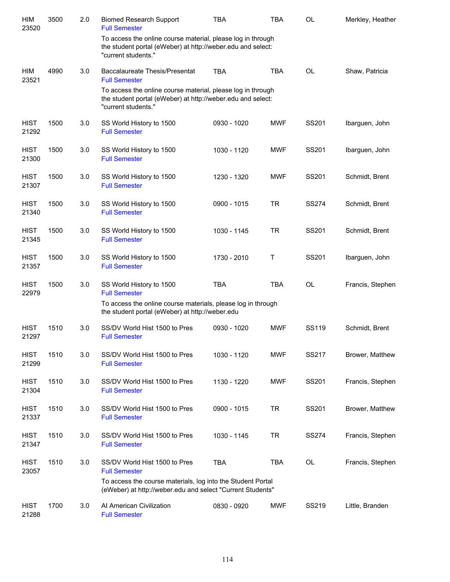| <b>HIM</b><br>23520  | 3500 | 2.0 | <b>Biomed Research Support</b><br><b>Full Semester</b>                                                                                            | <b>TBA</b>  | <b>TBA</b> | <b>OL</b>    | Merkley, Heather |
|----------------------|------|-----|---------------------------------------------------------------------------------------------------------------------------------------------------|-------------|------------|--------------|------------------|
|                      |      |     | To access the online course material, please log in through<br>the student portal (eWeber) at http://weber.edu and select:<br>"current students." |             |            |              |                  |
| HIM<br>23521         | 4990 | 3.0 | <b>Baccalaureate Thesis/Presentat</b><br><b>Full Semester</b>                                                                                     | <b>TBA</b>  | <b>TBA</b> | <b>OL</b>    | Shaw, Patricia   |
|                      |      |     | To access the online course material, please log in through<br>the student portal (eWeber) at http://weber.edu and select:<br>"current students." |             |            |              |                  |
| <b>HIST</b><br>21292 | 1500 | 3.0 | SS World History to 1500<br><b>Full Semester</b>                                                                                                  | 0930 - 1020 | <b>MWF</b> | SS201        | Ibarguen, John   |
| <b>HIST</b><br>21300 | 1500 | 3.0 | SS World History to 1500<br><b>Full Semester</b>                                                                                                  | 1030 - 1120 | <b>MWF</b> | SS201        | Ibarguen, John   |
| <b>HIST</b><br>21307 | 1500 | 3.0 | SS World History to 1500<br><b>Full Semester</b>                                                                                                  | 1230 - 1320 | <b>MWF</b> | SS201        | Schmidt, Brent   |
| <b>HIST</b><br>21340 | 1500 | 3.0 | SS World History to 1500<br><b>Full Semester</b>                                                                                                  | 0900 - 1015 | <b>TR</b>  | <b>SS274</b> | Schmidt, Brent   |
| <b>HIST</b><br>21345 | 1500 | 3.0 | SS World History to 1500<br><b>Full Semester</b>                                                                                                  | 1030 - 1145 | <b>TR</b>  | SS201        | Schmidt, Brent   |
| <b>HIST</b><br>21357 | 1500 | 3.0 | SS World History to 1500<br><b>Full Semester</b>                                                                                                  | 1730 - 2010 | Τ          | SS201        | Ibarguen, John   |
| <b>HIST</b><br>22979 | 1500 | 3.0 | SS World History to 1500<br><b>Full Semester</b>                                                                                                  | <b>TBA</b>  | <b>TBA</b> | <b>OL</b>    | Francis, Stephen |
|                      |      |     | To access the online course materials, please log in through<br>the student portal (eWeber) at http://weber.edu                                   |             |            |              |                  |
| <b>HIST</b><br>21297 | 1510 | 3.0 | SS/DV World Hist 1500 to Pres<br><b>Full Semester</b>                                                                                             | 0930 - 1020 | <b>MWF</b> | SS119        | Schmidt, Brent   |
| <b>HIST</b><br>21299 | 1510 | 3.0 | SS/DV World Hist 1500 to Pres<br><b>Full Semester</b>                                                                                             | 1030 - 1120 | <b>MWF</b> | SS217        | Brower, Matthew  |
| <b>HIST</b><br>21304 | 1510 | 3.0 | SS/DV World Hist 1500 to Pres<br><b>Full Semester</b>                                                                                             | 1130 - 1220 | <b>MWF</b> | SS201        | Francis, Stephen |
| <b>HIST</b><br>21337 | 1510 | 3.0 | SS/DV World Hist 1500 to Pres<br><b>Full Semester</b>                                                                                             | 0900 - 1015 | <b>TR</b>  | SS201        | Brower, Matthew  |
| <b>HIST</b><br>21347 | 1510 | 3.0 | SS/DV World Hist 1500 to Pres<br><b>Full Semester</b>                                                                                             | 1030 - 1145 | <b>TR</b>  | <b>SS274</b> | Francis, Stephen |
| <b>HIST</b><br>23057 | 1510 | 3.0 | SS/DV World Hist 1500 to Pres<br><b>Full Semester</b>                                                                                             | <b>TBA</b>  | TBA        | OL           | Francis, Stephen |
|                      |      |     | To access the course materials, log into the Student Portal<br>(eWeber) at http://weber.edu and select "Current Students"                         |             |            |              |                  |
| <b>HIST</b><br>21288 | 1700 | 3.0 | Al American Civilization<br><b>Full Semester</b>                                                                                                  | 0830 - 0920 | <b>MWF</b> | SS219        | Little, Branden  |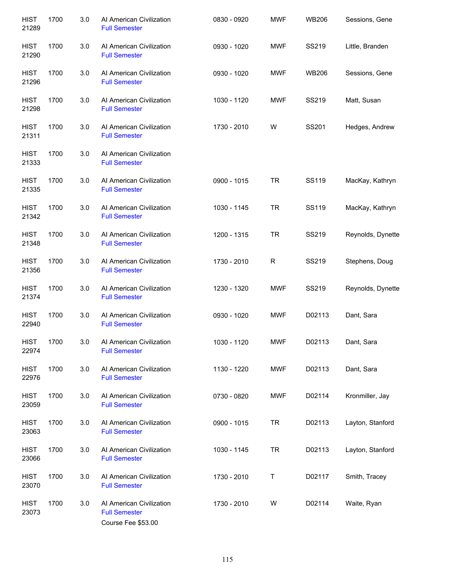| <b>HIST</b><br>21289 | 1700 | 3.0 | Al American Civilization<br><b>Full Semester</b>                       | 0830 - 0920 | <b>MWF</b>   | <b>WB206</b> | Sessions, Gene    |
|----------------------|------|-----|------------------------------------------------------------------------|-------------|--------------|--------------|-------------------|
| <b>HIST</b><br>21290 | 1700 | 3.0 | Al American Civilization<br><b>Full Semester</b>                       | 0930 - 1020 | <b>MWF</b>   | SS219        | Little, Branden   |
| <b>HIST</b><br>21296 | 1700 | 3.0 | Al American Civilization<br><b>Full Semester</b>                       | 0930 - 1020 | <b>MWF</b>   | <b>WB206</b> | Sessions, Gene    |
| <b>HIST</b><br>21298 | 1700 | 3.0 | Al American Civilization<br><b>Full Semester</b>                       | 1030 - 1120 | MWF          | SS219        | Matt, Susan       |
| <b>HIST</b><br>21311 | 1700 | 3.0 | Al American Civilization<br><b>Full Semester</b>                       | 1730 - 2010 | W            | SS201        | Hedges, Andrew    |
| <b>HIST</b><br>21333 | 1700 | 3.0 | Al American Civilization<br><b>Full Semester</b>                       |             |              |              |                   |
| <b>HIST</b><br>21335 | 1700 | 3.0 | Al American Civilization<br><b>Full Semester</b>                       | 0900 - 1015 | <b>TR</b>    | SS119        | MacKay, Kathryn   |
| <b>HIST</b><br>21342 | 1700 | 3.0 | Al American Civilization<br><b>Full Semester</b>                       | 1030 - 1145 | <b>TR</b>    | SS119        | MacKay, Kathryn   |
| <b>HIST</b><br>21348 | 1700 | 3.0 | Al American Civilization<br><b>Full Semester</b>                       | 1200 - 1315 | <b>TR</b>    | SS219        | Reynolds, Dynette |
| <b>HIST</b><br>21356 | 1700 | 3.0 | Al American Civilization<br><b>Full Semester</b>                       | 1730 - 2010 | $\mathsf{R}$ | SS219        | Stephens, Doug    |
| <b>HIST</b><br>21374 | 1700 | 3.0 | Al American Civilization<br><b>Full Semester</b>                       | 1230 - 1320 | MWF          | SS219        | Reynolds, Dynette |
| <b>HIST</b><br>22940 | 1700 | 3.0 | Al American Civilization<br><b>Full Semester</b>                       | 0930 - 1020 | <b>MWF</b>   | D02113       | Dant, Sara        |
| <b>HIST</b><br>22974 | 1700 | 3.0 | Al American Civilization<br><b>Full Semester</b>                       | 1030 - 1120 | <b>MWF</b>   | D02113       | Dant, Sara        |
| <b>HIST</b><br>22976 | 1700 | 3.0 | Al American Civilization<br><b>Full Semester</b>                       | 1130 - 1220 | MWF          | D02113       | Dant, Sara        |
| <b>HIST</b><br>23059 | 1700 | 3.0 | Al American Civilization<br><b>Full Semester</b>                       | 0730 - 0820 | MWF          | D02114       | Kronmiller, Jay   |
| <b>HIST</b><br>23063 | 1700 | 3.0 | Al American Civilization<br><b>Full Semester</b>                       | 0900 - 1015 | <b>TR</b>    | D02113       | Layton, Stanford  |
| <b>HIST</b><br>23066 | 1700 | 3.0 | Al American Civilization<br><b>Full Semester</b>                       | 1030 - 1145 | <b>TR</b>    | D02113       | Layton, Stanford  |
| <b>HIST</b><br>23070 | 1700 | 3.0 | Al American Civilization<br><b>Full Semester</b>                       | 1730 - 2010 | Τ            | D02117       | Smith, Tracey     |
| <b>HIST</b><br>23073 | 1700 | 3.0 | Al American Civilization<br><b>Full Semester</b><br>Course Fee \$53.00 | 1730 - 2010 | W            | D02114       | Waite, Ryan       |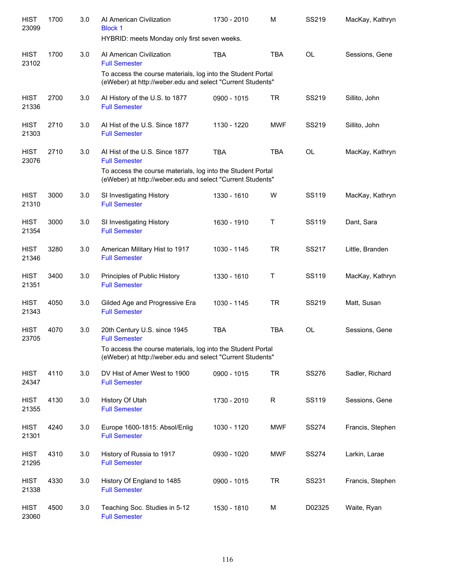| <b>HIST</b><br>23099 | 1700 | 3.0 | Al American Civilization<br><b>Block 1</b><br>HYBRID: meets Monday only first seven weeks.                                | 1730 - 2010 | M           | SS219        | MacKay, Kathryn  |
|----------------------|------|-----|---------------------------------------------------------------------------------------------------------------------------|-------------|-------------|--------------|------------------|
| <b>HIST</b><br>23102 | 1700 | 3.0 | Al American Civilization<br><b>Full Semester</b>                                                                          | <b>TBA</b>  | <b>TBA</b>  | <b>OL</b>    | Sessions, Gene   |
|                      |      |     | To access the course materials, log into the Student Portal<br>(eWeber) at http://weber.edu and select "Current Students" |             |             |              |                  |
| <b>HIST</b><br>21336 | 2700 | 3.0 | Al History of the U.S. to 1877<br><b>Full Semester</b>                                                                    | 0900 - 1015 | <b>TR</b>   | SS219        | Sillito, John    |
| <b>HIST</b><br>21303 | 2710 | 3.0 | Al Hist of the U.S. Since 1877<br><b>Full Semester</b>                                                                    | 1130 - 1220 | <b>MWF</b>  | SS219        | Sillito, John    |
| <b>HIST</b><br>23076 | 2710 | 3.0 | Al Hist of the U.S. Since 1877<br><b>Full Semester</b>                                                                    | <b>TBA</b>  | <b>TBA</b>  | OL           | MacKay, Kathryn  |
|                      |      |     | To access the course materials, log into the Student Portal<br>(eWeber) at http://weber.edu and select "Current Students" |             |             |              |                  |
| <b>HIST</b><br>21310 | 3000 | 3.0 | SI Investigating History<br><b>Full Semester</b>                                                                          | 1330 - 1610 | W           | SS119        | MacKay, Kathryn  |
| <b>HIST</b><br>21354 | 3000 | 3.0 | SI Investigating History<br><b>Full Semester</b>                                                                          | 1630 - 1910 | Τ           | <b>SS119</b> | Dant, Sara       |
| <b>HIST</b><br>21346 | 3280 | 3.0 | American Military Hist to 1917<br><b>Full Semester</b>                                                                    | 1030 - 1145 | <b>TR</b>   | SS217        | Little, Branden  |
| <b>HIST</b><br>21351 | 3400 | 3.0 | Principles of Public History<br><b>Full Semester</b>                                                                      | 1330 - 1610 | Τ           | SS119        | MacKay, Kathryn  |
| <b>HIST</b><br>21343 | 4050 | 3.0 | Gilded Age and Progressive Era<br><b>Full Semester</b>                                                                    | 1030 - 1145 | <b>TR</b>   | SS219        | Matt, Susan      |
| <b>HIST</b><br>23705 | 4070 | 3.0 | 20th Century U.S. since 1945<br><b>Full Semester</b>                                                                      | <b>TBA</b>  | <b>TBA</b>  | OL           | Sessions, Gene   |
|                      |      |     | To access the course materials, log into the Student Portal<br>(eWeber) at http://weber.edu and select "Current Students" |             |             |              |                  |
| <b>HIST</b><br>24347 | 4110 | 3.0 | DV Hist of Amer West to 1900<br><b>Full Semester</b>                                                                      | 0900 - 1015 | <b>TR</b>   | SS276        | Sadler, Richard  |
| <b>HIST</b><br>21355 | 4130 | 3.0 | History Of Utah<br><b>Full Semester</b>                                                                                   | 1730 - 2010 | $\mathsf R$ | SS119        | Sessions, Gene   |
| <b>HIST</b><br>21301 | 4240 | 3.0 | Europe 1600-1815: Absol/Enlig<br><b>Full Semester</b>                                                                     | 1030 - 1120 | <b>MWF</b>  | <b>SS274</b> | Francis, Stephen |
| <b>HIST</b><br>21295 | 4310 | 3.0 | History of Russia to 1917<br><b>Full Semester</b>                                                                         | 0930 - 1020 | <b>MWF</b>  | <b>SS274</b> | Larkin, Larae    |
| <b>HIST</b><br>21338 | 4330 | 3.0 | History Of England to 1485<br><b>Full Semester</b>                                                                        | 0900 - 1015 | <b>TR</b>   | SS231        | Francis, Stephen |
| <b>HIST</b><br>23060 | 4500 | 3.0 | Teaching Soc. Studies in 5-12<br><b>Full Semester</b>                                                                     | 1530 - 1810 | M           | D02325       | Waite, Ryan      |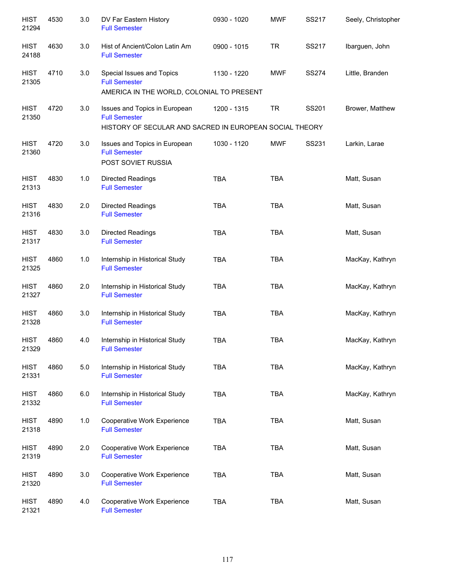| <b>HIST</b><br>21294 | 4530 | 3.0 | DV Far Eastern History<br><b>Full Semester</b>                                                                   | 0930 - 1020 | <b>MWF</b> | SS217        | Seely, Christopher |
|----------------------|------|-----|------------------------------------------------------------------------------------------------------------------|-------------|------------|--------------|--------------------|
| <b>HIST</b><br>24188 | 4630 | 3.0 | Hist of Ancient/Colon Latin Am<br><b>Full Semester</b>                                                           | 0900 - 1015 | <b>TR</b>  | <b>SS217</b> | Ibarguen, John     |
| <b>HIST</b><br>21305 | 4710 | 3.0 | Special Issues and Topics<br><b>Full Semester</b><br>AMERICA IN THE WORLD, COLONIAL TO PRESENT                   | 1130 - 1220 | <b>MWF</b> | <b>SS274</b> | Little, Branden    |
| <b>HIST</b><br>21350 | 4720 | 3.0 | Issues and Topics in European<br><b>Full Semester</b><br>HISTORY OF SECULAR AND SACRED IN EUROPEAN SOCIAL THEORY | 1200 - 1315 | <b>TR</b>  | SS201        | Brower, Matthew    |
| <b>HIST</b><br>21360 | 4720 | 3.0 | Issues and Topics in European<br><b>Full Semester</b><br>POST SOVIET RUSSIA                                      | 1030 - 1120 | <b>MWF</b> | SS231        | Larkin, Larae      |
| <b>HIST</b><br>21313 | 4830 | 1.0 | <b>Directed Readings</b><br><b>Full Semester</b>                                                                 | <b>TBA</b>  | <b>TBA</b> |              | Matt, Susan        |
| <b>HIST</b><br>21316 | 4830 | 2.0 | <b>Directed Readings</b><br><b>Full Semester</b>                                                                 | <b>TBA</b>  | <b>TBA</b> |              | Matt, Susan        |
| <b>HIST</b><br>21317 | 4830 | 3.0 | <b>Directed Readings</b><br><b>Full Semester</b>                                                                 | <b>TBA</b>  | <b>TBA</b> |              | Matt, Susan        |
| <b>HIST</b><br>21325 | 4860 | 1.0 | Internship in Historical Study<br><b>Full Semester</b>                                                           | <b>TBA</b>  | <b>TBA</b> |              | MacKay, Kathryn    |
| <b>HIST</b><br>21327 | 4860 | 2.0 | Internship in Historical Study<br><b>Full Semester</b>                                                           | <b>TBA</b>  | <b>TBA</b> |              | MacKay, Kathryn    |
| <b>HIST</b><br>21328 | 4860 | 3.0 | Internship in Historical Study<br><b>Full Semester</b>                                                           | <b>TBA</b>  | <b>TBA</b> |              | MacKay, Kathryn    |
| <b>HIST</b><br>21329 | 4860 | 4.0 | Internship in Historical Study<br><b>Full Semester</b>                                                           | <b>TBA</b>  | <b>TBA</b> |              | MacKay, Kathryn    |
| <b>HIST</b><br>21331 | 4860 | 5.0 | Internship in Historical Study<br><b>Full Semester</b>                                                           | <b>TBA</b>  | <b>TBA</b> |              | MacKay, Kathryn    |
| <b>HIST</b><br>21332 | 4860 | 6.0 | Internship in Historical Study<br><b>Full Semester</b>                                                           | <b>TBA</b>  | <b>TBA</b> |              | MacKay, Kathryn    |
| <b>HIST</b><br>21318 | 4890 | 1.0 | Cooperative Work Experience<br><b>Full Semester</b>                                                              | <b>TBA</b>  | <b>TBA</b> |              | Matt, Susan        |
| <b>HIST</b><br>21319 | 4890 | 2.0 | Cooperative Work Experience<br><b>Full Semester</b>                                                              | <b>TBA</b>  | <b>TBA</b> |              | Matt, Susan        |
| <b>HIST</b><br>21320 | 4890 | 3.0 | Cooperative Work Experience<br><b>Full Semester</b>                                                              | <b>TBA</b>  | <b>TBA</b> |              | Matt, Susan        |
| <b>HIST</b><br>21321 | 4890 | 4.0 | Cooperative Work Experience<br><b>Full Semester</b>                                                              | <b>TBA</b>  | <b>TBA</b> |              | Matt, Susan        |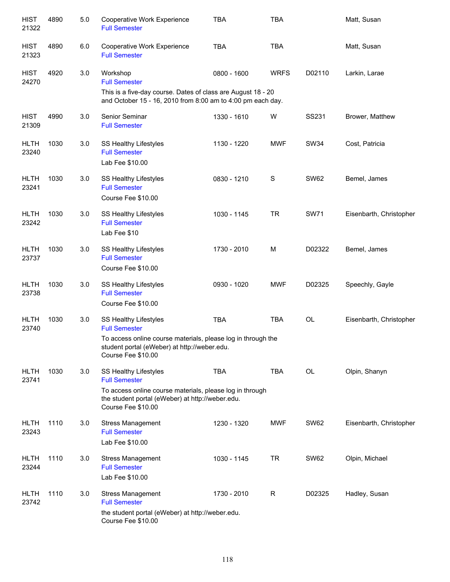| <b>HIST</b><br>21322 | 4890 | 5.0 | Cooperative Work Experience<br><b>Full Semester</b>                                                                                                                                                       | <b>TBA</b>  | <b>TBA</b>  |             | Matt, Susan             |
|----------------------|------|-----|-----------------------------------------------------------------------------------------------------------------------------------------------------------------------------------------------------------|-------------|-------------|-------------|-------------------------|
| <b>HIST</b><br>21323 | 4890 | 6.0 | Cooperative Work Experience<br><b>Full Semester</b>                                                                                                                                                       | <b>TBA</b>  | <b>TBA</b>  |             | Matt, Susan             |
| <b>HIST</b><br>24270 | 4920 | 3.0 | Workshop<br><b>Full Semester</b><br>This is a five-day course. Dates of class are August 18 - 20<br>and October 15 - 16, 2010 from 8:00 am to 4:00 pm each day.                                           | 0800 - 1600 | <b>WRFS</b> | D02110      | Larkin, Larae           |
| <b>HIST</b><br>21309 | 4990 | 3.0 | Senior Seminar<br><b>Full Semester</b>                                                                                                                                                                    | 1330 - 1610 | W           | SS231       | Brower, Matthew         |
| <b>HLTH</b><br>23240 | 1030 | 3.0 | SS Healthy Lifestyles<br><b>Full Semester</b><br>Lab Fee \$10.00                                                                                                                                          | 1130 - 1220 | <b>MWF</b>  | <b>SW34</b> | Cost, Patricia          |
| <b>HLTH</b><br>23241 | 1030 | 3.0 | SS Healthy Lifestyles<br><b>Full Semester</b><br>Course Fee \$10.00                                                                                                                                       | 0830 - 1210 | S           | <b>SW62</b> | Bemel, James            |
| <b>HLTH</b><br>23242 | 1030 | 3.0 | SS Healthy Lifestyles<br><b>Full Semester</b><br>Lab Fee \$10                                                                                                                                             | 1030 - 1145 | <b>TR</b>   | <b>SW71</b> | Eisenbarth, Christopher |
| <b>HLTH</b><br>23737 | 1030 | 3.0 | SS Healthy Lifestyles<br><b>Full Semester</b><br>Course Fee \$10.00                                                                                                                                       | 1730 - 2010 | M           | D02322      | Bemel, James            |
| <b>HLTH</b><br>23738 | 1030 | 3.0 | SS Healthy Lifestyles<br><b>Full Semester</b><br>Course Fee \$10.00                                                                                                                                       | 0930 - 1020 | <b>MWF</b>  | D02325      | Speechly, Gayle         |
| <b>HLTH</b><br>23740 | 1030 | 3.0 | SS Healthy Lifestyles<br><b>Full Semester</b><br>To access online course materials, please log in through the<br>student portal (eWeber) at http://weber.edu.                                             | <b>TBA</b>  | <b>TBA</b>  | OL          | Eisenbarth, Christopher |
| <b>HLTH</b><br>23741 | 1030 | 3.0 | Course Fee \$10.00<br>SS Healthy Lifestyles<br><b>Full Semester</b><br>To access online course materials, please log in through<br>the student portal (eWeber) at http://weber.edu.<br>Course Fee \$10.00 | <b>TBA</b>  | <b>TBA</b>  | OL          | Olpin, Shanyn           |
| <b>HLTH</b><br>23243 | 1110 | 3.0 | <b>Stress Management</b><br><b>Full Semester</b><br>Lab Fee \$10.00                                                                                                                                       | 1230 - 1320 | <b>MWF</b>  | <b>SW62</b> | Eisenbarth, Christopher |
| <b>HLTH</b><br>23244 | 1110 | 3.0 | <b>Stress Management</b><br><b>Full Semester</b><br>Lab Fee \$10.00                                                                                                                                       | 1030 - 1145 | <b>TR</b>   | <b>SW62</b> | Olpin, Michael          |
| <b>HLTH</b><br>23742 | 1110 | 3.0 | <b>Stress Management</b><br><b>Full Semester</b><br>the student portal (eWeber) at http://weber.edu.<br>Course Fee \$10.00                                                                                | 1730 - 2010 | R           | D02325      | Hadley, Susan           |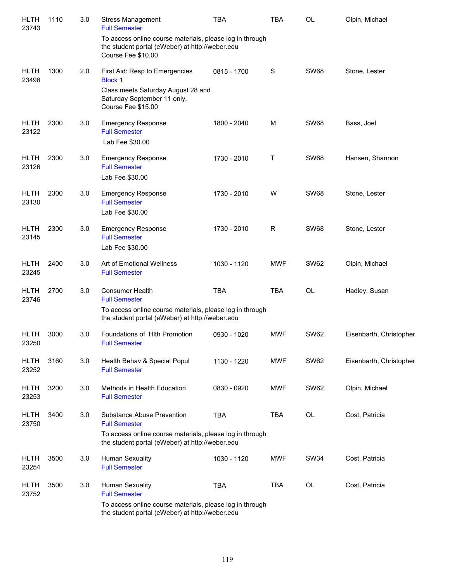| <b>HLTH</b><br>23743 | 1110 | 3.0 | <b>Stress Management</b><br><b>Full Semester</b>                                                                                  | <b>TBA</b>  | <b>TBA</b>  | <b>OL</b>   | Olpin, Michael          |
|----------------------|------|-----|-----------------------------------------------------------------------------------------------------------------------------------|-------------|-------------|-------------|-------------------------|
|                      |      |     | To access online course materials, please log in through<br>the student portal (eWeber) at http://weber.edu<br>Course Fee \$10.00 |             |             |             |                         |
| <b>HLTH</b><br>23498 | 1300 | 2.0 | First Aid: Resp to Emergencies<br><b>Block 1</b>                                                                                  | 0815 - 1700 | S           | <b>SW68</b> | Stone, Lester           |
|                      |      |     | Class meets Saturday August 28 and<br>Saturday September 11 only.<br>Course Fee \$15.00                                           |             |             |             |                         |
| <b>HLTH</b><br>23122 | 2300 | 3.0 | <b>Emergency Response</b><br><b>Full Semester</b><br>Lab Fee \$30.00                                                              | 1800 - 2040 | M           | <b>SW68</b> | Bass, Joel              |
| <b>HLTH</b><br>23126 | 2300 | 3.0 | <b>Emergency Response</b><br><b>Full Semester</b><br>Lab Fee \$30.00                                                              | 1730 - 2010 | Т           | <b>SW68</b> | Hansen, Shannon         |
| <b>HLTH</b><br>23130 | 2300 | 3.0 | <b>Emergency Response</b><br><b>Full Semester</b><br>Lab Fee \$30.00                                                              | 1730 - 2010 | W           | <b>SW68</b> | Stone, Lester           |
| <b>HLTH</b><br>23145 | 2300 | 3.0 | <b>Emergency Response</b><br><b>Full Semester</b><br>Lab Fee \$30.00                                                              | 1730 - 2010 | $\mathsf R$ | <b>SW68</b> | Stone, Lester           |
| <b>HLTH</b><br>23245 | 2400 | 3.0 | Art of Emotional Wellness<br><b>Full Semester</b>                                                                                 | 1030 - 1120 | <b>MWF</b>  | <b>SW62</b> | Olpin, Michael          |
| <b>HLTH</b><br>23746 | 2700 | 3.0 | <b>Consumer Health</b><br><b>Full Semester</b>                                                                                    | <b>TBA</b>  | <b>TBA</b>  | <b>OL</b>   | Hadley, Susan           |
|                      |      |     | To access online course materials, please log in through<br>the student portal (eWeber) at http://weber.edu                       |             |             |             |                         |
| <b>HLTH</b><br>23250 | 3000 | 3.0 | Foundations of Hith Promotion<br><b>Full Semester</b>                                                                             | 0930 - 1020 | <b>MWF</b>  | <b>SW62</b> | Eisenbarth, Christopher |
| <b>HLTH</b><br>23252 | 3160 | 3.0 | Health Behav & Special Popul<br><b>Full Semester</b>                                                                              | 1130 - 1220 | <b>MWF</b>  | <b>SW62</b> | Eisenbarth, Christopher |
| <b>HLTH</b><br>23253 | 3200 | 3.0 | Methods in Health Education<br><b>Full Semester</b>                                                                               | 0830 - 0920 | <b>MWF</b>  | <b>SW62</b> | Olpin, Michael          |
| <b>HLTH</b><br>23750 | 3400 | 3.0 | Substance Abuse Prevention<br><b>Full Semester</b>                                                                                | <b>TBA</b>  | TBA         | OL          | Cost, Patricia          |
|                      |      |     | To access online course materials, please log in through<br>the student portal (eWeber) at http://weber.edu                       |             |             |             |                         |
| <b>HLTH</b><br>23254 | 3500 | 3.0 | <b>Human Sexuality</b><br><b>Full Semester</b>                                                                                    | 1030 - 1120 | <b>MWF</b>  | <b>SW34</b> | Cost, Patricia          |
| <b>HLTH</b><br>23752 | 3500 | 3.0 | <b>Human Sexuality</b><br><b>Full Semester</b>                                                                                    | <b>TBA</b>  | TBA         | OL          | Cost, Patricia          |
|                      |      |     | To access online course materials, please log in through<br>the student portal (eWeber) at http://weber.edu                       |             |             |             |                         |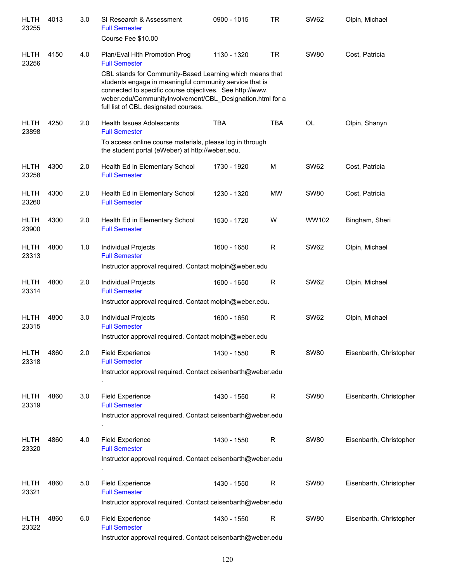| <b>HLTH</b><br>23255 | 4013 | 3.0 | SI Research & Assessment<br><b>Full Semester</b><br>Course Fee \$10.00                                                                                                                                                                                                                                                                        | 0900 - 1015 | <b>TR</b>   | <b>SW62</b> | Olpin, Michael          |
|----------------------|------|-----|-----------------------------------------------------------------------------------------------------------------------------------------------------------------------------------------------------------------------------------------------------------------------------------------------------------------------------------------------|-------------|-------------|-------------|-------------------------|
| <b>HLTH</b><br>23256 | 4150 | 4.0 | Plan/Eval Hith Promotion Prog<br><b>Full Semester</b><br>CBL stands for Community-Based Learning which means that<br>students engage in meaningful community service that is<br>connected to specific course objectives. See http://www.<br>weber.edu/CommunityInvolvement/CBL_Designation.html for a<br>full list of CBL designated courses. | 1130 - 1320 | <b>TR</b>   | <b>SW80</b> | Cost, Patricia          |
| <b>HLTH</b><br>23898 | 4250 | 2.0 | <b>Health Issues Adolescents</b><br><b>Full Semester</b><br>To access online course materials, please log in through<br>the student portal (eWeber) at http://weber.edu.                                                                                                                                                                      | <b>TBA</b>  | <b>TBA</b>  | <b>OL</b>   | Olpin, Shanyn           |
| <b>HLTH</b><br>23258 | 4300 | 2.0 | Health Ed in Elementary School<br><b>Full Semester</b>                                                                                                                                                                                                                                                                                        | 1730 - 1920 | M           | <b>SW62</b> | Cost, Patricia          |
| <b>HLTH</b><br>23260 | 4300 | 2.0 | Health Ed in Elementary School<br><b>Full Semester</b>                                                                                                                                                                                                                                                                                        | 1230 - 1320 | <b>MW</b>   | <b>SW80</b> | Cost, Patricia          |
| <b>HLTH</b><br>23900 | 4300 | 2.0 | Health Ed in Elementary School<br><b>Full Semester</b>                                                                                                                                                                                                                                                                                        | 1530 - 1720 | W           | WW102       | Bingham, Sheri          |
| <b>HLTH</b><br>23313 | 4800 | 1.0 | Individual Projects<br><b>Full Semester</b><br>Instructor approval required. Contact molpin@weber.edu                                                                                                                                                                                                                                         | 1600 - 1650 | $\mathsf R$ | <b>SW62</b> | Olpin, Michael          |
| <b>HLTH</b><br>23314 | 4800 | 2.0 | Individual Projects<br><b>Full Semester</b><br>Instructor approval required. Contact molpin@weber.edu.                                                                                                                                                                                                                                        | 1600 - 1650 | R           | <b>SW62</b> | Olpin, Michael          |
| <b>HLTH</b><br>23315 | 4800 | 3.0 | Individual Projects<br><b>Full Semester</b><br>Instructor approval required. Contact molpin@weber.edu                                                                                                                                                                                                                                         | 1600 - 1650 | $\mathsf R$ | <b>SW62</b> | Olpin, Michael          |
| <b>HLTH</b><br>23318 | 4860 | 2.0 | <b>Field Experience</b><br><b>Full Semester</b><br>Instructor approval required. Contact ceisenbarth@weber.edu                                                                                                                                                                                                                                | 1430 - 1550 | R           | <b>SW80</b> | Eisenbarth, Christopher |
| <b>HLTH</b><br>23319 | 4860 | 3.0 | <b>Field Experience</b><br><b>Full Semester</b><br>Instructor approval required. Contact ceisenbarth@weber.edu                                                                                                                                                                                                                                | 1430 - 1550 | R           | <b>SW80</b> | Eisenbarth, Christopher |
| <b>HLTH</b><br>23320 | 4860 | 4.0 | <b>Field Experience</b><br><b>Full Semester</b><br>Instructor approval required. Contact ceisenbarth@weber.edu                                                                                                                                                                                                                                | 1430 - 1550 | R           | <b>SW80</b> | Eisenbarth, Christopher |
| <b>HLTH</b><br>23321 | 4860 | 5.0 | <b>Field Experience</b><br><b>Full Semester</b><br>Instructor approval required. Contact ceisenbarth@weber.edu                                                                                                                                                                                                                                | 1430 - 1550 | R           | <b>SW80</b> | Eisenbarth, Christopher |
| <b>HLTH</b><br>23322 | 4860 | 6.0 | <b>Field Experience</b><br><b>Full Semester</b><br>Instructor approval required. Contact ceisenbarth@weber.edu                                                                                                                                                                                                                                | 1430 - 1550 | R           | <b>SW80</b> | Eisenbarth, Christopher |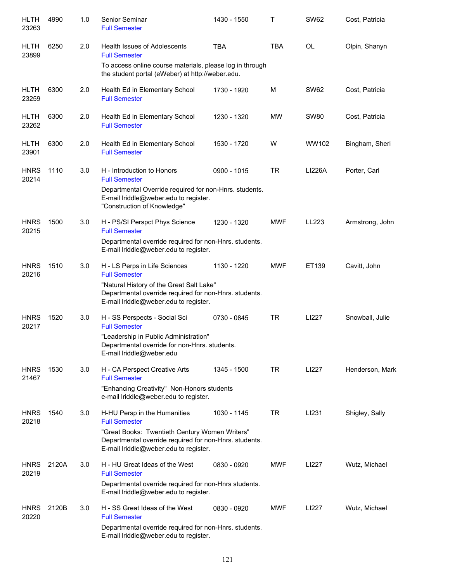| <b>HLTH</b><br>23263 | 4990  | 1.0 | Senior Seminar<br><b>Full Semester</b>                                                                                                            | 1430 - 1550 | T          | <b>SW62</b>   | Cost, Patricia  |
|----------------------|-------|-----|---------------------------------------------------------------------------------------------------------------------------------------------------|-------------|------------|---------------|-----------------|
| <b>HLTH</b><br>23899 | 6250  | 2.0 | <b>Health Issues of Adolescents</b><br><b>Full Semester</b>                                                                                       | <b>TBA</b>  | <b>TBA</b> | <b>OL</b>     | Olpin, Shanyn   |
|                      |       |     | To access online course materials, please log in through<br>the student portal (eWeber) at http://weber.edu.                                      |             |            |               |                 |
| <b>HLTH</b><br>23259 | 6300  | 2.0 | Health Ed in Elementary School<br><b>Full Semester</b>                                                                                            | 1730 - 1920 | M          | SW62          | Cost, Patricia  |
| <b>HLTH</b><br>23262 | 6300  | 2.0 | Health Ed in Elementary School<br><b>Full Semester</b>                                                                                            | 1230 - 1320 | <b>MW</b>  | <b>SW80</b>   | Cost, Patricia  |
| <b>HLTH</b><br>23901 | 6300  | 2.0 | Health Ed in Elementary School<br><b>Full Semester</b>                                                                                            | 1530 - 1720 | W          | WW102         | Bingham, Sheri  |
| <b>HNRS</b><br>20214 | 1110  | 3.0 | H - Introduction to Honors<br><b>Full Semester</b>                                                                                                | 0900 - 1015 | <b>TR</b>  | <b>LI226A</b> | Porter, Carl    |
|                      |       |     | Departmental Override required for non-Hnrs. students.<br>E-mail Iriddle@weber.edu to register.<br>"Construction of Knowledge"                    |             |            |               |                 |
| <b>HNRS</b><br>20215 | 1500  | 3.0 | H - PS/SI Perspct Phys Science<br><b>Full Semester</b>                                                                                            | 1230 - 1320 | MWF        | LL223         | Armstrong, John |
|                      |       |     | Departmental override required for non-Hnrs. students.<br>E-mail Iriddle@weber.edu to register.                                                   |             |            |               |                 |
| <b>HNRS</b><br>20216 | 1510  | 3.0 | H - LS Perps in Life Sciences<br><b>Full Semester</b>                                                                                             | 1130 - 1220 | <b>MWF</b> | ET139         | Cavitt, John    |
|                      |       |     | "Natural History of the Great Salt Lake"<br>Departmental override required for non-Hnrs. students.<br>E-mail Iriddle@weber.edu to register.       |             |            |               |                 |
| <b>HNRS</b><br>20217 | 1520  | 3.0 | H - SS Perspects - Social Sci<br><b>Full Semester</b>                                                                                             | 0730 - 0845 | <b>TR</b>  | LI227         | Snowball, Julie |
|                      |       |     | "Leadership in Public Administration"<br>Departmental override for non-Hnrs. students.<br>E-mail Iriddle@weber.edu                                |             |            |               |                 |
| <b>HNRS</b><br>21467 | 1530  | 3.0 | H - CA Perspect Creative Arts<br><b>Full Semester</b>                                                                                             | 1345 - 1500 | <b>TR</b>  | LI227         | Henderson, Mark |
|                      |       |     | "Enhancing Creativity" Non-Honors students<br>e-mail lriddle@weber.edu to register.                                                               |             |            |               |                 |
| <b>HNRS</b><br>20218 | 1540  | 3.0 | H-HU Persp in the Humanities<br><b>Full Semester</b>                                                                                              | 1030 - 1145 | TR         | LI231         | Shigley, Sally  |
|                      |       |     | "Great Books: Twentieth Century Women Writers"<br>Departmental override required for non-Hnrs. students.<br>E-mail Iriddle@weber.edu to register. |             |            |               |                 |
| <b>HNRS</b><br>20219 | 2120A | 3.0 | H - HU Great Ideas of the West<br><b>Full Semester</b>                                                                                            | 0830 - 0920 | <b>MWF</b> | LI227         | Wutz, Michael   |
|                      |       |     | Departmental override required for non-Hnrs students.<br>E-mail Iriddle@weber.edu to register.                                                    |             |            |               |                 |
| <b>HNRS</b><br>20220 | 2120B | 3.0 | H - SS Great Ideas of the West<br><b>Full Semester</b>                                                                                            | 0830 - 0920 | <b>MWF</b> | LI227         | Wutz, Michael   |
|                      |       |     | Departmental override required for non-Hnrs. students.<br>E-mail Iriddle@weber.edu to register.                                                   |             |            |               |                 |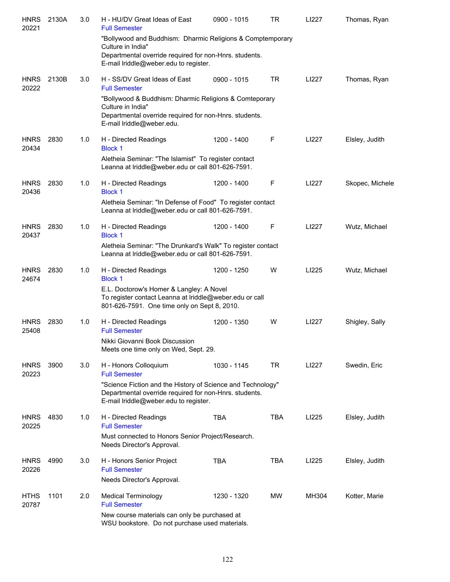| <b>HNRS</b><br>20221 | 2130A | 3.0 | H - HU/DV Great Ideas of East<br><b>Full Semester</b>                                                                                                              | 0900 - 1015 | <b>TR</b>  | LI227 | Thomas, Ryan    |
|----------------------|-------|-----|--------------------------------------------------------------------------------------------------------------------------------------------------------------------|-------------|------------|-------|-----------------|
|                      |       |     | "Bollywood and Buddhism: Dharmic Religions & Comptemporary<br>Culture in India"                                                                                    |             |            |       |                 |
|                      |       |     | Departmental override required for non-Hnrs. students.<br>E-mail lriddle@weber.edu to register.                                                                    |             |            |       |                 |
| <b>HNRS</b><br>20222 | 2130B | 3.0 | H - SS/DV Great Ideas of East<br><b>Full Semester</b>                                                                                                              | 0900 - 1015 | TR         | LI227 | Thomas, Ryan    |
|                      |       |     | "Bollywood & Buddhism: Dharmic Religions & Comteporary<br>Culture in India"<br>Departmental override required for non-Hnrs. students.<br>E-mail Iriddle@weber.edu. |             |            |       |                 |
| <b>HNRS</b><br>20434 | 2830  | 1.0 | H - Directed Readings<br><b>Block 1</b>                                                                                                                            | 1200 - 1400 | F          | LI227 | Elsley, Judith  |
|                      |       |     | Aletheia Seminar: "The Islamist" To register contact<br>Leanna at Iriddle@weber.edu or call 801-626-7591.                                                          |             |            |       |                 |
| <b>HNRS</b><br>20436 | 2830  | 1.0 | H - Directed Readings<br><b>Block 1</b>                                                                                                                            | 1200 - 1400 | F          | LI227 | Skopec, Michele |
|                      |       |     | Aletheia Seminar: "In Defense of Food" To register contact<br>Leanna at Iriddle@weber.edu or call 801-626-7591.                                                    |             |            |       |                 |
| <b>HNRS</b><br>20437 | 2830  | 1.0 | H - Directed Readings<br><b>Block 1</b>                                                                                                                            | 1200 - 1400 | F          | LI227 | Wutz, Michael   |
|                      |       |     | Aletheia Seminar: "The Drunkard's Walk" To register contact<br>Leanna at Iriddle@weber.edu or call 801-626-7591.                                                   |             |            |       |                 |
| <b>HNRS</b><br>24674 | 2830  | 1.0 | H - Directed Readings<br><b>Block 1</b>                                                                                                                            | 1200 - 1250 | W          | LI225 | Wutz, Michael   |
|                      |       |     | E.L. Doctorow's Homer & Langley: A Novel<br>To register contact Leanna at Iriddle@weber.edu or call<br>801-626-7591. One time only on Sept 8, 2010.                |             |            |       |                 |
| <b>HNRS</b><br>25408 | 2830  | 1.0 | H - Directed Readings<br><b>Full Semester</b>                                                                                                                      | 1200 - 1350 | W          | LI227 | Shigley, Sally  |
|                      |       |     | Nikki Giovanni Book Discussion<br>Meets one time only on Wed, Sept. 29.                                                                                            |             |            |       |                 |
| <b>HNRS</b><br>20223 | 3900  | 3.0 | H - Honors Colloquium<br><b>Full Semester</b>                                                                                                                      | 1030 - 1145 | TR         | LI227 | Swedin, Eric    |
|                      |       |     | "Science Fiction and the History of Science and Technology"<br>Departmental override required for non-Hnrs. students.<br>E-mail lriddle@weber.edu to register.     |             |            |       |                 |
| <b>HNRS</b><br>20225 | 4830  | 1.0 | H - Directed Readings<br><b>Full Semester</b>                                                                                                                      | <b>TBA</b>  | <b>TBA</b> | LI225 | Elsley, Judith  |
|                      |       |     | Must connected to Honors Senior Project/Research.<br>Needs Director's Approval.                                                                                    |             |            |       |                 |
| <b>HNRS</b><br>20226 | 4990  | 3.0 | H - Honors Senior Project<br><b>Full Semester</b>                                                                                                                  | <b>TBA</b>  | TBA        | LI225 | Elsley, Judith  |
|                      |       |     | Needs Director's Approval.                                                                                                                                         |             |            |       |                 |
| <b>HTHS</b><br>20787 | 1101  | 2.0 | <b>Medical Terminology</b><br><b>Full Semester</b>                                                                                                                 | 1230 - 1320 | MW         | MH304 | Kotter, Marie   |
|                      |       |     | New course materials can only be purchased at                                                                                                                      |             |            |       |                 |

WSU bookstore. Do not purchase used materials.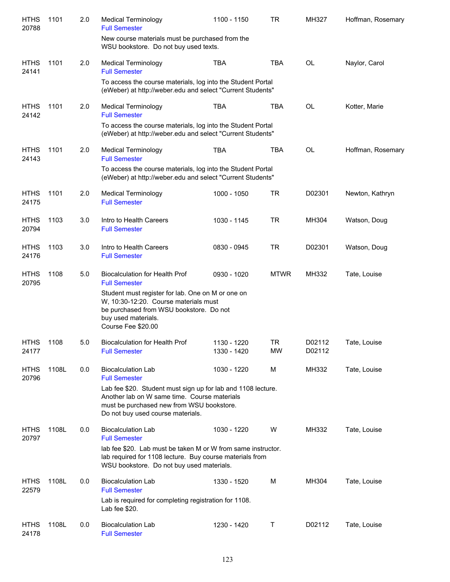| <b>HTHS</b><br>20788 | 1101  | 2.0 | <b>Medical Terminology</b><br><b>Full Semester</b>                                                                                                                                             | 1100 - 1150                | <b>TR</b>              | MH327            | Hoffman, Rosemary |
|----------------------|-------|-----|------------------------------------------------------------------------------------------------------------------------------------------------------------------------------------------------|----------------------------|------------------------|------------------|-------------------|
|                      |       |     | New course materials must be purchased from the<br>WSU bookstore. Do not buy used texts.                                                                                                       |                            |                        |                  |                   |
| <b>HTHS</b><br>24141 | 1101  | 2.0 | <b>Medical Terminology</b><br><b>Full Semester</b>                                                                                                                                             | <b>TBA</b>                 | <b>TBA</b>             | <b>OL</b>        | Naylor, Carol     |
|                      |       |     | To access the course materials, log into the Student Portal<br>(eWeber) at http://weber.edu and select "Current Students"                                                                      |                            |                        |                  |                   |
| <b>HTHS</b><br>24142 | 1101  | 2.0 | <b>Medical Terminology</b><br><b>Full Semester</b>                                                                                                                                             | <b>TBA</b>                 | <b>TBA</b>             | <b>OL</b>        | Kotter, Marie     |
|                      |       |     | To access the course materials, log into the Student Portal<br>(eWeber) at http://weber.edu and select "Current Students"                                                                      |                            |                        |                  |                   |
| <b>HTHS</b><br>24143 | 1101  | 2.0 | <b>Medical Terminology</b><br><b>Full Semester</b>                                                                                                                                             | <b>TBA</b>                 | <b>TBA</b>             | <b>OL</b>        | Hoffman, Rosemary |
|                      |       |     | To access the course materials, log into the Student Portal<br>(eWeber) at http://weber.edu and select "Current Students"                                                                      |                            |                        |                  |                   |
| <b>HTHS</b><br>24175 | 1101  | 2.0 | <b>Medical Terminology</b><br><b>Full Semester</b>                                                                                                                                             | 1000 - 1050                | <b>TR</b>              | D02301           | Newton, Kathryn   |
| <b>HTHS</b><br>20794 | 1103  | 3.0 | Intro to Health Careers<br><b>Full Semester</b>                                                                                                                                                | 1030 - 1145                | <b>TR</b>              | MH304            | Watson, Doug      |
| <b>HTHS</b><br>24176 | 1103  | 3.0 | Intro to Health Careers<br><b>Full Semester</b>                                                                                                                                                | 0830 - 0945                | <b>TR</b>              | D02301           | Watson, Doug      |
| <b>HTHS</b><br>20795 | 1108  | 5.0 | <b>Biocalculation for Health Prof</b><br><b>Full Semester</b>                                                                                                                                  | 0930 - 1020                | <b>MTWR</b>            | MH332            | Tate, Louise      |
|                      |       |     | Student must register for lab. One on M or one on<br>W, 10:30-12:20. Course materials must<br>be purchased from WSU bookstore. Do not<br>buy used materials.<br>Course Fee \$20.00             |                            |                        |                  |                   |
| <b>HTHS</b><br>24177 | 1108  | 5.0 | <b>Biocalculation for Health Prof</b><br><b>Full Semester</b>                                                                                                                                  | 1130 - 1220<br>1330 - 1420 | <b>TR</b><br><b>MW</b> | D02112<br>D02112 | Tate, Louise      |
| <b>HTHS</b><br>20796 | 1108L | 0.0 | <b>Biocalculation Lab</b><br><b>Full Semester</b>                                                                                                                                              | 1030 - 1220                | M                      | MH332            | Tate, Louise      |
|                      |       |     | Lab fee \$20. Student must sign up for lab and 1108 lecture.<br>Another lab on W same time. Course materials<br>must be purchased new from WSU bookstore.<br>Do not buy used course materials. |                            |                        |                  |                   |
| <b>HTHS</b><br>20797 | 1108L | 0.0 | <b>Biocalculation Lab</b><br><b>Full Semester</b>                                                                                                                                              | 1030 - 1220                | W                      | MH332            | Tate, Louise      |
|                      |       |     | lab fee \$20. Lab must be taken M or W from same instructor.<br>lab required for 1108 lecture. Buy course materials from<br>WSU bookstore. Do not buy used materials.                          |                            |                        |                  |                   |
| <b>HTHS</b><br>22579 | 1108L | 0.0 | <b>Biocalculation Lab</b><br><b>Full Semester</b>                                                                                                                                              | 1330 - 1520                | M                      | MH304            | Tate, Louise      |
|                      |       |     | Lab is required for completing registration for 1108.<br>Lab fee \$20.                                                                                                                         |                            |                        |                  |                   |
| <b>HTHS</b><br>24178 | 1108L | 0.0 | <b>Biocalculation Lab</b><br><b>Full Semester</b>                                                                                                                                              | 1230 - 1420                | Т                      | D02112           | Tate, Louise      |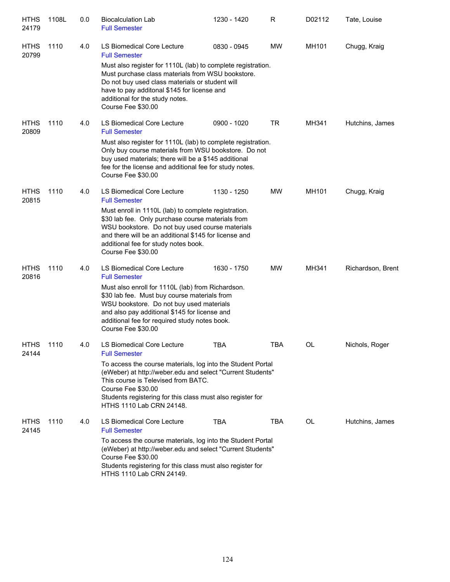| <b>HTHS</b><br>24179 | 1108L | 0.0 | <b>Biocalculation Lab</b><br><b>Full Semester</b>                                                                                                                                                                                                                                   | 1230 - 1420 | R          | D02112 | Tate, Louise      |
|----------------------|-------|-----|-------------------------------------------------------------------------------------------------------------------------------------------------------------------------------------------------------------------------------------------------------------------------------------|-------------|------------|--------|-------------------|
| <b>HTHS</b><br>20799 | 1110  | 4.0 | LS Biomedical Core Lecture<br><b>Full Semester</b>                                                                                                                                                                                                                                  | 0830 - 0945 | MW         | MH101  | Chugg, Kraig      |
|                      |       |     | Must also register for 1110L (lab) to complete registration.<br>Must purchase class materials from WSU bookstore.<br>Do not buy used class materials or student will<br>have to pay additonal \$145 for license and<br>additional for the study notes.<br>Course Fee \$30.00        |             |            |        |                   |
| <b>HTHS</b><br>20809 | 1110  | 4.0 | LS Biomedical Core Lecture<br><b>Full Semester</b>                                                                                                                                                                                                                                  | 0900 - 1020 | <b>TR</b>  | MH341  | Hutchins, James   |
|                      |       |     | Must also register for 1110L (lab) to complete registration.<br>Only buy course materials from WSU bookstore. Do not<br>buy used materials; there will be a \$145 additional<br>fee for the license and additional fee for study notes.<br>Course Fee \$30.00                       |             |            |        |                   |
| <b>HTHS</b><br>20815 | 1110  | 4.0 | LS Biomedical Core Lecture<br><b>Full Semester</b>                                                                                                                                                                                                                                  | 1130 - 1250 | MW         | MH101  | Chugg, Kraig      |
|                      |       |     | Must enroll in 1110L (lab) to complete registration.<br>\$30 lab fee. Only purchase course materials from<br>WSU bookstore. Do not buy used course materials<br>and there will be an additional \$145 for license and<br>additional fee for study notes book.<br>Course Fee \$30.00 |             |            |        |                   |
| <b>HTHS</b><br>20816 | 1110  | 4.0 | LS Biomedical Core Lecture<br><b>Full Semester</b>                                                                                                                                                                                                                                  | 1630 - 1750 | MW         | MH341  | Richardson, Brent |
|                      |       |     | Must also enroll for 1110L (lab) from Richardson.<br>\$30 lab fee. Must buy course materials from<br>WSU bookstore. Do not buy used materials<br>and also pay additional \$145 for license and<br>additional fee for required study notes book.<br>Course Fee \$30.00               |             |            |        |                   |
| <b>HTHS</b><br>24144 | 1110  | 4.0 | LS Biomedical Core Lecture<br><b>Full Semester</b>                                                                                                                                                                                                                                  | <b>TBA</b>  | <b>TBA</b> | OL     | Nichols, Roger    |
|                      |       |     | To access the course materials, log into the Student Portal<br>(eWeber) at http://weber.edu and select "Current Students"<br>This course is Televised from BATC.<br>Course Fee \$30.00<br>Students registering for this class must also register for<br>HTHS 1110 Lab CRN 24148.    |             |            |        |                   |
| <b>HTHS</b><br>24145 | 1110  | 4.0 | LS Biomedical Core Lecture<br><b>Full Semester</b>                                                                                                                                                                                                                                  | <b>TBA</b>  | TBA        | OL     | Hutchins, James   |
|                      |       |     | To access the course materials, log into the Student Portal<br>(eWeber) at http://weber.edu and select "Current Students"<br>Course Fee \$30.00<br>Students registering for this class must also register for<br>HTHS 1110 Lab CRN 24149.                                           |             |            |        |                   |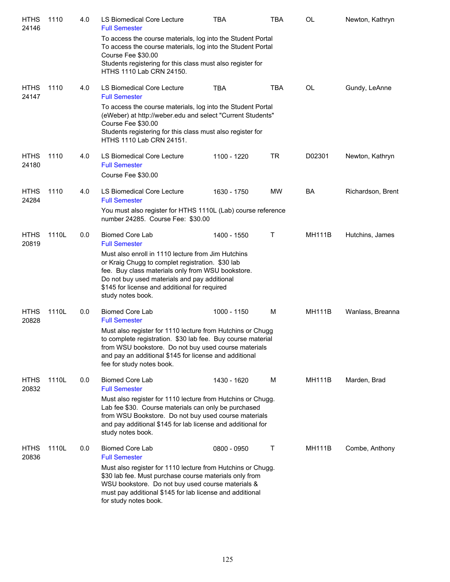| <b>HTHS</b><br>24146 | 1110  | 4.0 | LS Biomedical Core Lecture<br><b>Full Semester</b>                                                                                                                                                                                                                                | <b>TBA</b>  | TBA        | OL            | Newton, Kathryn   |
|----------------------|-------|-----|-----------------------------------------------------------------------------------------------------------------------------------------------------------------------------------------------------------------------------------------------------------------------------------|-------------|------------|---------------|-------------------|
|                      |       |     | To access the course materials, log into the Student Portal<br>To access the course materials, log into the Student Portal<br>Course Fee \$30.00                                                                                                                                  |             |            |               |                   |
|                      |       |     | Students registering for this class must also register for<br>HTHS 1110 Lab CRN 24150.                                                                                                                                                                                            |             |            |               |                   |
| <b>HTHS</b><br>24147 | 1110  | 4.0 | LS Biomedical Core Lecture<br><b>Full Semester</b>                                                                                                                                                                                                                                | <b>TBA</b>  | <b>TBA</b> | OL            | Gundy, LeAnne     |
|                      |       |     | To access the course materials, log into the Student Portal<br>(eWeber) at http://weber.edu and select "Current Students"<br>Course Fee \$30.00<br>Students registering for this class must also register for<br>HTHS 1110 Lab CRN 24151.                                         |             |            |               |                   |
| <b>HTHS</b><br>24180 | 1110  | 4.0 | LS Biomedical Core Lecture<br><b>Full Semester</b><br>Course Fee \$30.00                                                                                                                                                                                                          | 1100 - 1220 | <b>TR</b>  | D02301        | Newton, Kathryn   |
| <b>HTHS</b><br>24284 | 1110  | 4.0 | LS Biomedical Core Lecture<br><b>Full Semester</b>                                                                                                                                                                                                                                | 1630 - 1750 | MW         | BA            | Richardson, Brent |
|                      |       |     | You must also register for HTHS 1110L (Lab) course reference<br>number 24285. Course Fee: \$30.00                                                                                                                                                                                 |             |            |               |                   |
| <b>HTHS</b><br>20819 | 1110L | 0.0 | <b>Biomed Core Lab</b><br><b>Full Semester</b>                                                                                                                                                                                                                                    | 1400 - 1550 | Τ          | <b>MH111B</b> | Hutchins, James   |
|                      |       |     | Must also enroll in 1110 lecture from Jim Hutchins<br>or Kraig Chugg to complet registration. \$30 lab<br>fee. Buy class materials only from WSU bookstore.<br>Do not buy used materials and pay additional<br>\$145 for license and additional for required<br>study notes book. |             |            |               |                   |
| <b>HTHS</b><br>20828 | 1110L | 0.0 | <b>Biomed Core Lab</b><br><b>Full Semester</b>                                                                                                                                                                                                                                    | 1000 - 1150 | M          | <b>MH111B</b> | Wanlass, Breanna  |
|                      |       |     | Must also register for 1110 lecture from Hutchins or Chugg<br>to complete registration. \$30 lab fee. Buy course material<br>from WSU bookstore. Do not buy used course materials<br>and pay an additional \$145 for license and additional<br>fee for study notes book.          |             |            |               |                   |
| <b>HTHS</b><br>20832 | 1110L | 0.0 | <b>Biomed Core Lab</b><br><b>Full Semester</b>                                                                                                                                                                                                                                    | 1430 - 1620 | м          | <b>MH111B</b> | Marden, Brad      |
|                      |       |     | Must also register for 1110 lecture from Hutchins or Chugg.<br>Lab fee \$30. Course materials can only be purchased<br>from WSU Bookstore. Do not buy used course materials<br>and pay additional \$145 for lab license and additional for<br>study notes book.                   |             |            |               |                   |
| <b>HTHS</b><br>20836 | 1110L | 0.0 | <b>Biomed Core Lab</b><br><b>Full Semester</b>                                                                                                                                                                                                                                    | 0800 - 0950 | Т          | <b>MH111B</b> | Combe, Anthony    |
|                      |       |     | Must also register for 1110 lecture from Hutchins or Chugg.<br>\$30 lab fee. Must purchase course materials only from<br>WSU bookstore. Do not buy used course materials &<br>must pay additional \$145 for lab license and additional<br>for study notes book.                   |             |            |               |                   |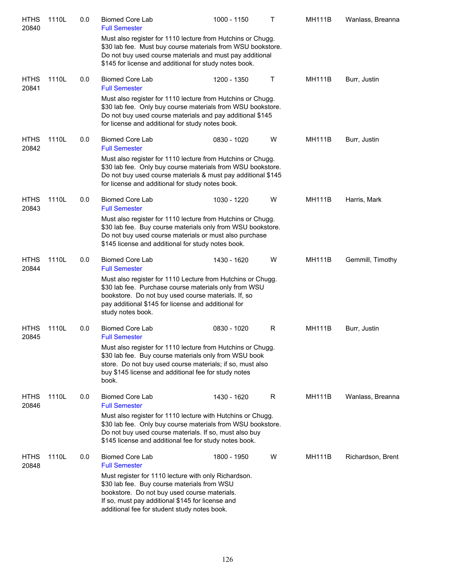| <b>HTHS</b><br>20840 | 1110L | 0.0 | <b>Biomed Core Lab</b><br><b>Full Semester</b>                                                                                                                                                                                                          | 1000 - 1150                                                                                                                                                                                | $\mathsf{T}$ | <b>MH111B</b> | Wanlass, Breanna  |
|----------------------|-------|-----|---------------------------------------------------------------------------------------------------------------------------------------------------------------------------------------------------------------------------------------------------------|--------------------------------------------------------------------------------------------------------------------------------------------------------------------------------------------|--------------|---------------|-------------------|
|                      |       |     | \$145 for license and additional for study notes book.                                                                                                                                                                                                  | Must also register for 1110 lecture from Hutchins or Chugg.<br>\$30 lab fee. Must buy course materials from WSU bookstore.<br>Do not buy used course materials and must pay additional     |              |               |                   |
| <b>HTHS</b><br>20841 | 1110L | 0.0 | <b>Biomed Core Lab</b><br><b>Full Semester</b>                                                                                                                                                                                                          | 1200 - 1350                                                                                                                                                                                | Τ            | <b>MH111B</b> | Burr, Justin      |
|                      |       |     | for license and additional for study notes book.                                                                                                                                                                                                        | Must also register for 1110 lecture from Hutchins or Chugg.<br>\$30 lab fee. Only buy course materials from WSU bookstore.<br>Do not buy used course materials and pay additional \$145    |              |               |                   |
| <b>HTHS</b><br>20842 | 1110L | 0.0 | <b>Biomed Core Lab</b><br><b>Full Semester</b>                                                                                                                                                                                                          | 0830 - 1020                                                                                                                                                                                | W            | <b>MH111B</b> | Burr, Justin      |
|                      |       |     | for license and additional for study notes book.                                                                                                                                                                                                        | Must also register for 1110 lecture from Hutchins or Chugg.<br>\$30 lab fee. Only buy course materials from WSU bookstore.<br>Do not buy used course materials & must pay additional \$145 |              |               |                   |
| <b>HTHS</b><br>20843 | 1110L | 0.0 | <b>Biomed Core Lab</b><br><b>Full Semester</b>                                                                                                                                                                                                          | 1030 - 1220                                                                                                                                                                                | W            | <b>MH111B</b> | Harris, Mark      |
|                      |       |     | \$145 license and additional for study notes book.                                                                                                                                                                                                      | Must also register for 1110 lecture from Hutchins or Chugg.<br>\$30 lab fee. Buy course materials only from WSU bookstore.<br>Do not buy used course materials or must also purchase       |              |               |                   |
| <b>HTHS</b><br>20844 | 1110L | 0.0 | <b>Biomed Core Lab</b><br><b>Full Semester</b>                                                                                                                                                                                                          | 1430 - 1620                                                                                                                                                                                | W            | <b>MH111B</b> | Gemmill, Timothy  |
|                      |       |     | bookstore. Do not buy used course materials. If, so<br>pay additional \$145 for license and additional for<br>study notes book.                                                                                                                         | Must also register for 1110 Lecture from Hutchins or Chugg.<br>\$30 lab fee. Purchase course materials only from WSU                                                                       |              |               |                   |
| <b>HTHS</b><br>20845 | 1110L | 0.0 | <b>Biomed Core Lab</b><br><b>Full Semester</b>                                                                                                                                                                                                          | 0830 - 1020                                                                                                                                                                                | R            | <b>MH111B</b> | Burr, Justin      |
|                      |       |     | buy \$145 license and additional fee for study notes<br>book.                                                                                                                                                                                           | Must also register for 1110 lecture from Hutchins or Chugg.<br>\$30 lab fee. Buy course materials only from WSU book<br>store. Do not buy used course materials; if so, must also          |              |               |                   |
| <b>HTHS</b><br>20846 | 1110L | 0.0 | <b>Biomed Core Lab</b><br><b>Full Semester</b>                                                                                                                                                                                                          | 1430 - 1620                                                                                                                                                                                | R            | <b>MH111B</b> | Wanlass, Breanna  |
|                      |       |     | \$145 license and additional fee for study notes book.                                                                                                                                                                                                  | Must also register for 1110 lecture with Hutchins or Chugg.<br>\$30 lab fee. Only buy course materials from WSU bookstore.<br>Do not buy used course materials. If so, must also buy       |              |               |                   |
| <b>HTHS</b><br>20848 | 1110L | 0.0 | <b>Biomed Core Lab</b><br><b>Full Semester</b>                                                                                                                                                                                                          | 1800 - 1950                                                                                                                                                                                | W            | <b>MH111B</b> | Richardson, Brent |
|                      |       |     | Must register for 1110 lecture with only Richardson.<br>\$30 lab fee. Buy course materials from WSU<br>bookstore. Do not buy used course materials.<br>If so, must pay additional \$145 for license and<br>additional fee for student study notes book. |                                                                                                                                                                                            |              |               |                   |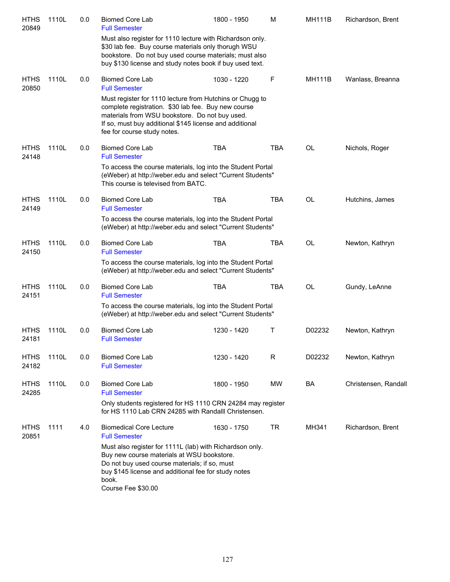| <b>HTHS</b><br>20849 | 1110L | 0.0 | <b>Biomed Core Lab</b><br><b>Full Semester</b>                                                                                                                                                                                                              | 1800 - 1950 | M          | <b>MH111B</b> | Richardson, Brent    |
|----------------------|-------|-----|-------------------------------------------------------------------------------------------------------------------------------------------------------------------------------------------------------------------------------------------------------------|-------------|------------|---------------|----------------------|
|                      |       |     | Must also register for 1110 lecture with Richardson only.<br>\$30 lab fee. Buy course materials only thorugh WSU<br>bookstore. Do not buy used course materials; must also<br>buy \$130 license and study notes book if buy used text.                      |             |            |               |                      |
| <b>HTHS</b><br>20850 | 1110L | 0.0 | <b>Biomed Core Lab</b><br><b>Full Semester</b>                                                                                                                                                                                                              | 1030 - 1220 | F          | <b>MH111B</b> | Wanlass, Breanna     |
|                      |       |     | Must register for 1110 lecture from Hutchins or Chugg to<br>complete registration. \$30 lab fee. Buy new course<br>materials from WSU bookstore. Do not buy used.<br>If so, must buy additional \$145 license and additional<br>fee for course study notes. |             |            |               |                      |
| <b>HTHS</b><br>24148 | 1110L | 0.0 | <b>Biomed Core Lab</b><br><b>Full Semester</b>                                                                                                                                                                                                              | <b>TBA</b>  | <b>TBA</b> | <b>OL</b>     | Nichols, Roger       |
|                      |       |     | To access the course materials, log into the Student Portal<br>(eWeber) at http://weber.edu and select "Current Students"<br>This course is televised from BATC.                                                                                            |             |            |               |                      |
| <b>HTHS</b><br>24149 | 1110L | 0.0 | <b>Biomed Core Lab</b><br><b>Full Semester</b>                                                                                                                                                                                                              | <b>TBA</b>  | <b>TBA</b> | <b>OL</b>     | Hutchins, James      |
|                      |       |     | To access the course materials, log into the Student Portal<br>(eWeber) at http://weber.edu and select "Current Students"                                                                                                                                   |             |            |               |                      |
| <b>HTHS</b><br>24150 | 1110L | 0.0 | <b>Biomed Core Lab</b><br><b>Full Semester</b>                                                                                                                                                                                                              | <b>TBA</b>  | <b>TBA</b> | <b>OL</b>     | Newton, Kathryn      |
|                      |       |     | To access the course materials, log into the Student Portal<br>(eWeber) at http://weber.edu and select "Current Students"                                                                                                                                   |             |            |               |                      |
| <b>HTHS</b><br>24151 | 1110L | 0.0 | <b>Biomed Core Lab</b><br><b>Full Semester</b>                                                                                                                                                                                                              | <b>TBA</b>  | <b>TBA</b> | <b>OL</b>     | Gundy, LeAnne        |
|                      |       |     | To access the course materials, log into the Student Portal<br>(eWeber) at http://weber.edu and select "Current Students"                                                                                                                                   |             |            |               |                      |
| <b>HTHS</b><br>24181 | 1110L | 0.0 | <b>Biomed Core Lab</b><br><b>Full Semester</b>                                                                                                                                                                                                              | 1230 - 1420 | Т          | D02232        | Newton, Kathryn      |
| <b>HTHS</b><br>24182 | 1110L | 0.0 | <b>Biomed Core Lab</b><br><b>Full Semester</b>                                                                                                                                                                                                              | 1230 - 1420 | R          | D02232        | Newton, Kathryn      |
| <b>HTHS</b><br>24285 | 1110L | 0.0 | <b>Biomed Core Lab</b><br><b>Full Semester</b>                                                                                                                                                                                                              | 1800 - 1950 | MW         | BA            | Christensen, Randall |
|                      |       |     | Only students registered for HS 1110 CRN 24284 may register<br>for HS 1110 Lab CRN 24285 with Randalll Christensen.                                                                                                                                         |             |            |               |                      |
| <b>HTHS</b><br>20851 | 1111  | 4.0 | <b>Biomedical Core Lecture</b><br><b>Full Semester</b>                                                                                                                                                                                                      | 1630 - 1750 | <b>TR</b>  | MH341         | Richardson, Brent    |
|                      |       |     | Must also register for 1111L (lab) with Richardson only.<br>Buy new course materials at WSU bookstore.<br>Do not buy used course materials; if so, must<br>buy \$145 license and additional fee for study notes<br>book.<br>Course Fee \$30.00              |             |            |               |                      |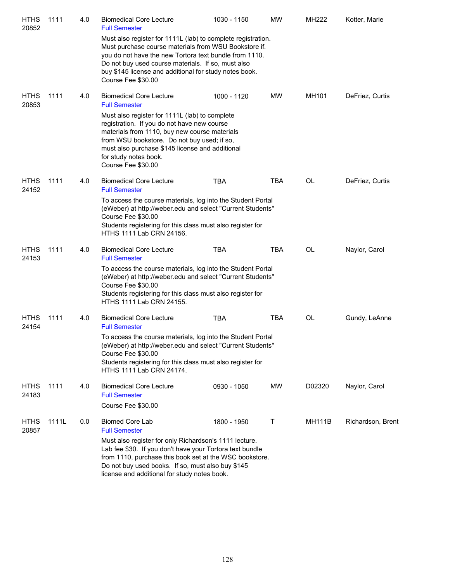| <b>HTHS</b><br>20852 | 1111  | 4.0 | <b>Biomedical Core Lecture</b><br><b>Full Semester</b>                                                                                                                                                                                                                                                                | 1030 - 1150 | <b>MW</b>  | MH222         | Kotter, Marie     |
|----------------------|-------|-----|-----------------------------------------------------------------------------------------------------------------------------------------------------------------------------------------------------------------------------------------------------------------------------------------------------------------------|-------------|------------|---------------|-------------------|
|                      |       |     | Must also register for 1111L (lab) to complete registration.<br>Must purchase course materials from WSU Bookstore if.<br>you do not have the new Tortora text bundle from 1110.<br>Do not buy used course materials. If so, must also<br>buy \$145 license and additional for study notes book.<br>Course Fee \$30.00 |             |            |               |                   |
| <b>HTHS</b><br>20853 | 1111  | 4.0 | <b>Biomedical Core Lecture</b><br><b>Full Semester</b>                                                                                                                                                                                                                                                                | 1000 - 1120 | MW         | MH101         | DeFriez, Curtis   |
|                      |       |     | Must also register for 1111L (lab) to complete<br>registration. If you do not have new course<br>materials from 1110, buy new course materials<br>from WSU bookstore. Do not buy used; if so,<br>must also purchase \$145 license and additional<br>for study notes book.<br>Course Fee \$30.00                       |             |            |               |                   |
| <b>HTHS</b><br>24152 | 1111  | 4.0 | <b>Biomedical Core Lecture</b><br><b>Full Semester</b>                                                                                                                                                                                                                                                                | <b>TBA</b>  | <b>TBA</b> | OL            | DeFriez, Curtis   |
|                      |       |     | To access the course materials, log into the Student Portal<br>(eWeber) at http://weber.edu and select "Current Students"<br>Course Fee \$30.00<br>Students registering for this class must also register for<br>HTHS 1111 Lab CRN 24156.                                                                             |             |            |               |                   |
| <b>HTHS</b><br>24153 | 1111  | 4.0 | <b>Biomedical Core Lecture</b><br><b>Full Semester</b>                                                                                                                                                                                                                                                                | <b>TBA</b>  | <b>TBA</b> | OL            | Naylor, Carol     |
|                      |       |     | To access the course materials, log into the Student Portal<br>(eWeber) at http://weber.edu and select "Current Students"<br>Course Fee \$30.00<br>Students registering for this class must also register for<br>HTHS 1111 Lab CRN 24155.                                                                             |             |            |               |                   |
| <b>HTHS</b><br>24154 | 1111  | 4.0 | <b>Biomedical Core Lecture</b><br><b>Full Semester</b>                                                                                                                                                                                                                                                                | <b>TBA</b>  | <b>TBA</b> | OL            | Gundy, LeAnne     |
|                      |       |     | To access the course materials, log into the Student Portal<br>(eWeber) at http://weber.edu and select "Current Students"<br>Course Fee \$30.00<br>Students registering for this class must also register for<br>HTHS 1111 Lab CRN 24174.                                                                             |             |            |               |                   |
| <b>HTHS</b><br>24183 | 1111  | 4.0 | <b>Biomedical Core Lecture</b><br><b>Full Semester</b><br>Course Fee \$30.00                                                                                                                                                                                                                                          | 0930 - 1050 | MW         | D02320        | Naylor, Carol     |
| <b>HTHS</b><br>20857 | 1111L | 0.0 | <b>Biomed Core Lab</b><br><b>Full Semester</b>                                                                                                                                                                                                                                                                        | 1800 - 1950 | Т          | <b>MH111B</b> | Richardson, Brent |
|                      |       |     | Must also register for only Richardson's 1111 lecture.<br>Lab fee \$30. If you don't have your Tortora text bundle<br>from 1110, purchase this book set at the WSC bookstore.<br>Do not buy used books. If so, must also buy \$145<br>license and additional for study notes book.                                    |             |            |               |                   |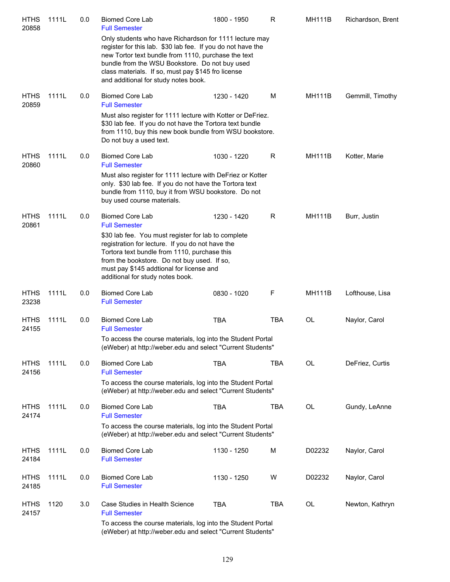| <b>HTHS</b><br>20858 | 1111L | 0.0 | <b>Biomed Core Lab</b><br><b>Full Semester</b>                                                                                                                                                                                                                                                                               | 1800 - 1950 | R          | <b>MH111B</b> | Richardson, Brent |
|----------------------|-------|-----|------------------------------------------------------------------------------------------------------------------------------------------------------------------------------------------------------------------------------------------------------------------------------------------------------------------------------|-------------|------------|---------------|-------------------|
|                      |       |     | Only students who have Richardson for 1111 lecture may<br>register for this lab. \$30 lab fee. If you do not have the<br>new Tortor text bundle from 1110, purchase the text<br>bundle from the WSU Bookstore. Do not buy used<br>class materials. If so, must pay \$145 fro license<br>and additional for study notes book. |             |            |               |                   |
| <b>HTHS</b><br>20859 | 1111L | 0.0 | <b>Biomed Core Lab</b><br><b>Full Semester</b>                                                                                                                                                                                                                                                                               | 1230 - 1420 | M          | <b>MH111B</b> | Gemmill, Timothy  |
|                      |       |     | Must also register for 1111 lecture with Kotter or DeFriez.<br>\$30 lab fee. If you do not have the Tortora text bundle<br>from 1110, buy this new book bundle from WSU bookstore.<br>Do not buy a used text.                                                                                                                |             |            |               |                   |
| <b>HTHS</b><br>20860 | 1111L | 0.0 | <b>Biomed Core Lab</b><br><b>Full Semester</b>                                                                                                                                                                                                                                                                               | 1030 - 1220 | R          | <b>MH111B</b> | Kotter, Marie     |
|                      |       |     | Must also register for 1111 lecture with DeFriez or Kotter<br>only. \$30 lab fee. If you do not have the Tortora text<br>bundle from 1110, buy it from WSU bookstore. Do not<br>buy used course materials.                                                                                                                   |             |            |               |                   |
| <b>HTHS</b><br>20861 | 1111L | 0.0 | <b>Biomed Core Lab</b><br><b>Full Semester</b>                                                                                                                                                                                                                                                                               | 1230 - 1420 | R          | <b>MH111B</b> | Burr, Justin      |
|                      |       |     | \$30 lab fee. You must register for lab to complete<br>registration for lecture. If you do not have the<br>Tortora text bundle from 1110, purchase this<br>from the bookstore. Do not buy used. If so,<br>must pay \$145 addtional for license and<br>additional for study notes book.                                       |             |            |               |                   |
| <b>HTHS</b><br>23238 | 1111L | 0.0 | <b>Biomed Core Lab</b><br><b>Full Semester</b>                                                                                                                                                                                                                                                                               | 0830 - 1020 | F          | <b>MH111B</b> | Lofthouse, Lisa   |
| <b>HTHS</b><br>24155 | 1111L | 0.0 | <b>Biomed Core Lab</b><br><b>Full Semester</b>                                                                                                                                                                                                                                                                               | <b>TBA</b>  | <b>TBA</b> | OL            | Naylor, Carol     |
|                      |       |     | To access the course materials, log into the Student Portal<br>(eWeber) at http://weber.edu and select "Current Students"                                                                                                                                                                                                    |             |            |               |                   |
| <b>HTHS</b><br>24156 | 1111L | 0.0 | <b>Biomed Core Lab</b><br><b>Full Semester</b>                                                                                                                                                                                                                                                                               | <b>TBA</b>  | <b>TBA</b> | OL            | DeFriez, Curtis   |
|                      |       |     | To access the course materials, log into the Student Portal<br>(eWeber) at http://weber.edu and select "Current Students"                                                                                                                                                                                                    |             |            |               |                   |
| <b>HTHS</b><br>24174 | 1111L | 0.0 | <b>Biomed Core Lab</b><br><b>Full Semester</b>                                                                                                                                                                                                                                                                               | <b>TBA</b>  | <b>TBA</b> | OL            | Gundy, LeAnne     |
|                      |       |     | To access the course materials, log into the Student Portal<br>(eWeber) at http://weber.edu and select "Current Students"                                                                                                                                                                                                    |             |            |               |                   |
| <b>HTHS</b><br>24184 | 1111L | 0.0 | <b>Biomed Core Lab</b><br><b>Full Semester</b>                                                                                                                                                                                                                                                                               | 1130 - 1250 | M          | D02232        | Naylor, Carol     |
| <b>HTHS</b><br>24185 | 1111L | 0.0 | <b>Biomed Core Lab</b><br><b>Full Semester</b>                                                                                                                                                                                                                                                                               | 1130 - 1250 | W          | D02232        | Naylor, Carol     |
| <b>HTHS</b><br>24157 | 1120  | 3.0 | Case Studies in Health Science<br><b>Full Semester</b>                                                                                                                                                                                                                                                                       | <b>TBA</b>  | <b>TBA</b> | <b>OL</b>     | Newton, Kathryn   |
|                      |       |     | To access the course materials, log into the Student Portal<br>(eWeber) at http://weber.edu and select "Current Students"                                                                                                                                                                                                    |             |            |               |                   |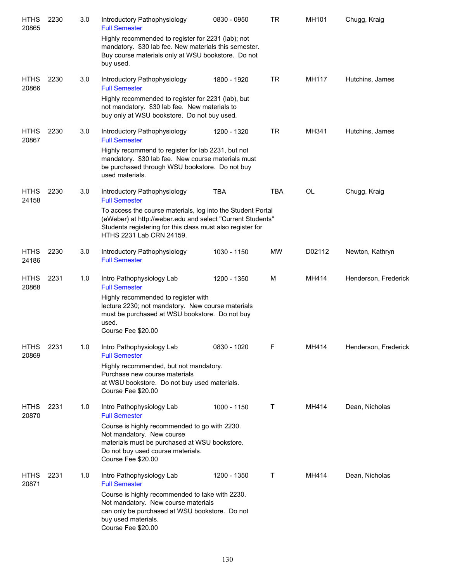| <b>HTHS</b><br>20865 | 2230 | 3.0 | Introductory Pathophysiology<br><b>Full Semester</b>                                                                                                                                                                | 0830 - 0950 | <b>TR</b>  | MH101     | Chugg, Kraig         |
|----------------------|------|-----|---------------------------------------------------------------------------------------------------------------------------------------------------------------------------------------------------------------------|-------------|------------|-----------|----------------------|
|                      |      |     | Highly recommended to register for 2231 (lab); not<br>mandatory. \$30 lab fee. New materials this semester.<br>Buy course materials only at WSU bookstore. Do not<br>buy used.                                      |             |            |           |                      |
| <b>HTHS</b><br>20866 | 2230 | 3.0 | Introductory Pathophysiology<br><b>Full Semester</b>                                                                                                                                                                | 1800 - 1920 | <b>TR</b>  | MH117     | Hutchins, James      |
|                      |      |     | Highly recommended to register for 2231 (lab), but<br>not mandatory. \$30 lab fee. New materials to<br>buy only at WSU bookstore. Do not buy used.                                                                  |             |            |           |                      |
| <b>HTHS</b><br>20867 | 2230 | 3.0 | Introductory Pathophysiology<br><b>Full Semester</b>                                                                                                                                                                | 1200 - 1320 | <b>TR</b>  | MH341     | Hutchins, James      |
|                      |      |     | Highly recommend to register for lab 2231, but not<br>mandatory. \$30 lab fee. New course materials must<br>be purchased through WSU bookstore. Do not buy<br>used materials.                                       |             |            |           |                      |
| <b>HTHS</b><br>24158 | 2230 | 3.0 | Introductory Pathophysiology<br><b>Full Semester</b>                                                                                                                                                                | <b>TBA</b>  | <b>TBA</b> | <b>OL</b> | Chugg, Kraig         |
|                      |      |     | To access the course materials, log into the Student Portal<br>(eWeber) at http://weber.edu and select "Current Students"<br>Students registering for this class must also register for<br>HTHS 2231 Lab CRN 24159. |             |            |           |                      |
| <b>HTHS</b><br>24186 | 2230 | 3.0 | Introductory Pathophysiology<br><b>Full Semester</b>                                                                                                                                                                | 1030 - 1150 | <b>MW</b>  | D02112    | Newton, Kathryn      |
| <b>HTHS</b><br>20868 | 2231 | 1.0 | Intro Pathophysiology Lab<br><b>Full Semester</b>                                                                                                                                                                   | 1200 - 1350 | м          | MH414     | Henderson, Frederick |
|                      |      |     | Highly recommended to register with<br>lecture 2230; not mandatory. New course materials<br>must be purchased at WSU bookstore. Do not buy<br>used.<br>Course Fee \$20.00                                           |             |            |           |                      |
| <b>HTHS</b><br>20869 | 2231 | 1.0 | Intro Pathophysiology Lab<br><b>Full Semester</b>                                                                                                                                                                   | 0830 - 1020 | F          | MH414     | Henderson, Frederick |
|                      |      |     | Highly recommended, but not mandatory.<br>Purchase new course materials<br>at WSU bookstore. Do not buy used materials.<br>Course Fee \$20.00                                                                       |             |            |           |                      |
| <b>HTHS</b><br>20870 | 2231 | 1.0 | Intro Pathophysiology Lab<br><b>Full Semester</b>                                                                                                                                                                   | 1000 - 1150 | T          | MH414     | Dean, Nicholas       |
|                      |      |     | Course is highly recommended to go with 2230.<br>Not mandatory. New course<br>materials must be purchased at WSU bookstore.<br>Do not buy used course materials.<br>Course Fee \$20.00                              |             |            |           |                      |
| <b>HTHS</b><br>20871 | 2231 | 1.0 | Intro Pathophysiology Lab<br><b>Full Semester</b>                                                                                                                                                                   | 1200 - 1350 | Τ          | MH414     | Dean, Nicholas       |
|                      |      |     | Course is highly recommended to take with 2230.<br>Not mandatory. New course materials<br>can only be purchased at WSU bookstore. Do not<br>buy used materials.<br>Course Fee \$20.00                               |             |            |           |                      |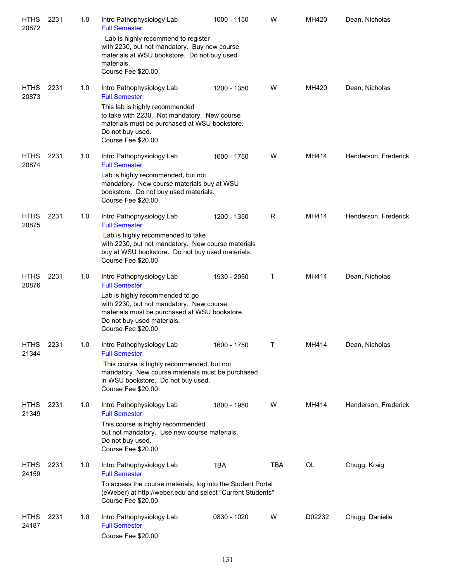| <b>HTHS</b><br>20872 | 2231 | 1.0 | Intro Pathophysiology Lab<br><b>Full Semester</b>                                                                                                                                                                              | 1000 - 1150 | W           | MH420  | Dean, Nicholas       |
|----------------------|------|-----|--------------------------------------------------------------------------------------------------------------------------------------------------------------------------------------------------------------------------------|-------------|-------------|--------|----------------------|
|                      |      |     | Lab is highly recommend to register<br>with 2230, but not mandatory. Buy new course<br>materials at WSU bookstore. Do not buy used<br>materials.<br>Course Fee \$20.00                                                         |             |             |        |                      |
| <b>HTHS</b><br>20873 | 2231 | 1.0 | Intro Pathophysiology Lab<br><b>Full Semester</b><br>This lab is highly recommended<br>to take with 2230. Not mandatory. New course<br>materials must be purchased at WSU bookstore.<br>Do not buy used.<br>Course Fee \$20.00 | 1200 - 1350 | W           | MH420  | Dean, Nicholas       |
| <b>HTHS</b><br>20874 | 2231 | 1.0 | Intro Pathophysiology Lab<br><b>Full Semester</b>                                                                                                                                                                              | 1600 - 1750 | W           | MH414  | Henderson, Frederick |
|                      |      |     | Lab is highly recommended, but not<br>mandatory. New course materials buy at WSU<br>bookstore. Do not buy used materials.<br>Course Fee \$20.00                                                                                |             |             |        |                      |
| <b>HTHS</b><br>20875 | 2231 | 1.0 | Intro Pathophysiology Lab<br><b>Full Semester</b>                                                                                                                                                                              | 1200 - 1350 | R           | MH414  | Henderson, Frederick |
|                      |      |     | Lab is highly recommended to take<br>with 2230, but not mandatory. New course materials<br>buy at WSU bookstore. Do not buy used materials.<br>Course Fee \$20.00                                                              |             |             |        |                      |
| <b>HTHS</b><br>20876 | 2231 | 1.0 | Intro Pathophysiology Lab<br><b>Full Semester</b><br>Lab is highly recommended to go<br>with 2230, but not mandatory. New course                                                                                               | 1930 - 2050 | $\mathsf T$ | MH414  | Dean, Nicholas       |
|                      |      |     | materials must be purchased at WSU bookstore.<br>Do not buy used materials.<br>Course Fee \$20.00                                                                                                                              |             |             |        |                      |
| <b>HTHS</b><br>21344 | 2231 | 1.0 | Intro Pathophysiology Lab<br><b>Full Semester</b>                                                                                                                                                                              | 1600 - 1750 | T           | MH414  | Dean, Nicholas       |
|                      |      |     | This course is highly recommended, but not<br>mandatory. New course materials must be purchased<br>in WSU bookstore. Do not buy used.<br>Course Fee \$20.00                                                                    |             |             |        |                      |
| <b>HTHS</b><br>21349 | 2231 | 1.0 | Intro Pathophysiology Lab<br><b>Full Semester</b>                                                                                                                                                                              | 1800 - 1950 | W           | MH414  | Henderson, Frederick |
|                      |      |     | This course is highly recommended<br>but not mandatory. Use new course materials.<br>Do not buy used.<br>Course Fee \$20.00                                                                                                    |             |             |        |                      |
| <b>HTHS</b><br>24159 | 2231 | 1.0 | Intro Pathophysiology Lab<br><b>Full Semester</b>                                                                                                                                                                              | <b>TBA</b>  | <b>TBA</b>  | OL     | Chugg, Kraig         |
|                      |      |     | To access the course materials, log into the Student Portal<br>(eWeber) at http://weber.edu and select "Current Students"<br>Course Fee \$20.00                                                                                |             |             |        |                      |
| <b>HTHS</b><br>24187 | 2231 | 1.0 | Intro Pathophysiology Lab<br><b>Full Semester</b><br>Course Fee \$20.00                                                                                                                                                        | 0830 - 1020 | W           | D02232 | Chugg, Danielle      |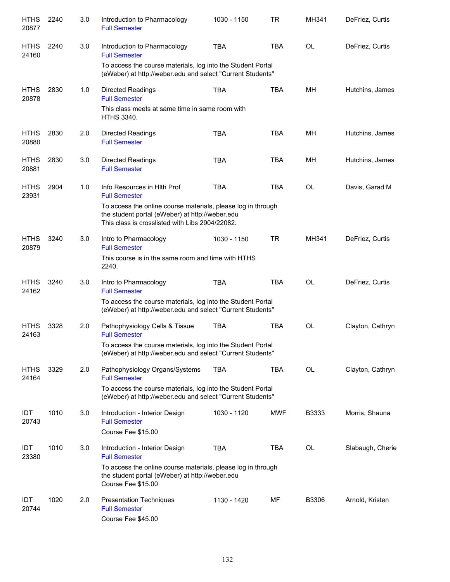| <b>HTHS</b><br>20877 | 2240 | 3.0 | Introduction to Pharmacology<br><b>Full Semester</b>                                                                                                               | 1030 - 1150 | TR         | MH341     | DeFriez, Curtis  |
|----------------------|------|-----|--------------------------------------------------------------------------------------------------------------------------------------------------------------------|-------------|------------|-----------|------------------|
| <b>HTHS</b><br>24160 | 2240 | 3.0 | Introduction to Pharmacology<br><b>Full Semester</b>                                                                                                               | <b>TBA</b>  | <b>TBA</b> | <b>OL</b> | DeFriez, Curtis  |
|                      |      |     | To access the course materials, log into the Student Portal<br>(eWeber) at http://weber.edu and select "Current Students"                                          |             |            |           |                  |
| <b>HTHS</b><br>20878 | 2830 | 1.0 | <b>Directed Readings</b><br><b>Full Semester</b>                                                                                                                   | <b>TBA</b>  | <b>TBA</b> | MН        | Hutchins, James  |
|                      |      |     | This class meets at same time in same room with<br><b>HTHS 3340.</b>                                                                                               |             |            |           |                  |
| <b>HTHS</b><br>20880 | 2830 | 2.0 | <b>Directed Readings</b><br><b>Full Semester</b>                                                                                                                   | <b>TBA</b>  | <b>TBA</b> | MH        | Hutchins, James  |
| <b>HTHS</b><br>20881 | 2830 | 3.0 | <b>Directed Readings</b><br><b>Full Semester</b>                                                                                                                   | <b>TBA</b>  | <b>TBA</b> | <b>MH</b> | Hutchins, James  |
| <b>HTHS</b><br>23931 | 2904 | 1.0 | Info Resources in Hith Prof<br><b>Full Semester</b>                                                                                                                | <b>TBA</b>  | <b>TBA</b> | <b>OL</b> | Davis, Garad M   |
|                      |      |     | To access the online course materials, please log in through<br>the student portal (eWeber) at http://weber.edu<br>This class is crosslisted with Libs 2904/22082. |             |            |           |                  |
| <b>HTHS</b><br>20879 | 3240 | 3.0 | Intro to Pharmacology<br><b>Full Semester</b>                                                                                                                      | 1030 - 1150 | <b>TR</b>  | MH341     | DeFriez, Curtis  |
|                      |      |     | This course is in the same room and time with HTHS<br>2240.                                                                                                        |             |            |           |                  |
| <b>HTHS</b><br>24162 | 3240 | 3.0 | Intro to Pharmacology<br><b>Full Semester</b>                                                                                                                      | <b>TBA</b>  | <b>TBA</b> | <b>OL</b> | DeFriez, Curtis  |
|                      |      |     | To access the course materials, log into the Student Portal<br>(eWeber) at http://weber.edu and select "Current Students"                                          |             |            |           |                  |
| <b>HTHS</b><br>24163 | 3328 | 2.0 | Pathophysiology Cells & Tissue<br><b>Full Semester</b>                                                                                                             | <b>TBA</b>  | <b>TBA</b> | <b>OL</b> | Clayton, Cathryn |
|                      |      |     | To access the course materials, log into the Student Portal<br>(eWeber) at http://weber.edu and select "Current Students"                                          |             |            |           |                  |
| <b>HTHS</b><br>24164 | 3329 | 2.0 | Pathophysiology Organs/Systems<br><b>Full Semester</b>                                                                                                             | <b>TBA</b>  | <b>TBA</b> | OL        | Clayton, Cathryn |
|                      |      |     | To access the course materials, log into the Student Portal<br>(eWeber) at http://weber.edu and select "Current Students"                                          |             |            |           |                  |
| <b>IDT</b><br>20743  | 1010 | 3.0 | Introduction - Interior Design<br><b>Full Semester</b>                                                                                                             | 1030 - 1120 | <b>MWF</b> | B3333     | Morris, Shauna   |
|                      |      |     | Course Fee \$15.00                                                                                                                                                 |             |            |           |                  |
| <b>IDT</b><br>23380  | 1010 | 3.0 | Introduction - Interior Design<br><b>Full Semester</b>                                                                                                             | <b>TBA</b>  | TBA        | OL        | Slabaugh, Cherie |
|                      |      |     | To access the online course materials, please log in through<br>the student portal (eWeber) at http://weber.edu<br>Course Fee \$15.00                              |             |            |           |                  |
| <b>IDT</b><br>20744  | 1020 | 2.0 | <b>Presentation Techniques</b><br><b>Full Semester</b><br>Course Fee \$45.00                                                                                       | 1130 - 1420 | MF         | B3306     | Arnold, Kristen  |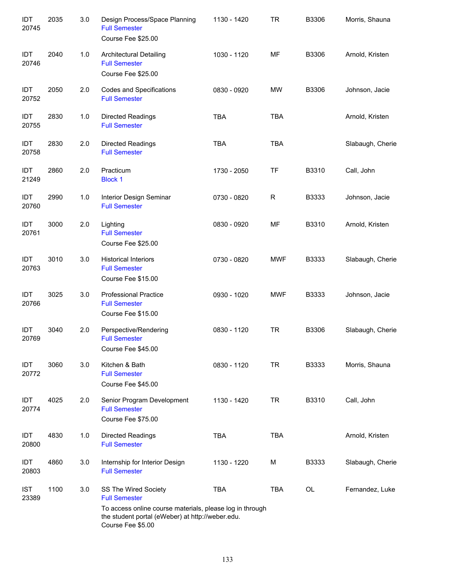| IDT<br>20745        | 2035 | 3.0 | Design Process/Space Planning<br><b>Full Semester</b><br>Course Fee \$25.00                                                       | 1130 - 1420 | <b>TR</b>   | B3306 | Morris, Shauna   |
|---------------------|------|-----|-----------------------------------------------------------------------------------------------------------------------------------|-------------|-------------|-------|------------------|
| IDT<br>20746        | 2040 | 1.0 | <b>Architectural Detailing</b><br><b>Full Semester</b><br>Course Fee \$25.00                                                      | 1030 - 1120 | MF          | B3306 | Arnold, Kristen  |
| IDT<br>20752        | 2050 | 2.0 | Codes and Specifications<br><b>Full Semester</b>                                                                                  | 0830 - 0920 | <b>MW</b>   | B3306 | Johnson, Jacie   |
| IDT<br>20755        | 2830 | 1.0 | <b>Directed Readings</b><br><b>Full Semester</b>                                                                                  | <b>TBA</b>  | <b>TBA</b>  |       | Arnold, Kristen  |
| IDT<br>20758        | 2830 | 2.0 | <b>Directed Readings</b><br><b>Full Semester</b>                                                                                  | <b>TBA</b>  | <b>TBA</b>  |       | Slabaugh, Cherie |
| IDT<br>21249        | 2860 | 2.0 | Practicum<br><b>Block 1</b>                                                                                                       | 1730 - 2050 | <b>TF</b>   | B3310 | Call, John       |
| IDT<br>20760        | 2990 | 1.0 | Interior Design Seminar<br><b>Full Semester</b>                                                                                   | 0730 - 0820 | $\mathsf R$ | B3333 | Johnson, Jacie   |
| IDT<br>20761        | 3000 | 2.0 | Lighting<br><b>Full Semester</b><br>Course Fee \$25.00                                                                            | 0830 - 0920 | MF          | B3310 | Arnold, Kristen  |
| IDT<br>20763        | 3010 | 3.0 | <b>Historical Interiors</b><br><b>Full Semester</b><br>Course Fee \$15.00                                                         | 0730 - 0820 | <b>MWF</b>  | B3333 | Slabaugh, Cherie |
| IDT<br>20766        | 3025 | 3.0 | <b>Professional Practice</b><br><b>Full Semester</b><br>Course Fee \$15.00                                                        | 0930 - 1020 | <b>MWF</b>  | B3333 | Johnson, Jacie   |
| IDT<br>20769        | 3040 | 2.0 | Perspective/Rendering<br><b>Full Semester</b><br>Course Fee \$45.00                                                               | 0830 - 1120 | <b>TR</b>   | B3306 | Slabaugh, Cherie |
| IDT<br>20772        | 3060 | 3.0 | Kitchen & Bath<br><b>Full Semester</b><br>Course Fee \$45.00                                                                      | 0830 - 1120 | <b>TR</b>   | B3333 | Morris, Shauna   |
| IDT<br>20774        | 4025 | 2.0 | Senior Program Development<br><b>Full Semester</b><br>Course Fee \$75.00                                                          | 1130 - 1420 | <b>TR</b>   | B3310 | Call, John       |
| IDT<br>20800        | 4830 | 1.0 | <b>Directed Readings</b><br><b>Full Semester</b>                                                                                  | <b>TBA</b>  | <b>TBA</b>  |       | Arnold, Kristen  |
| IDT<br>20803        | 4860 | 3.0 | Internship for Interior Design<br><b>Full Semester</b>                                                                            | 1130 - 1220 | M           | B3333 | Slabaugh, Cherie |
| <b>IST</b><br>23389 | 1100 | 3.0 | SS The Wired Society<br><b>Full Semester</b>                                                                                      | <b>TBA</b>  | <b>TBA</b>  | OL    | Fernandez, Luke  |
|                     |      |     | To access online course materials, please log in through<br>the student portal (eWeber) at http://weber.edu.<br>Course Fee \$5.00 |             |             |       |                  |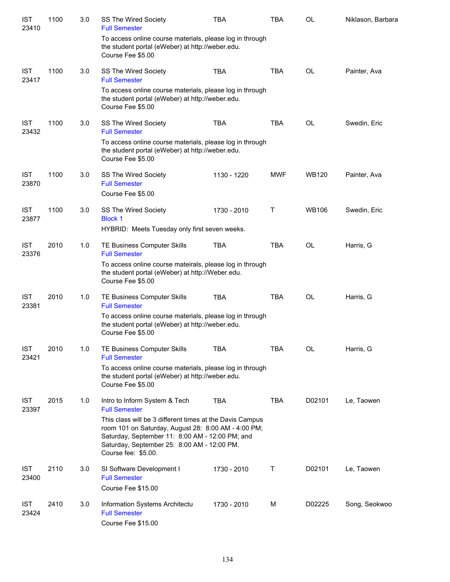| <b>IST</b><br>23410 | 1100 | 3.0 | SS The Wired Society<br><b>Full Semester</b>                                                                                                                                                                                             | <b>TBA</b>  | <b>TBA</b>   | OL           | Niklason, Barbara |
|---------------------|------|-----|------------------------------------------------------------------------------------------------------------------------------------------------------------------------------------------------------------------------------------------|-------------|--------------|--------------|-------------------|
|                     |      |     | To access online course materials, please log in through<br>the student portal (eWeber) at http://weber.edu.<br>Course Fee \$5.00                                                                                                        |             |              |              |                   |
| <b>IST</b><br>23417 | 1100 | 3.0 | SS The Wired Society<br><b>Full Semester</b>                                                                                                                                                                                             | <b>TBA</b>  | <b>TBA</b>   | OL           | Painter, Ava      |
|                     |      |     | To access online course materials, please log in through<br>the student portal (eWeber) at http://weber.edu.<br>Course Fee \$5.00                                                                                                        |             |              |              |                   |
| <b>IST</b><br>23432 | 1100 | 3.0 | SS The Wired Society<br><b>Full Semester</b>                                                                                                                                                                                             | <b>TBA</b>  | <b>TBA</b>   | <b>OL</b>    | Swedin, Eric      |
|                     |      |     | To access online course materials, please log in through<br>the student portal (eWeber) at http://weber.edu.<br>Course Fee \$5.00                                                                                                        |             |              |              |                   |
| <b>IST</b><br>23870 | 1100 | 3.0 | SS The Wired Society<br><b>Full Semester</b><br>Course Fee \$5.00                                                                                                                                                                        | 1130 - 1220 | <b>MWF</b>   | <b>WB120</b> | Painter, Ava      |
| <b>IST</b>          | 1100 | 3.0 | SS The Wired Society                                                                                                                                                                                                                     | 1730 - 2010 | $\mathsf{T}$ | <b>WB106</b> | Swedin, Eric      |
| 23877               |      |     | <b>Block 1</b><br>HYBRID: Meets Tuesday only first seven weeks.                                                                                                                                                                          |             |              |              |                   |
| <b>IST</b><br>23376 | 2010 | 1.0 | TE Business Computer Skills<br><b>Full Semester</b>                                                                                                                                                                                      | <b>TBA</b>  | <b>TBA</b>   | <b>OL</b>    | Harris, G         |
|                     |      |     | To access online course mateirals, please log in through<br>the student portal (eWeber) at http://Weber.edu.<br>Course Fee \$5.00                                                                                                        |             |              |              |                   |
| <b>IST</b><br>23381 | 2010 | 1.0 | TE Business Computer Skills<br><b>Full Semester</b>                                                                                                                                                                                      | <b>TBA</b>  | <b>TBA</b>   | <b>OL</b>    | Harris, G         |
|                     |      |     | To access online course materials, please log in through<br>the student portal (eWeber) at http://weber.edu.<br>Course Fee \$5.00                                                                                                        |             |              |              |                   |
| <b>IST</b><br>23421 | 2010 | 1.0 | TE Business Computer Skills<br><b>Full Semester</b>                                                                                                                                                                                      | TBA         | TBA          | OL           | Harris, G         |
|                     |      |     | To access online course materials, please log in through<br>the student portal (eWeber) at http://weber.edu.<br>Course Fee \$5.00                                                                                                        |             |              |              |                   |
| <b>IST</b><br>23397 | 2015 | 1.0 | Intro to Inform System & Tech<br><b>Full Semester</b>                                                                                                                                                                                    | <b>TBA</b>  | TBA          | D02101       | Le, Taowen        |
|                     |      |     | This class will be 3 different times at the Davis Campus<br>room 101 on Saturday, August 28: 8:00 AM - 4:00 PM;<br>Saturday, September 11: 8:00 AM - 12:00 PM; and<br>Saturday, September 25: 8:00 AM - 12:00 PM.<br>Course fee: \$5.00. |             |              |              |                   |
| IST<br>23400        | 2110 | 3.0 | SI Software Development I<br><b>Full Semester</b><br>Course Fee \$15.00                                                                                                                                                                  | 1730 - 2010 | Τ            | D02101       | Le, Taowen        |
| IST<br>23424        | 2410 | 3.0 | Information Systems Architectu<br><b>Full Semester</b><br>Course Fee \$15.00                                                                                                                                                             | 1730 - 2010 | М            | D02225       | Song, Seokwoo     |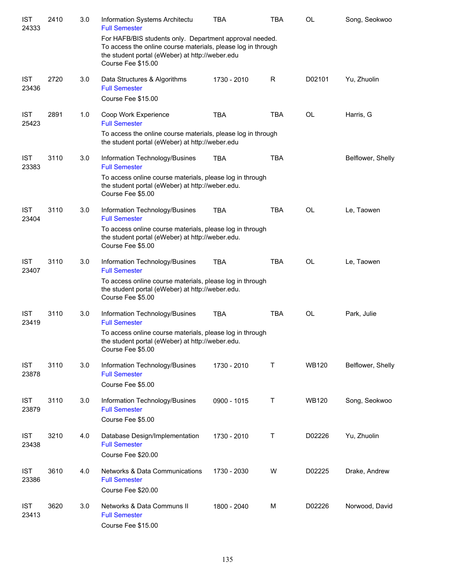| <b>IST</b><br>24333 | 2410 | 3.0 | Information Systems Architectu<br><b>Full Semester</b>                                                                                                                                           | <b>TBA</b>  | <b>TBA</b> | <b>OL</b>    | Song, Seokwoo     |
|---------------------|------|-----|--------------------------------------------------------------------------------------------------------------------------------------------------------------------------------------------------|-------------|------------|--------------|-------------------|
|                     |      |     | For HAFB/BIS students only. Department approval needed.<br>To access the online course materials, please log in through<br>the student portal (eWeber) at http://weber.edu<br>Course Fee \$15.00 |             |            |              |                   |
| <b>IST</b><br>23436 | 2720 | 3.0 | Data Structures & Algorithms<br><b>Full Semester</b>                                                                                                                                             | 1730 - 2010 | R          | D02101       | Yu, Zhuolin       |
|                     |      |     | Course Fee \$15.00                                                                                                                                                                               |             |            |              |                   |
| <b>IST</b><br>25423 | 2891 | 1.0 | Coop Work Experience<br><b>Full Semester</b>                                                                                                                                                     | <b>TBA</b>  | <b>TBA</b> | <b>OL</b>    | Harris, G         |
|                     |      |     | To access the online course materials, please log in through<br>the student portal (eWeber) at http://weber.edu                                                                                  |             |            |              |                   |
| <b>IST</b><br>23383 | 3110 | 3.0 | Information Technology/Busines<br><b>Full Semester</b>                                                                                                                                           | <b>TBA</b>  | <b>TBA</b> |              | Belflower, Shelly |
|                     |      |     | To access online course materials, please log in through<br>the student portal (eWeber) at http://weber.edu.<br>Course Fee \$5.00                                                                |             |            |              |                   |
| <b>IST</b><br>23404 | 3110 | 3.0 | Information Technology/Busines<br><b>Full Semester</b>                                                                                                                                           | <b>TBA</b>  | <b>TBA</b> | <b>OL</b>    | Le, Taowen        |
|                     |      |     | To access online course materials, please log in through<br>the student portal (eWeber) at http://weber.edu.<br>Course Fee \$5.00                                                                |             |            |              |                   |
| <b>IST</b><br>23407 | 3110 | 3.0 | Information Technology/Busines<br><b>Full Semester</b>                                                                                                                                           | <b>TBA</b>  | <b>TBA</b> | <b>OL</b>    | Le, Taowen        |
|                     |      |     | To access online course materials, please log in through<br>the student portal (eWeber) at http://weber.edu.<br>Course Fee \$5.00                                                                |             |            |              |                   |
| <b>IST</b><br>23419 | 3110 | 3.0 | Information Technology/Busines<br><b>Full Semester</b>                                                                                                                                           | <b>TBA</b>  | <b>TBA</b> | <b>OL</b>    | Park, Julie       |
|                     |      |     | To access online course materials, please log in through<br>the student portal (eWeber) at http://weber.edu.<br>Course Fee \$5.00                                                                |             |            |              |                   |
| <b>IST</b><br>23878 | 3110 | 3.0 | Information Technology/Busines<br><b>Full Semester</b><br>Course Fee \$5.00                                                                                                                      | 1730 - 2010 | Τ          | <b>WB120</b> | Belflower, Shelly |
| <b>IST</b><br>23879 | 3110 | 3.0 | Information Technology/Busines<br><b>Full Semester</b><br>Course Fee \$5.00                                                                                                                      | 0900 - 1015 | Τ          | <b>WB120</b> | Song, Seokwoo     |
| <b>IST</b><br>23438 | 3210 | 4.0 | Database Design/Implementation<br><b>Full Semester</b><br>Course Fee \$20.00                                                                                                                     | 1730 - 2010 | Τ          | D02226       | Yu, Zhuolin       |
| <b>IST</b><br>23386 | 3610 | 4.0 | Networks & Data Communications<br><b>Full Semester</b><br>Course Fee \$20.00                                                                                                                     | 1730 - 2030 | W          | D02225       | Drake, Andrew     |
| <b>IST</b><br>23413 | 3620 | 3.0 | Networks & Data Communs II<br><b>Full Semester</b><br>Course Fee \$15.00                                                                                                                         | 1800 - 2040 | M          | D02226       | Norwood, David    |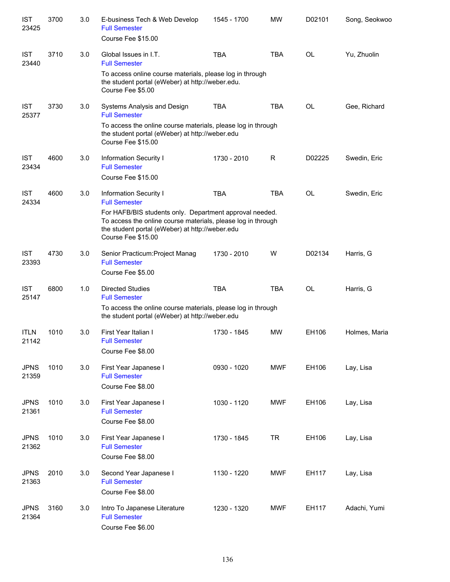| <b>IST</b><br>23425  | 3700 | 3.0 | E-business Tech & Web Develop<br><b>Full Semester</b><br>Course Fee \$15.00                                                                                                                      | 1545 - 1700 | <b>MW</b>  | D02101    | Song, Seokwoo |
|----------------------|------|-----|--------------------------------------------------------------------------------------------------------------------------------------------------------------------------------------------------|-------------|------------|-----------|---------------|
| <b>IST</b><br>23440  | 3710 | 3.0 | Global Issues in I.T.<br><b>Full Semester</b>                                                                                                                                                    | <b>TBA</b>  | <b>TBA</b> | OL        | Yu, Zhuolin   |
|                      |      |     | To access online course materials, please log in through<br>the student portal (eWeber) at http://weber.edu.<br>Course Fee \$5.00                                                                |             |            |           |               |
| <b>IST</b><br>25377  | 3730 | 3.0 | Systems Analysis and Design<br><b>Full Semester</b>                                                                                                                                              | <b>TBA</b>  | <b>TBA</b> | OL        | Gee, Richard  |
|                      |      |     | To access the online course materials, please log in through<br>the student portal (eWeber) at http://weber.edu<br>Course Fee \$15.00                                                            |             |            |           |               |
| <b>IST</b><br>23434  | 4600 | 3.0 | Information Security I<br><b>Full Semester</b>                                                                                                                                                   | 1730 - 2010 | R          | D02225    | Swedin, Eric  |
|                      |      |     | Course Fee \$15.00                                                                                                                                                                               |             |            |           |               |
| <b>IST</b><br>24334  | 4600 | 3.0 | Information Security I<br><b>Full Semester</b>                                                                                                                                                   | <b>TBA</b>  | <b>TBA</b> | <b>OL</b> | Swedin, Eric  |
|                      |      |     | For HAFB/BIS students only. Department approval needed.<br>To access the online course materials, please log in through<br>the student portal (eWeber) at http://weber.edu<br>Course Fee \$15.00 |             |            |           |               |
| <b>IST</b><br>23393  | 4730 | 3.0 | Senior Practicum: Project Manag<br><b>Full Semester</b><br>Course Fee \$5.00                                                                                                                     | 1730 - 2010 | W          | D02134    | Harris, G     |
| <b>IST</b><br>25147  | 6800 | 1.0 | <b>Directed Studies</b><br><b>Full Semester</b>                                                                                                                                                  | <b>TBA</b>  | <b>TBA</b> | OL        | Harris, G     |
|                      |      |     | To access the online course materials, please log in through<br>the student portal (eWeber) at http://weber.edu                                                                                  |             |            |           |               |
| <b>ITLN</b><br>21142 | 1010 | 3.0 | First Year Italian I<br><b>Full Semester</b><br>Course Fee \$8.00                                                                                                                                | 1730 - 1845 | <b>MW</b>  | EH106     | Holmes, Maria |
| <b>JPNS</b><br>21359 | 1010 | 3.0 | First Year Japanese I<br><b>Full Semester</b><br>Course Fee \$8.00                                                                                                                               | 0930 - 1020 | <b>MWF</b> | EH106     | Lay, Lisa     |
| <b>JPNS</b><br>21361 | 1010 | 3.0 | First Year Japanese I<br><b>Full Semester</b><br>Course Fee \$8.00                                                                                                                               | 1030 - 1120 | <b>MWF</b> | EH106     | Lay, Lisa     |
| <b>JPNS</b><br>21362 | 1010 | 3.0 | First Year Japanese I<br><b>Full Semester</b><br>Course Fee \$8.00                                                                                                                               | 1730 - 1845 | <b>TR</b>  | EH106     | Lay, Lisa     |
| <b>JPNS</b><br>21363 | 2010 | 3.0 | Second Year Japanese I<br><b>Full Semester</b><br>Course Fee \$8.00                                                                                                                              | 1130 - 1220 | <b>MWF</b> | EH117     | Lay, Lisa     |
| <b>JPNS</b><br>21364 | 3160 | 3.0 | Intro To Japanese Literature<br><b>Full Semester</b><br>Course Fee \$6.00                                                                                                                        | 1230 - 1320 | <b>MWF</b> | EH117     | Adachi, Yumi  |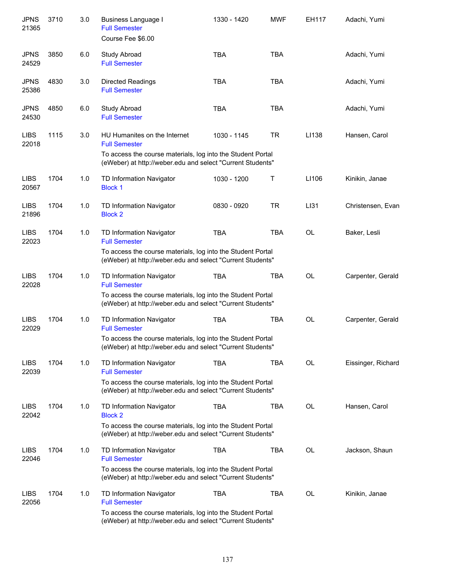| <b>JPNS</b><br>21365 | 3710 | 3.0 | Business Language I<br><b>Full Semester</b><br>Course Fee \$6.00                                                          | 1330 - 1420 | <b>MWF</b> | EH117     | Adachi, Yumi       |
|----------------------|------|-----|---------------------------------------------------------------------------------------------------------------------------|-------------|------------|-----------|--------------------|
| <b>JPNS</b><br>24529 | 3850 | 6.0 | Study Abroad<br><b>Full Semester</b>                                                                                      | <b>TBA</b>  | <b>TBA</b> |           | Adachi, Yumi       |
| <b>JPNS</b><br>25386 | 4830 | 3.0 | Directed Readings<br><b>Full Semester</b>                                                                                 | <b>TBA</b>  | <b>TBA</b> |           | Adachi, Yumi       |
| <b>JPNS</b><br>24530 | 4850 | 6.0 | Study Abroad<br><b>Full Semester</b>                                                                                      | <b>TBA</b>  | <b>TBA</b> |           | Adachi, Yumi       |
| <b>LIBS</b><br>22018 | 1115 | 3.0 | HU Humanites on the Internet<br><b>Full Semester</b>                                                                      | 1030 - 1145 | <b>TR</b>  | LI138     | Hansen, Carol      |
|                      |      |     | To access the course materials, log into the Student Portal<br>(eWeber) at http://weber.edu and select "Current Students" |             |            |           |                    |
| <b>LIBS</b><br>20567 | 1704 | 1.0 | TD Information Navigator<br><b>Block 1</b>                                                                                | 1030 - 1200 | Т          | LI106     | Kinikin, Janae     |
| <b>LIBS</b><br>21896 | 1704 | 1.0 | TD Information Navigator<br><b>Block 2</b>                                                                                | 0830 - 0920 | <b>TR</b>  | LI31      | Christensen, Evan  |
| <b>LIBS</b><br>22023 | 1704 | 1.0 | TD Information Navigator<br><b>Full Semester</b>                                                                          | <b>TBA</b>  | <b>TBA</b> | <b>OL</b> | Baker, Lesli       |
|                      |      |     | To access the course materials, log into the Student Portal<br>(eWeber) at http://weber.edu and select "Current Students" |             |            |           |                    |
| <b>LIBS</b><br>22028 | 1704 | 1.0 | TD Information Navigator<br><b>Full Semester</b>                                                                          | <b>TBA</b>  | <b>TBA</b> | <b>OL</b> | Carpenter, Gerald  |
|                      |      |     | To access the course materials, log into the Student Portal<br>(eWeber) at http://weber.edu and select "Current Students" |             |            |           |                    |
| <b>LIBS</b><br>22029 | 1704 | 1.0 | TD Information Navigator<br><b>Full Semester</b>                                                                          | <b>TBA</b>  | <b>TBA</b> | <b>OL</b> | Carpenter, Gerald  |
|                      |      |     | To access the course materials, log into the Student Portal<br>(eWeber) at http://weber.edu and select "Current Students" |             |            |           |                    |
| <b>LIBS</b><br>22039 | 1704 | 1.0 | TD Information Navigator<br><b>Full Semester</b>                                                                          | <b>TBA</b>  | TBA        | OL        | Eissinger, Richard |
|                      |      |     | To access the course materials, log into the Student Portal<br>(eWeber) at http://weber.edu and select "Current Students" |             |            |           |                    |
| <b>LIBS</b><br>22042 | 1704 | 1.0 | TD Information Navigator<br><b>Block 2</b>                                                                                | <b>TBA</b>  | <b>TBA</b> | <b>OL</b> | Hansen, Carol      |
|                      |      |     | To access the course materials, log into the Student Portal<br>(eWeber) at http://weber.edu and select "Current Students" |             |            |           |                    |
| <b>LIBS</b><br>22046 | 1704 | 1.0 | TD Information Navigator<br><b>Full Semester</b>                                                                          | <b>TBA</b>  | <b>TBA</b> | OL        | Jackson, Shaun     |
|                      |      |     | To access the course materials, log into the Student Portal<br>(eWeber) at http://weber.edu and select "Current Students" |             |            |           |                    |
| <b>LIBS</b><br>22056 | 1704 | 1.0 | TD Information Navigator<br><b>Full Semester</b>                                                                          | <b>TBA</b>  | <b>TBA</b> | <b>OL</b> | Kinikin, Janae     |
|                      |      |     | To access the course materials, log into the Student Portal<br>(eWeber) at http://weber.edu and select "Current Students" |             |            |           |                    |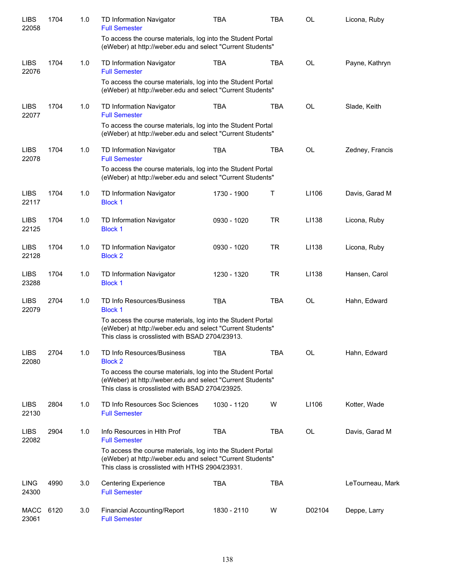| <b>LIBS</b><br>22058 | 1704 | 1.0 | TD Information Navigator<br><b>Full Semester</b>                                                                                                                             | <b>TBA</b>  | <b>TBA</b> | <b>OL</b> | Licona, Ruby     |
|----------------------|------|-----|------------------------------------------------------------------------------------------------------------------------------------------------------------------------------|-------------|------------|-----------|------------------|
|                      |      |     | To access the course materials, log into the Student Portal<br>(eWeber) at http://weber.edu and select "Current Students"                                                    |             |            |           |                  |
| <b>LIBS</b><br>22076 | 1704 | 1.0 | <b>TD Information Navigator</b><br><b>Full Semester</b>                                                                                                                      | <b>TBA</b>  | <b>TBA</b> | <b>OL</b> | Payne, Kathryn   |
|                      |      |     | To access the course materials, log into the Student Portal<br>(eWeber) at http://weber.edu and select "Current Students"                                                    |             |            |           |                  |
| <b>LIBS</b><br>22077 | 1704 | 1.0 | TD Information Navigator<br><b>Full Semester</b>                                                                                                                             | <b>TBA</b>  | <b>TBA</b> | <b>OL</b> | Slade, Keith     |
|                      |      |     | To access the course materials, log into the Student Portal<br>(eWeber) at http://weber.edu and select "Current Students"                                                    |             |            |           |                  |
| <b>LIBS</b><br>22078 | 1704 | 1.0 | TD Information Navigator<br><b>Full Semester</b>                                                                                                                             | <b>TBA</b>  | <b>TBA</b> | <b>OL</b> | Zedney, Francis  |
|                      |      |     | To access the course materials, log into the Student Portal<br>(eWeber) at http://weber.edu and select "Current Students"                                                    |             |            |           |                  |
| <b>LIBS</b><br>22117 | 1704 | 1.0 | TD Information Navigator<br><b>Block 1</b>                                                                                                                                   | 1730 - 1900 | Т          | LI106     | Davis, Garad M   |
| <b>LIBS</b><br>22125 | 1704 | 1.0 | TD Information Navigator<br><b>Block 1</b>                                                                                                                                   | 0930 - 1020 | <b>TR</b>  | LI138     | Licona, Ruby     |
| <b>LIBS</b><br>22128 | 1704 | 1.0 | TD Information Navigator<br><b>Block 2</b>                                                                                                                                   | 0930 - 1020 | <b>TR</b>  | LI138     | Licona, Ruby     |
| <b>LIBS</b><br>23288 | 1704 | 1.0 | TD Information Navigator<br><b>Block 1</b>                                                                                                                                   | 1230 - 1320 | <b>TR</b>  | LI138     | Hansen, Carol    |
| <b>LIBS</b><br>22079 | 2704 | 1.0 | TD Info Resources/Business<br><b>Block 1</b>                                                                                                                                 | <b>TBA</b>  | <b>TBA</b> | <b>OL</b> | Hahn, Edward     |
|                      |      |     | To access the course materials, log into the Student Portal<br>(eWeber) at http://weber.edu and select "Current Students"<br>This class is crosslisted with BSAD 2704/23913. |             |            |           |                  |
| <b>LIBS</b><br>22080 | 2704 | 1.0 | TD Info Resources/Business<br><b>Block 2</b>                                                                                                                                 | <b>TBA</b>  | <b>TBA</b> | <b>OL</b> | Hahn, Edward     |
|                      |      |     | To access the course materials, log into the Student Portal<br>(eWeber) at http://weber.edu and select "Current Students"<br>This class is crosslisted with BSAD 2704/23925. |             |            |           |                  |
| <b>LIBS</b><br>22130 | 2804 | 1.0 | TD Info Resources Soc Sciences<br><b>Full Semester</b>                                                                                                                       | 1030 - 1120 | W          | LI106     | Kotter, Wade     |
| <b>LIBS</b><br>22082 | 2904 | 1.0 | Info Resources in Hith Prof<br><b>Full Semester</b>                                                                                                                          | <b>TBA</b>  | <b>TBA</b> | OL        | Davis, Garad M   |
|                      |      |     | To access the course materials, log into the Student Portal<br>(eWeber) at http://weber.edu and select "Current Students"<br>This class is crosslisted with HTHS 2904/23931. |             |            |           |                  |
| <b>LING</b><br>24300 | 4990 | 3.0 | <b>Centering Experience</b><br><b>Full Semester</b>                                                                                                                          | <b>TBA</b>  | <b>TBA</b> |           | LeTourneau, Mark |
| <b>MACC</b><br>23061 | 6120 | 3.0 | <b>Financial Accounting/Report</b><br><b>Full Semester</b>                                                                                                                   | 1830 - 2110 | W          | D02104    | Deppe, Larry     |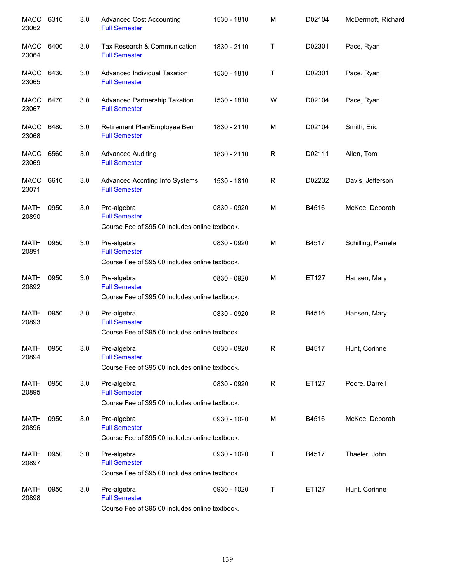| MACC 6310<br>23062   |      | 3.0 | <b>Advanced Cost Accounting</b><br><b>Full Semester</b>                                | 1530 - 1810 | M           | D02104 | McDermott, Richard |
|----------------------|------|-----|----------------------------------------------------------------------------------------|-------------|-------------|--------|--------------------|
| MACC<br>23064        | 6400 | 3.0 | Tax Research & Communication<br><b>Full Semester</b>                                   | 1830 - 2110 | $\sf T$     | D02301 | Pace, Ryan         |
| MACC<br>23065        | 6430 | 3.0 | Advanced Individual Taxation<br><b>Full Semester</b>                                   | 1530 - 1810 | Τ           | D02301 | Pace, Ryan         |
| MACC<br>23067        | 6470 | 3.0 | Advanced Partnership Taxation<br><b>Full Semester</b>                                  | 1530 - 1810 | W           | D02104 | Pace, Ryan         |
| <b>MACC</b><br>23068 | 6480 | 3.0 | Retirement Plan/Employee Ben<br><b>Full Semester</b>                                   | 1830 - 2110 | M           | D02104 | Smith, Eric        |
| <b>MACC</b><br>23069 | 6560 | 3.0 | <b>Advanced Auditing</b><br><b>Full Semester</b>                                       | 1830 - 2110 | $\mathsf R$ | D02111 | Allen, Tom         |
| <b>MACC</b><br>23071 | 6610 | 3.0 | Advanced Accnting Info Systems<br><b>Full Semester</b>                                 | 1530 - 1810 | $\mathsf R$ | D02232 | Davis, Jefferson   |
| <b>MATH</b><br>20890 | 0950 | 3.0 | Pre-algebra<br><b>Full Semester</b><br>Course Fee of \$95.00 includes online textbook. | 0830 - 0920 | M           | B4516  | McKee, Deborah     |
| <b>MATH</b><br>20891 | 0950 | 3.0 | Pre-algebra<br><b>Full Semester</b><br>Course Fee of \$95.00 includes online textbook. | 0830 - 0920 | M           | B4517  | Schilling, Pamela  |
| MATH<br>20892        | 0950 | 3.0 | Pre-algebra<br><b>Full Semester</b><br>Course Fee of \$95.00 includes online textbook. | 0830 - 0920 | M           | ET127  | Hansen, Mary       |
| <b>MATH</b><br>20893 | 0950 | 3.0 | Pre-algebra<br><b>Full Semester</b><br>Course Fee of \$95.00 includes online textbook. | 0830 - 0920 | $\mathsf R$ | B4516  | Hansen, Mary       |
| <b>MATH</b><br>20894 | 0950 | 3.0 | Pre-algebra<br><b>Full Semester</b><br>Course Fee of \$95.00 includes online textbook. | 0830 - 0920 | R           | B4517  | Hunt, Corinne      |
| <b>MATH</b><br>20895 | 0950 | 3.0 | Pre-algebra<br><b>Full Semester</b><br>Course Fee of \$95.00 includes online textbook. | 0830 - 0920 | $\mathsf R$ | ET127  | Poore, Darrell     |
| <b>MATH</b><br>20896 | 0950 | 3.0 | Pre-algebra<br><b>Full Semester</b><br>Course Fee of \$95.00 includes online textbook. | 0930 - 1020 | M           | B4516  | McKee, Deborah     |
| <b>MATH</b><br>20897 | 0950 | 3.0 | Pre-algebra<br><b>Full Semester</b><br>Course Fee of \$95.00 includes online textbook. | 0930 - 1020 | Τ           | B4517  | Thaeler, John      |
| <b>MATH</b><br>20898 | 0950 | 3.0 | Pre-algebra<br><b>Full Semester</b><br>Course Fee of \$95.00 includes online textbook. | 0930 - 1020 | Т           | ET127  | Hunt, Corinne      |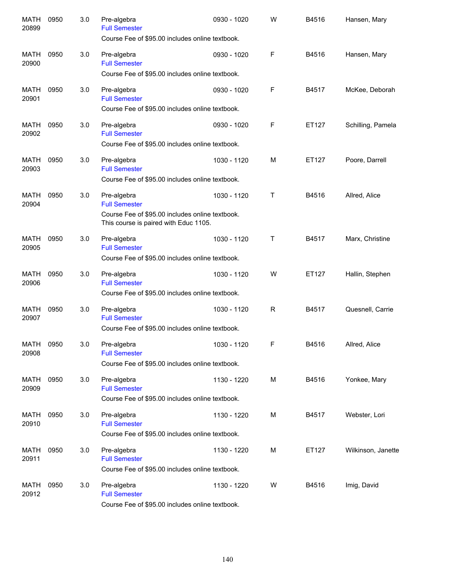| <b>MATH</b><br>20899 | 0950 | 3.0 | Pre-algebra<br><b>Full Semester</b><br>Course Fee of \$95.00 includes online textbook.                                          | 0930 - 1020 | W | B4516 | Hansen, Mary       |
|----------------------|------|-----|---------------------------------------------------------------------------------------------------------------------------------|-------------|---|-------|--------------------|
| <b>MATH</b><br>20900 | 0950 | 3.0 | Pre-algebra<br><b>Full Semester</b><br>Course Fee of \$95.00 includes online textbook.                                          | 0930 - 1020 | F | B4516 | Hansen, Mary       |
| <b>MATH</b><br>20901 | 0950 | 3.0 | Pre-algebra<br><b>Full Semester</b><br>Course Fee of \$95.00 includes online textbook.                                          | 0930 - 1020 | F | B4517 | McKee, Deborah     |
| <b>MATH</b><br>20902 | 0950 | 3.0 | Pre-algebra<br><b>Full Semester</b><br>Course Fee of \$95.00 includes online textbook.                                          | 0930 - 1020 | F | ET127 | Schilling, Pamela  |
| <b>MATH</b><br>20903 | 0950 | 3.0 | Pre-algebra<br><b>Full Semester</b><br>Course Fee of \$95.00 includes online textbook.                                          | 1030 - 1120 | M | ET127 | Poore, Darrell     |
| <b>MATH</b><br>20904 | 0950 | 3.0 | Pre-algebra<br><b>Full Semester</b><br>Course Fee of \$95.00 includes online textbook.<br>This course is paired with Educ 1105. | 1030 - 1120 | т | B4516 | Allred, Alice      |
| <b>MATH</b><br>20905 | 0950 | 3.0 | Pre-algebra<br><b>Full Semester</b><br>Course Fee of \$95.00 includes online textbook.                                          | 1030 - 1120 | т | B4517 | Marx, Christine    |
| <b>MATH</b><br>20906 | 0950 | 3.0 | Pre-algebra<br><b>Full Semester</b><br>Course Fee of \$95.00 includes online textbook.                                          | 1030 - 1120 | W | ET127 | Hallin, Stephen    |
| <b>MATH</b><br>20907 | 0950 | 3.0 | Pre-algebra<br><b>Full Semester</b><br>Course Fee of \$95.00 includes online textbook.                                          | 1030 - 1120 | R | B4517 | Quesnell, Carrie   |
| <b>MATH</b><br>20908 | 0950 | 3.0 | Pre-algebra<br><b>Full Semester</b><br>Course Fee of \$95.00 includes online textbook.                                          | 1030 - 1120 | F | B4516 | Allred, Alice      |
| <b>MATH</b><br>20909 | 0950 | 3.0 | Pre-algebra<br><b>Full Semester</b><br>Course Fee of \$95.00 includes online textbook.                                          | 1130 - 1220 | М | B4516 | Yonkee, Mary       |
| <b>MATH</b><br>20910 | 0950 | 3.0 | Pre-algebra<br><b>Full Semester</b><br>Course Fee of \$95.00 includes online textbook.                                          | 1130 - 1220 | М | B4517 | Webster, Lori      |
| <b>MATH</b><br>20911 | 0950 | 3.0 | Pre-algebra<br><b>Full Semester</b><br>Course Fee of \$95.00 includes online textbook.                                          | 1130 - 1220 | M | ET127 | Wilkinson, Janette |
| MATH<br>20912        | 0950 | 3.0 | Pre-algebra<br><b>Full Semester</b><br>Course Fee of \$95.00 includes online textbook.                                          | 1130 - 1220 | W | B4516 | Imig, David        |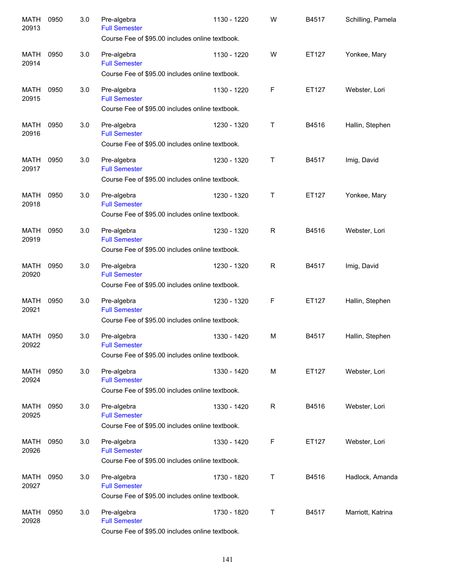| <b>MATH</b><br>20913 | 0950 | 3.0 | Pre-algebra<br><b>Full Semester</b><br>Course Fee of \$95.00 includes online textbook. | 1130 - 1220 | W            | B4517 | Schilling, Pamela |
|----------------------|------|-----|----------------------------------------------------------------------------------------|-------------|--------------|-------|-------------------|
| <b>MATH</b><br>20914 | 0950 | 3.0 | Pre-algebra<br><b>Full Semester</b><br>Course Fee of \$95.00 includes online textbook. | 1130 - 1220 | W            | ET127 | Yonkee, Mary      |
| <b>MATH</b><br>20915 | 0950 | 3.0 | Pre-algebra<br><b>Full Semester</b><br>Course Fee of \$95.00 includes online textbook. | 1130 - 1220 | F            | ET127 | Webster, Lori     |
| <b>MATH</b><br>20916 | 0950 | 3.0 | Pre-algebra<br><b>Full Semester</b><br>Course Fee of \$95.00 includes online textbook. | 1230 - 1320 | Τ            | B4516 | Hallin, Stephen   |
| <b>MATH</b><br>20917 | 0950 | 3.0 | Pre-algebra<br><b>Full Semester</b><br>Course Fee of \$95.00 includes online textbook. | 1230 - 1320 | Τ            | B4517 | Imig, David       |
| <b>MATH</b><br>20918 | 0950 | 3.0 | Pre-algebra<br><b>Full Semester</b><br>Course Fee of \$95.00 includes online textbook. | 1230 - 1320 | T            | ET127 | Yonkee, Mary      |
| <b>MATH</b><br>20919 | 0950 | 3.0 | Pre-algebra<br><b>Full Semester</b><br>Course Fee of \$95.00 includes online textbook. | 1230 - 1320 | $\mathsf{R}$ | B4516 | Webster, Lori     |
| <b>MATH</b><br>20920 | 0950 | 3.0 | Pre-algebra<br><b>Full Semester</b><br>Course Fee of \$95.00 includes online textbook. | 1230 - 1320 | $\mathsf{R}$ | B4517 | Imig, David       |
| <b>MATH</b><br>20921 | 0950 | 3.0 | Pre-algebra<br><b>Full Semester</b><br>Course Fee of \$95.00 includes online textbook. | 1230 - 1320 | F            | ET127 | Hallin, Stephen   |
| <b>MATH</b><br>20922 | 0950 | 3.0 | Pre-algebra<br><b>Full Semester</b><br>Course Fee of \$95.00 includes online textbook. | 1330 - 1420 | M            | B4517 | Hallin, Stephen   |
| MATH<br>20924        | 0950 | 3.0 | Pre-algebra<br><b>Full Semester</b><br>Course Fee of \$95.00 includes online textbook. | 1330 - 1420 | M            | ET127 | Webster, Lori     |
| <b>MATH</b><br>20925 | 0950 | 3.0 | Pre-algebra<br><b>Full Semester</b><br>Course Fee of \$95.00 includes online textbook. | 1330 - 1420 | $\mathsf R$  | B4516 | Webster, Lori     |
| <b>MATH</b><br>20926 | 0950 | 3.0 | Pre-algebra<br><b>Full Semester</b><br>Course Fee of \$95.00 includes online textbook. | 1330 - 1420 | F            | ET127 | Webster, Lori     |
| <b>MATH</b><br>20927 | 0950 | 3.0 | Pre-algebra<br><b>Full Semester</b><br>Course Fee of \$95.00 includes online textbook. | 1730 - 1820 | Т            | B4516 | Hadlock, Amanda   |
| <b>MATH</b><br>20928 | 0950 | 3.0 | Pre-algebra<br><b>Full Semester</b><br>Course Fee of \$95.00 includes online textbook. | 1730 - 1820 | Т            | B4517 | Marriott, Katrina |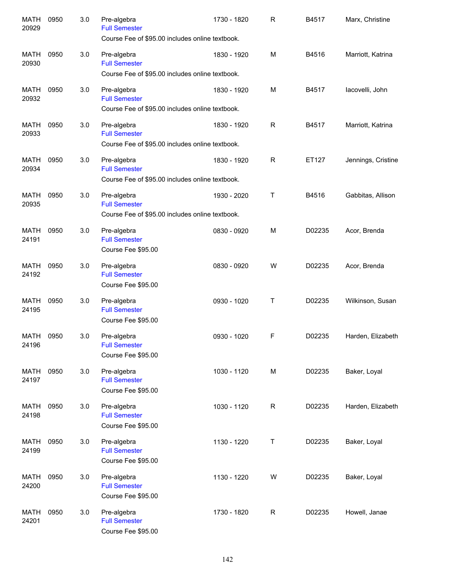| <b>MATH</b><br>20929 | 0950 | 3.0 | Pre-algebra<br><b>Full Semester</b><br>Course Fee of \$95.00 includes online textbook. | 1730 - 1820 | R            | B4517  | Marx, Christine    |
|----------------------|------|-----|----------------------------------------------------------------------------------------|-------------|--------------|--------|--------------------|
| <b>MATH</b><br>20930 | 0950 | 3.0 | Pre-algebra<br><b>Full Semester</b><br>Course Fee of \$95.00 includes online textbook. | 1830 - 1920 | M            | B4516  | Marriott, Katrina  |
| <b>MATH</b><br>20932 | 0950 | 3.0 | Pre-algebra<br><b>Full Semester</b><br>Course Fee of \$95.00 includes online textbook. | 1830 - 1920 | M            | B4517  | lacovelli, John    |
| <b>MATH</b><br>20933 | 0950 | 3.0 | Pre-algebra<br><b>Full Semester</b><br>Course Fee of \$95.00 includes online textbook. | 1830 - 1920 | ${\sf R}$    | B4517  | Marriott, Katrina  |
| <b>MATH</b><br>20934 | 0950 | 3.0 | Pre-algebra<br><b>Full Semester</b><br>Course Fee of \$95.00 includes online textbook. | 1830 - 1920 | ${\sf R}$    | ET127  | Jennings, Cristine |
| <b>MATH</b><br>20935 | 0950 | 3.0 | Pre-algebra<br><b>Full Semester</b><br>Course Fee of \$95.00 includes online textbook. | 1930 - 2020 | Τ            | B4516  | Gabbitas, Allison  |
| <b>MATH</b><br>24191 | 0950 | 3.0 | Pre-algebra<br><b>Full Semester</b><br>Course Fee \$95.00                              | 0830 - 0920 | M            | D02235 | Acor, Brenda       |
| <b>MATH</b><br>24192 | 0950 | 3.0 | Pre-algebra<br><b>Full Semester</b><br>Course Fee \$95.00                              | 0830 - 0920 | W            | D02235 | Acor, Brenda       |
| <b>MATH</b><br>24195 | 0950 | 3.0 | Pre-algebra<br><b>Full Semester</b><br>Course Fee \$95.00                              | 0930 - 1020 | Τ            | D02235 | Wilkinson, Susan   |
| <b>MATH</b><br>24196 | 0950 | 3.0 | Pre-algebra<br><b>Full Semester</b><br>Course Fee \$95.00                              | 0930 - 1020 | F            | D02235 | Harden, Elizabeth  |
| <b>MATH</b><br>24197 | 0950 | 3.0 | Pre-algebra<br><b>Full Semester</b><br>Course Fee \$95.00                              | 1030 - 1120 | M            | D02235 | Baker, Loyal       |
| <b>MATH</b><br>24198 | 0950 | 3.0 | Pre-algebra<br><b>Full Semester</b><br>Course Fee \$95.00                              | 1030 - 1120 | $\mathsf{R}$ | D02235 | Harden, Elizabeth  |
| MATH<br>24199        | 0950 | 3.0 | Pre-algebra<br><b>Full Semester</b><br>Course Fee \$95.00                              | 1130 - 1220 | T            | D02235 | Baker, Loyal       |
| <b>MATH</b><br>24200 | 0950 | 3.0 | Pre-algebra<br><b>Full Semester</b><br>Course Fee \$95.00                              | 1130 - 1220 | W            | D02235 | Baker, Loyal       |
| <b>MATH</b><br>24201 | 0950 | 3.0 | Pre-algebra<br><b>Full Semester</b><br>Course Fee \$95.00                              | 1730 - 1820 | $\mathsf R$  | D02235 | Howell, Janae      |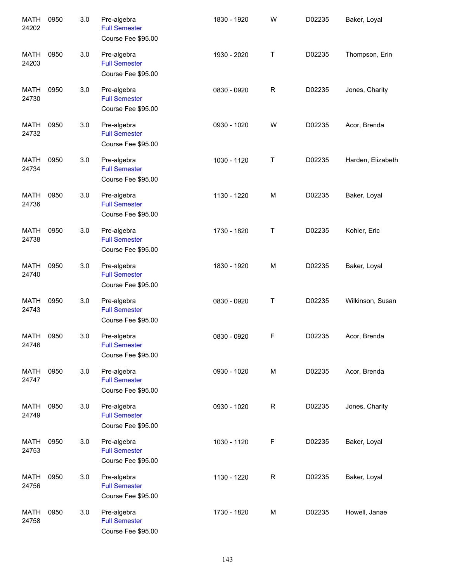| <b>MATH</b><br>24202 | 0950 | 3.0 | Pre-algebra<br><b>Full Semester</b><br>Course Fee \$95.00 | 1830 - 1920 | W | D02235 | Baker, Loyal      |
|----------------------|------|-----|-----------------------------------------------------------|-------------|---|--------|-------------------|
| <b>MATH</b><br>24203 | 0950 | 3.0 | Pre-algebra<br><b>Full Semester</b><br>Course Fee \$95.00 | 1930 - 2020 | Τ | D02235 | Thompson, Erin    |
| <b>MATH</b><br>24730 | 0950 | 3.0 | Pre-algebra<br><b>Full Semester</b><br>Course Fee \$95.00 | 0830 - 0920 | R | D02235 | Jones, Charity    |
| <b>MATH</b><br>24732 | 0950 | 3.0 | Pre-algebra<br><b>Full Semester</b><br>Course Fee \$95.00 | 0930 - 1020 | W | D02235 | Acor, Brenda      |
| <b>MATH</b><br>24734 | 0950 | 3.0 | Pre-algebra<br><b>Full Semester</b><br>Course Fee \$95.00 | 1030 - 1120 | Τ | D02235 | Harden, Elizabeth |
| <b>MATH</b><br>24736 | 0950 | 3.0 | Pre-algebra<br><b>Full Semester</b><br>Course Fee \$95.00 | 1130 - 1220 | M | D02235 | Baker, Loyal      |
| <b>MATH</b><br>24738 | 0950 | 3.0 | Pre-algebra<br><b>Full Semester</b><br>Course Fee \$95.00 | 1730 - 1820 | Τ | D02235 | Kohler, Eric      |
| <b>MATH</b><br>24740 | 0950 | 3.0 | Pre-algebra<br><b>Full Semester</b><br>Course Fee \$95.00 | 1830 - 1920 | M | D02235 | Baker, Loyal      |
| <b>MATH</b><br>24743 | 0950 | 3.0 | Pre-algebra<br><b>Full Semester</b><br>Course Fee \$95.00 | 0830 - 0920 | Τ | D02235 | Wilkinson, Susan  |
| <b>MATH</b><br>24746 | 0950 | 3.0 | Pre-algebra<br><b>Full Semester</b><br>Course Fee \$95.00 | 0830 - 0920 | F | D02235 | Acor, Brenda      |
| <b>MATH</b><br>24747 | 0950 | 3.0 | Pre-algebra<br><b>Full Semester</b><br>Course Fee \$95.00 | 0930 - 1020 | M | D02235 | Acor, Brenda      |
| <b>MATH</b><br>24749 | 0950 | 3.0 | Pre-algebra<br><b>Full Semester</b><br>Course Fee \$95.00 | 0930 - 1020 | R | D02235 | Jones, Charity    |
| <b>MATH</b><br>24753 | 0950 | 3.0 | Pre-algebra<br><b>Full Semester</b><br>Course Fee \$95.00 | 1030 - 1120 | F | D02235 | Baker, Loyal      |
| <b>MATH</b><br>24756 | 0950 | 3.0 | Pre-algebra<br><b>Full Semester</b><br>Course Fee \$95.00 | 1130 - 1220 | R | D02235 | Baker, Loyal      |
| <b>MATH</b><br>24758 | 0950 | 3.0 | Pre-algebra<br><b>Full Semester</b><br>Course Fee \$95.00 | 1730 - 1820 | M | D02235 | Howell, Janae     |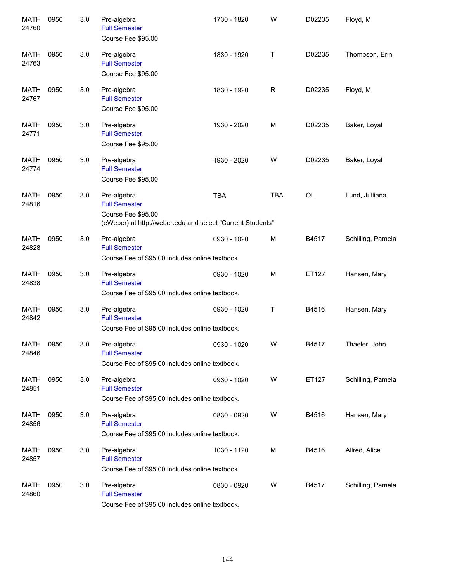| <b>MATH</b><br>24760 | 0950 | 3.0 | Pre-algebra<br><b>Full Semester</b><br>Course Fee \$95.00                                                               | 1730 - 1820 | W          | D02235    | Floyd, M          |
|----------------------|------|-----|-------------------------------------------------------------------------------------------------------------------------|-------------|------------|-----------|-------------------|
| MATH<br>24763        | 0950 | 3.0 | Pre-algebra<br><b>Full Semester</b><br>Course Fee \$95.00                                                               | 1830 - 1920 | Τ          | D02235    | Thompson, Erin    |
| <b>MATH</b><br>24767 | 0950 | 3.0 | Pre-algebra<br><b>Full Semester</b><br>Course Fee \$95.00                                                               | 1830 - 1920 | R          | D02235    | Floyd, M          |
| <b>MATH</b><br>24771 | 0950 | 3.0 | Pre-algebra<br><b>Full Semester</b><br>Course Fee \$95.00                                                               | 1930 - 2020 | M          | D02235    | Baker, Loyal      |
| <b>MATH</b><br>24774 | 0950 | 3.0 | Pre-algebra<br><b>Full Semester</b><br>Course Fee \$95.00                                                               | 1930 - 2020 | W          | D02235    | Baker, Loyal      |
| <b>MATH</b><br>24816 | 0950 | 3.0 | Pre-algebra<br><b>Full Semester</b><br>Course Fee \$95.00<br>(eWeber) at http://weber.edu and select "Current Students" | <b>TBA</b>  | <b>TBA</b> | <b>OL</b> | Lund, Julliana    |
| <b>MATH</b><br>24828 | 0950 | 3.0 | Pre-algebra<br><b>Full Semester</b><br>Course Fee of \$95.00 includes online textbook.                                  | 0930 - 1020 | M          | B4517     | Schilling, Pamela |
| <b>MATH</b><br>24838 | 0950 | 3.0 | Pre-algebra<br><b>Full Semester</b><br>Course Fee of \$95.00 includes online textbook.                                  | 0930 - 1020 | M          | ET127     | Hansen, Mary      |
| <b>MATH</b><br>24842 | 0950 | 3.0 | Pre-algebra<br><b>Full Semester</b><br>Course Fee of \$95.00 includes online textbook.                                  | 0930 - 1020 | Τ          | B4516     | Hansen, Mary      |
| <b>MATH</b><br>24846 | 0950 | 3.0 | Pre-algebra<br><b>Full Semester</b><br>Course Fee of \$95.00 includes online textbook.                                  | 0930 - 1020 | W          | B4517     | Thaeler, John     |
| MATH<br>24851        | 0950 | 3.0 | Pre-algebra<br><b>Full Semester</b><br>Course Fee of \$95.00 includes online textbook.                                  | 0930 - 1020 | W          | ET127     | Schilling, Pamela |
| MATH<br>24856        | 0950 | 3.0 | Pre-algebra<br><b>Full Semester</b><br>Course Fee of \$95.00 includes online textbook.                                  | 0830 - 0920 | W          | B4516     | Hansen, Mary      |
| MATH<br>24857        | 0950 | 3.0 | Pre-algebra<br><b>Full Semester</b><br>Course Fee of \$95.00 includes online textbook.                                  | 1030 - 1120 | M          | B4516     | Allred, Alice     |
| <b>MATH</b><br>24860 | 0950 | 3.0 | Pre-algebra<br><b>Full Semester</b><br>Course Fee of \$95.00 includes online textbook.                                  | 0830 - 0920 | W          | B4517     | Schilling, Pamela |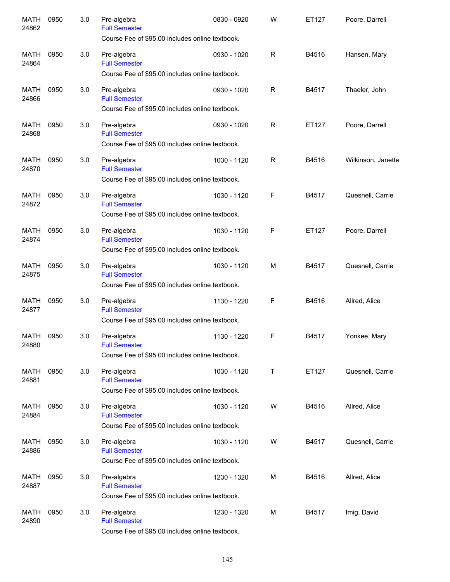| <b>MATH</b><br>24862 | 0950 | 3.0 | Pre-algebra<br><b>Full Semester</b><br>Course Fee of \$95.00 includes online textbook. | 0830 - 0920 | W            | ET127 | Poore, Darrell     |
|----------------------|------|-----|----------------------------------------------------------------------------------------|-------------|--------------|-------|--------------------|
| <b>MATH</b><br>24864 | 0950 | 3.0 | Pre-algebra<br><b>Full Semester</b><br>Course Fee of \$95.00 includes online textbook. | 0930 - 1020 | $\mathsf{R}$ | B4516 | Hansen, Mary       |
| <b>MATH</b><br>24866 | 0950 | 3.0 | Pre-algebra<br><b>Full Semester</b><br>Course Fee of \$95.00 includes online textbook. | 0930 - 1020 | $\mathsf{R}$ | B4517 | Thaeler, John      |
| <b>MATH</b><br>24868 | 0950 | 3.0 | Pre-algebra<br><b>Full Semester</b><br>Course Fee of \$95.00 includes online textbook. | 0930 - 1020 | $\mathsf{R}$ | ET127 | Poore, Darrell     |
| <b>MATH</b><br>24870 | 0950 | 3.0 | Pre-algebra<br><b>Full Semester</b><br>Course Fee of \$95.00 includes online textbook. | 1030 - 1120 | $\mathsf{R}$ | B4516 | Wilkinson, Janette |
| <b>MATH</b><br>24872 | 0950 | 3.0 | Pre-algebra<br><b>Full Semester</b><br>Course Fee of \$95.00 includes online textbook. | 1030 - 1120 | F            | B4517 | Quesnell, Carrie   |
| <b>MATH</b><br>24874 | 0950 | 3.0 | Pre-algebra<br><b>Full Semester</b><br>Course Fee of \$95.00 includes online textbook. | 1030 - 1120 | F            | ET127 | Poore, Darrell     |
| <b>MATH</b><br>24875 | 0950 | 3.0 | Pre-algebra<br><b>Full Semester</b><br>Course Fee of \$95.00 includes online textbook. | 1030 - 1120 | M            | B4517 | Quesnell, Carrie   |
| <b>MATH</b><br>24877 | 0950 | 3.0 | Pre-algebra<br><b>Full Semester</b><br>Course Fee of \$95.00 includes online textbook. | 1130 - 1220 | F            | B4516 | Allred, Alice      |
| <b>MATH</b><br>24880 | 0950 | 3.0 | Pre-algebra<br><b>Full Semester</b><br>Course Fee of \$95.00 includes online textbook. | 1130 - 1220 | F            | B4517 | Yonkee, Mary       |
| <b>MATH</b><br>24881 | 0950 | 3.0 | Pre-algebra<br><b>Full Semester</b><br>Course Fee of \$95.00 includes online textbook. | 1030 - 1120 | Τ            | ET127 | Quesnell, Carrie   |
| MATH<br>24884        | 0950 | 3.0 | Pre-algebra<br><b>Full Semester</b><br>Course Fee of \$95.00 includes online textbook. | 1030 - 1120 | W            | B4516 | Allred, Alice      |
| MATH<br>24886        | 0950 | 3.0 | Pre-algebra<br><b>Full Semester</b><br>Course Fee of \$95.00 includes online textbook. | 1030 - 1120 | W            | B4517 | Quesnell, Carrie   |
| MATH<br>24887        | 0950 | 3.0 | Pre-algebra<br><b>Full Semester</b><br>Course Fee of \$95.00 includes online textbook. | 1230 - 1320 | M            | B4516 | Allred, Alice      |
| MATH<br>24890        | 0950 | 3.0 | Pre-algebra<br><b>Full Semester</b><br>Course Fee of \$95.00 includes online textbook. | 1230 - 1320 | М            | B4517 | Imig, David        |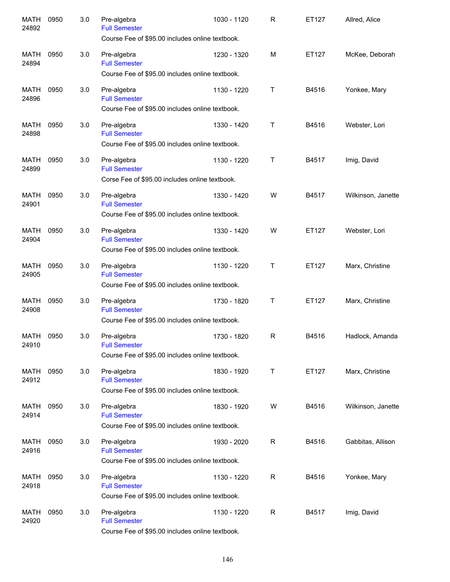| <b>MATH</b><br>24892 | 0950 | 3.0 | Pre-algebra<br><b>Full Semester</b>                                                    | 1030 - 1120 | R           | ET127 | Allred, Alice      |
|----------------------|------|-----|----------------------------------------------------------------------------------------|-------------|-------------|-------|--------------------|
|                      |      |     | Course Fee of \$95.00 includes online textbook.                                        |             |             |       |                    |
| <b>MATH</b><br>24894 | 0950 | 3.0 | Pre-algebra<br><b>Full Semester</b>                                                    | 1230 - 1320 | M           | ET127 | McKee, Deborah     |
|                      |      |     | Course Fee of \$95.00 includes online textbook.                                        |             |             |       |                    |
| <b>MATH</b><br>24896 | 0950 | 3.0 | Pre-algebra<br><b>Full Semester</b><br>Course Fee of \$95.00 includes online textbook. | 1130 - 1220 | T           | B4516 | Yonkee, Mary       |
|                      |      |     |                                                                                        |             |             |       |                    |
| <b>MATH</b><br>24898 | 0950 | 3.0 | Pre-algebra<br><b>Full Semester</b><br>Course Fee of \$95.00 includes online textbook. | 1330 - 1420 | Τ           | B4516 | Webster, Lori      |
|                      |      |     |                                                                                        |             |             |       |                    |
| <b>MATH</b><br>24899 | 0950 | 3.0 | Pre-algebra<br><b>Full Semester</b><br>Corse Fee of \$95.00 includes online textbook.  | 1130 - 1220 | T           | B4517 | Imig, David        |
|                      |      |     |                                                                                        |             |             |       |                    |
| <b>MATH</b><br>24901 | 0950 | 3.0 | Pre-algebra<br><b>Full Semester</b>                                                    | 1330 - 1420 | W           | B4517 | Wilkinson, Janette |
|                      |      |     | Course Fee of \$95.00 includes online textbook.                                        |             |             |       |                    |
| <b>MATH</b><br>24904 | 0950 | 3.0 | Pre-algebra<br><b>Full Semester</b>                                                    | 1330 - 1420 | W           | ET127 | Webster, Lori      |
|                      |      |     | Course Fee of \$95.00 includes online textbook.                                        |             |             |       |                    |
| <b>MATH</b><br>24905 | 0950 | 3.0 | Pre-algebra<br><b>Full Semester</b>                                                    | 1130 - 1220 | T           | ET127 | Marx, Christine    |
|                      |      |     | Course Fee of \$95.00 includes online textbook.                                        |             |             |       |                    |
| <b>MATH</b><br>24908 | 0950 | 3.0 | Pre-algebra<br><b>Full Semester</b>                                                    | 1730 - 1820 | T           | ET127 | Marx, Christine    |
|                      |      |     | Course Fee of \$95.00 includes online textbook.                                        |             |             |       |                    |
| <b>MATH</b><br>24910 | 0950 | 3.0 | Pre-algebra<br><b>Full Semester</b>                                                    | 1730 - 1820 | R           | B4516 | Hadlock, Amanda    |
|                      |      |     | Course Fee of \$95.00 includes online textbook.                                        |             |             |       |                    |
| <b>MATH</b><br>24912 | 0950 | 3.0 | Pre-algebra<br><b>Full Semester</b>                                                    | 1830 - 1920 | Τ           | ET127 | Marx, Christine    |
|                      |      |     | Course Fee of \$95.00 includes online textbook.                                        |             |             |       |                    |
| MATH<br>24914        | 0950 | 3.0 | Pre-algebra<br><b>Full Semester</b>                                                    | 1830 - 1920 | W           | B4516 | Wilkinson, Janette |
|                      |      |     | Course Fee of \$95.00 includes online textbook.                                        |             |             |       |                    |
| MATH<br>24916        | 0950 | 3.0 | Pre-algebra<br><b>Full Semester</b>                                                    | 1930 - 2020 | $\mathsf R$ | B4516 | Gabbitas, Allison  |
|                      |      |     | Course Fee of \$95.00 includes online textbook.                                        |             |             |       |                    |
| <b>MATH</b><br>24918 | 0950 | 3.0 | Pre-algebra<br><b>Full Semester</b>                                                    | 1130 - 1220 | $\mathsf R$ | B4516 | Yonkee, Mary       |
|                      |      |     | Course Fee of \$95.00 includes online textbook.                                        |             |             |       |                    |
| <b>MATH</b><br>24920 | 0950 | 3.0 | Pre-algebra<br><b>Full Semester</b>                                                    | 1130 - 1220 | R           | B4517 | Imig, David        |
|                      |      |     | Course Fee of \$95.00 includes online textbook.                                        |             |             |       |                    |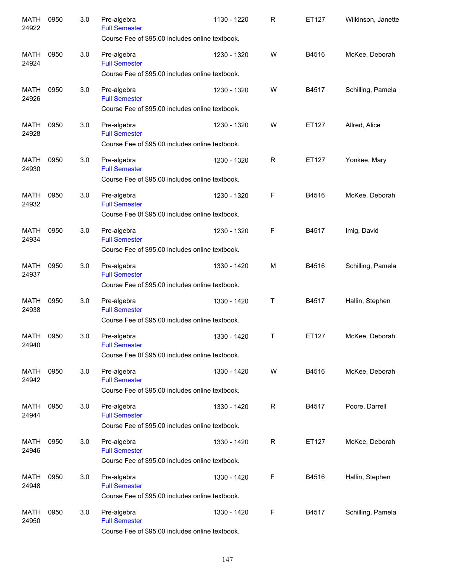| <b>MATH</b><br>24922 | 0950 | 3.0 | Pre-algebra<br><b>Full Semester</b>                                                    | 1130 - 1220 | R            | ET127 | Wilkinson, Janette |
|----------------------|------|-----|----------------------------------------------------------------------------------------|-------------|--------------|-------|--------------------|
|                      |      |     | Course Fee of \$95.00 includes online textbook.                                        |             |              |       |                    |
| <b>MATH</b><br>24924 | 0950 | 3.0 | Pre-algebra<br><b>Full Semester</b>                                                    | 1230 - 1320 | W            | B4516 | McKee, Deborah     |
|                      |      |     | Course Fee of \$95.00 includes online textbook.                                        |             |              |       |                    |
| <b>MATH</b><br>24926 | 0950 | 3.0 | Pre-algebra<br><b>Full Semester</b><br>Course Fee of \$95.00 includes online textbook. | 1230 - 1320 | W            | B4517 | Schilling, Pamela  |
|                      |      |     |                                                                                        |             |              |       |                    |
| <b>MATH</b><br>24928 | 0950 | 3.0 | Pre-algebra<br><b>Full Semester</b><br>Course Fee of \$95.00 includes online textbook. | 1230 - 1320 | W            | ET127 | Allred, Alice      |
|                      |      |     |                                                                                        |             |              |       |                    |
| <b>MATH</b><br>24930 | 0950 | 3.0 | Pre-algebra<br><b>Full Semester</b><br>Course Fee of \$95.00 includes online textbook. | 1230 - 1320 | $\mathsf{R}$ | ET127 | Yonkee, Mary       |
|                      |      |     |                                                                                        |             |              |       |                    |
| <b>MATH</b><br>24932 | 0950 | 3.0 | Pre-algebra<br><b>Full Semester</b>                                                    | 1230 - 1320 | F            | B4516 | McKee, Deborah     |
|                      |      |     | Course Fee 0f \$95.00 includes online textbook.                                        |             |              |       |                    |
| <b>MATH</b><br>24934 | 0950 | 3.0 | Pre-algebra<br><b>Full Semester</b>                                                    | 1230 - 1320 | F            | B4517 | Imig, David        |
|                      |      |     | Course Fee of \$95.00 includes online textbook.                                        |             |              |       |                    |
| <b>MATH</b><br>24937 | 0950 | 3.0 | Pre-algebra<br><b>Full Semester</b>                                                    | 1330 - 1420 | M            | B4516 | Schilling, Pamela  |
|                      |      |     | Course Fee of \$95.00 includes online textbook.                                        |             |              |       |                    |
| <b>MATH</b><br>24938 | 0950 | 3.0 | Pre-algebra<br><b>Full Semester</b>                                                    | 1330 - 1420 | Т            | B4517 | Hallin, Stephen    |
|                      |      |     | Course Fee of \$95.00 includes online textbook.                                        |             |              |       |                    |
| <b>MATH</b><br>24940 | 0950 | 3.0 | Pre-algebra<br><b>Full Semester</b>                                                    | 1330 - 1420 | Т            | ET127 | McKee, Deborah     |
|                      |      |     | Course Fee 0f \$95.00 includes online textbook.                                        |             |              |       |                    |
| MATH<br>24942        | 0950 | 3.0 | Pre-algebra<br><b>Full Semester</b>                                                    | 1330 - 1420 | W            | B4516 | McKee, Deborah     |
|                      |      |     | Course Fee of \$95.00 includes online textbook.                                        |             |              |       |                    |
| MATH<br>24944        | 0950 | 3.0 | Pre-algebra<br><b>Full Semester</b>                                                    | 1330 - 1420 | $\mathsf R$  | B4517 | Poore, Darrell     |
|                      |      |     | Course Fee of \$95.00 includes online textbook.                                        |             |              |       |                    |
| MATH<br>24946        | 0950 | 3.0 | Pre-algebra<br><b>Full Semester</b>                                                    | 1330 - 1420 | $\mathsf{R}$ | ET127 | McKee, Deborah     |
|                      |      |     | Course Fee of \$95.00 includes online textbook.                                        |             |              |       |                    |
| <b>MATH</b>          | 0950 |     |                                                                                        |             | F            | B4516 |                    |
| 24948                |      | 3.0 | Pre-algebra<br><b>Full Semester</b>                                                    | 1330 - 1420 |              |       | Hallin, Stephen    |
|                      |      |     | Course Fee of \$95.00 includes online textbook.                                        |             |              |       |                    |
| <b>MATH</b><br>24950 | 0950 | 3.0 | Pre-algebra<br><b>Full Semester</b>                                                    | 1330 - 1420 | F            | B4517 | Schilling, Pamela  |
|                      |      |     | Course Fee of \$95.00 includes online textbook.                                        |             |              |       |                    |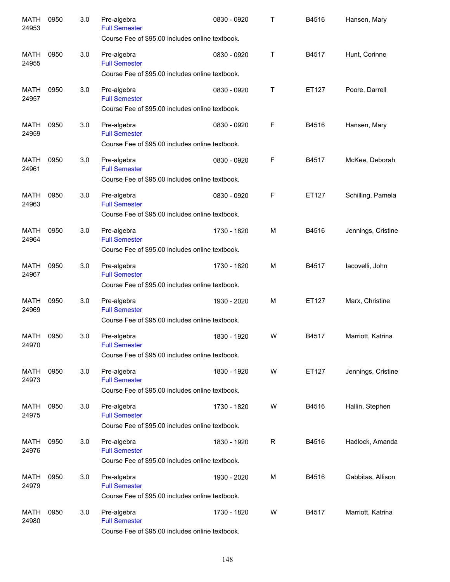| <b>MATH</b><br>24953 | 0950 | 3.0 | Pre-algebra<br><b>Full Semester</b><br>Course Fee of \$95.00 includes online textbook. | 0830 - 0920 | т           | B4516 | Hansen, Mary       |
|----------------------|------|-----|----------------------------------------------------------------------------------------|-------------|-------------|-------|--------------------|
| <b>MATH</b><br>24955 | 0950 | 3.0 | Pre-algebra<br><b>Full Semester</b><br>Course Fee of \$95.00 includes online textbook. | 0830 - 0920 | Т           | B4517 | Hunt, Corinne      |
| <b>MATH</b><br>24957 | 0950 | 3.0 | Pre-algebra<br><b>Full Semester</b><br>Course Fee of \$95.00 includes online textbook. | 0830 - 0920 | Τ           | ET127 | Poore, Darrell     |
| <b>MATH</b><br>24959 | 0950 | 3.0 | Pre-algebra<br><b>Full Semester</b><br>Course Fee of \$95.00 includes online textbook. | 0830 - 0920 | $\mathsf F$ | B4516 | Hansen, Mary       |
| <b>MATH</b><br>24961 | 0950 | 3.0 | Pre-algebra<br><b>Full Semester</b><br>Course Fee of \$95.00 includes online textbook. | 0830 - 0920 | F           | B4517 | McKee, Deborah     |
| <b>MATH</b><br>24963 | 0950 | 3.0 | Pre-algebra<br><b>Full Semester</b><br>Course Fee of \$95.00 includes online textbook. | 0830 - 0920 | F           | ET127 | Schilling, Pamela  |
| <b>MATH</b><br>24964 | 0950 | 3.0 | Pre-algebra<br><b>Full Semester</b><br>Course Fee of \$95.00 includes online textbook. | 1730 - 1820 | M           | B4516 | Jennings, Cristine |
| <b>MATH</b><br>24967 | 0950 | 3.0 | Pre-algebra<br><b>Full Semester</b><br>Course Fee of \$95.00 includes online textbook. | 1730 - 1820 | M           | B4517 | lacovelli, John    |
| <b>MATH</b><br>24969 | 0950 | 3.0 | Pre-algebra<br><b>Full Semester</b><br>Course Fee of \$95.00 includes online textbook. | 1930 - 2020 | M           | ET127 | Marx, Christine    |
| <b>MATH</b><br>24970 | 0950 | 3.0 | Pre-algebra<br><b>Full Semester</b><br>Course Fee of \$95.00 includes online textbook. | 1830 - 1920 | W           | B4517 | Marriott, Katrina  |
| MATH<br>24973        | 0950 | 3.0 | Pre-algebra<br><b>Full Semester</b><br>Course Fee of \$95.00 includes online textbook. | 1830 - 1920 | W           | ET127 | Jennings, Cristine |
| MATH<br>24975        | 0950 | 3.0 | Pre-algebra<br><b>Full Semester</b><br>Course Fee of \$95.00 includes online textbook. | 1730 - 1820 | W           | B4516 | Hallin, Stephen    |
| <b>MATH</b><br>24976 | 0950 | 3.0 | Pre-algebra<br><b>Full Semester</b><br>Course Fee of \$95.00 includes online textbook. | 1830 - 1920 | $\mathsf R$ | B4516 | Hadlock, Amanda    |
| <b>MATH</b><br>24979 | 0950 | 3.0 | Pre-algebra<br><b>Full Semester</b><br>Course Fee of \$95.00 includes online textbook. | 1930 - 2020 | М           | B4516 | Gabbitas, Allison  |
| <b>MATH</b><br>24980 | 0950 | 3.0 | Pre-algebra<br><b>Full Semester</b><br>Course Fee of \$95.00 includes online textbook. | 1730 - 1820 | W           | B4517 | Marriott, Katrina  |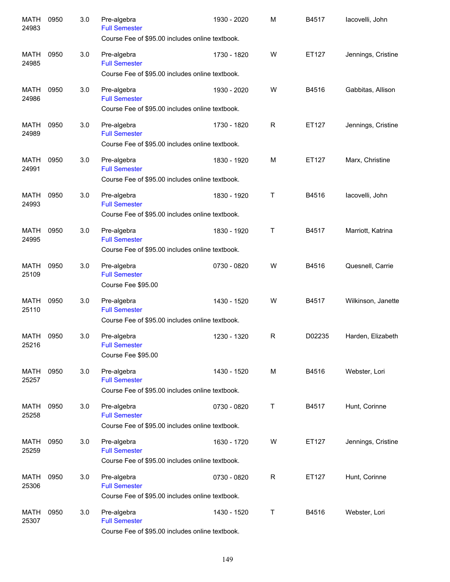| <b>MATH</b><br>24983 | 0950 | 3.0 | Pre-algebra<br><b>Full Semester</b><br>Course Fee of \$95.00 includes online textbook. | 1930 - 2020 | M            | B4517  | lacovelli, John    |
|----------------------|------|-----|----------------------------------------------------------------------------------------|-------------|--------------|--------|--------------------|
| <b>MATH</b><br>24985 | 0950 | 3.0 | Pre-algebra<br><b>Full Semester</b><br>Course Fee of \$95.00 includes online textbook. | 1730 - 1820 | W            | ET127  | Jennings, Cristine |
| <b>MATH</b><br>24986 | 0950 | 3.0 | Pre-algebra<br><b>Full Semester</b><br>Course Fee of \$95.00 includes online textbook. | 1930 - 2020 | W            | B4516  | Gabbitas, Allison  |
| <b>MATH</b><br>24989 | 0950 | 3.0 | Pre-algebra<br><b>Full Semester</b><br>Course Fee of \$95.00 includes online textbook. | 1730 - 1820 | R            | ET127  | Jennings, Cristine |
| <b>MATH</b><br>24991 | 0950 | 3.0 | Pre-algebra<br><b>Full Semester</b><br>Course Fee of \$95.00 includes online textbook. | 1830 - 1920 | M            | ET127  | Marx, Christine    |
| <b>MATH</b><br>24993 | 0950 | 3.0 | Pre-algebra<br><b>Full Semester</b><br>Course Fee of \$95.00 includes online textbook. | 1830 - 1920 | Τ            | B4516  | lacovelli, John    |
| <b>MATH</b><br>24995 | 0950 | 3.0 | Pre-algebra<br><b>Full Semester</b><br>Course Fee of \$95.00 includes online textbook. | 1830 - 1920 | Τ            | B4517  | Marriott, Katrina  |
| <b>MATH</b><br>25109 | 0950 | 3.0 | Pre-algebra<br><b>Full Semester</b><br>Course Fee \$95.00                              | 0730 - 0820 | W            | B4516  | Quesnell, Carrie   |
| <b>MATH</b><br>25110 | 0950 | 3.0 | Pre-algebra<br><b>Full Semester</b><br>Course Fee of \$95.00 includes online textbook. | 1430 - 1520 | W            | B4517  | Wilkinson, Janette |
| <b>MATH</b><br>25216 | 0950 | 3.0 | Pre-algebra<br><b>Full Semester</b><br>Course Fee \$95.00                              | 1230 - 1320 | $\mathsf{R}$ | D02235 | Harden, Elizabeth  |
| MATH<br>25257        | 0950 | 3.0 | Pre-algebra<br><b>Full Semester</b><br>Course Fee of \$95.00 includes online textbook. | 1430 - 1520 | M            | B4516  | Webster, Lori      |
| MATH<br>25258        | 0950 | 3.0 | Pre-algebra<br><b>Full Semester</b><br>Course Fee of \$95.00 includes online textbook. | 0730 - 0820 | Τ            | B4517  | Hunt, Corinne      |
| MATH<br>25259        | 0950 | 3.0 | Pre-algebra<br><b>Full Semester</b><br>Course Fee of \$95.00 includes online textbook. | 1630 - 1720 | W            | ET127  | Jennings, Cristine |
| <b>MATH</b><br>25306 | 0950 | 3.0 | Pre-algebra<br><b>Full Semester</b><br>Course Fee of \$95.00 includes online textbook. | 0730 - 0820 | R            | ET127  | Hunt, Corinne      |
| <b>MATH</b><br>25307 | 0950 | 3.0 | Pre-algebra<br><b>Full Semester</b><br>Course Fee of \$95.00 includes online textbook. | 1430 - 1520 | Τ            | B4516  | Webster, Lori      |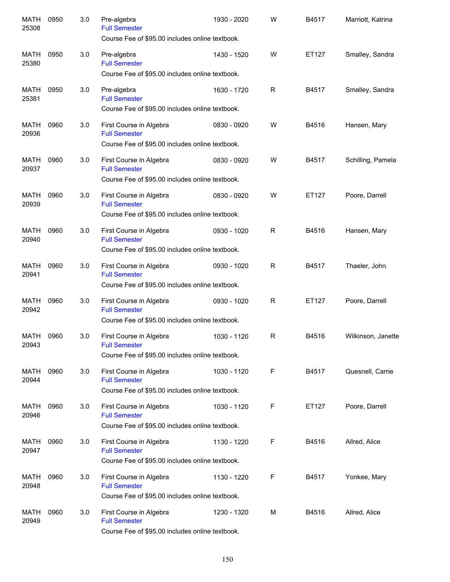| <b>MATH</b><br>25308 | 0950 | 3.0 | Pre-algebra<br><b>Full Semester</b><br>Course Fee of \$95.00 includes online textbook.             | 1930 - 2020 | W            | B4517 | Marriott, Katrina  |
|----------------------|------|-----|----------------------------------------------------------------------------------------------------|-------------|--------------|-------|--------------------|
| <b>MATH</b><br>25380 | 0950 | 3.0 | Pre-algebra<br><b>Full Semester</b>                                                                | 1430 - 1520 | W            | ET127 | Smalley, Sandra    |
|                      |      |     | Course Fee of \$95.00 includes online textbook.                                                    |             |              |       |                    |
| <b>MATH</b><br>25381 | 0950 | 3.0 | Pre-algebra<br><b>Full Semester</b><br>Course Fee of \$95.00 includes online textbook.             | 1630 - 1720 | R            | B4517 | Smalley, Sandra    |
| <b>MATH</b><br>20936 | 0960 | 3.0 | First Course in Algebra<br><b>Full Semester</b><br>Course Fee of \$95.00 includes online textbook. | 0830 - 0920 | W            | B4516 | Hansen, Mary       |
| <b>MATH</b><br>20937 | 0960 | 3.0 | First Course in Algebra<br><b>Full Semester</b><br>Course Fee of \$95.00 includes online textbook. | 0830 - 0920 | W            | B4517 | Schilling, Pamela  |
| <b>MATH</b><br>20939 | 0960 | 3.0 | First Course in Algebra<br><b>Full Semester</b>                                                    | 0830 - 0920 | W            | ET127 | Poore, Darrell     |
| <b>MATH</b><br>20940 | 0960 | 3.0 | Course Fee of \$95.00 includes online textbook.<br>First Course in Algebra<br><b>Full Semester</b> | 0930 - 1020 | $\mathsf{R}$ | B4516 | Hansen, Mary       |
|                      |      |     | Course Fee of \$95.00 includes online textbook.                                                    |             |              |       |                    |
| <b>MATH</b><br>20941 | 0960 | 3.0 | First Course in Algebra<br><b>Full Semester</b><br>Course Fee of \$95.00 includes online textbook. | 0930 - 1020 | $\mathsf{R}$ | B4517 | Thaeler, John      |
| <b>MATH</b><br>20942 | 0960 | 3.0 | First Course in Algebra<br><b>Full Semester</b>                                                    | 0930 - 1020 | $\mathsf{R}$ | ET127 | Poore, Darrell     |
|                      |      |     | Course Fee of \$95.00 includes online textbook.                                                    |             |              |       |                    |
| <b>MATH</b><br>20943 | 0960 | 3.0 | First Course in Algebra<br><b>Full Semester</b><br>Course Fee of \$95.00 includes online textbook. | 1030 - 1120 | R            | B4516 | Wilkinson, Janette |
| MATH<br>20944        | 0960 | 3.0 | First Course in Algebra<br><b>Full Semester</b>                                                    | 1030 - 1120 | F            | B4517 | Quesnell, Carrie   |
|                      |      |     | Course Fee of \$95.00 includes online textbook.                                                    |             |              |       |                    |
| MATH<br>20946        | 0960 | 3.0 | First Course in Algebra<br><b>Full Semester</b><br>Course Fee of \$95.00 includes online textbook. | 1030 - 1120 | F            | ET127 | Poore, Darrell     |
| MATH<br>20947        | 0960 | 3.0 | First Course in Algebra<br><b>Full Semester</b>                                                    | 1130 - 1220 | F            | B4516 | Allred, Alice      |
|                      |      |     | Course Fee of \$95.00 includes online textbook.                                                    |             |              |       |                    |
| <b>MATH</b><br>20948 | 0960 | 3.0 | First Course in Algebra<br><b>Full Semester</b>                                                    | 1130 - 1220 | F            | B4517 | Yonkee, Mary       |
|                      |      |     | Course Fee of \$95.00 includes online textbook.                                                    |             |              |       |                    |
| <b>MATH</b><br>20949 | 0960 | 3.0 | First Course in Algebra<br><b>Full Semester</b><br>Course Fee of \$95.00 includes online textbook. | 1230 - 1320 | М            | B4516 | Allred, Alice      |
|                      |      |     |                                                                                                    |             |              |       |                    |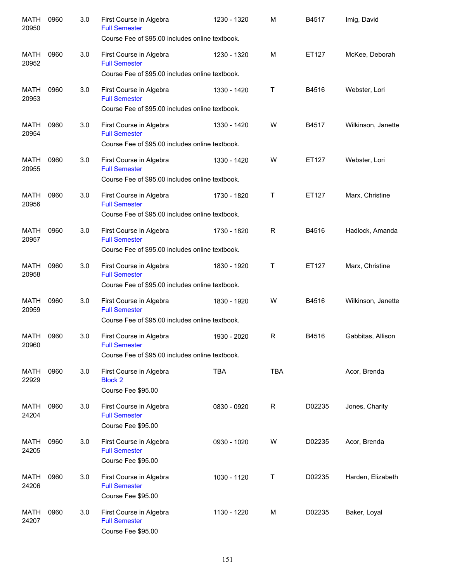| <b>MATH</b><br>20950 | 0960 | 3.0 | First Course in Algebra<br><b>Full Semester</b>                                                    | 1230 - 1320 | M            | B4517  | Imig, David        |
|----------------------|------|-----|----------------------------------------------------------------------------------------------------|-------------|--------------|--------|--------------------|
|                      |      |     | Course Fee of \$95.00 includes online textbook.                                                    |             |              |        |                    |
| MATH<br>20952        | 0960 | 3.0 | First Course in Algebra<br><b>Full Semester</b>                                                    | 1230 - 1320 | M            | ET127  | McKee, Deborah     |
|                      |      |     | Course Fee of \$95.00 includes online textbook.                                                    |             |              |        |                    |
| MATH<br>20953        | 0960 | 3.0 | First Course in Algebra<br><b>Full Semester</b><br>Course Fee of \$95.00 includes online textbook. | 1330 - 1420 | Τ            | B4516  | Webster, Lori      |
|                      |      |     |                                                                                                    |             |              |        |                    |
| MATH<br>20954        | 0960 | 3.0 | First Course in Algebra<br><b>Full Semester</b><br>Course Fee of \$95.00 includes online textbook. | 1330 - 1420 | W            | B4517  | Wilkinson, Janette |
|                      |      |     |                                                                                                    |             |              |        |                    |
| MATH<br>20955        | 0960 | 3.0 | First Course in Algebra<br><b>Full Semester</b><br>Course Fee of \$95.00 includes online textbook. | 1330 - 1420 | W            | ET127  | Webster, Lori      |
|                      |      |     |                                                                                                    |             |              |        |                    |
| MATH<br>20956        | 0960 | 3.0 | First Course in Algebra<br><b>Full Semester</b>                                                    | 1730 - 1820 | $\mathsf{T}$ | ET127  | Marx, Christine    |
|                      |      |     | Course Fee of \$95.00 includes online textbook.                                                    |             |              |        |                    |
| <b>MATH</b><br>20957 | 0960 | 3.0 | First Course in Algebra<br><b>Full Semester</b>                                                    | 1730 - 1820 | R            | B4516  | Hadlock, Amanda    |
|                      |      |     | Course Fee of \$95.00 includes online textbook.                                                    |             |              |        |                    |
| <b>MATH</b><br>20958 | 0960 | 3.0 | First Course in Algebra<br><b>Full Semester</b>                                                    | 1830 - 1920 | Τ            | ET127  | Marx, Christine    |
|                      |      |     | Course Fee of \$95.00 includes online textbook.                                                    |             |              |        |                    |
| <b>MATH</b><br>20959 | 0960 | 3.0 | First Course in Algebra<br><b>Full Semester</b>                                                    | 1830 - 1920 | W            | B4516  | Wilkinson, Janette |
|                      |      |     | Course Fee of \$95.00 includes online textbook.                                                    |             |              |        |                    |
| <b>MATH</b><br>20960 | 0960 | 3.0 | First Course in Algebra<br><b>Full Semester</b>                                                    | 1930 - 2020 | R            | B4516  | Gabbitas, Allison  |
|                      |      |     | Course Fee of \$95.00 includes online textbook.                                                    |             |              |        |                    |
| MATH<br>22929        | 0960 | 3.0 | First Course in Algebra<br><b>Block 2</b>                                                          | <b>TBA</b>  | <b>TBA</b>   |        | Acor, Brenda       |
|                      |      |     | Course Fee \$95.00                                                                                 |             |              |        |                    |
| MATH<br>24204        | 0960 | 3.0 | First Course in Algebra<br><b>Full Semester</b><br>Course Fee \$95.00                              | 0830 - 0920 | $\mathsf{R}$ | D02235 | Jones, Charity     |
| MATH                 | 0960 | 3.0 | First Course in Algebra                                                                            | 0930 - 1020 | W            | D02235 | Acor, Brenda       |
| 24205                |      |     | <b>Full Semester</b><br>Course Fee \$95.00                                                         |             |              |        |                    |
| MATH                 | 0960 | 3.0 | First Course in Algebra                                                                            | 1030 - 1120 | Т            | D02235 | Harden, Elizabeth  |
| 24206                |      |     | <b>Full Semester</b><br>Course Fee \$95.00                                                         |             |              |        |                    |
| MATH<br>24207        | 0960 | 3.0 | First Course in Algebra<br><b>Full Semester</b><br>Course Fee \$95.00                              | 1130 - 1220 | М            | D02235 | Baker, Loyal       |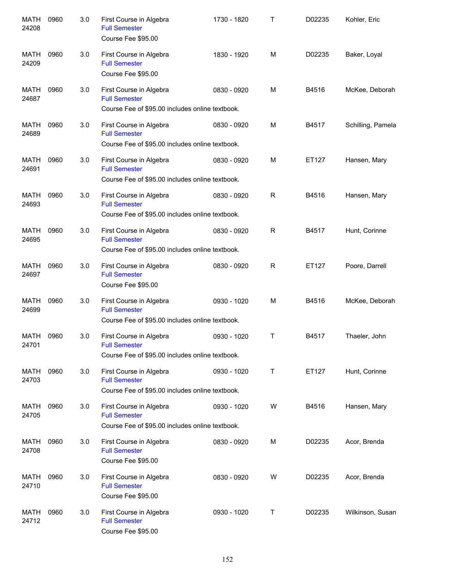| <b>MATH</b><br>24208 | 0960 | 3.0 | First Course in Algebra<br><b>Full Semester</b><br>Course Fee \$95.00                              | 1730 - 1820 | Т            | D02235 | Kohler, Eric      |
|----------------------|------|-----|----------------------------------------------------------------------------------------------------|-------------|--------------|--------|-------------------|
| <b>MATH</b><br>24209 | 0960 | 3.0 | First Course in Algebra<br><b>Full Semester</b><br>Course Fee \$95.00                              | 1830 - 1920 | M            | D02235 | Baker, Loyal      |
| <b>MATH</b><br>24687 | 0960 | 3.0 | First Course in Algebra<br><b>Full Semester</b><br>Course Fee of \$95.00 includes online textbook. | 0830 - 0920 | M            | B4516  | McKee, Deborah    |
| <b>MATH</b><br>24689 | 0960 | 3.0 | First Course in Algebra<br><b>Full Semester</b><br>Course Fee of \$95.00 includes online textbook. | 0830 - 0920 | M            | B4517  | Schilling, Pamela |
| <b>MATH</b><br>24691 | 0960 | 3.0 | First Course in Algebra<br><b>Full Semester</b><br>Course Fee of \$95.00 includes online textbook. | 0830 - 0920 | M            | ET127  | Hansen, Mary      |
| <b>MATH</b><br>24693 | 0960 | 3.0 | First Course in Algebra<br><b>Full Semester</b><br>Course Fee of \$95.00 includes online textbook. | 0830 - 0920 | R            | B4516  | Hansen, Mary      |
| <b>MATH</b><br>24695 | 0960 | 3.0 | First Course in Algebra<br><b>Full Semester</b><br>Course Fee of \$95.00 includes online textbook. | 0830 - 0920 | $\mathsf{R}$ | B4517  | Hunt, Corinne     |
| <b>MATH</b><br>24697 | 0960 | 3.0 | First Course in Algebra<br><b>Full Semester</b><br>Course Fee \$95.00                              | 0830 - 0920 | R            | ET127  | Poore, Darrell    |
| <b>MATH</b><br>24699 | 0960 | 3.0 | First Course in Algebra<br><b>Full Semester</b><br>Course Fee of \$95.00 includes online textbook. | 0930 - 1020 | M            | B4516  | McKee, Deborah    |
| <b>MATH</b><br>24701 | 0960 | 3.0 | First Course in Algebra<br><b>Full Semester</b><br>Course Fee of \$95.00 includes online textbook. | 0930 - 1020 | $\mathsf{T}$ | B4517  | Thaeler, John     |
| MATH<br>24703        | 0960 | 3.0 | First Course in Algebra<br><b>Full Semester</b><br>Course Fee of \$95.00 includes online textbook. | 0930 - 1020 | T            | ET127  | Hunt, Corinne     |
| MATH<br>24705        | 0960 | 3.0 | First Course in Algebra<br><b>Full Semester</b><br>Course Fee of \$95.00 includes online textbook. | 0930 - 1020 | W            | B4516  | Hansen, Mary      |
| MATH<br>24708        | 0960 | 3.0 | First Course in Algebra<br><b>Full Semester</b><br>Course Fee \$95.00                              | 0830 - 0920 | M            | D02235 | Acor, Brenda      |
| MATH<br>24710        | 0960 | 3.0 | First Course in Algebra<br><b>Full Semester</b><br>Course Fee \$95.00                              | 0830 - 0920 | W            | D02235 | Acor, Brenda      |
| <b>MATH</b><br>24712 | 0960 | 3.0 | First Course in Algebra<br><b>Full Semester</b><br>Course Fee \$95.00                              | 0930 - 1020 | Т            | D02235 | Wilkinson, Susan  |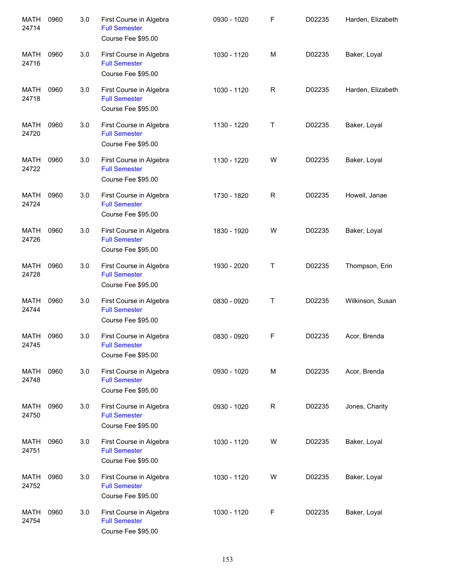| <b>MATH</b><br>24714 | 0960 | 3.0 | First Course in Algebra<br><b>Full Semester</b><br>Course Fee \$95.00 | 0930 - 1020 | F           | D02235 | Harden, Elizabeth |
|----------------------|------|-----|-----------------------------------------------------------------------|-------------|-------------|--------|-------------------|
| <b>MATH</b><br>24716 | 0960 | 3.0 | First Course in Algebra<br><b>Full Semester</b><br>Course Fee \$95.00 | 1030 - 1120 | M           | D02235 | Baker, Loyal      |
| <b>MATH</b><br>24718 | 0960 | 3.0 | First Course in Algebra<br><b>Full Semester</b><br>Course Fee \$95.00 | 1030 - 1120 | $\mathsf R$ | D02235 | Harden, Elizabeth |
| <b>MATH</b><br>24720 | 0960 | 3.0 | First Course in Algebra<br><b>Full Semester</b><br>Course Fee \$95.00 | 1130 - 1220 | Τ           | D02235 | Baker, Loyal      |
| <b>MATH</b><br>24722 | 0960 | 3.0 | First Course in Algebra<br><b>Full Semester</b><br>Course Fee \$95.00 | 1130 - 1220 | W           | D02235 | Baker, Loyal      |
| <b>MATH</b><br>24724 | 0960 | 3.0 | First Course in Algebra<br><b>Full Semester</b><br>Course Fee \$95.00 | 1730 - 1820 | R           | D02235 | Howell, Janae     |
| <b>MATH</b><br>24726 | 0960 | 3.0 | First Course in Algebra<br><b>Full Semester</b><br>Course Fee \$95.00 | 1830 - 1920 | W           | D02235 | Baker, Loyal      |
| <b>MATH</b><br>24728 | 0960 | 3.0 | First Course in Algebra<br><b>Full Semester</b><br>Course Fee \$95.00 | 1930 - 2020 | Τ           | D02235 | Thompson, Erin    |
| <b>MATH</b><br>24744 | 0960 | 3.0 | First Course in Algebra<br><b>Full Semester</b><br>Course Fee \$95.00 | 0830 - 0920 | Τ           | D02235 | Wilkinson, Susan  |
| <b>MATH</b><br>24745 | 0960 | 3.0 | First Course in Algebra<br><b>Full Semester</b><br>Course Fee \$95.00 | 0830 - 0920 | F           | D02235 | Acor, Brenda      |
| <b>MATH</b><br>24748 | 0960 | 3.0 | First Course in Algebra<br><b>Full Semester</b><br>Course Fee \$95.00 | 0930 - 1020 | M           | D02235 | Acor, Brenda      |
| <b>MATH</b><br>24750 | 0960 | 3.0 | First Course in Algebra<br><b>Full Semester</b><br>Course Fee \$95.00 | 0930 - 1020 | $\mathsf R$ | D02235 | Jones, Charity    |
| <b>MATH</b><br>24751 | 0960 | 3.0 | First Course in Algebra<br><b>Full Semester</b><br>Course Fee \$95.00 | 1030 - 1120 | W           | D02235 | Baker, Loyal      |
| MATH<br>24752        | 0960 | 3.0 | First Course in Algebra<br><b>Full Semester</b><br>Course Fee \$95.00 | 1030 - 1120 | W           | D02235 | Baker, Loyal      |
| <b>MATH</b><br>24754 | 0960 | 3.0 | First Course in Algebra<br><b>Full Semester</b><br>Course Fee \$95.00 | 1030 - 1120 | F           | D02235 | Baker, Loyal      |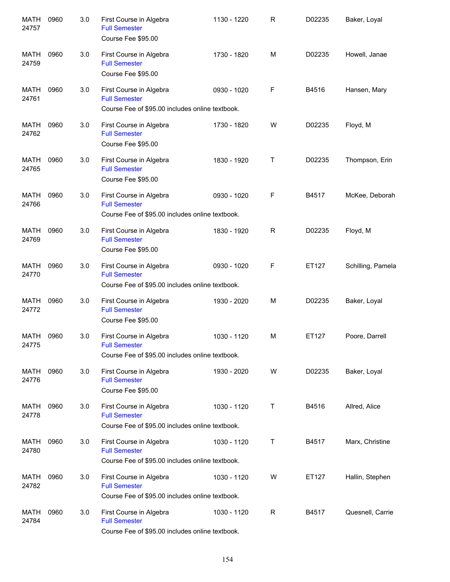| <b>MATH</b><br>24757 | 0960 | 3.0 | First Course in Algebra<br><b>Full Semester</b><br>Course Fee \$95.00                              | 1130 - 1220 | R | D02235 | Baker, Loyal      |
|----------------------|------|-----|----------------------------------------------------------------------------------------------------|-------------|---|--------|-------------------|
| MATH<br>24759        | 0960 | 3.0 | First Course in Algebra<br><b>Full Semester</b><br>Course Fee \$95.00                              | 1730 - 1820 | M | D02235 | Howell, Janae     |
| MATH<br>24761        | 0960 | 3.0 | First Course in Algebra<br><b>Full Semester</b><br>Course Fee of \$95.00 includes online textbook. | 0930 - 1020 | F | B4516  | Hansen, Mary      |
| <b>MATH</b><br>24762 | 0960 | 3.0 | First Course in Algebra<br><b>Full Semester</b><br>Course Fee \$95.00                              | 1730 - 1820 | W | D02235 | Floyd, M          |
| MATH<br>24765        | 0960 | 3.0 | First Course in Algebra<br><b>Full Semester</b><br>Course Fee \$95.00                              | 1830 - 1920 | Τ | D02235 | Thompson, Erin    |
| <b>MATH</b><br>24766 | 0960 | 3.0 | First Course in Algebra<br><b>Full Semester</b><br>Course Fee of \$95.00 includes online textbook. | 0930 - 1020 | F | B4517  | McKee, Deborah    |
| <b>MATH</b><br>24769 | 0960 | 3.0 | First Course in Algebra<br><b>Full Semester</b><br>Course Fee \$95.00                              | 1830 - 1920 | R | D02235 | Floyd, M          |
| <b>MATH</b><br>24770 | 0960 | 3.0 | First Course in Algebra<br><b>Full Semester</b><br>Course Fee of \$95.00 includes online textbook. | 0930 - 1020 | F | ET127  | Schilling, Pamela |
| <b>MATH</b><br>24772 | 0960 | 3.0 | First Course in Algebra<br><b>Full Semester</b><br>Course Fee \$95.00                              | 1930 - 2020 | M | D02235 | Baker, Loyal      |
| MATH<br>24775        | 0960 | 3.0 | First Course in Algebra<br><b>Full Semester</b><br>Course Fee of \$95.00 includes online textbook. | 1030 - 1120 | М | ET127  | Poore, Darrell    |
| MATH<br>24776        | 0960 | 3.0 | First Course in Algebra<br><b>Full Semester</b><br>Course Fee \$95.00                              | 1930 - 2020 | W | D02235 | Baker, Loyal      |
| MATH<br>24778        | 0960 | 3.0 | First Course in Algebra<br><b>Full Semester</b><br>Course Fee of \$95.00 includes online textbook. | 1030 - 1120 | Τ | B4516  | Allred, Alice     |
| MATH<br>24780        | 0960 | 3.0 | First Course in Algebra<br><b>Full Semester</b><br>Course Fee of \$95.00 includes online textbook. | 1030 - 1120 | Τ | B4517  | Marx, Christine   |
| MATH<br>24782        | 0960 | 3.0 | First Course in Algebra<br><b>Full Semester</b><br>Course Fee of \$95.00 includes online textbook. | 1030 - 1120 | W | ET127  | Hallin, Stephen   |
| MATH<br>24784        | 0960 | 3.0 | First Course in Algebra<br><b>Full Semester</b><br>Course Fee of \$95.00 includes online textbook. | 1030 - 1120 | R | B4517  | Quesnell, Carrie  |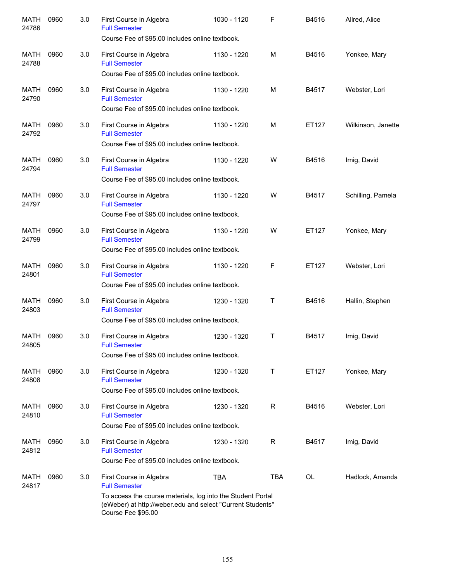| MATH<br>24786        | 0960 | 3.0 | First Course in Algebra<br><b>Full Semester</b><br>Course Fee of \$95.00 includes online textbook.                                                                                                 | 1030 - 1120 | F           | B4516     | Allred, Alice      |
|----------------------|------|-----|----------------------------------------------------------------------------------------------------------------------------------------------------------------------------------------------------|-------------|-------------|-----------|--------------------|
| MATH<br>24788        | 0960 | 3.0 | First Course in Algebra<br><b>Full Semester</b><br>Course Fee of \$95.00 includes online textbook.                                                                                                 | 1130 - 1220 | M           | B4516     | Yonkee, Mary       |
| MATH<br>24790        | 0960 | 3.0 | First Course in Algebra<br><b>Full Semester</b><br>Course Fee of \$95.00 includes online textbook.                                                                                                 | 1130 - 1220 | M           | B4517     | Webster, Lori      |
| MATH<br>24792        | 0960 | 3.0 | First Course in Algebra<br><b>Full Semester</b><br>Course Fee of \$95.00 includes online textbook.                                                                                                 | 1130 - 1220 | M           | ET127     | Wilkinson, Janette |
| MATH<br>24794        | 0960 | 3.0 | First Course in Algebra<br><b>Full Semester</b><br>Course Fee of \$95.00 includes online textbook.                                                                                                 | 1130 - 1220 | W           | B4516     | Imig, David        |
| MATH<br>24797        | 0960 | 3.0 | First Course in Algebra<br><b>Full Semester</b><br>Course Fee of \$95.00 includes online textbook.                                                                                                 | 1130 - 1220 | W           | B4517     | Schilling, Pamela  |
| MATH<br>24799        | 0960 | 3.0 | First Course in Algebra<br><b>Full Semester</b><br>Course Fee of \$95.00 includes online textbook.                                                                                                 | 1130 - 1220 | W           | ET127     | Yonkee, Mary       |
| <b>MATH</b><br>24801 | 0960 | 3.0 | First Course in Algebra<br><b>Full Semester</b><br>Course Fee of \$95.00 includes online textbook.                                                                                                 | 1130 - 1220 | F           | ET127     | Webster, Lori      |
| <b>MATH</b><br>24803 | 0960 | 3.0 | First Course in Algebra<br><b>Full Semester</b><br>Course Fee of \$95.00 includes online textbook.                                                                                                 | 1230 - 1320 | Τ           | B4516     | Hallin, Stephen    |
| MATH<br>24805        | 0960 | 3.0 | First Course in Algebra<br><b>Full Semester</b><br>Course Fee of \$95.00 includes online textbook.                                                                                                 | 1230 - 1320 | T           | B4517     | Imig, David        |
| MATH<br>24808        | 0960 | 3.0 | First Course in Algebra<br><b>Full Semester</b><br>Course Fee of \$95.00 includes online textbook.                                                                                                 | 1230 - 1320 | Τ           | ET127     | Yonkee, Mary       |
| <b>MATH</b><br>24810 | 0960 | 3.0 | First Course in Algebra<br><b>Full Semester</b><br>Course Fee of \$95.00 includes online textbook.                                                                                                 | 1230 - 1320 | $\mathsf R$ | B4516     | Webster, Lori      |
| MATH<br>24812        | 0960 | 3.0 | First Course in Algebra<br><b>Full Semester</b><br>Course Fee of \$95.00 includes online textbook.                                                                                                 | 1230 - 1320 | R           | B4517     | Imig, David        |
| MATH<br>24817        | 0960 | 3.0 | First Course in Algebra<br><b>Full Semester</b><br>To access the course materials, log into the Student Portal<br>(eWeber) at http://weber.edu and select "Current Students"<br>Course Fee \$95.00 | <b>TBA</b>  | <b>TBA</b>  | <b>OL</b> | Hadlock, Amanda    |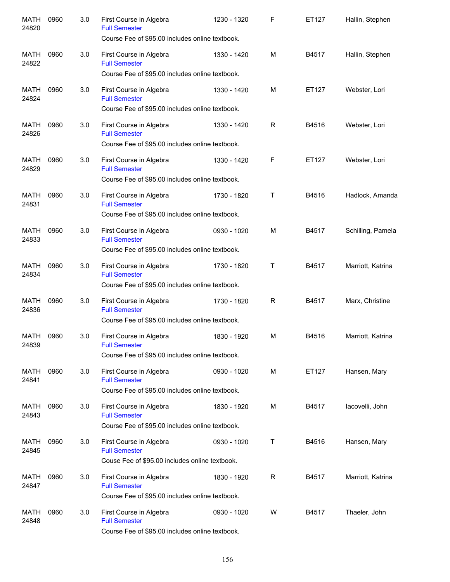| <b>MATH</b><br>24820 | 0960 | 3.0 | First Course in Algebra<br><b>Full Semester</b><br>Course Fee of \$95.00 includes online textbook. | 1230 - 1320 | F           | ET127 | Hallin, Stephen   |
|----------------------|------|-----|----------------------------------------------------------------------------------------------------|-------------|-------------|-------|-------------------|
| <b>MATH</b><br>24822 | 0960 | 3.0 | First Course in Algebra<br><b>Full Semester</b><br>Course Fee of \$95.00 includes online textbook. | 1330 - 1420 | M           | B4517 | Hallin, Stephen   |
| <b>MATH</b><br>24824 | 0960 | 3.0 | First Course in Algebra<br><b>Full Semester</b><br>Course Fee of \$95.00 includes online textbook. | 1330 - 1420 | M           | ET127 | Webster, Lori     |
| <b>MATH</b><br>24826 | 0960 | 3.0 | First Course in Algebra<br><b>Full Semester</b><br>Course Fee of \$95.00 includes online textbook. | 1330 - 1420 | R           | B4516 | Webster, Lori     |
| <b>MATH</b><br>24829 | 0960 | 3.0 | First Course in Algebra<br><b>Full Semester</b><br>Course Fee of \$95.00 includes online textbook. | 1330 - 1420 | $\mathsf F$ | ET127 | Webster, Lori     |
| <b>MATH</b><br>24831 | 0960 | 3.0 | First Course in Algebra<br><b>Full Semester</b><br>Course Fee of \$95.00 includes online textbook. | 1730 - 1820 | T           | B4516 | Hadlock, Amanda   |
| <b>MATH</b><br>24833 | 0960 | 3.0 | First Course in Algebra<br><b>Full Semester</b><br>Course Fee of \$95.00 includes online textbook. | 0930 - 1020 | M           | B4517 | Schilling, Pamela |
| <b>MATH</b><br>24834 | 0960 | 3.0 | First Course in Algebra<br><b>Full Semester</b><br>Course Fee of \$95.00 includes online textbook. | 1730 - 1820 | т           | B4517 | Marriott, Katrina |
| <b>MATH</b><br>24836 | 0960 | 3.0 | First Course in Algebra<br><b>Full Semester</b><br>Course Fee of \$95.00 includes online textbook. | 1730 - 1820 | R           | B4517 | Marx, Christine   |
| <b>MATH</b><br>24839 | 0960 | 3.0 | First Course in Algebra<br><b>Full Semester</b><br>Course Fee of \$95.00 includes online textbook. | 1830 - 1920 | M           | B4516 | Marriott, Katrina |
| MATH<br>24841        | 0960 | 3.0 | First Course in Algebra<br><b>Full Semester</b><br>Course Fee of \$95.00 includes online textbook. | 0930 - 1020 | M           | ET127 | Hansen, Mary      |
| MATH<br>24843        | 0960 | 3.0 | First Course in Algebra<br><b>Full Semester</b><br>Course Fee of \$95.00 includes online textbook. | 1830 - 1920 | М           | B4517 | lacovelli, John   |
| MATH<br>24845        | 0960 | 3.0 | First Course in Algebra<br><b>Full Semester</b><br>Couse Fee of \$95.00 includes online textbook.  | 0930 - 1020 | Τ           | B4516 | Hansen, Mary      |
| <b>MATH</b><br>24847 | 0960 | 3.0 | First Course in Algebra<br><b>Full Semester</b><br>Course Fee of \$95.00 includes online textbook. | 1830 - 1920 | R           | B4517 | Marriott, Katrina |
| <b>MATH</b><br>24848 | 0960 | 3.0 | First Course in Algebra<br><b>Full Semester</b><br>Course Fee of \$95.00 includes online textbook. | 0930 - 1020 | W           | B4517 | Thaeler, John     |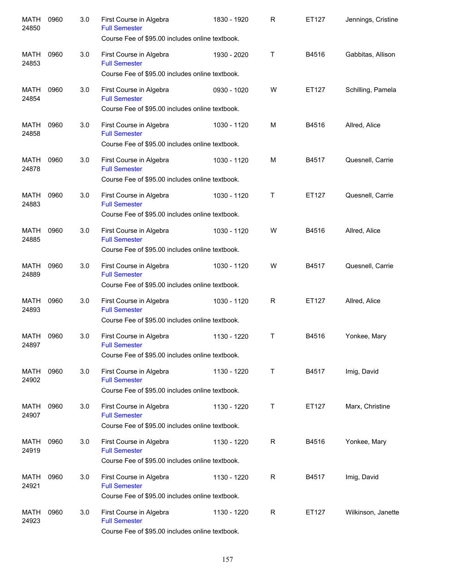| <b>MATH</b><br>24850 | 0960 | 3.0 | First Course in Algebra<br><b>Full Semester</b><br>Course Fee of \$95.00 includes online textbook. | 1830 - 1920 | R            | ET127 | Jennings, Cristine |
|----------------------|------|-----|----------------------------------------------------------------------------------------------------|-------------|--------------|-------|--------------------|
| MATH<br>24853        | 0960 | 3.0 | First Course in Algebra<br><b>Full Semester</b>                                                    | 1930 - 2020 | Τ            | B4516 | Gabbitas, Allison  |
|                      |      |     | Course Fee of \$95.00 includes online textbook.                                                    |             |              |       |                    |
| <b>MATH</b><br>24854 | 0960 | 3.0 | First Course in Algebra<br><b>Full Semester</b><br>Course Fee of \$95.00 includes online textbook. | 0930 - 1020 | W            | ET127 | Schilling, Pamela  |
| <b>MATH</b>          | 0960 | 3.0 | First Course in Algebra                                                                            | 1030 - 1120 | M            | B4516 | Allred, Alice      |
| 24858                |      |     | <b>Full Semester</b><br>Course Fee of \$95.00 includes online textbook.                            |             |              |       |                    |
| <b>MATH</b><br>24878 | 0960 | 3.0 | First Course in Algebra<br><b>Full Semester</b><br>Course Fee of \$95.00 includes online textbook. | 1030 - 1120 | M            | B4517 | Quesnell, Carrie   |
| <b>MATH</b>          | 0960 | 3.0 | First Course in Algebra                                                                            | 1030 - 1120 | т            | ET127 | Quesnell, Carrie   |
| 24883                |      |     | <b>Full Semester</b><br>Course Fee of \$95.00 includes online textbook.                            |             |              |       |                    |
|                      |      |     |                                                                                                    |             |              |       |                    |
| <b>MATH</b><br>24885 | 0960 | 3.0 | First Course in Algebra<br><b>Full Semester</b><br>Course Fee of \$95.00 includes online textbook. | 1030 - 1120 | W            | B4516 | Allred, Alice      |
|                      |      |     |                                                                                                    |             |              |       |                    |
| <b>MATH</b><br>24889 | 0960 | 3.0 | First Course in Algebra<br><b>Full Semester</b><br>Course Fee of \$95.00 includes online textbook. | 1030 - 1120 | W            | B4517 | Quesnell, Carrie   |
|                      |      |     |                                                                                                    |             |              |       |                    |
| <b>MATH</b><br>24893 | 0960 | 3.0 | First Course in Algebra<br><b>Full Semester</b>                                                    | 1030 - 1120 | R            | ET127 | Allred, Alice      |
|                      |      |     | Course Fee of \$95.00 includes online textbook.                                                    |             |              |       |                    |
| <b>MATH</b><br>24897 | 0960 | 3.0 | First Course in Algebra<br><b>Full Semester</b>                                                    | 1130 - 1220 | т            | B4516 | Yonkee, Mary       |
|                      |      |     | Course Fee of \$95.00 includes online textbook.                                                    |             |              |       |                    |
| MATH<br>24902        | 0960 | 3.0 | First Course in Algebra<br><b>Full Semester</b>                                                    | 1130 - 1220 | Τ            | B4517 | Imig, David        |
|                      |      |     | Course Fee of \$95.00 includes online textbook.                                                    |             |              |       |                    |
| MATH<br>24907        | 0960 | 3.0 | First Course in Algebra<br><b>Full Semester</b>                                                    | 1130 - 1220 | Т            | ET127 | Marx, Christine    |
|                      |      |     | Course Fee of \$95.00 includes online textbook.                                                    |             |              |       |                    |
| MATH<br>24919        | 0960 | 3.0 | First Course in Algebra<br><b>Full Semester</b>                                                    | 1130 - 1220 | $\mathsf R$  | B4516 | Yonkee, Mary       |
|                      |      |     | Course Fee of \$95.00 includes online textbook.                                                    |             |              |       |                    |
| MATH<br>24921        | 0960 | 3.0 | First Course in Algebra<br><b>Full Semester</b>                                                    | 1130 - 1220 | $\mathsf{R}$ | B4517 | Imig, David        |
|                      |      |     | Course Fee of \$95.00 includes online textbook.                                                    |             |              |       |                    |
| MATH<br>24923        | 0960 | 3.0 | First Course in Algebra<br><b>Full Semester</b>                                                    | 1130 - 1220 | $\mathsf{R}$ | ET127 | Wilkinson, Janette |
|                      |      |     | Course Fee of \$95.00 includes online textbook.                                                    |             |              |       |                    |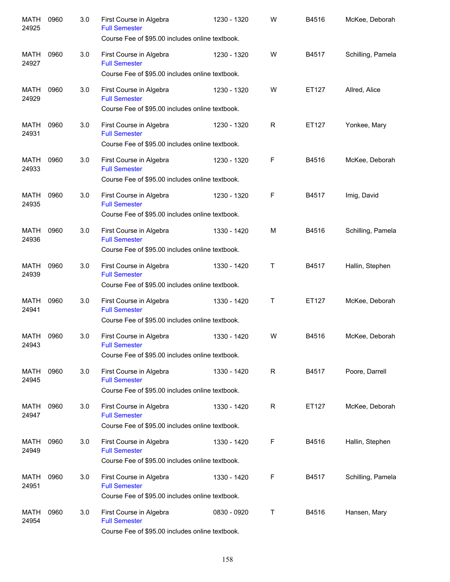| <b>MATH</b><br>24925 | 0960 | 3.0 | First Course in Algebra<br><b>Full Semester</b><br>Course Fee of \$95.00 includes online textbook. | 1230 - 1320 | W           | B4516 | McKee, Deborah    |
|----------------------|------|-----|----------------------------------------------------------------------------------------------------|-------------|-------------|-------|-------------------|
| MATH<br>24927        | 0960 | 3.0 | First Course in Algebra<br><b>Full Semester</b><br>Course Fee of \$95.00 includes online textbook. | 1230 - 1320 | W           | B4517 | Schilling, Pamela |
| <b>MATH</b><br>24929 | 0960 | 3.0 | First Course in Algebra<br><b>Full Semester</b><br>Course Fee of \$95.00 includes online textbook. | 1230 - 1320 | W           | ET127 | Allred, Alice     |
| <b>MATH</b><br>24931 | 0960 | 3.0 | First Course in Algebra<br><b>Full Semester</b><br>Course Fee of \$95.00 includes online textbook. | 1230 - 1320 | R           | ET127 | Yonkee, Mary      |
| <b>MATH</b><br>24933 | 0960 | 3.0 | First Course in Algebra<br><b>Full Semester</b><br>Course Fee of \$95.00 includes online textbook. | 1230 - 1320 | F           | B4516 | McKee, Deborah    |
| <b>MATH</b><br>24935 | 0960 | 3.0 | First Course in Algebra<br><b>Full Semester</b><br>Course Fee of \$95.00 includes online textbook. | 1230 - 1320 | F           | B4517 | Imig, David       |
| <b>MATH</b><br>24936 | 0960 | 3.0 | First Course in Algebra<br><b>Full Semester</b><br>Course Fee of \$95.00 includes online textbook. | 1330 - 1420 | M           | B4516 | Schilling, Pamela |
| <b>MATH</b><br>24939 | 0960 | 3.0 | First Course in Algebra<br><b>Full Semester</b><br>Course Fee of \$95.00 includes online textbook. | 1330 - 1420 | T           | B4517 | Hallin, Stephen   |
| <b>MATH</b><br>24941 | 0960 | 3.0 | First Course in Algebra<br><b>Full Semester</b><br>Course Fee of \$95.00 includes online textbook. | 1330 - 1420 | T           | ET127 | McKee, Deborah    |
| <b>MATH</b><br>24943 | 0960 | 3.0 | First Course in Algebra<br><b>Full Semester</b><br>Course Fee of \$95.00 includes online textbook. | 1330 - 1420 | W           | B4516 | McKee, Deborah    |
| MATH<br>24945        | 0960 | 3.0 | First Course in Algebra<br><b>Full Semester</b><br>Course Fee of \$95.00 includes online textbook. | 1330 - 1420 | $\mathsf R$ | B4517 | Poore, Darrell    |
| MATH<br>24947        | 0960 | 3.0 | First Course in Algebra<br><b>Full Semester</b><br>Course Fee of \$95.00 includes online textbook. | 1330 - 1420 | $\mathsf R$ | ET127 | McKee, Deborah    |
| MATH<br>24949        | 0960 | 3.0 | First Course in Algebra<br><b>Full Semester</b><br>Course Fee of \$95.00 includes online textbook. | 1330 - 1420 | F           | B4516 | Hallin, Stephen   |
| <b>MATH</b><br>24951 | 0960 | 3.0 | First Course in Algebra<br><b>Full Semester</b><br>Course Fee of \$95.00 includes online textbook. | 1330 - 1420 | F           | B4517 | Schilling, Pamela |
| <b>MATH</b><br>24954 | 0960 | 3.0 | First Course in Algebra<br><b>Full Semester</b><br>Course Fee of \$95.00 includes online textbook. | 0830 - 0920 | Τ           | B4516 | Hansen, Mary      |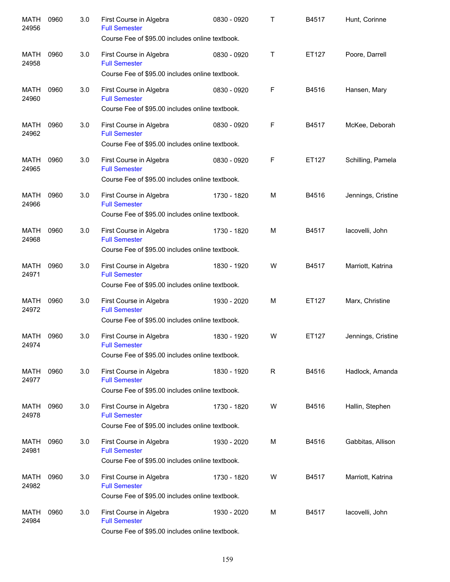| <b>MATH</b><br>24956 | 0960 | 3.0 | First Course in Algebra<br><b>Full Semester</b><br>Course Fee of \$95.00 includes online textbook. | 0830 - 0920 | Τ | B4517 | Hunt, Corinne      |
|----------------------|------|-----|----------------------------------------------------------------------------------------------------|-------------|---|-------|--------------------|
| MATH<br>24958        | 0960 | 3.0 | First Course in Algebra<br><b>Full Semester</b><br>Course Fee of \$95.00 includes online textbook. | 0830 - 0920 | Τ | ET127 | Poore, Darrell     |
| MATH<br>24960        | 0960 | 3.0 | First Course in Algebra<br><b>Full Semester</b><br>Course Fee of \$95.00 includes online textbook. | 0830 - 0920 | F | B4516 | Hansen, Mary       |
| MATH<br>24962        | 0960 | 3.0 | First Course in Algebra<br><b>Full Semester</b><br>Course Fee of \$95.00 includes online textbook. | 0830 - 0920 | F | B4517 | McKee, Deborah     |
| MATH<br>24965        | 0960 | 3.0 | First Course in Algebra<br><b>Full Semester</b><br>Course Fee of \$95.00 includes online textbook. | 0830 - 0920 | F | ET127 | Schilling, Pamela  |
| MATH<br>24966        | 0960 | 3.0 | First Course in Algebra<br><b>Full Semester</b><br>Course Fee of \$95.00 includes online textbook. | 1730 - 1820 | М | B4516 | Jennings, Cristine |
| <b>MATH</b><br>24968 | 0960 | 3.0 | First Course in Algebra<br><b>Full Semester</b><br>Course Fee of \$95.00 includes online textbook. | 1730 - 1820 | М | B4517 | lacovelli, John    |
| <b>MATH</b><br>24971 | 0960 | 3.0 | First Course in Algebra<br><b>Full Semester</b><br>Course Fee of \$95.00 includes online textbook. | 1830 - 1920 | W | B4517 | Marriott, Katrina  |
| <b>MATH</b><br>24972 | 0960 | 3.0 | First Course in Algebra<br><b>Full Semester</b><br>Course Fee of \$95.00 includes online textbook. | 1930 - 2020 | М | ET127 | Marx, Christine    |
| MATH<br>24974        | 0960 | 3.0 | First Course in Algebra<br><b>Full Semester</b><br>Course Fee of \$95.00 includes online textbook. | 1830 - 1920 | W | ET127 | Jennings, Cristine |
| MATH<br>24977        | 0960 | 3.0 | First Course in Algebra<br><b>Full Semester</b><br>Course Fee of \$95.00 includes online textbook. | 1830 - 1920 | R | B4516 | Hadlock, Amanda    |
| MATH<br>24978        | 0960 | 3.0 | First Course in Algebra<br><b>Full Semester</b><br>Course Fee of \$95.00 includes online textbook. | 1730 - 1820 | W | B4516 | Hallin, Stephen    |
| MATH<br>24981        | 0960 | 3.0 | First Course in Algebra<br><b>Full Semester</b><br>Course Fee of \$95.00 includes online textbook. | 1930 - 2020 | M | B4516 | Gabbitas, Allison  |
| MATH<br>24982        | 0960 | 3.0 | First Course in Algebra<br><b>Full Semester</b><br>Course Fee of \$95.00 includes online textbook. | 1730 - 1820 | W | B4517 | Marriott, Katrina  |
| MATH<br>24984        | 0960 | 3.0 | First Course in Algebra<br><b>Full Semester</b><br>Course Fee of \$95.00 includes online textbook. | 1930 - 2020 | М | B4517 | lacovelli, John    |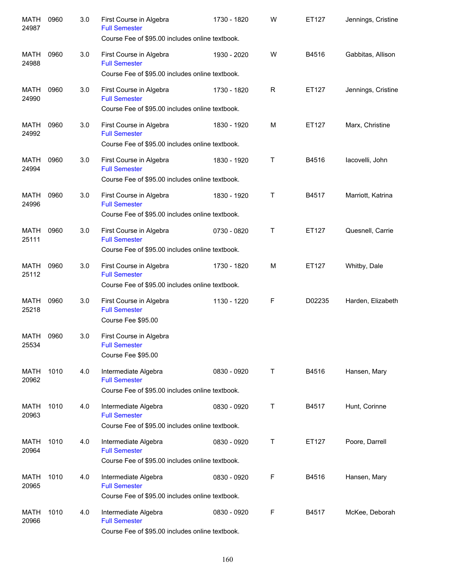| <b>MATH</b><br>24987 | 0960 | 3.0 | First Course in Algebra<br><b>Full Semester</b><br>Course Fee of \$95.00 includes online textbook. | 1730 - 1820 | W            | ET127  | Jennings, Cristine |
|----------------------|------|-----|----------------------------------------------------------------------------------------------------|-------------|--------------|--------|--------------------|
| MATH<br>24988        | 0960 | 3.0 | First Course in Algebra<br><b>Full Semester</b><br>Course Fee of \$95.00 includes online textbook. | 1930 - 2020 | W            | B4516  | Gabbitas, Allison  |
| MATH<br>24990        | 0960 | 3.0 | First Course in Algebra<br><b>Full Semester</b><br>Course Fee of \$95.00 includes online textbook. | 1730 - 1820 | $\mathsf R$  | ET127  | Jennings, Cristine |
| <b>MATH</b><br>24992 | 0960 | 3.0 | First Course in Algebra<br><b>Full Semester</b><br>Course Fee of \$95.00 includes online textbook. | 1830 - 1920 | M            | ET127  | Marx, Christine    |
| <b>MATH</b><br>24994 | 0960 | 3.0 | First Course in Algebra<br><b>Full Semester</b><br>Course Fee of \$95.00 includes online textbook. | 1830 - 1920 | Τ            | B4516  | lacovelli, John    |
| <b>MATH</b><br>24996 | 0960 | 3.0 | First Course in Algebra<br><b>Full Semester</b><br>Course Fee of \$95.00 includes online textbook. | 1830 - 1920 | Τ            | B4517  | Marriott, Katrina  |
| <b>MATH</b><br>25111 | 0960 | 3.0 | First Course in Algebra<br><b>Full Semester</b><br>Course Fee of \$95.00 includes online textbook. | 0730 - 0820 | $\mathsf{T}$ | ET127  | Quesnell, Carrie   |
| <b>MATH</b><br>25112 | 0960 | 3.0 | First Course in Algebra<br><b>Full Semester</b><br>Course Fee of \$95.00 includes online textbook. | 1730 - 1820 | M            | ET127  | Whitby, Dale       |
| <b>MATH</b><br>25218 | 0960 | 3.0 | First Course in Algebra<br><b>Full Semester</b><br>Course Fee \$95.00                              | 1130 - 1220 | F            | D02235 | Harden, Elizabeth  |
| MATH<br>25534        | 0960 | 3.0 | First Course in Algebra<br><b>Full Semester</b><br>Course Fee \$95.00                              |             |              |        |                    |
| MATH<br>20962        | 1010 | 4.0 | Intermediate Algebra<br><b>Full Semester</b><br>Course Fee of \$95.00 includes online textbook.    | 0830 - 0920 | Τ            | B4516  | Hansen, Mary       |
| MATH<br>20963        | 1010 | 4.0 | Intermediate Algebra<br><b>Full Semester</b><br>Course Fee of \$95.00 includes online textbook.    | 0830 - 0920 | Τ            | B4517  | Hunt, Corinne      |
| MATH<br>20964        | 1010 | 4.0 | Intermediate Algebra<br><b>Full Semester</b><br>Course Fee of \$95.00 includes online textbook.    | 0830 - 0920 | T            | ET127  | Poore, Darrell     |
| MATH<br>20965        | 1010 | 4.0 | Intermediate Algebra<br><b>Full Semester</b><br>Course Fee of \$95.00 includes online textbook.    | 0830 - 0920 | F            | B4516  | Hansen, Mary       |
| MATH<br>20966        | 1010 | 4.0 | Intermediate Algebra<br><b>Full Semester</b><br>Course Fee of \$95.00 includes online textbook.    | 0830 - 0920 | F            | B4517  | McKee, Deborah     |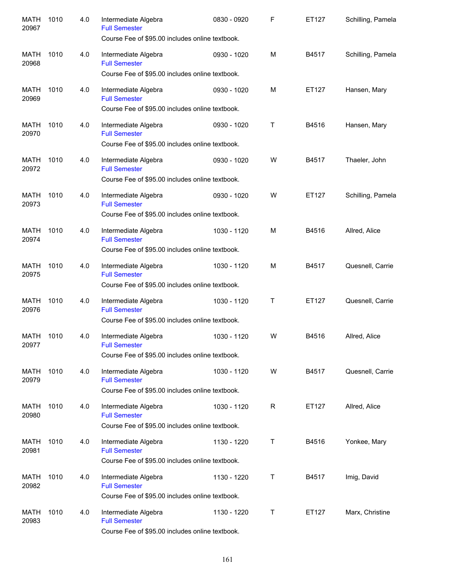| <b>MATH</b><br>20967 | 1010 | 4.0 | Intermediate Algebra<br><b>Full Semester</b><br>Course Fee of \$95.00 includes online textbook. | 0830 - 0920 | $\mathsf F$ | ET127 | Schilling, Pamela |
|----------------------|------|-----|-------------------------------------------------------------------------------------------------|-------------|-------------|-------|-------------------|
| <b>MATH</b><br>20968 | 1010 | 4.0 | Intermediate Algebra<br><b>Full Semester</b><br>Course Fee of \$95.00 includes online textbook. | 0930 - 1020 | M           | B4517 | Schilling, Pamela |
| <b>MATH</b><br>20969 | 1010 | 4.0 | Intermediate Algebra<br><b>Full Semester</b><br>Course Fee of \$95.00 includes online textbook. | 0930 - 1020 | M           | ET127 | Hansen, Mary      |
| <b>MATH</b><br>20970 | 1010 | 4.0 | Intermediate Algebra<br><b>Full Semester</b><br>Course Fee of \$95.00 includes online textbook. | 0930 - 1020 | Τ           | B4516 | Hansen, Mary      |
| <b>MATH</b><br>20972 | 1010 | 4.0 | Intermediate Algebra<br><b>Full Semester</b><br>Course Fee of \$95.00 includes online textbook. | 0930 - 1020 | W           | B4517 | Thaeler, John     |
| <b>MATH</b><br>20973 | 1010 | 4.0 | Intermediate Algebra<br><b>Full Semester</b><br>Course Fee of \$95.00 includes online textbook. | 0930 - 1020 | W           | ET127 | Schilling, Pamela |
| <b>MATH</b><br>20974 | 1010 | 4.0 | Intermediate Algebra<br><b>Full Semester</b><br>Course Fee of \$95.00 includes online textbook. | 1030 - 1120 | M           | B4516 | Allred, Alice     |
| <b>MATH</b><br>20975 | 1010 | 4.0 | Intermediate Algebra<br><b>Full Semester</b><br>Course Fee of \$95.00 includes online textbook. | 1030 - 1120 | M           | B4517 | Quesnell, Carrie  |
| <b>MATH</b><br>20976 | 1010 | 4.0 | Intermediate Algebra<br><b>Full Semester</b><br>Course Fee of \$95.00 includes online textbook. | 1030 - 1120 | Τ           | ET127 | Quesnell, Carrie  |
| <b>MATH</b><br>20977 | 1010 | 4.0 | Intermediate Algebra<br><b>Full Semester</b><br>Course Fee of \$95.00 includes online textbook. | 1030 - 1120 | W           | B4516 | Allred, Alice     |
| MATH<br>20979        | 1010 | 4.0 | Intermediate Algebra<br><b>Full Semester</b><br>Course Fee of \$95.00 includes online textbook. | 1030 - 1120 | W           | B4517 | Quesnell, Carrie  |
| <b>MATH</b><br>20980 | 1010 | 4.0 | Intermediate Algebra<br><b>Full Semester</b><br>Course Fee of \$95.00 includes online textbook. | 1030 - 1120 | R           | ET127 | Allred, Alice     |
| <b>MATH</b><br>20981 | 1010 | 4.0 | Intermediate Algebra<br><b>Full Semester</b><br>Course Fee of \$95.00 includes online textbook. | 1130 - 1220 | Т           | B4516 | Yonkee, Mary      |
| MATH<br>20982        | 1010 | 4.0 | Intermediate Algebra<br><b>Full Semester</b><br>Course Fee of \$95.00 includes online textbook. | 1130 - 1220 | Т           | B4517 | Imig, David       |
| <b>MATH</b><br>20983 | 1010 | 4.0 | Intermediate Algebra<br><b>Full Semester</b><br>Course Fee of \$95.00 includes online textbook. | 1130 - 1220 | Τ           | ET127 | Marx, Christine   |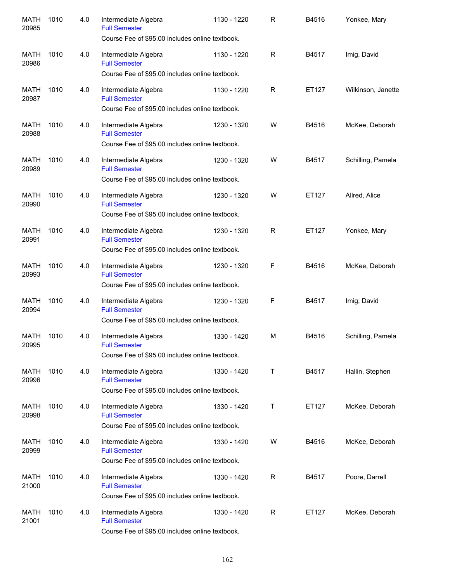| <b>MATH</b><br>20985 | 1010 | 4.0 | Intermediate Algebra<br><b>Full Semester</b>    | 1130 - 1220 | R            | B4516 | Yonkee, Mary       |
|----------------------|------|-----|-------------------------------------------------|-------------|--------------|-------|--------------------|
|                      |      |     | Course Fee of \$95.00 includes online textbook. |             |              |       |                    |
| <b>MATH</b><br>20986 | 1010 | 4.0 | Intermediate Algebra<br><b>Full Semester</b>    | 1130 - 1220 | R            | B4517 | Imig, David        |
|                      |      |     | Course Fee of \$95.00 includes online textbook. |             |              |       |                    |
| <b>MATH</b><br>20987 | 1010 | 4.0 | Intermediate Algebra<br><b>Full Semester</b>    | 1130 - 1220 | $\mathsf{R}$ | ET127 | Wilkinson, Janette |
|                      |      |     | Course Fee of \$95.00 includes online textbook. |             |              |       |                    |
| <b>MATH</b><br>20988 | 1010 | 4.0 | Intermediate Algebra<br><b>Full Semester</b>    | 1230 - 1320 | W            | B4516 | McKee, Deborah     |
|                      |      |     | Course Fee of \$95.00 includes online textbook. |             |              |       |                    |
| <b>MATH</b><br>20989 | 1010 | 4.0 | Intermediate Algebra<br><b>Full Semester</b>    | 1230 - 1320 | W            | B4517 | Schilling, Pamela  |
|                      |      |     | Course Fee of \$95.00 includes online textbook. |             |              |       |                    |
| <b>MATH</b><br>20990 | 1010 | 4.0 | Intermediate Algebra<br><b>Full Semester</b>    | 1230 - 1320 | W            | ET127 | Allred, Alice      |
|                      |      |     | Course Fee of \$95.00 includes online textbook. |             |              |       |                    |
| <b>MATH</b><br>20991 | 1010 | 4.0 | Intermediate Algebra<br><b>Full Semester</b>    | 1230 - 1320 | $\mathsf{R}$ | ET127 | Yonkee, Mary       |
|                      |      |     | Course Fee of \$95.00 includes online textbook. |             |              |       |                    |
| <b>MATH</b><br>20993 | 1010 | 4.0 | Intermediate Algebra<br><b>Full Semester</b>    | 1230 - 1320 | F            | B4516 | McKee, Deborah     |
|                      |      |     | Course Fee of \$95.00 includes online textbook. |             |              |       |                    |
| <b>MATH</b><br>20994 | 1010 | 4.0 | Intermediate Algebra<br><b>Full Semester</b>    | 1230 - 1320 | F            | B4517 | Imig, David        |
|                      |      |     | Course Fee of \$95.00 includes online textbook. |             |              |       |                    |
| <b>MATH</b><br>20995 | 1010 | 4.0 | Intermediate Algebra<br><b>Full Semester</b>    | 1330 - 1420 | M            | B4516 | Schilling, Pamela  |
|                      |      |     | Course Fee of \$95.00 includes online textbook. |             |              |       |                    |
| MATH<br>20996        | 1010 | 4.0 | Intermediate Algebra<br><b>Full Semester</b>    | 1330 - 1420 | Т            | B4517 | Hallin, Stephen    |
|                      |      |     | Course Fee of \$95.00 includes online textbook. |             |              |       |                    |
| MATH<br>20998        | 1010 | 4.0 | Intermediate Algebra<br><b>Full Semester</b>    | 1330 - 1420 | Т            | ET127 | McKee, Deborah     |
|                      |      |     | Course Fee of \$95.00 includes online textbook. |             |              |       |                    |
| MATH<br>20999        | 1010 | 4.0 | Intermediate Algebra<br><b>Full Semester</b>    | 1330 - 1420 | W            | B4516 | McKee, Deborah     |
|                      |      |     | Course Fee of \$95.00 includes online textbook. |             |              |       |                    |
| MATH<br>21000        | 1010 | 4.0 | Intermediate Algebra<br><b>Full Semester</b>    | 1330 - 1420 | $\mathsf R$  | B4517 | Poore, Darrell     |
|                      |      |     | Course Fee of \$95.00 includes online textbook. |             |              |       |                    |
| <b>MATH</b><br>21001 | 1010 | 4.0 | Intermediate Algebra<br><b>Full Semester</b>    | 1330 - 1420 | R            | ET127 | McKee, Deborah     |
|                      |      |     | Course Fee of \$95.00 includes online textbook. |             |              |       |                    |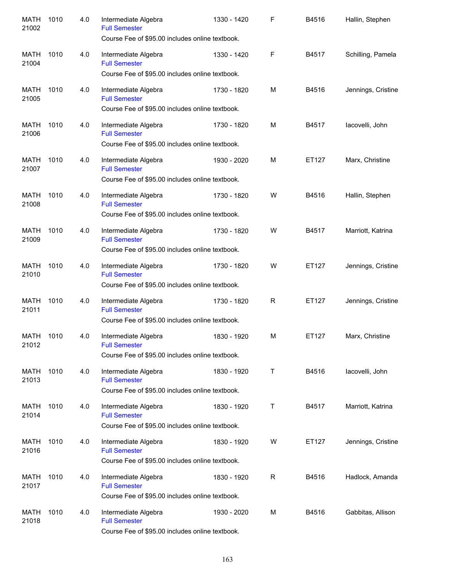| <b>MATH</b><br>21002 | 1010 | 4.0 | Intermediate Algebra<br><b>Full Semester</b><br>Course Fee of \$95.00 includes online textbook. | 1330 - 1420 | F           | B4516 | Hallin, Stephen    |
|----------------------|------|-----|-------------------------------------------------------------------------------------------------|-------------|-------------|-------|--------------------|
| <b>MATH</b><br>21004 | 1010 | 4.0 | Intermediate Algebra<br><b>Full Semester</b><br>Course Fee of \$95.00 includes online textbook. | 1330 - 1420 | F           | B4517 | Schilling, Pamela  |
| <b>MATH</b><br>21005 | 1010 | 4.0 | Intermediate Algebra<br><b>Full Semester</b><br>Course Fee of \$95.00 includes online textbook. | 1730 - 1820 | м           | B4516 | Jennings, Cristine |
| <b>MATH</b><br>21006 | 1010 | 4.0 | Intermediate Algebra<br><b>Full Semester</b><br>Course Fee of \$95.00 includes online textbook. | 1730 - 1820 | M           | B4517 | lacovelli, John    |
| <b>MATH</b><br>21007 | 1010 | 4.0 | Intermediate Algebra<br><b>Full Semester</b><br>Course Fee of \$95.00 includes online textbook. | 1930 - 2020 | м           | ET127 | Marx, Christine    |
| <b>MATH</b><br>21008 | 1010 | 4.0 | Intermediate Algebra<br><b>Full Semester</b><br>Course Fee of \$95.00 includes online textbook. | 1730 - 1820 | W           | B4516 | Hallin, Stephen    |
| <b>MATH</b><br>21009 | 1010 | 4.0 | Intermediate Algebra<br><b>Full Semester</b><br>Course Fee of \$95.00 includes online textbook. | 1730 - 1820 | W           | B4517 | Marriott, Katrina  |
| <b>MATH</b><br>21010 | 1010 | 4.0 | Intermediate Algebra<br><b>Full Semester</b><br>Course Fee of \$95.00 includes online textbook. | 1730 - 1820 | W           | ET127 | Jennings, Cristine |
| <b>MATH</b><br>21011 | 1010 | 4.0 | Intermediate Algebra<br><b>Full Semester</b><br>Course Fee of \$95.00 includes online textbook. | 1730 - 1820 | R           | ET127 | Jennings, Cristine |
| <b>MATH</b><br>21012 | 1010 | 4.0 | Intermediate Algebra<br><b>Full Semester</b><br>Course Fee of \$95.00 includes online textbook. | 1830 - 1920 | м           | ET127 | Marx, Christine    |
| MATH<br>21013        | 1010 | 4.0 | Intermediate Algebra<br><b>Full Semester</b><br>Course Fee of \$95.00 includes online textbook. | 1830 - 1920 | Τ           | B4516 | lacovelli, John    |
| MATH<br>21014        | 1010 | 4.0 | Intermediate Algebra<br><b>Full Semester</b><br>Course Fee of \$95.00 includes online textbook. | 1830 - 1920 | Τ           | B4517 | Marriott, Katrina  |
| MATH<br>21016        | 1010 | 4.0 | Intermediate Algebra<br><b>Full Semester</b><br>Course Fee of \$95.00 includes online textbook. | 1830 - 1920 | W           | ET127 | Jennings, Cristine |
| MATH<br>21017        | 1010 | 4.0 | Intermediate Algebra<br><b>Full Semester</b><br>Course Fee of \$95.00 includes online textbook. | 1830 - 1920 | $\mathsf R$ | B4516 | Hadlock, Amanda    |
| MATH<br>21018        | 1010 | 4.0 | Intermediate Algebra<br><b>Full Semester</b><br>Course Fee of \$95.00 includes online textbook. | 1930 - 2020 | M           | B4516 | Gabbitas, Allison  |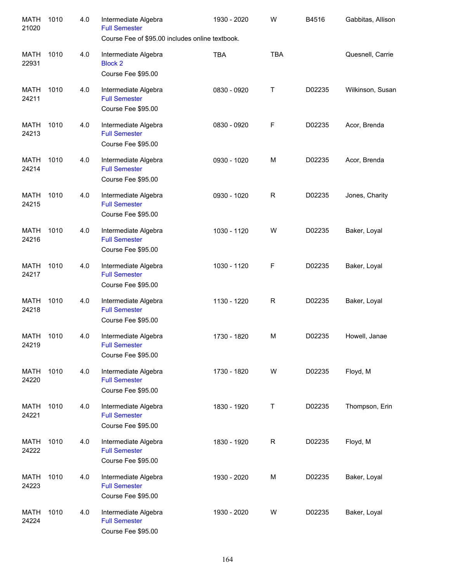| <b>MATH</b><br>21020 | 1010 | 4.0 | Intermediate Algebra<br><b>Full Semester</b><br>Course Fee of \$95.00 includes online textbook. | 1930 - 2020 | W            | B4516  | Gabbitas, Allison |
|----------------------|------|-----|-------------------------------------------------------------------------------------------------|-------------|--------------|--------|-------------------|
| <b>MATH</b><br>22931 | 1010 | 4.0 | Intermediate Algebra<br><b>Block 2</b><br>Course Fee \$95.00                                    | <b>TBA</b>  | <b>TBA</b>   |        | Quesnell, Carrie  |
| <b>MATH</b><br>24211 | 1010 | 4.0 | Intermediate Algebra<br><b>Full Semester</b><br>Course Fee \$95.00                              | 0830 - 0920 | Τ            | D02235 | Wilkinson, Susan  |
| <b>MATH</b><br>24213 | 1010 | 4.0 | Intermediate Algebra<br><b>Full Semester</b><br>Course Fee \$95.00                              | 0830 - 0920 | F            | D02235 | Acor, Brenda      |
| <b>MATH</b><br>24214 | 1010 | 4.0 | Intermediate Algebra<br><b>Full Semester</b><br>Course Fee \$95.00                              | 0930 - 1020 | M            | D02235 | Acor, Brenda      |
| <b>MATH</b><br>24215 | 1010 | 4.0 | Intermediate Algebra<br><b>Full Semester</b><br>Course Fee \$95.00                              | 0930 - 1020 | $\mathsf{R}$ | D02235 | Jones, Charity    |
| <b>MATH</b><br>24216 | 1010 | 4.0 | Intermediate Algebra<br><b>Full Semester</b><br>Course Fee \$95.00                              | 1030 - 1120 | W            | D02235 | Baker, Loyal      |
| <b>MATH</b><br>24217 | 1010 | 4.0 | Intermediate Algebra<br><b>Full Semester</b><br>Course Fee \$95.00                              | 1030 - 1120 | F            | D02235 | Baker, Loyal      |
| <b>MATH</b><br>24218 | 1010 | 4.0 | Intermediate Algebra<br><b>Full Semester</b><br>Course Fee \$95.00                              | 1130 - 1220 | $\mathsf{R}$ | D02235 | Baker, Loyal      |
| <b>MATH</b><br>24219 | 1010 | 4.0 | Intermediate Algebra<br><b>Full Semester</b><br>Course Fee \$95.00                              | 1730 - 1820 | M            | D02235 | Howell, Janae     |
| MATH<br>24220        | 1010 | 4.0 | Intermediate Algebra<br><b>Full Semester</b><br>Course Fee \$95.00                              | 1730 - 1820 | W            | D02235 | Floyd, M          |
| <b>MATH</b><br>24221 | 1010 | 4.0 | Intermediate Algebra<br><b>Full Semester</b><br>Course Fee \$95.00                              | 1830 - 1920 | Т            | D02235 | Thompson, Erin    |
| <b>MATH</b><br>24222 | 1010 | 4.0 | Intermediate Algebra<br><b>Full Semester</b><br>Course Fee \$95.00                              | 1830 - 1920 | $\mathsf R$  | D02235 | Floyd, M          |
| <b>MATH</b><br>24223 | 1010 | 4.0 | Intermediate Algebra<br><b>Full Semester</b><br>Course Fee \$95.00                              | 1930 - 2020 | M            | D02235 | Baker, Loyal      |
| <b>MATH</b><br>24224 | 1010 | 4.0 | Intermediate Algebra<br><b>Full Semester</b><br>Course Fee \$95.00                              | 1930 - 2020 | W            | D02235 | Baker, Loyal      |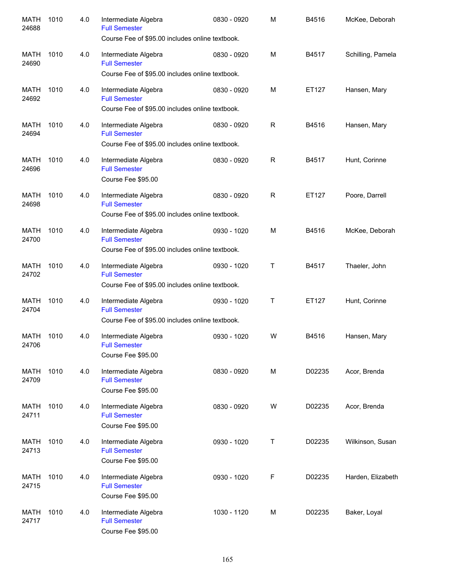| <b>MATH</b><br>24688 | 1010 | 4.0 | Intermediate Algebra<br><b>Full Semester</b><br>Course Fee of \$95.00 includes online textbook. | 0830 - 0920 | M            | B4516  | McKee, Deborah    |
|----------------------|------|-----|-------------------------------------------------------------------------------------------------|-------------|--------------|--------|-------------------|
| <b>MATH</b><br>24690 | 1010 | 4.0 | Intermediate Algebra<br><b>Full Semester</b><br>Course Fee of \$95.00 includes online textbook. | 0830 - 0920 | M            | B4517  | Schilling, Pamela |
| <b>MATH</b><br>24692 | 1010 | 4.0 | Intermediate Algebra<br><b>Full Semester</b><br>Course Fee of \$95.00 includes online textbook. | 0830 - 0920 | M            | ET127  | Hansen, Mary      |
| <b>MATH</b><br>24694 | 1010 | 4.0 | Intermediate Algebra<br><b>Full Semester</b><br>Course Fee of \$95.00 includes online textbook. | 0830 - 0920 | R            | B4516  | Hansen, Mary      |
| <b>MATH</b><br>24696 | 1010 | 4.0 | Intermediate Algebra<br><b>Full Semester</b><br>Course Fee \$95.00                              | 0830 - 0920 | $\mathsf{R}$ | B4517  | Hunt, Corinne     |
| <b>MATH</b><br>24698 | 1010 | 4.0 | Intermediate Algebra<br><b>Full Semester</b><br>Course Fee of \$95.00 includes online textbook. | 0830 - 0920 | $\mathsf{R}$ | ET127  | Poore, Darrell    |
| <b>MATH</b><br>24700 | 1010 | 4.0 | Intermediate Algebra<br><b>Full Semester</b><br>Course Fee of \$95.00 includes online textbook. | 0930 - 1020 | M            | B4516  | McKee, Deborah    |
| <b>MATH</b><br>24702 | 1010 | 4.0 | Intermediate Algebra<br><b>Full Semester</b><br>Course Fee of \$95.00 includes online textbook. | 0930 - 1020 | Т            | B4517  | Thaeler, John     |
| <b>MATH</b><br>24704 | 1010 | 4.0 | Intermediate Algebra<br><b>Full Semester</b><br>Course Fee of \$95.00 includes online textbook. | 0930 - 1020 | Т            | ET127  | Hunt, Corinne     |
| <b>MATH</b><br>24706 | 1010 | 4.0 | Intermediate Algebra<br><b>Full Semester</b><br>Course Fee \$95.00                              | 0930 - 1020 | W            | B4516  | Hansen, Mary      |
| MATH<br>24709        | 1010 | 4.0 | Intermediate Algebra<br><b>Full Semester</b><br>Course Fee \$95.00                              | 0830 - 0920 | М            | D02235 | Acor, Brenda      |
| MATH<br>24711        | 1010 | 4.0 | Intermediate Algebra<br><b>Full Semester</b><br>Course Fee \$95.00                              | 0830 - 0920 | W            | D02235 | Acor, Brenda      |
| MATH<br>24713        | 1010 | 4.0 | Intermediate Algebra<br><b>Full Semester</b><br>Course Fee \$95.00                              | 0930 - 1020 | Τ            | D02235 | Wilkinson, Susan  |
| MATH<br>24715        | 1010 | 4.0 | Intermediate Algebra<br><b>Full Semester</b><br>Course Fee \$95.00                              | 0930 - 1020 | F            | D02235 | Harden, Elizabeth |
| MATH<br>24717        | 1010 | 4.0 | Intermediate Algebra<br><b>Full Semester</b><br>Course Fee \$95.00                              | 1030 - 1120 | M            | D02235 | Baker, Loyal      |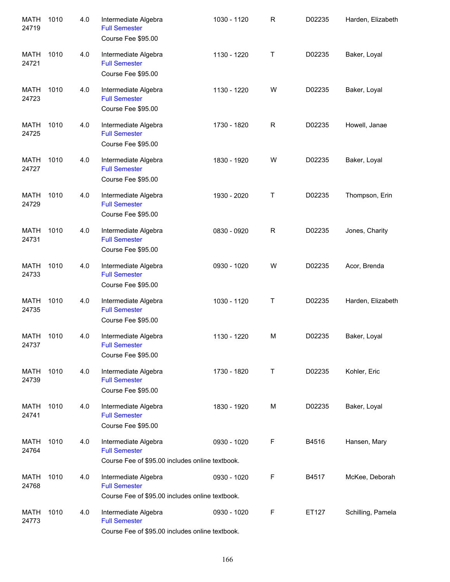| <b>MATH</b><br>24719 | 1010 | 4.0 | Intermediate Algebra<br><b>Full Semester</b><br>Course Fee \$95.00                              | 1030 - 1120 | R           | D02235 | Harden, Elizabeth |
|----------------------|------|-----|-------------------------------------------------------------------------------------------------|-------------|-------------|--------|-------------------|
| <b>MATH</b><br>24721 | 1010 | 4.0 | Intermediate Algebra<br><b>Full Semester</b><br>Course Fee \$95.00                              | 1130 - 1220 | Т           | D02235 | Baker, Loyal      |
| <b>MATH</b><br>24723 | 1010 | 4.0 | Intermediate Algebra<br><b>Full Semester</b><br>Course Fee \$95.00                              | 1130 - 1220 | W           | D02235 | Baker, Loyal      |
| <b>MATH</b><br>24725 | 1010 | 4.0 | Intermediate Algebra<br><b>Full Semester</b><br>Course Fee \$95.00                              | 1730 - 1820 | $\mathsf R$ | D02235 | Howell, Janae     |
| <b>MATH</b><br>24727 | 1010 | 4.0 | Intermediate Algebra<br><b>Full Semester</b><br>Course Fee \$95.00                              | 1830 - 1920 | W           | D02235 | Baker, Loyal      |
| <b>MATH</b><br>24729 | 1010 | 4.0 | Intermediate Algebra<br><b>Full Semester</b><br>Course Fee \$95.00                              | 1930 - 2020 | Τ           | D02235 | Thompson, Erin    |
| <b>MATH</b><br>24731 | 1010 | 4.0 | Intermediate Algebra<br><b>Full Semester</b><br>Course Fee \$95.00                              | 0830 - 0920 | $\mathsf R$ | D02235 | Jones, Charity    |
| <b>MATH</b><br>24733 | 1010 | 4.0 | Intermediate Algebra<br><b>Full Semester</b><br>Course Fee \$95.00                              | 0930 - 1020 | W           | D02235 | Acor, Brenda      |
| <b>MATH</b><br>24735 | 1010 | 4.0 | Intermediate Algebra<br><b>Full Semester</b><br>Course Fee \$95.00                              | 1030 - 1120 | Т           | D02235 | Harden, Elizabeth |
| <b>MATH</b><br>24737 | 1010 | 4.0 | Intermediate Algebra<br><b>Full Semester</b><br>Course Fee \$95.00                              | 1130 - 1220 | M           | D02235 | Baker, Loyal      |
| MATH<br>24739        | 1010 | 4.0 | Intermediate Algebra<br><b>Full Semester</b><br>Course Fee \$95.00                              | 1730 - 1820 | Τ           | D02235 | Kohler, Eric      |
| MATH<br>24741        | 1010 | 4.0 | Intermediate Algebra<br><b>Full Semester</b><br>Course Fee \$95.00                              | 1830 - 1920 | M           | D02235 | Baker, Loyal      |
| MATH<br>24764        | 1010 | 4.0 | Intermediate Algebra<br><b>Full Semester</b><br>Course Fee of \$95.00 includes online textbook. | 0930 - 1020 | F           | B4516  | Hansen, Mary      |
| MATH<br>24768        | 1010 | 4.0 | Intermediate Algebra<br><b>Full Semester</b><br>Course Fee of \$95.00 includes online textbook. | 0930 - 1020 | F           | B4517  | McKee, Deborah    |
| MATH<br>24773        | 1010 | 4.0 | Intermediate Algebra<br><b>Full Semester</b><br>Course Fee of \$95.00 includes online textbook. | 0930 - 1020 | F           | ET127  | Schilling, Pamela |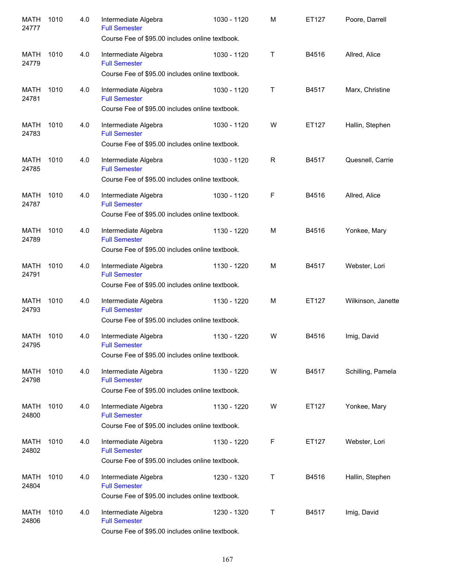| <b>MATH</b><br>24777 | 1010 | 4.0 | Intermediate Algebra<br><b>Full Semester</b><br>Course Fee of \$95.00 includes online textbook. | 1030 - 1120 | M | ET127 | Poore, Darrell     |
|----------------------|------|-----|-------------------------------------------------------------------------------------------------|-------------|---|-------|--------------------|
| <b>MATH</b><br>24779 | 1010 | 4.0 | Intermediate Algebra<br><b>Full Semester</b><br>Course Fee of \$95.00 includes online textbook. | 1030 - 1120 | Τ | B4516 | Allred, Alice      |
| <b>MATH</b><br>24781 | 1010 | 4.0 | Intermediate Algebra<br><b>Full Semester</b><br>Course Fee of \$95.00 includes online textbook. | 1030 - 1120 | T | B4517 | Marx, Christine    |
| <b>MATH</b><br>24783 | 1010 | 4.0 | Intermediate Algebra<br><b>Full Semester</b><br>Course Fee of \$95.00 includes online textbook. | 1030 - 1120 | W | ET127 | Hallin, Stephen    |
| <b>MATH</b><br>24785 | 1010 | 4.0 | Intermediate Algebra<br><b>Full Semester</b><br>Course Fee of \$95.00 includes online textbook. | 1030 - 1120 | R | B4517 | Quesnell, Carrie   |
| <b>MATH</b><br>24787 | 1010 | 4.0 | Intermediate Algebra<br><b>Full Semester</b><br>Course Fee of \$95.00 includes online textbook. | 1030 - 1120 | F | B4516 | Allred, Alice      |
| <b>MATH</b><br>24789 | 1010 | 4.0 | Intermediate Algebra<br><b>Full Semester</b><br>Course Fee of \$95.00 includes online textbook. | 1130 - 1220 | M | B4516 | Yonkee, Mary       |
| <b>MATH</b><br>24791 | 1010 | 4.0 | Intermediate Algebra<br><b>Full Semester</b><br>Course Fee of \$95.00 includes online textbook. | 1130 - 1220 | M | B4517 | Webster, Lori      |
| <b>MATH</b><br>24793 | 1010 | 4.0 | Intermediate Algebra<br><b>Full Semester</b><br>Course Fee of \$95.00 includes online textbook. | 1130 - 1220 | M | ET127 | Wilkinson, Janette |
| <b>MATH</b><br>24795 | 1010 | 4.0 | Intermediate Algebra<br><b>Full Semester</b><br>Course Fee of \$95.00 includes online textbook. | 1130 - 1220 | W | B4516 | Imig, David        |
| MATH<br>24798        | 1010 | 4.0 | Intermediate Algebra<br><b>Full Semester</b><br>Course Fee of \$95.00 includes online textbook. | 1130 - 1220 | W | B4517 | Schilling, Pamela  |
| MATH<br>24800        | 1010 | 4.0 | Intermediate Algebra<br><b>Full Semester</b><br>Course Fee of \$95.00 includes online textbook. | 1130 - 1220 | W | ET127 | Yonkee, Mary       |
| MATH<br>24802        | 1010 | 4.0 | Intermediate Algebra<br><b>Full Semester</b><br>Course Fee of \$95.00 includes online textbook. | 1130 - 1220 | F | ET127 | Webster, Lori      |
| MATH<br>24804        | 1010 | 4.0 | Intermediate Algebra<br><b>Full Semester</b><br>Course Fee of \$95.00 includes online textbook. | 1230 - 1320 | Т | B4516 | Hallin, Stephen    |
| MATH<br>24806        | 1010 | 4.0 | Intermediate Algebra<br><b>Full Semester</b><br>Course Fee of \$95.00 includes online textbook. | 1230 - 1320 | Т | B4517 | Imig, David        |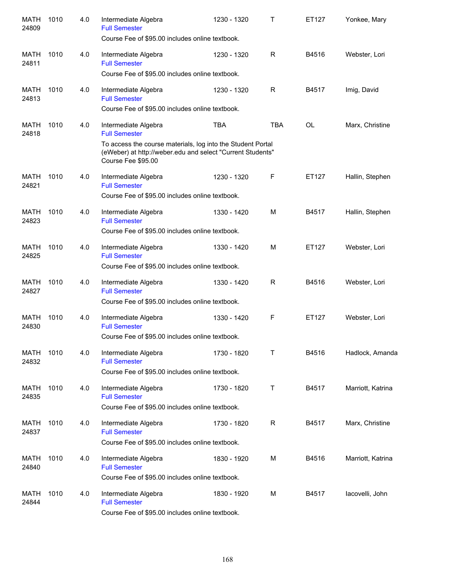| <b>MATH</b><br>24809 | 1010 | 4.0 | Intermediate Algebra<br><b>Full Semester</b><br>Course Fee of \$95.00 includes online textbook.                                                                                                 | 1230 - 1320 | Т           | ET127     | Yonkee, Mary      |
|----------------------|------|-----|-------------------------------------------------------------------------------------------------------------------------------------------------------------------------------------------------|-------------|-------------|-----------|-------------------|
| MATH<br>24811        | 1010 | 4.0 | Intermediate Algebra<br><b>Full Semester</b><br>Course Fee of \$95.00 includes online textbook.                                                                                                 | 1230 - 1320 | R           | B4516     | Webster, Lori     |
| MATH<br>24813        | 1010 | 4.0 | Intermediate Algebra<br><b>Full Semester</b><br>Course Fee of \$95.00 includes online textbook.                                                                                                 | 1230 - 1320 | R           | B4517     | Imig, David       |
| MATH<br>24818        | 1010 | 4.0 | Intermediate Algebra<br><b>Full Semester</b><br>To access the course materials, log into the Student Portal<br>(eWeber) at http://weber.edu and select "Current Students"<br>Course Fee \$95.00 | <b>TBA</b>  | <b>TBA</b>  | <b>OL</b> | Marx, Christine   |
| <b>MATH</b><br>24821 | 1010 | 4.0 | Intermediate Algebra<br><b>Full Semester</b><br>Course Fee of \$95.00 includes online textbook.                                                                                                 | 1230 - 1320 | $\mathsf F$ | ET127     | Hallin, Stephen   |
| <b>MATH</b><br>24823 | 1010 | 4.0 | Intermediate Algebra<br><b>Full Semester</b><br>Course Fee of \$95.00 includes online textbook.                                                                                                 | 1330 - 1420 | M           | B4517     | Hallin, Stephen   |
| <b>MATH</b><br>24825 | 1010 | 4.0 | Intermediate Algebra<br><b>Full Semester</b><br>Course Fee of \$95.00 includes online textbook.                                                                                                 | 1330 - 1420 | M           | ET127     | Webster, Lori     |
| <b>MATH</b><br>24827 | 1010 | 4.0 | Intermediate Algebra<br><b>Full Semester</b><br>Course Fee of \$95.00 includes online textbook.                                                                                                 | 1330 - 1420 | R           | B4516     | Webster, Lori     |
| <b>MATH</b><br>24830 | 1010 | 4.0 | Intermediate Algebra<br><b>Full Semester</b><br>Course Fee of \$95.00 includes online textbook.                                                                                                 | 1330 - 1420 | F           | ET127     | Webster, Lori     |
| MATH<br>24832        | 1010 | 4.0 | Intermediate Algebra<br><b>Full Semester</b><br>Course Fee of \$95.00 includes online textbook.                                                                                                 | 1730 - 1820 | Τ           | B4516     | Hadlock, Amanda   |
| MATH<br>24835        | 1010 | 4.0 | Intermediate Algebra<br><b>Full Semester</b><br>Course Fee of \$95.00 includes online textbook.                                                                                                 | 1730 - 1820 | Τ           | B4517     | Marriott, Katrina |
| MATH<br>24837        | 1010 | 4.0 | Intermediate Algebra<br><b>Full Semester</b><br>Course Fee of \$95.00 includes online textbook.                                                                                                 | 1730 - 1820 | $\mathsf R$ | B4517     | Marx, Christine   |
| MATH<br>24840        | 1010 | 4.0 | Intermediate Algebra<br><b>Full Semester</b><br>Course Fee of \$95.00 includes online textbook.                                                                                                 | 1830 - 1920 | М           | B4516     | Marriott, Katrina |
| <b>MATH</b><br>24844 | 1010 | 4.0 | Intermediate Algebra<br><b>Full Semester</b><br>Course Fee of \$95.00 includes online textbook.                                                                                                 | 1830 - 1920 | М           | B4517     | lacovelli, John   |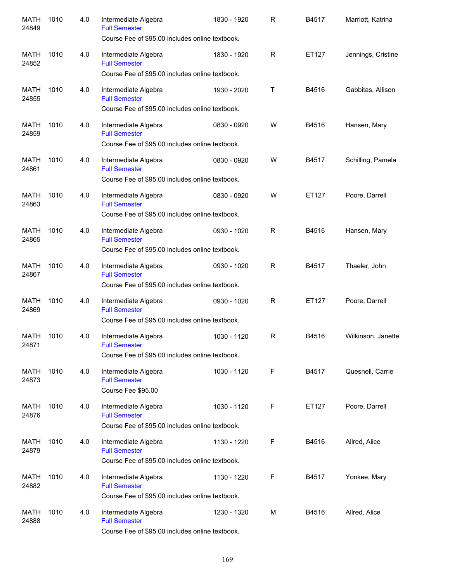| <b>MATH</b><br>24849 | 1010 | 4.0 | Intermediate Algebra<br><b>Full Semester</b><br>Course Fee of \$95.00 includes online textbook. | 1830 - 1920 | R            | B4517 | Marriott, Katrina  |
|----------------------|------|-----|-------------------------------------------------------------------------------------------------|-------------|--------------|-------|--------------------|
| <b>MATH</b><br>24852 | 1010 | 4.0 | Intermediate Algebra<br><b>Full Semester</b><br>Course Fee of \$95.00 includes online textbook. | 1830 - 1920 | R            | ET127 | Jennings, Cristine |
| <b>MATH</b><br>24855 | 1010 | 4.0 | Intermediate Algebra<br><b>Full Semester</b><br>Course Fee of \$95.00 includes online textbook. | 1930 - 2020 | т            | B4516 | Gabbitas, Allison  |
| <b>MATH</b><br>24859 | 1010 | 4.0 | Intermediate Algebra<br><b>Full Semester</b><br>Course Fee of \$95.00 includes online textbook. | 0830 - 0920 | W            | B4516 | Hansen, Mary       |
| <b>MATH</b><br>24861 | 1010 | 4.0 | Intermediate Algebra<br><b>Full Semester</b><br>Course Fee of \$95.00 includes online textbook. | 0830 - 0920 | W            | B4517 | Schilling, Pamela  |
| <b>MATH</b><br>24863 | 1010 | 4.0 | Intermediate Algebra<br><b>Full Semester</b><br>Course Fee of \$95.00 includes online textbook. | 0830 - 0920 | W            | ET127 | Poore, Darrell     |
| <b>MATH</b><br>24865 | 1010 | 4.0 | Intermediate Algebra<br><b>Full Semester</b><br>Course Fee of \$95.00 includes online textbook. | 0930 - 1020 | $\mathsf{R}$ | B4516 | Hansen, Mary       |
| <b>MATH</b><br>24867 | 1010 | 4.0 | Intermediate Algebra<br><b>Full Semester</b><br>Course Fee of \$95.00 includes online textbook. | 0930 - 1020 | R            | B4517 | Thaeler, John      |
| <b>MATH</b><br>24869 | 1010 | 4.0 | Intermediate Algebra<br><b>Full Semester</b><br>Course Fee of \$95.00 includes online textbook. | 0930 - 1020 | R            | ET127 | Poore, Darrell     |
| <b>MATH</b><br>24871 | 1010 | 4.0 | Intermediate Algebra<br><b>Full Semester</b><br>Course Fee of \$95.00 includes online textbook. | 1030 - 1120 | R            | B4516 | Wilkinson, Janette |
| MATH<br>24873        | 1010 | 4.0 | Intermediate Algebra<br><b>Full Semester</b><br>Course Fee \$95.00                              | 1030 - 1120 | F            | B4517 | Quesnell, Carrie   |
| MATH<br>24876        | 1010 | 4.0 | Intermediate Algebra<br><b>Full Semester</b><br>Course Fee of \$95.00 includes online textbook. | 1030 - 1120 | F            | ET127 | Poore, Darrell     |
| MATH<br>24879        | 1010 | 4.0 | Intermediate Algebra<br><b>Full Semester</b><br>Course Fee of \$95.00 includes online textbook. | 1130 - 1220 | F            | B4516 | Allred, Alice      |
| MATH<br>24882        | 1010 | 4.0 | Intermediate Algebra<br><b>Full Semester</b><br>Course Fee of \$95.00 includes online textbook. | 1130 - 1220 | F            | B4517 | Yonkee, Mary       |
| MATH<br>24888        | 1010 | 4.0 | Intermediate Algebra<br><b>Full Semester</b><br>Course Fee of \$95.00 includes online textbook. | 1230 - 1320 | M            | B4516 | Allred, Alice      |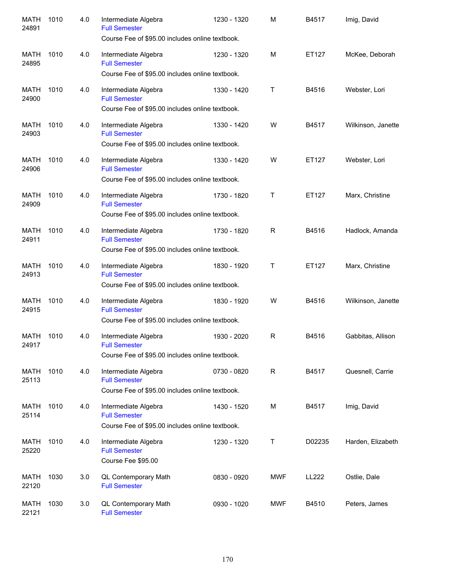| <b>MATH</b><br>24891 | 1010 | 4.0 | Intermediate Algebra<br><b>Full Semester</b><br>Course Fee of \$95.00 includes online textbook.                                                    | 1230 - 1320 | M           | B4517  | Imig, David        |
|----------------------|------|-----|----------------------------------------------------------------------------------------------------------------------------------------------------|-------------|-------------|--------|--------------------|
| MATH<br>24895        | 1010 | 4.0 | Intermediate Algebra<br><b>Full Semester</b><br>Course Fee of \$95.00 includes online textbook.                                                    | 1230 - 1320 | M           | ET127  | McKee, Deborah     |
| MATH<br>24900        | 1010 | 4.0 | Intermediate Algebra<br><b>Full Semester</b><br>Course Fee of \$95.00 includes online textbook.                                                    | 1330 - 1420 | T           | B4516  | Webster, Lori      |
| MATH<br>24903        | 1010 | 4.0 | Intermediate Algebra<br><b>Full Semester</b><br>Course Fee of \$95.00 includes online textbook.                                                    | 1330 - 1420 | W           | B4517  | Wilkinson, Janette |
| MATH<br>24906        | 1010 | 4.0 | Intermediate Algebra<br><b>Full Semester</b><br>Course Fee of \$95.00 includes online textbook.                                                    | 1330 - 1420 | W           | ET127  | Webster, Lori      |
| <b>MATH</b><br>24909 | 1010 | 4.0 | Intermediate Algebra<br><b>Full Semester</b>                                                                                                       | 1730 - 1820 | T           | ET127  | Marx, Christine    |
| <b>MATH</b><br>24911 | 1010 | 4.0 | Course Fee of \$95.00 includes online textbook.<br>Intermediate Algebra<br><b>Full Semester</b>                                                    | 1730 - 1820 | R           | B4516  | Hadlock, Amanda    |
| <b>MATH</b><br>24913 | 1010 | 4.0 | Course Fee of \$95.00 includes online textbook.<br>Intermediate Algebra<br><b>Full Semester</b><br>Course Fee of \$95.00 includes online textbook. | 1830 - 1920 | T           | ET127  | Marx, Christine    |
| <b>MATH</b><br>24915 | 1010 | 4.0 | Intermediate Algebra<br><b>Full Semester</b><br>Course Fee of \$95.00 includes online textbook.                                                    | 1830 - 1920 | W           | B4516  | Wilkinson, Janette |
| MATH<br>24917        | 1010 | 4.0 | Intermediate Algebra<br><b>Full Semester</b><br>Course Fee of \$95.00 includes online textbook.                                                    | 1930 - 2020 | R           | B4516  | Gabbitas, Allison  |
| MATH<br>25113        | 1010 | 4.0 | Intermediate Algebra<br><b>Full Semester</b><br>Course Fee of \$95.00 includes online textbook.                                                    | 0730 - 0820 | $\mathsf R$ | B4517  | Quesnell, Carrie   |
| <b>MATH</b><br>25114 | 1010 | 4.0 | Intermediate Algebra<br><b>Full Semester</b><br>Course Fee of \$95.00 includes online textbook.                                                    | 1430 - 1520 | М           | B4517  | Imig, David        |
| MATH<br>25220        | 1010 | 4.0 | Intermediate Algebra<br><b>Full Semester</b><br>Course Fee \$95.00                                                                                 | 1230 - 1320 | Τ           | D02235 | Harden, Elizabeth  |
| MATH<br>22120        | 1030 | 3.0 | QL Contemporary Math<br><b>Full Semester</b>                                                                                                       | 0830 - 0920 | MWF         | LL222  | Ostlie, Dale       |
| MATH<br>22121        | 1030 | 3.0 | QL Contemporary Math<br><b>Full Semester</b>                                                                                                       | 0930 - 1020 | MWF         | B4510  | Peters, James      |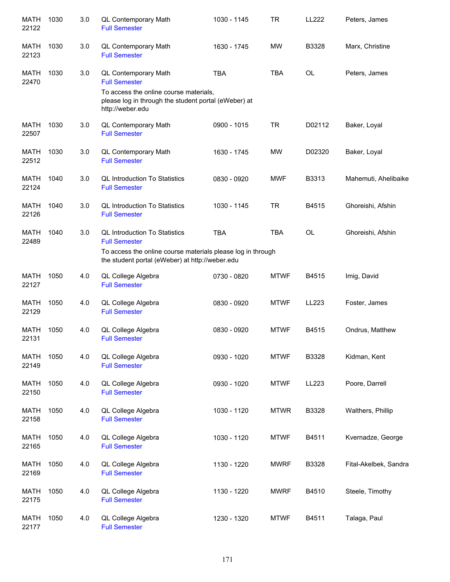| <b>MATH</b><br>22122 | 1030 | 3.0 | QL Contemporary Math<br><b>Full Semester</b>                                                                       | 1030 - 1145 | <b>TR</b>   | LL222     | Peters, James         |
|----------------------|------|-----|--------------------------------------------------------------------------------------------------------------------|-------------|-------------|-----------|-----------------------|
| <b>MATH</b><br>22123 | 1030 | 3.0 | QL Contemporary Math<br><b>Full Semester</b>                                                                       | 1630 - 1745 | <b>MW</b>   | B3328     | Marx, Christine       |
| <b>MATH</b><br>22470 | 1030 | 3.0 | QL Contemporary Math<br><b>Full Semester</b>                                                                       | <b>TBA</b>  | <b>TBA</b>  | OL        | Peters, James         |
|                      |      |     | To access the online course materials,<br>please log in through the student portal (eWeber) at<br>http://weber.edu |             |             |           |                       |
| MATH<br>22507        | 1030 | 3.0 | QL Contemporary Math<br><b>Full Semester</b>                                                                       | 0900 - 1015 | <b>TR</b>   | D02112    | Baker, Loyal          |
| <b>MATH</b><br>22512 | 1030 | 3.0 | QL Contemporary Math<br><b>Full Semester</b>                                                                       | 1630 - 1745 | <b>MW</b>   | D02320    | Baker, Loyal          |
| <b>MATH</b><br>22124 | 1040 | 3.0 | <b>QL Introduction To Statistics</b><br><b>Full Semester</b>                                                       | 0830 - 0920 | <b>MWF</b>  | B3313     | Mahemuti, Ahelibaike  |
| <b>MATH</b><br>22126 | 1040 | 3.0 | <b>QL Introduction To Statistics</b><br><b>Full Semester</b>                                                       | 1030 - 1145 | <b>TR</b>   | B4515     | Ghoreishi, Afshin     |
| <b>MATH</b><br>22489 | 1040 | 3.0 | <b>QL Introduction To Statistics</b><br><b>Full Semester</b>                                                       | <b>TBA</b>  | <b>TBA</b>  | <b>OL</b> | Ghoreishi, Afshin     |
|                      |      |     | To access the online course materials please log in through<br>the student portal (eWeber) at http://weber.edu     |             |             |           |                       |
| <b>MATH</b><br>22127 | 1050 | 4.0 | QL College Algebra<br><b>Full Semester</b>                                                                         | 0730 - 0820 | <b>MTWF</b> | B4515     | Imig, David           |
| <b>MATH</b><br>22129 | 1050 | 4.0 | QL College Algebra<br><b>Full Semester</b>                                                                         | 0830 - 0920 | <b>MTWF</b> | LL223     | Foster, James         |
| <b>MATH</b><br>22131 | 1050 | 4.0 | QL College Algebra<br><b>Full Semester</b>                                                                         | 0830 - 0920 | <b>MTWF</b> | B4515     | Ondrus, Matthew       |
| <b>MATH</b><br>22149 | 1050 | 4.0 | QL College Algebra<br><b>Full Semester</b>                                                                         | 0930 - 1020 | <b>MTWF</b> | B3328     | Kidman, Kent          |
| <b>MATH</b><br>22150 | 1050 | 4.0 | QL College Algebra<br><b>Full Semester</b>                                                                         | 0930 - 1020 | <b>MTWF</b> | LL223     | Poore, Darrell        |
| <b>MATH</b><br>22158 | 1050 | 4.0 | QL College Algebra<br><b>Full Semester</b>                                                                         | 1030 - 1120 | <b>MTWR</b> | B3328     | Walthers, Phillip     |
| MATH<br>22165        | 1050 | 4.0 | QL College Algebra<br><b>Full Semester</b>                                                                         | 1030 - 1120 | <b>MTWF</b> | B4511     | Kvernadze, George     |
| <b>MATH</b><br>22169 | 1050 | 4.0 | QL College Algebra<br><b>Full Semester</b>                                                                         | 1130 - 1220 | <b>MWRF</b> | B3328     | Fital-Akelbek, Sandra |
| <b>MATH</b><br>22175 | 1050 | 4.0 | QL College Algebra<br><b>Full Semester</b>                                                                         | 1130 - 1220 | <b>MWRF</b> | B4510     | Steele, Timothy       |
| MATH<br>22177        | 1050 | 4.0 | QL College Algebra<br><b>Full Semester</b>                                                                         | 1230 - 1320 | <b>MTWF</b> | B4511     | Talaga, Paul          |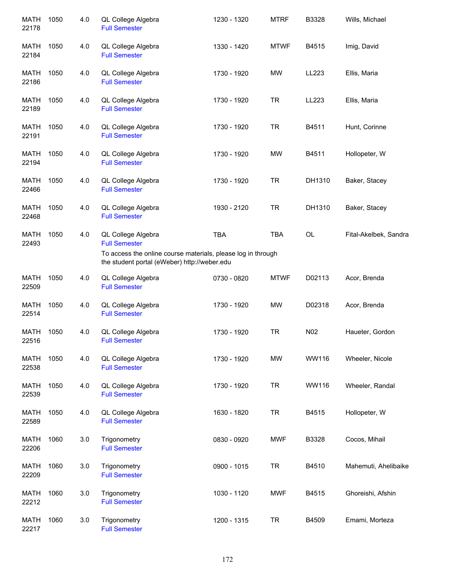| <b>MATH</b><br>22178 | 1050 | 4.0 | QL College Algebra<br><b>Full Semester</b>                                                                 | 1230 - 1320 | <b>MTRF</b> | B3328  | Wills, Michael        |
|----------------------|------|-----|------------------------------------------------------------------------------------------------------------|-------------|-------------|--------|-----------------------|
| MATH<br>22184        | 1050 | 4.0 | QL College Algebra<br><b>Full Semester</b>                                                                 | 1330 - 1420 | <b>MTWF</b> | B4515  | Imig, David           |
| <b>MATH</b><br>22186 | 1050 | 4.0 | QL College Algebra<br><b>Full Semester</b>                                                                 | 1730 - 1920 | MW          | LL223  | Ellis, Maria          |
| MATH<br>22189        | 1050 | 4.0 | QL College Algebra<br><b>Full Semester</b>                                                                 | 1730 - 1920 | <b>TR</b>   | LL223  | Ellis, Maria          |
| MATH<br>22191        | 1050 | 4.0 | QL College Algebra<br><b>Full Semester</b>                                                                 | 1730 - 1920 | <b>TR</b>   | B4511  | Hunt, Corinne         |
| <b>MATH</b><br>22194 | 1050 | 4.0 | QL College Algebra<br><b>Full Semester</b>                                                                 | 1730 - 1920 | <b>MW</b>   | B4511  | Hollopeter, W         |
| <b>MATH</b><br>22466 | 1050 | 4.0 | QL College Algebra<br><b>Full Semester</b>                                                                 | 1730 - 1920 | <b>TR</b>   | DH1310 | Baker, Stacey         |
| <b>MATH</b><br>22468 | 1050 | 4.0 | QL College Algebra<br><b>Full Semester</b>                                                                 | 1930 - 2120 | <b>TR</b>   | DH1310 | Baker, Stacey         |
| <b>MATH</b><br>22493 | 1050 | 4.0 | QL College Algebra<br><b>Full Semester</b><br>To access the online course materials, please log in through | <b>TBA</b>  | <b>TBA</b>  | OL     | Fital-Akelbek, Sandra |
|                      |      |     | the student portal (eWeber) http://weber.edu                                                               |             |             |        |                       |
| <b>MATH</b><br>22509 | 1050 | 4.0 | QL College Algebra<br><b>Full Semester</b>                                                                 | 0730 - 0820 | <b>MTWF</b> | D02113 | Acor, Brenda          |
| <b>MATH</b><br>22514 | 1050 | 4.0 | QL College Algebra<br><b>Full Semester</b>                                                                 | 1730 - 1920 | MW          | D02318 | Acor, Brenda          |
| <b>MATH</b><br>22516 | 1050 | 4.0 | QL College Algebra<br><b>Full Semester</b>                                                                 | 1730 - 1920 | <b>TR</b>   | N02    | Haueter, Gordon       |
| MATH<br>22538        | 1050 | 4.0 | QL College Algebra<br><b>Full Semester</b>                                                                 | 1730 - 1920 | <b>MW</b>   | WW116  | Wheeler, Nicole       |
| MATH<br>22539        | 1050 | 4.0 | QL College Algebra<br><b>Full Semester</b>                                                                 | 1730 - 1920 | <b>TR</b>   | WW116  | Wheeler, Randal       |
| <b>MATH</b><br>22589 | 1050 | 4.0 | QL College Algebra<br><b>Full Semester</b>                                                                 | 1630 - 1820 | <b>TR</b>   | B4515  | Hollopeter, W         |
| MATH<br>22206        | 1060 | 3.0 | Trigonometry<br><b>Full Semester</b>                                                                       | 0830 - 0920 | <b>MWF</b>  | B3328  | Cocos, Mihail         |
| <b>MATH</b><br>22209 | 1060 | 3.0 | Trigonometry<br><b>Full Semester</b>                                                                       | 0900 - 1015 | <b>TR</b>   | B4510  | Mahemuti, Ahelibaike  |
| MATH<br>22212        | 1060 | 3.0 | Trigonometry<br><b>Full Semester</b>                                                                       | 1030 - 1120 | <b>MWF</b>  | B4515  | Ghoreishi, Afshin     |
| <b>MATH</b><br>22217 | 1060 | 3.0 | Trigonometry<br><b>Full Semester</b>                                                                       | 1200 - 1315 | <b>TR</b>   | B4509  | Emami, Morteza        |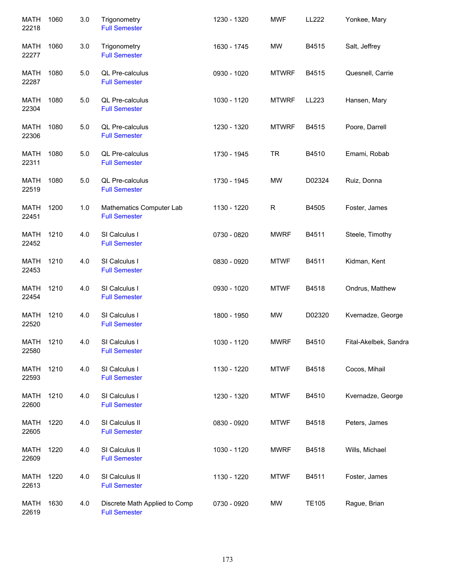| <b>MATH</b><br>22218 | 1060 | 3.0 | Trigonometry<br><b>Full Semester</b>                  | 1230 - 1320 | <b>MWF</b>   | LL222        | Yonkee, Mary          |
|----------------------|------|-----|-------------------------------------------------------|-------------|--------------|--------------|-----------------------|
| MATH<br>22277        | 1060 | 3.0 | Trigonometry<br><b>Full Semester</b>                  | 1630 - 1745 | <b>MW</b>    | B4515        | Salt, Jeffrey         |
| MATH<br>22287        | 1080 | 5.0 | QL Pre-calculus<br><b>Full Semester</b>               | 0930 - 1020 | <b>MTWRF</b> | B4515        | Quesnell, Carrie      |
| <b>MATH</b><br>22304 | 1080 | 5.0 | QL Pre-calculus<br><b>Full Semester</b>               | 1030 - 1120 | <b>MTWRF</b> | LL223        | Hansen, Mary          |
| <b>MATH</b><br>22306 | 1080 | 5.0 | QL Pre-calculus<br><b>Full Semester</b>               | 1230 - 1320 | <b>MTWRF</b> | B4515        | Poore, Darrell        |
| <b>MATH</b><br>22311 | 1080 | 5.0 | QL Pre-calculus<br><b>Full Semester</b>               | 1730 - 1945 | <b>TR</b>    | B4510        | Emami, Robab          |
| <b>MATH</b><br>22519 | 1080 | 5.0 | QL Pre-calculus<br><b>Full Semester</b>               | 1730 - 1945 | <b>MW</b>    | D02324       | Ruiz, Donna           |
| <b>MATH</b><br>22451 | 1200 | 1.0 | Mathematics Computer Lab<br><b>Full Semester</b>      | 1130 - 1220 | R            | B4505        | Foster, James         |
| <b>MATH</b><br>22452 | 1210 | 4.0 | SI Calculus I<br><b>Full Semester</b>                 | 0730 - 0820 | <b>MWRF</b>  | B4511        | Steele, Timothy       |
| <b>MATH</b><br>22453 | 1210 | 4.0 | SI Calculus I<br><b>Full Semester</b>                 | 0830 - 0920 | <b>MTWF</b>  | B4511        | Kidman, Kent          |
| <b>MATH</b><br>22454 | 1210 | 4.0 | SI Calculus I<br><b>Full Semester</b>                 | 0930 - 1020 | <b>MTWF</b>  | B4518        | Ondrus, Matthew       |
| <b>MATH</b><br>22520 | 1210 | 4.0 | SI Calculus I<br><b>Full Semester</b>                 | 1800 - 1950 | <b>MW</b>    | D02320       | Kvernadze, George     |
| MATH<br>22580        | 1210 | 4.0 | SI Calculus I<br><b>Full Semester</b>                 | 1030 - 1120 | <b>MWRF</b>  | B4510        | Fital-Akelbek, Sandra |
| MATH<br>22593        | 1210 | 4.0 | SI Calculus I<br><b>Full Semester</b>                 | 1130 - 1220 | <b>MTWF</b>  | B4518        | Cocos, Mihail         |
| MATH<br>22600        | 1210 | 4.0 | SI Calculus I<br><b>Full Semester</b>                 | 1230 - 1320 | <b>MTWF</b>  | B4510        | Kvernadze, George     |
| <b>MATH</b><br>22605 | 1220 | 4.0 | SI Calculus II<br><b>Full Semester</b>                | 0830 - 0920 | <b>MTWF</b>  | B4518        | Peters, James         |
| <b>MATH</b><br>22609 | 1220 | 4.0 | SI Calculus II<br><b>Full Semester</b>                | 1030 - 1120 | <b>MWRF</b>  | B4518        | Wills, Michael        |
| <b>MATH</b><br>22613 | 1220 | 4.0 | SI Calculus II<br><b>Full Semester</b>                | 1130 - 1220 | <b>MTWF</b>  | B4511        | Foster, James         |
| <b>MATH</b><br>22619 | 1630 | 4.0 | Discrete Math Applied to Comp<br><b>Full Semester</b> | 0730 - 0920 | MW           | <b>TE105</b> | Rague, Brian          |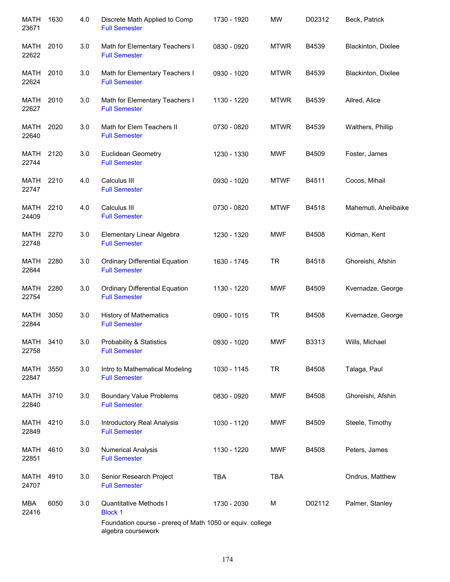| <b>MATH</b><br>23671 | 1630 | 4.0 | Discrete Math Applied to Comp<br><b>Full Semester</b>                           | 1730 - 1920 | <b>MW</b>   | D02312 | Beck, Patrick        |
|----------------------|------|-----|---------------------------------------------------------------------------------|-------------|-------------|--------|----------------------|
| MATH<br>22622        | 2010 | 3.0 | Math for Elementary Teachers I<br><b>Full Semester</b>                          | 0830 - 0920 | <b>MTWR</b> | B4539  | Blackinton, Dixilee  |
| MATH<br>22624        | 2010 | 3.0 | Math for Elementary Teachers I<br><b>Full Semester</b>                          | 0930 - 1020 | <b>MTWR</b> | B4539  | Blackinton, Dixilee  |
| MATH<br>22627        | 2010 | 3.0 | Math for Elementary Teachers I<br><b>Full Semester</b>                          | 1130 - 1220 | <b>MTWR</b> | B4539  | Allred, Alice        |
| <b>MATH</b><br>22640 | 2020 | 3.0 | Math for Elem Teachers II<br><b>Full Semester</b>                               | 0730 - 0820 | <b>MTWR</b> | B4539  | Walthers, Phillip    |
| MATH<br>22744        | 2120 | 3.0 | Euclidean Geometry<br><b>Full Semester</b>                                      | 1230 - 1330 | <b>MWF</b>  | B4509  | Foster, James        |
| MATH<br>22747        | 2210 | 4.0 | Calculus III<br><b>Full Semester</b>                                            | 0930 - 1020 | <b>MTWF</b> | B4511  | Cocos, Mihail        |
| <b>MATH</b><br>24409 | 2210 | 4.0 | Calculus III<br><b>Full Semester</b>                                            | 0730 - 0820 | <b>MTWF</b> | B4518  | Mahemuti, Ahelibaike |
| MATH<br>22748        | 2270 | 3.0 | Elementary Linear Algebra<br><b>Full Semester</b>                               | 1230 - 1320 | <b>MWF</b>  | B4508  | Kidman, Kent         |
| MATH<br>22644        | 2280 | 3.0 | <b>Ordinary Differential Equation</b><br><b>Full Semester</b>                   | 1630 - 1745 | <b>TR</b>   | B4518  | Ghoreishi, Afshin    |
| MATH<br>22754        | 2280 | 3.0 | <b>Ordinary Differential Equation</b><br><b>Full Semester</b>                   | 1130 - 1220 | <b>MWF</b>  | B4509  | Kvernadze, George    |
| <b>MATH</b><br>22844 | 3050 | 3.0 | <b>History of Mathematics</b><br><b>Full Semester</b>                           | 0900 - 1015 | <b>TR</b>   | B4508  | Kvernadze, George    |
| <b>MATH</b><br>22758 | 3410 | 3.0 | <b>Probability &amp; Statistics</b><br><b>Full Semester</b>                     | 0930 - 1020 | <b>MWF</b>  | B3313  | Wills, Michael       |
| MATH<br>22847        | 3550 | 3.0 | Intro to Mathematical Modeling<br><b>Full Semester</b>                          | 1030 - 1145 | <b>TR</b>   | B4508  | Talaga, Paul         |
| MATH<br>22840        | 3710 | 3.0 | <b>Boundary Value Problems</b><br><b>Full Semester</b>                          | 0830 - 0920 | <b>MWF</b>  | B4508  | Ghoreishi, Afshin    |
| MATH<br>22849        | 4210 | 3.0 | Introductory Real Analysis<br><b>Full Semester</b>                              | 1030 - 1120 | <b>MWF</b>  | B4509  | Steele, Timothy      |
| <b>MATH</b><br>22851 | 4610 | 3.0 | <b>Numerical Analysis</b><br><b>Full Semester</b>                               | 1130 - 1220 | <b>MWF</b>  | B4508  | Peters, James        |
| <b>MATH</b><br>24707 | 4910 | 3.0 | Senior Research Project<br><b>Full Semester</b>                                 | <b>TBA</b>  | <b>TBA</b>  |        | Ondrus, Matthew      |
| MBA<br>22416         | 6050 | 3.0 | <b>Quantitative Methods I</b><br><b>Block 1</b>                                 | 1730 - 2030 | M           | D02112 | Palmer, Stanley      |
|                      |      |     | Foundation course - prereq of Math 1050 or equiv. college<br>algebra coursework |             |             |        |                      |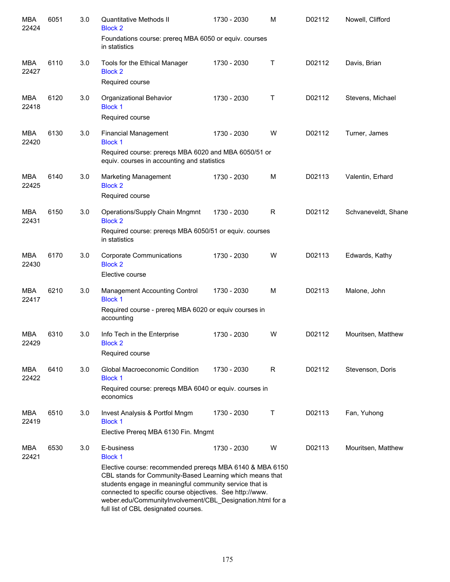| <b>MBA</b><br>22424 | 6051 | 3.0 | <b>Quantitative Methods II</b><br><b>Block 2</b><br>Foundations course: prereq MBA 6050 or equiv. courses                                                                                                                                                                                                                                                                        | 1730 - 2030 | м | D02112 | Nowell, Clifford    |
|---------------------|------|-----|----------------------------------------------------------------------------------------------------------------------------------------------------------------------------------------------------------------------------------------------------------------------------------------------------------------------------------------------------------------------------------|-------------|---|--------|---------------------|
|                     |      |     | in statistics                                                                                                                                                                                                                                                                                                                                                                    |             |   |        |                     |
| MBA<br>22427        | 6110 | 3.0 | Tools for the Ethical Manager<br><b>Block 2</b><br>Required course                                                                                                                                                                                                                                                                                                               | 1730 - 2030 | Т | D02112 | Davis, Brian        |
| MBA<br>22418        | 6120 | 3.0 | Organizational Behavior<br><b>Block 1</b><br>Required course                                                                                                                                                                                                                                                                                                                     | 1730 - 2030 | Т | D02112 | Stevens, Michael    |
| MBA<br>22420        | 6130 | 3.0 | <b>Financial Management</b><br><b>Block 1</b>                                                                                                                                                                                                                                                                                                                                    | 1730 - 2030 | W | D02112 | Turner, James       |
|                     |      |     | Required course: prereqs MBA 6020 and MBA 6050/51 or<br>equiv. courses in accounting and statistics                                                                                                                                                                                                                                                                              |             |   |        |                     |
| <b>MBA</b><br>22425 | 6140 | 3.0 | <b>Marketing Management</b><br><b>Block 2</b><br>Required course                                                                                                                                                                                                                                                                                                                 | 1730 - 2030 | M | D02113 | Valentin, Erhard    |
| <b>MBA</b><br>22431 | 6150 | 3.0 | Operations/Supply Chain Mngmnt<br><b>Block 2</b><br>Required course: prereqs MBA 6050/51 or equiv. courses                                                                                                                                                                                                                                                                       | 1730 - 2030 | R | D02112 | Schvaneveldt, Shane |
|                     | 6170 |     | in statistics                                                                                                                                                                                                                                                                                                                                                                    |             | W | D02113 |                     |
| <b>MBA</b><br>22430 |      | 3.0 | <b>Corporate Communications</b><br><b>Block 2</b><br>Elective course                                                                                                                                                                                                                                                                                                             | 1730 - 2030 |   |        | Edwards, Kathy      |
| <b>MBA</b><br>22417 | 6210 | 3.0 | <b>Management Accounting Control</b><br><b>Block 1</b>                                                                                                                                                                                                                                                                                                                           | 1730 - 2030 | M | D02113 | Malone, John        |
|                     |      |     | Required course - prereq MBA 6020 or equiv courses in<br>accounting                                                                                                                                                                                                                                                                                                              |             |   |        |                     |
| <b>MBA</b><br>22429 | 6310 | 3.0 | Info Tech in the Enterprise<br><b>Block 2</b><br>Required course                                                                                                                                                                                                                                                                                                                 | 1730 - 2030 | W | D02112 | Mouritsen, Matthew  |
| MBA<br>22422        | 6410 | 3.0 | Global Macroeconomic Condition<br><b>Block 1</b><br>Required course: prereqs MBA 6040 or equiv. courses in<br>economics                                                                                                                                                                                                                                                          | 1730 - 2030 | R | D02112 | Stevenson, Doris    |
| MBA<br>22419        | 6510 | 3.0 | Invest Analysis & Portfol Mngm<br><b>Block 1</b>                                                                                                                                                                                                                                                                                                                                 | 1730 - 2030 | Τ | D02113 | Fan, Yuhong         |
|                     |      |     | Elective Prereq MBA 6130 Fin. Mngmt                                                                                                                                                                                                                                                                                                                                              |             |   |        |                     |
| MBA<br>22421        | 6530 | 3.0 | E-business<br><b>Block 1</b><br>Elective course: recommended prereqs MBA 6140 & MBA 6150<br>CBL stands for Community-Based Learning which means that<br>students engage in meaningful community service that is<br>connected to specific course objectives. See http://www.<br>weber.edu/CommunityInvolvement/CBL_Designation.html for a<br>full list of CBL designated courses. | 1730 - 2030 | W | D02113 | Mouritsen, Matthew  |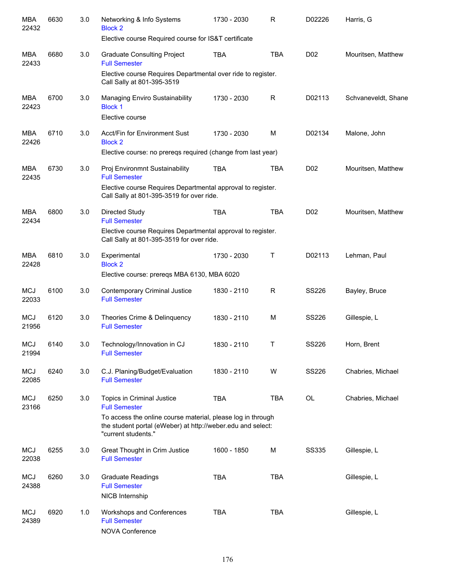| MBA<br>22432        | 6630 | 3.0 | Networking & Info Systems<br><b>Block 2</b>                                                                                                       | 1730 - 2030 | R           | D02226           | Harris, G           |
|---------------------|------|-----|---------------------------------------------------------------------------------------------------------------------------------------------------|-------------|-------------|------------------|---------------------|
|                     |      |     | Elective course Required course for IS&T certificate                                                                                              |             |             |                  |                     |
| <b>MBA</b><br>22433 | 6680 | 3.0 | <b>Graduate Consulting Project</b><br><b>Full Semester</b>                                                                                        | TBA         | <b>TBA</b>  | D <sub>0</sub> 2 | Mouritsen, Matthew  |
|                     |      |     | Elective course Requires Departmental over ride to register.<br>Call Sally at 801-395-3519                                                        |             |             |                  |                     |
| MBA<br>22423        | 6700 | 3.0 | Managing Enviro Sustainability<br><b>Block 1</b><br>Elective course                                                                               | 1730 - 2030 | R           | D02113           | Schvaneveldt, Shane |
| <b>MBA</b><br>22426 | 6710 | 3.0 | Acct/Fin for Environment Sust<br><b>Block 2</b><br>Elective course: no preregs required (change from last year)                                   | 1730 - 2030 | M           | D02134           | Malone, John        |
| <b>MBA</b>          | 6730 | 3.0 | Proj Environmnt Sustainability                                                                                                                    | <b>TBA</b>  | <b>TBA</b>  | D <sub>0</sub> 2 | Mouritsen, Matthew  |
| 22435               |      |     | <b>Full Semester</b><br>Elective course Requires Departmental approval to register.<br>Call Sally at 801-395-3519 for over ride.                  |             |             |                  |                     |
| <b>MBA</b><br>22434 | 6800 | 3.0 | Directed Study<br><b>Full Semester</b>                                                                                                            | <b>TBA</b>  | <b>TBA</b>  | D <sub>02</sub>  | Mouritsen, Matthew  |
|                     |      |     | Elective course Requires Departmental approval to register.<br>Call Sally at 801-395-3519 for over ride.                                          |             |             |                  |                     |
| <b>MBA</b><br>22428 | 6810 | 3.0 | Experimental<br><b>Block 2</b>                                                                                                                    | 1730 - 2030 | $\mathsf T$ | D02113           | Lehman, Paul        |
|                     |      |     | Elective course: prereqs MBA 6130, MBA 6020                                                                                                       |             |             |                  |                     |
| <b>MCJ</b><br>22033 | 6100 | 3.0 | Contemporary Criminal Justice<br><b>Full Semester</b>                                                                                             | 1830 - 2110 | R           | <b>SS226</b>     | Bayley, Bruce       |
| <b>MCJ</b><br>21956 | 6120 | 3.0 | Theories Crime & Delinquency<br><b>Full Semester</b>                                                                                              | 1830 - 2110 | M           | <b>SS226</b>     | Gillespie, L        |
| <b>MCJ</b><br>21994 | 6140 | 3.0 | Technology/Innovation in CJ<br><b>Full Semester</b>                                                                                               | 1830 - 2110 | Τ           | <b>SS226</b>     | Horn, Brent         |
| <b>MCJ</b><br>22085 | 6240 | 3.0 | C.J. Planing/Budget/Evaluation<br><b>Full Semester</b>                                                                                            | 1830 - 2110 | W           | <b>SS226</b>     | Chabries, Michael   |
| <b>MCJ</b><br>23166 | 6250 | 3.0 | Topics in Criminal Justice<br><b>Full Semester</b>                                                                                                | <b>TBA</b>  | <b>TBA</b>  | OL               | Chabries, Michael   |
|                     |      |     | To access the online course material, please log in through<br>the student portal (eWeber) at http://weber.edu and select:<br>"current students." |             |             |                  |                     |
| <b>MCJ</b><br>22038 | 6255 | 3.0 | Great Thought in Crim Justice<br><b>Full Semester</b>                                                                                             | 1600 - 1850 | M           | <b>SS335</b>     | Gillespie, L        |
| <b>MCJ</b><br>24388 | 6260 | 3.0 | <b>Graduate Readings</b><br><b>Full Semester</b><br>NICB Internship                                                                               | <b>TBA</b>  | <b>TBA</b>  |                  | Gillespie, L        |
| <b>MCJ</b><br>24389 | 6920 | 1.0 | Workshops and Conferences<br><b>Full Semester</b><br><b>NOVA Conference</b>                                                                       | <b>TBA</b>  | <b>TBA</b>  |                  | Gillespie, L        |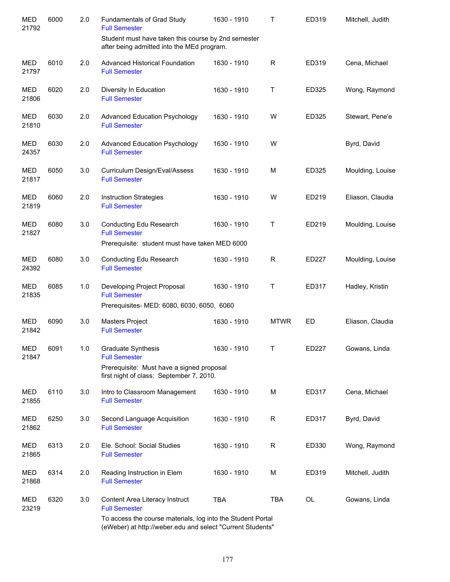| <b>MED</b><br>21792 | 6000 | 2.0 | Fundamentals of Grad Study<br><b>Full Semester</b>                                                                        | 1630 - 1910 | Т           | ED319 | Mitchell, Judith |
|---------------------|------|-----|---------------------------------------------------------------------------------------------------------------------------|-------------|-------------|-------|------------------|
|                     |      |     | Student must have taken this course by 2nd semester<br>after being admitted into the MEd program.                         |             |             |       |                  |
| <b>MED</b><br>21797 | 6010 | 2.0 | <b>Advanced Historical Foundation</b><br><b>Full Semester</b>                                                             | 1630 - 1910 | R           | ED319 | Cena, Michael    |
| <b>MED</b><br>21806 | 6020 | 2.0 | Diversity In Education<br><b>Full Semester</b>                                                                            | 1630 - 1910 | Τ           | ED325 | Wong, Raymond    |
| <b>MED</b><br>21810 | 6030 | 2.0 | <b>Advanced Education Psychology</b><br><b>Full Semester</b>                                                              | 1630 - 1910 | W           | ED325 | Stewart, Pene'e  |
| <b>MED</b><br>24357 | 6030 | 2.0 | <b>Advanced Education Psychology</b><br><b>Full Semester</b>                                                              | 1630 - 1910 | W           |       | Byrd, David      |
| <b>MED</b><br>21817 | 6050 | 3.0 | Curriculum Design/Eval/Assess<br><b>Full Semester</b>                                                                     | 1630 - 1910 | M           | ED325 | Moulding, Louise |
| MED<br>21819        | 6060 | 2.0 | <b>Instruction Strategies</b><br><b>Full Semester</b>                                                                     | 1630 - 1910 | W           | ED219 | Eliason, Claudia |
| <b>MED</b><br>21827 | 6080 | 3.0 | Conducting Edu Research<br><b>Full Semester</b>                                                                           | 1630 - 1910 | Т           | ED219 | Moulding, Louise |
|                     |      |     | Prerequisite: student must have taken MED 6000                                                                            |             |             |       |                  |
| <b>MED</b><br>24392 | 6080 | 3.0 | Conducting Edu Research<br><b>Full Semester</b>                                                                           | 1630 - 1910 | R           | ED227 | Moulding, Louise |
| <b>MED</b><br>21835 | 6085 | 1.0 | Developing Project Proposal<br><b>Full Semester</b>                                                                       | 1630 - 1910 | Т           | ED317 | Hadley, Kristin  |
|                     |      |     | Prerequisites- MED: 6080, 6030, 6050, 6060                                                                                |             |             |       |                  |
| MED<br>21842        | 6090 | 3.0 | Masters Project<br><b>Full Semester</b>                                                                                   | 1630 - 1910 | <b>MTWR</b> | ED    | Eliason, Claudia |
| <b>MED</b><br>21847 | 6091 | 1.0 | Graduate Synthesis<br><b>Full Semester</b>                                                                                | 1630 - 1910 | т           | ED227 | Gowans, Linda    |
|                     |      |     | Prerequisite: Must have a signed proposal<br>first night of class: September 7, 2010.                                     |             |             |       |                  |
| <b>MED</b><br>21855 | 6110 | 3.0 | Intro to Classroom Management<br><b>Full Semester</b>                                                                     | 1630 - 1910 | M           | ED317 | Cena, Michael    |
| <b>MED</b><br>21862 | 6250 | 3.0 | Second Language Acquisition<br><b>Full Semester</b>                                                                       | 1630 - 1910 | $\mathsf R$ | ED317 | Byrd, David      |
| <b>MED</b><br>21865 | 6313 | 2.0 | Ele. School: Social Studies<br><b>Full Semester</b>                                                                       | 1630 - 1910 | $\mathsf R$ | ED330 | Wong, Raymond    |
| <b>MED</b><br>21868 | 6314 | 2.0 | Reading Instruction in Elem<br><b>Full Semester</b>                                                                       | 1630 - 1910 | M           | ED319 | Mitchell, Judith |
| MED<br>23219        | 6320 | 3.0 | Content Area Literacy Instruct<br><b>Full Semester</b>                                                                    | <b>TBA</b>  | <b>TBA</b>  | OL    | Gowans, Linda    |
|                     |      |     | To access the course materials, log into the Student Portal<br>(eWeber) at http://weber.edu and select "Current Students" |             |             |       |                  |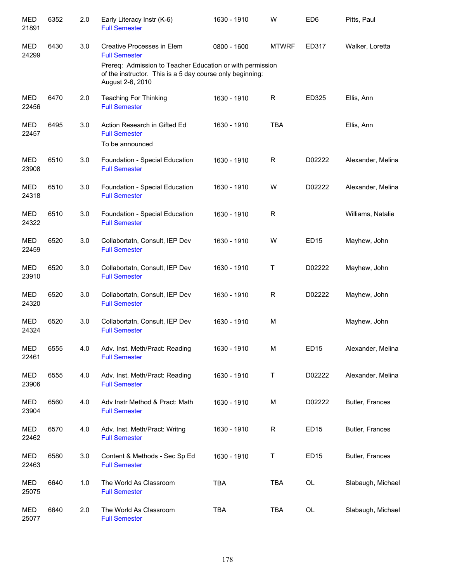| <b>MED</b><br>21891 | 6352 | 2.0 | Early Literacy Instr (K-6)<br><b>Full Semester</b>                                                                                         | 1630 - 1910 | W            | ED <sub>6</sub>  | Pitts, Paul       |
|---------------------|------|-----|--------------------------------------------------------------------------------------------------------------------------------------------|-------------|--------------|------------------|-------------------|
| <b>MED</b><br>24299 | 6430 | 3.0 | Creative Processes in Elem<br><b>Full Semester</b>                                                                                         | 0800 - 1600 | <b>MTWRF</b> | ED317            | Walker, Loretta   |
|                     |      |     | Prereq: Admission to Teacher Education or with permission<br>of the instructor. This is a 5 day course only beginning:<br>August 2-6, 2010 |             |              |                  |                   |
| MED<br>22456        | 6470 | 2.0 | <b>Teaching For Thinking</b><br><b>Full Semester</b>                                                                                       | 1630 - 1910 | R            | ED325            | Ellis, Ann        |
| MED<br>22457        | 6495 | 3.0 | Action Research in Gifted Ed<br><b>Full Semester</b><br>To be announced                                                                    | 1630 - 1910 | <b>TBA</b>   |                  | Ellis, Ann        |
| MED<br>23908        | 6510 | 3.0 | Foundation - Special Education<br><b>Full Semester</b>                                                                                     | 1630 - 1910 | R            | D02222           | Alexander, Melina |
| MED<br>24318        | 6510 | 3.0 | Foundation - Special Education<br><b>Full Semester</b>                                                                                     | 1630 - 1910 | W            | D02222           | Alexander, Melina |
| <b>MED</b><br>24322 | 6510 | 3.0 | Foundation - Special Education<br><b>Full Semester</b>                                                                                     | 1630 - 1910 | R            |                  | Williams, Natalie |
| MED<br>22459        | 6520 | 3.0 | Collabortatn, Consult, IEP Dev<br><b>Full Semester</b>                                                                                     | 1630 - 1910 | W            | <b>ED15</b>      | Mayhew, John      |
| MED<br>23910        | 6520 | 3.0 | Collabortatn, Consult, IEP Dev<br><b>Full Semester</b>                                                                                     | 1630 - 1910 | Τ            | D02222           | Mayhew, John      |
| <b>MED</b><br>24320 | 6520 | 3.0 | Collabortatn, Consult, IEP Dev<br><b>Full Semester</b>                                                                                     | 1630 - 1910 | R            | D02222           | Mayhew, John      |
| MED<br>24324        | 6520 | 3.0 | Collabortatn, Consult, IEP Dev<br><b>Full Semester</b>                                                                                     | 1630 - 1910 | М            |                  | Mayhew, John      |
| <b>MED</b><br>22461 | 6555 | 4.0 | Adv. Inst. Meth/Pract: Reading<br><b>Full Semester</b>                                                                                     | 1630 - 1910 | М            | ED <sub>15</sub> | Alexander, Melina |
| <b>MED</b><br>23906 | 6555 | 4.0 | Adv. Inst. Meth/Pract: Reading<br><b>Full Semester</b>                                                                                     | 1630 - 1910 | Τ            | D02222           | Alexander, Melina |
| <b>MED</b><br>23904 | 6560 | 4.0 | Adv Instr Method & Pract: Math<br><b>Full Semester</b>                                                                                     | 1630 - 1910 | М            | D02222           | Butler, Frances   |
| MED<br>22462        | 6570 | 4.0 | Adv. Inst. Meth/Pract: Writng<br><b>Full Semester</b>                                                                                      | 1630 - 1910 | R            | <b>ED15</b>      | Butler, Frances   |
| MED<br>22463        | 6580 | 3.0 | Content & Methods - Sec Sp Ed<br><b>Full Semester</b>                                                                                      | 1630 - 1910 | Τ            | ED <sub>15</sub> | Butler, Frances   |
| MED<br>25075        | 6640 | 1.0 | The World As Classroom<br><b>Full Semester</b>                                                                                             | <b>TBA</b>  | <b>TBA</b>   | OL               | Slabaugh, Michael |
| MED<br>25077        | 6640 | 2.0 | The World As Classroom<br><b>Full Semester</b>                                                                                             | <b>TBA</b>  | TBA          | OL               | Slabaugh, Michael |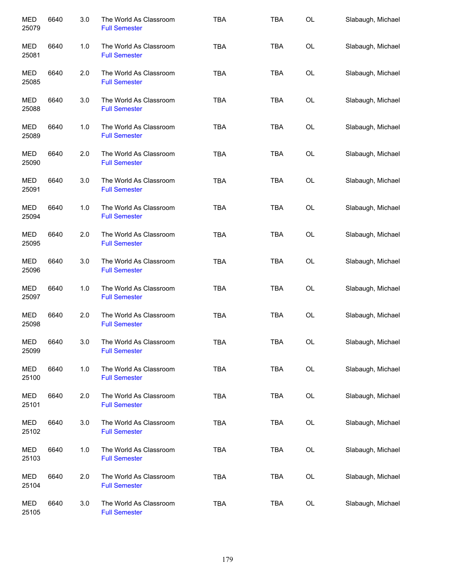| <b>MED</b><br>25079 | 6640 | 3.0 | The World As Classroom<br><b>Full Semester</b> | <b>TBA</b> | <b>TBA</b> | <b>OL</b> | Slabaugh, Michael |
|---------------------|------|-----|------------------------------------------------|------------|------------|-----------|-------------------|
| <b>MED</b><br>25081 | 6640 | 1.0 | The World As Classroom<br><b>Full Semester</b> | <b>TBA</b> | TBA        | OL        | Slabaugh, Michael |
| MED<br>25085        | 6640 | 2.0 | The World As Classroom<br><b>Full Semester</b> | <b>TBA</b> | TBA        | OL        | Slabaugh, Michael |
| <b>MED</b><br>25088 | 6640 | 3.0 | The World As Classroom<br><b>Full Semester</b> | <b>TBA</b> | <b>TBA</b> | OL        | Slabaugh, Michael |
| MED<br>25089        | 6640 | 1.0 | The World As Classroom<br><b>Full Semester</b> | <b>TBA</b> | <b>TBA</b> | OL        | Slabaugh, Michael |
| MED<br>25090        | 6640 | 2.0 | The World As Classroom<br><b>Full Semester</b> | <b>TBA</b> | <b>TBA</b> | OL        | Slabaugh, Michael |
| <b>MED</b><br>25091 | 6640 | 3.0 | The World As Classroom<br><b>Full Semester</b> | <b>TBA</b> | <b>TBA</b> | OL        | Slabaugh, Michael |
| MED<br>25094        | 6640 | 1.0 | The World As Classroom<br><b>Full Semester</b> | <b>TBA</b> | <b>TBA</b> | OL        | Slabaugh, Michael |
| MED<br>25095        | 6640 | 2.0 | The World As Classroom<br><b>Full Semester</b> | <b>TBA</b> | <b>TBA</b> | OL        | Slabaugh, Michael |
| MED<br>25096        | 6640 | 3.0 | The World As Classroom<br><b>Full Semester</b> | <b>TBA</b> | <b>TBA</b> | OL        | Slabaugh, Michael |
| MED<br>25097        | 6640 | 1.0 | The World As Classroom<br><b>Full Semester</b> | <b>TBA</b> | <b>TBA</b> | OL        | Slabaugh, Michael |
| <b>MED</b><br>25098 | 6640 | 2.0 | The World As Classroom<br><b>Full Semester</b> | <b>TBA</b> | <b>TBA</b> | OL        | Slabaugh, Michael |
| <b>MED</b><br>25099 | 6640 | 3.0 | The World As Classroom<br><b>Full Semester</b> | TBA        | TBA        | OL        | Slabaugh, Michael |
| <b>MED</b><br>25100 | 6640 | 1.0 | The World As Classroom<br><b>Full Semester</b> | <b>TBA</b> | <b>TBA</b> | OL        | Slabaugh, Michael |
| MED<br>25101        | 6640 | 2.0 | The World As Classroom<br><b>Full Semester</b> | <b>TBA</b> | <b>TBA</b> | OL        | Slabaugh, Michael |
| <b>MED</b><br>25102 | 6640 | 3.0 | The World As Classroom<br><b>Full Semester</b> | <b>TBA</b> | <b>TBA</b> | OL        | Slabaugh, Michael |
| <b>MED</b><br>25103 | 6640 | 1.0 | The World As Classroom<br><b>Full Semester</b> | <b>TBA</b> | <b>TBA</b> | OL        | Slabaugh, Michael |
| MED<br>25104        | 6640 | 2.0 | The World As Classroom<br><b>Full Semester</b> | <b>TBA</b> | <b>TBA</b> | OL        | Slabaugh, Michael |
| MED<br>25105        | 6640 | 3.0 | The World As Classroom<br><b>Full Semester</b> | <b>TBA</b> | <b>TBA</b> | OL        | Slabaugh, Michael |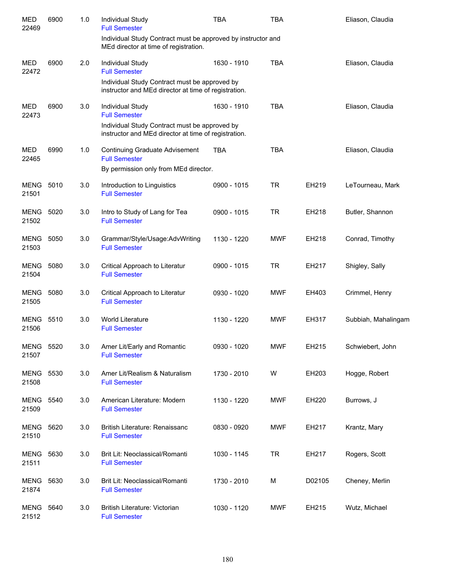| <b>MED</b><br>22469       | 6900 | 1.0 | Individual Study<br><b>Full Semester</b>                                                                                                          | <b>TBA</b>  | <b>TBA</b> |        | Eliason, Claudia    |
|---------------------------|------|-----|---------------------------------------------------------------------------------------------------------------------------------------------------|-------------|------------|--------|---------------------|
|                           |      |     | Individual Study Contract must be approved by instructor and<br>MEd director at time of registration.                                             |             |            |        |                     |
| <b>MED</b><br>22472       | 6900 | 2.0 | Individual Study<br><b>Full Semester</b>                                                                                                          | 1630 - 1910 | <b>TBA</b> |        | Eliason, Claudia    |
|                           |      |     | Individual Study Contract must be approved by<br>instructor and MEd director at time of registration.                                             |             |            |        |                     |
| <b>MED</b><br>22473       | 6900 | 3.0 | Individual Study<br><b>Full Semester</b><br>Individual Study Contract must be approved by<br>instructor and MEd director at time of registration. | 1630 - 1910 | <b>TBA</b> |        | Eliason, Claudia    |
| <b>MED</b><br>22465       | 6990 | 1.0 | <b>Continuing Graduate Advisement</b><br><b>Full Semester</b><br>By permission only from MEd director.                                            | <b>TBA</b>  | <b>TBA</b> |        | Eliason, Claudia    |
| MENG<br>21501             | 5010 | 3.0 | Introduction to Linguistics<br><b>Full Semester</b>                                                                                               | 0900 - 1015 | <b>TR</b>  | EH219  | LeTourneau, Mark    |
| MENG<br>21502             | 5020 | 3.0 | Intro to Study of Lang for Tea<br><b>Full Semester</b>                                                                                            | 0900 - 1015 | <b>TR</b>  | EH218  | Butler, Shannon     |
| MENG<br>21503             | 5050 | 3.0 | Grammar/Style/Usage:AdvWriting<br><b>Full Semester</b>                                                                                            | 1130 - 1220 | <b>MWF</b> | EH218  | Conrad, Timothy     |
| <b>MENG</b><br>21504      | 5080 | 3.0 | Critical Approach to Literatur<br><b>Full Semester</b>                                                                                            | 0900 - 1015 | <b>TR</b>  | EH217  | Shigley, Sally      |
| MENG<br>21505             | 5080 | 3.0 | Critical Approach to Literatur<br><b>Full Semester</b>                                                                                            | 0930 - 1020 | MWF        | EH403  | Crimmel, Henry      |
| MENG<br>21506             | 5510 | 3.0 | <b>World Literature</b><br><b>Full Semester</b>                                                                                                   | 1130 - 1220 | <b>MWF</b> | EH317  | Subbiah, Mahalingam |
| <b>MENG 5520</b><br>21507 |      | 3.0 | Amer Lit/Early and Romantic<br><b>Full Semester</b>                                                                                               | 0930 - 1020 | <b>MWF</b> | EH215  | Schwiebert, John    |
| <b>MENG</b><br>21508      | 5530 | 3.0 | Amer Lit/Realism & Naturalism<br><b>Full Semester</b>                                                                                             | 1730 - 2010 | W          | EH203  | Hogge, Robert       |
| <b>MENG</b><br>21509      | 5540 | 3.0 | American Literature: Modern<br><b>Full Semester</b>                                                                                               | 1130 - 1220 | <b>MWF</b> | EH220  | Burrows, J          |
| <b>MENG</b><br>21510      | 5620 | 3.0 | British Literature: Renaissanc<br><b>Full Semester</b>                                                                                            | 0830 - 0920 | <b>MWF</b> | EH217  | Krantz, Mary        |
| <b>MENG</b><br>21511      | 5630 | 3.0 | Brit Lit: Neoclassical/Romanti<br><b>Full Semester</b>                                                                                            | 1030 - 1145 | <b>TR</b>  | EH217  | Rogers, Scott       |
| MENG<br>21874             | 5630 | 3.0 | Brit Lit: Neoclassical/Romanti<br><b>Full Semester</b>                                                                                            | 1730 - 2010 | M          | D02105 | Cheney, Merlin      |
| MENG<br>21512             | 5640 | 3.0 | British Literature: Victorian<br><b>Full Semester</b>                                                                                             | 1030 - 1120 | <b>MWF</b> | EH215  | Wutz, Michael       |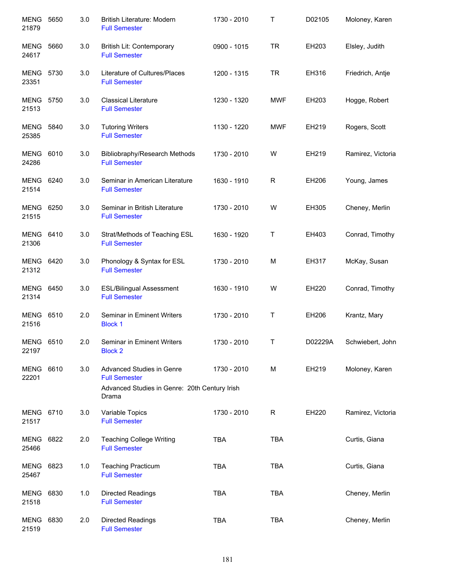| <b>MENG</b><br>21879      | 5650 | 3.0 | British Literature: Modern<br><b>Full Semester</b>                                                 | 1730 - 2010 | Τ          | D02105  | Moloney, Karen    |
|---------------------------|------|-----|----------------------------------------------------------------------------------------------------|-------------|------------|---------|-------------------|
| MENG<br>24617             | 5660 | 3.0 | British Lit: Contemporary<br><b>Full Semester</b>                                                  | 0900 - 1015 | <b>TR</b>  | EH203   | Elsley, Judith    |
| <b>MENG 5730</b><br>23351 |      | 3.0 | Literature of Cultures/Places<br><b>Full Semester</b>                                              | 1200 - 1315 | <b>TR</b>  | EH316   | Friedrich, Antje  |
| <b>MENG 5750</b><br>21513 |      | 3.0 | <b>Classical Literature</b><br><b>Full Semester</b>                                                | 1230 - 1320 | <b>MWF</b> | EH203   | Hogge, Robert     |
| <b>MENG 5840</b><br>25385 |      | 3.0 | <b>Tutoring Writers</b><br><b>Full Semester</b>                                                    | 1130 - 1220 | <b>MWF</b> | EH219   | Rogers, Scott     |
| <b>MENG 6010</b><br>24286 |      | 3.0 | Bibliobraphy/Research Methods<br><b>Full Semester</b>                                              | 1730 - 2010 | W          | EH219   | Ramirez, Victoria |
| MENG 6240<br>21514        |      | 3.0 | Seminar in American Literature<br><b>Full Semester</b>                                             | 1630 - 1910 | R          | EH206   | Young, James      |
| MENG 6250<br>21515        |      | 3.0 | Seminar in British Literature<br><b>Full Semester</b>                                              | 1730 - 2010 | W          | EH305   | Cheney, Merlin    |
| MENG 6410<br>21306        |      | 3.0 | Strat/Methods of Teaching ESL<br><b>Full Semester</b>                                              | 1630 - 1920 | Τ          | EH403   | Conrad, Timothy   |
| MENG 6420<br>21312        |      | 3.0 | Phonology & Syntax for ESL<br><b>Full Semester</b>                                                 | 1730 - 2010 | M          | EH317   | McKay, Susan      |
| MENG<br>21314             | 6450 | 3.0 | <b>ESL/Bilingual Assessment</b><br><b>Full Semester</b>                                            | 1630 - 1910 | W          | EH220   | Conrad, Timothy   |
| <b>MENG</b><br>21516      | 6510 | 2.0 | Seminar in Eminent Writers<br><b>Block 1</b>                                                       | 1730 - 2010 | Τ          | EH206   | Krantz, Mary      |
| <b>MENG 6510</b><br>22197 |      | 2.0 | Seminar in Eminent Writers<br><b>Block 2</b>                                                       | 1730 - 2010 | Т          | D02229A | Schwiebert, John  |
| <b>MENG</b><br>22201      | 6610 | 3.0 | Advanced Studies in Genre<br><b>Full Semester</b><br>Advanced Studies in Genre: 20th Century Irish | 1730 - 2010 | M          | EH219   | Moloney, Karen    |
|                           |      |     | Drama                                                                                              |             |            |         |                   |
| MENG 6710<br>21517        |      | 3.0 | Variable Topics<br><b>Full Semester</b>                                                            | 1730 - 2010 | R          | EH220   | Ramirez, Victoria |
| <b>MENG</b><br>25466      | 6822 | 2.0 | <b>Teaching College Writing</b><br><b>Full Semester</b>                                            | <b>TBA</b>  | <b>TBA</b> |         | Curtis, Giana     |
| MENG<br>25467             | 6823 | 1.0 | <b>Teaching Practicum</b><br><b>Full Semester</b>                                                  | <b>TBA</b>  | <b>TBA</b> |         | Curtis, Giana     |
| MENG<br>21518             | 6830 | 1.0 | Directed Readings<br><b>Full Semester</b>                                                          | <b>TBA</b>  | <b>TBA</b> |         | Cheney, Merlin    |
| MENG<br>21519             | 6830 | 2.0 | Directed Readings<br><b>Full Semester</b>                                                          | <b>TBA</b>  | <b>TBA</b> |         | Cheney, Merlin    |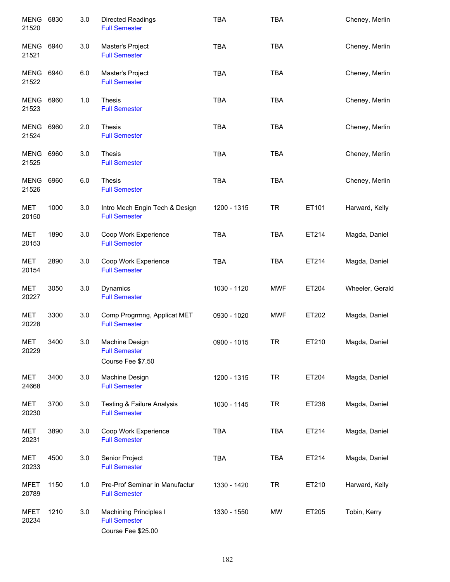| <b>MENG</b><br>21520 | 6830 | 3.0 | <b>Directed Readings</b><br><b>Full Semester</b>                            | <b>TBA</b>  | <b>TBA</b> |       | Cheney, Merlin  |
|----------------------|------|-----|-----------------------------------------------------------------------------|-------------|------------|-------|-----------------|
| MENG<br>21521        | 6940 | 3.0 | Master's Project<br><b>Full Semester</b>                                    | <b>TBA</b>  | <b>TBA</b> |       | Cheney, Merlin  |
| MENG<br>21522        | 6940 | 6.0 | Master's Project<br><b>Full Semester</b>                                    | <b>TBA</b>  | <b>TBA</b> |       | Cheney, Merlin  |
| MENG<br>21523        | 6960 | 1.0 | <b>Thesis</b><br><b>Full Semester</b>                                       | <b>TBA</b>  | <b>TBA</b> |       | Cheney, Merlin  |
| <b>MENG</b><br>21524 | 6960 | 2.0 | <b>Thesis</b><br><b>Full Semester</b>                                       | <b>TBA</b>  | <b>TBA</b> |       | Cheney, Merlin  |
| MENG<br>21525        | 6960 | 3.0 | <b>Thesis</b><br><b>Full Semester</b>                                       | <b>TBA</b>  | <b>TBA</b> |       | Cheney, Merlin  |
| MENG<br>21526        | 6960 | 6.0 | Thesis<br><b>Full Semester</b>                                              | <b>TBA</b>  | <b>TBA</b> |       | Cheney, Merlin  |
| MET<br>20150         | 1000 | 3.0 | Intro Mech Engin Tech & Design<br><b>Full Semester</b>                      | 1200 - 1315 | <b>TR</b>  | ET101 | Harward, Kelly  |
| <b>MET</b><br>20153  | 1890 | 3.0 | Coop Work Experience<br><b>Full Semester</b>                                | <b>TBA</b>  | <b>TBA</b> | ET214 | Magda, Daniel   |
| <b>MET</b><br>20154  | 2890 | 3.0 | Coop Work Experience<br><b>Full Semester</b>                                | <b>TBA</b>  | <b>TBA</b> | ET214 | Magda, Daniel   |
| <b>MET</b><br>20227  | 3050 | 3.0 | Dynamics<br><b>Full Semester</b>                                            | 1030 - 1120 | MWF        | ET204 | Wheeler, Gerald |
| MET<br>20228         | 3300 | 3.0 | Comp Progrmng, Applicat MET<br><b>Full Semester</b>                         | 0930 - 1020 | <b>MWF</b> | ET202 | Magda, Daniel   |
| <b>MET</b><br>20229  | 3400 | 3.0 | Machine Design<br><b>Full Semester</b><br>Course Fee \$7.50                 | 0900 - 1015 | <b>TR</b>  | ET210 | Magda, Daniel   |
| <b>MET</b><br>24668  | 3400 | 3.0 | Machine Design<br><b>Full Semester</b>                                      | 1200 - 1315 | <b>TR</b>  | ET204 | Magda, Daniel   |
| MET<br>20230         | 3700 | 3.0 | <b>Testing &amp; Failure Analysis</b><br><b>Full Semester</b>               | 1030 - 1145 | <b>TR</b>  | ET238 | Magda, Daniel   |
| <b>MET</b><br>20231  | 3890 | 3.0 | Coop Work Experience<br><b>Full Semester</b>                                | <b>TBA</b>  | <b>TBA</b> | ET214 | Magda, Daniel   |
| MET<br>20233         | 4500 | 3.0 | Senior Project<br><b>Full Semester</b>                                      | <b>TBA</b>  | <b>TBA</b> | ET214 | Magda, Daniel   |
| MFET<br>20789        | 1150 | 1.0 | Pre-Prof Seminar in Manufactur<br><b>Full Semester</b>                      | 1330 - 1420 | <b>TR</b>  | ET210 | Harward, Kelly  |
| MFET<br>20234        | 1210 | 3.0 | <b>Machining Principles I</b><br><b>Full Semester</b><br>Course Fee \$25.00 | 1330 - 1550 | <b>MW</b>  | ET205 | Tobin, Kerry    |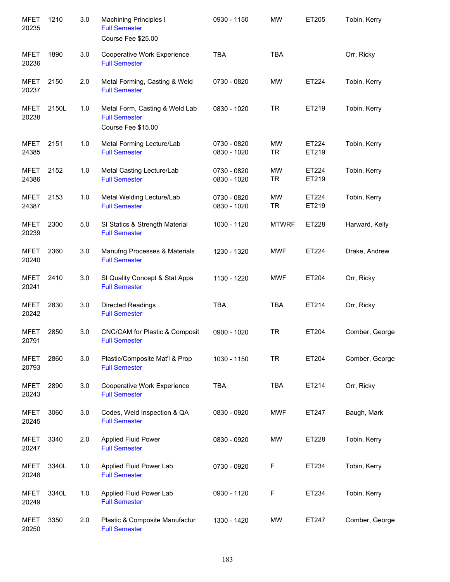| <b>MFET</b><br>20235 | 1210  | 3.0 | <b>Machining Principles I</b><br><b>Full Semester</b><br>Course Fee \$25.00  | 0930 - 1150                | <b>MW</b>       | ET205          | Tobin, Kerry   |
|----------------------|-------|-----|------------------------------------------------------------------------------|----------------------------|-----------------|----------------|----------------|
| <b>MFET</b><br>20236 | 1890  | 3.0 | Cooperative Work Experience<br><b>Full Semester</b>                          | <b>TBA</b>                 | <b>TBA</b>      |                | Orr, Ricky     |
| <b>MFET</b><br>20237 | 2150  | 2.0 | Metal Forming, Casting & Weld<br><b>Full Semester</b>                        | 0730 - 0820                | <b>MW</b>       | ET224          | Tobin, Kerry   |
| <b>MFET</b><br>20238 | 2150L | 1.0 | Metal Form, Casting & Weld Lab<br><b>Full Semester</b><br>Course Fee \$15.00 | 0830 - 1020                | <b>TR</b>       | ET219          | Tobin, Kerry   |
| <b>MFET</b><br>24385 | 2151  | 1.0 | Metal Forming Lecture/Lab<br><b>Full Semester</b>                            | 0730 - 0820<br>0830 - 1020 | MW<br><b>TR</b> | ET224<br>ET219 | Tobin, Kerry   |
| <b>MFET</b><br>24386 | 2152  | 1.0 | Metal Casting Lecture/Lab<br><b>Full Semester</b>                            | 0730 - 0820<br>0830 - 1020 | MW<br><b>TR</b> | ET224<br>ET219 | Tobin, Kerry   |
| <b>MFET</b><br>24387 | 2153  | 1.0 | Metal Welding Lecture/Lab<br><b>Full Semester</b>                            | 0730 - 0820<br>0830 - 1020 | MW<br><b>TR</b> | ET224<br>ET219 | Tobin, Kerry   |
| <b>MFET</b><br>20239 | 2300  | 5.0 | SI Statics & Strength Material<br><b>Full Semester</b>                       | 1030 - 1120                | <b>MTWRF</b>    | ET228          | Harward, Kelly |
| <b>MFET</b><br>20240 | 2360  | 3.0 | Manufng Processes & Materials<br><b>Full Semester</b>                        | 1230 - 1320                | <b>MWF</b>      | ET224          | Drake, Andrew  |
| <b>MFET</b><br>20241 | 2410  | 3.0 | SI Quality Concept & Stat Apps<br><b>Full Semester</b>                       | 1130 - 1220                | <b>MWF</b>      | ET204          | Orr, Ricky     |
| <b>MFET</b><br>20242 | 2830  | 3.0 | Directed Readings<br><b>Full Semester</b>                                    | <b>TBA</b>                 | <b>TBA</b>      | ET214          | Orr, Ricky     |
| <b>MFET</b><br>20791 | 2850  | 3.0 | CNC/CAM for Plastic & Composit<br><b>Full Semester</b>                       | 0900 - 1020                | <b>TR</b>       | ET204          | Comber, George |
| <b>MFET</b><br>20793 | 2860  | 3.0 | Plastic/Composite Mat'l & Prop<br><b>Full Semester</b>                       | 1030 - 1150                | <b>TR</b>       | ET204          | Comber, George |
| <b>MFET</b><br>20243 | 2890  | 3.0 | Cooperative Work Experience<br><b>Full Semester</b>                          | <b>TBA</b>                 | <b>TBA</b>      | ET214          | Orr, Ricky     |
| <b>MFET</b><br>20245 | 3060  | 3.0 | Codes, Weld Inspection & QA<br><b>Full Semester</b>                          | 0830 - 0920                | <b>MWF</b>      | ET247          | Baugh, Mark    |
| <b>MFET</b><br>20247 | 3340  | 2.0 | <b>Applied Fluid Power</b><br><b>Full Semester</b>                           | 0830 - 0920                | <b>MW</b>       | ET228          | Tobin, Kerry   |
| <b>MFET</b><br>20248 | 3340L | 1.0 | Applied Fluid Power Lab<br><b>Full Semester</b>                              | 0730 - 0920                | F               | ET234          | Tobin, Kerry   |
| <b>MFET</b><br>20249 | 3340L | 1.0 | Applied Fluid Power Lab<br><b>Full Semester</b>                              | 0930 - 1120                | F               | ET234          | Tobin, Kerry   |
| <b>MFET</b><br>20250 | 3350  | 2.0 | Plastic & Composite Manufactur<br><b>Full Semester</b>                       | 1330 - 1420                | MW              | ET247          | Comber, George |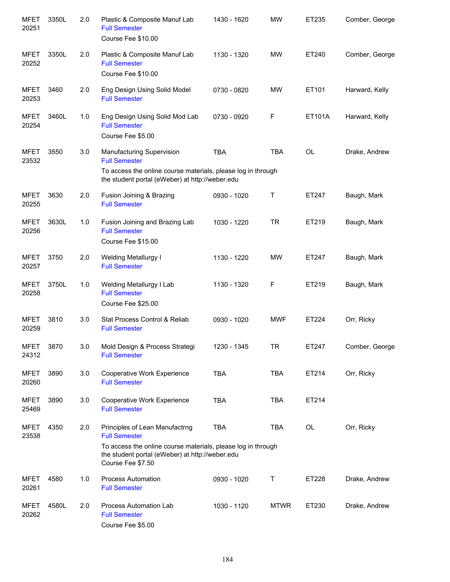| <b>MFET</b><br>20251 | 3350L | 2.0 | Plastic & Composite Manuf Lab<br><b>Full Semester</b><br>Course Fee \$10.00                                                                                                                    | 1430 - 1620 | <b>MW</b>   | ET235     | Comber, George |
|----------------------|-------|-----|------------------------------------------------------------------------------------------------------------------------------------------------------------------------------------------------|-------------|-------------|-----------|----------------|
| <b>MFET</b><br>20252 | 3350L | 2.0 | Plastic & Composite Manuf Lab<br><b>Full Semester</b><br>Course Fee \$10.00                                                                                                                    | 1130 - 1320 | MW          | ET240     | Comber, George |
| <b>MFET</b><br>20253 | 3460  | 2.0 | Eng Design Using Solid Model<br><b>Full Semester</b>                                                                                                                                           | 0730 - 0820 | <b>MW</b>   | ET101     | Harward, Kelly |
| <b>MFET</b><br>20254 | 3460L | 1.0 | Eng Design Using Solid Mod Lab<br><b>Full Semester</b><br>Course Fee \$5.00                                                                                                                    | 0730 - 0920 | F           | ET101A    | Harward, Kelly |
| <b>MFET</b><br>23532 | 3550  | 3.0 | Manufacturing Supervision<br><b>Full Semester</b>                                                                                                                                              | <b>TBA</b>  | <b>TBA</b>  | <b>OL</b> | Drake, Andrew  |
|                      |       |     | To access the online course materials, please log in through<br>the student portal (eWeber) at http://weber.edu                                                                                |             |             |           |                |
| <b>MFET</b><br>20255 | 3630  | 2.0 | Fusion Joining & Brazing<br><b>Full Semester</b>                                                                                                                                               | 0930 - 1020 | Т           | ET247     | Baugh, Mark    |
| <b>MFET</b><br>20256 | 3630L | 1.0 | Fusion Joining and Brazing Lab<br><b>Full Semester</b><br>Course Fee \$15.00                                                                                                                   | 1030 - 1220 | <b>TR</b>   | ET219     | Baugh, Mark    |
| <b>MFET</b><br>20257 | 3750  | 2.0 | <b>Welding Metallurgy I</b><br><b>Full Semester</b>                                                                                                                                            | 1130 - 1220 | MW          | ET247     | Baugh, Mark    |
| <b>MFET</b><br>20258 | 3750L | 1.0 | Welding Metallurgy I Lab<br><b>Full Semester</b><br>Course Fee \$25.00                                                                                                                         | 1130 - 1320 | F           | ET219     | Baugh, Mark    |
| <b>MFET</b><br>20259 | 3810  | 3.0 | Stat Process Control & Reliab<br><b>Full Semester</b>                                                                                                                                          | 0930 - 1020 | <b>MWF</b>  | ET224     | Orr, Ricky     |
| <b>MFET</b><br>24312 | 3870  | 3.0 | Mold Design & Process Strategi<br><b>Full Semester</b>                                                                                                                                         | 1230 - 1345 | TR          | ET247     | Comber, George |
| <b>MFET</b><br>20260 | 3890  | 3.0 | Cooperative Work Experience<br><b>Full Semester</b>                                                                                                                                            | <b>TBA</b>  | <b>TBA</b>  | ET214     | Orr, Ricky     |
| <b>MFET</b><br>25469 | 3890  | 3.0 | Cooperative Work Experience<br><b>Full Semester</b>                                                                                                                                            | <b>TBA</b>  | <b>TBA</b>  | ET214     |                |
| <b>MFET</b><br>23538 | 4350  | 2.0 | Principles of Lean Manufactrng<br><b>Full Semester</b><br>To access the online course materials, please log in through<br>the student portal (eWeber) at http://weber.edu<br>Course Fee \$7.50 | <b>TBA</b>  | TBA         | OL        | Orr, Ricky     |
| <b>MFET</b><br>20261 | 4580  | 1.0 | <b>Process Automation</b><br><b>Full Semester</b>                                                                                                                                              | 0930 - 1020 | Т           | ET228     | Drake, Andrew  |
| <b>MFET</b><br>20262 | 4580L | 2.0 | Process Automation Lab<br><b>Full Semester</b><br>Course Fee \$5.00                                                                                                                            | 1030 - 1120 | <b>MTWR</b> | ET230     | Drake, Andrew  |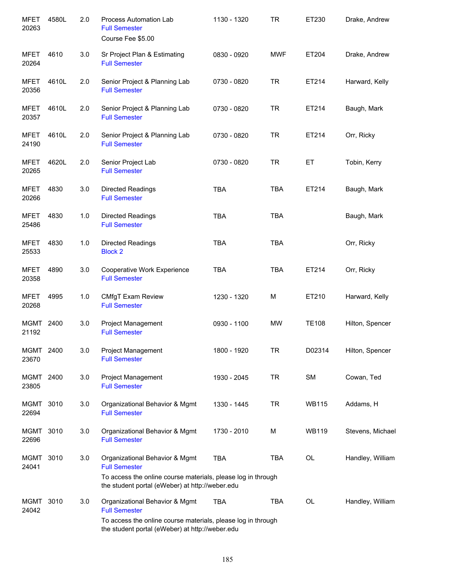| <b>MFET</b><br>20263 | 4580L | 2.0 | Process Automation Lab<br><b>Full Semester</b><br>Course Fee \$5.00                                             | 1130 - 1320 | <b>TR</b>  | ET230        | Drake, Andrew    |
|----------------------|-------|-----|-----------------------------------------------------------------------------------------------------------------|-------------|------------|--------------|------------------|
| MFET<br>20264        | 4610  | 3.0 | Sr Project Plan & Estimating<br><b>Full Semester</b>                                                            | 0830 - 0920 | <b>MWF</b> | ET204        | Drake, Andrew    |
| <b>MFET</b><br>20356 | 4610L | 2.0 | Senior Project & Planning Lab<br><b>Full Semester</b>                                                           | 0730 - 0820 | <b>TR</b>  | ET214        | Harward, Kelly   |
| <b>MFET</b><br>20357 | 4610L | 2.0 | Senior Project & Planning Lab<br><b>Full Semester</b>                                                           | 0730 - 0820 | <b>TR</b>  | ET214        | Baugh, Mark      |
| MFET<br>24190        | 4610L | 2.0 | Senior Project & Planning Lab<br><b>Full Semester</b>                                                           | 0730 - 0820 | <b>TR</b>  | ET214        | Orr, Ricky       |
| MFET<br>20265        | 4620L | 2.0 | Senior Project Lab<br><b>Full Semester</b>                                                                      | 0730 - 0820 | <b>TR</b>  | ET           | Tobin, Kerry     |
| MFET<br>20266        | 4830  | 3.0 | <b>Directed Readings</b><br><b>Full Semester</b>                                                                | <b>TBA</b>  | <b>TBA</b> | ET214        | Baugh, Mark      |
| <b>MFET</b><br>25486 | 4830  | 1.0 | Directed Readings<br><b>Full Semester</b>                                                                       | <b>TBA</b>  | <b>TBA</b> |              | Baugh, Mark      |
| <b>MFET</b><br>25533 | 4830  | 1.0 | Directed Readings<br><b>Block 2</b>                                                                             | <b>TBA</b>  | <b>TBA</b> |              | Orr, Ricky       |
| <b>MFET</b><br>20358 | 4890  | 3.0 | Cooperative Work Experience<br><b>Full Semester</b>                                                             | <b>TBA</b>  | <b>TBA</b> | ET214        | Orr, Ricky       |
| <b>MFET</b><br>20268 | 4995  | 1.0 | CMfgT Exam Review<br><b>Full Semester</b>                                                                       | 1230 - 1320 | M          | ET210        | Harward, Kelly   |
| <b>MGMT</b><br>21192 | 2400  | 3.0 | Project Management<br><b>Full Semester</b>                                                                      | 0930 - 1100 | <b>MW</b>  | <b>TE108</b> | Hilton, Spencer  |
| MGMT 2400<br>23670   |       | 3.0 | Project Management<br><b>Full Semester</b>                                                                      | 1800 - 1920 | <b>TR</b>  | D02314       | Hilton, Spencer  |
| MGMT 2400<br>23805   |       | 3.0 | Project Management<br><b>Full Semester</b>                                                                      | 1930 - 2045 | <b>TR</b>  | <b>SM</b>    | Cowan, Ted       |
| MGMT<br>22694        | 3010  | 3.0 | Organizational Behavior & Mgmt<br><b>Full Semester</b>                                                          | 1330 - 1445 | <b>TR</b>  | <b>WB115</b> | Addams, H        |
| MGMT 3010<br>22696   |       | 3.0 | Organizational Behavior & Mgmt<br><b>Full Semester</b>                                                          | 1730 - 2010 | M          | <b>WB119</b> | Stevens, Michael |
| MGMT<br>24041        | 3010  | 3.0 | Organizational Behavior & Mgmt<br><b>Full Semester</b>                                                          | <b>TBA</b>  | TBA        | OL           | Handley, William |
|                      |       |     | To access the online course materials, please log in through<br>the student portal (eWeber) at http://weber.edu |             |            |              |                  |
| MGMT<br>24042        | 3010  | 3.0 | Organizational Behavior & Mgmt<br><b>Full Semester</b>                                                          | TBA         | TBA        | OL           | Handley, William |
|                      |       |     | To access the online course materials, please log in through<br>the student portal (eWeber) at http://weber.edu |             |            |              |                  |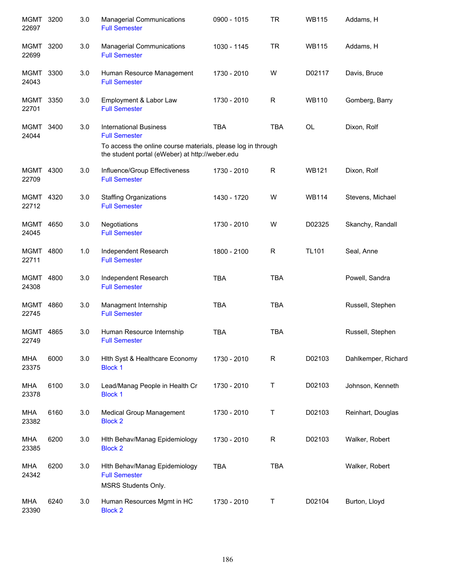| MGMT 3200<br>22697   |      | 3.0 | <b>Managerial Communications</b><br><b>Full Semester</b>                                                                                                                 | 0900 - 1015 | <b>TR</b>   | <b>WB115</b> | Addams, H           |
|----------------------|------|-----|--------------------------------------------------------------------------------------------------------------------------------------------------------------------------|-------------|-------------|--------------|---------------------|
| MGMT<br>22699        | 3200 | 3.0 | <b>Managerial Communications</b><br><b>Full Semester</b>                                                                                                                 | 1030 - 1145 | TR.         | <b>WB115</b> | Addams, H           |
| MGMT<br>24043        | 3300 | 3.0 | Human Resource Management<br><b>Full Semester</b>                                                                                                                        | 1730 - 2010 | W           | D02117       | Davis, Bruce        |
| <b>MGMT</b><br>22701 | 3350 | 3.0 | Employment & Labor Law<br><b>Full Semester</b>                                                                                                                           | 1730 - 2010 | R           | <b>WB110</b> | Gomberg, Barry      |
| MGMT<br>24044        | 3400 | 3.0 | <b>International Business</b><br><b>Full Semester</b><br>To access the online course materials, please log in through<br>the student portal (eWeber) at http://weber.edu | <b>TBA</b>  | <b>TBA</b>  | OL           | Dixon, Rolf         |
| MGMT 4300<br>22709   |      | 3.0 | Influence/Group Effectiveness<br><b>Full Semester</b>                                                                                                                    | 1730 - 2010 | $\mathsf R$ | <b>WB121</b> | Dixon, Rolf         |
| MGMT 4320<br>22712   |      | 3.0 | <b>Staffing Organizations</b><br><b>Full Semester</b>                                                                                                                    | 1430 - 1720 | W           | <b>WB114</b> | Stevens, Michael    |
| MGMT<br>24045        | 4650 | 3.0 | Negotiations<br><b>Full Semester</b>                                                                                                                                     | 1730 - 2010 | W           | D02325       | Skanchy, Randall    |
| MGMT<br>22711        | 4800 | 1.0 | Independent Research<br><b>Full Semester</b>                                                                                                                             | 1800 - 2100 | R           | <b>TL101</b> | Seal, Anne          |
| MGMT<br>24308        | 4800 | 3.0 | Independent Research<br><b>Full Semester</b>                                                                                                                             | <b>TBA</b>  | <b>TBA</b>  |              | Powell, Sandra      |
| MGMT<br>22745        | 4860 | 3.0 | Managment Internship<br><b>Full Semester</b>                                                                                                                             | <b>TBA</b>  | <b>TBA</b>  |              | Russell, Stephen    |
| <b>MGMT</b><br>22749 | 4865 | 3.0 | Human Resource Internship<br><b>Full Semester</b>                                                                                                                        | <b>TBA</b>  | <b>TBA</b>  |              | Russell, Stephen    |
| MHA<br>23375         | 6000 | 3.0 | Hith Syst & Healthcare Economy<br><b>Block 1</b>                                                                                                                         | 1730 - 2010 | R           | D02103       | Dahlkemper, Richard |
| <b>MHA</b><br>23378  | 6100 | 3.0 | Lead/Manag People in Health Cr<br><b>Block 1</b>                                                                                                                         | 1730 - 2010 | $\mathsf T$ | D02103       | Johnson, Kenneth    |
| MHA<br>23382         | 6160 | 3.0 | Medical Group Management<br><b>Block 2</b>                                                                                                                               | 1730 - 2010 | Т           | D02103       | Reinhart, Douglas   |
| MHA<br>23385         | 6200 | 3.0 | Hith Behav/Manag Epidemiology<br><b>Block 2</b>                                                                                                                          | 1730 - 2010 | R           | D02103       | Walker, Robert      |
| MHA<br>24342         | 6200 | 3.0 | Hith Behav/Manag Epidemiology<br><b>Full Semester</b><br>MSRS Students Only.                                                                                             | <b>TBA</b>  | <b>TBA</b>  |              | Walker, Robert      |
| MHA<br>23390         | 6240 | 3.0 | Human Resources Mgmt in HC<br><b>Block 2</b>                                                                                                                             | 1730 - 2010 | Τ           | D02104       | Burton, Lloyd       |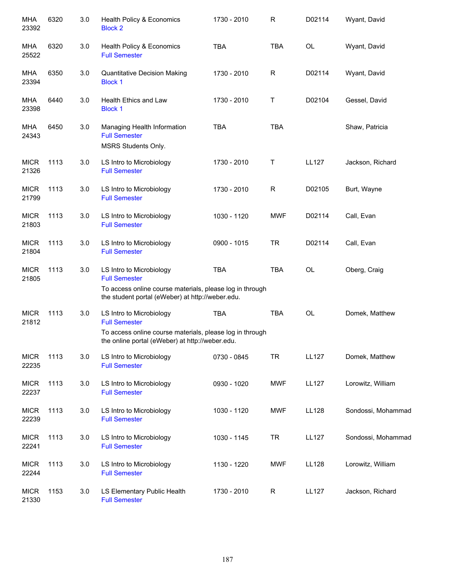| MHA<br>23392         | 6320 | 3.0 | Health Policy & Economics<br><b>Block 2</b>                                                                  | 1730 - 2010 | $\mathsf{R}$ | D02114       | Wyant, David       |
|----------------------|------|-----|--------------------------------------------------------------------------------------------------------------|-------------|--------------|--------------|--------------------|
| MHA<br>25522         | 6320 | 3.0 | Health Policy & Economics<br><b>Full Semester</b>                                                            | <b>TBA</b>  | <b>TBA</b>   | OL           | Wyant, David       |
| MHA<br>23394         | 6350 | 3.0 | <b>Quantitative Decision Making</b><br><b>Block 1</b>                                                        | 1730 - 2010 | R            | D02114       | Wyant, David       |
| MHA<br>23398         | 6440 | 3.0 | <b>Health Ethics and Law</b><br><b>Block 1</b>                                                               | 1730 - 2010 | Т            | D02104       | Gessel, David      |
| <b>MHA</b><br>24343  | 6450 | 3.0 | Managing Health Information<br><b>Full Semester</b><br>MSRS Students Only.                                   | <b>TBA</b>  | <b>TBA</b>   |              | Shaw, Patricia     |
| <b>MICR</b><br>21326 | 1113 | 3.0 | LS Intro to Microbiology<br><b>Full Semester</b>                                                             | 1730 - 2010 | Τ            | <b>LL127</b> | Jackson, Richard   |
| <b>MICR</b><br>21799 | 1113 | 3.0 | LS Intro to Microbiology<br><b>Full Semester</b>                                                             | 1730 - 2010 | $\mathsf{R}$ | D02105       | Burt, Wayne        |
| <b>MICR</b><br>21803 | 1113 | 3.0 | LS Intro to Microbiology<br><b>Full Semester</b>                                                             | 1030 - 1120 | <b>MWF</b>   | D02114       | Call, Evan         |
| <b>MICR</b><br>21804 | 1113 | 3.0 | LS Intro to Microbiology<br><b>Full Semester</b>                                                             | 0900 - 1015 | <b>TR</b>    | D02114       | Call, Evan         |
| <b>MICR</b><br>21805 | 1113 | 3.0 | LS Intro to Microbiology<br><b>Full Semester</b>                                                             | <b>TBA</b>  | <b>TBA</b>   | OL           | Oberg, Craig       |
|                      |      |     | To access online course materials, please log in through<br>the student portal (eWeber) at http://weber.edu. |             |              |              |                    |
| <b>MICR</b><br>21812 | 1113 | 3.0 | LS Intro to Microbiology<br><b>Full Semester</b>                                                             | <b>TBA</b>  | <b>TBA</b>   | OL           | Domek, Matthew     |
|                      |      |     | To access online course materials, please log in through<br>the online portal (eWeber) at http://weber.edu.  |             |              |              |                    |
| <b>MICR</b><br>22235 | 1113 | 3.0 | LS Intro to Microbiology<br><b>Full Semester</b>                                                             | 0730 - 0845 | <b>TR</b>    | <b>LL127</b> | Domek, Matthew     |
| <b>MICR</b><br>22237 | 1113 | 3.0 | LS Intro to Microbiology<br><b>Full Semester</b>                                                             | 0930 - 1020 | <b>MWF</b>   | <b>LL127</b> | Lorowitz, William  |
| <b>MICR</b><br>22239 | 1113 | 3.0 | LS Intro to Microbiology<br><b>Full Semester</b>                                                             | 1030 - 1120 | <b>MWF</b>   | <b>LL128</b> | Sondossi, Mohammad |
| <b>MICR</b><br>22241 | 1113 | 3.0 | LS Intro to Microbiology<br><b>Full Semester</b>                                                             | 1030 - 1145 | <b>TR</b>    | <b>LL127</b> | Sondossi, Mohammad |
| <b>MICR</b><br>22244 | 1113 | 3.0 | LS Intro to Microbiology<br><b>Full Semester</b>                                                             | 1130 - 1220 | <b>MWF</b>   | <b>LL128</b> | Lorowitz, William  |
| <b>MICR</b><br>21330 | 1153 | 3.0 | LS Elementary Public Health<br><b>Full Semester</b>                                                          | 1730 - 2010 | $\mathsf R$  | <b>LL127</b> | Jackson, Richard   |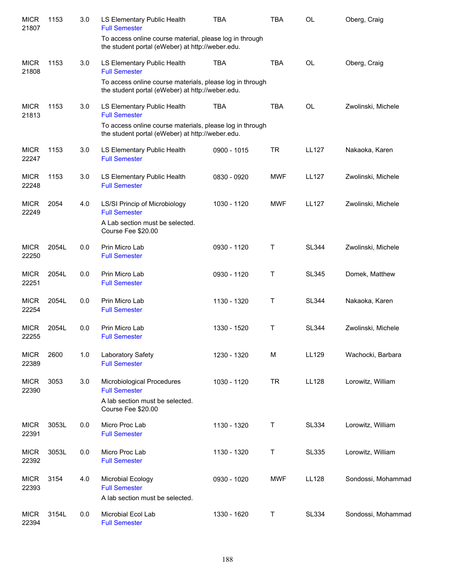| <b>MICR</b><br>21807 | 1153  | 3.0 | LS Elementary Public Health<br><b>Full Semester</b>                                                            | <b>TBA</b>  | <b>TBA</b> | <b>OL</b>    | Oberg, Craig       |
|----------------------|-------|-----|----------------------------------------------------------------------------------------------------------------|-------------|------------|--------------|--------------------|
|                      |       |     | To access online course material, please log in through<br>the student portal (eWeber) at http://weber.edu.    |             |            |              |                    |
| <b>MICR</b><br>21808 | 1153  | 3.0 | LS Elementary Public Health<br><b>Full Semester</b>                                                            | <b>TBA</b>  | <b>TBA</b> | <b>OL</b>    | Oberg, Craig       |
|                      |       |     | To access online course materials, please log in through<br>the student portal (eWeber) at http://weber.edu.   |             |            |              |                    |
| <b>MICR</b><br>21813 | 1153  | 3.0 | LS Elementary Public Health<br><b>Full Semester</b>                                                            | <b>TBA</b>  | <b>TBA</b> | <b>OL</b>    | Zwolinski, Michele |
|                      |       |     | To access online course materials, please log in through<br>the student portal (eWeber) at http://weber.edu.   |             |            |              |                    |
| <b>MICR</b><br>22247 | 1153  | 3.0 | LS Elementary Public Health<br><b>Full Semester</b>                                                            | 0900 - 1015 | <b>TR</b>  | <b>LL127</b> | Nakaoka, Karen     |
| <b>MICR</b><br>22248 | 1153  | 3.0 | LS Elementary Public Health<br><b>Full Semester</b>                                                            | 0830 - 0920 | <b>MWF</b> | <b>LL127</b> | Zwolinski, Michele |
| <b>MICR</b><br>22249 | 2054  | 4.0 | LS/SI Princip of Microbiology<br><b>Full Semester</b><br>A Lab section must be selected.<br>Course Fee \$20.00 | 1030 - 1120 | <b>MWF</b> | <b>LL127</b> | Zwolinski, Michele |
| <b>MICR</b><br>22250 | 2054L | 0.0 | Prin Micro Lab<br><b>Full Semester</b>                                                                         | 0930 - 1120 | т          | <b>SL344</b> | Zwolinski, Michele |
| <b>MICR</b><br>22251 | 2054L | 0.0 | Prin Micro Lab<br><b>Full Semester</b>                                                                         | 0930 - 1120 | т          | <b>SL345</b> | Domek, Matthew     |
| <b>MICR</b><br>22254 | 2054L | 0.0 | Prin Micro Lab<br><b>Full Semester</b>                                                                         | 1130 - 1320 | т          | <b>SL344</b> | Nakaoka, Karen     |
| <b>MICR</b><br>22255 | 2054L | 0.0 | Prin Micro Lab<br><b>Full Semester</b>                                                                         | 1330 - 1520 | т          | <b>SL344</b> | Zwolinski, Michele |
| <b>MICR</b><br>22389 | 2600  | 1.0 | Laboratory Safety<br><b>Full Semester</b>                                                                      | 1230 - 1320 | M          | LL129        | Wachocki, Barbara  |
| <b>MICR</b><br>22390 | 3053  | 3.0 | Microbiological Procedures<br><b>Full Semester</b><br>A lab section must be selected.                          | 1030 - 1120 | <b>TR</b>  | <b>LL128</b> | Lorowitz, William  |
| <b>MICR</b>          | 3053L | 0.0 | Course Fee \$20.00<br>Micro Proc Lab                                                                           | 1130 - 1320 | Τ          | <b>SL334</b> | Lorowitz, William  |
| 22391                |       |     | <b>Full Semester</b>                                                                                           |             |            |              |                    |
| <b>MICR</b><br>22392 | 3053L | 0.0 | Micro Proc Lab<br><b>Full Semester</b>                                                                         | 1130 - 1320 | Τ          | <b>SL335</b> | Lorowitz, William  |
| <b>MICR</b><br>22393 | 3154  | 4.0 | Microbial Ecology<br><b>Full Semester</b><br>A lab section must be selected.                                   | 0930 - 1020 | <b>MWF</b> | <b>LL128</b> | Sondossi, Mohammad |
| <b>MICR</b><br>22394 | 3154L | 0.0 | Microbial Ecol Lab<br><b>Full Semester</b>                                                                     | 1330 - 1620 | Т          | <b>SL334</b> | Sondossi, Mohammad |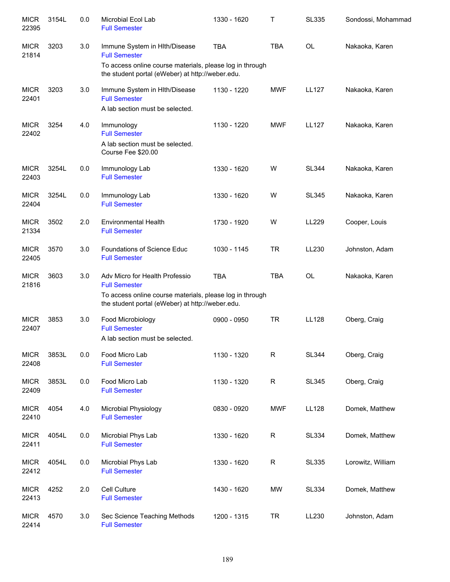| <b>MICR</b><br>22395 | 3154L | 0.0     | Microbial Ecol Lab<br><b>Full Semester</b>                                                                   | 1330 - 1620 | т           | <b>SL335</b> | Sondossi, Mohammad |
|----------------------|-------|---------|--------------------------------------------------------------------------------------------------------------|-------------|-------------|--------------|--------------------|
| <b>MICR</b><br>21814 | 3203  | 3.0     | Immune System in Hith/Disease<br><b>Full Semester</b>                                                        | <b>TBA</b>  | <b>TBA</b>  | OL           | Nakaoka, Karen     |
|                      |       |         | To access online course materials, please log in through<br>the student portal (eWeber) at http://weber.edu. |             |             |              |                    |
| <b>MICR</b><br>22401 | 3203  | 3.0     | Immune System in Hlth/Disease<br><b>Full Semester</b>                                                        | 1130 - 1220 | <b>MWF</b>  | <b>LL127</b> | Nakaoka, Karen     |
|                      |       |         | A lab section must be selected.                                                                              |             |             |              |                    |
| <b>MICR</b><br>22402 | 3254  | 4.0     | Immunology<br><b>Full Semester</b>                                                                           | 1130 - 1220 | <b>MWF</b>  | <b>LL127</b> | Nakaoka, Karen     |
|                      |       |         | A lab section must be selected.<br>Course Fee \$20.00                                                        |             |             |              |                    |
| <b>MICR</b><br>22403 | 3254L | 0.0     | Immunology Lab<br><b>Full Semester</b>                                                                       | 1330 - 1620 | W           | <b>SL344</b> | Nakaoka, Karen     |
| <b>MICR</b><br>22404 | 3254L | 0.0     | Immunology Lab<br><b>Full Semester</b>                                                                       | 1330 - 1620 | W           | <b>SL345</b> | Nakaoka, Karen     |
| <b>MICR</b><br>21334 | 3502  | 2.0     | <b>Environmental Health</b><br><b>Full Semester</b>                                                          | 1730 - 1920 | W           | LL229        | Cooper, Louis      |
| <b>MICR</b><br>22405 | 3570  | 3.0     | <b>Foundations of Science Educ</b><br><b>Full Semester</b>                                                   | 1030 - 1145 | <b>TR</b>   | LL230        | Johnston, Adam     |
| <b>MICR</b><br>21816 | 3603  | 3.0     | Adv Micro for Health Professio<br><b>Full Semester</b>                                                       | <b>TBA</b>  | <b>TBA</b>  | <b>OL</b>    | Nakaoka, Karen     |
|                      |       |         | To access online course materials, please log in through<br>the student portal (eWeber) at http://weber.edu. |             |             |              |                    |
| <b>MICR</b><br>22407 | 3853  | 3.0     | Food Microbiology<br><b>Full Semester</b>                                                                    | 0900 - 0950 | <b>TR</b>   | LL128        | Oberg, Craig       |
|                      |       |         | A lab section must be selected.                                                                              |             |             |              |                    |
| <b>MICR</b><br>22408 | 3853L | 0.0     | Food Micro Lab<br><b>Full Semester</b>                                                                       | 1130 - 1320 | ${\sf R}$   | <b>SL344</b> | Oberg, Craig       |
| <b>MICR</b><br>22409 | 3853L | 0.0     | Food Micro Lab<br><b>Full Semester</b>                                                                       | 1130 - 1320 | $\mathsf R$ | <b>SL345</b> | Oberg, Craig       |
| <b>MICR</b><br>22410 | 4054  | 4.0     | Microbial Physiology<br><b>Full Semester</b>                                                                 | 0830 - 0920 | <b>MWF</b>  | <b>LL128</b> | Domek, Matthew     |
| <b>MICR</b><br>22411 | 4054L | $0.0\,$ | Microbial Phys Lab<br><b>Full Semester</b>                                                                   | 1330 - 1620 | $\mathsf R$ | <b>SL334</b> | Domek, Matthew     |
| <b>MICR</b><br>22412 | 4054L | 0.0     | Microbial Phys Lab<br><b>Full Semester</b>                                                                   | 1330 - 1620 | $\mathsf R$ | SL335        | Lorowitz, William  |
| <b>MICR</b><br>22413 | 4252  | 2.0     | Cell Culture<br><b>Full Semester</b>                                                                         | 1430 - 1620 | MW          | <b>SL334</b> | Domek, Matthew     |
| <b>MICR</b><br>22414 | 4570  | 3.0     | Sec Science Teaching Methods<br><b>Full Semester</b>                                                         | 1200 - 1315 | <b>TR</b>   | LL230        | Johnston, Adam     |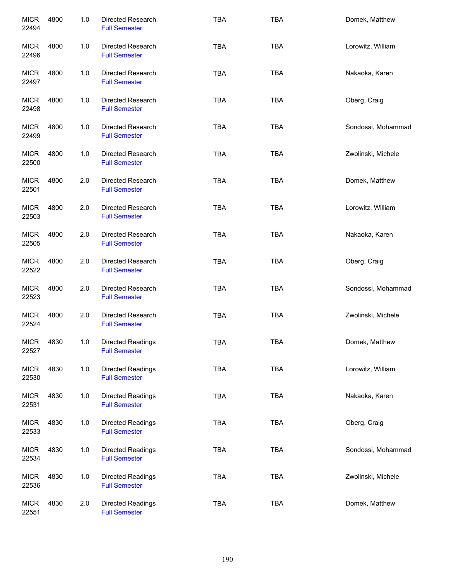| <b>MICR</b><br>22494 | 4800 | 1.0 | Directed Research<br><b>Full Semester</b>        | <b>TBA</b> | <b>TBA</b> | Domek, Matthew     |
|----------------------|------|-----|--------------------------------------------------|------------|------------|--------------------|
| <b>MICR</b><br>22496 | 4800 | 1.0 | Directed Research<br><b>Full Semester</b>        | <b>TBA</b> | <b>TBA</b> | Lorowitz, William  |
| <b>MICR</b><br>22497 | 4800 | 1.0 | <b>Directed Research</b><br><b>Full Semester</b> | <b>TBA</b> | <b>TBA</b> | Nakaoka, Karen     |
| <b>MICR</b><br>22498 | 4800 | 1.0 | Directed Research<br><b>Full Semester</b>        | <b>TBA</b> | <b>TBA</b> | Oberg, Craig       |
| <b>MICR</b><br>22499 | 4800 | 1.0 | Directed Research<br><b>Full Semester</b>        | <b>TBA</b> | <b>TBA</b> | Sondossi, Mohammad |
| <b>MICR</b><br>22500 | 4800 | 1.0 | <b>Directed Research</b><br><b>Full Semester</b> | <b>TBA</b> | TBA        | Zwolinski, Michele |
| <b>MICR</b><br>22501 | 4800 | 2.0 | Directed Research<br><b>Full Semester</b>        | <b>TBA</b> | <b>TBA</b> | Domek, Matthew     |
| <b>MICR</b><br>22503 | 4800 | 2.0 | Directed Research<br><b>Full Semester</b>        | <b>TBA</b> | <b>TBA</b> | Lorowitz, William  |
| <b>MICR</b><br>22505 | 4800 | 2.0 | Directed Research<br><b>Full Semester</b>        | <b>TBA</b> | <b>TBA</b> | Nakaoka, Karen     |
| <b>MICR</b><br>22522 | 4800 | 2.0 | <b>Directed Research</b><br><b>Full Semester</b> | <b>TBA</b> | <b>TBA</b> | Oberg, Craig       |
| <b>MICR</b><br>22523 | 4800 | 2.0 | <b>Directed Research</b><br><b>Full Semester</b> | <b>TBA</b> | <b>TBA</b> | Sondossi, Mohammad |
| <b>MICR</b><br>22524 | 4800 | 2.0 | Directed Research<br><b>Full Semester</b>        | <b>TBA</b> | <b>TBA</b> | Zwolinski, Michele |
| <b>MICR</b><br>22527 | 4830 | 1.0 | Directed Readings<br><b>Full Semester</b>        | <b>TBA</b> | <b>TBA</b> | Domek, Matthew     |
| <b>MICR</b><br>22530 | 4830 | 1.0 | <b>Directed Readings</b><br><b>Full Semester</b> | <b>TBA</b> | <b>TBA</b> | Lorowitz, William  |
| <b>MICR</b><br>22531 | 4830 | 1.0 | <b>Directed Readings</b><br><b>Full Semester</b> | <b>TBA</b> | <b>TBA</b> | Nakaoka, Karen     |
| <b>MICR</b><br>22533 | 4830 | 1.0 | Directed Readings<br><b>Full Semester</b>        | <b>TBA</b> | <b>TBA</b> | Oberg, Craig       |
| <b>MICR</b><br>22534 | 4830 | 1.0 | Directed Readings<br><b>Full Semester</b>        | <b>TBA</b> | <b>TBA</b> | Sondossi, Mohammad |
| <b>MICR</b><br>22536 | 4830 | 1.0 | Directed Readings<br><b>Full Semester</b>        | <b>TBA</b> | <b>TBA</b> | Zwolinski, Michele |
| <b>MICR</b><br>22551 | 4830 | 2.0 | Directed Readings<br><b>Full Semester</b>        | <b>TBA</b> | <b>TBA</b> | Domek, Matthew     |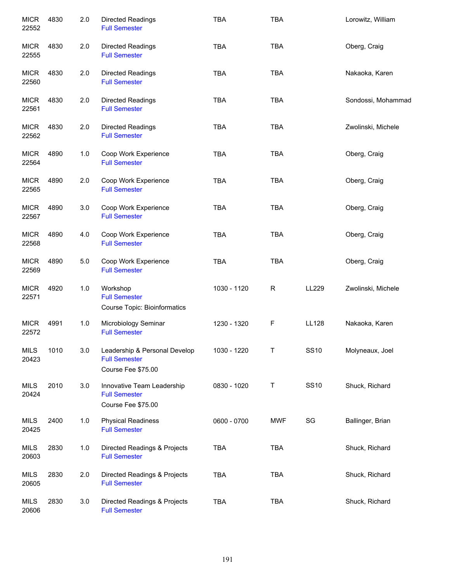| <b>MICR</b><br>22552 | 4830 | 2.0 | Directed Readings<br><b>Full Semester</b>                                   | <b>TBA</b>  | <b>TBA</b>   |              | Lorowitz, William  |
|----------------------|------|-----|-----------------------------------------------------------------------------|-------------|--------------|--------------|--------------------|
| <b>MICR</b><br>22555 | 4830 | 2.0 | <b>Directed Readings</b><br><b>Full Semester</b>                            | <b>TBA</b>  | <b>TBA</b>   |              | Oberg, Craig       |
| <b>MICR</b><br>22560 | 4830 | 2.0 | <b>Directed Readings</b><br><b>Full Semester</b>                            | <b>TBA</b>  | <b>TBA</b>   |              | Nakaoka, Karen     |
| <b>MICR</b><br>22561 | 4830 | 2.0 | <b>Directed Readings</b><br><b>Full Semester</b>                            | <b>TBA</b>  | <b>TBA</b>   |              | Sondossi, Mohammad |
| <b>MICR</b><br>22562 | 4830 | 2.0 | <b>Directed Readings</b><br><b>Full Semester</b>                            | <b>TBA</b>  | <b>TBA</b>   |              | Zwolinski, Michele |
| <b>MICR</b><br>22564 | 4890 | 1.0 | Coop Work Experience<br><b>Full Semester</b>                                | <b>TBA</b>  | <b>TBA</b>   |              | Oberg, Craig       |
| <b>MICR</b><br>22565 | 4890 | 2.0 | Coop Work Experience<br><b>Full Semester</b>                                | <b>TBA</b>  | <b>TBA</b>   |              | Oberg, Craig       |
| <b>MICR</b><br>22567 | 4890 | 3.0 | Coop Work Experience<br><b>Full Semester</b>                                | TBA         | <b>TBA</b>   |              | Oberg, Craig       |
| <b>MICR</b><br>22568 | 4890 | 4.0 | Coop Work Experience<br><b>Full Semester</b>                                | <b>TBA</b>  | <b>TBA</b>   |              | Oberg, Craig       |
| <b>MICR</b><br>22569 | 4890 | 5.0 | Coop Work Experience<br><b>Full Semester</b>                                | TBA         | <b>TBA</b>   |              | Oberg, Craig       |
| <b>MICR</b><br>22571 | 4920 | 1.0 | Workshop<br><b>Full Semester</b><br><b>Course Topic: Bioinformatics</b>     | 1030 - 1120 | $\mathsf{R}$ | LL229        | Zwolinski, Michele |
| <b>MICR</b><br>22572 | 4991 | 1.0 | Microbiology Seminar<br><b>Full Semester</b>                                | 1230 - 1320 | F            | <b>LL128</b> | Nakaoka, Karen     |
| <b>MILS</b><br>20423 | 1010 | 3.0 | Leadership & Personal Develop<br><b>Full Semester</b><br>Course Fee \$75.00 | 1030 - 1220 | Τ            | <b>SS10</b>  | Molyneaux, Joel    |
| <b>MILS</b><br>20424 | 2010 | 3.0 | Innovative Team Leadership<br><b>Full Semester</b><br>Course Fee \$75.00    | 0830 - 1020 | T            | <b>SS10</b>  | Shuck, Richard     |
| <b>MILS</b><br>20425 | 2400 | 1.0 | <b>Physical Readiness</b><br><b>Full Semester</b>                           | 0600 - 0700 | <b>MWF</b>   | SG           | Ballinger, Brian   |
| <b>MILS</b><br>20603 | 2830 | 1.0 | Directed Readings & Projects<br><b>Full Semester</b>                        | TBA         | TBA          |              | Shuck, Richard     |
| <b>MILS</b><br>20605 | 2830 | 2.0 | Directed Readings & Projects<br><b>Full Semester</b>                        | TBA         | <b>TBA</b>   |              | Shuck, Richard     |
| <b>MILS</b><br>20606 | 2830 | 3.0 | Directed Readings & Projects<br><b>Full Semester</b>                        | TBA         | <b>TBA</b>   |              | Shuck, Richard     |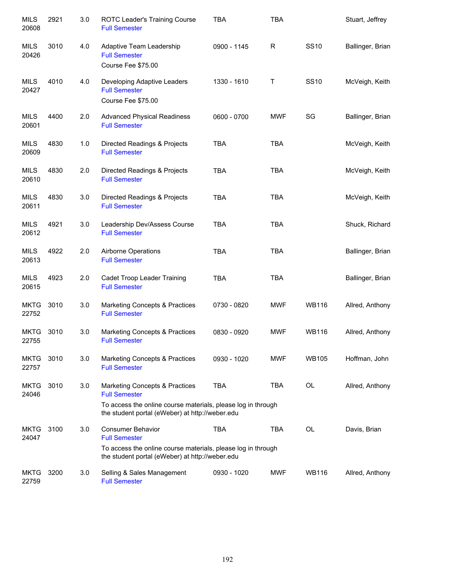| <b>MILS</b><br>20608 | 2921 | 3.0 | ROTC Leader's Training Course<br><b>Full Semester</b>                                                                                                                     | <b>TBA</b>  | <b>TBA</b>  |              | Stuart, Jeffrey  |
|----------------------|------|-----|---------------------------------------------------------------------------------------------------------------------------------------------------------------------------|-------------|-------------|--------------|------------------|
| <b>MILS</b><br>20426 | 3010 | 4.0 | Adaptive Team Leadership<br><b>Full Semester</b><br>Course Fee \$75.00                                                                                                    | 0900 - 1145 | $\mathsf R$ | <b>SS10</b>  | Ballinger, Brian |
| <b>MILS</b><br>20427 | 4010 | 4.0 | Developing Adaptive Leaders<br><b>Full Semester</b><br>Course Fee \$75.00                                                                                                 | 1330 - 1610 | Τ           | <b>SS10</b>  | McVeigh, Keith   |
| MILS<br>20601        | 4400 | 2.0 | <b>Advanced Physical Readiness</b><br><b>Full Semester</b>                                                                                                                | 0600 - 0700 | <b>MWF</b>  | SG           | Ballinger, Brian |
| MILS<br>20609        | 4830 | 1.0 | Directed Readings & Projects<br><b>Full Semester</b>                                                                                                                      | <b>TBA</b>  | <b>TBA</b>  |              | McVeigh, Keith   |
| MILS<br>20610        | 4830 | 2.0 | Directed Readings & Projects<br><b>Full Semester</b>                                                                                                                      | <b>TBA</b>  | <b>TBA</b>  |              | McVeigh, Keith   |
| <b>MILS</b><br>20611 | 4830 | 3.0 | Directed Readings & Projects<br><b>Full Semester</b>                                                                                                                      | <b>TBA</b>  | <b>TBA</b>  |              | McVeigh, Keith   |
| <b>MILS</b><br>20612 | 4921 | 3.0 | Leadership Dev/Assess Course<br><b>Full Semester</b>                                                                                                                      | <b>TBA</b>  | <b>TBA</b>  |              | Shuck, Richard   |
| <b>MILS</b><br>20613 | 4922 | 2.0 | Airborne Operations<br><b>Full Semester</b>                                                                                                                               | <b>TBA</b>  | <b>TBA</b>  |              | Ballinger, Brian |
| <b>MILS</b><br>20615 | 4923 | 2.0 | Cadet Troop Leader Training<br><b>Full Semester</b>                                                                                                                       | <b>TBA</b>  | <b>TBA</b>  |              | Ballinger, Brian |
| <b>MKTG</b><br>22752 | 3010 | 3.0 | Marketing Concepts & Practices<br><b>Full Semester</b>                                                                                                                    | 0730 - 0820 | MWF         | <b>WB116</b> | Allred, Anthony  |
| <b>MKTG</b><br>22755 | 3010 | 3.0 | Marketing Concepts & Practices<br><b>Full Semester</b>                                                                                                                    | 0830 - 0920 | <b>MWF</b>  | <b>WB116</b> | Allred, Anthony  |
| <b>MKTG</b><br>22757 | 3010 | 3.0 | Marketing Concepts & Practices<br><b>Full Semester</b>                                                                                                                    | 0930 - 1020 | <b>MWF</b>  | <b>WB105</b> | Hoffman, John    |
| <b>MKTG</b><br>24046 | 3010 | 3.0 | Marketing Concepts & Practices<br><b>Full Semester</b><br>To access the online course materials, please log in through<br>the student portal (eWeber) at http://weber.edu | <b>TBA</b>  | <b>TBA</b>  | OL           | Allred, Anthony  |
| <b>MKTG</b><br>24047 | 3100 | 3.0 | <b>Consumer Behavior</b><br><b>Full Semester</b><br>To access the online course materials, please log in through<br>the student portal (eWeber) at http://weber.edu       | <b>TBA</b>  | <b>TBA</b>  | OL           | Davis, Brian     |
| <b>MKTG</b><br>22759 | 3200 | 3.0 | Selling & Sales Management<br><b>Full Semester</b>                                                                                                                        | 0930 - 1020 | <b>MWF</b>  | <b>WB116</b> | Allred, Anthony  |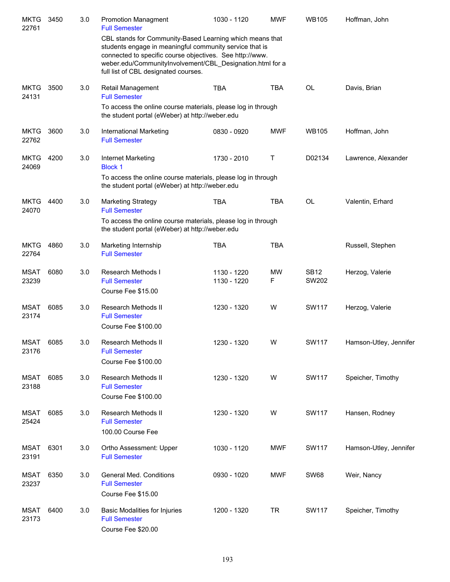| <b>MKTG</b><br>22761 | 3450 | 3.0 | <b>Promotion Managment</b><br><b>Full Semester</b>                                                                                                                                                                                                                                   | 1030 - 1120                | <b>MWF</b> | <b>WB105</b>         | Hoffman, John          |
|----------------------|------|-----|--------------------------------------------------------------------------------------------------------------------------------------------------------------------------------------------------------------------------------------------------------------------------------------|----------------------------|------------|----------------------|------------------------|
|                      |      |     | CBL stands for Community-Based Learning which means that<br>students engage in meaningful community service that is<br>connected to specific course objectives. See http://www.<br>weber.edu/CommunityInvolvement/CBL Designation.html for a<br>full list of CBL designated courses. |                            |            |                      |                        |
| <b>MKTG</b><br>24131 | 3500 | 3.0 | Retail Management<br><b>Full Semester</b><br>To access the online course materials, please log in through<br>the student portal (eWeber) at http://weber.edu                                                                                                                         | <b>TBA</b>                 | <b>TBA</b> | <b>OL</b>            | Davis, Brian           |
| <b>MKTG</b><br>22762 | 3600 | 3.0 | International Marketing<br><b>Full Semester</b>                                                                                                                                                                                                                                      | 0830 - 0920                | <b>MWF</b> | <b>WB105</b>         | Hoffman, John          |
| <b>MKTG</b><br>24069 | 4200 | 3.0 | Internet Marketing<br><b>Block 1</b><br>To access the online course materials, please log in through<br>the student portal (eWeber) at http://weber.edu                                                                                                                              | 1730 - 2010                | Τ          | D02134               | Lawrence, Alexander    |
| <b>MKTG</b><br>24070 | 4400 | 3.0 | <b>Marketing Strategy</b><br><b>Full Semester</b><br>To access the online course materials, please log in through<br>the student portal (eWeber) at http://weber.edu                                                                                                                 | <b>TBA</b>                 | <b>TBA</b> | <b>OL</b>            | Valentin, Erhard       |
| <b>MKTG</b><br>22764 | 4860 | 3.0 | Marketing Internship<br><b>Full Semester</b>                                                                                                                                                                                                                                         | <b>TBA</b>                 | <b>TBA</b> |                      | Russell, Stephen       |
| <b>MSAT</b><br>23239 | 6080 | 3.0 | Research Methods I<br><b>Full Semester</b><br>Course Fee \$15.00                                                                                                                                                                                                                     | 1130 - 1220<br>1130 - 1220 | MW<br>F    | <b>SB12</b><br>SW202 | Herzog, Valerie        |
| <b>MSAT</b><br>23174 | 6085 | 3.0 | Research Methods II<br><b>Full Semester</b><br>Course Fee \$100.00                                                                                                                                                                                                                   | 1230 - 1320                | W          | <b>SW117</b>         | Herzog, Valerie        |
| MSAT<br>23176        | 6085 | 3.0 | Research Methods II<br><b>Full Semester</b><br>Course Fee \$100.00                                                                                                                                                                                                                   | 1230 - 1320                | W          | SW117                | Hamson-Utley, Jennifer |
| MSAT<br>23188        | 6085 | 3.0 | Research Methods II<br><b>Full Semester</b><br>Course Fee \$100.00                                                                                                                                                                                                                   | 1230 - 1320                | W          | SW117                | Speicher, Timothy      |
| MSAT<br>25424        | 6085 | 3.0 | Research Methods II<br><b>Full Semester</b><br>100.00 Course Fee                                                                                                                                                                                                                     | 1230 - 1320                | W          | SW117                | Hansen, Rodney         |
| MSAT<br>23191        | 6301 | 3.0 | Ortho Assessment: Upper<br><b>Full Semester</b>                                                                                                                                                                                                                                      | 1030 - 1120                | MWF        | SW117                | Hamson-Utley, Jennifer |
| MSAT<br>23237        | 6350 | 3.0 | General Med. Conditions<br><b>Full Semester</b><br>Course Fee \$15.00                                                                                                                                                                                                                | 0930 - 1020                | MWF        | <b>SW68</b>          | Weir, Nancy            |
| MSAT<br>23173        | 6400 | 3.0 | Basic Modalities for Injuries<br><b>Full Semester</b><br>Course Fee \$20.00                                                                                                                                                                                                          | 1200 - 1320                | <b>TR</b>  | <b>SW117</b>         | Speicher, Timothy      |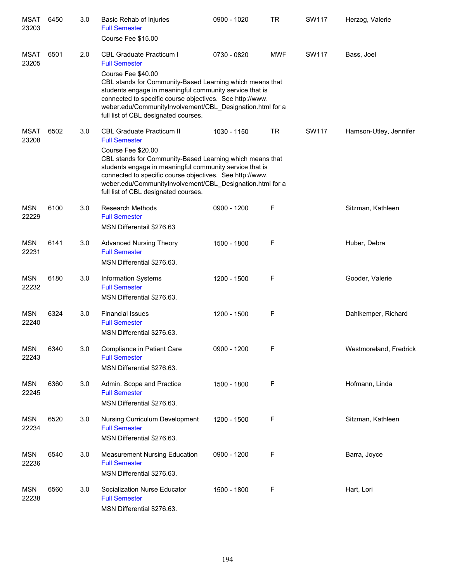| <b>MSAT</b><br>23203 | 6450 | 3.0 | Basic Rehab of Injuries<br><b>Full Semester</b><br>Course Fee \$15.00                                                                                                                                                                                                                                      | 0900 - 1020 | <b>TR</b>  | <b>SW117</b> | Herzog, Valerie        |
|----------------------|------|-----|------------------------------------------------------------------------------------------------------------------------------------------------------------------------------------------------------------------------------------------------------------------------------------------------------------|-------------|------------|--------------|------------------------|
| <b>MSAT</b><br>23205 | 6501 | 2.0 | <b>CBL Graduate Practicum I</b><br><b>Full Semester</b>                                                                                                                                                                                                                                                    | 0730 - 0820 | <b>MWF</b> | SW117        | Bass, Joel             |
|                      |      |     | Course Fee \$40.00<br>CBL stands for Community-Based Learning which means that<br>students engage in meaningful community service that is<br>connected to specific course objectives. See http://www.<br>weber.edu/CommunityInvolvement/CBL_Designation.html for a<br>full list of CBL designated courses. |             |            |              |                        |
| <b>MSAT</b><br>23208 | 6502 | 3.0 | <b>CBL Graduate Practicum II</b><br><b>Full Semester</b>                                                                                                                                                                                                                                                   | 1030 - 1150 | TR         | <b>SW117</b> | Hamson-Utley, Jennifer |
|                      |      |     | Course Fee \$20.00<br>CBL stands for Community-Based Learning which means that<br>students engage in meaningful community service that is<br>connected to specific course objectives. See http://www.<br>weber.edu/CommunityInvolvement/CBL Designation.html for a<br>full list of CBL designated courses. |             |            |              |                        |
| <b>MSN</b><br>22229  | 6100 | 3.0 | <b>Research Methods</b><br><b>Full Semester</b><br>MSN Differentail \$276.63                                                                                                                                                                                                                               | 0900 - 1200 | F          |              | Sitzman, Kathleen      |
| <b>MSN</b><br>22231  | 6141 | 3.0 | <b>Advanced Nursing Theory</b><br><b>Full Semester</b><br>MSN Differential \$276.63.                                                                                                                                                                                                                       | 1500 - 1800 | F          |              | Huber, Debra           |
| <b>MSN</b><br>22232  | 6180 | 3.0 | Information Systems<br><b>Full Semester</b><br>MSN Differential \$276.63.                                                                                                                                                                                                                                  | 1200 - 1500 | F          |              | Gooder, Valerie        |
| <b>MSN</b><br>22240  | 6324 | 3.0 | <b>Financial Issues</b><br><b>Full Semester</b><br>MSN Differential \$276.63.                                                                                                                                                                                                                              | 1200 - 1500 | F          |              | Dahlkemper, Richard    |
| <b>MSN</b><br>22243  | 6340 | 3.0 | Compliance in Patient Care<br><b>Full Semester</b><br>MSN Differential \$276.63.                                                                                                                                                                                                                           | 0900 - 1200 | F          |              | Westmoreland, Fredrick |
| <b>MSN</b><br>22245  | 6360 | 3.0 | Admin. Scope and Practice<br><b>Full Semester</b><br>MSN Differential \$276.63.                                                                                                                                                                                                                            | 1500 - 1800 | F          |              | Hofmann, Linda         |
| <b>MSN</b><br>22234  | 6520 | 3.0 | Nursing Curriculum Development<br><b>Full Semester</b><br>MSN Differential \$276.63.                                                                                                                                                                                                                       | 1200 - 1500 | F          |              | Sitzman, Kathleen      |
| <b>MSN</b><br>22236  | 6540 | 3.0 | <b>Measurement Nursing Education</b><br><b>Full Semester</b><br>MSN Differential \$276.63.                                                                                                                                                                                                                 | 0900 - 1200 | F          |              | Barra, Joyce           |
| <b>MSN</b><br>22238  | 6560 | 3.0 | Socialization Nurse Educator<br><b>Full Semester</b><br>MSN Differential \$276.63.                                                                                                                                                                                                                         | 1500 - 1800 | F          |              | Hart, Lori             |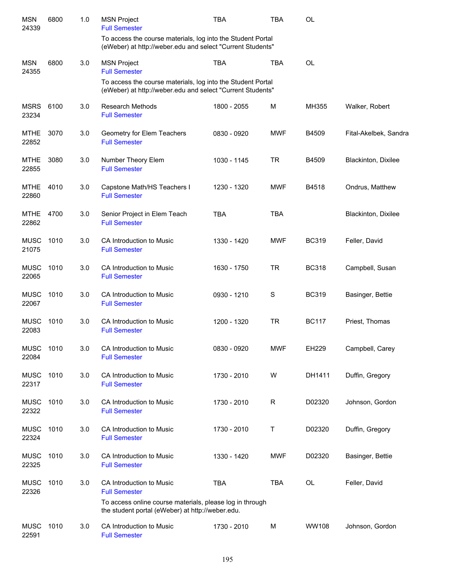| <b>MSN</b><br>24339  | 6800 | 1.0 | <b>MSN Project</b><br><b>Full Semester</b>                                                                                | <b>TBA</b>  | TBA          | OL           |                       |
|----------------------|------|-----|---------------------------------------------------------------------------------------------------------------------------|-------------|--------------|--------------|-----------------------|
|                      |      |     | To access the course materials, log into the Student Portal<br>(eWeber) at http://weber.edu and select "Current Students" |             |              |              |                       |
| <b>MSN</b><br>24355  | 6800 | 3.0 | <b>MSN Project</b><br><b>Full Semester</b>                                                                                | <b>TBA</b>  | <b>TBA</b>   | OL           |                       |
|                      |      |     | To access the course materials, log into the Student Portal<br>(eWeber) at http://weber.edu and select "Current Students" |             |              |              |                       |
| <b>MSRS</b><br>23234 | 6100 | 3.0 | <b>Research Methods</b><br><b>Full Semester</b>                                                                           | 1800 - 2055 | M            | MH355        | Walker, Robert        |
| <b>MTHE</b><br>22852 | 3070 | 3.0 | Geometry for Elem Teachers<br><b>Full Semester</b>                                                                        | 0830 - 0920 | <b>MWF</b>   | B4509        | Fital-Akelbek, Sandra |
| <b>MTHE</b><br>22855 | 3080 | 3.0 | Number Theory Elem<br><b>Full Semester</b>                                                                                | 1030 - 1145 | <b>TR</b>    | B4509        | Blackinton, Dixilee   |
| <b>MTHE</b><br>22860 | 4010 | 3.0 | Capstone Math/HS Teachers I<br><b>Full Semester</b>                                                                       | 1230 - 1320 | <b>MWF</b>   | B4518        | Ondrus, Matthew       |
| <b>MTHE</b><br>22862 | 4700 | 3.0 | Senior Project in Elem Teach<br><b>Full Semester</b>                                                                      | <b>TBA</b>  | <b>TBA</b>   |              | Blackinton, Dixilee   |
| <b>MUSC</b><br>21075 | 1010 | 3.0 | CA Introduction to Music<br><b>Full Semester</b>                                                                          | 1330 - 1420 | <b>MWF</b>   | <b>BC319</b> | Feller, David         |
| <b>MUSC</b><br>22065 | 1010 | 3.0 | CA Introduction to Music<br><b>Full Semester</b>                                                                          | 1630 - 1750 | <b>TR</b>    | <b>BC318</b> | Campbell, Susan       |
| <b>MUSC</b><br>22067 | 1010 | 3.0 | CA Introduction to Music<br><b>Full Semester</b>                                                                          | 0930 - 1210 | $\mathbf S$  | <b>BC319</b> | Basinger, Bettie      |
| <b>MUSC</b><br>22083 | 1010 | 3.0 | CA Introduction to Music<br><b>Full Semester</b>                                                                          | 1200 - 1320 | <b>TR</b>    | <b>BC117</b> | Priest, Thomas        |
| <b>MUSC</b><br>22084 | 1010 | 3.0 | CA Introduction to Music<br><b>Full Semester</b>                                                                          | 0830 - 0920 | MWF          | EH229        | Campbell, Carey       |
| <b>MUSC</b><br>22317 | 1010 | 3.0 | CA Introduction to Music<br><b>Full Semester</b>                                                                          | 1730 - 2010 | W            | DH1411       | Duffin, Gregory       |
| <b>MUSC</b><br>22322 | 1010 | 3.0 | CA Introduction to Music<br><b>Full Semester</b>                                                                          | 1730 - 2010 | $\mathsf{R}$ | D02320       | Johnson, Gordon       |
| <b>MUSC</b><br>22324 | 1010 | 3.0 | <b>CA Introduction to Music</b><br><b>Full Semester</b>                                                                   | 1730 - 2010 | т            | D02320       | Duffin, Gregory       |
| <b>MUSC</b><br>22325 | 1010 | 3.0 | CA Introduction to Music<br><b>Full Semester</b>                                                                          | 1330 - 1420 | <b>MWF</b>   | D02320       | Basinger, Bettie      |
| <b>MUSC</b><br>22326 | 1010 | 3.0 | CA Introduction to Music<br><b>Full Semester</b>                                                                          | <b>TBA</b>  | <b>TBA</b>   | OL           | Feller, David         |
|                      |      |     | To access online course materials, please log in through<br>the student portal (eWeber) at http://weber.edu.              |             |              |              |                       |
| <b>MUSC</b><br>22591 | 1010 | 3.0 | CA Introduction to Music<br><b>Full Semester</b>                                                                          | 1730 - 2010 | M            | WW108        | Johnson, Gordon       |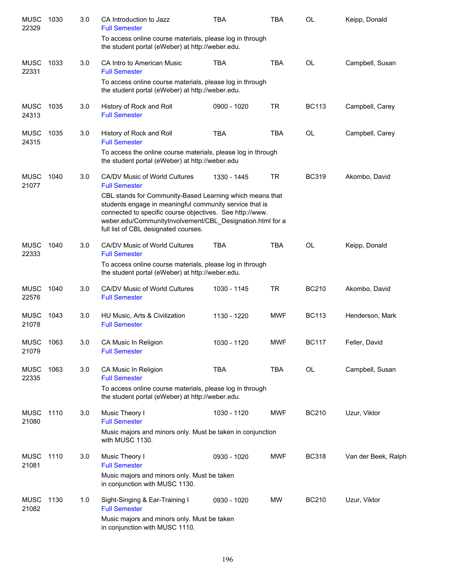| <b>MUSC</b><br>22329 | 1030 | 3.0 | CA Introduction to Jazz<br><b>Full Semester</b>                                                                                                                                                                                                                                      | <b>TBA</b>  | <b>TBA</b> | OL           | Keipp, Donald       |
|----------------------|------|-----|--------------------------------------------------------------------------------------------------------------------------------------------------------------------------------------------------------------------------------------------------------------------------------------|-------------|------------|--------------|---------------------|
|                      |      |     | To access online course materials, please log in through<br>the student portal (eWeber) at http://weber.edu.                                                                                                                                                                         |             |            |              |                     |
| <b>MUSC</b><br>22331 | 1033 | 3.0 | CA Intro to American Music<br><b>Full Semester</b>                                                                                                                                                                                                                                   | <b>TBA</b>  | <b>TBA</b> | <b>OL</b>    | Campbell, Susan     |
|                      |      |     | To access online course materials, please log in through<br>the student portal (eWeber) at http://weber.edu.                                                                                                                                                                         |             |            |              |                     |
| <b>MUSC</b><br>24313 | 1035 | 3.0 | History of Rock and Roll<br><b>Full Semester</b>                                                                                                                                                                                                                                     | 0900 - 1020 | <b>TR</b>  | <b>BC113</b> | Campbell, Carey     |
| <b>MUSC</b><br>24315 | 1035 | 3.0 | History of Rock and Roll<br><b>Full Semester</b>                                                                                                                                                                                                                                     | <b>TBA</b>  | <b>TBA</b> | <b>OL</b>    | Campbell, Carey     |
|                      |      |     | To access the online course materials, please log in through<br>the student portal (eWeber) at http://weber.edu                                                                                                                                                                      |             |            |              |                     |
| <b>MUSC</b><br>21077 | 1040 | 3.0 | CA/DV Music of World Cultures<br><b>Full Semester</b>                                                                                                                                                                                                                                | 1330 - 1445 | <b>TR</b>  | <b>BC319</b> | Akombo, David       |
|                      |      |     | CBL stands for Community-Based Learning which means that<br>students engage in meaningful community service that is<br>connected to specific course objectives. See http://www.<br>weber.edu/CommunityInvolvement/CBL_Designation.html for a<br>full list of CBL designated courses. |             |            |              |                     |
| <b>MUSC</b><br>22333 | 1040 | 3.0 | CA/DV Music of World Cultures<br><b>Full Semester</b>                                                                                                                                                                                                                                | <b>TBA</b>  | <b>TBA</b> | OL           | Keipp, Donald       |
|                      |      |     | To access online course materials, please log in through<br>the student portal (eWeber) at http://weber.edu.                                                                                                                                                                         |             |            |              |                     |
| <b>MUSC</b><br>22576 | 1040 | 3.0 | CA/DV Music of World Cultures<br><b>Full Semester</b>                                                                                                                                                                                                                                | 1030 - 1145 | <b>TR</b>  | <b>BC210</b> | Akombo, David       |
| <b>MUSC</b><br>21078 | 1043 | 3.0 | HU Music, Arts & Civilization<br><b>Full Semester</b>                                                                                                                                                                                                                                | 1130 - 1220 | <b>MWF</b> | <b>BC113</b> | Henderson, Mark     |
| <b>MUSC</b><br>21079 | 1063 | 3.0 | CA Music In Religion<br><b>Full Semester</b>                                                                                                                                                                                                                                         | 1030 - 1120 | <b>MWF</b> | <b>BC117</b> | Feller, David       |
| <b>MUSC</b><br>22335 | 1063 | 3.0 | CA Music In Religion<br><b>Full Semester</b>                                                                                                                                                                                                                                         | <b>TBA</b>  | <b>TBA</b> | OL           | Campbell, Susan     |
|                      |      |     | To access online course materials, please log in through<br>the student portal (eWeber) at http://weber.edu.                                                                                                                                                                         |             |            |              |                     |
| <b>MUSC</b><br>21080 | 1110 | 3.0 | Music Theory I<br><b>Full Semester</b>                                                                                                                                                                                                                                               | 1030 - 1120 | <b>MWF</b> | <b>BC210</b> | Uzur, Viktor        |
|                      |      |     | Music majors and minors only. Must be taken in conjunction<br>with MUSC 1130.                                                                                                                                                                                                        |             |            |              |                     |
| <b>MUSC</b><br>21081 | 1110 | 3.0 | Music Theory I<br><b>Full Semester</b>                                                                                                                                                                                                                                               | 0930 - 1020 | <b>MWF</b> | <b>BC318</b> | Van der Beek, Ralph |
|                      |      |     | Music majors and minors only. Must be taken<br>in conjunction with MUSC 1130.                                                                                                                                                                                                        |             |            |              |                     |
| <b>MUSC</b><br>21082 | 1130 | 1.0 | Sight-Singing & Ear-Training I<br><b>Full Semester</b>                                                                                                                                                                                                                               | 0930 - 1020 | MW         | <b>BC210</b> | Uzur, Viktor        |
|                      |      |     | Music majors and minors only. Must be taken<br>in conjunction with MUSC 1110.                                                                                                                                                                                                        |             |            |              |                     |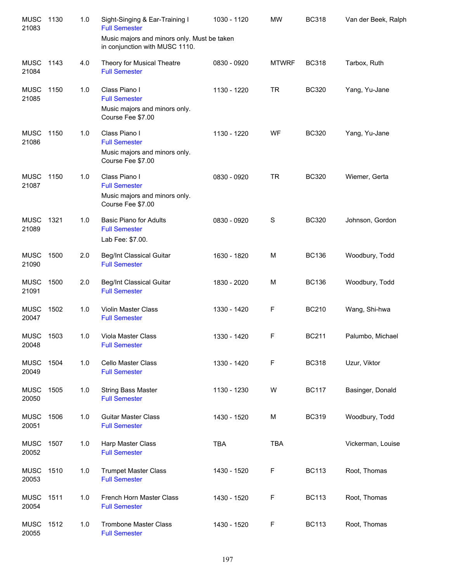| <b>MUSC</b><br>21083 | 1130 | 1.0 | Sight-Singing & Ear-Training I<br><b>Full Semester</b>                        | 1030 - 1120 | <b>MW</b>    | <b>BC318</b> | Van der Beek, Ralph |
|----------------------|------|-----|-------------------------------------------------------------------------------|-------------|--------------|--------------|---------------------|
|                      |      |     | Music majors and minors only. Must be taken<br>in conjunction with MUSC 1110. |             |              |              |                     |
| <b>MUSC</b><br>21084 | 1143 | 4.0 | Theory for Musical Theatre<br><b>Full Semester</b>                            | 0830 - 0920 | <b>MTWRF</b> | <b>BC318</b> | Tarbox, Ruth        |
| <b>MUSC</b><br>21085 | 1150 | 1.0 | Class Piano I<br><b>Full Semester</b>                                         | 1130 - 1220 | <b>TR</b>    | <b>BC320</b> | Yang, Yu-Jane       |
|                      |      |     | Music majors and minors only.<br>Course Fee \$7.00                            |             |              |              |                     |
| <b>MUSC</b><br>21086 | 1150 | 1.0 | Class Piano I<br><b>Full Semester</b>                                         | 1130 - 1220 | WF           | <b>BC320</b> | Yang, Yu-Jane       |
|                      |      |     | Music majors and minors only.<br>Course Fee \$7.00                            |             |              |              |                     |
| <b>MUSC</b><br>21087 | 1150 | 1.0 | Class Piano I<br><b>Full Semester</b>                                         | 0830 - 0920 | <b>TR</b>    | <b>BC320</b> | Wiemer, Gerta       |
|                      |      |     | Music majors and minors only.<br>Course Fee \$7.00                            |             |              |              |                     |
| <b>MUSC</b><br>21089 | 1321 | 1.0 | <b>Basic Piano for Adults</b><br><b>Full Semester</b>                         | 0830 - 0920 | S            | <b>BC320</b> | Johnson, Gordon     |
|                      |      |     | Lab Fee: \$7.00.                                                              |             |              |              |                     |
| <b>MUSC</b><br>21090 | 1500 | 2.0 | <b>Beg/Int Classical Guitar</b><br><b>Full Semester</b>                       | 1630 - 1820 | M            | <b>BC136</b> | Woodbury, Todd      |
| <b>MUSC</b><br>21091 | 1500 | 2.0 | <b>Beg/Int Classical Guitar</b><br><b>Full Semester</b>                       | 1830 - 2020 | м            | <b>BC136</b> | Woodbury, Todd      |
| <b>MUSC</b><br>20047 | 1502 | 1.0 | <b>Violin Master Class</b><br><b>Full Semester</b>                            | 1330 - 1420 | F            | <b>BC210</b> | Wang, Shi-hwa       |
| <b>MUSC</b><br>20048 | 1503 | 1.0 | <b>Viola Master Class</b><br><b>Full Semester</b>                             | 1330 - 1420 | F            | <b>BC211</b> | Palumbo, Michael    |
| <b>MUSC</b><br>20049 | 1504 | 1.0 | <b>Cello Master Class</b><br><b>Full Semester</b>                             | 1330 - 1420 | F            | <b>BC318</b> | Uzur, Viktor        |
| <b>MUSC</b><br>20050 | 1505 | 1.0 | <b>String Bass Master</b><br><b>Full Semester</b>                             | 1130 - 1230 | W            | <b>BC117</b> | Basinger, Donald    |
| <b>MUSC</b><br>20051 | 1506 | 1.0 | <b>Guitar Master Class</b><br><b>Full Semester</b>                            | 1430 - 1520 | M            | <b>BC319</b> | Woodbury, Todd      |
| <b>MUSC</b><br>20052 | 1507 | 1.0 | Harp Master Class<br><b>Full Semester</b>                                     | <b>TBA</b>  | <b>TBA</b>   |              | Vickerman, Louise   |
| <b>MUSC</b><br>20053 | 1510 | 1.0 | <b>Trumpet Master Class</b><br><b>Full Semester</b>                           | 1430 - 1520 | F            | <b>BC113</b> | Root, Thomas        |
| <b>MUSC</b><br>20054 | 1511 | 1.0 | French Horn Master Class<br><b>Full Semester</b>                              | 1430 - 1520 | F            | <b>BC113</b> | Root, Thomas        |
| <b>MUSC</b><br>20055 | 1512 | 1.0 | <b>Trombone Master Class</b><br><b>Full Semester</b>                          | 1430 - 1520 | F            | <b>BC113</b> | Root, Thomas        |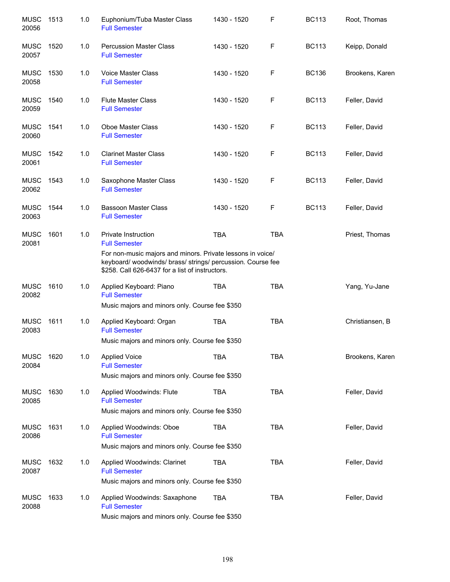| <b>MUSC</b><br>20056 | 1513 | 1.0 | Euphonium/Tuba Master Class<br><b>Full Semester</b>                                                                                                                          | 1430 - 1520 | F           | <b>BC113</b> | Root, Thomas    |
|----------------------|------|-----|------------------------------------------------------------------------------------------------------------------------------------------------------------------------------|-------------|-------------|--------------|-----------------|
| <b>MUSC</b><br>20057 | 1520 | 1.0 | <b>Percussion Master Class</b><br><b>Full Semester</b>                                                                                                                       | 1430 - 1520 | $\mathsf F$ | <b>BC113</b> | Keipp, Donald   |
| <b>MUSC</b><br>20058 | 1530 | 1.0 | <b>Voice Master Class</b><br><b>Full Semester</b>                                                                                                                            | 1430 - 1520 | F           | <b>BC136</b> | Brookens, Karen |
| <b>MUSC</b><br>20059 | 1540 | 1.0 | <b>Flute Master Class</b><br><b>Full Semester</b>                                                                                                                            | 1430 - 1520 | F           | <b>BC113</b> | Feller, David   |
| <b>MUSC</b><br>20060 | 1541 | 1.0 | Oboe Master Class<br><b>Full Semester</b>                                                                                                                                    | 1430 - 1520 | F           | <b>BC113</b> | Feller, David   |
| <b>MUSC</b><br>20061 | 1542 | 1.0 | <b>Clarinet Master Class</b><br><b>Full Semester</b>                                                                                                                         | 1430 - 1520 | F           | <b>BC113</b> | Feller, David   |
| <b>MUSC</b><br>20062 | 1543 | 1.0 | Saxophone Master Class<br><b>Full Semester</b>                                                                                                                               | 1430 - 1520 | F           | <b>BC113</b> | Feller, David   |
| <b>MUSC</b><br>20063 | 1544 | 1.0 | <b>Bassoon Master Class</b><br><b>Full Semester</b>                                                                                                                          | 1430 - 1520 | F           | <b>BC113</b> | Feller, David   |
| <b>MUSC</b><br>20081 | 1601 | 1.0 | Private Instruction<br><b>Full Semester</b>                                                                                                                                  | <b>TBA</b>  | <b>TBA</b>  |              | Priest, Thomas  |
|                      |      |     | For non-music majors and minors. Private lessons in voice/<br>keyboard/ woodwinds/ brass/ strings/ percussion. Course fee<br>\$258. Call 626-6437 for a list of instructors. |             |             |              |                 |
| <b>MUSC</b><br>20082 | 1610 | 1.0 | Applied Keyboard: Piano<br><b>Full Semester</b>                                                                                                                              | <b>TBA</b>  | <b>TBA</b>  |              | Yang, Yu-Jane   |
|                      |      |     | Music majors and minors only. Course fee \$350                                                                                                                               |             |             |              |                 |
| <b>MUSC</b><br>20083 | 1611 | 1.0 | Applied Keyboard: Organ<br><b>Full Semester</b>                                                                                                                              | <b>TBA</b>  | <b>TBA</b>  |              | Christiansen, B |
|                      |      |     | Music majors and minors only. Course fee \$350                                                                                                                               |             |             |              |                 |
| <b>MUSC</b><br>20084 | 1620 | 1.0 | <b>Applied Voice</b><br><b>Full Semester</b>                                                                                                                                 | <b>TBA</b>  | <b>TBA</b>  |              | Brookens, Karen |
|                      |      |     | Music majors and minors only. Course fee \$350                                                                                                                               |             |             |              |                 |
| <b>MUSC</b><br>20085 | 1630 | 1.0 | Applied Woodwinds: Flute<br><b>Full Semester</b>                                                                                                                             | <b>TBA</b>  | <b>TBA</b>  |              | Feller, David   |
|                      |      |     | Music majors and minors only. Course fee \$350                                                                                                                               |             |             |              |                 |
| <b>MUSC</b><br>20086 | 1631 | 1.0 | Applied Woodwinds: Oboe<br><b>Full Semester</b>                                                                                                                              | <b>TBA</b>  | <b>TBA</b>  |              | Feller, David   |
|                      |      |     | Music majors and minors only. Course fee \$350                                                                                                                               |             |             |              |                 |
| <b>MUSC</b><br>20087 | 1632 | 1.0 | Applied Woodwinds: Clarinet<br><b>Full Semester</b>                                                                                                                          | <b>TBA</b>  | <b>TBA</b>  |              | Feller, David   |
|                      |      |     | Music majors and minors only. Course fee \$350                                                                                                                               |             |             |              |                 |
| <b>MUSC</b><br>20088 | 1633 | 1.0 | Applied Woodwinds: Saxaphone<br><b>Full Semester</b>                                                                                                                         | <b>TBA</b>  | <b>TBA</b>  |              | Feller, David   |
|                      |      |     | Music majors and minors only. Course fee \$350                                                                                                                               |             |             |              |                 |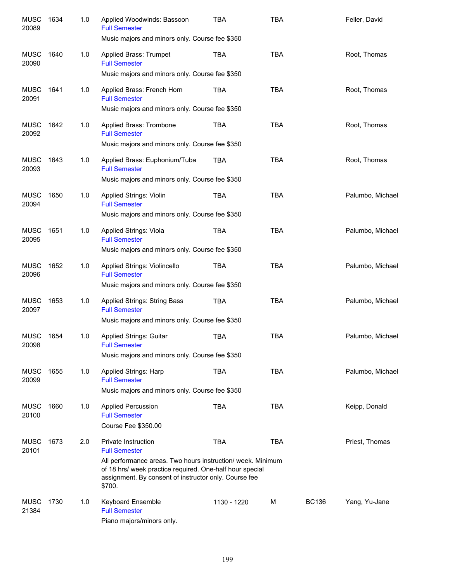| <b>MUSC</b><br>20089 | 1634 | 1.0 | Applied Woodwinds: Bassoon<br><b>Full Semester</b><br>Music majors and minors only. Course fee \$350                                                                                       | TBA         | <b>TBA</b> |              | Feller, David    |
|----------------------|------|-----|--------------------------------------------------------------------------------------------------------------------------------------------------------------------------------------------|-------------|------------|--------------|------------------|
| MUSC<br>20090        | 1640 | 1.0 | Applied Brass: Trumpet<br><b>Full Semester</b>                                                                                                                                             | TBA         | <b>TBA</b> |              | Root, Thomas     |
|                      |      |     | Music majors and minors only. Course fee \$350                                                                                                                                             |             |            |              |                  |
| MUSC<br>20091        | 1641 | 1.0 | Applied Brass: French Horn<br><b>Full Semester</b>                                                                                                                                         | TBA         | <b>TBA</b> |              | Root, Thomas     |
|                      |      |     | Music majors and minors only. Course fee \$350                                                                                                                                             |             |            |              |                  |
| MUSC<br>20092        | 1642 | 1.0 | Applied Brass: Trombone<br><b>Full Semester</b>                                                                                                                                            | TBA         | <b>TBA</b> |              | Root, Thomas     |
|                      |      |     | Music majors and minors only. Course fee \$350                                                                                                                                             |             |            |              |                  |
| <b>MUSC</b><br>20093 | 1643 | 1.0 | Applied Brass: Euphonium/Tuba<br><b>Full Semester</b>                                                                                                                                      | TBA         | <b>TBA</b> |              | Root, Thomas     |
|                      |      |     | Music majors and minors only. Course fee \$350                                                                                                                                             |             |            |              |                  |
| <b>MUSC</b><br>20094 | 1650 | 1.0 | <b>Applied Strings: Violin</b><br><b>Full Semester</b>                                                                                                                                     | <b>TBA</b>  | <b>TBA</b> |              | Palumbo, Michael |
|                      |      |     | Music majors and minors only. Course fee \$350                                                                                                                                             |             |            |              |                  |
| <b>MUSC</b><br>20095 | 1651 | 1.0 | Applied Strings: Viola<br><b>Full Semester</b>                                                                                                                                             | <b>TBA</b>  | <b>TBA</b> |              | Palumbo, Michael |
|                      |      |     | Music majors and minors only. Course fee \$350                                                                                                                                             |             |            |              |                  |
| <b>MUSC</b><br>20096 | 1652 | 1.0 | Applied Strings: Violincello<br><b>Full Semester</b>                                                                                                                                       | <b>TBA</b>  | <b>TBA</b> |              | Palumbo, Michael |
|                      |      |     | Music majors and minors only. Course fee \$350                                                                                                                                             |             |            |              |                  |
| <b>MUSC</b><br>20097 | 1653 | 1.0 | Applied Strings: String Bass<br><b>Full Semester</b>                                                                                                                                       | TBA         | <b>TBA</b> |              | Palumbo, Michael |
|                      |      |     | Music majors and minors only. Course fee \$350                                                                                                                                             |             |            |              |                  |
| <b>MUSC</b><br>20098 | 1654 | 1.0 | Applied Strings: Guitar<br><b>Full Semester</b>                                                                                                                                            | <b>TBA</b>  | <b>TBA</b> |              | Palumbo, Michael |
|                      |      |     | Music majors and minors only. Course fee \$350                                                                                                                                             |             |            |              |                  |
| <b>MUSC</b><br>20099 | 1655 | 1.0 | Applied Strings: Harp<br><b>Full Semester</b>                                                                                                                                              | <b>TBA</b>  | <b>TBA</b> |              | Palumbo, Michael |
|                      |      |     | Music majors and minors only. Course fee \$350                                                                                                                                             |             |            |              |                  |
| <b>MUSC</b><br>20100 | 1660 | 1.0 | <b>Applied Percussion</b><br><b>Full Semester</b>                                                                                                                                          | <b>TBA</b>  | <b>TBA</b> |              | Keipp, Donald    |
|                      |      |     | Course Fee \$350.00                                                                                                                                                                        |             |            |              |                  |
| <b>MUSC</b><br>20101 | 1673 | 2.0 | <b>Private Instruction</b><br><b>Full Semester</b>                                                                                                                                         | <b>TBA</b>  | <b>TBA</b> |              | Priest, Thomas   |
|                      |      |     | All performance areas. Two hours instruction/ week. Minimum<br>of 18 hrs/ week practice required. One-half hour special<br>assignment. By consent of instructor only. Course fee<br>\$700. |             |            |              |                  |
| <b>MUSC</b><br>21384 | 1730 | 1.0 | Keyboard Ensemble<br><b>Full Semester</b><br>Piano majors/minors only.                                                                                                                     | 1130 - 1220 | M          | <b>BC136</b> | Yang, Yu-Jane    |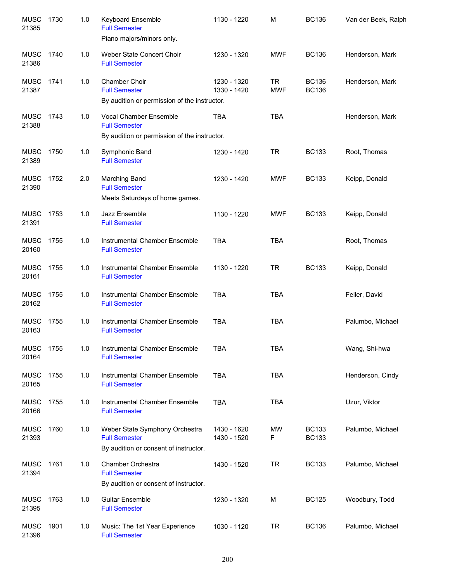| <b>MUSC</b><br>21385 | 1730 | 1.0 | Keyboard Ensemble<br><b>Full Semester</b><br>Piano majors/minors only.                                | 1130 - 1220                | M                       | <b>BC136</b>                 | Van der Beek, Ralph |
|----------------------|------|-----|-------------------------------------------------------------------------------------------------------|----------------------------|-------------------------|------------------------------|---------------------|
| <b>MUSC</b><br>21386 | 1740 | 1.0 | Weber State Concert Choir<br><b>Full Semester</b>                                                     | 1230 - 1320                | <b>MWF</b>              | <b>BC136</b>                 | Henderson, Mark     |
| <b>MUSC</b><br>21387 | 1741 | 1.0 | Chamber Choir<br><b>Full Semester</b><br>By audition or permission of the instructor.                 | 1230 - 1320<br>1330 - 1420 | <b>TR</b><br><b>MWF</b> | <b>BC136</b><br><b>BC136</b> | Henderson, Mark     |
| <b>MUSC</b><br>21388 | 1743 | 1.0 | <b>Vocal Chamber Ensemble</b><br><b>Full Semester</b><br>By audition or permission of the instructor. | <b>TBA</b>                 | <b>TBA</b>              |                              | Henderson, Mark     |
| <b>MUSC</b><br>21389 | 1750 | 1.0 | Symphonic Band<br><b>Full Semester</b>                                                                | 1230 - 1420                | <b>TR</b>               | <b>BC133</b>                 | Root, Thomas        |
| <b>MUSC</b><br>21390 | 1752 | 2.0 | Marching Band<br><b>Full Semester</b><br>Meets Saturdays of home games.                               | 1230 - 1420                | <b>MWF</b>              | <b>BC133</b>                 | Keipp, Donald       |
| <b>MUSC</b><br>21391 | 1753 | 1.0 | Jazz Ensemble<br><b>Full Semester</b>                                                                 | 1130 - 1220                | <b>MWF</b>              | <b>BC133</b>                 | Keipp, Donald       |
| <b>MUSC</b><br>20160 | 1755 | 1.0 | Instrumental Chamber Ensemble<br><b>Full Semester</b>                                                 | <b>TBA</b>                 | <b>TBA</b>              |                              | Root, Thomas        |
| <b>MUSC</b><br>20161 | 1755 | 1.0 | Instrumental Chamber Ensemble<br><b>Full Semester</b>                                                 | 1130 - 1220                | <b>TR</b>               | <b>BC133</b>                 | Keipp, Donald       |
| <b>MUSC</b><br>20162 | 1755 | 1.0 | Instrumental Chamber Ensemble<br><b>Full Semester</b>                                                 | <b>TBA</b>                 | <b>TBA</b>              |                              | Feller, David       |
| <b>MUSC</b><br>20163 | 1755 | 1.0 | Instrumental Chamber Ensemble<br><b>Full Semester</b>                                                 | <b>TBA</b>                 | <b>TBA</b>              |                              | Palumbo, Michael    |
| <b>MUSC</b><br>20164 | 1755 | 1.0 | Instrumental Chamber Ensemble<br><b>Full Semester</b>                                                 | <b>TBA</b>                 | <b>TBA</b>              |                              | Wang, Shi-hwa       |
| <b>MUSC</b><br>20165 | 1755 | 1.0 | Instrumental Chamber Ensemble<br><b>Full Semester</b>                                                 | <b>TBA</b>                 | <b>TBA</b>              |                              | Henderson, Cindy    |
| <b>MUSC</b><br>20166 | 1755 | 1.0 | Instrumental Chamber Ensemble<br><b>Full Semester</b>                                                 | <b>TBA</b>                 | <b>TBA</b>              |                              | Uzur, Viktor        |
| <b>MUSC</b><br>21393 | 1760 | 1.0 | Weber State Symphony Orchestra<br><b>Full Semester</b><br>By audition or consent of instructor.       | 1430 - 1620<br>1430 - 1520 | MW<br>F                 | <b>BC133</b><br><b>BC133</b> | Palumbo, Michael    |
| <b>MUSC</b><br>21394 | 1761 | 1.0 | Chamber Orchestra<br><b>Full Semester</b><br>By audition or consent of instructor.                    | 1430 - 1520                | <b>TR</b>               | <b>BC133</b>                 | Palumbo, Michael    |
| <b>MUSC</b><br>21395 | 1763 | 1.0 | <b>Guitar Ensemble</b><br><b>Full Semester</b>                                                        | 1230 - 1320                | М                       | <b>BC125</b>                 | Woodbury, Todd      |
| <b>MUSC</b><br>21396 | 1901 | 1.0 | Music: The 1st Year Experience<br><b>Full Semester</b>                                                | 1030 - 1120                | <b>TR</b>               | <b>BC136</b>                 | Palumbo, Michael    |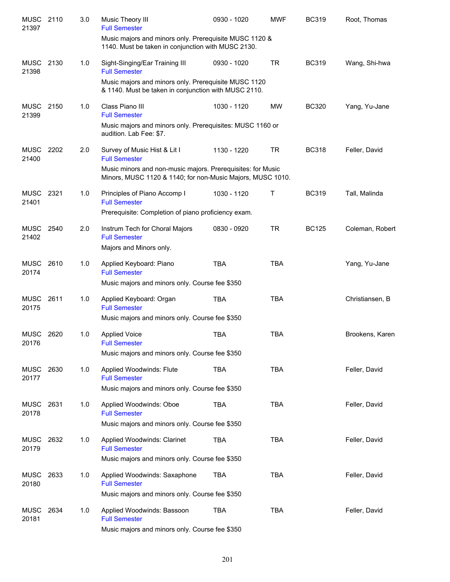| MUSC 2110<br>21397   |      | 3.0 | Music Theory III<br><b>Full Semester</b>                                                                                  | 0930 - 1020 | <b>MWF</b> | <b>BC319</b> | Root, Thomas    |
|----------------------|------|-----|---------------------------------------------------------------------------------------------------------------------------|-------------|------------|--------------|-----------------|
|                      |      |     | Music majors and minors only. Prerequisite MUSC 1120 &<br>1140. Must be taken in conjunction with MUSC 2130.              |             |            |              |                 |
| MUSC<br>21398        | 2130 | 1.0 | Sight-Singing/Ear Training III<br><b>Full Semester</b>                                                                    | 0930 - 1020 | <b>TR</b>  | <b>BC319</b> | Wang, Shi-hwa   |
|                      |      |     | Music majors and minors only. Prerequisite MUSC 1120<br>& 1140. Must be taken in conjunction with MUSC 2110.              |             |            |              |                 |
| <b>MUSC</b><br>21399 | 2150 | 1.0 | Class Piano III<br><b>Full Semester</b>                                                                                   | 1030 - 1120 | <b>MW</b>  | <b>BC320</b> | Yang, Yu-Jane   |
|                      |      |     | Music majors and minors only. Prerequisites: MUSC 1160 or<br>audition. Lab Fee: \$7.                                      |             |            |              |                 |
| <b>MUSC</b><br>21400 | 2202 | 2.0 | Survey of Music Hist & Lit I<br><b>Full Semester</b>                                                                      | 1130 - 1220 | <b>TR</b>  | <b>BC318</b> | Feller, David   |
|                      |      |     | Music minors and non-music majors. Prerequisites: for Music<br>Minors, MUSC 1120 & 1140; for non-Music Majors, MUSC 1010. |             |            |              |                 |
| <b>MUSC</b><br>21401 | 2321 | 1.0 | Principles of Piano Accomp I<br><b>Full Semester</b>                                                                      | 1030 - 1120 | Т          | <b>BC319</b> | Tall, Malinda   |
|                      |      |     | Prerequisite: Completion of piano proficiency exam.                                                                       |             |            |              |                 |
| MUSC 2540<br>21402   |      | 2.0 | Instrum Tech for Choral Majors<br><b>Full Semester</b><br>Majors and Minors only.                                         | 0830 - 0920 | <b>TR</b>  | <b>BC125</b> | Coleman, Robert |
| <b>MUSC</b><br>20174 | 2610 | 1.0 | Applied Keyboard: Piano<br><b>Full Semester</b><br>Music majors and minors only. Course fee \$350                         | <b>TBA</b>  | <b>TBA</b> |              | Yang, Yu-Jane   |
| <b>MUSC</b>          | 2611 | 1.0 | Applied Keyboard: Organ                                                                                                   | <b>TBA</b>  | <b>TBA</b> |              | Christiansen, B |
| 20175                |      |     | <b>Full Semester</b><br>Music majors and minors only. Course fee \$350                                                    |             |            |              |                 |
| <b>MUSC</b><br>20176 | 2620 | 1.0 | <b>Applied Voice</b><br><b>Full Semester</b><br>Music majors and minors only. Course fee \$350                            | <b>TBA</b>  | <b>TBA</b> |              | Brookens, Karen |
| <b>MUSC</b>          | 2630 | 1.0 | Applied Woodwinds: Flute                                                                                                  | <b>TBA</b>  | <b>TBA</b> |              | Feller, David   |
| 20177                |      |     | <b>Full Semester</b><br>Music majors and minors only. Course fee \$350                                                    |             |            |              |                 |
| <b>MUSC</b><br>20178 | 2631 | 1.0 | Applied Woodwinds: Oboe<br><b>Full Semester</b>                                                                           | <b>TBA</b>  | <b>TBA</b> |              | Feller, David   |
|                      |      |     | Music majors and minors only. Course fee \$350                                                                            |             |            |              |                 |
| MUSC<br>20179        | 2632 | 1.0 | Applied Woodwinds: Clarinet<br><b>Full Semester</b>                                                                       | TBA         | <b>TBA</b> |              | Feller, David   |
|                      |      |     | Music majors and minors only. Course fee \$350                                                                            |             |            |              |                 |
| <b>MUSC</b><br>20180 | 2633 | 1.0 | Applied Woodwinds: Saxaphone<br><b>Full Semester</b>                                                                      | <b>TBA</b>  | <b>TBA</b> |              | Feller, David   |
|                      |      |     | Music majors and minors only. Course fee \$350                                                                            |             |            |              |                 |
| <b>MUSC</b><br>20181 | 2634 | 1.0 | Applied Woodwinds: Bassoon<br><b>Full Semester</b><br>Music majors and minors only. Course fee \$350                      | <b>TBA</b>  | <b>TBA</b> |              | Feller, David   |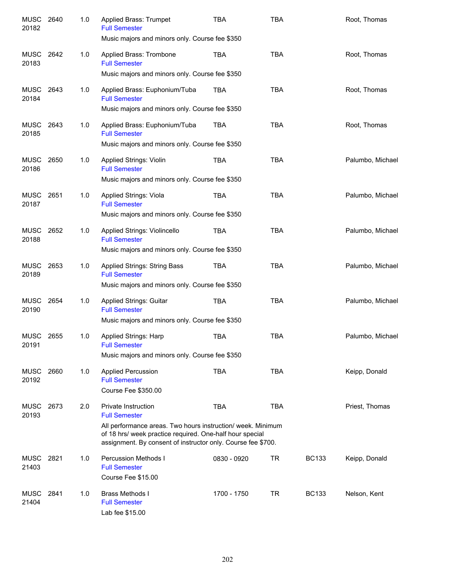| <b>MUSC</b><br>20182 | 2640 | 1.0 | Applied Brass: Trumpet<br><b>Full Semester</b><br>Music majors and minors only. Course fee \$350                                                                                                                                       | TBA         | <b>TBA</b> |              | Root, Thomas     |
|----------------------|------|-----|----------------------------------------------------------------------------------------------------------------------------------------------------------------------------------------------------------------------------------------|-------------|------------|--------------|------------------|
| <b>MUSC</b><br>20183 | 2642 | 1.0 | Applied Brass: Trombone<br><b>Full Semester</b><br>Music majors and minors only. Course fee \$350                                                                                                                                      | TBA         | <b>TBA</b> |              | Root, Thomas     |
| MUSC<br>20184        | 2643 | 1.0 | Applied Brass: Euphonium/Tuba<br><b>Full Semester</b><br>Music majors and minors only. Course fee \$350                                                                                                                                | TBA         | <b>TBA</b> |              | Root, Thomas     |
| MUSC<br>20185        | 2643 | 1.0 | Applied Brass: Euphonium/Tuba<br><b>Full Semester</b><br>Music majors and minors only. Course fee \$350                                                                                                                                | TBA         | <b>TBA</b> |              | Root, Thomas     |
| MUSC<br>20186        | 2650 | 1.0 | Applied Strings: Violin<br><b>Full Semester</b><br>Music majors and minors only. Course fee \$350                                                                                                                                      | <b>TBA</b>  | <b>TBA</b> |              | Palumbo, Michael |
| MUSC<br>20187        | 2651 | 1.0 | Applied Strings: Viola<br><b>Full Semester</b><br>Music majors and minors only. Course fee \$350                                                                                                                                       | <b>TBA</b>  | <b>TBA</b> |              | Palumbo, Michael |
| MUSC<br>20188        | 2652 | 1.0 | Applied Strings: Violincello<br><b>Full Semester</b><br>Music majors and minors only. Course fee \$350                                                                                                                                 | TBA         | <b>TBA</b> |              | Palumbo, Michael |
| MUSC<br>20189        | 2653 | 1.0 | Applied Strings: String Bass<br><b>Full Semester</b><br>Music majors and minors only. Course fee \$350                                                                                                                                 | TBA         | <b>TBA</b> |              | Palumbo, Michael |
| <b>MUSC</b><br>20190 | 2654 | 1.0 | <b>Applied Strings: Guitar</b><br><b>Full Semester</b><br>Music majors and minors only. Course fee \$350                                                                                                                               | TBA         | <b>TBA</b> |              | Palumbo, Michael |
| MUSC<br>20191        | 2655 | 1.0 | <b>Applied Strings: Harp</b><br><b>Full Semester</b><br>Music majors and minors only. Course fee \$350                                                                                                                                 | <b>TBA</b>  | <b>TBA</b> |              | Palumbo, Michael |
| <b>MUSC</b><br>20192 | 2660 | 1.0 | <b>Applied Percussion</b><br><b>Full Semester</b><br><b>Course Fee \$350.00</b>                                                                                                                                                        | <b>TBA</b>  | <b>TBA</b> |              | Keipp, Donald    |
| <b>MUSC</b><br>20193 | 2673 | 2.0 | Private Instruction<br><b>Full Semester</b><br>All performance areas. Two hours instruction/ week. Minimum<br>of 18 hrs/ week practice required. One-half hour special<br>assignment. By consent of instructor only. Course fee \$700. | <b>TBA</b>  | <b>TBA</b> |              | Priest, Thomas   |
| MUSC<br>21403        | 2821 | 1.0 | <b>Percussion Methods I</b><br><b>Full Semester</b><br>Course Fee \$15.00                                                                                                                                                              | 0830 - 0920 | TR         | <b>BC133</b> | Keipp, Donald    |
| <b>MUSC</b><br>21404 | 2841 | 1.0 | <b>Brass Methods I</b><br><b>Full Semester</b><br>Lab fee \$15.00                                                                                                                                                                      | 1700 - 1750 | TR         | <b>BC133</b> | Nelson, Kent     |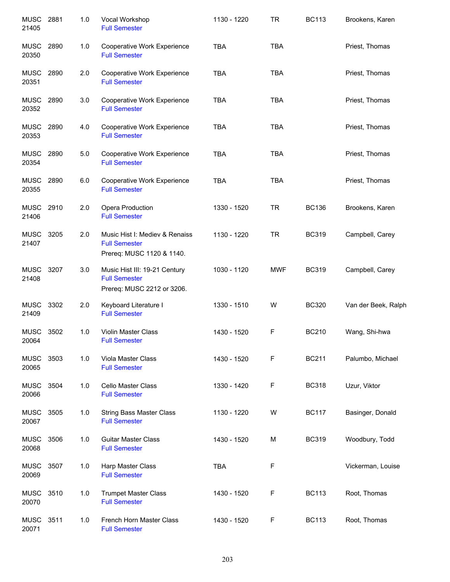| <b>MUSC</b><br>21405 | 2881 | 1.0 | Vocal Workshop<br><b>Full Semester</b>                                              | 1130 - 1220 | <b>TR</b>  | <b>BC113</b> | Brookens, Karen     |
|----------------------|------|-----|-------------------------------------------------------------------------------------|-------------|------------|--------------|---------------------|
| <b>MUSC</b><br>20350 | 2890 | 1.0 | Cooperative Work Experience<br><b>Full Semester</b>                                 | <b>TBA</b>  | <b>TBA</b> |              | Priest, Thomas      |
| <b>MUSC</b><br>20351 | 2890 | 2.0 | Cooperative Work Experience<br><b>Full Semester</b>                                 | <b>TBA</b>  | <b>TBA</b> |              | Priest, Thomas      |
| MUSC<br>20352        | 2890 | 3.0 | Cooperative Work Experience<br><b>Full Semester</b>                                 | <b>TBA</b>  | <b>TBA</b> |              | Priest, Thomas      |
| MUSC 2890<br>20353   |      | 4.0 | Cooperative Work Experience<br><b>Full Semester</b>                                 | <b>TBA</b>  | <b>TBA</b> |              | Priest, Thomas      |
| MUSC<br>20354        | 2890 | 5.0 | Cooperative Work Experience<br><b>Full Semester</b>                                 | <b>TBA</b>  | <b>TBA</b> |              | Priest, Thomas      |
| <b>MUSC</b><br>20355 | 2890 | 6.0 | Cooperative Work Experience<br><b>Full Semester</b>                                 | <b>TBA</b>  | <b>TBA</b> |              | Priest, Thomas      |
| <b>MUSC</b><br>21406 | 2910 | 2.0 | Opera Production<br><b>Full Semester</b>                                            | 1330 - 1520 | <b>TR</b>  | <b>BC136</b> | Brookens, Karen     |
| <b>MUSC</b><br>21407 | 3205 | 2.0 | Music Hist I: Mediev & Renaiss<br><b>Full Semester</b><br>Prereq: MUSC 1120 & 1140. | 1130 - 1220 | <b>TR</b>  | <b>BC319</b> | Campbell, Carey     |
| <b>MUSC</b><br>21408 | 3207 | 3.0 | Music Hist III: 19-21 Century<br><b>Full Semester</b><br>Prereq: MUSC 2212 or 3206. | 1030 - 1120 | <b>MWF</b> | <b>BC319</b> | Campbell, Carey     |
| <b>MUSC</b><br>21409 | 3302 | 2.0 | Keyboard Literature I<br><b>Full Semester</b>                                       | 1330 - 1510 | W          | <b>BC320</b> | Van der Beek, Ralph |
| <b>MUSC</b><br>20064 | 3502 | 1.0 | Violin Master Class<br><b>Full Semester</b>                                         | 1430 - 1520 | F          | <b>BC210</b> | Wang, Shi-hwa       |
| MUSC<br>20065        | 3503 | 1.0 | Viola Master Class<br><b>Full Semester</b>                                          | 1430 - 1520 | F          | <b>BC211</b> | Palumbo, Michael    |
| MUSC<br>20066        | 3504 | 1.0 | <b>Cello Master Class</b><br><b>Full Semester</b>                                   | 1330 - 1420 | F          | <b>BC318</b> | Uzur, Viktor        |
| <b>MUSC</b><br>20067 | 3505 | 1.0 | <b>String Bass Master Class</b><br><b>Full Semester</b>                             | 1130 - 1220 | W          | <b>BC117</b> | Basinger, Donald    |
| <b>MUSC</b><br>20068 | 3506 | 1.0 | <b>Guitar Master Class</b><br><b>Full Semester</b>                                  | 1430 - 1520 | M          | <b>BC319</b> | Woodbury, Todd      |
| <b>MUSC</b><br>20069 | 3507 | 1.0 | Harp Master Class<br><b>Full Semester</b>                                           | <b>TBA</b>  | F          |              | Vickerman, Louise   |
| <b>MUSC</b><br>20070 | 3510 | 1.0 | <b>Trumpet Master Class</b><br><b>Full Semester</b>                                 | 1430 - 1520 | F          | <b>BC113</b> | Root, Thomas        |
| MUSC<br>20071        | 3511 | 1.0 | French Horn Master Class<br><b>Full Semester</b>                                    | 1430 - 1520 | F          | <b>BC113</b> | Root, Thomas        |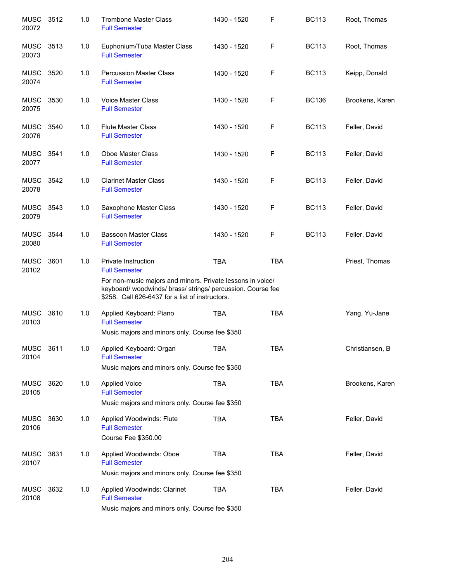| <b>MUSC</b><br>20072 | 3512 | 1.0 | <b>Trombone Master Class</b><br><b>Full Semester</b>                                                                                                                                                                        | 1430 - 1520 | $\mathsf F$ | <b>BC113</b> | Root, Thomas    |
|----------------------|------|-----|-----------------------------------------------------------------------------------------------------------------------------------------------------------------------------------------------------------------------------|-------------|-------------|--------------|-----------------|
| <b>MUSC</b><br>20073 | 3513 | 1.0 | Euphonium/Tuba Master Class<br><b>Full Semester</b>                                                                                                                                                                         | 1430 - 1520 | F           | <b>BC113</b> | Root, Thomas    |
| <b>MUSC</b><br>20074 | 3520 | 1.0 | <b>Percussion Master Class</b><br><b>Full Semester</b>                                                                                                                                                                      | 1430 - 1520 | F           | <b>BC113</b> | Keipp, Donald   |
| <b>MUSC</b><br>20075 | 3530 | 1.0 | <b>Voice Master Class</b><br><b>Full Semester</b>                                                                                                                                                                           | 1430 - 1520 | F           | <b>BC136</b> | Brookens, Karen |
| <b>MUSC</b><br>20076 | 3540 | 1.0 | <b>Flute Master Class</b><br><b>Full Semester</b>                                                                                                                                                                           | 1430 - 1520 | F           | <b>BC113</b> | Feller, David   |
| <b>MUSC</b><br>20077 | 3541 | 1.0 | Oboe Master Class<br><b>Full Semester</b>                                                                                                                                                                                   | 1430 - 1520 | F           | <b>BC113</b> | Feller, David   |
| <b>MUSC</b><br>20078 | 3542 | 1.0 | <b>Clarinet Master Class</b><br><b>Full Semester</b>                                                                                                                                                                        | 1430 - 1520 | F           | <b>BC113</b> | Feller, David   |
| <b>MUSC</b><br>20079 | 3543 | 1.0 | Saxophone Master Class<br><b>Full Semester</b>                                                                                                                                                                              | 1430 - 1520 | F           | <b>BC113</b> | Feller, David   |
| <b>MUSC</b><br>20080 | 3544 | 1.0 | <b>Bassoon Master Class</b><br><b>Full Semester</b>                                                                                                                                                                         | 1430 - 1520 | $\mathsf F$ | <b>BC113</b> | Feller, David   |
| <b>MUSC</b><br>20102 | 3601 | 1.0 | Private Instruction<br><b>Full Semester</b><br>For non-music majors and minors. Private lessons in voice/<br>keyboard/ woodwinds/ brass/ strings/ percussion. Course fee<br>\$258. Call 626-6437 for a list of instructors. | <b>TBA</b>  | <b>TBA</b>  |              | Priest, Thomas  |
| <b>MUSC</b><br>20103 | 3610 | 1.0 | Applied Keyboard: Piano<br><b>Full Semester</b><br>Music majors and minors only. Course fee \$350                                                                                                                           | <b>TBA</b>  | <b>TBA</b>  |              | Yang, Yu-Jane   |
| <b>MUSC</b><br>20104 | 3611 | 1.0 | Applied Keyboard: Organ<br><b>Full Semester</b><br>Music majors and minors only. Course fee \$350                                                                                                                           | TBA         | <b>TBA</b>  |              | Christiansen, B |
| <b>MUSC</b><br>20105 | 3620 | 1.0 | <b>Applied Voice</b><br><b>Full Semester</b><br>Music majors and minors only. Course fee \$350                                                                                                                              | <b>TBA</b>  | <b>TBA</b>  |              | Brookens, Karen |
| <b>MUSC</b><br>20106 | 3630 | 1.0 | Applied Woodwinds: Flute<br><b>Full Semester</b><br>Course Fee \$350.00                                                                                                                                                     | <b>TBA</b>  | <b>TBA</b>  |              | Feller, David   |
| MUSC<br>20107        | 3631 | 1.0 | Applied Woodwinds: Oboe<br><b>Full Semester</b><br>Music majors and minors only. Course fee \$350                                                                                                                           | <b>TBA</b>  | <b>TBA</b>  |              | Feller, David   |
| <b>MUSC</b><br>20108 | 3632 | 1.0 | Applied Woodwinds: Clarinet<br><b>Full Semester</b><br>Music majors and minors only. Course fee \$350                                                                                                                       | <b>TBA</b>  | <b>TBA</b>  |              | Feller, David   |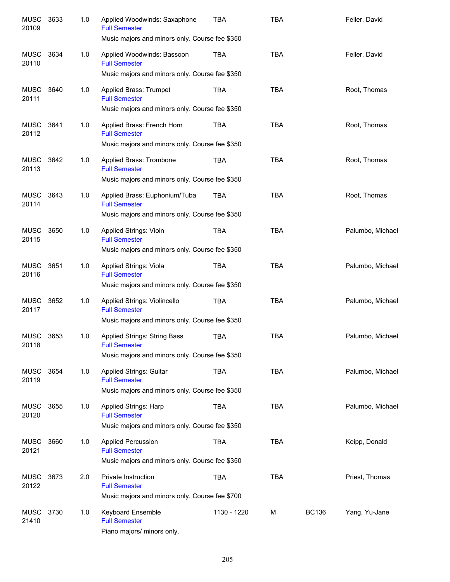| <b>MUSC</b><br>20109 | 3633 | 1.0 | Applied Woodwinds: Saxaphone<br><b>Full Semester</b><br>Music majors and minors only. Course fee \$350        | TBA         | <b>TBA</b> |              | Feller, David    |
|----------------------|------|-----|---------------------------------------------------------------------------------------------------------------|-------------|------------|--------------|------------------|
| <b>MUSC</b><br>20110 | 3634 | 1.0 | Applied Woodwinds: Bassoon<br><b>Full Semester</b>                                                            | TBA         | <b>TBA</b> |              | Feller, David    |
|                      |      |     | Music majors and minors only. Course fee \$350                                                                |             |            |              |                  |
| <b>MUSC</b><br>20111 | 3640 | 1.0 | Applied Brass: Trumpet<br><b>Full Semester</b><br>Music majors and minors only. Course fee \$350              | <b>TBA</b>  | <b>TBA</b> |              | Root, Thomas     |
| MUSC<br>20112        | 3641 | 1.0 | Applied Brass: French Horn<br><b>Full Semester</b>                                                            | <b>TBA</b>  | <b>TBA</b> |              | Root, Thomas     |
|                      |      |     | Music majors and minors only. Course fee \$350                                                                |             |            |              |                  |
| <b>MUSC</b><br>20113 | 3642 | 1.0 | Applied Brass: Trombone<br><b>Full Semester</b><br>Music majors and minors only. Course fee \$350             | <b>TBA</b>  | <b>TBA</b> |              | Root, Thomas     |
| <b>MUSC</b>          | 3643 | 1.0 | Applied Brass: Euphonium/Tuba                                                                                 | <b>TBA</b>  | <b>TBA</b> |              | Root, Thomas     |
| 20114                |      |     | <b>Full Semester</b>                                                                                          |             |            |              |                  |
|                      |      |     | Music majors and minors only. Course fee \$350                                                                |             |            |              |                  |
| <b>MUSC</b><br>20115 | 3650 | 1.0 | Applied Strings: Vioin<br><b>Full Semester</b><br>Music majors and minors only. Course fee \$350              | <b>TBA</b>  | <b>TBA</b> |              | Palumbo, Michael |
|                      |      |     |                                                                                                               |             |            |              |                  |
| <b>MUSC</b><br>20116 | 3651 | 1.0 | Applied Strings: Viola<br><b>Full Semester</b><br>Music majors and minors only. Course fee \$350              | <b>TBA</b>  | <b>TBA</b> |              | Palumbo, Michael |
|                      |      |     |                                                                                                               |             |            |              |                  |
| <b>MUSC</b><br>20117 | 3652 | 1.0 | Applied Strings: Violincello<br><b>Full Semester</b><br>Music majors and minors only. Course fee \$350        | <b>TBA</b>  | <b>TBA</b> |              | Palumbo, Michael |
|                      |      |     |                                                                                                               |             |            |              |                  |
| <b>MUSC</b><br>20118 | 3653 | 1.0 | <b>Applied Strings: String Bass</b><br><b>Full Semester</b><br>Music majors and minors only. Course fee \$350 | <b>TBA</b>  | <b>TBA</b> |              | Palumbo, Michael |
|                      |      |     |                                                                                                               |             |            |              |                  |
| <b>MUSC</b><br>20119 | 3654 | 1.0 | <b>Applied Strings: Guitar</b><br><b>Full Semester</b>                                                        | <b>TBA</b>  | <b>TBA</b> |              | Palumbo, Michael |
|                      |      |     | Music majors and minors only. Course fee \$350                                                                |             |            |              |                  |
| <b>MUSC</b><br>20120 | 3655 | 1.0 | <b>Applied Strings: Harp</b><br><b>Full Semester</b>                                                          | <b>TBA</b>  | <b>TBA</b> |              | Palumbo, Michael |
|                      |      |     | Music majors and minors only. Course fee \$350                                                                |             |            |              |                  |
| <b>MUSC</b><br>20121 | 3660 | 1.0 | <b>Applied Percussion</b><br><b>Full Semester</b>                                                             | <b>TBA</b>  | <b>TBA</b> |              | Keipp, Donald    |
|                      |      |     | Music majors and minors only. Course fee \$350                                                                |             |            |              |                  |
| <b>MUSC</b><br>20122 | 3673 | 2.0 | Private Instruction<br><b>Full Semester</b>                                                                   | <b>TBA</b>  | <b>TBA</b> |              | Priest, Thomas   |
|                      |      |     | Music majors and minors only. Course fee \$700                                                                |             |            |              |                  |
| <b>MUSC</b><br>21410 | 3730 | 1.0 | Keyboard Ensemble<br><b>Full Semester</b><br>Piano majors/ minors only.                                       | 1130 - 1220 | М          | <b>BC136</b> | Yang, Yu-Jane    |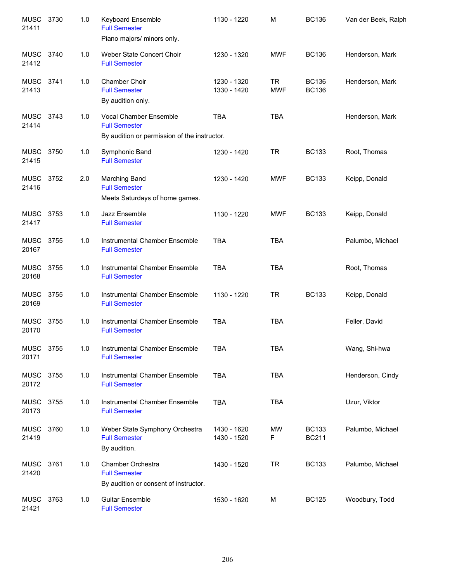| <b>MUSC</b><br>21411 | 3730 | 1.0 | <b>Keyboard Ensemble</b><br><b>Full Semester</b><br>Piano majors/ minors only.                 | 1130 - 1220                | M                       | <b>BC136</b>                 | Van der Beek, Ralph |
|----------------------|------|-----|------------------------------------------------------------------------------------------------|----------------------------|-------------------------|------------------------------|---------------------|
| <b>MUSC</b><br>21412 | 3740 | 1.0 | Weber State Concert Choir<br><b>Full Semester</b>                                              | 1230 - 1320                | <b>MWF</b>              | <b>BC136</b>                 | Henderson, Mark     |
| <b>MUSC</b><br>21413 | 3741 | 1.0 | <b>Chamber Choir</b><br><b>Full Semester</b><br>By audition only.                              | 1230 - 1320<br>1330 - 1420 | <b>TR</b><br><b>MWF</b> | <b>BC136</b><br><b>BC136</b> | Henderson, Mark     |
| <b>MUSC</b><br>21414 | 3743 | 1.0 | Vocal Chamber Ensemble<br><b>Full Semester</b><br>By audition or permission of the instructor. | <b>TBA</b>                 | <b>TBA</b>              |                              | Henderson, Mark     |
| <b>MUSC</b><br>21415 | 3750 | 1.0 | Symphonic Band<br><b>Full Semester</b>                                                         | 1230 - 1420                | <b>TR</b>               | <b>BC133</b>                 | Root, Thomas        |
| <b>MUSC</b><br>21416 | 3752 | 2.0 | Marching Band<br><b>Full Semester</b><br>Meets Saturdays of home games.                        | 1230 - 1420                | <b>MWF</b>              | <b>BC133</b>                 | Keipp, Donald       |
| MUSC 3753<br>21417   |      | 1.0 | Jazz Ensemble<br><b>Full Semester</b>                                                          | 1130 - 1220                | <b>MWF</b>              | <b>BC133</b>                 | Keipp, Donald       |
| MUSC 3755<br>20167   |      | 1.0 | Instrumental Chamber Ensemble<br><b>Full Semester</b>                                          | <b>TBA</b>                 | <b>TBA</b>              |                              | Palumbo, Michael    |
| <b>MUSC</b><br>20168 | 3755 | 1.0 | Instrumental Chamber Ensemble<br><b>Full Semester</b>                                          | <b>TBA</b>                 | <b>TBA</b>              |                              | Root, Thomas        |
| <b>MUSC</b><br>20169 | 3755 | 1.0 | Instrumental Chamber Ensemble<br><b>Full Semester</b>                                          | 1130 - 1220                | <b>TR</b>               | <b>BC133</b>                 | Keipp, Donald       |
| <b>MUSC</b><br>20170 | 3755 | 1.0 | Instrumental Chamber Ensemble<br><b>Full Semester</b>                                          | <b>TBA</b>                 | <b>TBA</b>              |                              | Feller, David       |
| <b>MUSC</b><br>20171 | 3755 | 1.0 | Instrumental Chamber Ensemble<br><b>Full Semester</b>                                          | <b>TBA</b>                 | TBA                     |                              | Wang, Shi-hwa       |
| MUSC<br>20172        | 3755 | 1.0 | Instrumental Chamber Ensemble<br><b>Full Semester</b>                                          | <b>TBA</b>                 | <b>TBA</b>              |                              | Henderson, Cindy    |
| <b>MUSC</b><br>20173 | 3755 | 1.0 | Instrumental Chamber Ensemble<br><b>Full Semester</b>                                          | <b>TBA</b>                 | <b>TBA</b>              |                              | Uzur, Viktor        |
| MUSC<br>21419        | 3760 | 1.0 | Weber State Symphony Orchestra<br><b>Full Semester</b><br>By audition.                         | 1430 - 1620<br>1430 - 1520 | MW<br>F                 | <b>BC133</b><br><b>BC211</b> | Palumbo, Michael    |
| MUSC<br>21420        | 3761 | 1.0 | Chamber Orchestra<br><b>Full Semester</b><br>By audition or consent of instructor.             | 1430 - 1520                | <b>TR</b>               | <b>BC133</b>                 | Palumbo, Michael    |
| <b>MUSC</b><br>21421 | 3763 | 1.0 | <b>Guitar Ensemble</b><br><b>Full Semester</b>                                                 | 1530 - 1620                | М                       | <b>BC125</b>                 | Woodbury, Todd      |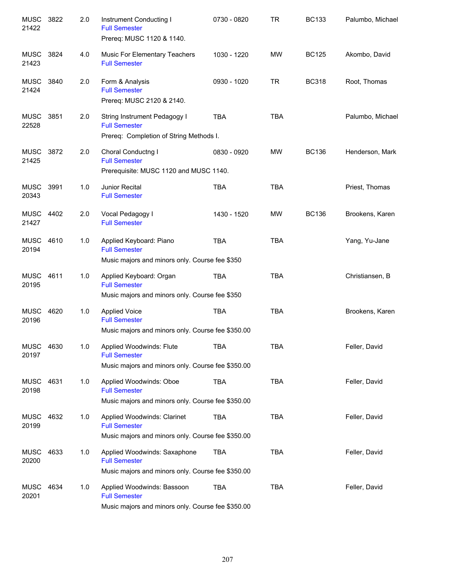| <b>MUSC</b><br>21422 | 3822 | 2.0 | Instrument Conducting I<br><b>Full Semester</b><br>Prereq: MUSC 1120 & 1140.                              | 0730 - 0820 | <b>TR</b>  | <b>BC133</b> | Palumbo, Michael |
|----------------------|------|-----|-----------------------------------------------------------------------------------------------------------|-------------|------------|--------------|------------------|
| <b>MUSC</b><br>21423 | 3824 | 4.0 | Music For Elementary Teachers<br><b>Full Semester</b>                                                     | 1030 - 1220 | <b>MW</b>  | <b>BC125</b> | Akombo, David    |
| <b>MUSC</b><br>21424 | 3840 | 2.0 | Form & Analysis<br><b>Full Semester</b><br>Prereq: MUSC 2120 & 2140.                                      | 0930 - 1020 | <b>TR</b>  | <b>BC318</b> | Root, Thomas     |
| <b>MUSC</b><br>22528 | 3851 | 2.0 | String Instrument Pedagogy I<br><b>Full Semester</b><br>Prereq: Completion of String Methods I.           | <b>TBA</b>  | <b>TBA</b> |              | Palumbo, Michael |
| <b>MUSC</b><br>21425 | 3872 | 2.0 | Choral Conductng I<br><b>Full Semester</b><br>Prerequisite: MUSC 1120 and MUSC 1140.                      | 0830 - 0920 | <b>MW</b>  | <b>BC136</b> | Henderson, Mark  |
| MUSC<br>20343        | 3991 | 1.0 | Junior Recital<br><b>Full Semester</b>                                                                    | <b>TBA</b>  | <b>TBA</b> |              | Priest, Thomas   |
| MUSC 4402<br>21427   |      | 2.0 | Vocal Pedagogy I<br><b>Full Semester</b>                                                                  | 1430 - 1520 | <b>MW</b>  | <b>BC136</b> | Brookens, Karen  |
| MUSC<br>20194        | 4610 | 1.0 | Applied Keyboard: Piano<br><b>Full Semester</b><br>Music majors and minors only. Course fee \$350         | <b>TBA</b>  | <b>TBA</b> |              | Yang, Yu-Jane    |
| <b>MUSC</b><br>20195 | 4611 | 1.0 | Applied Keyboard: Organ<br><b>Full Semester</b><br>Music majors and minors only. Course fee \$350         | <b>TBA</b>  | <b>TBA</b> |              | Christiansen, B  |
| <b>MUSC</b><br>20196 | 4620 | 1.0 | <b>Applied Voice</b><br><b>Full Semester</b><br>Music majors and minors only. Course fee \$350.00         | <b>TBA</b>  | <b>TBA</b> |              | Brookens, Karen  |
| MUSC<br>20197        | 4630 | 1.0 | Applied Woodwinds: Flute<br><b>Full Semester</b><br>Music majors and minors only. Course fee \$350.00     | TBA         | TBA        |              | Feller, David    |
| <b>MUSC</b><br>20198 | 4631 | 1.0 | Applied Woodwinds: Oboe<br><b>Full Semester</b><br>Music majors and minors only. Course fee \$350.00      | <b>TBA</b>  | <b>TBA</b> |              | Feller, David    |
| <b>MUSC</b><br>20199 | 4632 | 1.0 | Applied Woodwinds: Clarinet<br><b>Full Semester</b><br>Music majors and minors only. Course fee \$350.00  | <b>TBA</b>  | <b>TBA</b> |              | Feller, David    |
| <b>MUSC</b><br>20200 | 4633 | 1.0 | Applied Woodwinds: Saxaphone<br><b>Full Semester</b><br>Music majors and minors only. Course fee \$350.00 | <b>TBA</b>  | <b>TBA</b> |              | Feller, David    |
| <b>MUSC</b><br>20201 | 4634 | 1.0 | Applied Woodwinds: Bassoon<br><b>Full Semester</b><br>Music majors and minors only. Course fee \$350.00   | <b>TBA</b>  | <b>TBA</b> |              | Feller, David    |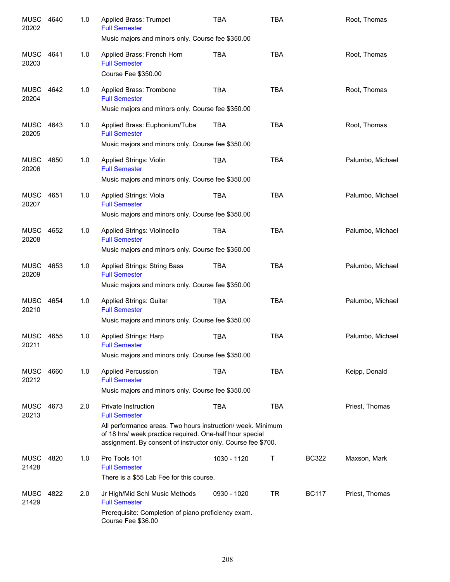| <b>MUSC</b><br>20202 | 4640 | 1.0 | Applied Brass: Trumpet<br><b>Full Semester</b><br>Music majors and minors only. Course fee \$350.00                                                                                                                                           | <b>TBA</b>  | <b>TBA</b> |              | Root, Thomas     |
|----------------------|------|-----|-----------------------------------------------------------------------------------------------------------------------------------------------------------------------------------------------------------------------------------------------|-------------|------------|--------------|------------------|
| MUSC<br>20203        | 4641 | 1.0 | Applied Brass: French Horn<br><b>Full Semester</b><br>Course Fee \$350.00                                                                                                                                                                     | <b>TBA</b>  | <b>TBA</b> |              | Root, Thomas     |
| MUSC<br>20204        | 4642 | 1.0 | Applied Brass: Trombone<br><b>Full Semester</b><br>Music majors and minors only. Course fee \$350.00                                                                                                                                          | <b>TBA</b>  | <b>TBA</b> |              | Root, Thomas     |
| <b>MUSC</b><br>20205 | 4643 | 1.0 | Applied Brass: Euphonium/Tuba<br><b>Full Semester</b><br>Music majors and minors only. Course fee \$350.00                                                                                                                                    | TBA         | <b>TBA</b> |              | Root, Thomas     |
| <b>MUSC</b><br>20206 | 4650 | 1.0 | <b>Applied Strings: Violin</b><br><b>Full Semester</b><br>Music majors and minors only. Course fee \$350.00                                                                                                                                   | TBA         | <b>TBA</b> |              | Palumbo, Michael |
| MUSC<br>20207        | 4651 | 1.0 | Applied Strings: Viola<br><b>Full Semester</b><br>Music majors and minors only. Course fee \$350.00                                                                                                                                           | TBA         | <b>TBA</b> |              | Palumbo, Michael |
| MUSC<br>20208        | 4652 | 1.0 | Applied Strings: Violincello<br><b>Full Semester</b><br>Music majors and minors only. Course fee \$350.00                                                                                                                                     | TBA         | <b>TBA</b> |              | Palumbo, Michael |
| MUSC<br>20209        | 4653 | 1.0 | Applied Strings: String Bass<br><b>Full Semester</b><br>Music majors and minors only. Course fee \$350.00                                                                                                                                     | TBA         | <b>TBA</b> |              | Palumbo, Michael |
| MUSC<br>20210        | 4654 | 1.0 | Applied Strings: Guitar<br><b>Full Semester</b><br>Music majors and minors only. Course fee \$350.00                                                                                                                                          | TBA         | <b>TBA</b> |              | Palumbo, Michael |
| MUSC<br>20211        | 4655 | 1.0 | <b>Applied Strings: Harp</b><br><b>Full Semester</b><br>Music majors and minors only. Course fee \$350.00                                                                                                                                     | <b>TBA</b>  | <b>TBA</b> |              | Palumbo, Michael |
| MUSC<br>20212        | 4660 | 1.0 | <b>Applied Percussion</b><br><b>Full Semester</b><br>Music majors and minors only. Course fee \$350.00                                                                                                                                        | <b>TBA</b>  | <b>TBA</b> |              | Keipp, Donald    |
| MUSC<br>20213        | 4673 | 2.0 | <b>Private Instruction</b><br><b>Full Semester</b><br>All performance areas. Two hours instruction/ week. Minimum<br>of 18 hrs/ week practice required. One-half hour special<br>assignment. By consent of instructor only. Course fee \$700. | <b>TBA</b>  | <b>TBA</b> |              | Priest, Thomas   |
| MUSC<br>21428        | 4820 | 1.0 | Pro Tools 101<br><b>Full Semester</b><br>There is a \$55 Lab Fee for this course.                                                                                                                                                             | 1030 - 1120 | Τ          | <b>BC322</b> | Maxson, Mark     |
| <b>MUSC</b><br>21429 | 4822 | 2.0 | Jr High/Mid Schl Music Methods<br><b>Full Semester</b><br>Prerequisite: Completion of piano proficiency exam.<br>Course Fee \$36.00                                                                                                           | 0930 - 1020 | <b>TR</b>  | <b>BC117</b> | Priest, Thomas   |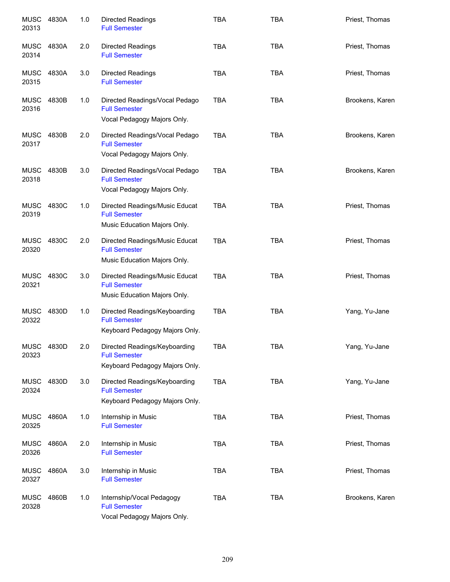| <b>MUSC</b><br>20313 | 4830A | 1.0 | <b>Directed Readings</b><br><b>Full Semester</b>                                        | <b>TBA</b> | <b>TBA</b> | Priest, Thomas  |
|----------------------|-------|-----|-----------------------------------------------------------------------------------------|------------|------------|-----------------|
| MUSC<br>20314        | 4830A | 2.0 | <b>Directed Readings</b><br><b>Full Semester</b>                                        | <b>TBA</b> | <b>TBA</b> | Priest, Thomas  |
| MUSC<br>20315        | 4830A | 3.0 | <b>Directed Readings</b><br><b>Full Semester</b>                                        | <b>TBA</b> | <b>TBA</b> | Priest, Thomas  |
| <b>MUSC</b><br>20316 | 4830B | 1.0 | Directed Readings/Vocal Pedago<br><b>Full Semester</b><br>Vocal Pedagogy Majors Only.   | <b>TBA</b> | <b>TBA</b> | Brookens, Karen |
| <b>MUSC</b><br>20317 | 4830B | 2.0 | Directed Readings/Vocal Pedago<br><b>Full Semester</b><br>Vocal Pedagogy Majors Only.   | <b>TBA</b> | <b>TBA</b> | Brookens, Karen |
| <b>MUSC</b><br>20318 | 4830B | 3.0 | Directed Readings/Vocal Pedago<br><b>Full Semester</b><br>Vocal Pedagogy Majors Only.   | <b>TBA</b> | <b>TBA</b> | Brookens, Karen |
| <b>MUSC</b><br>20319 | 4830C | 1.0 | Directed Readings/Music Educat<br><b>Full Semester</b><br>Music Education Majors Only.  | <b>TBA</b> | <b>TBA</b> | Priest, Thomas  |
| <b>MUSC</b><br>20320 | 4830C | 2.0 | Directed Readings/Music Educat<br><b>Full Semester</b><br>Music Education Majors Only.  | <b>TBA</b> | <b>TBA</b> | Priest, Thomas  |
| <b>MUSC</b><br>20321 | 4830C | 3.0 | Directed Readings/Music Educat<br><b>Full Semester</b><br>Music Education Majors Only.  | <b>TBA</b> | <b>TBA</b> | Priest, Thomas  |
| MUSC<br>20322        | 4830D | 1.0 | Directed Readings/Keyboarding<br><b>Full Semester</b><br>Keyboard Pedagogy Majors Only. | <b>TBA</b> | <b>TBA</b> | Yang, Yu-Jane   |
| <b>MUSC</b><br>20323 | 4830D | 2.0 | Directed Readings/Keyboarding<br><b>Full Semester</b><br>Keyboard Pedagogy Majors Only. | <b>TBA</b> | <b>TBA</b> | Yang, Yu-Jane   |
| <b>MUSC</b><br>20324 | 4830D | 3.0 | Directed Readings/Keyboarding<br><b>Full Semester</b><br>Keyboard Pedagogy Majors Only. | <b>TBA</b> | <b>TBA</b> | Yang, Yu-Jane   |
| MUSC<br>20325        | 4860A | 1.0 | Internship in Music<br><b>Full Semester</b>                                             | <b>TBA</b> | <b>TBA</b> | Priest, Thomas  |
| <b>MUSC</b><br>20326 | 4860A | 2.0 | Internship in Music<br><b>Full Semester</b>                                             | <b>TBA</b> | <b>TBA</b> | Priest, Thomas  |
| <b>MUSC</b><br>20327 | 4860A | 3.0 | Internship in Music<br><b>Full Semester</b>                                             | <b>TBA</b> | <b>TBA</b> | Priest, Thomas  |
| <b>MUSC</b><br>20328 | 4860B | 1.0 | Internship/Vocal Pedagogy<br><b>Full Semester</b><br>Vocal Pedagogy Majors Only.        | <b>TBA</b> | <b>TBA</b> | Brookens, Karen |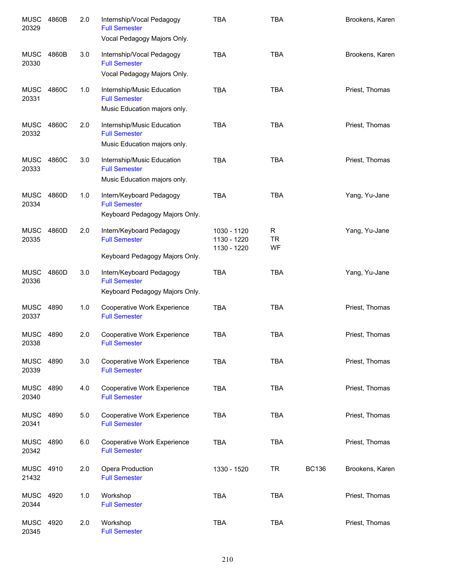| <b>MUSC</b><br>20329 | 4860B | 2.0 | Internship/Vocal Pedagogy<br><b>Full Semester</b><br>Vocal Pedagogy Majors Only.   | <b>TBA</b>                                | <b>TBA</b>           |              | Brookens, Karen |
|----------------------|-------|-----|------------------------------------------------------------------------------------|-------------------------------------------|----------------------|--------------|-----------------|
| MUSC<br>20330        | 4860B | 3.0 | Internship/Vocal Pedagogy<br><b>Full Semester</b><br>Vocal Pedagogy Majors Only.   | <b>TBA</b>                                | <b>TBA</b>           |              | Brookens, Karen |
| MUSC<br>20331        | 4860C | 1.0 | Internship/Music Education<br><b>Full Semester</b><br>Music Education majors only. | <b>TBA</b>                                | <b>TBA</b>           |              | Priest, Thomas  |
| MUSC<br>20332        | 4860C | 2.0 | Internship/Music Education<br><b>Full Semester</b><br>Music Education majors only. | <b>TBA</b>                                | <b>TBA</b>           |              | Priest, Thomas  |
| MUSC<br>20333        | 4860C | 3.0 | Internship/Music Education<br><b>Full Semester</b><br>Music Education majors only. | <b>TBA</b>                                | <b>TBA</b>           |              | Priest, Thomas  |
| MUSC<br>20334        | 4860D | 1.0 | Intern/Keyboard Pedagogy<br><b>Full Semester</b><br>Keyboard Pedagogy Majors Only. | <b>TBA</b>                                | <b>TBA</b>           |              | Yang, Yu-Jane   |
| <b>MUSC</b><br>20335 | 4860D | 2.0 | Intern/Keyboard Pedagogy<br><b>Full Semester</b>                                   | 1030 - 1120<br>1130 - 1220<br>1130 - 1220 | R<br><b>TR</b><br>WF |              | Yang, Yu-Jane   |
|                      |       |     | Keyboard Pedagogy Majors Only.                                                     |                                           |                      |              |                 |
| <b>MUSC</b><br>20336 | 4860D | 3.0 | Intern/Keyboard Pedagogy<br><b>Full Semester</b><br>Keyboard Pedagogy Majors Only. | <b>TBA</b>                                | <b>TBA</b>           |              | Yang, Yu-Jane   |
| <b>MUSC</b><br>20337 | 4890  | 1.0 | Cooperative Work Experience<br><b>Full Semester</b>                                | <b>TBA</b>                                | <b>TBA</b>           |              | Priest, Thomas  |
| <b>MUSC</b><br>20338 | 4890  | 2.0 | Cooperative Work Experience<br><b>Full Semester</b>                                | <b>TBA</b>                                | <b>TBA</b>           |              | Priest, Thomas  |
| MUSC<br>20339        | 4890  | 3.0 | <b>Cooperative Work Experience</b><br><b>Full Semester</b>                         | <b>TBA</b>                                | <b>TBA</b>           |              | Priest, Thomas  |
| <b>MUSC</b><br>20340 | 4890  | 4.0 | Cooperative Work Experience<br><b>Full Semester</b>                                | <b>TBA</b>                                | <b>TBA</b>           |              | Priest, Thomas  |
| <b>MUSC</b><br>20341 | 4890  | 5.0 | Cooperative Work Experience<br><b>Full Semester</b>                                | <b>TBA</b>                                | <b>TBA</b>           |              | Priest, Thomas  |
| <b>MUSC</b><br>20342 | 4890  | 6.0 | Cooperative Work Experience<br><b>Full Semester</b>                                | <b>TBA</b>                                | <b>TBA</b>           |              | Priest, Thomas  |
| MUSC<br>21432        | 4910  | 2.0 | Opera Production<br><b>Full Semester</b>                                           | 1330 - 1520                               | <b>TR</b>            | <b>BC136</b> | Brookens, Karen |
| <b>MUSC</b><br>20344 | 4920  | 1.0 | Workshop<br><b>Full Semester</b>                                                   | <b>TBA</b>                                | <b>TBA</b>           |              | Priest, Thomas  |
| <b>MUSC</b><br>20345 | 4920  | 2.0 | Workshop<br><b>Full Semester</b>                                                   | <b>TBA</b>                                | <b>TBA</b>           |              | Priest, Thomas  |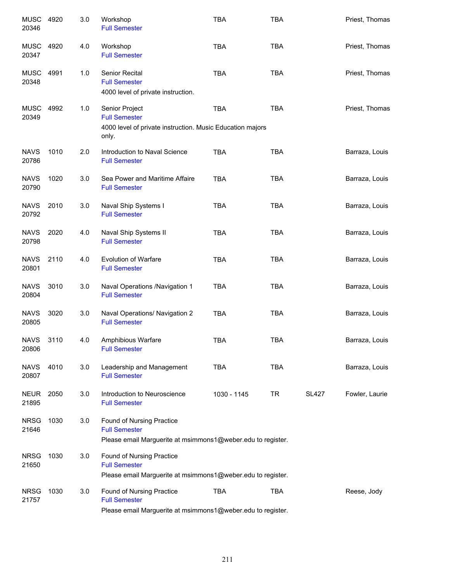| <b>MUSC</b><br>20346 | 4920 | 3.0 | Workshop<br><b>Full Semester</b>                                                                                        | <b>TBA</b>  | <b>TBA</b> |              | Priest, Thomas |
|----------------------|------|-----|-------------------------------------------------------------------------------------------------------------------------|-------------|------------|--------------|----------------|
| <b>MUSC</b><br>20347 | 4920 | 4.0 | Workshop<br><b>Full Semester</b>                                                                                        | <b>TBA</b>  | <b>TBA</b> |              | Priest, Thomas |
| MUSC<br>20348        | 4991 | 1.0 | Senior Recital<br><b>Full Semester</b><br>4000 level of private instruction.                                            | <b>TBA</b>  | <b>TBA</b> |              | Priest, Thomas |
| MUSC<br>20349        | 4992 | 1.0 | Senior Project<br><b>Full Semester</b><br>4000 level of private instruction. Music Education majors<br>only.            | <b>TBA</b>  | <b>TBA</b> |              | Priest, Thomas |
| <b>NAVS</b><br>20786 | 1010 | 2.0 | Introduction to Naval Science<br><b>Full Semester</b>                                                                   | <b>TBA</b>  | <b>TBA</b> |              | Barraza, Louis |
| <b>NAVS</b><br>20790 | 1020 | 3.0 | Sea Power and Maritime Affaire<br><b>Full Semester</b>                                                                  | <b>TBA</b>  | <b>TBA</b> |              | Barraza, Louis |
| <b>NAVS</b><br>20792 | 2010 | 3.0 | Naval Ship Systems I<br><b>Full Semester</b>                                                                            | <b>TBA</b>  | <b>TBA</b> |              | Barraza, Louis |
| <b>NAVS</b><br>20798 | 2020 | 4.0 | Naval Ship Systems II<br><b>Full Semester</b>                                                                           | <b>TBA</b>  | <b>TBA</b> |              | Barraza, Louis |
| <b>NAVS</b><br>20801 | 2110 | 4.0 | <b>Evolution of Warfare</b><br><b>Full Semester</b>                                                                     | <b>TBA</b>  | <b>TBA</b> |              | Barraza, Louis |
| <b>NAVS</b><br>20804 | 3010 | 3.0 | Naval Operations /Navigation 1<br><b>Full Semester</b>                                                                  | <b>TBA</b>  | <b>TBA</b> |              | Barraza, Louis |
| <b>NAVS</b><br>20805 | 3020 | 3.0 | Naval Operations/ Navigation 2<br><b>Full Semester</b>                                                                  | <b>TBA</b>  | <b>TBA</b> |              | Barraza, Louis |
| <b>NAVS</b><br>20806 | 3110 | 4.0 | Amphibious Warfare<br><b>Full Semester</b>                                                                              | <b>TBA</b>  | <b>TBA</b> |              | Barraza, Louis |
| <b>NAVS</b><br>20807 | 4010 | 3.0 | Leadership and Management<br><b>Full Semester</b>                                                                       | <b>TBA</b>  | <b>TBA</b> |              | Barraza, Louis |
| <b>NEUR</b><br>21895 | 2050 | 3.0 | Introduction to Neuroscience<br><b>Full Semester</b>                                                                    | 1030 - 1145 | TR         | <b>SL427</b> | Fowler, Laurie |
| <b>NRSG</b><br>21646 | 1030 | 3.0 | <b>Found of Nursing Practice</b><br><b>Full Semester</b><br>Please email Marguerite at msimmons1@weber.edu to register. |             |            |              |                |
| <b>NRSG</b><br>21650 | 1030 | 3.0 | <b>Found of Nursing Practice</b><br><b>Full Semester</b>                                                                |             |            |              |                |
|                      |      |     | Please email Marguerite at msimmons1@weber.edu to register.                                                             |             |            |              |                |
| <b>NRSG</b><br>21757 | 1030 | 3.0 | Found of Nursing Practice<br><b>Full Semester</b><br>Please email Marguerite at msimmons1@weber.edu to register.        | <b>TBA</b>  | <b>TBA</b> |              | Reese, Jody    |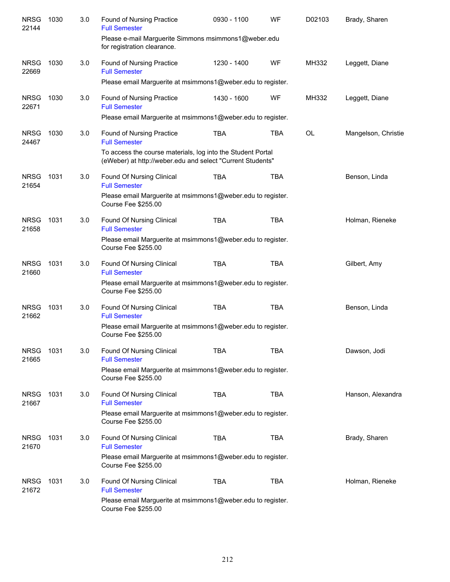| <b>NRSG</b><br>22144 | 1030 | 3.0 | Found of Nursing Practice<br><b>Full Semester</b>                                                                         | 0930 - 1100 | WF         | D02103    | Brady, Sharen       |
|----------------------|------|-----|---------------------------------------------------------------------------------------------------------------------------|-------------|------------|-----------|---------------------|
|                      |      |     | Please e-mail Marguerite Simmons msimmons1@weber.edu<br>for registration clearance.                                       |             |            |           |                     |
| <b>NRSG</b><br>22669 | 1030 | 3.0 | <b>Found of Nursing Practice</b><br><b>Full Semester</b>                                                                  | 1230 - 1400 | WF         | MH332     | Leggett, Diane      |
|                      |      |     | Please email Marguerite at msimmons1@weber.edu to register.                                                               |             |            |           |                     |
| <b>NRSG</b><br>22671 | 1030 | 3.0 | <b>Found of Nursing Practice</b><br><b>Full Semester</b>                                                                  | 1430 - 1600 | WF         | MH332     | Leggett, Diane      |
|                      |      |     | Please email Marguerite at msimmons1@weber.edu to register.                                                               |             |            |           |                     |
| <b>NRSG</b><br>24467 | 1030 | 3.0 | Found of Nursing Practice<br><b>Full Semester</b>                                                                         | <b>TBA</b>  | <b>TBA</b> | <b>OL</b> | Mangelson, Christie |
|                      |      |     | To access the course materials, log into the Student Portal<br>(eWeber) at http://weber.edu and select "Current Students" |             |            |           |                     |
| <b>NRSG</b><br>21654 | 1031 | 3.0 | Found Of Nursing Clinical<br><b>Full Semester</b>                                                                         | <b>TBA</b>  | <b>TBA</b> |           | Benson, Linda       |
|                      |      |     | Please email Marguerite at msimmons1@weber.edu to register.<br>Course Fee \$255.00                                        |             |            |           |                     |
| <b>NRSG</b><br>21658 | 1031 | 3.0 | Found Of Nursing Clinical<br><b>Full Semester</b>                                                                         | <b>TBA</b>  | <b>TBA</b> |           | Holman, Rieneke     |
|                      |      |     | Please email Marguerite at msimmons1@weber.edu to register.<br>Course Fee \$255.00                                        |             |            |           |                     |
| <b>NRSG</b><br>21660 | 1031 | 3.0 | Found Of Nursing Clinical<br><b>Full Semester</b>                                                                         | <b>TBA</b>  | <b>TBA</b> |           | Gilbert, Amy        |
|                      |      |     | Please email Marguerite at msimmons1@weber.edu to register.<br>Course Fee \$255.00                                        |             |            |           |                     |
| <b>NRSG</b><br>21662 | 1031 | 3.0 | Found Of Nursing Clinical<br><b>Full Semester</b>                                                                         | <b>TBA</b>  | <b>TBA</b> |           | Benson, Linda       |
|                      |      |     | Please email Marguerite at msimmons1@weber.edu to register.<br>Course Fee \$255.00                                        |             |            |           |                     |
| <b>NRSG</b><br>21665 | 1031 | 3.0 | Found Of Nursing Clinical<br><b>Full Semester</b>                                                                         | <b>TBA</b>  | TBA        |           | Dawson, Jodi        |
|                      |      |     | Please email Marguerite at msimmons1@weber.edu to register.<br>Course Fee \$255.00                                        |             |            |           |                     |
| <b>NRSG</b><br>21667 | 1031 | 3.0 | Found Of Nursing Clinical<br><b>Full Semester</b>                                                                         | <b>TBA</b>  | <b>TBA</b> |           | Hanson, Alexandra   |
|                      |      |     | Please email Marguerite at msimmons1@weber.edu to register.<br>Course Fee \$255.00                                        |             |            |           |                     |
| <b>NRSG</b><br>21670 | 1031 | 3.0 | Found Of Nursing Clinical<br><b>Full Semester</b>                                                                         | <b>TBA</b>  | <b>TBA</b> |           | Brady, Sharen       |
|                      |      |     | Please email Marguerite at msimmons1@weber.edu to register.<br><b>Course Fee \$255.00</b>                                 |             |            |           |                     |
| <b>NRSG</b><br>21672 | 1031 | 3.0 | Found Of Nursing Clinical<br><b>Full Semester</b>                                                                         | <b>TBA</b>  | <b>TBA</b> |           | Holman, Rieneke     |
|                      |      |     | Please email Marguerite at msimmons1@weber.edu to register.<br>Course Fee \$255.00                                        |             |            |           |                     |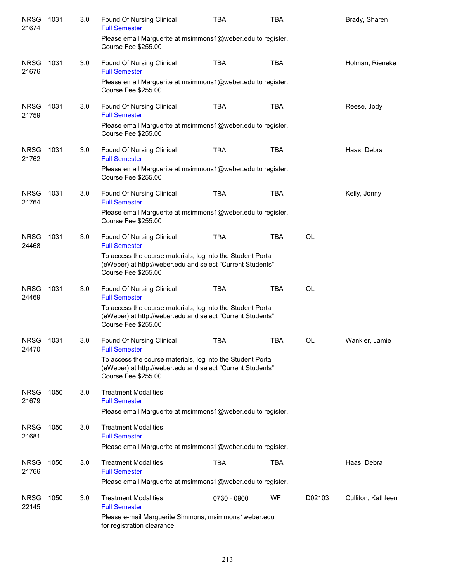| <b>NRSG</b><br>21674 | 1031 | 3.0 | Found Of Nursing Clinical<br><b>Full Semester</b>                                                                                                       | <b>TBA</b>  | TBA        |           | Brady, Sharen      |
|----------------------|------|-----|---------------------------------------------------------------------------------------------------------------------------------------------------------|-------------|------------|-----------|--------------------|
|                      |      |     | Please email Marguerite at msimmons1@weber.edu to register.<br>Course Fee \$255.00                                                                      |             |            |           |                    |
| <b>NRSG</b><br>21676 | 1031 | 3.0 | <b>Found Of Nursing Clinical</b><br><b>Full Semester</b>                                                                                                | <b>TBA</b>  | <b>TBA</b> |           | Holman, Rieneke    |
|                      |      |     | Please email Marguerite at msimmons1@weber.edu to register.<br><b>Course Fee \$255.00</b>                                                               |             |            |           |                    |
| <b>NRSG</b><br>21759 | 1031 | 3.0 | Found Of Nursing Clinical<br><b>Full Semester</b>                                                                                                       | <b>TBA</b>  | <b>TBA</b> |           | Reese, Jody        |
|                      |      |     | Please email Marguerite at msimmons1@weber.edu to register.<br>Course Fee \$255.00                                                                      |             |            |           |                    |
| <b>NRSG</b><br>21762 | 1031 | 3.0 | Found Of Nursing Clinical<br><b>Full Semester</b>                                                                                                       | <b>TBA</b>  | <b>TBA</b> |           | Haas, Debra        |
|                      |      |     | Please email Marguerite at msimmons1@weber.edu to register.<br>Course Fee \$255.00                                                                      |             |            |           |                    |
| <b>NRSG</b><br>21764 | 1031 | 3.0 | Found Of Nursing Clinical<br><b>Full Semester</b>                                                                                                       | <b>TBA</b>  | TBA        |           | Kelly, Jonny       |
|                      |      |     | Please email Marguerite at msimmons1@weber.edu to register.<br>Course Fee \$255.00                                                                      |             |            |           |                    |
| <b>NRSG</b><br>24468 | 1031 | 3.0 | Found Of Nursing Clinical<br><b>Full Semester</b>                                                                                                       | <b>TBA</b>  | TBA        | <b>OL</b> |                    |
|                      |      |     | To access the course materials, log into the Student Portal<br>(eWeber) at http://weber.edu and select "Current Students"<br>Course Fee \$255.00        |             |            |           |                    |
| <b>NRSG</b><br>24469 | 1031 | 3.0 | Found Of Nursing Clinical<br><b>Full Semester</b>                                                                                                       | <b>TBA</b>  | <b>TBA</b> | <b>OL</b> |                    |
|                      |      |     | To access the course materials, log into the Student Portal<br>(eWeber) at http://weber.edu and select "Current Students"<br>Course Fee \$255.00        |             |            |           |                    |
| <b>NRSG</b><br>24470 | 1031 | 3.0 | Found Of Nursing Clinical<br><b>Full Semester</b>                                                                                                       | <b>TBA</b>  | <b>TBA</b> | OL        | Wankier, Jamie     |
|                      |      |     | To access the course materials, log into the Student Portal<br>(eWeber) at http://weber.edu and select "Current Students"<br><b>Course Fee \$255.00</b> |             |            |           |                    |
| <b>NRSG</b><br>21679 | 1050 | 3.0 | <b>Treatment Modalities</b><br><b>Full Semester</b>                                                                                                     |             |            |           |                    |
|                      |      |     | Please email Marguerite at msimmons1@weber.edu to register.                                                                                             |             |            |           |                    |
| <b>NRSG</b><br>21681 | 1050 | 3.0 | <b>Treatment Modalities</b><br><b>Full Semester</b>                                                                                                     |             |            |           |                    |
|                      |      |     | Please email Marguerite at msimmons1@weber.edu to register.                                                                                             |             |            |           |                    |
| <b>NRSG</b><br>21766 | 1050 | 3.0 | <b>Treatment Modalities</b><br><b>Full Semester</b>                                                                                                     | <b>TBA</b>  | <b>TBA</b> |           | Haas, Debra        |
|                      |      |     | Please email Marguerite at msimmons1@weber.edu to register.                                                                                             |             |            |           |                    |
| <b>NRSG</b><br>22145 | 1050 | 3.0 | <b>Treatment Modalities</b><br><b>Full Semester</b>                                                                                                     | 0730 - 0900 | WF         | D02103    | Culliton, Kathleen |
|                      |      |     | Please e-mail Marguerite Simmons, msimmons1weber.edu<br>for registration clearance.                                                                     |             |            |           |                    |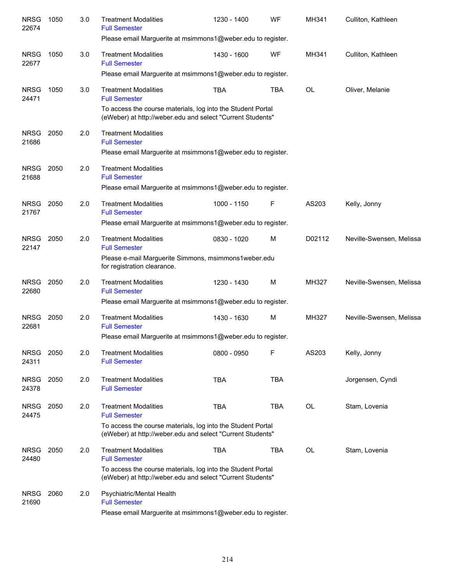| <b>NRSG</b><br>22674 | 1050 | 3.0 | <b>Treatment Modalities</b><br><b>Full Semester</b>                                                                       | 1230 - 1400 | WF         | MH341  | Culliton, Kathleen       |
|----------------------|------|-----|---------------------------------------------------------------------------------------------------------------------------|-------------|------------|--------|--------------------------|
|                      |      |     | Please email Marguerite at msimmons1@weber.edu to register.                                                               |             |            |        |                          |
| <b>NRSG</b><br>22677 | 1050 | 3.0 | <b>Treatment Modalities</b><br><b>Full Semester</b>                                                                       | 1430 - 1600 | WF         | MH341  | Culliton, Kathleen       |
|                      |      |     | Please email Marguerite at msimmons1@weber.edu to register.                                                               |             |            |        |                          |
| <b>NRSG</b><br>24471 | 1050 | 3.0 | <b>Treatment Modalities</b><br><b>Full Semester</b>                                                                       | <b>TBA</b>  | <b>TBA</b> | OL     | Oliver, Melanie          |
|                      |      |     | To access the course materials, log into the Student Portal<br>(eWeber) at http://weber.edu and select "Current Students" |             |            |        |                          |
| <b>NRSG</b><br>21686 | 2050 | 2.0 | <b>Treatment Modalities</b><br><b>Full Semester</b>                                                                       |             |            |        |                          |
|                      |      |     | Please email Marguerite at msimmons1@weber.edu to register.                                                               |             |            |        |                          |
| <b>NRSG</b><br>21688 | 2050 | 2.0 | <b>Treatment Modalities</b><br><b>Full Semester</b>                                                                       |             |            |        |                          |
|                      |      |     | Please email Marguerite at msimmons1@weber.edu to register.                                                               |             |            |        |                          |
| <b>NRSG</b><br>21767 | 2050 | 2.0 | <b>Treatment Modalities</b><br><b>Full Semester</b>                                                                       | 1000 - 1150 | F          | AS203  | Kelly, Jonny             |
|                      |      |     | Please email Marguerite at msimmons1@weber.edu to register.                                                               |             |            |        |                          |
| <b>NRSG</b><br>22147 | 2050 | 2.0 | <b>Treatment Modalities</b><br><b>Full Semester</b>                                                                       | 0830 - 1020 | M          | D02112 | Neville-Swensen, Melissa |
|                      |      |     | Please e-mail Marguerite Simmons, msimmons1weber.edu<br>for registration clearance.                                       |             |            |        |                          |
| <b>NRSG</b><br>22680 | 2050 | 2.0 | <b>Treatment Modalities</b><br><b>Full Semester</b>                                                                       | 1230 - 1430 | M          | MH327  | Neville-Swensen, Melissa |
|                      |      |     | Please email Marguerite at msimmons1@weber.edu to register.                                                               |             |            |        |                          |
| <b>NRSG</b><br>22681 | 2050 | 2.0 | <b>Treatment Modalities</b><br><b>Full Semester</b>                                                                       | 1430 - 1630 | M          | MH327  | Neville-Swensen, Melissa |
|                      |      |     | Please email Marguerite at msimmons1@weber.edu to register.                                                               |             |            |        |                          |
| <b>NRSG</b><br>24311 | 2050 | 2.0 | <b>Treatment Modalities</b><br><b>Full Semester</b>                                                                       | 0800 - 0950 | F          | AS203  | Kelly, Jonny             |
| <b>NRSG</b><br>24378 | 2050 | 2.0 | <b>Treatment Modalities</b><br><b>Full Semester</b>                                                                       | <b>TBA</b>  | <b>TBA</b> |        | Jorgensen, Cyndi         |
| <b>NRSG</b><br>24475 | 2050 | 2.0 | <b>Treatment Modalities</b><br><b>Full Semester</b>                                                                       | TBA         | TBA        | OL     | Stam, Lovenia            |
|                      |      |     | To access the course materials, log into the Student Portal<br>(eWeber) at http://weber.edu and select "Current Students" |             |            |        |                          |
| <b>NRSG</b><br>24480 | 2050 | 2.0 | <b>Treatment Modalities</b><br><b>Full Semester</b>                                                                       | <b>TBA</b>  | TBA        | OL     | Stam, Lovenia            |
|                      |      |     | To access the course materials, log into the Student Portal<br>(eWeber) at http://weber.edu and select "Current Students" |             |            |        |                          |
| <b>NRSG</b><br>21690 | 2060 | 2.0 | Psychiatric/Mental Health<br><b>Full Semester</b><br>Please email Marguerite at msimmons1@weber.edu to register.          |             |            |        |                          |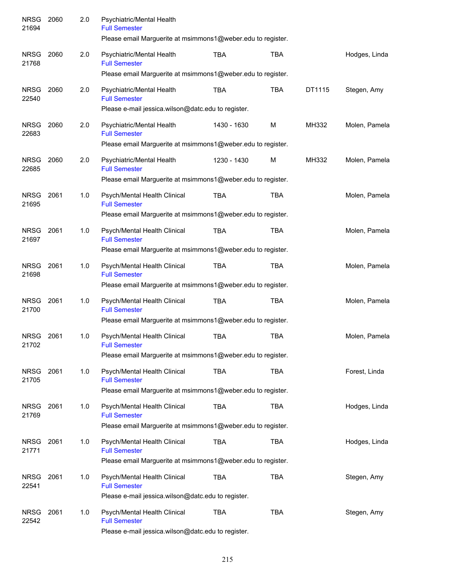| <b>NRSG</b><br>21694 | 2060 | 2.0 | Psychiatric/Mental Health<br><b>Full Semester</b><br>Please email Marguerite at msimmons1@weber.edu to register.    |             |            |        |               |
|----------------------|------|-----|---------------------------------------------------------------------------------------------------------------------|-------------|------------|--------|---------------|
| <b>NRSG</b><br>21768 | 2060 | 2.0 | Psychiatric/Mental Health<br><b>Full Semester</b>                                                                   | <b>TBA</b>  | <b>TBA</b> |        | Hodges, Linda |
|                      |      |     | Please email Marguerite at msimmons1@weber.edu to register.                                                         |             |            |        |               |
| <b>NRSG</b><br>22540 | 2060 | 2.0 | Psychiatric/Mental Health<br><b>Full Semester</b><br>Please e-mail jessica.wilson@datc.edu to register.             | <b>TBA</b>  | <b>TBA</b> | DT1115 | Stegen, Amy   |
| <b>NRSG</b><br>22683 | 2060 | 2.0 | Psychiatric/Mental Health<br><b>Full Semester</b><br>Please email Marguerite at msimmons1@weber.edu to register.    | 1430 - 1630 | M          | MH332  | Molen, Pamela |
| <b>NRSG</b><br>22685 | 2060 | 2.0 | Psychiatric/Mental Health<br><b>Full Semester</b><br>Please email Marguerite at msimmons1@weber.edu to register.    | 1230 - 1430 | M          | MH332  | Molen, Pamela |
| <b>NRSG</b><br>21695 | 2061 | 1.0 | Psych/Mental Health Clinical<br><b>Full Semester</b>                                                                | <b>TBA</b>  | <b>TBA</b> |        | Molen, Pamela |
|                      |      |     | Please email Marguerite at msimmons1@weber.edu to register.                                                         |             |            |        |               |
| <b>NRSG</b><br>21697 | 2061 | 1.0 | Psych/Mental Health Clinical<br><b>Full Semester</b><br>Please email Marguerite at msimmons1@weber.edu to register. | <b>TBA</b>  | <b>TBA</b> |        | Molen, Pamela |
|                      |      |     |                                                                                                                     |             |            |        |               |
| <b>NRSG</b><br>21698 | 2061 | 1.0 | Psych/Mental Health Clinical<br><b>Full Semester</b><br>Please email Marguerite at msimmons1@weber.edu to register. | <b>TBA</b>  | <b>TBA</b> |        | Molen, Pamela |
|                      |      |     |                                                                                                                     |             |            |        |               |
| <b>NRSG</b><br>21700 | 2061 | 1.0 | Psych/Mental Health Clinical<br><b>Full Semester</b>                                                                | <b>TBA</b>  | <b>TBA</b> |        | Molen, Pamela |
|                      |      |     | Please email Marguerite at msimmons1@weber.edu to register.                                                         |             |            |        |               |
| <b>NRSG</b><br>21702 | 2061 | 1.0 | Psych/Mental Health Clinical<br><b>Full Semester</b>                                                                | <b>TBA</b>  | <b>TBA</b> |        | Molen, Pamela |
|                      |      |     | Please email Marguerite at msimmons1@weber.edu to register.                                                         |             |            |        |               |
| NRSG<br>21705        | 2061 | 1.0 | Psych/Mental Health Clinical<br><b>Full Semester</b>                                                                | TBA         | TBA        |        | Forest, Linda |
|                      |      |     | Please email Marguerite at msimmons1@weber.edu to register.                                                         |             |            |        |               |
| <b>NRSG</b><br>21769 | 2061 | 1.0 | Psych/Mental Health Clinical<br><b>Full Semester</b>                                                                | <b>TBA</b>  | <b>TBA</b> |        | Hodges, Linda |
|                      |      |     | Please email Marguerite at msimmons1@weber.edu to register.                                                         |             |            |        |               |
| <b>NRSG</b><br>21771 | 2061 | 1.0 | Psych/Mental Health Clinical<br><b>Full Semester</b>                                                                | <b>TBA</b>  | <b>TBA</b> |        | Hodges, Linda |
|                      |      |     | Please email Marguerite at msimmons1@weber.edu to register.                                                         |             |            |        |               |
| <b>NRSG</b><br>22541 | 2061 | 1.0 | Psych/Mental Health Clinical<br><b>Full Semester</b>                                                                | <b>TBA</b>  | <b>TBA</b> |        | Stegen, Amy   |
|                      |      |     | Please e-mail jessica.wilson@datc.edu to register.                                                                  |             |            |        |               |
| <b>NRSG</b><br>22542 | 2061 | 1.0 | Psych/Mental Health Clinical<br><b>Full Semester</b><br>Please e-mail jessica.wilson@datc.edu to register.          | <b>TBA</b>  | <b>TBA</b> |        | Stegen, Amy   |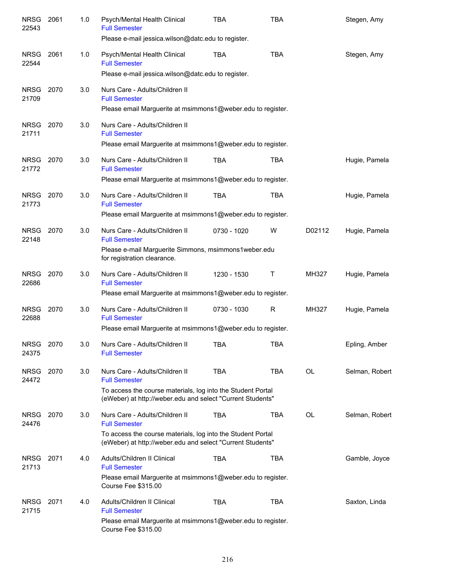| <b>NRSG</b><br>22543 | 2061 | 1.0 | Psych/Mental Health Clinical<br><b>Full Semester</b><br>Please e-mail jessica.wilson@datc.edu to register.                | <b>TBA</b>  | TBA        |              | Stegen, Amy    |
|----------------------|------|-----|---------------------------------------------------------------------------------------------------------------------------|-------------|------------|--------------|----------------|
| <b>NRSG</b><br>22544 | 2061 | 1.0 | Psych/Mental Health Clinical<br><b>Full Semester</b><br>Please e-mail jessica.wilson@datc.edu to register.                | TBA         | <b>TBA</b> |              | Stegen, Amy    |
| <b>NRSG</b><br>21709 | 2070 | 3.0 | Nurs Care - Adults/Children II<br><b>Full Semester</b>                                                                    |             |            |              |                |
|                      |      |     | Please email Marguerite at msimmons1@weber.edu to register.                                                               |             |            |              |                |
| NRSG<br>21711        | 2070 | 3.0 | Nurs Care - Adults/Children II<br><b>Full Semester</b><br>Please email Marguerite at msimmons1@weber.edu to register.     |             |            |              |                |
|                      | 2070 | 3.0 | Nurs Care - Adults/Children II                                                                                            |             | <b>TBA</b> |              |                |
| NRSG<br>21772        |      |     | <b>Full Semester</b><br>Please email Marguerite at msimmons1@weber.edu to register.                                       | TBA         |            |              | Hugie, Pamela  |
| <b>NRSG</b>          | 2070 | 3.0 | Nurs Care - Adults/Children II                                                                                            | TBA         | <b>TBA</b> |              | Hugie, Pamela  |
| 21773                |      |     | <b>Full Semester</b>                                                                                                      |             |            |              |                |
|                      |      |     | Please email Marguerite at msimmons1@weber.edu to register.                                                               |             |            |              |                |
| <b>NRSG</b><br>22148 | 2070 | 3.0 | Nurs Care - Adults/Children II<br><b>Full Semester</b>                                                                    | 0730 - 1020 | W          | D02112       | Hugie, Pamela  |
|                      |      |     | Please e-mail Marguerite Simmons, msimmons1weber.edu<br>for registration clearance.                                       |             |            |              |                |
| <b>NRSG</b><br>22686 | 2070 | 3.0 | Nurs Care - Adults/Children II<br><b>Full Semester</b>                                                                    | 1230 - 1530 | т          | MH327        | Hugie, Pamela  |
|                      |      |     | Please email Marguerite at msimmons1@weber.edu to register.                                                               |             |            |              |                |
| <b>NRSG</b><br>22688 | 2070 | 3.0 | Nurs Care - Adults/Children II<br><b>Full Semester</b>                                                                    | 0730 - 1030 | R          | <b>MH327</b> | Hugie, Pamela  |
|                      |      |     | Please email Marguerite at msimmons1@weber.edu to register.                                                               |             |            |              |                |
| <b>NRSG</b><br>24375 | 2070 | 3.0 | Nurs Care - Adults/Children II<br><b>Full Semester</b>                                                                    | TBA         | <b>TBA</b> |              | Epling, Amber  |
| <b>NRSG</b><br>24472 | 2070 | 3.0 | Nurs Care - Adults/Children II<br><b>Full Semester</b>                                                                    | <b>TBA</b>  | TBA        | OL           | Selman, Robert |
|                      |      |     | To access the course materials, log into the Student Portal<br>(eWeber) at http://weber.edu and select "Current Students" |             |            |              |                |
| <b>NRSG</b><br>24476 | 2070 | 3.0 | Nurs Care - Adults/Children II<br><b>Full Semester</b>                                                                    | <b>TBA</b>  | <b>TBA</b> | OL           | Selman, Robert |
|                      |      |     | To access the course materials, log into the Student Portal<br>(eWeber) at http://weber.edu and select "Current Students" |             |            |              |                |
| <b>NRSG</b><br>21713 | 2071 | 4.0 | Adults/Children II Clinical<br><b>Full Semester</b>                                                                       | <b>TBA</b>  | <b>TBA</b> |              | Gamble, Joyce  |
|                      |      |     | Please email Marguerite at msimmons1@weber.edu to register.<br>Course Fee \$315.00                                        |             |            |              |                |
| <b>NRSG</b><br>21715 | 2071 | 4.0 | Adults/Children II Clinical<br><b>Full Semester</b>                                                                       | <b>TBA</b>  | <b>TBA</b> |              | Saxton, Linda  |
|                      |      |     | Please email Marguerite at msimmons1@weber.edu to register.<br>Course Fee \$315.00                                        |             |            |              |                |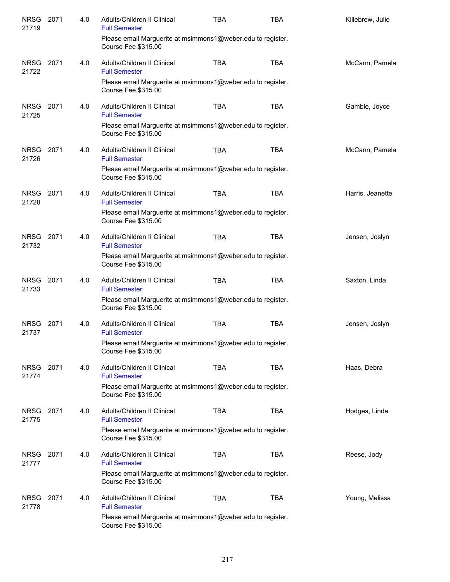| NRSG 2071<br>21719   |      | 4.0 | Adults/Children II Clinical<br><b>Full Semester</b>                                       | <b>TBA</b> | <b>TBA</b> | Killebrew, Julie |
|----------------------|------|-----|-------------------------------------------------------------------------------------------|------------|------------|------------------|
|                      |      |     | Please email Marguerite at msimmons1@weber.edu to register.<br>Course Fee \$315.00        |            |            |                  |
| NRSG 2071<br>21722   |      | 4.0 | Adults/Children II Clinical<br><b>Full Semester</b>                                       | <b>TBA</b> | <b>TBA</b> | McCann, Pamela   |
|                      |      |     | Please email Marguerite at msimmons1@weber.edu to register.<br>Course Fee \$315.00        |            |            |                  |
| <b>NRSG</b><br>21725 | 2071 | 4.0 | Adults/Children II Clinical<br><b>Full Semester</b>                                       | <b>TBA</b> | <b>TBA</b> | Gamble, Joyce    |
|                      |      |     | Please email Marguerite at msimmons1@weber.edu to register.<br>Course Fee \$315.00        |            |            |                  |
| <b>NRSG</b><br>21726 | 2071 | 4.0 | Adults/Children II Clinical<br><b>Full Semester</b>                                       | <b>TBA</b> | <b>TBA</b> | McCann, Pamela   |
|                      |      |     | Please email Marguerite at msimmons1@weber.edu to register.<br><b>Course Fee \$315.00</b> |            |            |                  |
| NRSG 2071<br>21728   |      | 4.0 | Adults/Children II Clinical<br><b>Full Semester</b>                                       | <b>TBA</b> | <b>TBA</b> | Harris, Jeanette |
|                      |      |     | Please email Marguerite at msimmons1@weber.edu to register.<br>Course Fee \$315.00        |            |            |                  |
| NRSG 2071<br>21732   |      | 4.0 | Adults/Children II Clinical<br><b>Full Semester</b>                                       | <b>TBA</b> | <b>TBA</b> | Jensen, Joslyn   |
|                      |      |     | Please email Marguerite at msimmons1@weber.edu to register.<br>Course Fee \$315.00        |            |            |                  |
| <b>NRSG</b><br>21733 | 2071 | 4.0 | Adults/Children II Clinical<br><b>Full Semester</b>                                       | <b>TBA</b> | <b>TBA</b> | Saxton, Linda    |
|                      |      |     | Please email Marguerite at msimmons1@weber.edu to register.<br>Course Fee \$315.00        |            |            |                  |
| <b>NRSG</b><br>21737 | 2071 | 4.0 | Adults/Children II Clinical<br><b>Full Semester</b>                                       | <b>TBA</b> | <b>TBA</b> | Jensen, Joslyn   |
|                      |      |     | Please email Marguerite at msimmons1@weber.edu to register.<br>Course Fee \$315.00        |            |            |                  |
| NRSG 2071<br>21774   |      | 4.0 | Adults/Children II Clinical<br><b>Full Semester</b>                                       | <b>TBA</b> | <b>TBA</b> | Haas, Debra      |
|                      |      |     | Please email Marguerite at msimmons1@weber.edu to register.<br><b>Course Fee \$315.00</b> |            |            |                  |
| NRSG 2071<br>21775   |      | 4.0 | Adults/Children II Clinical<br><b>Full Semester</b>                                       | <b>TBA</b> | <b>TBA</b> | Hodges, Linda    |
|                      |      |     | Please email Marguerite at msimmons1@weber.edu to register.<br>Course Fee \$315.00        |            |            |                  |
| NRSG<br>21777        | 2071 | 4.0 | Adults/Children II Clinical<br><b>Full Semester</b>                                       | <b>TBA</b> | <b>TBA</b> | Reese, Jody      |
|                      |      |     | Please email Marguerite at msimmons1@weber.edu to register.<br>Course Fee \$315.00        |            |            |                  |
| <b>NRSG</b><br>21778 | 2071 | 4.0 | Adults/Children II Clinical<br><b>Full Semester</b>                                       | <b>TBA</b> | <b>TBA</b> | Young, Melissa   |
|                      |      |     | Please email Marguerite at msimmons1@weber.edu to register.<br>Course Fee \$315.00        |            |            |                  |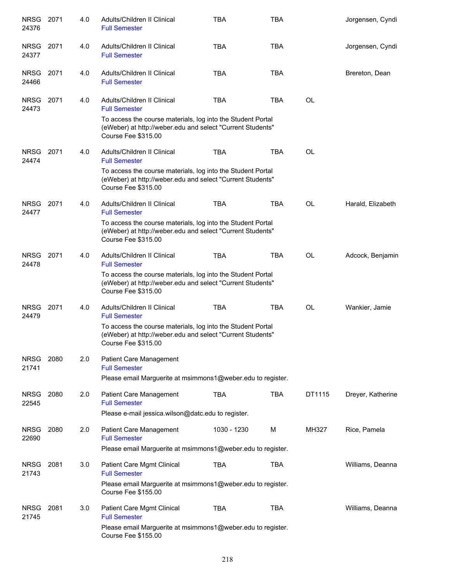| <b>NRSG</b><br>24376 | 2071 | 4.0 | Adults/Children II Clinical<br><b>Full Semester</b>                                                                                              | <b>TBA</b>  | <b>TBA</b> |           | Jorgensen, Cyndi  |
|----------------------|------|-----|--------------------------------------------------------------------------------------------------------------------------------------------------|-------------|------------|-----------|-------------------|
| <b>NRSG</b><br>24377 | 2071 | 4.0 | Adults/Children II Clinical<br><b>Full Semester</b>                                                                                              | <b>TBA</b>  | <b>TBA</b> |           | Jorgensen, Cyndi  |
| <b>NRSG</b><br>24466 | 2071 | 4.0 | Adults/Children II Clinical<br><b>Full Semester</b>                                                                                              | <b>TBA</b>  | <b>TBA</b> |           | Brereton, Dean    |
| <b>NRSG</b><br>24473 | 2071 | 4.0 | Adults/Children II Clinical<br><b>Full Semester</b><br>To access the course materials, log into the Student Portal                               | <b>TBA</b>  | <b>TBA</b> | <b>OL</b> |                   |
|                      |      |     | (eWeber) at http://weber.edu and select "Current Students"<br>Course Fee \$315.00                                                                |             |            |           |                   |
| <b>NRSG</b><br>24474 | 2071 | 4.0 | Adults/Children II Clinical<br><b>Full Semester</b>                                                                                              | <b>TBA</b>  | <b>TBA</b> | OL        |                   |
|                      |      |     | To access the course materials, log into the Student Portal<br>(eWeber) at http://weber.edu and select "Current Students"<br>Course Fee \$315.00 |             |            |           |                   |
| <b>NRSG</b><br>24477 | 2071 | 4.0 | Adults/Children II Clinical<br><b>Full Semester</b>                                                                                              | <b>TBA</b>  | <b>TBA</b> | <b>OL</b> | Harald, Elizabeth |
|                      |      |     | To access the course materials, log into the Student Portal<br>(eWeber) at http://weber.edu and select "Current Students"<br>Course Fee \$315.00 |             |            |           |                   |
| <b>NRSG</b><br>24478 | 2071 | 4.0 | Adults/Children II Clinical<br><b>Full Semester</b>                                                                                              | <b>TBA</b>  | <b>TBA</b> | <b>OL</b> | Adcock, Benjamin  |
|                      |      |     | To access the course materials, log into the Student Portal<br>(eWeber) at http://weber.edu and select "Current Students"<br>Course Fee \$315.00 |             |            |           |                   |
| <b>NRSG</b><br>24479 | 2071 | 4.0 | Adults/Children II Clinical<br><b>Full Semester</b>                                                                                              | <b>TBA</b>  | <b>TBA</b> | <b>OL</b> | Wankier, Jamie    |
|                      |      |     | To access the course materials, log into the Student Portal<br>(eWeber) at http://weber.edu and select "Current Students"<br>Course Fee \$315.00 |             |            |           |                   |
| <b>NRSG</b><br>21741 | 2080 | 2.0 | Patient Care Management<br><b>Full Semester</b>                                                                                                  |             |            |           |                   |
|                      |      |     | Please email Marguerite at msimmons1@weber.edu to register.                                                                                      |             |            |           |                   |
| <b>NRSG</b><br>22545 | 2080 | 2.0 | Patient Care Management<br><b>Full Semester</b>                                                                                                  | <b>TBA</b>  | <b>TBA</b> | DT1115    | Dreyer, Katherine |
|                      |      |     | Please e-mail jessica.wilson@datc.edu to register.                                                                                               |             |            |           |                   |
| <b>NRSG</b><br>22690 | 2080 | 2.0 | Patient Care Management<br><b>Full Semester</b>                                                                                                  | 1030 - 1230 | M          | MH327     | Rice, Pamela      |
|                      |      |     | Please email Marguerite at msimmons1@weber.edu to register.                                                                                      |             |            |           |                   |
| <b>NRSG</b><br>21743 | 2081 | 3.0 | Patient Care Mgmt Clinical<br><b>Full Semester</b>                                                                                               | <b>TBA</b>  | <b>TBA</b> |           | Williams, Deanna  |
|                      |      |     | Please email Marguerite at msimmons1@weber.edu to register.<br>Course Fee \$155.00                                                               |             |            |           |                   |
| <b>NRSG</b><br>21745 | 2081 | 3.0 | Patient Care Mgmt Clinical<br><b>Full Semester</b>                                                                                               | TBA         | <b>TBA</b> |           | Williams, Deanna  |
|                      |      |     | Please email Marguerite at msimmons1@weber.edu to register.<br>Course Fee \$155.00                                                               |             |            |           |                   |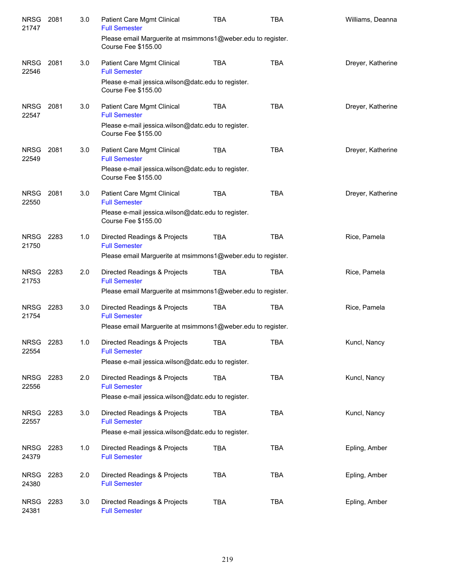| <b>NRSG</b><br>21747 | 2081 | 3.0 | Patient Care Mgmt Clinical<br><b>Full Semester</b><br>Please email Marguerite at msimmons1@weber.edu to register. | <b>TBA</b> | <b>TBA</b> | Williams, Deanna  |
|----------------------|------|-----|-------------------------------------------------------------------------------------------------------------------|------------|------------|-------------------|
|                      |      |     | <b>Course Fee \$155.00</b>                                                                                        |            |            |                   |
| <b>NRSG</b><br>22546 | 2081 | 3.0 | Patient Care Mgmt Clinical<br><b>Full Semester</b>                                                                | <b>TBA</b> | <b>TBA</b> | Dreyer, Katherine |
|                      |      |     | Please e-mail jessica.wilson@datc.edu to register.<br><b>Course Fee \$155.00</b>                                  |            |            |                   |
| <b>NRSG</b><br>22547 | 2081 | 3.0 | Patient Care Mgmt Clinical<br><b>Full Semester</b>                                                                | <b>TBA</b> | <b>TBA</b> | Dreyer, Katherine |
|                      |      |     | Please e-mail jessica.wilson@datc.edu to register.<br><b>Course Fee \$155.00</b>                                  |            |            |                   |
| <b>NRSG</b><br>22549 | 2081 | 3.0 | Patient Care Mgmt Clinical<br><b>Full Semester</b>                                                                | TBA        | <b>TBA</b> | Dreyer, Katherine |
|                      |      |     | Please e-mail jessica.wilson@datc.edu to register.<br><b>Course Fee \$155.00</b>                                  |            |            |                   |
| <b>NRSG</b><br>22550 | 2081 | 3.0 | Patient Care Mgmt Clinical<br><b>Full Semester</b>                                                                | <b>TBA</b> | <b>TBA</b> | Dreyer, Katherine |
|                      |      |     | Please e-mail jessica.wilson@datc.edu to register.<br><b>Course Fee \$155.00</b>                                  |            |            |                   |
| NRSG 2283<br>21750   |      | 1.0 | Directed Readings & Projects<br><b>Full Semester</b>                                                              | <b>TBA</b> | <b>TBA</b> | Rice, Pamela      |
|                      |      |     | Please email Marguerite at msimmons1@weber.edu to register.                                                       |            |            |                   |
| NRSG 2283<br>21753   |      | 2.0 | Directed Readings & Projects<br><b>Full Semester</b>                                                              | <b>TBA</b> | <b>TBA</b> | Rice, Pamela      |
|                      |      |     | Please email Marguerite at msimmons1@weber.edu to register.                                                       |            |            |                   |
| NRSG 2283<br>21754   |      | 3.0 | Directed Readings & Projects<br><b>Full Semester</b>                                                              | <b>TBA</b> | <b>TBA</b> | Rice, Pamela      |
|                      |      |     | Please email Marguerite at msimmons1@weber.edu to register.                                                       |            |            |                   |
| <b>NRSG</b><br>22554 | 2283 | 1.0 | Directed Readings & Projects<br><b>Full Semester</b>                                                              | TBA        | TBA        | Kuncl, Nancy      |
|                      |      |     | Please e-mail jessica.wilson@datc.edu to register.                                                                |            |            |                   |
| NRSG<br>22556        | 2283 | 2.0 | Directed Readings & Projects<br><b>Full Semester</b>                                                              | TBA        | <b>TBA</b> | Kuncl, Nancy      |
|                      |      |     | Please e-mail jessica.wilson@datc.edu to register.                                                                |            |            |                   |
| <b>NRSG</b><br>22557 | 2283 | 3.0 | Directed Readings & Projects<br><b>Full Semester</b>                                                              | TBA        | <b>TBA</b> | Kuncl, Nancy      |
|                      |      |     | Please e-mail jessica.wilson@datc.edu to register.                                                                |            |            |                   |
| NRSG<br>24379        | 2283 | 1.0 | Directed Readings & Projects<br><b>Full Semester</b>                                                              | <b>TBA</b> | <b>TBA</b> | Epling, Amber     |
| NRSG 2283<br>24380   |      | 2.0 | Directed Readings & Projects<br><b>Full Semester</b>                                                              | <b>TBA</b> | <b>TBA</b> | Epling, Amber     |
| NRSG<br>24381        | 2283 | 3.0 | Directed Readings & Projects<br><b>Full Semester</b>                                                              | <b>TBA</b> | <b>TBA</b> | Epling, Amber     |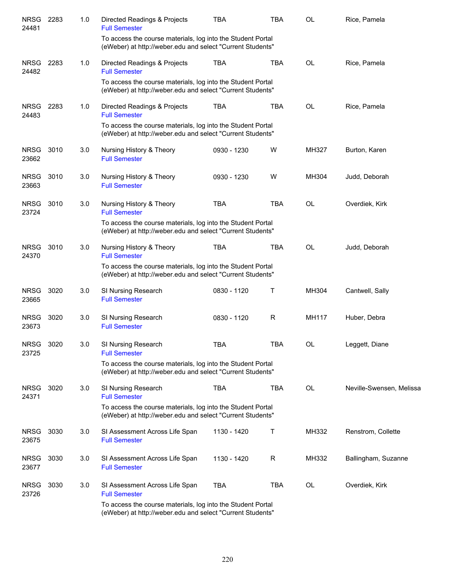| <b>NRSG</b><br>24481 | 2283 | 1.0 | Directed Readings & Projects<br><b>Full Semester</b><br>To access the course materials, log into the Student Portal<br>(eWeber) at http://weber.edu and select "Current Students" | <b>TBA</b>  | <b>TBA</b> | OL    | Rice, Pamela             |
|----------------------|------|-----|-----------------------------------------------------------------------------------------------------------------------------------------------------------------------------------|-------------|------------|-------|--------------------------|
| <b>NRSG</b><br>24482 | 2283 | 1.0 | Directed Readings & Projects<br><b>Full Semester</b><br>To access the course materials, log into the Student Portal<br>(eWeber) at http://weber.edu and select "Current Students" | <b>TBA</b>  | <b>TBA</b> | OL    | Rice, Pamela             |
| <b>NRSG</b><br>24483 | 2283 | 1.0 | Directed Readings & Projects<br><b>Full Semester</b><br>To access the course materials, log into the Student Portal<br>(eWeber) at http://weber.edu and select "Current Students" | <b>TBA</b>  | <b>TBA</b> | OL    | Rice, Pamela             |
| <b>NRSG</b><br>23662 | 3010 | 3.0 | Nursing History & Theory<br><b>Full Semester</b>                                                                                                                                  | 0930 - 1230 | W          | MH327 | Burton, Karen            |
| <b>NRSG</b><br>23663 | 3010 | 3.0 | Nursing History & Theory<br><b>Full Semester</b>                                                                                                                                  | 0930 - 1230 | W          | MH304 | Judd, Deborah            |
| <b>NRSG</b><br>23724 | 3010 | 3.0 | Nursing History & Theory<br><b>Full Semester</b><br>To access the course materials, log into the Student Portal<br>(eWeber) at http://weber.edu and select "Current Students"     | <b>TBA</b>  | <b>TBA</b> | OL    | Overdiek, Kirk           |
| <b>NRSG</b><br>24370 | 3010 | 3.0 | Nursing History & Theory<br><b>Full Semester</b><br>To access the course materials, log into the Student Portal<br>(eWeber) at http://weber.edu and select "Current Students"     | <b>TBA</b>  | <b>TBA</b> | OL    | Judd, Deborah            |
| <b>NRSG</b><br>23665 | 3020 | 3.0 | SI Nursing Research<br><b>Full Semester</b>                                                                                                                                       | 0830 - 1120 | т          | MH304 | Cantwell, Sally          |
| <b>NRSG</b><br>23673 | 3020 | 3.0 | SI Nursing Research<br><b>Full Semester</b>                                                                                                                                       | 0830 - 1120 | R          | MH117 | Huber, Debra             |
| <b>NRSG</b><br>23725 | 3020 | 3.0 | SI Nursing Research<br><b>Full Semester</b><br>To access the course materials, log into the Student Portal<br>(eWeber) at http://weber.edu and select "Current Students"          | TBA         | <b>TBA</b> | OL    | Leggett, Diane           |
| <b>NRSG</b><br>24371 | 3020 | 3.0 | SI Nursing Research<br><b>Full Semester</b><br>To access the course materials, log into the Student Portal<br>(eWeber) at http://weber.edu and select "Current Students"          | TBA         | <b>TBA</b> | OL    | Neville-Swensen, Melissa |
| <b>NRSG</b><br>23675 | 3030 | 3.0 | SI Assessment Across Life Span<br><b>Full Semester</b>                                                                                                                            | 1130 - 1420 | Т          | MH332 | Renstrom, Collette       |
| <b>NRSG</b><br>23677 | 3030 | 3.0 | SI Assessment Across Life Span<br><b>Full Semester</b>                                                                                                                            | 1130 - 1420 | R          | MH332 | Ballingham, Suzanne      |
| <b>NRSG</b><br>23726 | 3030 | 3.0 | SI Assessment Across Life Span<br><b>Full Semester</b><br>To access the course materials, log into the Student Portal                                                             | <b>TBA</b>  | TBA        | OL    | Overdiek, Kirk           |
|                      |      |     | (eWeber) at http://weber.edu and select "Current Students"                                                                                                                        |             |            |       |                          |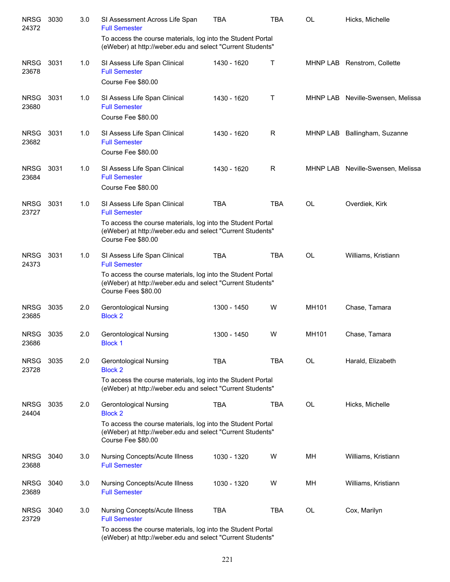| <b>NRSG</b><br>24372 | 3030 | 3.0 | SI Assessment Across Life Span<br><b>Full Semester</b>                                                                                                                                                   | <b>TBA</b>  | <b>TBA</b> | OL    | Hicks, Michelle                   |
|----------------------|------|-----|----------------------------------------------------------------------------------------------------------------------------------------------------------------------------------------------------------|-------------|------------|-------|-----------------------------------|
|                      |      |     | To access the course materials, log into the Student Portal<br>(eWeber) at http://weber.edu and select "Current Students"                                                                                |             |            |       |                                   |
| <b>NRSG</b><br>23678 | 3031 | 1.0 | SI Assess Life Span Clinical<br><b>Full Semester</b><br>Course Fee \$80.00                                                                                                                               | 1430 - 1620 | Т          |       | MHNP LAB Renstrom, Collette       |
| <b>NRSG</b><br>23680 | 3031 | 1.0 | SI Assess Life Span Clinical<br><b>Full Semester</b><br>Course Fee \$80.00                                                                                                                               | 1430 - 1620 | Τ          |       | MHNP LAB Neville-Swensen, Melissa |
| <b>NRSG</b><br>23682 | 3031 | 1.0 | SI Assess Life Span Clinical<br><b>Full Semester</b><br>Course Fee \$80.00                                                                                                                               | 1430 - 1620 | R          |       | MHNP LAB Ballingham, Suzanne      |
| <b>NRSG</b><br>23684 | 3031 | 1.0 | SI Assess Life Span Clinical<br><b>Full Semester</b><br>Course Fee \$80.00                                                                                                                               | 1430 - 1620 | R          |       | MHNP LAB Neville-Swensen, Melissa |
| <b>NRSG</b><br>23727 | 3031 | 1.0 | SI Assess Life Span Clinical<br><b>Full Semester</b>                                                                                                                                                     | <b>TBA</b>  | <b>TBA</b> | OL    | Overdiek, Kirk                    |
|                      |      |     | To access the course materials, log into the Student Portal<br>(eWeber) at http://weber.edu and select "Current Students"<br>Course Fee \$80.00                                                          |             |            |       |                                   |
| <b>NRSG</b><br>24373 | 3031 | 1.0 | SI Assess Life Span Clinical<br><b>Full Semester</b><br>To access the course materials, log into the Student Portal<br>(eWeber) at http://weber.edu and select "Current Students"<br>Course Fees \$80.00 | <b>TBA</b>  | <b>TBA</b> | OL    | Williams, Kristiann               |
| <b>NRSG</b><br>23685 | 3035 | 2.0 | Gerontological Nursing<br><b>Block 2</b>                                                                                                                                                                 | 1300 - 1450 | W          | MH101 | Chase, Tamara                     |
| <b>NRSG</b><br>23686 | 3035 | 2.0 | <b>Gerontological Nursing</b><br><b>Block 1</b>                                                                                                                                                          | 1300 - 1450 | W          | MH101 | Chase, Tamara                     |
| <b>NRSG</b><br>23728 | 3035 | 2.0 | Gerontological Nursing<br><b>Block 2</b>                                                                                                                                                                 | <b>TBA</b>  | <b>TBA</b> | OL    | Harald, Elizabeth                 |
|                      |      |     | To access the course materials, log into the Student Portal<br>(eWeber) at http://weber.edu and select "Current Students"                                                                                |             |            |       |                                   |
| <b>NRSG</b><br>24404 | 3035 | 2.0 | <b>Gerontological Nursing</b><br><b>Block 2</b>                                                                                                                                                          | <b>TBA</b>  | <b>TBA</b> | OL    | Hicks, Michelle                   |
|                      |      |     | To access the course materials, log into the Student Portal<br>(eWeber) at http://weber.edu and select "Current Students"<br>Course Fee \$80.00                                                          |             |            |       |                                   |
| <b>NRSG</b><br>23688 | 3040 | 3.0 | <b>Nursing Concepts/Acute Illness</b><br><b>Full Semester</b>                                                                                                                                            | 1030 - 1320 | W          | MН    | Williams, Kristiann               |
| <b>NRSG</b><br>23689 | 3040 | 3.0 | <b>Nursing Concepts/Acute Illness</b><br><b>Full Semester</b>                                                                                                                                            | 1030 - 1320 | W          | MН    | Williams, Kristiann               |
| <b>NRSG</b><br>23729 | 3040 | 3.0 | <b>Nursing Concepts/Acute Illness</b><br><b>Full Semester</b>                                                                                                                                            | <b>TBA</b>  | <b>TBA</b> | OL    | Cox, Marilyn                      |
|                      |      |     | To access the course materials, log into the Student Portal<br>(eWeber) at http://weber.edu and select "Current Students"                                                                                |             |            |       |                                   |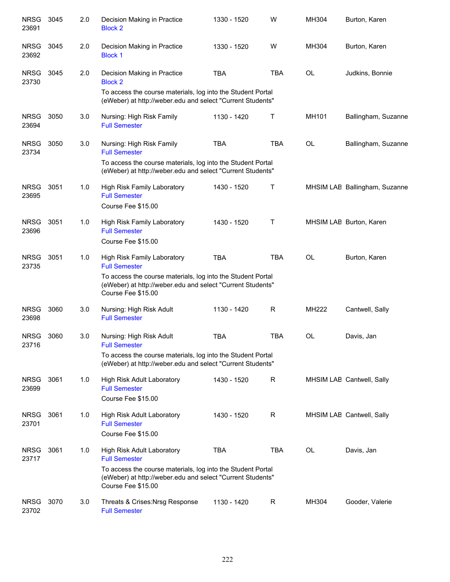| <b>NRSG</b><br>23691 | 3045 | 2.0 | Decision Making in Practice<br><b>Block 2</b>                                                                                                   | 1330 - 1520 | W            | MH304     | Burton, Karen                 |
|----------------------|------|-----|-------------------------------------------------------------------------------------------------------------------------------------------------|-------------|--------------|-----------|-------------------------------|
| <b>NRSG</b><br>23692 | 3045 | 2.0 | Decision Making in Practice<br><b>Block 1</b>                                                                                                   | 1330 - 1520 | W            | MH304     | Burton, Karen                 |
| <b>NRSG</b><br>23730 | 3045 | 2.0 | Decision Making in Practice<br><b>Block 2</b>                                                                                                   | <b>TBA</b>  | <b>TBA</b>   | <b>OL</b> | Judkins, Bonnie               |
|                      |      |     | To access the course materials, log into the Student Portal<br>(eWeber) at http://weber.edu and select "Current Students"                       |             |              |           |                               |
| <b>NRSG</b><br>23694 | 3050 | 3.0 | Nursing: High Risk Family<br><b>Full Semester</b>                                                                                               | 1130 - 1420 | Т            | MH101     | Ballingham, Suzanne           |
| <b>NRSG</b><br>23734 | 3050 | 3.0 | Nursing: High Risk Family<br><b>Full Semester</b>                                                                                               | <b>TBA</b>  | <b>TBA</b>   | <b>OL</b> | Ballingham, Suzanne           |
|                      |      |     | To access the course materials, log into the Student Portal<br>(eWeber) at http://weber.edu and select "Current Students"                       |             |              |           |                               |
| <b>NRSG</b><br>23695 | 3051 | 1.0 | High Risk Family Laboratory<br><b>Full Semester</b>                                                                                             | 1430 - 1520 | Τ            |           | MHSIM LAE Ballingham, Suzanne |
|                      |      |     | Course Fee \$15.00                                                                                                                              |             |              |           |                               |
| <b>NRSG</b><br>23696 | 3051 | 1.0 | <b>High Risk Family Laboratory</b><br><b>Full Semester</b>                                                                                      | 1430 - 1520 | Τ            |           | MHSIM LAE Burton, Karen       |
|                      |      |     | Course Fee \$15.00                                                                                                                              |             |              |           |                               |
| <b>NRSG</b><br>23735 | 3051 | 1.0 | High Risk Family Laboratory<br><b>Full Semester</b>                                                                                             | <b>TBA</b>  | <b>TBA</b>   | <b>OL</b> | Burton, Karen                 |
|                      |      |     | To access the course materials, log into the Student Portal<br>(eWeber) at http://weber.edu and select "Current Students"<br>Course Fee \$15.00 |             |              |           |                               |
| <b>NRSG</b><br>23698 | 3060 | 3.0 | Nursing: High Risk Adult<br><b>Full Semester</b>                                                                                                | 1130 - 1420 | R            | MH222     | Cantwell, Sally               |
| NRSG<br>23716        | 3060 | 3.0 | Nursing: High Risk Adult<br><b>Full Semester</b>                                                                                                | <b>TBA</b>  | <b>TBA</b>   | <b>OL</b> | Davis, Jan                    |
|                      |      |     | To access the course materials, log into the Student Portal<br>(eWeber) at http://weber.edu and select "Current Students"                       |             |              |           |                               |
| <b>NRSG</b><br>23699 | 3061 | 1.0 | High Risk Adult Laboratory<br><b>Full Semester</b>                                                                                              | 1430 - 1520 | $\mathsf{R}$ |           | MHSIM LAE Cantwell, Sally     |
|                      |      |     | Course Fee \$15.00                                                                                                                              |             |              |           |                               |
| <b>NRSG</b><br>23701 | 3061 | 1.0 | High Risk Adult Laboratory<br><b>Full Semester</b><br>Course Fee \$15.00                                                                        | 1430 - 1520 | $\mathsf{R}$ |           | MHSIM LAE Cantwell, Sally     |
| <b>NRSG</b><br>23717 | 3061 | 1.0 | High Risk Adult Laboratory<br><b>Full Semester</b>                                                                                              | <b>TBA</b>  | <b>TBA</b>   | <b>OL</b> | Davis, Jan                    |
|                      |      |     | To access the course materials, log into the Student Portal<br>(eWeber) at http://weber.edu and select "Current Students"<br>Course Fee \$15.00 |             |              |           |                               |
| <b>NRSG</b><br>23702 | 3070 | 3.0 | Threats & Crises: Nrsg Response<br><b>Full Semester</b>                                                                                         | 1130 - 1420 | R            | MH304     | Gooder, Valerie               |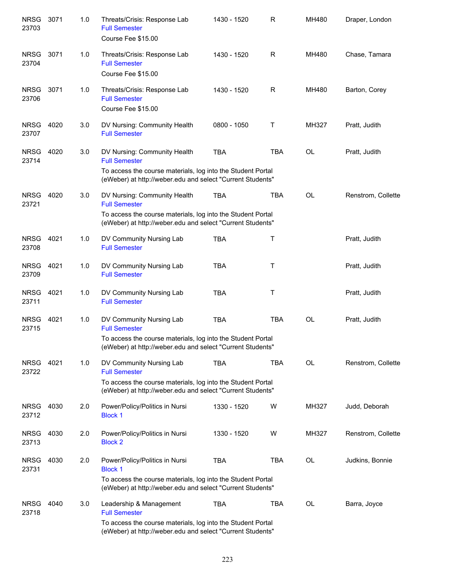| <b>NRSG</b><br>23703 | 3071 | 1.0 | Threats/Crisis: Response Lab<br><b>Full Semester</b><br>Course Fee \$15.00                                                | 1430 - 1520 | R            | MH480     | Draper, London     |
|----------------------|------|-----|---------------------------------------------------------------------------------------------------------------------------|-------------|--------------|-----------|--------------------|
| <b>NRSG</b><br>23704 | 3071 | 1.0 | Threats/Crisis: Response Lab<br><b>Full Semester</b><br>Course Fee \$15.00                                                | 1430 - 1520 | R            | MH480     | Chase, Tamara      |
| <b>NRSG</b><br>23706 | 3071 | 1.0 | Threats/Crisis: Response Lab<br><b>Full Semester</b><br>Course Fee \$15.00                                                | 1430 - 1520 | R            | MH480     | Barton, Corey      |
| <b>NRSG</b><br>23707 | 4020 | 3.0 | DV Nursing: Community Health<br><b>Full Semester</b>                                                                      | 0800 - 1050 | $\mathsf{T}$ | MH327     | Pratt, Judith      |
| <b>NRSG</b><br>23714 | 4020 | 3.0 | DV Nursing: Community Health<br><b>Full Semester</b><br>To access the course materials, log into the Student Portal       | <b>TBA</b>  | <b>TBA</b>   | <b>OL</b> | Pratt, Judith      |
|                      |      |     | (eWeber) at http://weber.edu and select "Current Students"                                                                |             |              |           |                    |
| <b>NRSG</b><br>23721 | 4020 | 3.0 | DV Nursing: Community Health<br><b>Full Semester</b>                                                                      | <b>TBA</b>  | <b>TBA</b>   | OL        | Renstrom, Collette |
|                      |      |     | To access the course materials, log into the Student Portal<br>(eWeber) at http://weber.edu and select "Current Students" |             |              |           |                    |
| <b>NRSG</b><br>23708 | 4021 | 1.0 | DV Community Nursing Lab<br><b>Full Semester</b>                                                                          | <b>TBA</b>  | Τ            |           | Pratt, Judith      |
| <b>NRSG</b><br>23709 | 4021 | 1.0 | DV Community Nursing Lab<br><b>Full Semester</b>                                                                          | <b>TBA</b>  | $\mathsf{T}$ |           | Pratt, Judith      |
| <b>NRSG</b><br>23711 | 4021 | 1.0 | DV Community Nursing Lab<br><b>Full Semester</b>                                                                          | <b>TBA</b>  | $\sf T$      |           | Pratt, Judith      |
| <b>NRSG</b><br>23715 | 4021 | 1.0 | DV Community Nursing Lab<br><b>Full Semester</b>                                                                          | <b>TBA</b>  | <b>TBA</b>   | <b>OL</b> | Pratt, Judith      |
|                      |      |     | To access the course materials, log into the Student Portal<br>(eWeber) at http://weber.edu and select "Current Students" |             |              |           |                    |
| <b>NRSG</b><br>23722 | 4021 | 1.0 | DV Community Nursing Lab<br><b>Full Semester</b>                                                                          | <b>TBA</b>  | <b>TBA</b>   | <b>OL</b> | Renstrom, Collette |
|                      |      |     | To access the course materials, log into the Student Portal<br>(eWeber) at http://weber.edu and select "Current Students" |             |              |           |                    |
| <b>NRSG</b><br>23712 | 4030 | 2.0 | Power/Policy/Politics in Nursi<br><b>Block 1</b>                                                                          | 1330 - 1520 | W            | MH327     | Judd, Deborah      |
| <b>NRSG</b><br>23713 | 4030 | 2.0 | Power/Policy/Politics in Nursi<br><b>Block 2</b>                                                                          | 1330 - 1520 | W            | MH327     | Renstrom, Collette |
| <b>NRSG</b><br>23731 | 4030 | 2.0 | Power/Policy/Politics in Nursi<br><b>Block 1</b>                                                                          | <b>TBA</b>  | TBA          | OL        | Judkins, Bonnie    |
|                      |      |     | To access the course materials, log into the Student Portal<br>(eWeber) at http://weber.edu and select "Current Students" |             |              |           |                    |
| <b>NRSG</b><br>23718 | 4040 | 3.0 | Leadership & Management<br><b>Full Semester</b>                                                                           | <b>TBA</b>  | <b>TBA</b>   | <b>OL</b> | Barra, Joyce       |
|                      |      |     | To access the course materials, log into the Student Portal<br>(eWeber) at http://weber.edu and select "Current Students" |             |              |           |                    |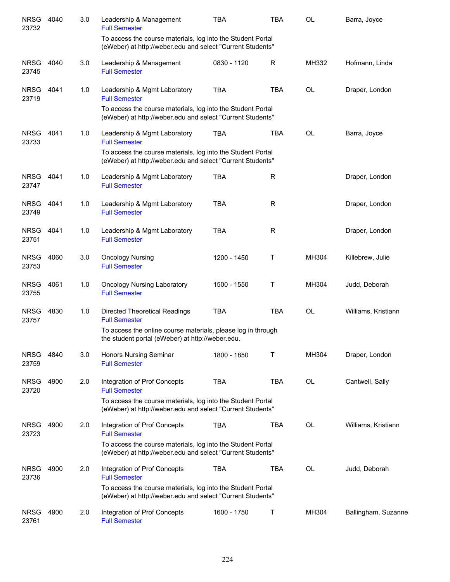| <b>NRSG</b><br>23732 | 4040 | 3.0 | Leadership & Management<br><b>Full Semester</b>                                                                           | <b>TBA</b>  | <b>TBA</b> | <b>OL</b> | Barra, Joyce        |
|----------------------|------|-----|---------------------------------------------------------------------------------------------------------------------------|-------------|------------|-----------|---------------------|
|                      |      |     | To access the course materials, log into the Student Portal<br>(eWeber) at http://weber.edu and select "Current Students" |             |            |           |                     |
| <b>NRSG</b><br>23745 | 4040 | 3.0 | Leadership & Management<br><b>Full Semester</b>                                                                           | 0830 - 1120 | R          | MH332     | Hofmann, Linda      |
| <b>NRSG</b><br>23719 | 4041 | 1.0 | Leadership & Mgmt Laboratory<br><b>Full Semester</b>                                                                      | <b>TBA</b>  | <b>TBA</b> | <b>OL</b> | Draper, London      |
|                      |      |     | To access the course materials, log into the Student Portal<br>(eWeber) at http://weber.edu and select "Current Students" |             |            |           |                     |
| <b>NRSG</b><br>23733 | 4041 | 1.0 | Leadership & Mgmt Laboratory<br><b>Full Semester</b>                                                                      | <b>TBA</b>  | <b>TBA</b> | <b>OL</b> | Barra, Joyce        |
|                      |      |     | To access the course materials, log into the Student Portal<br>(eWeber) at http://weber.edu and select "Current Students" |             |            |           |                     |
| <b>NRSG</b><br>23747 | 4041 | 1.0 | Leadership & Mgmt Laboratory<br><b>Full Semester</b>                                                                      | <b>TBA</b>  | R          |           | Draper, London      |
| <b>NRSG</b><br>23749 | 4041 | 1.0 | Leadership & Mgmt Laboratory<br><b>Full Semester</b>                                                                      | <b>TBA</b>  | R          |           | Draper, London      |
| <b>NRSG</b><br>23751 | 4041 | 1.0 | Leadership & Mgmt Laboratory<br><b>Full Semester</b>                                                                      | <b>TBA</b>  | R          |           | Draper, London      |
| <b>NRSG</b><br>23753 | 4060 | 3.0 | <b>Oncology Nursing</b><br><b>Full Semester</b>                                                                           | 1200 - 1450 | Τ          | MH304     | Killebrew, Julie    |
| <b>NRSG</b><br>23755 | 4061 | 1.0 | <b>Oncology Nursing Laboratory</b><br><b>Full Semester</b>                                                                | 1500 - 1550 | Τ          | MH304     | Judd, Deborah       |
| <b>NRSG</b><br>23757 | 4830 | 1.0 | <b>Directed Theoretical Readings</b><br><b>Full Semester</b>                                                              | <b>TBA</b>  | <b>TBA</b> | <b>OL</b> | Williams, Kristiann |
|                      |      |     | To access the online course materials, please log in through<br>the student portal (eWeber) at http://weber.edu.          |             |            |           |                     |
| <b>NRSG</b><br>23759 | 4840 | 3.0 | Honors Nursing Seminar<br><b>Full Semester</b>                                                                            | 1800 - 1850 | Τ          | MH304     | Draper, London      |
| <b>NRSG</b><br>23720 | 4900 | 2.0 | Integration of Prof Concepts<br><b>Full Semester</b>                                                                      | <b>TBA</b>  | <b>TBA</b> | <b>OL</b> | Cantwell, Sally     |
|                      |      |     | To access the course materials, log into the Student Portal<br>(eWeber) at http://weber.edu and select "Current Students" |             |            |           |                     |
| <b>NRSG</b><br>23723 | 4900 | 2.0 | Integration of Prof Concepts<br><b>Full Semester</b>                                                                      | <b>TBA</b>  | TBA        | OL        | Williams, Kristiann |
|                      |      |     | To access the course materials, log into the Student Portal<br>(eWeber) at http://weber.edu and select "Current Students" |             |            |           |                     |
| <b>NRSG</b><br>23736 | 4900 | 2.0 | Integration of Prof Concepts<br><b>Full Semester</b>                                                                      | <b>TBA</b>  | <b>TBA</b> | OL        | Judd, Deborah       |
|                      |      |     | To access the course materials, log into the Student Portal<br>(eWeber) at http://weber.edu and select "Current Students" |             |            |           |                     |
| <b>NRSG</b><br>23761 | 4900 | 2.0 | Integration of Prof Concepts<br><b>Full Semester</b>                                                                      | 1600 - 1750 | Т          | MH304     | Ballingham, Suzanne |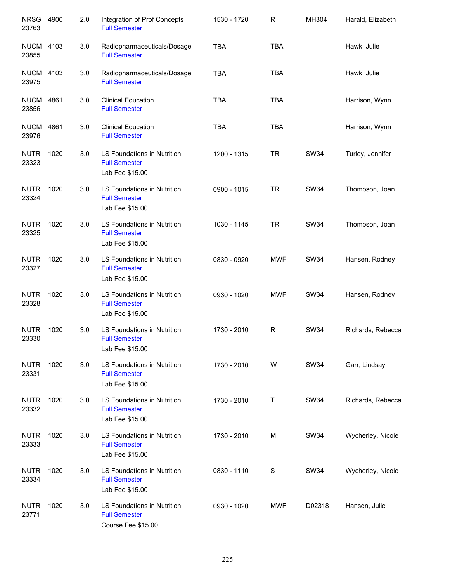| <b>NRSG</b><br>23763      | 4900 | 2.0 | Integration of Prof Concepts<br><b>Full Semester</b>                      | 1530 - 1720 | R             | MH304       | Harald, Elizabeth |
|---------------------------|------|-----|---------------------------------------------------------------------------|-------------|---------------|-------------|-------------------|
| <b>NUCM</b><br>23855      | 4103 | 3.0 | Radiopharmaceuticals/Dosage<br><b>Full Semester</b>                       | <b>TBA</b>  | <b>TBA</b>    |             | Hawk, Julie       |
| <b>NUCM</b><br>23975      | 4103 | 3.0 | Radiopharmaceuticals/Dosage<br><b>Full Semester</b>                       | <b>TBA</b>  | <b>TBA</b>    |             | Hawk, Julie       |
| <b>NUCM 4861</b><br>23856 |      | 3.0 | <b>Clinical Education</b><br><b>Full Semester</b>                         | <b>TBA</b>  | <b>TBA</b>    |             | Harrison, Wynn    |
| <b>NUCM 4861</b><br>23976 |      | 3.0 | <b>Clinical Education</b><br><b>Full Semester</b>                         | <b>TBA</b>  | <b>TBA</b>    |             | Harrison, Wynn    |
| <b>NUTR</b><br>23323      | 1020 | 3.0 | LS Foundations in Nutrition<br><b>Full Semester</b><br>Lab Fee \$15.00    | 1200 - 1315 | <b>TR</b>     | <b>SW34</b> | Turley, Jennifer  |
| <b>NUTR</b><br>23324      | 1020 | 3.0 | LS Foundations in Nutrition<br><b>Full Semester</b><br>Lab Fee \$15.00    | 0900 - 1015 | <b>TR</b>     | <b>SW34</b> | Thompson, Joan    |
| <b>NUTR</b><br>23325      | 1020 | 3.0 | LS Foundations in Nutrition<br><b>Full Semester</b><br>Lab Fee \$15.00    | 1030 - 1145 | <b>TR</b>     | <b>SW34</b> | Thompson, Joan    |
| <b>NUTR</b><br>23327      | 1020 | 3.0 | LS Foundations in Nutrition<br><b>Full Semester</b><br>Lab Fee \$15.00    | 0830 - 0920 | <b>MWF</b>    | <b>SW34</b> | Hansen, Rodney    |
| <b>NUTR</b><br>23328      | 1020 | 3.0 | LS Foundations in Nutrition<br><b>Full Semester</b><br>Lab Fee \$15.00    | 0930 - 1020 | <b>MWF</b>    | <b>SW34</b> | Hansen, Rodney    |
| <b>NUTR</b><br>23330      | 1020 | 3.0 | LS Foundations in Nutrition<br><b>Full Semester</b><br>Lab Fee \$15.00    | 1730 - 2010 | $\mathsf R$   | <b>SW34</b> | Richards, Rebecca |
| <b>NUTR</b><br>23331      | 1020 | 3.0 | LS Foundations in Nutrition<br><b>Full Semester</b><br>Lab Fee \$15.00    | 1730 - 2010 | W             | <b>SW34</b> | Garr, Lindsay     |
| <b>NUTR</b><br>23332      | 1020 | 3.0 | LS Foundations in Nutrition<br><b>Full Semester</b><br>Lab Fee \$15.00    | 1730 - 2010 | Τ             | <b>SW34</b> | Richards, Rebecca |
| <b>NUTR</b><br>23333      | 1020 | 3.0 | LS Foundations in Nutrition<br><b>Full Semester</b><br>Lab Fee \$15.00    | 1730 - 2010 | M             | SW34        | Wycherley, Nicole |
| <b>NUTR</b><br>23334      | 1020 | 3.0 | LS Foundations in Nutrition<br><b>Full Semester</b><br>Lab Fee \$15.00    | 0830 - 1110 | ${\mathsf S}$ | SW34        | Wycherley, Nicole |
| <b>NUTR</b><br>23771      | 1020 | 3.0 | LS Foundations in Nutrition<br><b>Full Semester</b><br>Course Fee \$15.00 | 0930 - 1020 | <b>MWF</b>    | D02318      | Hansen, Julie     |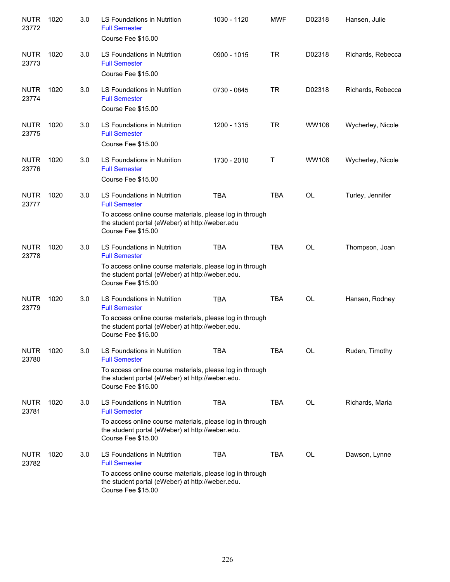| <b>NUTR</b><br>23772 | 1020 | 3.0 | LS Foundations in Nutrition<br><b>Full Semester</b><br>Course Fee \$15.00                                                                                                                       | 1030 - 1120 | <b>MWF</b> | D02318       | Hansen, Julie     |
|----------------------|------|-----|-------------------------------------------------------------------------------------------------------------------------------------------------------------------------------------------------|-------------|------------|--------------|-------------------|
| <b>NUTR</b><br>23773 | 1020 | 3.0 | LS Foundations in Nutrition<br><b>Full Semester</b><br>Course Fee \$15.00                                                                                                                       | 0900 - 1015 | <b>TR</b>  | D02318       | Richards, Rebecca |
| <b>NUTR</b><br>23774 | 1020 | 3.0 | LS Foundations in Nutrition<br><b>Full Semester</b><br>Course Fee \$15.00                                                                                                                       | 0730 - 0845 | <b>TR</b>  | D02318       | Richards, Rebecca |
| <b>NUTR</b><br>23775 | 1020 | 3.0 | LS Foundations in Nutrition<br><b>Full Semester</b><br>Course Fee \$15.00                                                                                                                       | 1200 - 1315 | <b>TR</b>  | <b>WW108</b> | Wycherley, Nicole |
| <b>NUTR</b><br>23776 | 1020 | 3.0 | LS Foundations in Nutrition<br><b>Full Semester</b><br>Course Fee \$15.00                                                                                                                       | 1730 - 2010 | Т          | <b>WW108</b> | Wycherley, Nicole |
| <b>NUTR</b><br>23777 | 1020 | 3.0 | <b>LS Foundations in Nutrition</b><br><b>Full Semester</b><br>To access online course materials, please log in through<br>the student portal (eWeber) at http://weber.edu<br>Course Fee \$15.00 | <b>TBA</b>  | <b>TBA</b> | <b>OL</b>    | Turley, Jennifer  |
| <b>NUTR</b><br>23778 | 1020 | 3.0 | LS Foundations in Nutrition<br><b>Full Semester</b><br>To access online course materials, please log in through<br>the student portal (eWeber) at http://weber.edu.<br>Course Fee \$15.00       | <b>TBA</b>  | <b>TBA</b> | <b>OL</b>    | Thompson, Joan    |
| <b>NUTR</b><br>23779 | 1020 | 3.0 | LS Foundations in Nutrition<br><b>Full Semester</b><br>To access online course materials, please log in through<br>the student portal (eWeber) at http://weber.edu.<br>Course Fee \$15.00       | <b>TBA</b>  | <b>TBA</b> | <b>OL</b>    | Hansen, Rodney    |
| <b>NUTR</b><br>23780 | 1020 | 3.0 | LS Foundations in Nutrition<br><b>Full Semester</b><br>To access online course materials, please log in through<br>the student portal (eWeber) at http://weber.edu.<br>Course Fee \$15.00       | <b>TBA</b>  | <b>TBA</b> | <b>OL</b>    | Ruden, Timothy    |
| <b>NUTR</b><br>23781 | 1020 | 3.0 | LS Foundations in Nutrition<br><b>Full Semester</b><br>To access online course materials, please log in through<br>the student portal (eWeber) at http://weber.edu.<br>Course Fee \$15.00       | <b>TBA</b>  | <b>TBA</b> | OL           | Richards, Maria   |
| <b>NUTR</b><br>23782 | 1020 | 3.0 | LS Foundations in Nutrition<br><b>Full Semester</b><br>To access online course materials, please log in through<br>the student portal (eWeber) at http://weber.edu.<br>Course Fee \$15.00       | <b>TBA</b>  | <b>TBA</b> | <b>OL</b>    | Dawson, Lynne     |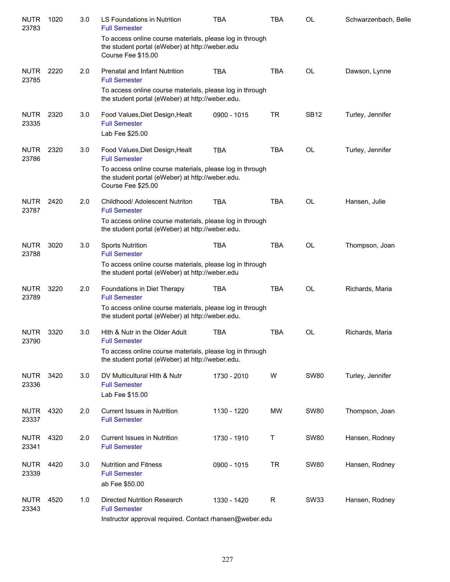| <b>NUTR</b><br>23783 | 1020 | 3.0 | LS Foundations in Nutrition<br><b>Full Semester</b>                                                                                | <b>TBA</b>  | <b>TBA</b> | <b>OL</b>   | Schwarzenbach, Belle |
|----------------------|------|-----|------------------------------------------------------------------------------------------------------------------------------------|-------------|------------|-------------|----------------------|
|                      |      |     | To access online course materials, please log in through<br>the student portal (eWeber) at http://weber.edu<br>Course Fee \$15.00  |             |            |             |                      |
| <b>NUTR</b><br>23785 | 2220 | 2.0 | <b>Prenatal and Infant Nutrition</b><br><b>Full Semester</b>                                                                       | <b>TBA</b>  | <b>TBA</b> | <b>OL</b>   | Dawson, Lynne        |
|                      |      |     | To access online course materials, please log in through<br>the student portal (eWeber) at http://weber.edu.                       |             |            |             |                      |
| <b>NUTR</b><br>23335 | 2320 | 3.0 | Food Values, Diet Design, Healt<br><b>Full Semester</b><br>Lab Fee \$25.00                                                         | 0900 - 1015 | <b>TR</b>  | <b>SB12</b> | Turley, Jennifer     |
| <b>NUTR</b><br>23786 | 2320 | 3.0 | Food Values, Diet Design, Healt<br><b>Full Semester</b>                                                                            | <b>TBA</b>  | <b>TBA</b> | <b>OL</b>   | Turley, Jennifer     |
|                      |      |     | To access online course materials, please log in through<br>the student portal (eWeber) at http://weber.edu.<br>Course Fee \$25.00 |             |            |             |                      |
| <b>NUTR</b><br>23787 | 2420 | 2.0 | Childhood/ Adolescent Nutriton<br><b>Full Semester</b>                                                                             | <b>TBA</b>  | <b>TBA</b> | <b>OL</b>   | Hansen, Julie        |
|                      |      |     | To access online course materials, please log in through<br>the student portal (eWeber) at http://weber.edu.                       |             |            |             |                      |
| <b>NUTR</b><br>23788 | 3020 | 3.0 | <b>Sports Nutrition</b><br><b>Full Semester</b><br>To access online course materials, please log in through                        | <b>TBA</b>  | <b>TBA</b> | <b>OL</b>   | Thompson, Joan       |
|                      |      |     | the student portal (eWeber) at http://weber.edu                                                                                    |             |            |             |                      |
| <b>NUTR</b><br>23789 | 3220 | 2.0 | Foundations in Diet Therapy<br><b>Full Semester</b>                                                                                | <b>TBA</b>  | <b>TBA</b> | <b>OL</b>   | Richards, Maria      |
|                      |      |     | To access online course materials, please log in through<br>the student portal (eWeber) at http://weber.edu.                       |             |            |             |                      |
| <b>NUTR</b><br>23790 | 3320 | 3.0 | Hith & Nutr in the Older Adult<br><b>Full Semester</b>                                                                             | <b>TBA</b>  | <b>TBA</b> | <b>OL</b>   | Richards, Maria      |
|                      |      |     | To access online course materials, please log in through<br>the student portal (eWeber) at http://weber.edu.                       |             |            |             |                      |
| <b>NUTR</b><br>23336 | 3420 | 3.0 | DV Multicultural Hith & Nutr<br><b>Full Semester</b><br>Lab Fee \$15.00                                                            | 1730 - 2010 | W          | <b>SW80</b> | Turley, Jennifer     |
| <b>NUTR</b><br>23337 | 4320 | 2.0 | <b>Current Issues in Nutrition</b><br><b>Full Semester</b>                                                                         | 1130 - 1220 | <b>MW</b>  | <b>SW80</b> | Thompson, Joan       |
| <b>NUTR</b><br>23341 | 4320 | 2.0 | <b>Current Issues in Nutrition</b><br><b>Full Semester</b>                                                                         | 1730 - 1910 | Τ          | <b>SW80</b> | Hansen, Rodney       |
| <b>NUTR</b><br>23339 | 4420 | 3.0 | <b>Nutrition and Fitness</b><br><b>Full Semester</b><br>ab Fee \$50.00                                                             | 0900 - 1015 | <b>TR</b>  | <b>SW80</b> | Hansen, Rodney       |
| <b>NUTR</b><br>23343 | 4520 | 1.0 | Directed Nutrition Research<br><b>Full Semester</b>                                                                                | 1330 - 1420 | R          | <b>SW33</b> | Hansen, Rodney       |
|                      |      |     | Instructor approval required. Contact rhansen@weber.edu                                                                            |             |            |             |                      |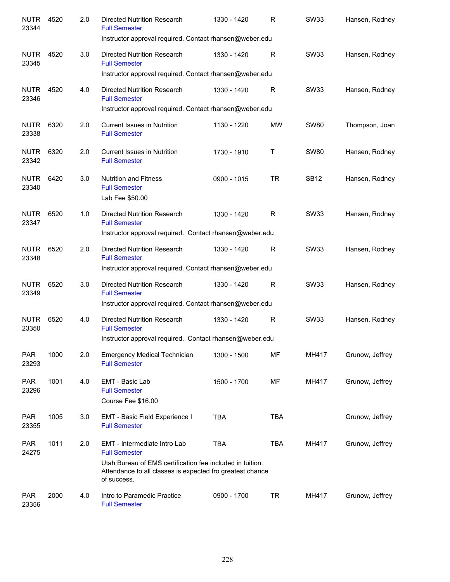| <b>NUTR</b><br>23344 | 4520 | 2.0 | <b>Directed Nutrition Research</b><br><b>Full Semester</b><br>Instructor approval required. Contact rhansen@weber.edu                                                                         | 1330 - 1420 | R          | <b>SW33</b> | Hansen, Rodney  |
|----------------------|------|-----|-----------------------------------------------------------------------------------------------------------------------------------------------------------------------------------------------|-------------|------------|-------------|-----------------|
| <b>NUTR</b><br>23345 | 4520 | 3.0 | <b>Directed Nutrition Research</b><br><b>Full Semester</b>                                                                                                                                    | 1330 - 1420 | R          | <b>SW33</b> | Hansen, Rodney  |
| <b>NUTR</b><br>23346 | 4520 | 4.0 | Instructor approval required. Contact rhansen@weber.edu<br><b>Directed Nutrition Research</b><br><b>Full Semester</b>                                                                         | 1330 - 1420 | R          | <b>SW33</b> | Hansen, Rodney  |
| <b>NUTR</b><br>23338 | 6320 | 2.0 | Instructor approval required. Contact rhansen@weber.edu<br><b>Current Issues in Nutrition</b><br><b>Full Semester</b>                                                                         | 1130 - 1220 | <b>MW</b>  | <b>SW80</b> | Thompson, Joan  |
| <b>NUTR</b><br>23342 | 6320 | 2.0 | <b>Current Issues in Nutrition</b><br><b>Full Semester</b>                                                                                                                                    | 1730 - 1910 | Τ          | <b>SW80</b> | Hansen, Rodney  |
| <b>NUTR</b><br>23340 | 6420 | 3.0 | <b>Nutrition and Fitness</b><br><b>Full Semester</b><br>Lab Fee \$50.00                                                                                                                       | 0900 - 1015 | <b>TR</b>  | <b>SB12</b> | Hansen, Rodney  |
| <b>NUTR</b><br>23347 | 6520 | 1.0 | Directed Nutrition Research<br><b>Full Semester</b>                                                                                                                                           | 1330 - 1420 | R          | <b>SW33</b> | Hansen, Rodney  |
| <b>NUTR</b><br>23348 | 6520 | 2.0 | Instructor approval required. Contact rhansen@weber.edu<br>Directed Nutrition Research<br><b>Full Semester</b>                                                                                | 1330 - 1420 | R          | <b>SW33</b> | Hansen, Rodney  |
| <b>NUTR</b><br>23349 | 6520 | 3.0 | Instructor approval required. Contact rhansen@weber.edu<br><b>Directed Nutrition Research</b><br><b>Full Semester</b><br>Instructor approval required. Contact rhansen@weber.edu              | 1330 - 1420 | R          | <b>SW33</b> | Hansen, Rodney  |
| <b>NUTR</b><br>23350 | 6520 | 4.0 | <b>Directed Nutrition Research</b><br><b>Full Semester</b><br>Instructor approval required. Contact rhansen@weber.edu                                                                         | 1330 - 1420 | R          | <b>SW33</b> | Hansen, Rodney  |
| <b>PAR</b><br>23293  | 1000 | 2.0 | <b>Emergency Medical Technician</b><br><b>Full Semester</b>                                                                                                                                   | 1300 - 1500 | MF         | MH417       | Grunow, Jeffrey |
| <b>PAR</b><br>23296  | 1001 | 4.0 | EMT - Basic Lab<br><b>Full Semester</b><br>Course Fee \$16.00                                                                                                                                 | 1500 - 1700 | MF         | MH417       | Grunow, Jeffrey |
| <b>PAR</b><br>23355  | 1005 | 3.0 | EMT - Basic Field Experience I<br><b>Full Semester</b>                                                                                                                                        | <b>TBA</b>  | <b>TBA</b> |             | Grunow, Jeffrey |
| <b>PAR</b><br>24275  | 1011 | 2.0 | EMT - Intermediate Intro Lab<br><b>Full Semester</b><br>Utah Bureau of EMS certification fee included in tuition.<br>Attendance to all classes is expected fro greatest chance<br>of success. | <b>TBA</b>  | TBA        | MH417       | Grunow, Jeffrey |
| <b>PAR</b><br>23356  | 2000 | 4.0 | Intro to Paramedic Practice<br><b>Full Semester</b>                                                                                                                                           | 0900 - 1700 | <b>TR</b>  | MH417       | Grunow, Jeffrey |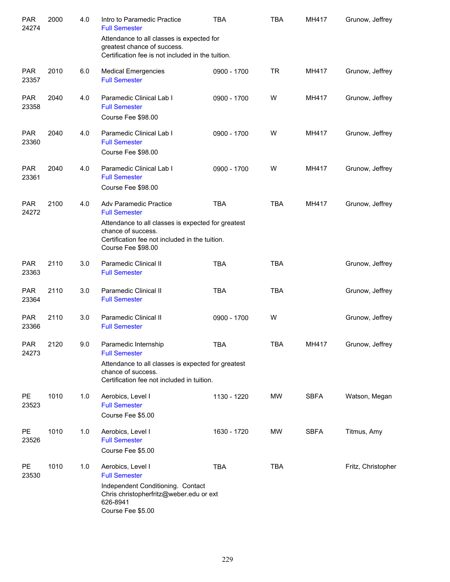| <b>PAR</b><br>24274 | 2000 | 4.0 | Intro to Paramedic Practice<br><b>Full Semester</b>                                                                                                        | <b>TBA</b>  | <b>TBA</b> | MH417       | Grunow, Jeffrey    |
|---------------------|------|-----|------------------------------------------------------------------------------------------------------------------------------------------------------------|-------------|------------|-------------|--------------------|
|                     |      |     | Attendance to all classes is expected for<br>greatest chance of success.<br>Certification fee is not included in the tuition.                              |             |            |             |                    |
| <b>PAR</b><br>23357 | 2010 | 6.0 | <b>Medical Emergencies</b><br><b>Full Semester</b>                                                                                                         | 0900 - 1700 | <b>TR</b>  | MH417       | Grunow, Jeffrey    |
| <b>PAR</b><br>23358 | 2040 | 4.0 | Paramedic Clinical Lab I<br><b>Full Semester</b><br>Course Fee \$98.00                                                                                     | 0900 - 1700 | W          | MH417       | Grunow, Jeffrey    |
| <b>PAR</b><br>23360 | 2040 | 4.0 | Paramedic Clinical Lab I<br><b>Full Semester</b><br>Course Fee \$98.00                                                                                     | 0900 - 1700 | W          | MH417       | Grunow, Jeffrey    |
| <b>PAR</b><br>23361 | 2040 | 4.0 | Paramedic Clinical Lab I<br><b>Full Semester</b><br>Course Fee \$98.00                                                                                     | 0900 - 1700 | W          | MH417       | Grunow, Jeffrey    |
| <b>PAR</b><br>24272 | 2100 | 4.0 | <b>Adv Paramedic Practice</b><br><b>Full Semester</b>                                                                                                      | <b>TBA</b>  | <b>TBA</b> | MH417       | Grunow, Jeffrey    |
|                     |      |     | Attendance to all classes is expected for greatest<br>chance of success.<br>Certification fee not included in the tuition.<br>Course Fee \$98.00           |             |            |             |                    |
| <b>PAR</b><br>23363 | 2110 | 3.0 | <b>Paramedic Clinical II</b><br><b>Full Semester</b>                                                                                                       | <b>TBA</b>  | <b>TBA</b> |             | Grunow, Jeffrey    |
| <b>PAR</b><br>23364 | 2110 | 3.0 | Paramedic Clinical II<br><b>Full Semester</b>                                                                                                              | <b>TBA</b>  | <b>TBA</b> |             | Grunow, Jeffrey    |
| <b>PAR</b><br>23366 | 2110 | 3.0 | Paramedic Clinical II<br><b>Full Semester</b>                                                                                                              | 0900 - 1700 | W          |             | Grunow, Jeffrey    |
| PAR<br>24273        | 2120 | 9.0 | Paramedic Internship<br><b>Full Semester</b>                                                                                                               | <b>TBA</b>  | <b>TBA</b> | MH417       | Grunow, Jeffrey    |
|                     |      |     | Attendance to all classes is expected for greatest<br>chance of success.<br>Certification fee not included in tuition.                                     |             |            |             |                    |
| <b>PE</b><br>23523  | 1010 | 1.0 | Aerobics, Level I<br><b>Full Semester</b><br>Course Fee \$5.00                                                                                             | 1130 - 1220 | MW         | <b>SBFA</b> | Watson, Megan      |
| <b>PE</b><br>23526  | 1010 | 1.0 | Aerobics, Level I<br><b>Full Semester</b><br>Course Fee \$5.00                                                                                             | 1630 - 1720 | MW         | <b>SBFA</b> | Titmus, Amy        |
| <b>PE</b><br>23530  | 1010 | 1.0 | Aerobics, Level I<br><b>Full Semester</b><br>Independent Conditioning. Contact<br>Chris christopherfritz@weber.edu or ext<br>626-8941<br>Course Fee \$5.00 | <b>TBA</b>  | <b>TBA</b> |             | Fritz, Christopher |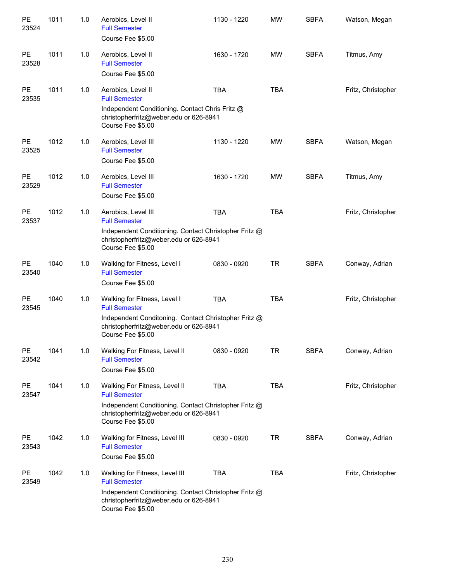| PE<br>23524        | 1011 | 1.0 | Aerobics, Level II<br><b>Full Semester</b><br>Course Fee \$5.00                                                                                                                | 1130 - 1220 | <b>MW</b>  | <b>SBFA</b> | Watson, Megan      |
|--------------------|------|-----|--------------------------------------------------------------------------------------------------------------------------------------------------------------------------------|-------------|------------|-------------|--------------------|
| <b>PE</b><br>23528 | 1011 | 1.0 | Aerobics, Level II<br><b>Full Semester</b><br>Course Fee \$5.00                                                                                                                | 1630 - 1720 | <b>MW</b>  | <b>SBFA</b> | Titmus, Amy        |
| <b>PE</b><br>23535 | 1011 | 1.0 | Aerobics, Level II<br><b>Full Semester</b><br>Independent Conditioning. Contact Chris Fritz @<br>christopherfritz@weber.edu or 626-8941<br>Course Fee \$5.00                   | <b>TBA</b>  | <b>TBA</b> |             | Fritz, Christopher |
| <b>PE</b><br>23525 | 1012 | 1.0 | Aerobics, Level III<br><b>Full Semester</b><br>Course Fee \$5.00                                                                                                               | 1130 - 1220 | <b>MW</b>  | <b>SBFA</b> | Watson, Megan      |
| <b>PE</b><br>23529 | 1012 | 1.0 | Aerobics, Level III<br><b>Full Semester</b><br>Course Fee \$5.00                                                                                                               | 1630 - 1720 | <b>MW</b>  | <b>SBFA</b> | Titmus, Amy        |
| <b>PE</b><br>23537 | 1012 | 1.0 | Aerobics, Level III<br><b>Full Semester</b><br>Independent Conditioning. Contact Christopher Fritz @<br>christopherfritz@weber.edu or 626-8941<br>Course Fee \$5.00            | <b>TBA</b>  | <b>TBA</b> |             | Fritz, Christopher |
| <b>PE</b><br>23540 | 1040 | 1.0 | Walking for Fitness, Level I<br><b>Full Semester</b><br>Course Fee \$5.00                                                                                                      | 0830 - 0920 | <b>TR</b>  | <b>SBFA</b> | Conway, Adrian     |
| <b>PE</b><br>23545 | 1040 | 1.0 | Walking for Fitness, Level I<br><b>Full Semester</b><br>Independent Conditoning. Contact Christopher Fritz @<br>christopherfritz@weber.edu or 626-8941<br>Course Fee \$5.00    | <b>TBA</b>  | <b>TBA</b> |             | Fritz, Christopher |
| <b>PE</b><br>23542 | 1041 | 1.0 | Walking For Fitness, Level II<br><b>Full Semester</b><br>Course Fee \$5.00                                                                                                     | 0830 - 0920 | <b>TR</b>  | <b>SBFA</b> | Conway, Adrian     |
| PE<br>23547        | 1041 | 1.0 | Walking For Fitness, Level II<br><b>Full Semester</b><br>Independent Conditioning. Contact Christopher Fritz @<br>christopherfritz@weber.edu or 626-8941<br>Course Fee \$5.00  | <b>TBA</b>  | <b>TBA</b> |             | Fritz, Christopher |
| PE<br>23543        | 1042 | 1.0 | Walking for Fitness, Level III<br><b>Full Semester</b><br>Course Fee \$5.00                                                                                                    | 0830 - 0920 | TR         | <b>SBFA</b> | Conway, Adrian     |
| PE<br>23549        | 1042 | 1.0 | Walking for Fitness, Level III<br><b>Full Semester</b><br>Independent Conditioning. Contact Christopher Fritz @<br>christopherfritz@weber.edu or 626-8941<br>Course Fee \$5.00 | <b>TBA</b>  | <b>TBA</b> |             | Fritz, Christopher |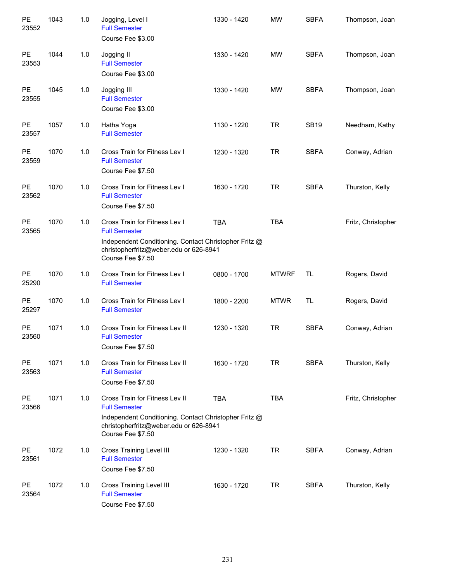| PE<br>23552        | 1043 | 1.0 | Jogging, Level I<br><b>Full Semester</b><br>Course Fee \$3.00                                                                                                                  | 1330 - 1420 | <b>MW</b>    | <b>SBFA</b> | Thompson, Joan     |
|--------------------|------|-----|--------------------------------------------------------------------------------------------------------------------------------------------------------------------------------|-------------|--------------|-------------|--------------------|
| <b>PE</b><br>23553 | 1044 | 1.0 | Jogging II<br><b>Full Semester</b><br>Course Fee \$3.00                                                                                                                        | 1330 - 1420 | <b>MW</b>    | <b>SBFA</b> | Thompson, Joan     |
| <b>PE</b><br>23555 | 1045 | 1.0 | Jogging III<br><b>Full Semester</b><br>Course Fee \$3.00                                                                                                                       | 1330 - 1420 | <b>MW</b>    | <b>SBFA</b> | Thompson, Joan     |
| <b>PE</b><br>23557 | 1057 | 1.0 | Hatha Yoga<br><b>Full Semester</b>                                                                                                                                             | 1130 - 1220 | <b>TR</b>    | <b>SB19</b> | Needham, Kathy     |
| <b>PE</b><br>23559 | 1070 | 1.0 | Cross Train for Fitness Lev I<br><b>Full Semester</b><br>Course Fee \$7.50                                                                                                     | 1230 - 1320 | <b>TR</b>    | <b>SBFA</b> | Conway, Adrian     |
| <b>PE</b><br>23562 | 1070 | 1.0 | Cross Train for Fitness Lev I<br><b>Full Semester</b><br>Course Fee \$7.50                                                                                                     | 1630 - 1720 | <b>TR</b>    | <b>SBFA</b> | Thurston, Kelly    |
| <b>PE</b><br>23565 | 1070 | 1.0 | Cross Train for Fitness Lev I<br><b>Full Semester</b><br>Independent Conditioning. Contact Christopher Fritz @<br>christopherfritz@weber.edu or 626-8941<br>Course Fee \$7.50  | <b>TBA</b>  | <b>TBA</b>   |             | Fritz, Christopher |
| PE<br>25290        | 1070 | 1.0 | Cross Train for Fitness Lev I<br><b>Full Semester</b>                                                                                                                          | 0800 - 1700 | <b>MTWRF</b> | TL          | Rogers, David      |
| <b>PE</b><br>25297 | 1070 | 1.0 | Cross Train for Fitness Lev I<br><b>Full Semester</b>                                                                                                                          | 1800 - 2200 | <b>MTWR</b>  | TL          | Rogers, David      |
| <b>PE</b><br>23560 | 1071 | 1.0 | Cross Train for Fitness Lev II<br><b>Full Semester</b><br>Course Fee \$7.50                                                                                                    | 1230 - 1320 | <b>TR</b>    | <b>SBFA</b> | Conway, Adrian     |
| PE<br>23563        | 1071 | 1.0 | Cross Train for Fitness Lev II<br><b>Full Semester</b><br>Course Fee \$7.50                                                                                                    | 1630 - 1720 | <b>TR</b>    | <b>SBFA</b> | Thurston, Kelly    |
| PE<br>23566        | 1071 | 1.0 | Cross Train for Fitness Lev II<br><b>Full Semester</b><br>Independent Conditioning. Contact Christopher Fritz @<br>christopherfritz@weber.edu or 626-8941<br>Course Fee \$7.50 | <b>TBA</b>  | <b>TBA</b>   |             | Fritz, Christopher |
| PE<br>23561        | 1072 | 1.0 | <b>Cross Training Level III</b><br><b>Full Semester</b><br>Course Fee \$7.50                                                                                                   | 1230 - 1320 | <b>TR</b>    | <b>SBFA</b> | Conway, Adrian     |
| PE<br>23564        | 1072 | 1.0 | <b>Cross Training Level III</b><br><b>Full Semester</b><br>Course Fee \$7.50                                                                                                   | 1630 - 1720 | <b>TR</b>    | <b>SBFA</b> | Thurston, Kelly    |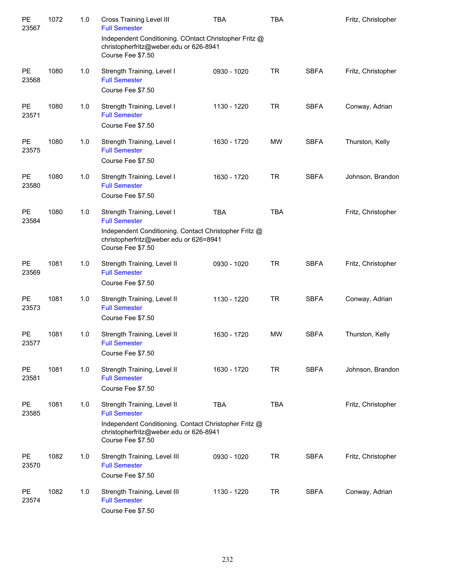| PE<br>23567        | 1072 | 1.0 | <b>Cross Training Level III</b><br><b>Full Semester</b>                                                                                                                     | <b>TBA</b>  | <b>TBA</b> |             | Fritz, Christopher |
|--------------------|------|-----|-----------------------------------------------------------------------------------------------------------------------------------------------------------------------------|-------------|------------|-------------|--------------------|
|                    |      |     | Independent Conditioning. COntact Christopher Fritz @<br>christopherfritz@weber.edu or 626-8941<br>Course Fee \$7.50                                                        |             |            |             |                    |
| PE<br>23568        | 1080 | 1.0 | Strength Training, Level I<br><b>Full Semester</b><br>Course Fee \$7.50                                                                                                     | 0930 - 1020 | <b>TR</b>  | <b>SBFA</b> | Fritz, Christopher |
| PE<br>23571        | 1080 | 1.0 | Strength Training, Level I<br><b>Full Semester</b><br>Course Fee \$7.50                                                                                                     | 1130 - 1220 | <b>TR</b>  | <b>SBFA</b> | Conway, Adrian     |
| PE<br>23575        | 1080 | 1.0 | Strength Training, Level I<br><b>Full Semester</b><br>Course Fee \$7.50                                                                                                     | 1630 - 1720 | <b>MW</b>  | <b>SBFA</b> | Thurston, Kelly    |
| PE<br>23580        | 1080 | 1.0 | Strength Training, Level I<br><b>Full Semester</b><br>Course Fee \$7.50                                                                                                     | 1630 - 1720 | <b>TR</b>  | <b>SBFA</b> | Johnson, Brandon   |
| PE<br>23584        | 1080 | 1.0 | Strength Training, Level I<br><b>Full Semester</b>                                                                                                                          | <b>TBA</b>  | <b>TBA</b> |             | Fritz, Christopher |
|                    |      |     | Independent Conditioning. Contact Christopher Fritz @<br>christopherfritz@weber.edu or 626=8941<br>Course Fee \$7.50                                                        |             |            |             |                    |
| PE<br>23569        | 1081 | 1.0 | Strength Training, Level II<br><b>Full Semester</b><br>Course Fee \$7.50                                                                                                    | 0930 - 1020 | <b>TR</b>  | <b>SBFA</b> | Fritz, Christopher |
| PE<br>23573        | 1081 | 1.0 | Strength Training, Level II<br><b>Full Semester</b><br>Course Fee \$7.50                                                                                                    | 1130 - 1220 | <b>TR</b>  | <b>SBFA</b> | Conway, Adrian     |
| PE<br>23577        | 1081 | 1.0 | Strength Training, Level II<br><b>Full Semester</b><br>Course Fee \$7.50                                                                                                    | 1630 - 1720 | <b>MW</b>  | <b>SBFA</b> | Thurston, Kelly    |
| <b>PE</b><br>23581 | 1081 | 1.0 | Strength Training, Level II<br><b>Full Semester</b><br>Course Fee \$7.50                                                                                                    | 1630 - 1720 | <b>TR</b>  | <b>SBFA</b> | Johnson, Brandon   |
| <b>PE</b><br>23585 | 1081 | 1.0 | Strength Training, Level II<br><b>Full Semester</b><br>Independent Conditioning. Contact Christopher Fritz @<br>christopherfritz@weber.edu or 626-8941<br>Course Fee \$7.50 | <b>TBA</b>  | <b>TBA</b> |             | Fritz, Christopher |
| PE<br>23570        | 1082 | 1.0 | Strength Training, Level III<br><b>Full Semester</b><br>Course Fee \$7.50                                                                                                   | 0930 - 1020 | <b>TR</b>  | <b>SBFA</b> | Fritz, Christopher |
| <b>PE</b><br>23574 | 1082 | 1.0 | Strength Training, Level III<br><b>Full Semester</b><br>Course Fee \$7.50                                                                                                   | 1130 - 1220 | <b>TR</b>  | <b>SBFA</b> | Conway, Adrian     |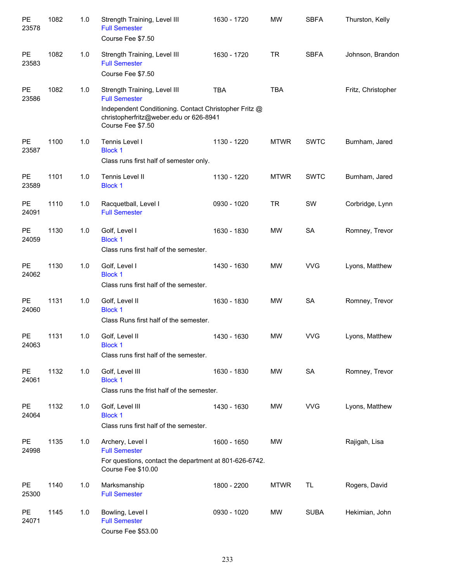| PE<br>23578        | 1082 | 1.0 | Strength Training, Level III<br><b>Full Semester</b><br>Course Fee \$7.50                                                | 1630 - 1720 | <b>MW</b>   | <b>SBFA</b> | Thurston, Kelly    |
|--------------------|------|-----|--------------------------------------------------------------------------------------------------------------------------|-------------|-------------|-------------|--------------------|
| <b>PE</b><br>23583 | 1082 | 1.0 | Strength Training, Level III<br><b>Full Semester</b><br>Course Fee \$7.50                                                | 1630 - 1720 | <b>TR</b>   | <b>SBFA</b> | Johnson, Brandon   |
| <b>PE</b><br>23586 | 1082 | 1.0 | Strength Training, Level III<br><b>Full Semester</b>                                                                     | <b>TBA</b>  | <b>TBA</b>  |             | Fritz, Christopher |
|                    |      |     | Independent Conditioning. Contact Christopher Fritz @<br>christopherfritz@weber.edu or 626-8941<br>Course Fee \$7.50     |             |             |             |                    |
| <b>PE</b><br>23587 | 1100 | 1.0 | Tennis Level I<br><b>Block 1</b><br>Class runs first half of semester only.                                              | 1130 - 1220 | <b>MTWR</b> | <b>SWTC</b> | Burnham, Jared     |
| <b>PE</b><br>23589 | 1101 | 1.0 | Tennis Level II<br><b>Block 1</b>                                                                                        | 1130 - 1220 | <b>MTWR</b> | <b>SWTC</b> | Burnham, Jared     |
| <b>PE</b><br>24091 | 1110 | 1.0 | Racquetball, Level I<br><b>Full Semester</b>                                                                             | 0930 - 1020 | <b>TR</b>   | SW          | Corbridge, Lynn    |
| <b>PE</b><br>24059 | 1130 | 1.0 | Golf, Level I<br><b>Block 1</b><br>Class runs first half of the semester.                                                | 1630 - 1830 | MW          | <b>SA</b>   | Romney, Trevor     |
| <b>PE</b><br>24062 | 1130 | 1.0 | Golf, Level I<br><b>Block 1</b><br>Class runs first half of the semester.                                                | 1430 - 1630 | MW          | <b>VVG</b>  | Lyons, Matthew     |
| <b>PE</b><br>24060 | 1131 | 1.0 | Golf, Level II<br><b>Block 1</b><br>Class Runs first half of the semester.                                               | 1630 - 1830 | MW          | <b>SA</b>   | Romney, Trevor     |
| PE<br>24063        | 1131 | 1.0 | Golf, Level II<br><b>Block 1</b><br>Class runs first half of the semester.                                               | 1430 - 1630 | MW          | <b>VVG</b>  | Lyons, Matthew     |
| PE<br>24061        | 1132 | 1.0 | Golf, Level III<br><b>Block 1</b><br>Class runs the frist half of the semester.                                          | 1630 - 1830 | MW          | SA          | Romney, Trevor     |
| <b>PE</b><br>24064 | 1132 | 1.0 | Golf, Level III<br><b>Block 1</b><br>Class runs first half of the semester.                                              | 1430 - 1630 | MW          | <b>VVG</b>  | Lyons, Matthew     |
| PE<br>24998        | 1135 | 1.0 | Archery, Level I<br><b>Full Semester</b><br>For questions, contact the department at 801-626-6742.<br>Course Fee \$10.00 | 1600 - 1650 | MW          |             | Rajigah, Lisa      |
| PE<br>25300        | 1140 | 1.0 | Marksmanship<br><b>Full Semester</b>                                                                                     | 1800 - 2200 | <b>MTWR</b> | TL          | Rogers, David      |
| PE<br>24071        | 1145 | 1.0 | Bowling, Level I<br><b>Full Semester</b><br>Course Fee \$53.00                                                           | 0930 - 1020 | MW          | <b>SUBA</b> | Hekimian, John     |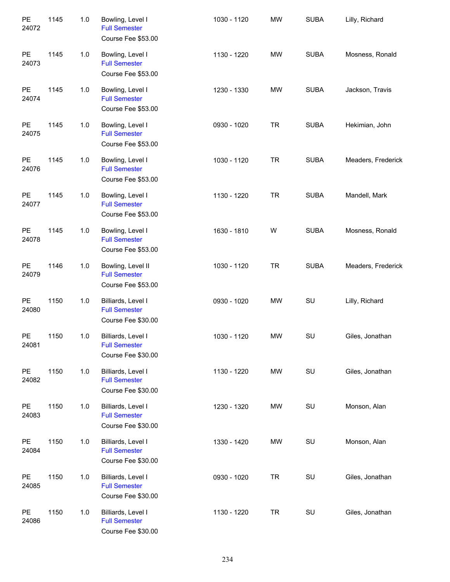| PE<br>24072        | 1145 | $1.0$ | Bowling, Level I<br><b>Full Semester</b><br>Course Fee \$53.00   | 1030 - 1120 | <b>MW</b> | <b>SUBA</b> | Lilly, Richard     |
|--------------------|------|-------|------------------------------------------------------------------|-------------|-----------|-------------|--------------------|
| PE<br>24073        | 1145 | $1.0$ | Bowling, Level I<br><b>Full Semester</b><br>Course Fee \$53.00   | 1130 - 1220 | <b>MW</b> | <b>SUBA</b> | Mosness, Ronald    |
| PE<br>24074        | 1145 | $1.0$ | Bowling, Level I<br><b>Full Semester</b><br>Course Fee \$53.00   | 1230 - 1330 | <b>MW</b> | <b>SUBA</b> | Jackson, Travis    |
| PE<br>24075        | 1145 | $1.0$ | Bowling, Level I<br><b>Full Semester</b><br>Course Fee \$53.00   | 0930 - 1020 | <b>TR</b> | <b>SUBA</b> | Hekimian, John     |
| PE<br>24076        | 1145 | $1.0$ | Bowling, Level I<br><b>Full Semester</b><br>Course Fee \$53.00   | 1030 - 1120 | <b>TR</b> | <b>SUBA</b> | Meaders, Frederick |
| PE<br>24077        | 1145 | $1.0$ | Bowling, Level I<br><b>Full Semester</b><br>Course Fee \$53.00   | 1130 - 1220 | <b>TR</b> | <b>SUBA</b> | Mandell, Mark      |
| PE<br>24078        | 1145 | 1.0   | Bowling, Level I<br><b>Full Semester</b><br>Course Fee \$53.00   | 1630 - 1810 | W         | <b>SUBA</b> | Mosness, Ronald    |
| PE<br>24079        | 1146 | $1.0$ | Bowling, Level II<br><b>Full Semester</b><br>Course Fee \$53.00  | 1030 - 1120 | <b>TR</b> | <b>SUBA</b> | Meaders, Frederick |
| PE<br>24080        | 1150 | 1.0   | Billiards, Level I<br><b>Full Semester</b><br>Course Fee \$30.00 | 0930 - 1020 | <b>MW</b> | SU          | Lilly, Richard     |
| <b>PE</b><br>24081 | 1150 | 1.0   | Billiards, Level I<br><b>Full Semester</b><br>Course Fee \$30.00 | 1030 - 1120 | <b>MW</b> | SU          | Giles, Jonathan    |
| PE<br>24082        | 1150 | $1.0$ | Billiards, Level I<br><b>Full Semester</b><br>Course Fee \$30.00 | 1130 - 1220 | <b>MW</b> | SU          | Giles, Jonathan    |
| PE<br>24083        | 1150 | 1.0   | Billiards, Level I<br><b>Full Semester</b><br>Course Fee \$30.00 | 1230 - 1320 | MW        | SU          | Monson, Alan       |
| PE<br>24084        | 1150 | 1.0   | Billiards, Level I<br><b>Full Semester</b><br>Course Fee \$30.00 | 1330 - 1420 | MW        | SU          | Monson, Alan       |
| PE<br>24085        | 1150 | 1.0   | Billiards, Level I<br><b>Full Semester</b><br>Course Fee \$30.00 | 0930 - 1020 | <b>TR</b> | SU          | Giles, Jonathan    |
| PE<br>24086        | 1150 | 1.0   | Billiards, Level I<br><b>Full Semester</b><br>Course Fee \$30.00 | 1130 - 1220 | <b>TR</b> | SU          | Giles, Jonathan    |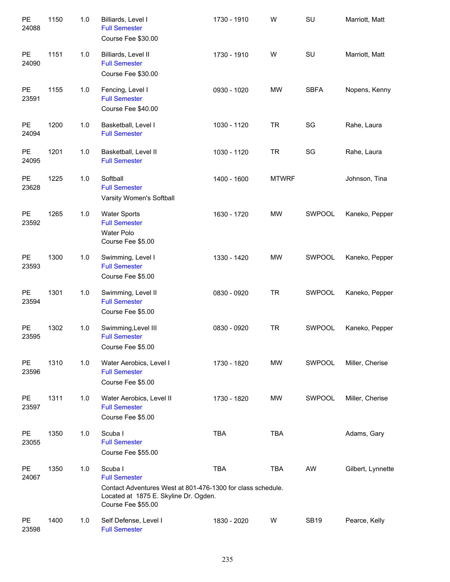| PE<br>24088        | 1150 | 1.0 | Billiards, Level I<br><b>Full Semester</b><br>Course Fee \$30.00                                                                                              | 1730 - 1910 | W            | SU            | Marriott, Matt    |
|--------------------|------|-----|---------------------------------------------------------------------------------------------------------------------------------------------------------------|-------------|--------------|---------------|-------------------|
| PE<br>24090        | 1151 | 1.0 | Billiards, Level II<br><b>Full Semester</b><br>Course Fee \$30.00                                                                                             | 1730 - 1910 | W            | SU            | Marriott, Matt    |
| PE<br>23591        | 1155 | 1.0 | Fencing, Level I<br><b>Full Semester</b><br>Course Fee \$40.00                                                                                                | 0930 - 1020 | <b>MW</b>    | <b>SBFA</b>   | Nopens, Kenny     |
| <b>PE</b><br>24094 | 1200 | 1.0 | Basketball, Level I<br><b>Full Semester</b>                                                                                                                   | 1030 - 1120 | <b>TR</b>    | SG            | Rahe, Laura       |
| PE<br>24095        | 1201 | 1.0 | Basketball, Level II<br><b>Full Semester</b>                                                                                                                  | 1030 - 1120 | <b>TR</b>    | SG            | Rahe, Laura       |
| PE<br>23628        | 1225 | 1.0 | Softball<br><b>Full Semester</b><br>Varsity Women's Softball                                                                                                  | 1400 - 1600 | <b>MTWRF</b> |               | Johnson, Tina     |
| PE<br>23592        | 1265 | 1.0 | <b>Water Sports</b><br><b>Full Semester</b><br>Water Polo<br>Course Fee \$5.00                                                                                | 1630 - 1720 | <b>MW</b>    | SWPOOL        | Kaneko, Pepper    |
| PE<br>23593        | 1300 | 1.0 | Swimming, Level I<br><b>Full Semester</b><br>Course Fee \$5.00                                                                                                | 1330 - 1420 | <b>MW</b>    | SWPOOL        | Kaneko, Pepper    |
| PE<br>23594        | 1301 | 1.0 | Swimming, Level II<br><b>Full Semester</b><br>Course Fee \$5.00                                                                                               | 0830 - 0920 | <b>TR</b>    | SWPOOL        | Kaneko, Pepper    |
| PE<br>23595        | 1302 | 1.0 | Swimming, Level III<br><b>Full Semester</b><br>Course Fee \$5.00                                                                                              | 0830 - 0920 | <b>TR</b>    | <b>SWPOOL</b> | Kaneko, Pepper    |
| <b>PE</b><br>23596 | 1310 | 1.0 | Water Aerobics, Level I<br><b>Full Semester</b><br>Course Fee \$5.00                                                                                          | 1730 - 1820 | <b>MW</b>    | SWPOOL        | Miller, Cherise   |
| PE<br>23597        | 1311 | 1.0 | Water Aerobics, Level II<br><b>Full Semester</b><br>Course Fee \$5.00                                                                                         | 1730 - 1820 | <b>MW</b>    | SWPOOL        | Miller, Cherise   |
| PE<br>23055        | 1350 | 1.0 | Scuba I<br><b>Full Semester</b><br>Course Fee \$55.00                                                                                                         | <b>TBA</b>  | <b>TBA</b>   |               | Adams, Gary       |
| <b>PE</b><br>24067 | 1350 | 1.0 | Scuba I<br><b>Full Semester</b><br>Contact Adventures West at 801-476-1300 for class schedule.<br>Located at 1875 E. Skyline Dr. Ogden.<br>Course Fee \$55.00 | <b>TBA</b>  | <b>TBA</b>   | AW            | Gilbert, Lynnette |
| <b>PE</b><br>23598 | 1400 | 1.0 | Self Defense, Level I<br><b>Full Semester</b>                                                                                                                 | 1830 - 2020 | W            | <b>SB19</b>   | Pearce, Kelly     |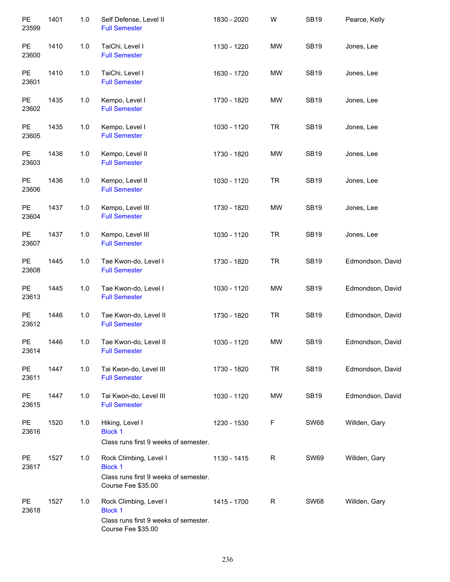| PE<br>23599        | 1401 | $1.0$ | Self Defense, Level II<br><b>Full Semester</b>                                                          | 1830 - 2020 | W         | <b>SB19</b> | Pearce, Kelly    |
|--------------------|------|-------|---------------------------------------------------------------------------------------------------------|-------------|-----------|-------------|------------------|
| PE<br>23600        | 1410 | 1.0   | TaiChi, Level I<br><b>Full Semester</b>                                                                 | 1130 - 1220 | MW        | <b>SB19</b> | Jones, Lee       |
| PE<br>23601        | 1410 | 1.0   | TaiChi, Level I<br><b>Full Semester</b>                                                                 | 1630 - 1720 | MW        | <b>SB19</b> | Jones, Lee       |
| PE<br>23602        | 1435 | 1.0   | Kempo, Level I<br><b>Full Semester</b>                                                                  | 1730 - 1820 | MW        | <b>SB19</b> | Jones, Lee       |
| PE<br>23605        | 1435 | $1.0$ | Kempo, Level I<br><b>Full Semester</b>                                                                  | 1030 - 1120 | <b>TR</b> | <b>SB19</b> | Jones, Lee       |
| <b>PE</b><br>23603 | 1436 | 1.0   | Kempo, Level II<br><b>Full Semester</b>                                                                 | 1730 - 1820 | MW        | <b>SB19</b> | Jones, Lee       |
| PE<br>23606        | 1436 | $1.0$ | Kempo, Level II<br><b>Full Semester</b>                                                                 | 1030 - 1120 | <b>TR</b> | <b>SB19</b> | Jones, Lee       |
| PE<br>23604        | 1437 | 1.0   | Kempo, Level III<br><b>Full Semester</b>                                                                | 1730 - 1820 | MW        | <b>SB19</b> | Jones, Lee       |
| PE<br>23607        | 1437 | 1.0   | Kempo, Level III<br><b>Full Semester</b>                                                                | 1030 - 1120 | <b>TR</b> | <b>SB19</b> | Jones, Lee       |
| PE<br>23608        | 1445 | 1.0   | Tae Kwon-do, Level I<br><b>Full Semester</b>                                                            | 1730 - 1820 | <b>TR</b> | <b>SB19</b> | Edmondson, David |
| PE<br>23613        | 1445 | $1.0$ | Tae Kwon-do, Level I<br><b>Full Semester</b>                                                            | 1030 - 1120 | MW        | <b>SB19</b> | Edmondson, David |
| PE<br>23612        | 1446 | 1.0   | Tae Kwon-do, Level II<br><b>Full Semester</b>                                                           | 1730 - 1820 | <b>TR</b> | <b>SB19</b> | Edmondson, David |
| PE<br>23614        | 1446 | $1.0$ | Tae Kwon-do, Level II<br><b>Full Semester</b>                                                           | 1030 - 1120 | MW        | <b>SB19</b> | Edmondson, David |
| PE<br>23611        | 1447 | 1.0   | Tai Kwon-do, Level III<br><b>Full Semester</b>                                                          | 1730 - 1820 | <b>TR</b> | <b>SB19</b> | Edmondson, David |
| PE<br>23615        | 1447 | 1.0   | Tai Kwon-do, Level III<br><b>Full Semester</b>                                                          | 1030 - 1120 | MW        | <b>SB19</b> | Edmondson, David |
| PE<br>23616        | 1520 | 1.0   | Hiking, Level I<br><b>Block 1</b><br>Class runs first 9 weeks of semester.                              | 1230 - 1530 | F         | <b>SW68</b> | Willden, Gary    |
| PE<br>23617        | 1527 | 1.0   | Rock Climbing, Level I<br><b>Block 1</b><br>Class runs first 9 weeks of semester.<br>Course Fee \$35.00 | 1130 - 1415 | R         | <b>SW69</b> | Willden, Gary    |
| PE<br>23618        | 1527 | 1.0   | Rock Climbing, Level I<br><b>Block 1</b><br>Class runs first 9 weeks of semester.<br>Course Fee \$35.00 | 1415 - 1700 | R         | <b>SW68</b> | Willden, Gary    |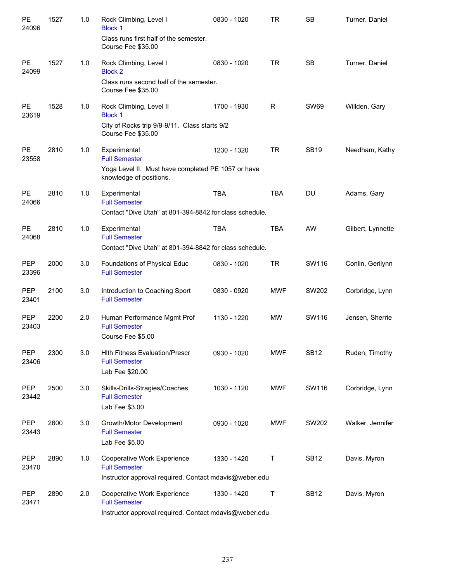| PE<br>24096         | 1527 | 1.0 | Rock Climbing, Level I<br><b>Block 1</b><br>Class runs first half of the semester.<br>Course Fee \$35.00              | 0830 - 1020 | <b>TR</b>  | <b>SB</b>   | Turner, Daniel    |
|---------------------|------|-----|-----------------------------------------------------------------------------------------------------------------------|-------------|------------|-------------|-------------------|
| <b>PE</b><br>24099  | 1527 | 1.0 | Rock Climbing, Level I<br><b>Block 2</b><br>Class runs second half of the semester.<br>Course Fee \$35.00             | 0830 - 1020 | <b>TR</b>  | <b>SB</b>   | Turner, Daniel    |
| <b>PE</b><br>23619  | 1528 | 1.0 | Rock Climbing, Level II<br><b>Block 1</b><br>City of Rocks trip 9/9-9/11. Class starts 9/2<br>Course Fee \$35.00      | 1700 - 1930 | R          | <b>SW69</b> | Willden, Gary     |
| <b>PE</b><br>23558  | 2810 | 1.0 | Experimental<br><b>Full Semester</b><br>Yoga Level II. Must have completed PE 1057 or have<br>knowledge of positions. | 1230 - 1320 | <b>TR</b>  | <b>SB19</b> | Needham, Kathy    |
| PE<br>24066         | 2810 | 1.0 | Experimental<br><b>Full Semester</b><br>Contact "Dive Utah" at 801-394-8842 for class schedule.                       | <b>TBA</b>  | <b>TBA</b> | <b>DU</b>   | Adams, Gary       |
| PE<br>24068         | 2810 | 1.0 | Experimental<br><b>Full Semester</b><br>Contact "Dive Utah" at 801-394-8842 for class schedule.                       | <b>TBA</b>  | <b>TBA</b> | AW          | Gilbert, Lynnette |
| <b>PEP</b><br>23396 | 2000 | 3.0 | Foundations of Physical Educ<br><b>Full Semester</b>                                                                  | 0830 - 1020 | <b>TR</b>  | SW116       | Conlin, Gerilynn  |
| <b>PEP</b><br>23401 | 2100 | 3.0 | Introduction to Coaching Sport<br><b>Full Semester</b>                                                                | 0830 - 0920 | <b>MWF</b> | SW202       | Corbridge, Lynn   |
| <b>PEP</b><br>23403 | 2200 | 2.0 | Human Performance Mgmt Prof<br><b>Full Semester</b><br>Course Fee \$5.00                                              | 1130 - 1220 | <b>MW</b>  | SW116       | Jensen, Sherrie   |
| <b>PEP</b><br>23406 | 2300 | 3.0 | <b>Hith Fitness Evaluation/Prescr</b><br><b>Full Semester</b><br>Lab Fee \$20.00                                      | 0930 - 1020 | <b>MWF</b> | <b>SB12</b> | Ruden, Timothy    |
| PEP<br>23442        | 2500 | 3.0 | Skills-Drills-Stragies/Coaches<br><b>Full Semester</b><br>Lab Fee \$3.00                                              | 1030 - 1120 | <b>MWF</b> | SW116       | Corbridge, Lynn   |
| <b>PEP</b><br>23443 | 2600 | 3.0 | Growth/Motor Development<br><b>Full Semester</b><br>Lab Fee \$5.00                                                    | 0930 - 1020 | <b>MWF</b> | SW202       | Walker, Jennifer  |
| PEP<br>23470        | 2890 | 1.0 | Cooperative Work Experience<br><b>Full Semester</b><br>Instructor approval required. Contact mdavis@weber.edu         | 1330 - 1420 | T          | <b>SB12</b> | Davis, Myron      |
| PEP<br>23471        | 2890 | 2.0 | Cooperative Work Experience<br><b>Full Semester</b><br>Instructor approval required. Contact mdavis@weber.edu         | 1330 - 1420 | Τ          | <b>SB12</b> | Davis, Myron      |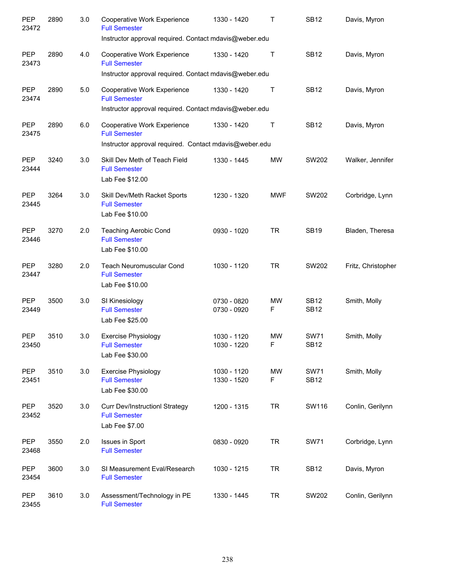| PEP<br>23472        | 2890 | 3.0 | Cooperative Work Experience<br><b>Full Semester</b><br>Instructor approval required. Contact mdavis@weber.edu | 1330 - 1420                | Τ              | <b>SB12</b>                | Davis, Myron       |
|---------------------|------|-----|---------------------------------------------------------------------------------------------------------------|----------------------------|----------------|----------------------------|--------------------|
| <b>PEP</b><br>23473 | 2890 | 4.0 | Cooperative Work Experience<br><b>Full Semester</b><br>Instructor approval required. Contact mdavis@weber.edu | 1330 - 1420                | $\top$         | <b>SB12</b>                | Davis, Myron       |
| PEP<br>23474        | 2890 | 5.0 | Cooperative Work Experience<br><b>Full Semester</b><br>Instructor approval required. Contact mdavis@weber.edu | 1330 - 1420                | Τ              | <b>SB12</b>                | Davis, Myron       |
| <b>PEP</b><br>23475 | 2890 | 6.0 | Cooperative Work Experience<br><b>Full Semester</b><br>Instructor approval required. Contact mdavis@weber.edu | 1330 - 1420                | $\top$         | <b>SB12</b>                | Davis, Myron       |
| PEP<br>23444        | 3240 | 3.0 | Skill Dev Meth of Teach Field<br><b>Full Semester</b><br>Lab Fee \$12.00                                      | 1330 - 1445                | <b>MW</b>      | SW202                      | Walker, Jennifer   |
| <b>PEP</b><br>23445 | 3264 | 3.0 | Skill Dev/Meth Racket Sports<br><b>Full Semester</b><br>Lab Fee \$10.00                                       | 1230 - 1320                | <b>MWF</b>     | SW202                      | Corbridge, Lynn    |
| <b>PEP</b><br>23446 | 3270 | 2.0 | <b>Teaching Aerobic Cond</b><br><b>Full Semester</b><br>Lab Fee \$10.00                                       | 0930 - 1020                | <b>TR</b>      | <b>SB19</b>                | Bladen, Theresa    |
| <b>PEP</b><br>23447 | 3280 | 2.0 | <b>Teach Neuromuscular Cond</b><br><b>Full Semester</b><br>Lab Fee \$10.00                                    | 1030 - 1120                | <b>TR</b>      | SW202                      | Fritz, Christopher |
| <b>PEP</b><br>23449 | 3500 | 3.0 | SI Kinesiology<br><b>Full Semester</b><br>Lab Fee \$25.00                                                     | 0730 - 0820<br>0730 - 0920 | <b>MW</b><br>F | <b>SB12</b><br><b>SB12</b> | Smith, Molly       |
| <b>PEP</b><br>23450 | 3510 | 3.0 | <b>Exercise Physiology</b><br><b>Full Semester</b><br>Lab Fee \$30.00                                         | 1030 - 1120<br>1030 - 1220 | <b>MW</b><br>F | <b>SW71</b><br><b>SB12</b> | Smith, Molly       |
| PEP<br>23451        | 3510 | 3.0 | <b>Exercise Physiology</b><br><b>Full Semester</b><br>Lab Fee \$30.00                                         | 1030 - 1120<br>1330 - 1520 | MW<br>F        | <b>SW71</b><br><b>SB12</b> | Smith, Molly       |
| PEP<br>23452        | 3520 | 3.0 | <b>Curr Dev/InstructionI Strategy</b><br><b>Full Semester</b><br>Lab Fee \$7.00                               | 1200 - 1315                | <b>TR</b>      | SW116                      | Conlin, Gerilynn   |
| PEP<br>23468        | 3550 | 2.0 | Issues in Sport<br><b>Full Semester</b>                                                                       | 0830 - 0920                | <b>TR</b>      | <b>SW71</b>                | Corbridge, Lynn    |
| PEP<br>23454        | 3600 | 3.0 | SI Measurement Eval/Research<br><b>Full Semester</b>                                                          | 1030 - 1215                | <b>TR</b>      | <b>SB12</b>                | Davis, Myron       |
| PEP<br>23455        | 3610 | 3.0 | Assessment/Technology in PE<br><b>Full Semester</b>                                                           | 1330 - 1445                | <b>TR</b>      | SW202                      | Conlin, Gerilynn   |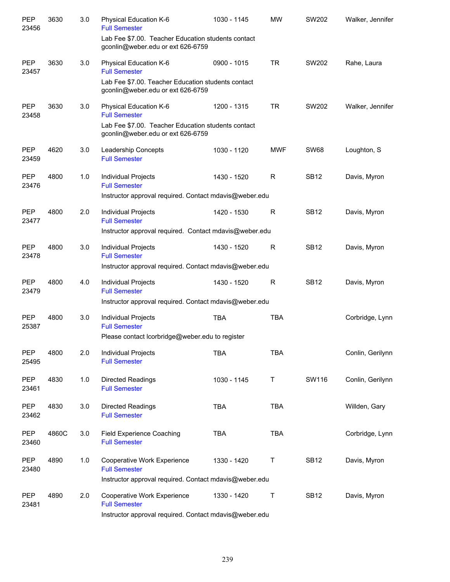| PEP<br>23456        | 3630  | 3.0 | Physical Education K-6<br><b>Full Semester</b>                                                       | 1030 - 1145 | <b>MW</b>    | SW202       | Walker, Jennifer |
|---------------------|-------|-----|------------------------------------------------------------------------------------------------------|-------------|--------------|-------------|------------------|
|                     |       |     | Lab Fee \$7.00. Teacher Education students contact<br>gconlin@weber.edu or ext 626-6759              |             |              |             |                  |
| <b>PEP</b><br>23457 | 3630  | 3.0 | Physical Education K-6<br><b>Full Semester</b>                                                       | 0900 - 1015 | <b>TR</b>    | SW202       | Rahe, Laura      |
|                     |       |     | Lab Fee \$7.00. Teacher Education students contact<br>gconlin@weber.edu or ext 626-6759              |             |              |             |                  |
| <b>PEP</b><br>23458 | 3630  | 3.0 | Physical Education K-6<br><b>Full Semester</b><br>Lab Fee \$7.00. Teacher Education students contact | 1200 - 1315 | <b>TR</b>    | SW202       | Walker, Jennifer |
|                     |       |     | gconlin@weber.edu or ext 626-6759                                                                    |             |              |             |                  |
| <b>PEP</b><br>23459 | 4620  | 3.0 | Leadership Concepts<br><b>Full Semester</b>                                                          | 1030 - 1120 | <b>MWF</b>   | <b>SW68</b> | Loughton, S      |
| <b>PEP</b><br>23476 | 4800  | 1.0 | Individual Projects<br><b>Full Semester</b>                                                          | 1430 - 1520 | R            | <b>SB12</b> | Davis, Myron     |
|                     |       |     | Instructor approval required. Contact mdavis@weber.edu                                               |             |              |             |                  |
| <b>PEP</b><br>23477 | 4800  | 2.0 | Individual Projects<br><b>Full Semester</b>                                                          | 1420 - 1530 | R            | <b>SB12</b> | Davis, Myron     |
|                     |       |     | Instructor approval required. Contact mdavis@weber.edu                                               |             |              |             |                  |
| <b>PEP</b><br>23478 | 4800  | 3.0 | Individual Projects<br><b>Full Semester</b>                                                          | 1430 - 1520 | R            | <b>SB12</b> | Davis, Myron     |
|                     |       |     | Instructor approval required. Contact mdavis@weber.edu                                               |             |              |             |                  |
| <b>PEP</b><br>23479 | 4800  | 4.0 | Individual Projects<br><b>Full Semester</b>                                                          | 1430 - 1520 | $\mathsf{R}$ | <b>SB12</b> | Davis, Myron     |
|                     |       |     | Instructor approval required. Contact mdavis@weber.edu                                               |             |              |             |                  |
| PEP<br>25387        | 4800  | 3.0 | Individual Projects<br><b>Full Semester</b>                                                          | <b>TBA</b>  | <b>TBA</b>   |             | Corbridge, Lynn  |
|                     |       |     | Please contact lcorbridge@weber.edu to register                                                      |             |              |             |                  |
| PEP<br>25495        | 4800  | 2.0 | Individual Projects<br><b>Full Semester</b>                                                          | <b>TBA</b>  | <b>TBA</b>   |             | Conlin, Gerilynn |
| PEP<br>23461        | 4830  | 1.0 | Directed Readings<br><b>Full Semester</b>                                                            | 1030 - 1145 | Τ            | SW116       | Conlin, Gerilynn |
| PEP<br>23462        | 4830  | 3.0 | Directed Readings<br><b>Full Semester</b>                                                            | <b>TBA</b>  | <b>TBA</b>   |             | Willden, Gary    |
| PEP<br>23460        | 4860C | 3.0 | <b>Field Experience Coaching</b><br><b>Full Semester</b>                                             | <b>TBA</b>  | <b>TBA</b>   |             | Corbridge, Lynn  |
| PEP<br>23480        | 4890  | 1.0 | Cooperative Work Experience<br><b>Full Semester</b>                                                  | 1330 - 1420 | T            | <b>SB12</b> | Davis, Myron     |
|                     |       |     | Instructor approval required. Contact mdavis@weber.edu                                               |             |              |             |                  |
| <b>PEP</b><br>23481 | 4890  | 2.0 | Cooperative Work Experience<br><b>Full Semester</b>                                                  | 1330 - 1420 | $\mathsf T$  | <b>SB12</b> | Davis, Myron     |
|                     |       |     | Instructor approval required. Contact mdavis@weber.edu                                               |             |              |             |                  |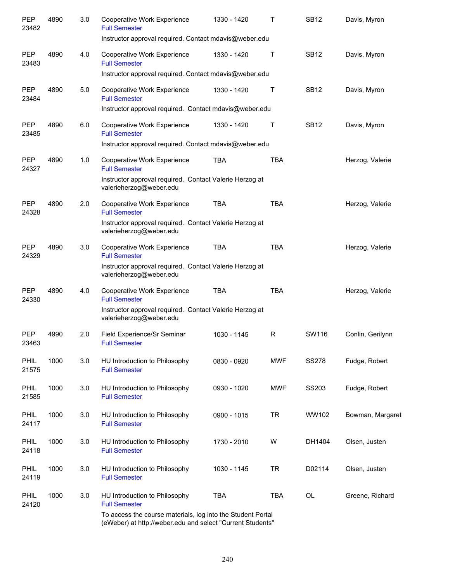| PEP<br>23482         | 4890 | 3.0 | Cooperative Work Experience<br><b>Full Semester</b><br>Instructor approval required. Contact mdavis@weber.edu | 1330 - 1420 | т          | <b>SB12</b>  | Davis, Myron     |
|----------------------|------|-----|---------------------------------------------------------------------------------------------------------------|-------------|------------|--------------|------------------|
| <b>PEP</b><br>23483  | 4890 | 4.0 | Cooperative Work Experience<br><b>Full Semester</b>                                                           | 1330 - 1420 | Т          | <b>SB12</b>  | Davis, Myron     |
|                      |      |     | Instructor approval required. Contact mdavis@weber.edu                                                        |             |            |              |                  |
| PEP<br>23484         | 4890 | 5.0 | Cooperative Work Experience<br><b>Full Semester</b>                                                           | 1330 - 1420 | Т          | <b>SB12</b>  | Davis, Myron     |
|                      |      |     | Instructor approval required. Contact mdavis@weber.edu                                                        |             |            |              |                  |
| <b>PEP</b><br>23485  | 4890 | 6.0 | Cooperative Work Experience<br><b>Full Semester</b>                                                           | 1330 - 1420 | Т          | <b>SB12</b>  | Davis, Myron     |
|                      |      |     | Instructor approval required. Contact mdavis@weber.edu                                                        |             |            |              |                  |
| <b>PEP</b><br>24327  | 4890 | 1.0 | Cooperative Work Experience<br><b>Full Semester</b>                                                           | <b>TBA</b>  | <b>TBA</b> |              | Herzog, Valerie  |
|                      |      |     | Instructor approval required. Contact Valerie Herzog at<br>valerieherzog@weber.edu                            |             |            |              |                  |
| <b>PEP</b><br>24328  | 4890 | 2.0 | Cooperative Work Experience<br><b>Full Semester</b>                                                           | <b>TBA</b>  | <b>TBA</b> |              | Herzog, Valerie  |
|                      |      |     | Instructor approval required. Contact Valerie Herzog at<br>valerieherzog@weber.edu                            |             |            |              |                  |
| <b>PEP</b><br>24329  | 4890 | 3.0 | Cooperative Work Experience<br><b>Full Semester</b>                                                           | <b>TBA</b>  | <b>TBA</b> |              | Herzog, Valerie  |
|                      |      |     | Instructor approval required. Contact Valerie Herzog at<br>valerieherzog@weber.edu                            |             |            |              |                  |
| <b>PEP</b><br>24330  | 4890 | 4.0 | Cooperative Work Experience<br><b>Full Semester</b>                                                           | <b>TBA</b>  | <b>TBA</b> |              | Herzog, Valerie  |
|                      |      |     | Instructor approval required. Contact Valerie Herzog at<br>valerieherzog@weber.edu                            |             |            |              |                  |
| <b>PEP</b><br>23463  | 4990 | 2.0 | Field Experience/Sr Seminar<br><b>Full Semester</b>                                                           | 1030 - 1145 | R          | SW116        | Conlin, Gerilynn |
| <b>PHIL</b><br>21575 | 1000 | 3.0 | HU Introduction to Philosophy<br><b>Full Semester</b>                                                         | 0830 - 0920 | <b>MWF</b> | <b>SS278</b> | Fudge, Robert    |
| PHIL<br>21585        | 1000 | 3.0 | HU Introduction to Philosophy<br><b>Full Semester</b>                                                         | 0930 - 1020 | <b>MWF</b> | SS203        | Fudge, Robert    |
| <b>PHIL</b><br>24117 | 1000 | 3.0 | HU Introduction to Philosophy<br><b>Full Semester</b>                                                         | 0900 - 1015 | <b>TR</b>  | WW102        | Bowman, Margaret |
| PHIL<br>24118        | 1000 | 3.0 | HU Introduction to Philosophy<br><b>Full Semester</b>                                                         | 1730 - 2010 | W          | DH1404       | Olsen, Justen    |
| <b>PHIL</b><br>24119 | 1000 | 3.0 | HU Introduction to Philosophy<br><b>Full Semester</b>                                                         | 1030 - 1145 | <b>TR</b>  | D02114       | Olsen, Justen    |
| PHIL<br>24120        | 1000 | 3.0 | HU Introduction to Philosophy<br><b>Full Semester</b>                                                         | <b>TBA</b>  | <b>TBA</b> | OL           | Greene, Richard  |
|                      |      |     | To access the course materials, log into the Student Portal                                                   |             |            |              |                  |

(eWeber) at http://weber.edu and select "Current Students"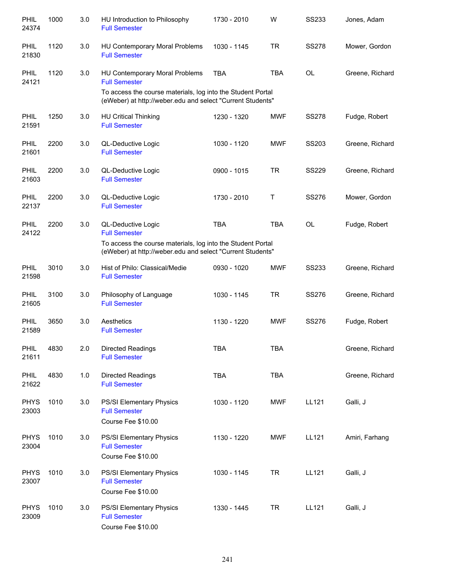| PHIL<br>24374        | 1000 | 3.0 | HU Introduction to Philosophy<br><b>Full Semester</b>                                                                     | 1730 - 2010 | W          | <b>SS233</b> | Jones, Adam     |
|----------------------|------|-----|---------------------------------------------------------------------------------------------------------------------------|-------------|------------|--------------|-----------------|
| PHIL<br>21830        | 1120 | 3.0 | HU Contemporary Moral Problems<br><b>Full Semester</b>                                                                    | 1030 - 1145 | <b>TR</b>  | <b>SS278</b> | Mower, Gordon   |
| <b>PHIL</b><br>24121 | 1120 | 3.0 | HU Contemporary Moral Problems<br><b>Full Semester</b>                                                                    | <b>TBA</b>  | <b>TBA</b> | <b>OL</b>    | Greene, Richard |
|                      |      |     | To access the course materials, log into the Student Portal<br>(eWeber) at http://weber.edu and select "Current Students" |             |            |              |                 |
| PHIL<br>21591        | 1250 | 3.0 | <b>HU Critical Thinking</b><br><b>Full Semester</b>                                                                       | 1230 - 1320 | <b>MWF</b> | <b>SS278</b> | Fudge, Robert   |
| <b>PHIL</b><br>21601 | 2200 | 3.0 | QL-Deductive Logic<br><b>Full Semester</b>                                                                                | 1030 - 1120 | <b>MWF</b> | SS203        | Greene, Richard |
| PHIL<br>21603        | 2200 | 3.0 | QL-Deductive Logic<br><b>Full Semester</b>                                                                                | 0900 - 1015 | <b>TR</b>  | <b>SS229</b> | Greene, Richard |
| PHIL<br>22137        | 2200 | 3.0 | QL-Deductive Logic<br><b>Full Semester</b>                                                                                | 1730 - 2010 | Τ          | <b>SS276</b> | Mower, Gordon   |
| <b>PHIL</b><br>24122 | 2200 | 3.0 | QL-Deductive Logic<br><b>Full Semester</b>                                                                                | <b>TBA</b>  | <b>TBA</b> | OL           | Fudge, Robert   |
|                      |      |     | To access the course materials, log into the Student Portal<br>(eWeber) at http://weber.edu and select "Current Students" |             |            |              |                 |
| <b>PHIL</b><br>21598 | 3010 | 3.0 | Hist of Philo: Classical/Medie<br><b>Full Semester</b>                                                                    | 0930 - 1020 | <b>MWF</b> | <b>SS233</b> | Greene, Richard |
| <b>PHIL</b><br>21605 | 3100 | 3.0 | Philosophy of Language<br><b>Full Semester</b>                                                                            | 1030 - 1145 | <b>TR</b>  | <b>SS276</b> | Greene, Richard |
| PHIL<br>21589        | 3650 | 3.0 | Aesthetics<br><b>Full Semester</b>                                                                                        | 1130 - 1220 | <b>MWF</b> | SS276        | Fudge, Robert   |
| PHIL<br>21611        | 4830 | 2.0 | <b>Directed Readings</b><br><b>Full Semester</b>                                                                          | TBA         | TBA        |              | Greene, Richard |
| PHIL<br>21622        | 4830 | 1.0 | Directed Readings<br><b>Full Semester</b>                                                                                 | <b>TBA</b>  | <b>TBA</b> |              | Greene, Richard |
| <b>PHYS</b><br>23003 | 1010 | 3.0 | PS/SI Elementary Physics<br><b>Full Semester</b><br>Course Fee \$10.00                                                    | 1030 - 1120 | <b>MWF</b> | LL121        | Galli, J        |
| <b>PHYS</b><br>23004 | 1010 | 3.0 | PS/SI Elementary Physics<br><b>Full Semester</b><br>Course Fee \$10.00                                                    | 1130 - 1220 | <b>MWF</b> | LL121        | Amiri, Farhang  |
| <b>PHYS</b><br>23007 | 1010 | 3.0 | PS/SI Elementary Physics<br><b>Full Semester</b><br>Course Fee \$10.00                                                    | 1030 - 1145 | <b>TR</b>  | LL121        | Galli, J        |
| <b>PHYS</b><br>23009 | 1010 | 3.0 | PS/SI Elementary Physics<br><b>Full Semester</b><br>Course Fee \$10.00                                                    | 1330 - 1445 | <b>TR</b>  | LL121        | Galli, J        |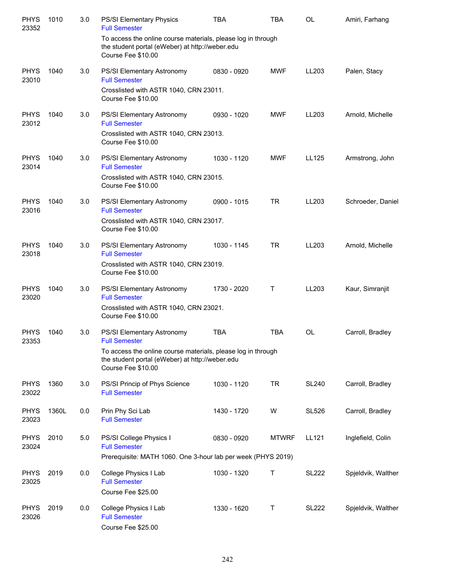| <b>PHYS</b><br>23352 | 1010  | 3.0 | PS/SI Elementary Physics<br><b>Full Semester</b>                                                                                      | <b>TBA</b>  | <b>TBA</b>   | <b>OL</b>    | Amiri, Farhang     |
|----------------------|-------|-----|---------------------------------------------------------------------------------------------------------------------------------------|-------------|--------------|--------------|--------------------|
|                      |       |     | To access the online course materials, please log in through<br>the student portal (eWeber) at http://weber.edu<br>Course Fee \$10.00 |             |              |              |                    |
| <b>PHYS</b><br>23010 | 1040  | 3.0 | PS/SI Elementary Astronomy<br><b>Full Semester</b>                                                                                    | 0830 - 0920 | MWF          | LL203        | Palen, Stacy       |
|                      |       |     | Crosslisted with ASTR 1040, CRN 23011.<br>Course Fee \$10.00                                                                          |             |              |              |                    |
| <b>PHYS</b><br>23012 | 1040  | 3.0 | PS/SI Elementary Astronomy<br><b>Full Semester</b>                                                                                    | 0930 - 1020 | <b>MWF</b>   | LL203        | Arnold, Michelle   |
|                      |       |     | Crosslisted with ASTR 1040, CRN 23013.<br>Course Fee \$10.00                                                                          |             |              |              |                    |
| <b>PHYS</b><br>23014 | 1040  | 3.0 | PS/SI Elementary Astronomy<br><b>Full Semester</b>                                                                                    | 1030 - 1120 | <b>MWF</b>   | LL125        | Armstrong, John    |
|                      |       |     | Crosslisted with ASTR 1040, CRN 23015.<br>Course Fee \$10.00                                                                          |             |              |              |                    |
| <b>PHYS</b><br>23016 | 1040  | 3.0 | PS/SI Elementary Astronomy<br><b>Full Semester</b>                                                                                    | 0900 - 1015 | <b>TR</b>    | LL203        | Schroeder, Daniel  |
|                      |       |     | Crosslisted with ASTR 1040, CRN 23017.<br>Course Fee \$10.00                                                                          |             |              |              |                    |
| <b>PHYS</b><br>23018 | 1040  | 3.0 | PS/SI Elementary Astronomy<br><b>Full Semester</b>                                                                                    | 1030 - 1145 | <b>TR</b>    | LL203        | Arnold, Michelle   |
|                      |       |     | Crosslisted with ASTR 1040, CRN 23019.<br>Course Fee \$10.00                                                                          |             |              |              |                    |
| <b>PHYS</b><br>23020 | 1040  | 3.0 | PS/SI Elementary Astronomy<br><b>Full Semester</b>                                                                                    | 1730 - 2020 | Τ            | LL203        | Kaur, Simranjit    |
|                      |       |     | Crosslisted with ASTR 1040, CRN 23021.<br>Course Fee \$10.00                                                                          |             |              |              |                    |
| <b>PHYS</b><br>23353 | 1040  | 3.0 | PS/SI Elementary Astronomy<br><b>Full Semester</b>                                                                                    | <b>TBA</b>  | TBA          | <b>OL</b>    | Carroll, Bradley   |
|                      |       |     | To access the online course materials, please log in through<br>the student portal (eWeber) at http://weber.edu<br>Course Fee \$10.00 |             |              |              |                    |
| <b>PHYS</b><br>23022 | 1360  | 3.0 | PS/SI Princip of Phys Science<br><b>Full Semester</b>                                                                                 | 1030 - 1120 | <b>TR</b>    | <b>SL240</b> | Carroll, Bradley   |
| <b>PHYS</b><br>23023 | 1360L | 0.0 | Prin Phy Sci Lab<br><b>Full Semester</b>                                                                                              | 1430 - 1720 | W            | <b>SL526</b> | Carroll, Bradley   |
| <b>PHYS</b><br>23024 | 2010  | 5.0 | PS/SI College Physics I<br><b>Full Semester</b>                                                                                       | 0830 - 0920 | <b>MTWRF</b> | LL121        | Inglefield, Colin  |
|                      |       |     | Prerequisite: MATH 1060. One 3-hour lab per week (PHYS 2019)                                                                          |             |              |              |                    |
| <b>PHYS</b><br>23025 | 2019  | 0.0 | College Physics I Lab<br><b>Full Semester</b>                                                                                         | 1030 - 1320 | Τ            | <b>SL222</b> | Spjeldvik, Walther |
|                      |       |     | Course Fee \$25.00                                                                                                                    |             |              |              |                    |
| <b>PHYS</b><br>23026 | 2019  | 0.0 | College Physics I Lab<br><b>Full Semester</b><br>Course Fee \$25.00                                                                   | 1330 - 1620 | Τ            | <b>SL222</b> | Spjeldvik, Walther |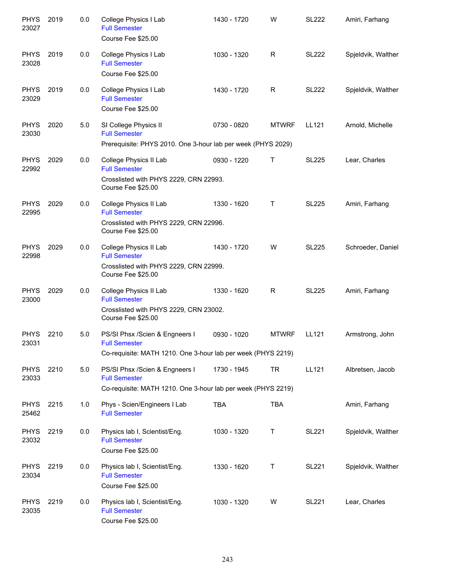| <b>PHYS</b><br>23027 | 2019 | 0.0 | College Physics I Lab<br><b>Full Semester</b><br>Course Fee \$25.00                                                    | 1430 - 1720 | W            | <b>SL222</b> | Amiri, Farhang     |
|----------------------|------|-----|------------------------------------------------------------------------------------------------------------------------|-------------|--------------|--------------|--------------------|
| <b>PHYS</b><br>23028 | 2019 | 0.0 | College Physics I Lab<br><b>Full Semester</b><br>Course Fee \$25.00                                                    | 1030 - 1320 | R            | <b>SL222</b> | Spjeldvik, Walther |
| <b>PHYS</b><br>23029 | 2019 | 0.0 | College Physics I Lab<br><b>Full Semester</b><br>Course Fee \$25.00                                                    | 1430 - 1720 | R            | <b>SL222</b> | Spjeldvik, Walther |
| <b>PHYS</b><br>23030 | 2020 | 5.0 | SI College Physics II<br><b>Full Semester</b><br>Prerequisite: PHYS 2010. One 3-hour lab per week (PHYS 2029)          | 0730 - 0820 | <b>MTWRF</b> | LL121        | Arnold, Michelle   |
| <b>PHYS</b><br>22992 | 2029 | 0.0 | College Physics II Lab<br><b>Full Semester</b><br>Crosslisted with PHYS 2229, CRN 22993.<br>Course Fee \$25.00         | 0930 - 1220 | Т            | <b>SL225</b> | Lear, Charles      |
| <b>PHYS</b><br>22995 | 2029 | 0.0 | College Physics II Lab<br><b>Full Semester</b><br>Crosslisted with PHYS 2229, CRN 22996.<br>Course Fee \$25.00         | 1330 - 1620 | т            | <b>SL225</b> | Amiri, Farhang     |
| <b>PHYS</b><br>22998 | 2029 | 0.0 | College Physics II Lab<br><b>Full Semester</b><br>Crosslisted with PHYS 2229, CRN 22999.<br>Course Fee \$25.00         | 1430 - 1720 | W            | <b>SL225</b> | Schroeder, Daniel  |
| <b>PHYS</b><br>23000 | 2029 | 0.0 | College Physics II Lab<br><b>Full Semester</b><br>Crosslisted with PHYS 2229, CRN 23002.<br>Course Fee \$25.00         | 1330 - 1620 | R            | <b>SL225</b> | Amiri, Farhang     |
| <b>PHYS</b><br>23031 | 2210 | 5.0 | PS/SI Phsx /Scien & Engneers I<br><b>Full Semester</b><br>Co-requisite: MATH 1210. One 3-hour lab per week (PHYS 2219) | 0930 - 1020 | <b>MTWRF</b> | LL121        | Armstrong, John    |
| <b>PHYS</b><br>23033 | 2210 | 5.0 | PS/SI Phsx /Scien & Engneers I<br><b>Full Semester</b><br>Co-requisite: MATH 1210. One 3-hour lab per week (PHYS 2219) | 1730 - 1945 | <b>TR</b>    | LL121        | Albretsen, Jacob   |
| <b>PHYS</b><br>25462 | 2215 | 1.0 | Phys - Scien/Engineers I Lab<br><b>Full Semester</b>                                                                   | <b>TBA</b>  | <b>TBA</b>   |              | Amiri, Farhang     |
| <b>PHYS</b><br>23032 | 2219 | 0.0 | Physics lab I, Scientist/Eng.<br><b>Full Semester</b><br>Course Fee \$25.00                                            | 1030 - 1320 | Т            | <b>SL221</b> | Spjeldvik, Walther |
| <b>PHYS</b><br>23034 | 2219 | 0.0 | Physics lab I, Scientist/Eng.<br><b>Full Semester</b><br>Course Fee \$25.00                                            | 1330 - 1620 | Т            | <b>SL221</b> | Spjeldvik, Walther |
| <b>PHYS</b><br>23035 | 2219 | 0.0 | Physics lab I, Scientist/Eng.<br><b>Full Semester</b><br>Course Fee \$25.00                                            | 1030 - 1320 | W            | <b>SL221</b> | Lear, Charles      |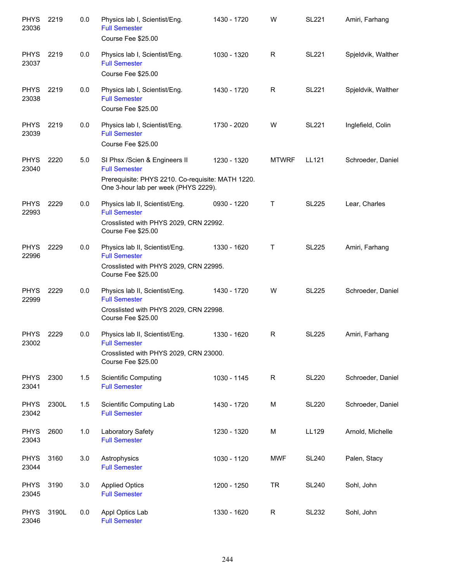| <b>PHYS</b><br>23036 | 2219  | 0.0 | Physics lab I, Scientist/Eng.<br><b>Full Semester</b><br>Course Fee \$25.00                                                                        | 1430 - 1720 | W            | <b>SL221</b> | Amiri, Farhang     |
|----------------------|-------|-----|----------------------------------------------------------------------------------------------------------------------------------------------------|-------------|--------------|--------------|--------------------|
| <b>PHYS</b><br>23037 | 2219  | 0.0 | Physics lab I, Scientist/Eng.<br><b>Full Semester</b><br>Course Fee \$25.00                                                                        | 1030 - 1320 | R            | <b>SL221</b> | Spjeldvik, Walther |
| <b>PHYS</b><br>23038 | 2219  | 0.0 | Physics lab I, Scientist/Eng.<br><b>Full Semester</b><br>Course Fee \$25.00                                                                        | 1430 - 1720 | R            | <b>SL221</b> | Spjeldvik, Walther |
| <b>PHYS</b><br>23039 | 2219  | 0.0 | Physics lab I, Scientist/Eng.<br><b>Full Semester</b><br>Course Fee \$25.00                                                                        | 1730 - 2020 | W            | <b>SL221</b> | Inglefield, Colin  |
| <b>PHYS</b><br>23040 | 2220  | 5.0 | SI Phsx /Scien & Engineers II<br><b>Full Semester</b><br>Prerequisite: PHYS 2210. Co-requisite: MATH 1220.<br>One 3-hour lab per week (PHYS 2229). | 1230 - 1320 | <b>MTWRF</b> | LL121        | Schroeder, Daniel  |
| <b>PHYS</b><br>22993 | 2229  | 0.0 | Physics lab II, Scientist/Eng.<br><b>Full Semester</b><br>Crosslisted with PHYS 2029, CRN 22992.<br>Course Fee \$25.00                             | 0930 - 1220 | T            | <b>SL225</b> | Lear, Charles      |
| <b>PHYS</b><br>22996 | 2229  | 0.0 | Physics lab II, Scientist/Eng.<br><b>Full Semester</b><br>Crosslisted with PHYS 2029, CRN 22995.<br>Course Fee \$25.00                             | 1330 - 1620 | Т            | <b>SL225</b> | Amiri, Farhang     |
| <b>PHYS</b><br>22999 | 2229  | 0.0 | Physics lab II, Scientist/Eng.<br><b>Full Semester</b><br>Crosslisted with PHYS 2029, CRN 22998.<br>Course Fee \$25.00                             | 1430 - 1720 | W            | <b>SL225</b> | Schroeder, Daniel  |
| <b>PHYS</b><br>23002 | 2229  | 0.0 | Physics lab II, Scientist/Eng.<br><b>Full Semester</b><br>Crosslisted with PHYS 2029, CRN 23000.<br>Course Fee \$25.00                             | 1330 - 1620 | R            | <b>SL225</b> | Amiri, Farhang     |
| <b>PHYS</b><br>23041 | 2300  | 1.5 | <b>Scientific Computing</b><br><b>Full Semester</b>                                                                                                | 1030 - 1145 | $\mathsf{R}$ | <b>SL220</b> | Schroeder, Daniel  |
| <b>PHYS</b><br>23042 | 2300L | 1.5 | Scientific Computing Lab<br><b>Full Semester</b>                                                                                                   | 1430 - 1720 | M            | <b>SL220</b> | Schroeder, Daniel  |
| <b>PHYS</b><br>23043 | 2600  | 1.0 | Laboratory Safety<br><b>Full Semester</b>                                                                                                          | 1230 - 1320 | M            | LL129        | Arnold, Michelle   |
| <b>PHYS</b><br>23044 | 3160  | 3.0 | Astrophysics<br><b>Full Semester</b>                                                                                                               | 1030 - 1120 | <b>MWF</b>   | <b>SL240</b> | Palen, Stacy       |
| <b>PHYS</b><br>23045 | 3190  | 3.0 | <b>Applied Optics</b><br><b>Full Semester</b>                                                                                                      | 1200 - 1250 | <b>TR</b>    | <b>SL240</b> | Sohl, John         |
| <b>PHYS</b><br>23046 | 3190L | 0.0 | Appl Optics Lab<br><b>Full Semester</b>                                                                                                            | 1330 - 1620 | $\mathsf{R}$ | <b>SL232</b> | Sohl, John         |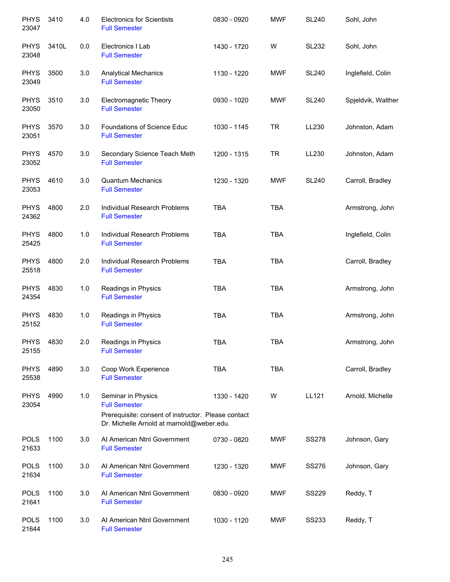| <b>PHYS</b><br>23047 | 3410  | 4.0 | <b>Electronics for Scientists</b><br><b>Full Semester</b>                                         | 0830 - 0920 | <b>MWF</b> | <b>SL240</b> | Sohl, John         |
|----------------------|-------|-----|---------------------------------------------------------------------------------------------------|-------------|------------|--------------|--------------------|
| <b>PHYS</b><br>23048 | 3410L | 0.0 | Electronics I Lab<br><b>Full Semester</b>                                                         | 1430 - 1720 | W          | <b>SL232</b> | Sohl, John         |
| <b>PHYS</b><br>23049 | 3500  | 3.0 | <b>Analytical Mechanics</b><br><b>Full Semester</b>                                               | 1130 - 1220 | <b>MWF</b> | <b>SL240</b> | Inglefield, Colin  |
| <b>PHYS</b><br>23050 | 3510  | 3.0 | Electromagnetic Theory<br><b>Full Semester</b>                                                    | 0930 - 1020 | <b>MWF</b> | <b>SL240</b> | Spjeldvik, Walther |
| <b>PHYS</b><br>23051 | 3570  | 3.0 | Foundations of Science Educ<br><b>Full Semester</b>                                               | 1030 - 1145 | <b>TR</b>  | LL230        | Johnston, Adam     |
| <b>PHYS</b><br>23052 | 4570  | 3.0 | Secondary Science Teach Meth<br><b>Full Semester</b>                                              | 1200 - 1315 | <b>TR</b>  | LL230        | Johnston, Adam     |
| <b>PHYS</b><br>23053 | 4610  | 3.0 | <b>Quantum Mechanics</b><br><b>Full Semester</b>                                                  | 1230 - 1320 | <b>MWF</b> | <b>SL240</b> | Carroll, Bradley   |
| <b>PHYS</b><br>24362 | 4800  | 2.0 | Individual Research Problems<br><b>Full Semester</b>                                              | <b>TBA</b>  | <b>TBA</b> |              | Armstrong, John    |
| <b>PHYS</b><br>25425 | 4800  | 1.0 | Individual Research Problems<br><b>Full Semester</b>                                              | <b>TBA</b>  | <b>TBA</b> |              | Inglefield, Colin  |
| <b>PHYS</b><br>25518 | 4800  | 2.0 | Individual Research Problems<br><b>Full Semester</b>                                              | <b>TBA</b>  | <b>TBA</b> |              | Carroll, Bradley   |
| <b>PHYS</b><br>24354 | 4830  | 1.0 | Readings in Physics<br><b>Full Semester</b>                                                       | <b>TBA</b>  | <b>TBA</b> |              | Armstrong, John    |
| <b>PHYS</b><br>25152 | 4830  | 1.0 | Readings in Physics<br><b>Full Semester</b>                                                       | <b>TBA</b>  | <b>TBA</b> |              | Armstrong, John    |
| <b>PHYS</b><br>25155 | 4830  | 2.0 | Readings in Physics<br><b>Full Semester</b>                                                       | <b>TBA</b>  | <b>TBA</b> |              | Armstrong, John    |
| <b>PHYS</b><br>25538 | 4890  | 3.0 | Coop Work Experience<br><b>Full Semester</b>                                                      | <b>TBA</b>  | <b>TBA</b> |              | Carroll, Bradley   |
| <b>PHYS</b><br>23054 | 4990  | 1.0 | Seminar in Physics<br><b>Full Semester</b><br>Prerequisite: consent of instructor. Please contact | 1330 - 1420 | W          | LL121        | Arnold, Michelle   |
|                      |       |     | Dr. Michelle Arnold at marnold@weber.edu.                                                         |             |            |              |                    |
| <b>POLS</b><br>21633 | 1100  | 3.0 | Al American Ntnl Government<br><b>Full Semester</b>                                               | 0730 - 0820 | <b>MWF</b> | <b>SS278</b> | Johnson, Gary      |
| <b>POLS</b><br>21634 | 1100  | 3.0 | Al American Ntnl Government<br><b>Full Semester</b>                                               | 1230 - 1320 | MWF        | SS276        | Johnson, Gary      |
| <b>POLS</b><br>21641 | 1100  | 3.0 | Al American Ntnl Government<br><b>Full Semester</b>                                               | 0830 - 0920 | MWF        | <b>SS229</b> | Reddy, T           |
| <b>POLS</b><br>21644 | 1100  | 3.0 | Al American Ntnl Government<br><b>Full Semester</b>                                               | 1030 - 1120 | MWF        | <b>SS233</b> | Reddy, T           |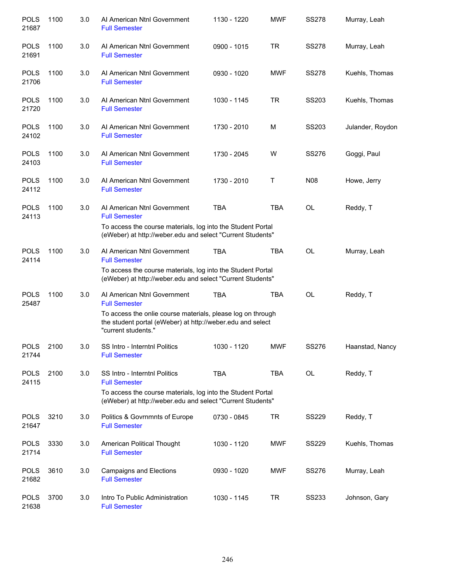| <b>POLS</b><br>21687 | 1100 | 3.0 | Al American Ntnl Government<br><b>Full Semester</b>                                                                                              | 1130 - 1220 | <b>MWF</b> | <b>SS278</b> | Murray, Leah     |
|----------------------|------|-----|--------------------------------------------------------------------------------------------------------------------------------------------------|-------------|------------|--------------|------------------|
| <b>POLS</b><br>21691 | 1100 | 3.0 | Al American Ntnl Government<br><b>Full Semester</b>                                                                                              | 0900 - 1015 | <b>TR</b>  | <b>SS278</b> | Murray, Leah     |
| <b>POLS</b><br>21706 | 1100 | 3.0 | Al American Ntnl Government<br><b>Full Semester</b>                                                                                              | 0930 - 1020 | <b>MWF</b> | <b>SS278</b> | Kuehls, Thomas   |
| <b>POLS</b><br>21720 | 1100 | 3.0 | Al American Ntnl Government<br><b>Full Semester</b>                                                                                              | 1030 - 1145 | <b>TR</b>  | SS203        | Kuehls, Thomas   |
| <b>POLS</b><br>24102 | 1100 | 3.0 | Al American Ntnl Government<br><b>Full Semester</b>                                                                                              | 1730 - 2010 | M          | SS203        | Julander, Roydon |
| <b>POLS</b><br>24103 | 1100 | 3.0 | Al American Ntnl Government<br><b>Full Semester</b>                                                                                              | 1730 - 2045 | W          | <b>SS276</b> | Goggi, Paul      |
| <b>POLS</b><br>24112 | 1100 | 3.0 | Al American Ntnl Government<br><b>Full Semester</b>                                                                                              | 1730 - 2010 | Τ          | <b>N08</b>   | Howe, Jerry      |
| <b>POLS</b><br>24113 | 1100 | 3.0 | Al American Ntnl Government<br><b>Full Semester</b>                                                                                              | <b>TBA</b>  | <b>TBA</b> | OL           | Reddy, T         |
|                      |      |     | To access the course materials, log into the Student Portal<br>(eWeber) at http://weber.edu and select "Current Students"                        |             |            |              |                  |
| <b>POLS</b><br>24114 | 1100 | 3.0 | Al American Ntnl Government<br><b>Full Semester</b>                                                                                              | <b>TBA</b>  | <b>TBA</b> | OL           | Murray, Leah     |
|                      |      |     | To access the course materials, log into the Student Portal<br>(eWeber) at http://weber.edu and select "Current Students"                        |             |            |              |                  |
| <b>POLS</b><br>25487 | 1100 | 3.0 | Al American Ntnl Government<br><b>Full Semester</b>                                                                                              | <b>TBA</b>  | <b>TBA</b> | <b>OL</b>    | Reddy, T         |
|                      |      |     | To access the onlie course materials, please log on through<br>the student portal (eWeber) at http://weber.edu and select<br>"current students." |             |            |              |                  |
| <b>POLS</b><br>21744 | 2100 | 3.0 | SS Intro - Interntnl Politics<br><b>Full Semester</b>                                                                                            | 1030 - 1120 | <b>MWF</b> | SS276        | Haanstad, Nancy  |
| <b>POLS</b><br>24115 | 2100 | 3.0 | SS Intro - Interntnl Politics<br><b>Full Semester</b>                                                                                            | <b>TBA</b>  | <b>TBA</b> | OL           | Reddy, T         |
|                      |      |     | To access the course materials, log into the Student Portal<br>(eWeber) at http://weber.edu and select "Current Students"                        |             |            |              |                  |
| <b>POLS</b><br>21647 | 3210 | 3.0 | Politics & Govrnmnts of Europe<br><b>Full Semester</b>                                                                                           | 0730 - 0845 | <b>TR</b>  | <b>SS229</b> | Reddy, T         |
| <b>POLS</b><br>21714 | 3330 | 3.0 | American Political Thought<br><b>Full Semester</b>                                                                                               | 1030 - 1120 | MWF        | <b>SS229</b> | Kuehls, Thomas   |
| <b>POLS</b><br>21682 | 3610 | 3.0 | Campaigns and Elections<br><b>Full Semester</b>                                                                                                  | 0930 - 1020 | MWF        | SS276        | Murray, Leah     |
| <b>POLS</b><br>21638 | 3700 | 3.0 | Intro To Public Administration<br><b>Full Semester</b>                                                                                           | 1030 - 1145 | <b>TR</b>  | <b>SS233</b> | Johnson, Gary    |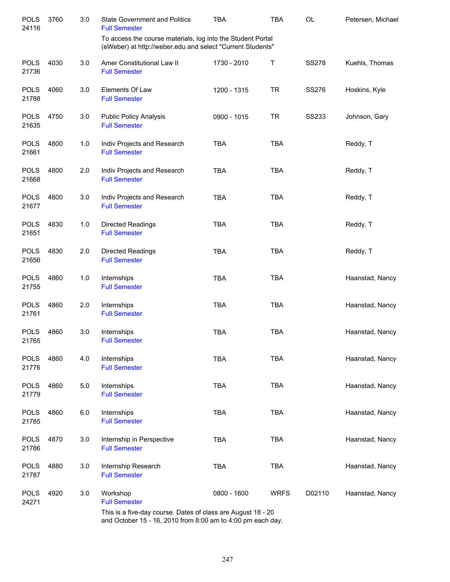| 3760 | 3.0 | <b>State Government and Politics</b><br><b>Full Semester</b> | <b>TBA</b>  | <b>TBA</b>  | OL                                                                                                                                                                                        | Petersen, Michael |
|------|-----|--------------------------------------------------------------|-------------|-------------|-------------------------------------------------------------------------------------------------------------------------------------------------------------------------------------------|-------------------|
|      |     |                                                              |             |             |                                                                                                                                                                                           |                   |
| 4030 | 3.0 | Amer Constitutional Law II<br><b>Full Semester</b>           | 1730 - 2010 | Т           | <b>SS278</b>                                                                                                                                                                              | Kuehls, Thomas    |
| 4060 | 3.0 | Elements Of Law<br><b>Full Semester</b>                      | 1200 - 1315 | <b>TR</b>   | SS276                                                                                                                                                                                     | Hoskins, Kyle     |
| 4750 | 3.0 | <b>Public Policy Analysis</b><br><b>Full Semester</b>        | 0900 - 1015 | <b>TR</b>   | <b>SS233</b>                                                                                                                                                                              | Johnson, Gary     |
| 4800 | 1.0 | Indiv Projects and Research<br><b>Full Semester</b>          | <b>TBA</b>  | <b>TBA</b>  |                                                                                                                                                                                           | Reddy, T          |
| 4800 | 2.0 | Indiv Projects and Research<br><b>Full Semester</b>          | <b>TBA</b>  | <b>TBA</b>  |                                                                                                                                                                                           | Reddy, T          |
| 4800 | 3.0 | Indiv Projects and Research<br><b>Full Semester</b>          | <b>TBA</b>  | <b>TBA</b>  |                                                                                                                                                                                           | Reddy, T          |
| 4830 | 1.0 | <b>Directed Readings</b><br><b>Full Semester</b>             | <b>TBA</b>  | <b>TBA</b>  |                                                                                                                                                                                           | Reddy, T          |
| 4830 | 2.0 | Directed Readings<br><b>Full Semester</b>                    | <b>TBA</b>  | <b>TBA</b>  |                                                                                                                                                                                           | Reddy, T          |
| 4860 | 1.0 | Internships<br><b>Full Semester</b>                          | <b>TBA</b>  | <b>TBA</b>  |                                                                                                                                                                                           | Haanstad, Nancy   |
| 4860 | 2.0 | Internships<br><b>Full Semester</b>                          | <b>TBA</b>  | <b>TBA</b>  |                                                                                                                                                                                           | Haanstad, Nancy   |
| 4860 | 3.0 | Internships<br><b>Full Semester</b>                          | <b>TBA</b>  | <b>TBA</b>  |                                                                                                                                                                                           | Haanstad, Nancy   |
| 4860 | 4.0 | Internships<br><b>Full Semester</b>                          | <b>TBA</b>  | <b>TBA</b>  |                                                                                                                                                                                           | Haanstad, Nancy   |
| 4860 | 5.0 | Internships<br><b>Full Semester</b>                          | <b>TBA</b>  | <b>TBA</b>  |                                                                                                                                                                                           | Haanstad, Nancy   |
| 4860 | 6.0 | Internships<br><b>Full Semester</b>                          | <b>TBA</b>  | <b>TBA</b>  |                                                                                                                                                                                           | Haanstad, Nancy   |
| 4870 | 3.0 | Internship in Perspective<br><b>Full Semester</b>            | <b>TBA</b>  | <b>TBA</b>  |                                                                                                                                                                                           | Haanstad, Nancy   |
| 4880 | 3.0 | Internship Research<br><b>Full Semester</b>                  | <b>TBA</b>  | <b>TBA</b>  |                                                                                                                                                                                           | Haanstad, Nancy   |
| 4920 | 3.0 | Workshop<br><b>Full Semester</b>                             | 0800 - 1600 | <b>WRFS</b> | D02110                                                                                                                                                                                    | Haanstad, Nancy   |
|      |     |                                                              |             |             | To access the course materials, log into the Student Portal<br>(eWeber) at http://weber.edu and select "Current Students"<br>This is a five-day course. Dates of class are August 18 - 20 |                   |

and October 15 - 16, 2010 from 8:00 am to 4:00 pm each day.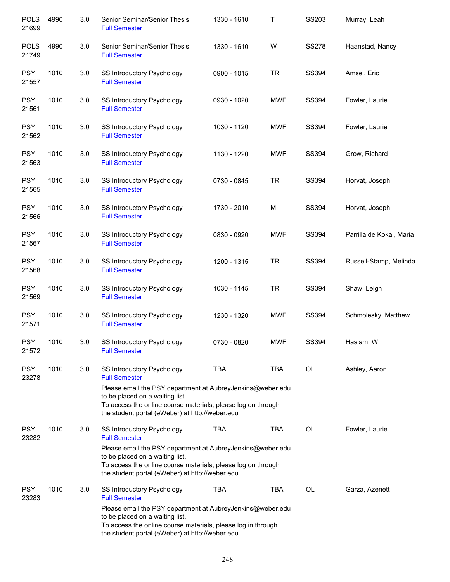| <b>POLS</b><br>21699 | 4990 | 3.0 | Senior Seminar/Senior Thesis<br><b>Full Semester</b>                                                                                                                                                             | 1330 - 1610 | Т          | SS203        | Murray, Leah             |
|----------------------|------|-----|------------------------------------------------------------------------------------------------------------------------------------------------------------------------------------------------------------------|-------------|------------|--------------|--------------------------|
| <b>POLS</b><br>21749 | 4990 | 3.0 | Senior Seminar/Senior Thesis<br><b>Full Semester</b>                                                                                                                                                             | 1330 - 1610 | W          | <b>SS278</b> | Haanstad, Nancy          |
| <b>PSY</b><br>21557  | 1010 | 3.0 | SS Introductory Psychology<br><b>Full Semester</b>                                                                                                                                                               | 0900 - 1015 | <b>TR</b>  | SS394        | Amsel, Eric              |
| <b>PSY</b><br>21561  | 1010 | 3.0 | SS Introductory Psychology<br><b>Full Semester</b>                                                                                                                                                               | 0930 - 1020 | <b>MWF</b> | SS394        | Fowler, Laurie           |
| <b>PSY</b><br>21562  | 1010 | 3.0 | SS Introductory Psychology<br><b>Full Semester</b>                                                                                                                                                               | 1030 - 1120 | <b>MWF</b> | <b>SS394</b> | Fowler, Laurie           |
| <b>PSY</b><br>21563  | 1010 | 3.0 | SS Introductory Psychology<br><b>Full Semester</b>                                                                                                                                                               | 1130 - 1220 | <b>MWF</b> | SS394        | Grow, Richard            |
| <b>PSY</b><br>21565  | 1010 | 3.0 | SS Introductory Psychology<br><b>Full Semester</b>                                                                                                                                                               | 0730 - 0845 | <b>TR</b>  | SS394        | Horvat, Joseph           |
| <b>PSY</b><br>21566  | 1010 | 3.0 | SS Introductory Psychology<br><b>Full Semester</b>                                                                                                                                                               | 1730 - 2010 | M          | SS394        | Horvat, Joseph           |
| <b>PSY</b><br>21567  | 1010 | 3.0 | SS Introductory Psychology<br><b>Full Semester</b>                                                                                                                                                               | 0830 - 0920 | <b>MWF</b> | SS394        | Parrilla de Kokal, Maria |
| <b>PSY</b><br>21568  | 1010 | 3.0 | SS Introductory Psychology<br><b>Full Semester</b>                                                                                                                                                               | 1200 - 1315 | <b>TR</b>  | SS394        | Russell-Stamp, Melinda   |
| <b>PSY</b><br>21569  | 1010 | 3.0 | SS Introductory Psychology<br><b>Full Semester</b>                                                                                                                                                               | 1030 - 1145 | <b>TR</b>  | SS394        | Shaw, Leigh              |
| <b>PSY</b><br>21571  | 1010 | 3.0 | SS Introductory Psychology<br><b>Full Semester</b>                                                                                                                                                               | 1230 - 1320 | <b>MWF</b> | SS394        | Schmolesky, Matthew      |
| <b>PSY</b><br>21572  | 1010 | 3.0 | SS Introductory Psychology<br><b>Full Semester</b>                                                                                                                                                               | 0730 - 0820 | <b>MWF</b> | SS394        | Haslam, W                |
| <b>PSY</b><br>23278  | 1010 | 3.0 | <b>SS Introductory Psychology</b><br><b>Full Semester</b>                                                                                                                                                        | <b>TBA</b>  | <b>TBA</b> | OL           | Ashley, Aaron            |
|                      |      |     | Please email the PSY department at AubreyJenkins@weber.edu<br>to be placed on a waiting list.<br>To access the online course materials, please log on through<br>the student portal (eWeber) at http://weber.edu |             |            |              |                          |
| <b>PSY</b><br>23282  | 1010 | 3.0 | SS Introductory Psychology<br><b>Full Semester</b>                                                                                                                                                               | TBA         | <b>TBA</b> | OL           | Fowler, Laurie           |
|                      |      |     | Please email the PSY department at AubreyJenkins@weber.edu<br>to be placed on a waiting list.<br>To access the online course materials, please log on through<br>the student portal (eWeber) at http://weber.edu |             |            |              |                          |
| <b>PSY</b><br>23283  | 1010 | 3.0 | SS Introductory Psychology<br><b>Full Semester</b>                                                                                                                                                               | <b>TBA</b>  | <b>TBA</b> | OL           | Garza, Azenett           |
|                      |      |     | Please email the PSY department at AubreyJenkins@weber.edu<br>to be placed on a waiting list.<br>To access the online course materials, please log in through<br>the student portal (eWeber) at http://weber.edu |             |            |              |                          |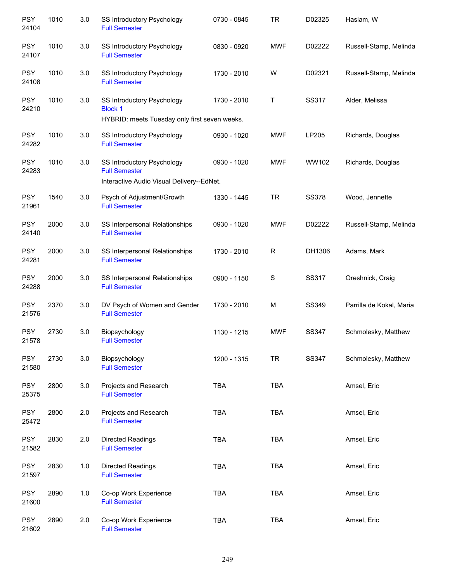| <b>PSY</b><br>24104 | 1010 | 3.0 | SS Introductory Psychology<br><b>Full Semester</b>                                              | 0730 - 0845 | <b>TR</b>   | D02325       | Haslam, W                |
|---------------------|------|-----|-------------------------------------------------------------------------------------------------|-------------|-------------|--------------|--------------------------|
| <b>PSY</b><br>24107 | 1010 | 3.0 | SS Introductory Psychology<br><b>Full Semester</b>                                              | 0830 - 0920 | <b>MWF</b>  | D02222       | Russell-Stamp, Melinda   |
| <b>PSY</b><br>24108 | 1010 | 3.0 | SS Introductory Psychology<br><b>Full Semester</b>                                              | 1730 - 2010 | W           | D02321       | Russell-Stamp, Melinda   |
| <b>PSY</b><br>24210 | 1010 | 3.0 | SS Introductory Psychology<br><b>Block 1</b><br>HYBRID: meets Tuesday only first seven weeks.   | 1730 - 2010 | $\top$      | SS317        | Alder, Melissa           |
| <b>PSY</b><br>24282 | 1010 | 3.0 | SS Introductory Psychology<br><b>Full Semester</b>                                              | 0930 - 1020 | <b>MWF</b>  | LP205        | Richards, Douglas        |
| <b>PSY</b><br>24283 | 1010 | 3.0 | SS Introductory Psychology<br><b>Full Semester</b><br>Interactive Audio Visual Delivery--EdNet. | 0930 - 1020 | <b>MWF</b>  | WW102        | Richards, Douglas        |
| <b>PSY</b><br>21961 | 1540 | 3.0 | Psych of Adjustment/Growth<br><b>Full Semester</b>                                              | 1330 - 1445 | <b>TR</b>   | <b>SS378</b> | Wood, Jennette           |
| <b>PSY</b><br>24140 | 2000 | 3.0 | SS Interpersonal Relationships<br><b>Full Semester</b>                                          | 0930 - 1020 | <b>MWF</b>  | D02222       | Russell-Stamp, Melinda   |
| <b>PSY</b><br>24281 | 2000 | 3.0 | SS Interpersonal Relationships<br><b>Full Semester</b>                                          | 1730 - 2010 | $\mathsf R$ | DH1306       | Adams, Mark              |
| <b>PSY</b><br>24288 | 2000 | 3.0 | SS Interpersonal Relationships<br><b>Full Semester</b>                                          | 0900 - 1150 | $\mathbf S$ | SS317        | Oreshnick, Craig         |
| <b>PSY</b><br>21576 | 2370 | 3.0 | DV Psych of Women and Gender<br><b>Full Semester</b>                                            | 1730 - 2010 | M           | SS349        | Parrilla de Kokal, Maria |
| <b>PSY</b><br>21578 | 2730 | 3.0 | Biopsychology<br><b>Full Semester</b>                                                           | 1130 - 1215 | <b>MWF</b>  | SS347        | Schmolesky, Matthew      |
| <b>PSY</b><br>21580 | 2730 | 3.0 | Biopsychology<br><b>Full Semester</b>                                                           | 1200 - 1315 | <b>TR</b>   | SS347        | Schmolesky, Matthew      |
| <b>PSY</b><br>25375 | 2800 | 3.0 | Projects and Research<br><b>Full Semester</b>                                                   | <b>TBA</b>  | TBA         |              | Amsel, Eric              |
| <b>PSY</b><br>25472 | 2800 | 2.0 | Projects and Research<br><b>Full Semester</b>                                                   | TBA         | TBA         |              | Amsel, Eric              |
| <b>PSY</b><br>21582 | 2830 | 2.0 | <b>Directed Readings</b><br><b>Full Semester</b>                                                | <b>TBA</b>  | TBA         |              | Amsel, Eric              |
| <b>PSY</b><br>21597 | 2830 | 1.0 | Directed Readings<br><b>Full Semester</b>                                                       | <b>TBA</b>  | <b>TBA</b>  |              | Amsel, Eric              |
| <b>PSY</b><br>21600 | 2890 | 1.0 | Co-op Work Experience<br><b>Full Semester</b>                                                   | <b>TBA</b>  | <b>TBA</b>  |              | Amsel, Eric              |
| <b>PSY</b><br>21602 | 2890 | 2.0 | Co-op Work Experience<br><b>Full Semester</b>                                                   | TBA         | TBA         |              | Amsel, Eric              |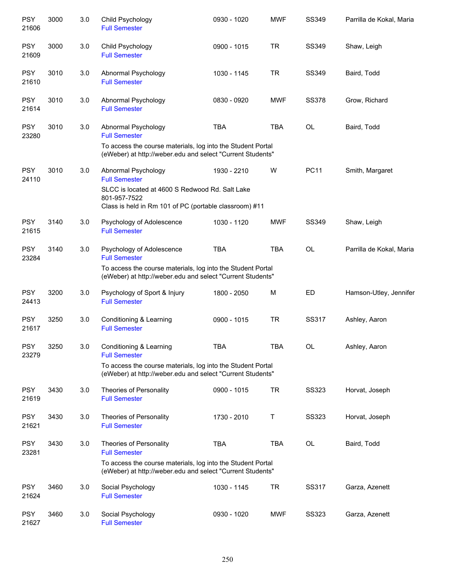| <b>PSY</b><br>21606 | 3000 | 3.0 | Child Psychology<br><b>Full Semester</b>                                                                                  | 0930 - 1020 | <b>MWF</b> | SS349        | Parrilla de Kokal, Maria |
|---------------------|------|-----|---------------------------------------------------------------------------------------------------------------------------|-------------|------------|--------------|--------------------------|
| <b>PSY</b><br>21609 | 3000 | 3.0 | Child Psychology<br><b>Full Semester</b>                                                                                  | 0900 - 1015 | <b>TR</b>  | SS349        | Shaw, Leigh              |
| <b>PSY</b><br>21610 | 3010 | 3.0 | Abnormal Psychology<br><b>Full Semester</b>                                                                               | 1030 - 1145 | <b>TR</b>  | SS349        | Baird, Todd              |
| <b>PSY</b><br>21614 | 3010 | 3.0 | Abnormal Psychology<br><b>Full Semester</b>                                                                               | 0830 - 0920 | <b>MWF</b> | <b>SS378</b> | Grow, Richard            |
| <b>PSY</b><br>23280 | 3010 | 3.0 | Abnormal Psychology<br><b>Full Semester</b>                                                                               | <b>TBA</b>  | <b>TBA</b> | OL           | Baird, Todd              |
|                     |      |     | To access the course materials, log into the Student Portal<br>(eWeber) at http://weber.edu and select "Current Students" |             |            |              |                          |
| <b>PSY</b><br>24110 | 3010 | 3.0 | Abnormal Psychology<br><b>Full Semester</b><br>SLCC is located at 4600 S Redwood Rd. Salt Lake                            | 1930 - 2210 | W          | <b>PC11</b>  | Smith, Margaret          |
|                     |      |     | 801-957-7522<br>Class is held in Rm 101 of PC (portable classroom) #11                                                    |             |            |              |                          |
| <b>PSY</b><br>21615 | 3140 | 3.0 | Psychology of Adolescence<br><b>Full Semester</b>                                                                         | 1030 - 1120 | <b>MWF</b> | SS349        | Shaw, Leigh              |
| <b>PSY</b><br>23284 | 3140 | 3.0 | Psychology of Adolescence<br><b>Full Semester</b>                                                                         | <b>TBA</b>  | <b>TBA</b> | OL           | Parrilla de Kokal, Maria |
|                     |      |     | To access the course materials, log into the Student Portal<br>(eWeber) at http://weber.edu and select "Current Students" |             |            |              |                          |
| <b>PSY</b><br>24413 | 3200 | 3.0 | Psychology of Sport & Injury<br><b>Full Semester</b>                                                                      | 1800 - 2050 | M          | ED           | Hamson-Utley, Jennifer   |
| <b>PSY</b><br>21617 | 3250 | 3.0 | Conditioning & Learning<br><b>Full Semester</b>                                                                           | 0900 - 1015 | <b>TR</b>  | SS317        | Ashley, Aaron            |
| <b>PSY</b><br>23279 | 3250 | 3.0 | Conditioning & Learning<br><b>Full Semester</b>                                                                           | TBA         | <b>TBA</b> | OL           | Ashley, Aaron            |
|                     |      |     | To access the course materials, log into the Student Portal<br>(eWeber) at http://weber.edu and select "Current Students" |             |            |              |                          |
| <b>PSY</b><br>21619 | 3430 | 3.0 | Theories of Personality<br><b>Full Semester</b>                                                                           | 0900 - 1015 | <b>TR</b>  | <b>SS323</b> | Horvat, Joseph           |
| <b>PSY</b><br>21621 | 3430 | 3.0 | Theories of Personality<br><b>Full Semester</b>                                                                           | 1730 - 2010 | Τ          | <b>SS323</b> | Horvat, Joseph           |
| <b>PSY</b><br>23281 | 3430 | 3.0 | Theories of Personality<br><b>Full Semester</b>                                                                           | <b>TBA</b>  | <b>TBA</b> | OL           | Baird, Todd              |
|                     |      |     | To access the course materials, log into the Student Portal<br>(eWeber) at http://weber.edu and select "Current Students" |             |            |              |                          |
| <b>PSY</b><br>21624 | 3460 | 3.0 | Social Psychology<br><b>Full Semester</b>                                                                                 | 1030 - 1145 | <b>TR</b>  | SS317        | Garza, Azenett           |
| <b>PSY</b><br>21627 | 3460 | 3.0 | Social Psychology<br><b>Full Semester</b>                                                                                 | 0930 - 1020 | <b>MWF</b> | SS323        | Garza, Azenett           |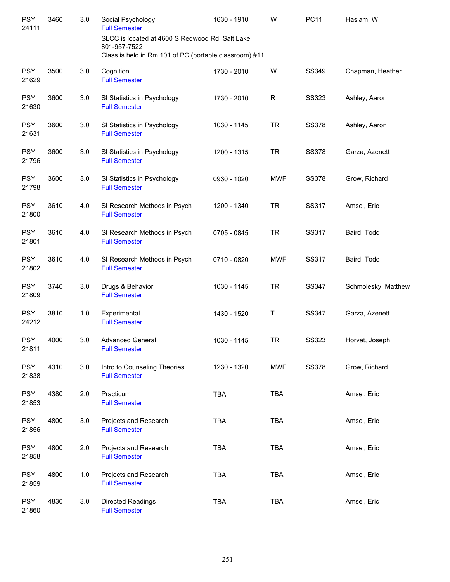| <b>PSY</b><br>24111 | 3460 | 3.0 | Social Psychology<br><b>Full Semester</b><br>SLCC is located at 4600 S Redwood Rd. Salt Lake<br>801-957-7522<br>Class is held in Rm 101 of PC (portable classroom) #11 | 1630 - 1910 | W            | <b>PC11</b>  | Haslam, W           |
|---------------------|------|-----|------------------------------------------------------------------------------------------------------------------------------------------------------------------------|-------------|--------------|--------------|---------------------|
| <b>PSY</b><br>21629 | 3500 | 3.0 | Cognition<br><b>Full Semester</b>                                                                                                                                      | 1730 - 2010 | W            | SS349        | Chapman, Heather    |
| <b>PSY</b><br>21630 | 3600 | 3.0 | SI Statistics in Psychology<br><b>Full Semester</b>                                                                                                                    | 1730 - 2010 | $\mathsf{R}$ | <b>SS323</b> | Ashley, Aaron       |
| <b>PSY</b><br>21631 | 3600 | 3.0 | SI Statistics in Psychology<br><b>Full Semester</b>                                                                                                                    | 1030 - 1145 | <b>TR</b>    | <b>SS378</b> | Ashley, Aaron       |
| <b>PSY</b><br>21796 | 3600 | 3.0 | SI Statistics in Psychology<br><b>Full Semester</b>                                                                                                                    | 1200 - 1315 | <b>TR</b>    | <b>SS378</b> | Garza, Azenett      |
| <b>PSY</b><br>21798 | 3600 | 3.0 | SI Statistics in Psychology<br><b>Full Semester</b>                                                                                                                    | 0930 - 1020 | <b>MWF</b>   | <b>SS378</b> | Grow, Richard       |
| <b>PSY</b><br>21800 | 3610 | 4.0 | SI Research Methods in Psych<br><b>Full Semester</b>                                                                                                                   | 1200 - 1340 | <b>TR</b>    | SS317        | Amsel, Eric         |
| <b>PSY</b><br>21801 | 3610 | 4.0 | SI Research Methods in Psych<br><b>Full Semester</b>                                                                                                                   | 0705 - 0845 | <b>TR</b>    | <b>SS317</b> | Baird, Todd         |
| <b>PSY</b><br>21802 | 3610 | 4.0 | SI Research Methods in Psych<br><b>Full Semester</b>                                                                                                                   | 0710 - 0820 | <b>MWF</b>   | SS317        | Baird, Todd         |
| <b>PSY</b><br>21809 | 3740 | 3.0 | Drugs & Behavior<br><b>Full Semester</b>                                                                                                                               | 1030 - 1145 | <b>TR</b>    | SS347        | Schmolesky, Matthew |
| <b>PSY</b><br>24212 | 3810 | 1.0 | Experimental<br><b>Full Semester</b>                                                                                                                                   | 1430 - 1520 | Τ            | SS347        | Garza, Azenett      |
| <b>PSY</b><br>21811 | 4000 | 3.0 | <b>Advanced General</b><br><b>Full Semester</b>                                                                                                                        | 1030 - 1145 | <b>TR</b>    | SS323        | Horvat, Joseph      |
| <b>PSY</b><br>21838 | 4310 | 3.0 | Intro to Counseling Theories<br><b>Full Semester</b>                                                                                                                   | 1230 - 1320 | <b>MWF</b>   | <b>SS378</b> | Grow, Richard       |
| <b>PSY</b><br>21853 | 4380 | 2.0 | Practicum<br><b>Full Semester</b>                                                                                                                                      | <b>TBA</b>  | <b>TBA</b>   |              | Amsel, Eric         |
| <b>PSY</b><br>21856 | 4800 | 3.0 | Projects and Research<br><b>Full Semester</b>                                                                                                                          | TBA         | <b>TBA</b>   |              | Amsel, Eric         |
| <b>PSY</b><br>21858 | 4800 | 2.0 | Projects and Research<br><b>Full Semester</b>                                                                                                                          | TBA         | <b>TBA</b>   |              | Amsel, Eric         |
| <b>PSY</b><br>21859 | 4800 | 1.0 | Projects and Research<br><b>Full Semester</b>                                                                                                                          | <b>TBA</b>  | <b>TBA</b>   |              | Amsel, Eric         |
| <b>PSY</b><br>21860 | 4830 | 3.0 | Directed Readings<br><b>Full Semester</b>                                                                                                                              | TBA         | <b>TBA</b>   |              | Amsel, Eric         |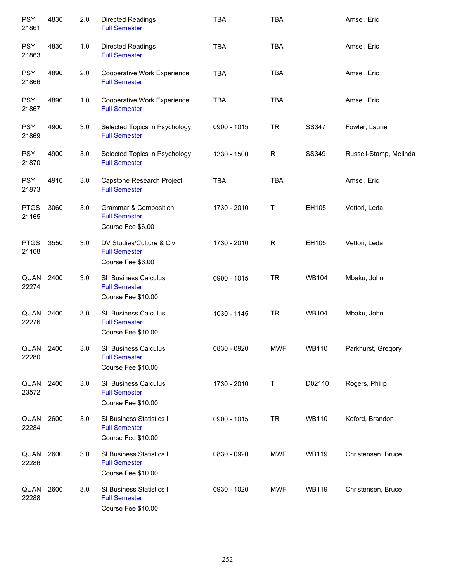| <b>PSY</b><br>21861  | 4830 | 2.0 | <b>Directed Readings</b><br><b>Full Semester</b>                       | <b>TBA</b>  | <b>TBA</b>  |              | Amsel, Eric            |
|----------------------|------|-----|------------------------------------------------------------------------|-------------|-------------|--------------|------------------------|
| <b>PSY</b><br>21863  | 4830 | 1.0 | <b>Directed Readings</b><br><b>Full Semester</b>                       | <b>TBA</b>  | <b>TBA</b>  |              | Amsel, Eric            |
| <b>PSY</b><br>21866  | 4890 | 2.0 | Cooperative Work Experience<br><b>Full Semester</b>                    | <b>TBA</b>  | <b>TBA</b>  |              | Amsel, Eric            |
| <b>PSY</b><br>21867  | 4890 | 1.0 | Cooperative Work Experience<br><b>Full Semester</b>                    | <b>TBA</b>  | <b>TBA</b>  |              | Amsel, Eric            |
| <b>PSY</b><br>21869  | 4900 | 3.0 | Selected Topics in Psychology<br><b>Full Semester</b>                  | 0900 - 1015 | <b>TR</b>   | SS347        | Fowler, Laurie         |
| <b>PSY</b><br>21870  | 4900 | 3.0 | Selected Topics in Psychology<br><b>Full Semester</b>                  | 1330 - 1500 | $\mathsf R$ | SS349        | Russell-Stamp, Melinda |
| <b>PSY</b><br>21873  | 4910 | 3.0 | Capstone Research Project<br><b>Full Semester</b>                      | <b>TBA</b>  | <b>TBA</b>  |              | Amsel, Eric            |
| <b>PTGS</b><br>21165 | 3060 | 3.0 | Grammar & Composition<br><b>Full Semester</b><br>Course Fee \$6.00     | 1730 - 2010 | T           | EH105        | Vettori, Leda          |
| <b>PTGS</b><br>21168 | 3550 | 3.0 | DV Studies/Culture & Civ<br><b>Full Semester</b><br>Course Fee \$6.00  | 1730 - 2010 | $\mathsf R$ | EH105        | Vettori, Leda          |
| QUAN<br>22274        | 2400 | 3.0 | SI Business Calculus<br><b>Full Semester</b><br>Course Fee \$10.00     | 0900 - 1015 | <b>TR</b>   | <b>WB104</b> | Mbaku, John            |
| QUAN<br>22276        | 2400 | 3.0 | SI Business Calculus<br><b>Full Semester</b><br>Course Fee \$10.00     | 1030 - 1145 | <b>TR</b>   | <b>WB104</b> | Mbaku, John            |
| QUAN<br>22280        | 2400 | 3.0 | SI Business Calculus<br><b>Full Semester</b><br>Course Fee \$10.00     | 0830 - 0920 | <b>MWF</b>  | <b>WB110</b> | Parkhurst, Gregory     |
| QUAN<br>23572        | 2400 | 3.0 | SI Business Calculus<br><b>Full Semester</b><br>Course Fee \$10.00     | 1730 - 2010 | Т           | D02110       | Rogers, Philip         |
| QUAN<br>22284        | 2600 | 3.0 | SI Business Statistics I<br><b>Full Semester</b><br>Course Fee \$10.00 | 0900 - 1015 | <b>TR</b>   | <b>WB110</b> | Koford, Brandon        |
| QUAN<br>22286        | 2600 | 3.0 | SI Business Statistics I<br><b>Full Semester</b><br>Course Fee \$10.00 | 0830 - 0920 | MWF         | <b>WB119</b> | Christensen, Bruce     |
| QUAN<br>22288        | 2600 | 3.0 | SI Business Statistics I<br><b>Full Semester</b><br>Course Fee \$10.00 | 0930 - 1020 | MWF         | <b>WB119</b> | Christensen, Bruce     |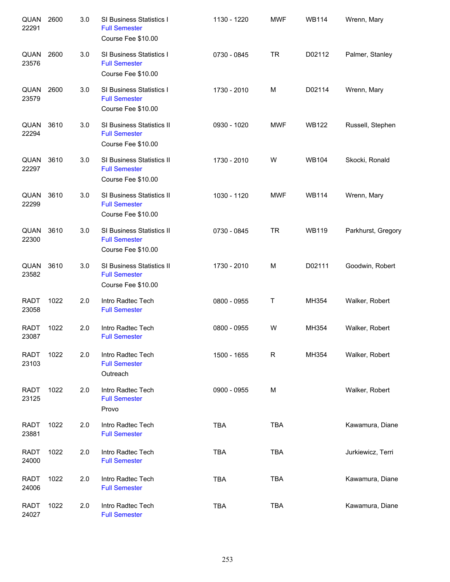| QUAN<br>22291        | 2600 | 3.0 | SI Business Statistics I<br><b>Full Semester</b><br>Course Fee \$10.00  | 1130 - 1220 | <b>MWF</b>  | <b>WB114</b> | Wrenn, Mary        |
|----------------------|------|-----|-------------------------------------------------------------------------|-------------|-------------|--------------|--------------------|
| QUAN<br>23576        | 2600 | 3.0 | SI Business Statistics I<br><b>Full Semester</b><br>Course Fee \$10.00  | 0730 - 0845 | <b>TR</b>   | D02112       | Palmer, Stanley    |
| QUAN<br>23579        | 2600 | 3.0 | SI Business Statistics I<br><b>Full Semester</b><br>Course Fee \$10.00  | 1730 - 2010 | M           | D02114       | Wrenn, Mary        |
| QUAN<br>22294        | 3610 | 3.0 | SI Business Statistics II<br><b>Full Semester</b><br>Course Fee \$10.00 | 0930 - 1020 | <b>MWF</b>  | <b>WB122</b> | Russell, Stephen   |
| QUAN<br>22297        | 3610 | 3.0 | SI Business Statistics II<br><b>Full Semester</b><br>Course Fee \$10.00 | 1730 - 2010 | W           | <b>WB104</b> | Skocki, Ronald     |
| QUAN<br>22299        | 3610 | 3.0 | SI Business Statistics II<br><b>Full Semester</b><br>Course Fee \$10.00 | 1030 - 1120 | <b>MWF</b>  | <b>WB114</b> | Wrenn, Mary        |
| QUAN<br>22300        | 3610 | 3.0 | SI Business Statistics II<br><b>Full Semester</b><br>Course Fee \$10.00 | 0730 - 0845 | <b>TR</b>   | <b>WB119</b> | Parkhurst, Gregory |
| QUAN<br>23582        | 3610 | 3.0 | SI Business Statistics II<br><b>Full Semester</b><br>Course Fee \$10.00 | 1730 - 2010 | M           | D02111       | Goodwin, Robert    |
| <b>RADT</b><br>23058 | 1022 | 2.0 | Intro Radtec Tech<br><b>Full Semester</b>                               | 0800 - 0955 | Τ           | MH354        | Walker, Robert     |
| <b>RADT</b><br>23087 | 1022 | 2.0 | Intro Radtec Tech<br><b>Full Semester</b>                               | 0800 - 0955 | W           | MH354        | Walker, Robert     |
| <b>RADT</b><br>23103 | 1022 | 2.0 | Intro Radtec Tech<br><b>Full Semester</b><br>Outreach                   | 1500 - 1655 | $\mathsf R$ | MH354        | Walker, Robert     |
| <b>RADT</b><br>23125 | 1022 | 2.0 | Intro Radtec Tech<br><b>Full Semester</b><br>Provo                      | 0900 - 0955 | М           |              | Walker, Robert     |
| <b>RADT</b><br>23881 | 1022 | 2.0 | Intro Radtec Tech<br><b>Full Semester</b>                               | <b>TBA</b>  | <b>TBA</b>  |              | Kawamura, Diane    |
| <b>RADT</b><br>24000 | 1022 | 2.0 | Intro Radtec Tech<br><b>Full Semester</b>                               | TBA         | <b>TBA</b>  |              | Jurkiewicz, Terri  |
| <b>RADT</b><br>24006 | 1022 | 2.0 | Intro Radtec Tech<br><b>Full Semester</b>                               | <b>TBA</b>  | <b>TBA</b>  |              | Kawamura, Diane    |
| <b>RADT</b><br>24027 | 1022 | 2.0 | Intro Radtec Tech<br><b>Full Semester</b>                               | <b>TBA</b>  | <b>TBA</b>  |              | Kawamura, Diane    |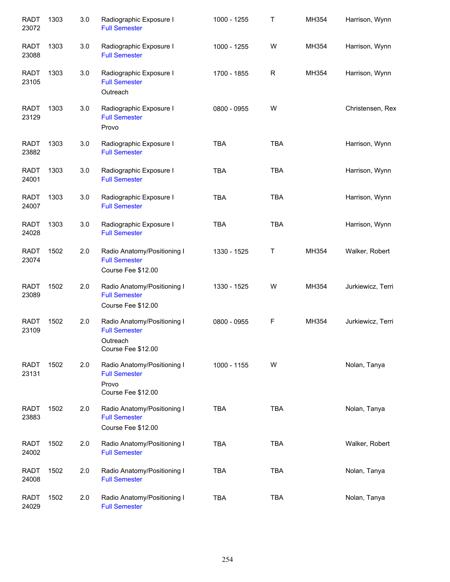| <b>RADT</b><br>23072 | 1303 | 3.0 | Radiographic Exposure I<br><b>Full Semester</b>                                       | 1000 - 1255 | Τ           | MH354 | Harrison, Wynn    |
|----------------------|------|-----|---------------------------------------------------------------------------------------|-------------|-------------|-------|-------------------|
| <b>RADT</b><br>23088 | 1303 | 3.0 | Radiographic Exposure I<br><b>Full Semester</b>                                       | 1000 - 1255 | W           | MH354 | Harrison, Wynn    |
| <b>RADT</b><br>23105 | 1303 | 3.0 | Radiographic Exposure I<br><b>Full Semester</b><br>Outreach                           | 1700 - 1855 | $\mathsf R$ | MH354 | Harrison, Wynn    |
| <b>RADT</b><br>23129 | 1303 | 3.0 | Radiographic Exposure I<br><b>Full Semester</b><br>Provo                              | 0800 - 0955 | W           |       | Christensen, Rex  |
| <b>RADT</b><br>23882 | 1303 | 3.0 | Radiographic Exposure I<br><b>Full Semester</b>                                       | <b>TBA</b>  | <b>TBA</b>  |       | Harrison, Wynn    |
| <b>RADT</b><br>24001 | 1303 | 3.0 | Radiographic Exposure I<br><b>Full Semester</b>                                       | <b>TBA</b>  | <b>TBA</b>  |       | Harrison, Wynn    |
| <b>RADT</b><br>24007 | 1303 | 3.0 | Radiographic Exposure I<br><b>Full Semester</b>                                       | <b>TBA</b>  | <b>TBA</b>  |       | Harrison, Wynn    |
| <b>RADT</b><br>24028 | 1303 | 3.0 | Radiographic Exposure I<br><b>Full Semester</b>                                       | <b>TBA</b>  | <b>TBA</b>  |       | Harrison, Wynn    |
| <b>RADT</b><br>23074 | 1502 | 2.0 | Radio Anatomy/Positioning I<br><b>Full Semester</b><br>Course Fee \$12.00             | 1330 - 1525 | Τ           | MH354 | Walker, Robert    |
| <b>RADT</b><br>23089 | 1502 | 2.0 | Radio Anatomy/Positioning I<br><b>Full Semester</b><br>Course Fee \$12.00             | 1330 - 1525 | W           | MH354 | Jurkiewicz, Terri |
| <b>RADT</b><br>23109 | 1502 | 2.0 | Radio Anatomy/Positioning I<br><b>Full Semester</b><br>Outreach<br>Course Fee \$12.00 | 0800 - 0955 | F           | MH354 | Jurkiewicz, Terri |
| <b>RADT</b><br>23131 | 1502 | 2.0 | Radio Anatomy/Positioning I<br><b>Full Semester</b><br>Provo<br>Course Fee \$12.00    | 1000 - 1155 | W           |       | Nolan, Tanya      |
| <b>RADT</b><br>23883 | 1502 | 2.0 | Radio Anatomy/Positioning I<br><b>Full Semester</b><br>Course Fee \$12.00             | <b>TBA</b>  | <b>TBA</b>  |       | Nolan, Tanya      |
| <b>RADT</b><br>24002 | 1502 | 2.0 | Radio Anatomy/Positioning I<br><b>Full Semester</b>                                   | <b>TBA</b>  | <b>TBA</b>  |       | Walker, Robert    |
| <b>RADT</b><br>24008 | 1502 | 2.0 | Radio Anatomy/Positioning I<br><b>Full Semester</b>                                   | <b>TBA</b>  | <b>TBA</b>  |       | Nolan, Tanya      |
| <b>RADT</b><br>24029 | 1502 | 2.0 | Radio Anatomy/Positioning I<br><b>Full Semester</b>                                   | <b>TBA</b>  | <b>TBA</b>  |       | Nolan, Tanya      |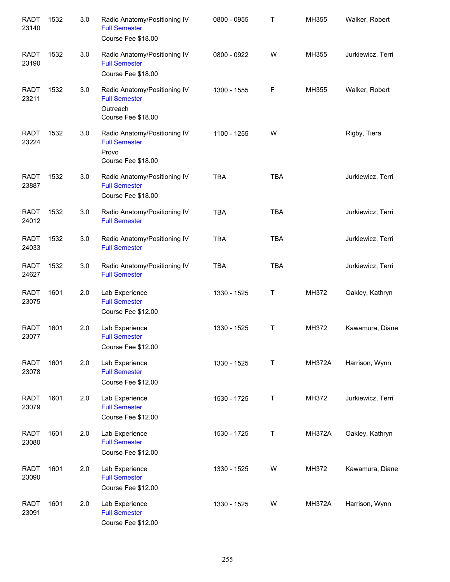| <b>RADT</b><br>23140 | 1532 | 3.0 | Radio Anatomy/Positioning IV<br><b>Full Semester</b><br>Course Fee \$18.00             | 0800 - 0955 | Τ          | MH355         | Walker, Robert    |
|----------------------|------|-----|----------------------------------------------------------------------------------------|-------------|------------|---------------|-------------------|
| <b>RADT</b><br>23190 | 1532 | 3.0 | Radio Anatomy/Positioning IV<br><b>Full Semester</b><br>Course Fee \$18.00             | 0800 - 0922 | W          | MH355         | Jurkiewicz, Terri |
| <b>RADT</b><br>23211 | 1532 | 3.0 | Radio Anatomy/Positioning IV<br><b>Full Semester</b><br>Outreach<br>Course Fee \$18.00 | 1300 - 1555 | F          | MH355         | Walker, Robert    |
| <b>RADT</b><br>23224 | 1532 | 3.0 | Radio Anatomy/Positioning IV<br><b>Full Semester</b><br>Provo<br>Course Fee \$18.00    | 1100 - 1255 | W          |               | Rigby, Tiera      |
| <b>RADT</b><br>23887 | 1532 | 3.0 | Radio Anatomy/Positioning IV<br><b>Full Semester</b><br>Course Fee \$18.00             | <b>TBA</b>  | <b>TBA</b> |               | Jurkiewicz, Terri |
| <b>RADT</b><br>24012 | 1532 | 3.0 | Radio Anatomy/Positioning IV<br><b>Full Semester</b>                                   | <b>TBA</b>  | <b>TBA</b> |               | Jurkiewicz, Terri |
| <b>RADT</b><br>24033 | 1532 | 3.0 | Radio Anatomy/Positioning IV<br><b>Full Semester</b>                                   | <b>TBA</b>  | <b>TBA</b> |               | Jurkiewicz, Terri |
| <b>RADT</b><br>24627 | 1532 | 3.0 | Radio Anatomy/Positioning IV<br><b>Full Semester</b>                                   | <b>TBA</b>  | <b>TBA</b> |               | Jurkiewicz, Terri |
| <b>RADT</b><br>23075 | 1601 | 2.0 | Lab Experience<br><b>Full Semester</b><br>Course Fee \$12.00                           | 1330 - 1525 | Τ          | MH372         | Oakley, Kathryn   |
| <b>RADT</b><br>23077 | 1601 | 2.0 | Lab Experience<br><b>Full Semester</b><br>Course Fee \$12.00                           | 1330 - 1525 | Τ          | MH372         | Kawamura, Diane   |
| <b>RADT</b><br>23078 | 1601 | 2.0 | Lab Experience<br><b>Full Semester</b><br>Course Fee \$12.00                           | 1330 - 1525 | Τ          | <b>MH372A</b> | Harrison, Wynn    |
| <b>RADT</b><br>23079 | 1601 | 2.0 | Lab Experience<br><b>Full Semester</b><br>Course Fee \$12.00                           | 1530 - 1725 | Τ          | MH372         | Jurkiewicz, Terri |
| <b>RADT</b><br>23080 | 1601 | 2.0 | Lab Experience<br><b>Full Semester</b><br>Course Fee \$12.00                           | 1530 - 1725 | T          | <b>MH372A</b> | Oakley, Kathryn   |
| <b>RADT</b><br>23090 | 1601 | 2.0 | Lab Experience<br><b>Full Semester</b><br>Course Fee \$12.00                           | 1330 - 1525 | W          | MH372         | Kawamura, Diane   |
| <b>RADT</b><br>23091 | 1601 | 2.0 | Lab Experience<br><b>Full Semester</b><br>Course Fee \$12.00                           | 1330 - 1525 | W          | <b>MH372A</b> | Harrison, Wynn    |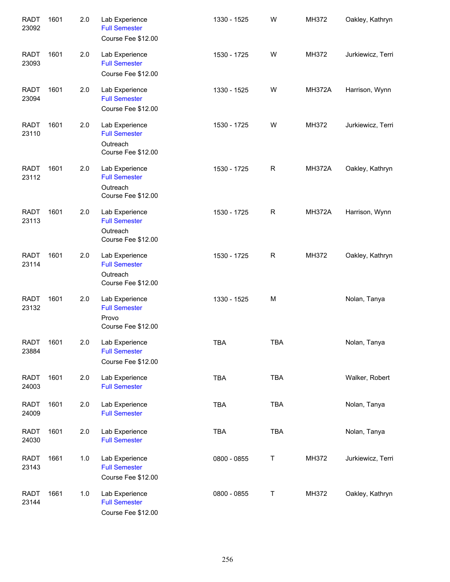| <b>RADT</b><br>23092 | 1601 | 2.0 | Lab Experience<br><b>Full Semester</b><br>Course Fee \$12.00             | 1330 - 1525 | W            | MH372         | Oakley, Kathryn   |
|----------------------|------|-----|--------------------------------------------------------------------------|-------------|--------------|---------------|-------------------|
| <b>RADT</b><br>23093 | 1601 | 2.0 | Lab Experience<br><b>Full Semester</b><br>Course Fee \$12.00             | 1530 - 1725 | W            | MH372         | Jurkiewicz, Terri |
| <b>RADT</b><br>23094 | 1601 | 2.0 | Lab Experience<br><b>Full Semester</b><br>Course Fee \$12.00             | 1330 - 1525 | W            | <b>MH372A</b> | Harrison, Wynn    |
| <b>RADT</b><br>23110 | 1601 | 2.0 | Lab Experience<br><b>Full Semester</b><br>Outreach<br>Course Fee \$12.00 | 1530 - 1725 | W            | MH372         | Jurkiewicz, Terri |
| <b>RADT</b><br>23112 | 1601 | 2.0 | Lab Experience<br><b>Full Semester</b><br>Outreach<br>Course Fee \$12.00 | 1530 - 1725 | $\mathsf{R}$ | <b>MH372A</b> | Oakley, Kathryn   |
| <b>RADT</b><br>23113 | 1601 | 2.0 | Lab Experience<br><b>Full Semester</b><br>Outreach<br>Course Fee \$12.00 | 1530 - 1725 | ${\sf R}$    | <b>MH372A</b> | Harrison, Wynn    |
| <b>RADT</b><br>23114 | 1601 | 2.0 | Lab Experience<br><b>Full Semester</b><br>Outreach<br>Course Fee \$12.00 | 1530 - 1725 | $\mathsf R$  | MH372         | Oakley, Kathryn   |
| <b>RADT</b><br>23132 | 1601 | 2.0 | Lab Experience<br><b>Full Semester</b><br>Provo<br>Course Fee \$12.00    | 1330 - 1525 | M            |               | Nolan, Tanya      |
| <b>RADT</b><br>23884 | 1601 | 2.0 | Lab Experience<br><b>Full Semester</b><br>Course Fee \$12.00             | <b>TBA</b>  | <b>TBA</b>   |               | Nolan, Tanya      |
| <b>RADT</b><br>24003 | 1601 | 2.0 | Lab Experience<br><b>Full Semester</b>                                   | <b>TBA</b>  | TBA          |               | Walker, Robert    |
| <b>RADT</b><br>24009 | 1601 | 2.0 | Lab Experience<br><b>Full Semester</b>                                   | <b>TBA</b>  | TBA          |               | Nolan, Tanya      |
| <b>RADT</b><br>24030 | 1601 | 2.0 | Lab Experience<br><b>Full Semester</b>                                   | <b>TBA</b>  | TBA          |               | Nolan, Tanya      |
| <b>RADT</b><br>23143 | 1661 | 1.0 | Lab Experience<br><b>Full Semester</b><br>Course Fee \$12.00             | 0800 - 0855 | Τ            | MH372         | Jurkiewicz, Terri |
| <b>RADT</b><br>23144 | 1661 | 1.0 | Lab Experience<br><b>Full Semester</b><br>Course Fee \$12.00             | 0800 - 0855 | Τ            | MH372         | Oakley, Kathryn   |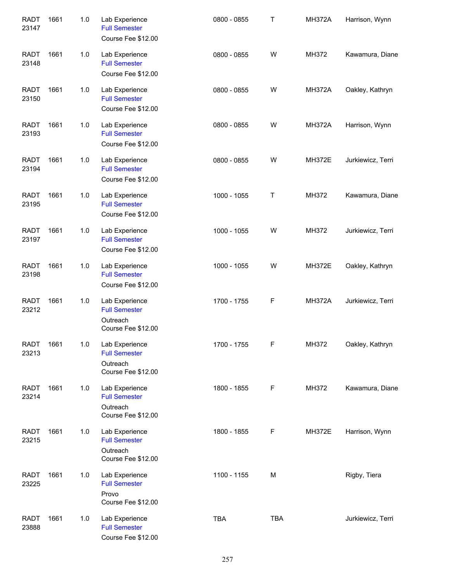| <b>RADT</b><br>23147 | 1661 | 1.0   | Lab Experience<br><b>Full Semester</b><br>Course Fee \$12.00             | 0800 - 0855 | Τ           | <b>MH372A</b> | Harrison, Wynn    |
|----------------------|------|-------|--------------------------------------------------------------------------|-------------|-------------|---------------|-------------------|
| <b>RADT</b><br>23148 | 1661 | 1.0   | Lab Experience<br><b>Full Semester</b><br>Course Fee \$12.00             | 0800 - 0855 | W           | MH372         | Kawamura, Diane   |
| <b>RADT</b><br>23150 | 1661 | 1.0   | Lab Experience<br><b>Full Semester</b><br>Course Fee \$12.00             | 0800 - 0855 | W           | <b>MH372A</b> | Oakley, Kathryn   |
| <b>RADT</b><br>23193 | 1661 | 1.0   | Lab Experience<br><b>Full Semester</b><br>Course Fee \$12.00             | 0800 - 0855 | W           | <b>MH372A</b> | Harrison, Wynn    |
| <b>RADT</b><br>23194 | 1661 | 1.0   | Lab Experience<br><b>Full Semester</b><br>Course Fee \$12.00             | 0800 - 0855 | W           | <b>MH372E</b> | Jurkiewicz, Terri |
| <b>RADT</b><br>23195 | 1661 | 1.0   | Lab Experience<br><b>Full Semester</b><br>Course Fee \$12.00             | 1000 - 1055 | Τ           | MH372         | Kawamura, Diane   |
| <b>RADT</b><br>23197 | 1661 | $1.0$ | Lab Experience<br><b>Full Semester</b><br>Course Fee \$12.00             | 1000 - 1055 | W           | MH372         | Jurkiewicz, Terri |
| <b>RADT</b><br>23198 | 1661 | 1.0   | Lab Experience<br><b>Full Semester</b><br>Course Fee \$12.00             | 1000 - 1055 | W           | <b>MH372E</b> | Oakley, Kathryn   |
| <b>RADT</b><br>23212 | 1661 | 1.0   | Lab Experience<br><b>Full Semester</b><br>Outreach<br>Course Fee \$12.00 | 1700 - 1755 | $\mathsf F$ | <b>MH372A</b> | Jurkiewicz, Terri |
| <b>RADT</b><br>23213 | 1661 | 1.0   | Lab Experience<br><b>Full Semester</b><br>Outreach<br>Course Fee \$12.00 | 1700 - 1755 | $\mathsf F$ | MH372         | Oakley, Kathryn   |
| <b>RADT</b><br>23214 | 1661 | 1.0   | Lab Experience<br><b>Full Semester</b><br>Outreach<br>Course Fee \$12.00 | 1800 - 1855 | F           | MH372         | Kawamura, Diane   |
| <b>RADT</b><br>23215 | 1661 | 1.0   | Lab Experience<br><b>Full Semester</b><br>Outreach<br>Course Fee \$12.00 | 1800 - 1855 | F           | <b>MH372E</b> | Harrison, Wynn    |
| <b>RADT</b><br>23225 | 1661 | 1.0   | Lab Experience<br><b>Full Semester</b><br>Provo<br>Course Fee \$12.00    | 1100 - 1155 | M           |               | Rigby, Tiera      |
| <b>RADT</b><br>23888 | 1661 | 1.0   | Lab Experience<br><b>Full Semester</b><br>Course Fee \$12.00             | <b>TBA</b>  | <b>TBA</b>  |               | Jurkiewicz, Terri |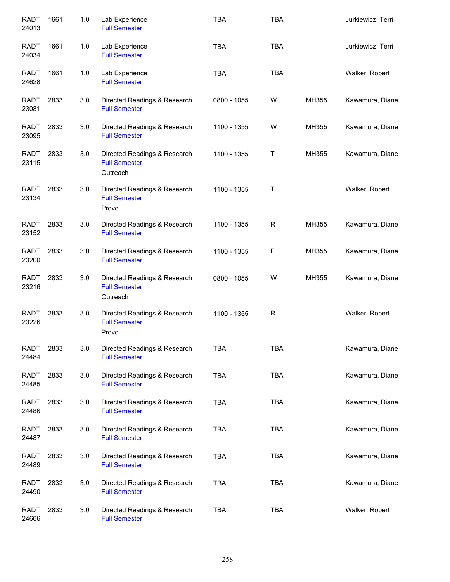| <b>RADT</b><br>24013 | 1661 | 1.0 | Lab Experience<br><b>Full Semester</b>                           | <b>TBA</b>  | <b>TBA</b>  |       | Jurkiewicz, Terri |
|----------------------|------|-----|------------------------------------------------------------------|-------------|-------------|-------|-------------------|
| <b>RADT</b><br>24034 | 1661 | 1.0 | Lab Experience<br><b>Full Semester</b>                           | <b>TBA</b>  | <b>TBA</b>  |       | Jurkiewicz, Terri |
| <b>RADT</b><br>24628 | 1661 | 1.0 | Lab Experience<br><b>Full Semester</b>                           | <b>TBA</b>  | <b>TBA</b>  |       | Walker, Robert    |
| <b>RADT</b><br>23081 | 2833 | 3.0 | Directed Readings & Research<br><b>Full Semester</b>             | 0800 - 1055 | W           | MH355 | Kawamura, Diane   |
| <b>RADT</b><br>23095 | 2833 | 3.0 | Directed Readings & Research<br><b>Full Semester</b>             | 1100 - 1355 | W           | MH355 | Kawamura, Diane   |
| RADT<br>23115        | 2833 | 3.0 | Directed Readings & Research<br><b>Full Semester</b><br>Outreach | 1100 - 1355 | Τ           | MH355 | Kawamura, Diane   |
| <b>RADT</b><br>23134 | 2833 | 3.0 | Directed Readings & Research<br><b>Full Semester</b><br>Provo    | 1100 - 1355 | Τ           |       | Walker, Robert    |
| RADT<br>23152        | 2833 | 3.0 | Directed Readings & Research<br><b>Full Semester</b>             | 1100 - 1355 | R           | MH355 | Kawamura, Diane   |
| RADT<br>23200        | 2833 | 3.0 | Directed Readings & Research<br><b>Full Semester</b>             | 1100 - 1355 | F           | MH355 | Kawamura, Diane   |
| <b>RADT</b><br>23216 | 2833 | 3.0 | Directed Readings & Research<br><b>Full Semester</b><br>Outreach | 0800 - 1055 | W           | MH355 | Kawamura, Diane   |
| <b>RADT</b><br>23226 | 2833 | 3.0 | Directed Readings & Research<br><b>Full Semester</b><br>Provo    | 1100 - 1355 | $\mathsf R$ |       | Walker, Robert    |
| <b>RADT</b><br>24484 | 2833 | 3.0 | Directed Readings & Research<br><b>Full Semester</b>             | TBA         | <b>TBA</b>  |       | Kawamura, Diane   |
| <b>RADT</b><br>24485 | 2833 | 3.0 | Directed Readings & Research<br><b>Full Semester</b>             | <b>TBA</b>  | <b>TBA</b>  |       | Kawamura, Diane   |
| <b>RADT</b><br>24486 | 2833 | 3.0 | Directed Readings & Research<br><b>Full Semester</b>             | <b>TBA</b>  | <b>TBA</b>  |       | Kawamura, Diane   |
| RADT<br>24487        | 2833 | 3.0 | Directed Readings & Research<br><b>Full Semester</b>             | <b>TBA</b>  | <b>TBA</b>  |       | Kawamura, Diane   |
| RADT<br>24489        | 2833 | 3.0 | Directed Readings & Research<br><b>Full Semester</b>             | <b>TBA</b>  | <b>TBA</b>  |       | Kawamura, Diane   |
| <b>RADT</b><br>24490 | 2833 | 3.0 | Directed Readings & Research<br><b>Full Semester</b>             | <b>TBA</b>  | <b>TBA</b>  |       | Kawamura, Diane   |
| <b>RADT</b><br>24666 | 2833 | 3.0 | Directed Readings & Research<br><b>Full Semester</b>             | <b>TBA</b>  | <b>TBA</b>  |       | Walker, Robert    |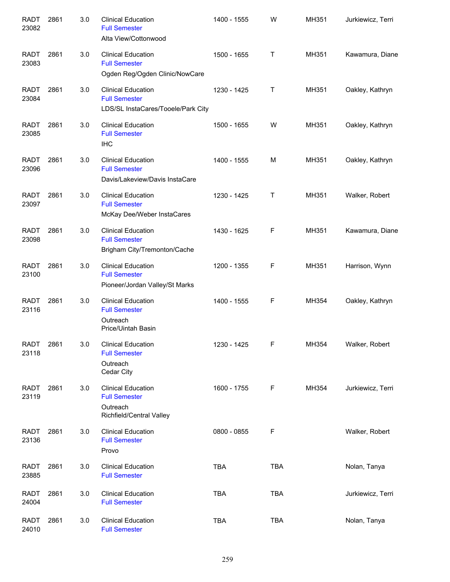| <b>RADT</b><br>23082 | 2861 | 3.0 | <b>Clinical Education</b><br><b>Full Semester</b><br>Alta View/Cottonwood                 | 1400 - 1555 | W          | MH351 | Jurkiewicz, Terri |
|----------------------|------|-----|-------------------------------------------------------------------------------------------|-------------|------------|-------|-------------------|
| <b>RADT</b><br>23083 | 2861 | 3.0 | <b>Clinical Education</b><br><b>Full Semester</b><br>Ogden Reg/Ogden Clinic/NowCare       | 1500 - 1655 | Τ          | MH351 | Kawamura, Diane   |
| <b>RADT</b><br>23084 | 2861 | 3.0 | <b>Clinical Education</b><br><b>Full Semester</b><br>LDS/SL InstaCares/Tooele/Park City   | 1230 - 1425 | Т          | MH351 | Oakley, Kathryn   |
| <b>RADT</b><br>23085 | 2861 | 3.0 | <b>Clinical Education</b><br><b>Full Semester</b><br><b>IHC</b>                           | 1500 - 1655 | W          | MH351 | Oakley, Kathryn   |
| <b>RADT</b><br>23096 | 2861 | 3.0 | <b>Clinical Education</b><br><b>Full Semester</b><br>Davis/Lakeview/Davis InstaCare       | 1400 - 1555 | м          | MH351 | Oakley, Kathryn   |
| <b>RADT</b><br>23097 | 2861 | 3.0 | <b>Clinical Education</b><br><b>Full Semester</b><br>McKay Dee/Weber InstaCares           | 1230 - 1425 | Τ          | MH351 | Walker, Robert    |
| <b>RADT</b><br>23098 | 2861 | 3.0 | <b>Clinical Education</b><br><b>Full Semester</b><br>Brigham City/Tremonton/Cache         | 1430 - 1625 | F          | MH351 | Kawamura, Diane   |
| <b>RADT</b><br>23100 | 2861 | 3.0 | <b>Clinical Education</b><br><b>Full Semester</b><br>Pioneer/Jordan Valley/St Marks       | 1200 - 1355 | F          | MH351 | Harrison, Wynn    |
| <b>RADT</b><br>23116 | 2861 | 3.0 | <b>Clinical Education</b><br><b>Full Semester</b><br>Outreach<br>Price/Uintah Basin       | 1400 - 1555 | F          | MH354 | Oakley, Kathryn   |
| RADT<br>23118        | 2861 | 3.0 | <b>Clinical Education</b><br><b>Full Semester</b><br>Outreach<br>Cedar City               | 1230 - 1425 | F          | MH354 | Walker, Robert    |
| <b>RADT</b><br>23119 | 2861 | 3.0 | <b>Clinical Education</b><br><b>Full Semester</b><br>Outreach<br>Richfield/Central Valley | 1600 - 1755 | F          | MH354 | Jurkiewicz, Terri |
| <b>RADT</b><br>23136 | 2861 | 3.0 | <b>Clinical Education</b><br><b>Full Semester</b><br>Provo                                | 0800 - 0855 | F          |       | Walker, Robert    |
| RADT<br>23885        | 2861 | 3.0 | <b>Clinical Education</b><br><b>Full Semester</b>                                         | <b>TBA</b>  | <b>TBA</b> |       | Nolan, Tanya      |
| <b>RADT</b><br>24004 | 2861 | 3.0 | <b>Clinical Education</b><br><b>Full Semester</b>                                         | <b>TBA</b>  | <b>TBA</b> |       | Jurkiewicz, Terri |
| <b>RADT</b><br>24010 | 2861 | 3.0 | <b>Clinical Education</b><br><b>Full Semester</b>                                         | <b>TBA</b>  | <b>TBA</b> |       | Nolan, Tanya      |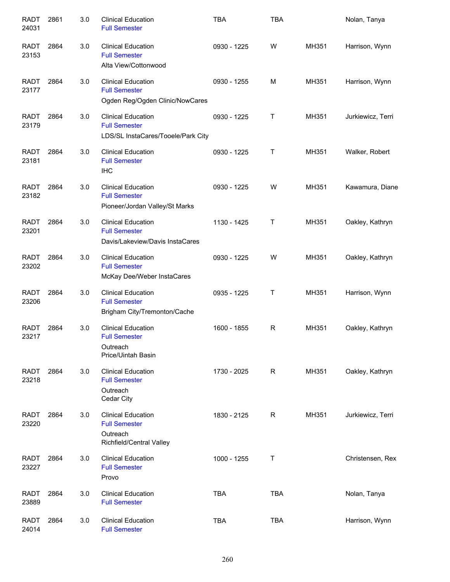| <b>RADT</b><br>24031 | 2861 | 3.0 | <b>Clinical Education</b><br><b>Full Semester</b>                                         | <b>TBA</b>  | <b>TBA</b> |       | Nolan, Tanya      |
|----------------------|------|-----|-------------------------------------------------------------------------------------------|-------------|------------|-------|-------------------|
| <b>RADT</b><br>23153 | 2864 | 3.0 | <b>Clinical Education</b><br><b>Full Semester</b><br>Alta View/Cottonwood                 | 0930 - 1225 | W          | MH351 | Harrison, Wynn    |
| <b>RADT</b><br>23177 | 2864 | 3.0 | <b>Clinical Education</b><br><b>Full Semester</b><br>Ogden Reg/Ogden Clinic/NowCares      | 0930 - 1255 | M          | MH351 | Harrison, Wynn    |
| <b>RADT</b><br>23179 | 2864 | 3.0 | <b>Clinical Education</b><br><b>Full Semester</b><br>LDS/SL InstaCares/Tooele/Park City   | 0930 - 1225 | Τ          | MH351 | Jurkiewicz, Terri |
| <b>RADT</b><br>23181 | 2864 | 3.0 | <b>Clinical Education</b><br><b>Full Semester</b><br><b>IHC</b>                           | 0930 - 1225 | Τ          | MH351 | Walker, Robert    |
| <b>RADT</b><br>23182 | 2864 | 3.0 | <b>Clinical Education</b><br><b>Full Semester</b><br>Pioneer/Jordan Valley/St Marks       | 0930 - 1225 | W          | MH351 | Kawamura, Diane   |
| <b>RADT</b><br>23201 | 2864 | 3.0 | <b>Clinical Education</b><br><b>Full Semester</b><br>Davis/Lakeview/Davis InstaCares      | 1130 - 1425 | Τ          | MH351 | Oakley, Kathryn   |
| <b>RADT</b><br>23202 | 2864 | 3.0 | <b>Clinical Education</b><br><b>Full Semester</b><br>McKay Dee/Weber InstaCares           | 0930 - 1225 | W          | MH351 | Oakley, Kathryn   |
| <b>RADT</b><br>23206 | 2864 | 3.0 | <b>Clinical Education</b><br><b>Full Semester</b><br>Brigham City/Tremonton/Cache         | 0935 - 1225 | Τ          | MH351 | Harrison, Wynn    |
| <b>RADT</b><br>23217 | 2864 | 3.0 | <b>Clinical Education</b><br><b>Full Semester</b><br>Outreach<br>Price/Uintah Basin       | 1600 - 1855 | R          | MH351 | Oakley, Kathryn   |
| <b>RADT</b><br>23218 | 2864 | 3.0 | <b>Clinical Education</b><br><b>Full Semester</b><br>Outreach<br>Cedar City               | 1730 - 2025 | R          | MH351 | Oakley, Kathryn   |
| <b>RADT</b><br>23220 | 2864 | 3.0 | <b>Clinical Education</b><br><b>Full Semester</b><br>Outreach<br>Richfield/Central Valley | 1830 - 2125 | R          | MH351 | Jurkiewicz, Terri |
| <b>RADT</b><br>23227 | 2864 | 3.0 | <b>Clinical Education</b><br><b>Full Semester</b><br>Provo                                | 1000 - 1255 | Τ          |       | Christensen, Rex  |
| <b>RADT</b><br>23889 | 2864 | 3.0 | <b>Clinical Education</b><br><b>Full Semester</b>                                         | <b>TBA</b>  | <b>TBA</b> |       | Nolan, Tanya      |
| <b>RADT</b><br>24014 | 2864 | 3.0 | <b>Clinical Education</b><br><b>Full Semester</b>                                         | <b>TBA</b>  | <b>TBA</b> |       | Harrison, Wynn    |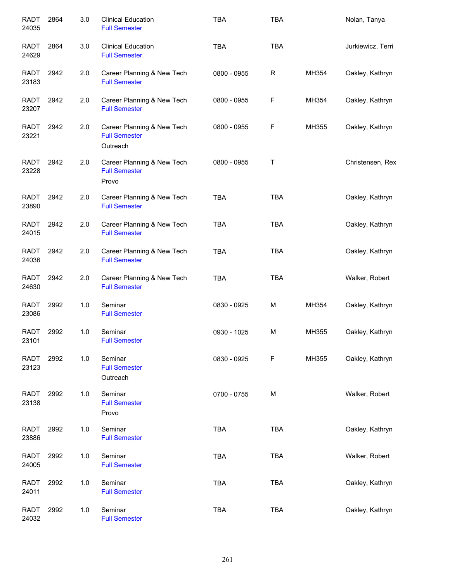| <b>RADT</b><br>24035 | 2864 | 3.0 | <b>Clinical Education</b><br><b>Full Semester</b>              | <b>TBA</b>  | <b>TBA</b>  |       | Nolan, Tanya      |
|----------------------|------|-----|----------------------------------------------------------------|-------------|-------------|-------|-------------------|
| RADT<br>24629        | 2864 | 3.0 | <b>Clinical Education</b><br><b>Full Semester</b>              | <b>TBA</b>  | <b>TBA</b>  |       | Jurkiewicz, Terri |
| RADT<br>23183        | 2942 | 2.0 | Career Planning & New Tech<br><b>Full Semester</b>             | 0800 - 0955 | $\mathsf R$ | MH354 | Oakley, Kathryn   |
| RADT<br>23207        | 2942 | 2.0 | Career Planning & New Tech<br><b>Full Semester</b>             | 0800 - 0955 | F           | MH354 | Oakley, Kathryn   |
| RADT<br>23221        | 2942 | 2.0 | Career Planning & New Tech<br><b>Full Semester</b><br>Outreach | 0800 - 0955 | F           | MH355 | Oakley, Kathryn   |
| <b>RADT</b><br>23228 | 2942 | 2.0 | Career Planning & New Tech<br><b>Full Semester</b><br>Provo    | 0800 - 0955 | Τ           |       | Christensen, Rex  |
| RADT<br>23890        | 2942 | 2.0 | Career Planning & New Tech<br><b>Full Semester</b>             | <b>TBA</b>  | <b>TBA</b>  |       | Oakley, Kathryn   |
| <b>RADT</b><br>24015 | 2942 | 2.0 | Career Planning & New Tech<br><b>Full Semester</b>             | <b>TBA</b>  | <b>TBA</b>  |       | Oakley, Kathryn   |
| <b>RADT</b><br>24036 | 2942 | 2.0 | Career Planning & New Tech<br><b>Full Semester</b>             | <b>TBA</b>  | <b>TBA</b>  |       | Oakley, Kathryn   |
| <b>RADT</b><br>24630 | 2942 | 2.0 | Career Planning & New Tech<br><b>Full Semester</b>             | <b>TBA</b>  | <b>TBA</b>  |       | Walker, Robert    |
| <b>RADT</b><br>23086 | 2992 | 1.0 | Seminar<br><b>Full Semester</b>                                | 0830 - 0925 | M           | MH354 | Oakley, Kathryn   |
| <b>RADT</b><br>23101 | 2992 | 1.0 | Seminar<br><b>Full Semester</b>                                | 0930 - 1025 | M           | MH355 | Oakley, Kathryn   |
| <b>RADT</b><br>23123 | 2992 | 1.0 | Seminar<br><b>Full Semester</b><br>Outreach                    | 0830 - 0925 | F           | MH355 | Oakley, Kathryn   |
| <b>RADT</b><br>23138 | 2992 | 1.0 | Seminar<br><b>Full Semester</b><br>Provo                       | 0700 - 0755 | М           |       | Walker, Robert    |
| <b>RADT</b><br>23886 | 2992 | 1.0 | Seminar<br><b>Full Semester</b>                                | <b>TBA</b>  | <b>TBA</b>  |       | Oakley, Kathryn   |
| <b>RADT</b><br>24005 | 2992 | 1.0 | Seminar<br><b>Full Semester</b>                                | <b>TBA</b>  | <b>TBA</b>  |       | Walker, Robert    |
| <b>RADT</b><br>24011 | 2992 | 1.0 | Seminar<br><b>Full Semester</b>                                | <b>TBA</b>  | <b>TBA</b>  |       | Oakley, Kathryn   |
| <b>RADT</b><br>24032 | 2992 | 1.0 | Seminar<br><b>Full Semester</b>                                | <b>TBA</b>  | <b>TBA</b>  |       | Oakley, Kathryn   |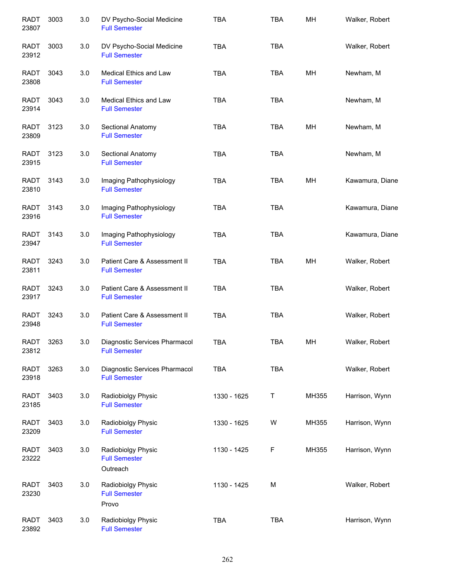| <b>RADT</b><br>23807 | 3003 | 3.0 | DV Psycho-Social Medicine<br><b>Full Semester</b>      | <b>TBA</b>  | <b>TBA</b> | MH    | Walker, Robert  |
|----------------------|------|-----|--------------------------------------------------------|-------------|------------|-------|-----------------|
| <b>RADT</b><br>23912 | 3003 | 3.0 | DV Psycho-Social Medicine<br><b>Full Semester</b>      | <b>TBA</b>  | <b>TBA</b> |       | Walker, Robert  |
| <b>RADT</b><br>23808 | 3043 | 3.0 | <b>Medical Ethics and Law</b><br><b>Full Semester</b>  | <b>TBA</b>  | <b>TBA</b> | MН    | Newham, M       |
| RADT<br>23914        | 3043 | 3.0 | Medical Ethics and Law<br><b>Full Semester</b>         | <b>TBA</b>  | <b>TBA</b> |       | Newham, M       |
| RADT<br>23809        | 3123 | 3.0 | Sectional Anatomy<br><b>Full Semester</b>              | <b>TBA</b>  | <b>TBA</b> | MH    | Newham, M       |
| <b>RADT</b><br>23915 | 3123 | 3.0 | Sectional Anatomy<br><b>Full Semester</b>              | <b>TBA</b>  | <b>TBA</b> |       | Newham, M       |
| <b>RADT</b><br>23810 | 3143 | 3.0 | Imaging Pathophysiology<br><b>Full Semester</b>        | <b>TBA</b>  | <b>TBA</b> | MН    | Kawamura, Diane |
| <b>RADT</b><br>23916 | 3143 | 3.0 | Imaging Pathophysiology<br><b>Full Semester</b>        | <b>TBA</b>  | <b>TBA</b> |       | Kawamura, Diane |
| <b>RADT</b><br>23947 | 3143 | 3.0 | Imaging Pathophysiology<br><b>Full Semester</b>        | <b>TBA</b>  | <b>TBA</b> |       | Kawamura, Diane |
| <b>RADT</b><br>23811 | 3243 | 3.0 | Patient Care & Assessment II<br><b>Full Semester</b>   | <b>TBA</b>  | <b>TBA</b> | MH    | Walker, Robert  |
| <b>RADT</b><br>23917 | 3243 | 3.0 | Patient Care & Assessment II<br><b>Full Semester</b>   | <b>TBA</b>  | <b>TBA</b> |       | Walker, Robert  |
| <b>RADT</b><br>23948 | 3243 | 3.0 | Patient Care & Assessment II<br><b>Full Semester</b>   | <b>TBA</b>  | <b>TBA</b> |       | Walker, Robert  |
| RADT<br>23812        | 3263 | 3.0 | Diagnostic Services Pharmacol<br><b>Full Semester</b>  | TBA         | <b>TBA</b> | MH    | Walker, Robert  |
| <b>RADT</b><br>23918 | 3263 | 3.0 | Diagnostic Services Pharmacol<br><b>Full Semester</b>  | <b>TBA</b>  | <b>TBA</b> |       | Walker, Robert  |
| RADT<br>23185        | 3403 | 3.0 | Radiobiolgy Physic<br><b>Full Semester</b>             | 1330 - 1625 | T          | MH355 | Harrison, Wynn  |
| <b>RADT</b><br>23209 | 3403 | 3.0 | Radiobiolgy Physic<br><b>Full Semester</b>             | 1330 - 1625 | W          | MH355 | Harrison, Wynn  |
| <b>RADT</b><br>23222 | 3403 | 3.0 | Radiobiolgy Physic<br><b>Full Semester</b><br>Outreach | 1130 - 1425 | F          | MH355 | Harrison, Wynn  |
| RADT<br>23230        | 3403 | 3.0 | Radiobiolgy Physic<br><b>Full Semester</b><br>Provo    | 1130 - 1425 | М          |       | Walker, Robert  |
| <b>RADT</b><br>23892 | 3403 | 3.0 | Radiobiolgy Physic<br><b>Full Semester</b>             | <b>TBA</b>  | <b>TBA</b> |       | Harrison, Wynn  |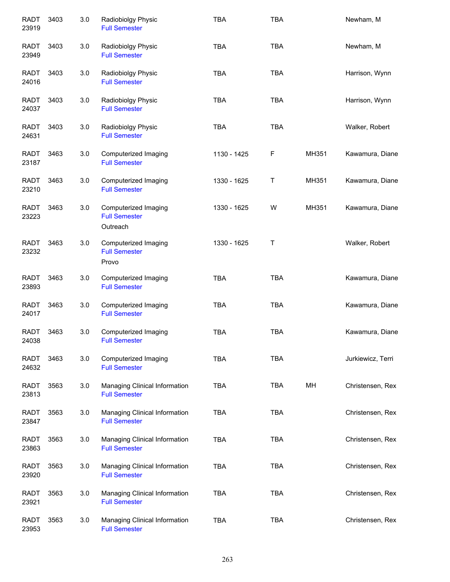| <b>RADT</b><br>23919 | 3403 | 3.0 | Radiobiolgy Physic<br><b>Full Semester</b>               | <b>TBA</b>  | <b>TBA</b> |       | Newham, M         |
|----------------------|------|-----|----------------------------------------------------------|-------------|------------|-------|-------------------|
| <b>RADT</b><br>23949 | 3403 | 3.0 | Radiobiolgy Physic<br><b>Full Semester</b>               | <b>TBA</b>  | <b>TBA</b> |       | Newham, M         |
| <b>RADT</b><br>24016 | 3403 | 3.0 | Radiobiolgy Physic<br><b>Full Semester</b>               | <b>TBA</b>  | <b>TBA</b> |       | Harrison, Wynn    |
| RADT<br>24037        | 3403 | 3.0 | Radiobiolgy Physic<br><b>Full Semester</b>               | <b>TBA</b>  | <b>TBA</b> |       | Harrison, Wynn    |
| <b>RADT</b><br>24631 | 3403 | 3.0 | Radiobiolgy Physic<br><b>Full Semester</b>               | <b>TBA</b>  | <b>TBA</b> |       | Walker, Robert    |
| <b>RADT</b><br>23187 | 3463 | 3.0 | Computerized Imaging<br><b>Full Semester</b>             | 1130 - 1425 | F          | MH351 | Kawamura, Diane   |
| <b>RADT</b><br>23210 | 3463 | 3.0 | Computerized Imaging<br><b>Full Semester</b>             | 1330 - 1625 | Τ          | MH351 | Kawamura, Diane   |
| <b>RADT</b><br>23223 | 3463 | 3.0 | Computerized Imaging<br><b>Full Semester</b><br>Outreach | 1330 - 1625 | W          | MH351 | Kawamura, Diane   |
| <b>RADT</b><br>23232 | 3463 | 3.0 | Computerized Imaging<br><b>Full Semester</b><br>Provo    | 1330 - 1625 | Τ          |       | Walker, Robert    |
| <b>RADT</b><br>23893 | 3463 | 3.0 | Computerized Imaging<br><b>Full Semester</b>             | <b>TBA</b>  | <b>TBA</b> |       | Kawamura, Diane   |
| <b>RADT</b><br>24017 | 3463 | 3.0 | Computerized Imaging<br><b>Full Semester</b>             | <b>TBA</b>  | <b>TBA</b> |       | Kawamura, Diane   |
| <b>RADT</b><br>24038 | 3463 | 3.0 | Computerized Imaging<br><b>Full Semester</b>             | <b>TBA</b>  | <b>TBA</b> |       | Kawamura, Diane   |
| <b>RADT</b><br>24632 | 3463 | 3.0 | Computerized Imaging<br><b>Full Semester</b>             | <b>TBA</b>  | <b>TBA</b> |       | Jurkiewicz, Terri |
| <b>RADT</b><br>23813 | 3563 | 3.0 | Managing Clinical Information<br><b>Full Semester</b>    | <b>TBA</b>  | <b>TBA</b> | MН    | Christensen, Rex  |
| <b>RADT</b><br>23847 | 3563 | 3.0 | Managing Clinical Information<br><b>Full Semester</b>    | <b>TBA</b>  | <b>TBA</b> |       | Christensen, Rex  |
| <b>RADT</b><br>23863 | 3563 | 3.0 | Managing Clinical Information<br><b>Full Semester</b>    | <b>TBA</b>  | <b>TBA</b> |       | Christensen, Rex  |
| <b>RADT</b><br>23920 | 3563 | 3.0 | Managing Clinical Information<br><b>Full Semester</b>    | <b>TBA</b>  | <b>TBA</b> |       | Christensen, Rex  |
| <b>RADT</b><br>23921 | 3563 | 3.0 | Managing Clinical Information<br><b>Full Semester</b>    | <b>TBA</b>  | <b>TBA</b> |       | Christensen, Rex  |
| <b>RADT</b><br>23953 | 3563 | 3.0 | Managing Clinical Information<br><b>Full Semester</b>    | <b>TBA</b>  | <b>TBA</b> |       | Christensen, Rex  |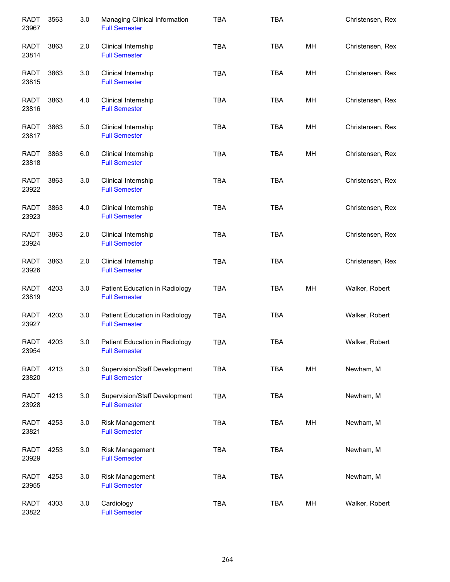| <b>RADT</b><br>23967 | 3563 | 3.0 | Managing Clinical Information<br><b>Full Semester</b>  | <b>TBA</b> | <b>TBA</b> |    | Christensen, Rex |
|----------------------|------|-----|--------------------------------------------------------|------------|------------|----|------------------|
| <b>RADT</b><br>23814 | 3863 | 2.0 | Clinical Internship<br><b>Full Semester</b>            | <b>TBA</b> | <b>TBA</b> | MH | Christensen, Rex |
| RADT<br>23815        | 3863 | 3.0 | Clinical Internship<br><b>Full Semester</b>            | <b>TBA</b> | <b>TBA</b> | MH | Christensen, Rex |
| RADT<br>23816        | 3863 | 4.0 | Clinical Internship<br><b>Full Semester</b>            | <b>TBA</b> | <b>TBA</b> | MH | Christensen, Rex |
| RADT<br>23817        | 3863 | 5.0 | Clinical Internship<br><b>Full Semester</b>            | <b>TBA</b> | <b>TBA</b> | MH | Christensen, Rex |
| <b>RADT</b><br>23818 | 3863 | 6.0 | Clinical Internship<br><b>Full Semester</b>            | <b>TBA</b> | <b>TBA</b> | MН | Christensen, Rex |
| <b>RADT</b><br>23922 | 3863 | 3.0 | Clinical Internship<br><b>Full Semester</b>            | <b>TBA</b> | <b>TBA</b> |    | Christensen, Rex |
| <b>RADT</b><br>23923 | 3863 | 4.0 | Clinical Internship<br><b>Full Semester</b>            | <b>TBA</b> | <b>TBA</b> |    | Christensen, Rex |
| <b>RADT</b><br>23924 | 3863 | 2.0 | Clinical Internship<br><b>Full Semester</b>            | <b>TBA</b> | <b>TBA</b> |    | Christensen, Rex |
| <b>RADT</b><br>23926 | 3863 | 2.0 | Clinical Internship<br><b>Full Semester</b>            | <b>TBA</b> | <b>TBA</b> |    | Christensen, Rex |
| <b>RADT</b><br>23819 | 4203 | 3.0 | Patient Education in Radiology<br><b>Full Semester</b> | <b>TBA</b> | <b>TBA</b> | MH | Walker, Robert   |
| <b>RADT</b><br>23927 | 4203 | 3.0 | Patient Education in Radiology<br><b>Full Semester</b> | <b>TBA</b> | <b>TBA</b> |    | Walker, Robert   |
| <b>RADT</b><br>23954 | 4203 | 3.0 | Patient Education in Radiology<br><b>Full Semester</b> | <b>TBA</b> | TBA        |    | Walker, Robert   |
| RADT<br>23820        | 4213 | 3.0 | Supervision/Staff Development<br><b>Full Semester</b>  | <b>TBA</b> | <b>TBA</b> | MH | Newham, M        |
| RADT<br>23928        | 4213 | 3.0 | Supervision/Staff Development<br><b>Full Semester</b>  | <b>TBA</b> | <b>TBA</b> |    | Newham, M        |
| <b>RADT</b><br>23821 | 4253 | 3.0 | Risk Management<br><b>Full Semester</b>                | TBA        | <b>TBA</b> | MH | Newham, M        |
| <b>RADT</b><br>23929 | 4253 | 3.0 | Risk Management<br><b>Full Semester</b>                | TBA        | <b>TBA</b> |    | Newham, M        |
| <b>RADT</b><br>23955 | 4253 | 3.0 | Risk Management<br><b>Full Semester</b>                | <b>TBA</b> | <b>TBA</b> |    | Newham, M        |
| <b>RADT</b><br>23822 | 4303 | 3.0 | Cardiology<br><b>Full Semester</b>                     | <b>TBA</b> | <b>TBA</b> | MH | Walker, Robert   |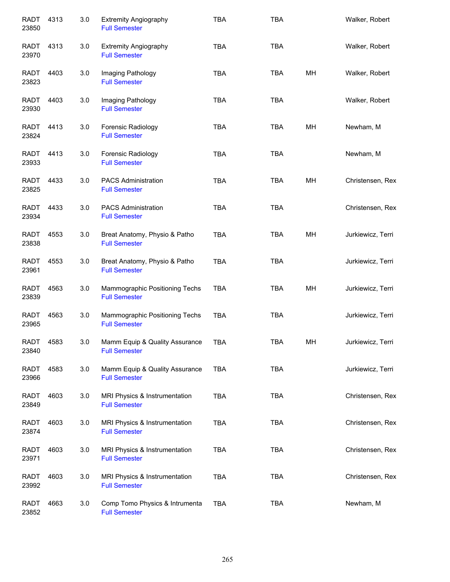| <b>RADT</b><br>23850 | 4313 | 3.0 | <b>Extremity Angiography</b><br><b>Full Semester</b>   | <b>TBA</b> | <b>TBA</b> |    | Walker, Robert    |
|----------------------|------|-----|--------------------------------------------------------|------------|------------|----|-------------------|
| RADT<br>23970        | 4313 | 3.0 | <b>Extremity Angiography</b><br><b>Full Semester</b>   | <b>TBA</b> | <b>TBA</b> |    | Walker, Robert    |
| <b>RADT</b><br>23823 | 4403 | 3.0 | Imaging Pathology<br><b>Full Semester</b>              | <b>TBA</b> | <b>TBA</b> | MН | Walker, Robert    |
| RADT<br>23930        | 4403 | 3.0 | Imaging Pathology<br><b>Full Semester</b>              | <b>TBA</b> | <b>TBA</b> |    | Walker, Robert    |
| RADT<br>23824        | 4413 | 3.0 | Forensic Radiology<br><b>Full Semester</b>             | <b>TBA</b> | <b>TBA</b> | MH | Newham, M         |
| RADT<br>23933        | 4413 | 3.0 | Forensic Radiology<br><b>Full Semester</b>             | <b>TBA</b> | <b>TBA</b> |    | Newham, M         |
| <b>RADT</b><br>23825 | 4433 | 3.0 | <b>PACS Administration</b><br><b>Full Semester</b>     | <b>TBA</b> | <b>TBA</b> | MН | Christensen, Rex  |
| <b>RADT</b><br>23934 | 4433 | 3.0 | <b>PACS Administration</b><br><b>Full Semester</b>     | <b>TBA</b> | <b>TBA</b> |    | Christensen, Rex  |
| <b>RADT</b><br>23838 | 4553 | 3.0 | Breat Anatomy, Physio & Patho<br><b>Full Semester</b>  | <b>TBA</b> | <b>TBA</b> | MН | Jurkiewicz, Terri |
| <b>RADT</b><br>23961 | 4553 | 3.0 | Breat Anatomy, Physio & Patho<br><b>Full Semester</b>  | <b>TBA</b> | <b>TBA</b> |    | Jurkiewicz, Terri |
| <b>RADT</b><br>23839 | 4563 | 3.0 | Mammographic Positioning Techs<br><b>Full Semester</b> | <b>TBA</b> | <b>TBA</b> | MH | Jurkiewicz, Terri |
| <b>RADT</b><br>23965 | 4563 | 3.0 | Mammographic Positioning Techs<br><b>Full Semester</b> | <b>TBA</b> | <b>TBA</b> |    | Jurkiewicz, Terri |
| <b>RADT</b><br>23840 | 4583 | 3.0 | Mamm Equip & Quality Assurance<br><b>Full Semester</b> | <b>TBA</b> | <b>TBA</b> | MH | Jurkiewicz, Terri |
| RADT<br>23966        | 4583 | 3.0 | Mamm Equip & Quality Assurance<br><b>Full Semester</b> | <b>TBA</b> | <b>TBA</b> |    | Jurkiewicz, Terri |
| RADT<br>23849        | 4603 | 3.0 | MRI Physics & Instrumentation<br><b>Full Semester</b>  | <b>TBA</b> | <b>TBA</b> |    | Christensen, Rex  |
| RADT<br>23874        | 4603 | 3.0 | MRI Physics & Instrumentation<br><b>Full Semester</b>  | <b>TBA</b> | <b>TBA</b> |    | Christensen, Rex  |
| RADT<br>23971        | 4603 | 3.0 | MRI Physics & Instrumentation<br><b>Full Semester</b>  | <b>TBA</b> | <b>TBA</b> |    | Christensen, Rex  |
| RADT<br>23992        | 4603 | 3.0 | MRI Physics & Instrumentation<br><b>Full Semester</b>  | <b>TBA</b> | <b>TBA</b> |    | Christensen, Rex  |
| RADT<br>23852        | 4663 | 3.0 | Comp Tomo Physics & Intrumenta<br><b>Full Semester</b> | <b>TBA</b> | <b>TBA</b> |    | Newham, M         |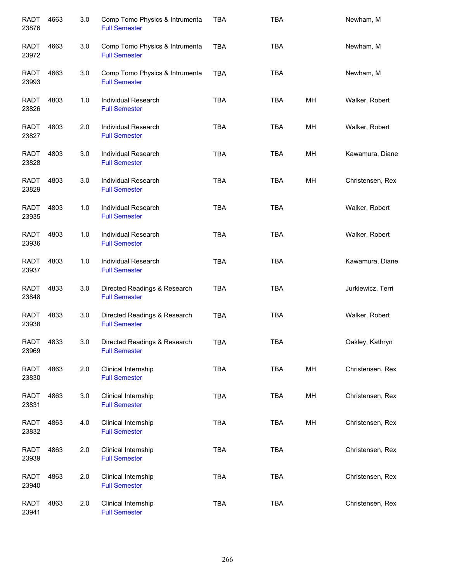| <b>RADT</b><br>23876 | 4663 | 3.0 | Comp Tomo Physics & Intrumenta<br><b>Full Semester</b> | <b>TBA</b> | <b>TBA</b> |    | Newham, M         |
|----------------------|------|-----|--------------------------------------------------------|------------|------------|----|-------------------|
| RADT<br>23972        | 4663 | 3.0 | Comp Tomo Physics & Intrumenta<br><b>Full Semester</b> | <b>TBA</b> | <b>TBA</b> |    | Newham, M         |
| <b>RADT</b><br>23993 | 4663 | 3.0 | Comp Tomo Physics & Intrumenta<br><b>Full Semester</b> | <b>TBA</b> | <b>TBA</b> |    | Newham, M         |
| RADT<br>23826        | 4803 | 1.0 | Individual Research<br><b>Full Semester</b>            | <b>TBA</b> | <b>TBA</b> | MH | Walker, Robert    |
| RADT<br>23827        | 4803 | 2.0 | Individual Research<br><b>Full Semester</b>            | <b>TBA</b> | <b>TBA</b> | MН | Walker, Robert    |
| <b>RADT</b><br>23828 | 4803 | 3.0 | Individual Research<br><b>Full Semester</b>            | <b>TBA</b> | <b>TBA</b> | MН | Kawamura, Diane   |
| <b>RADT</b><br>23829 | 4803 | 3.0 | <b>Individual Research</b><br><b>Full Semester</b>     | <b>TBA</b> | <b>TBA</b> | MH | Christensen, Rex  |
| <b>RADT</b><br>23935 | 4803 | 1.0 | <b>Individual Research</b><br><b>Full Semester</b>     | <b>TBA</b> | <b>TBA</b> |    | Walker, Robert    |
| <b>RADT</b><br>23936 | 4803 | 1.0 | Individual Research<br><b>Full Semester</b>            | <b>TBA</b> | <b>TBA</b> |    | Walker, Robert    |
| <b>RADT</b><br>23937 | 4803 | 1.0 | Individual Research<br><b>Full Semester</b>            | <b>TBA</b> | <b>TBA</b> |    | Kawamura, Diane   |
| <b>RADT</b><br>23848 | 4833 | 3.0 | Directed Readings & Research<br><b>Full Semester</b>   | <b>TBA</b> | <b>TBA</b> |    | Jurkiewicz, Terri |
| <b>RADT</b><br>23938 | 4833 | 3.0 | Directed Readings & Research<br><b>Full Semester</b>   | <b>TBA</b> | <b>TBA</b> |    | Walker, Robert    |
| <b>RADT</b><br>23969 | 4833 | 3.0 | Directed Readings & Research<br><b>Full Semester</b>   | <b>TBA</b> | TBA        |    | Oakley, Kathryn   |
| <b>RADT</b><br>23830 | 4863 | 2.0 | Clinical Internship<br><b>Full Semester</b>            | <b>TBA</b> | <b>TBA</b> | MH | Christensen, Rex  |
| <b>RADT</b><br>23831 | 4863 | 3.0 | Clinical Internship<br><b>Full Semester</b>            | <b>TBA</b> | <b>TBA</b> | MH | Christensen, Rex  |
| <b>RADT</b><br>23832 | 4863 | 4.0 | Clinical Internship<br><b>Full Semester</b>            | <b>TBA</b> | <b>TBA</b> | MH | Christensen, Rex  |
| <b>RADT</b><br>23939 | 4863 | 2.0 | Clinical Internship<br><b>Full Semester</b>            | <b>TBA</b> | <b>TBA</b> |    | Christensen, Rex  |
| <b>RADT</b><br>23940 | 4863 | 2.0 | Clinical Internship<br><b>Full Semester</b>            | <b>TBA</b> | <b>TBA</b> |    | Christensen, Rex  |
| <b>RADT</b><br>23941 | 4863 | 2.0 | Clinical Internship<br><b>Full Semester</b>            | <b>TBA</b> | <b>TBA</b> |    | Christensen, Rex  |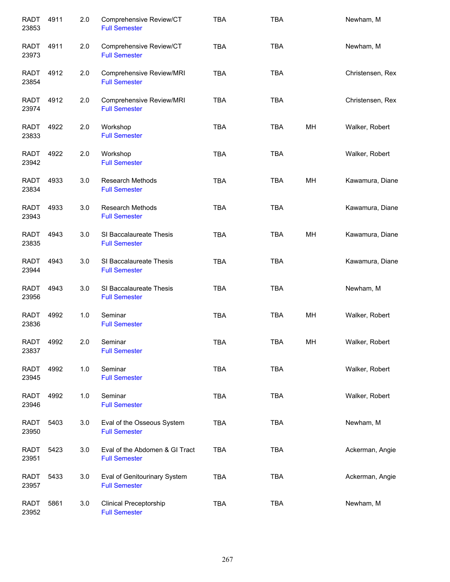| <b>RADT</b><br>23853 | 4911 | 2.0 | Comprehensive Review/CT<br><b>Full Semester</b>        | <b>TBA</b> | <b>TBA</b> |    | Newham, M        |
|----------------------|------|-----|--------------------------------------------------------|------------|------------|----|------------------|
| <b>RADT</b><br>23973 | 4911 | 2.0 | Comprehensive Review/CT<br><b>Full Semester</b>        | <b>TBA</b> | <b>TBA</b> |    | Newham, M        |
| <b>RADT</b><br>23854 | 4912 | 2.0 | Comprehensive Review/MRI<br><b>Full Semester</b>       | <b>TBA</b> | <b>TBA</b> |    | Christensen, Rex |
| <b>RADT</b><br>23974 | 4912 | 2.0 | Comprehensive Review/MRI<br><b>Full Semester</b>       | <b>TBA</b> | <b>TBA</b> |    | Christensen, Rex |
| <b>RADT</b><br>23833 | 4922 | 2.0 | Workshop<br><b>Full Semester</b>                       | <b>TBA</b> | <b>TBA</b> | MН | Walker, Robert   |
| RADT<br>23942        | 4922 | 2.0 | Workshop<br><b>Full Semester</b>                       | <b>TBA</b> | <b>TBA</b> |    | Walker, Robert   |
| <b>RADT</b><br>23834 | 4933 | 3.0 | <b>Research Methods</b><br><b>Full Semester</b>        | <b>TBA</b> | <b>TBA</b> | MН | Kawamura, Diane  |
| <b>RADT</b><br>23943 | 4933 | 3.0 | <b>Research Methods</b><br><b>Full Semester</b>        | <b>TBA</b> | <b>TBA</b> |    | Kawamura, Diane  |
| <b>RADT</b><br>23835 | 4943 | 3.0 | SI Baccalaureate Thesis<br><b>Full Semester</b>        | <b>TBA</b> | <b>TBA</b> | MH | Kawamura, Diane  |
| <b>RADT</b><br>23944 | 4943 | 3.0 | SI Baccalaureate Thesis<br><b>Full Semester</b>        | <b>TBA</b> | <b>TBA</b> |    | Kawamura, Diane  |
| <b>RADT</b><br>23956 | 4943 | 3.0 | SI Baccalaureate Thesis<br><b>Full Semester</b>        | <b>TBA</b> | <b>TBA</b> |    | Newham, M        |
| <b>RADT</b><br>23836 | 4992 | 1.0 | Seminar<br><b>Full Semester</b>                        | <b>TBA</b> | <b>TBA</b> | MH | Walker, Robert   |
| <b>RADT</b><br>23837 | 4992 | 2.0 | Seminar<br><b>Full Semester</b>                        | <b>TBA</b> | TBA        | MН | Walker, Robert   |
| <b>RADT</b><br>23945 | 4992 | 1.0 | Seminar<br><b>Full Semester</b>                        | <b>TBA</b> | <b>TBA</b> |    | Walker, Robert   |
| <b>RADT</b><br>23946 | 4992 | 1.0 | Seminar<br><b>Full Semester</b>                        | <b>TBA</b> | <b>TBA</b> |    | Walker, Robert   |
| <b>RADT</b><br>23950 | 5403 | 3.0 | Eval of the Osseous System<br><b>Full Semester</b>     | <b>TBA</b> | <b>TBA</b> |    | Newham, M        |
| <b>RADT</b><br>23951 | 5423 | 3.0 | Eval of the Abdomen & GI Tract<br><b>Full Semester</b> | <b>TBA</b> | <b>TBA</b> |    | Ackerman, Angie  |
| <b>RADT</b><br>23957 | 5433 | 3.0 | Eval of Genitourinary System<br><b>Full Semester</b>   | TBA        | <b>TBA</b> |    | Ackerman, Angie  |
| <b>RADT</b><br>23952 | 5861 | 3.0 | <b>Clinical Preceptorship</b><br><b>Full Semester</b>  | <b>TBA</b> | <b>TBA</b> |    | Newham, M        |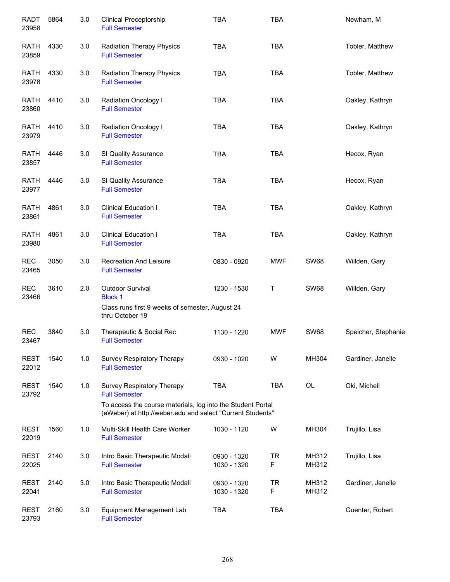| <b>RADT</b><br>23958 | 5864 | 3.0 | <b>Clinical Preceptorship</b><br><b>Full Semester</b>                                                                                                                                  | <b>TBA</b>                 | <b>TBA</b>     |                | Newham, M           |
|----------------------|------|-----|----------------------------------------------------------------------------------------------------------------------------------------------------------------------------------------|----------------------------|----------------|----------------|---------------------|
| <b>RATH</b><br>23859 | 4330 | 3.0 | <b>Radiation Therapy Physics</b><br><b>Full Semester</b>                                                                                                                               | <b>TBA</b>                 | <b>TBA</b>     |                | Tobler, Matthew     |
| <b>RATH</b><br>23978 | 4330 | 3.0 | <b>Radiation Therapy Physics</b><br><b>Full Semester</b>                                                                                                                               | <b>TBA</b>                 | <b>TBA</b>     |                | Tobler, Matthew     |
| <b>RATH</b><br>23860 | 4410 | 3.0 | Radiation Oncology I<br><b>Full Semester</b>                                                                                                                                           | <b>TBA</b>                 | <b>TBA</b>     |                | Oakley, Kathryn     |
| RATH<br>23979        | 4410 | 3.0 | <b>Radiation Oncology I</b><br><b>Full Semester</b>                                                                                                                                    | <b>TBA</b>                 | <b>TBA</b>     |                | Oakley, Kathryn     |
| <b>RATH</b><br>23857 | 4446 | 3.0 | SI Quality Assurance<br><b>Full Semester</b>                                                                                                                                           | <b>TBA</b>                 | <b>TBA</b>     |                | Hecox, Ryan         |
| <b>RATH</b><br>23977 | 4446 | 3.0 | SI Quality Assurance<br><b>Full Semester</b>                                                                                                                                           | <b>TBA</b>                 | <b>TBA</b>     |                | Hecox, Ryan         |
| <b>RATH</b><br>23861 | 4861 | 3.0 | <b>Clinical Education I</b><br><b>Full Semester</b>                                                                                                                                    | <b>TBA</b>                 | <b>TBA</b>     |                | Oakley, Kathryn     |
| <b>RATH</b><br>23980 | 4861 | 3.0 | <b>Clinical Education I</b><br><b>Full Semester</b>                                                                                                                                    | <b>TBA</b>                 | <b>TBA</b>     |                | Oakley, Kathryn     |
| <b>REC</b><br>23465  | 3050 | 3.0 | <b>Recreation And Leisure</b><br><b>Full Semester</b>                                                                                                                                  | 0830 - 0920                | <b>MWF</b>     | <b>SW68</b>    | Willden, Gary       |
| <b>REC</b><br>23466  | 3610 | 2.0 | Outdoor Survival<br><b>Block 1</b><br>Class runs first 9 weeks of semester, August 24<br>thru October 19                                                                               | 1230 - 1530                | T              | <b>SW68</b>    | Willden, Gary       |
| <b>REC</b><br>23467  | 3840 | 3.0 | Therapeutic & Social Rec<br><b>Full Semester</b>                                                                                                                                       | 1130 - 1220                | <b>MWF</b>     | <b>SW68</b>    | Speicher, Stephanie |
| <b>REST</b><br>22012 | 1540 | 1.0 | <b>Survey Respiratory Therapy</b><br><b>Full Semester</b>                                                                                                                              | 0930 - 1020                | W              | MH304          | Gardiner, Janelle   |
| <b>REST</b><br>23792 | 1540 | 1.0 | <b>Survey Respiratory Therapy</b><br><b>Full Semester</b><br>To access the course materials, log into the Student Portal<br>(eWeber) at http://weber.edu and select "Current Students" | <b>TBA</b>                 | <b>TBA</b>     | <b>OL</b>      | Oki, Michell        |
| <b>REST</b><br>22019 | 1560 | 1.0 | Multi-Skill Health Care Worker<br><b>Full Semester</b>                                                                                                                                 | 1030 - 1120                | W              | MH304          | Trujillo, Lisa      |
| <b>REST</b><br>22025 | 2140 | 3.0 | Intro Basic Therapeutic Modali<br><b>Full Semester</b>                                                                                                                                 | 0930 - 1320<br>1030 - 1320 | <b>TR</b><br>F | MH312<br>MH312 | Trujillo, Lisa      |
| <b>REST</b><br>22041 | 2140 | 3.0 | Intro Basic Therapeutic Modali<br><b>Full Semester</b>                                                                                                                                 | 0930 - 1320<br>1030 - 1320 | <b>TR</b><br>F | MH312<br>MH312 | Gardiner, Janelle   |
| <b>REST</b><br>23793 | 2160 | 3.0 | Equipment Management Lab<br><b>Full Semester</b>                                                                                                                                       | <b>TBA</b>                 | <b>TBA</b>     |                | Guenter, Robert     |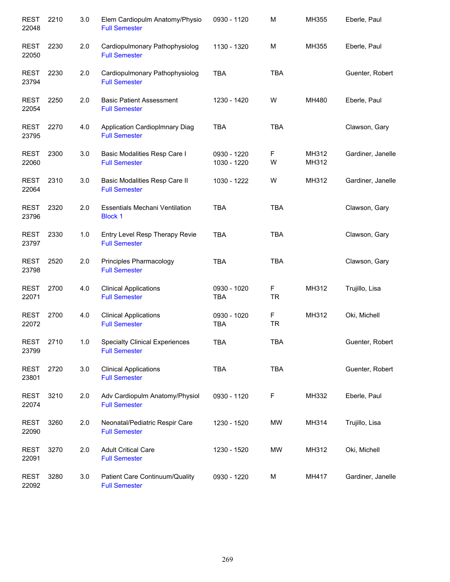| <b>REST</b><br>22048 | 2210 | 3.0 | Elem Cardiopulm Anatomy/Physio<br><b>Full Semester</b>        | 0930 - 1120                | M              | MH355          | Eberle, Paul      |
|----------------------|------|-----|---------------------------------------------------------------|----------------------------|----------------|----------------|-------------------|
| <b>REST</b><br>22050 | 2230 | 2.0 | Cardiopulmonary Pathophysiolog<br><b>Full Semester</b>        | 1130 - 1320                | M              | MH355          | Eberle, Paul      |
| <b>REST</b><br>23794 | 2230 | 2.0 | Cardiopulmonary Pathophysiolog<br><b>Full Semester</b>        | <b>TBA</b>                 | <b>TBA</b>     |                | Guenter, Robert   |
| <b>REST</b><br>22054 | 2250 | 2.0 | <b>Basic Patient Assessment</b><br><b>Full Semester</b>       | 1230 - 1420                | W              | MH480          | Eberle, Paul      |
| <b>REST</b><br>23795 | 2270 | 4.0 | Application CardiopImnary Diag<br><b>Full Semester</b>        | <b>TBA</b>                 | <b>TBA</b>     |                | Clawson, Gary     |
| <b>REST</b><br>22060 | 2300 | 3.0 | Basic Modalities Resp Care I<br><b>Full Semester</b>          | 0930 - 1220<br>1030 - 1220 | F<br>W         | MH312<br>MH312 | Gardiner, Janelle |
| <b>REST</b><br>22064 | 2310 | 3.0 | Basic Modalities Resp Care II<br><b>Full Semester</b>         | 1030 - 1222                | W              | MH312          | Gardiner, Janelle |
| <b>REST</b><br>23796 | 2320 | 2.0 | <b>Essentials Mechani Ventilation</b><br><b>Block 1</b>       | <b>TBA</b>                 | <b>TBA</b>     |                | Clawson, Gary     |
| <b>REST</b><br>23797 | 2330 | 1.0 | Entry Level Resp Therapy Revie<br><b>Full Semester</b>        | <b>TBA</b>                 | <b>TBA</b>     |                | Clawson, Gary     |
| <b>REST</b><br>23798 | 2520 | 2.0 | Principles Pharmacology<br><b>Full Semester</b>               | <b>TBA</b>                 | <b>TBA</b>     |                | Clawson, Gary     |
| <b>REST</b><br>22071 | 2700 | 4.0 | <b>Clinical Applications</b><br><b>Full Semester</b>          | 0930 - 1020<br><b>TBA</b>  | F<br><b>TR</b> | MH312          | Trujillo, Lisa    |
| <b>REST</b><br>22072 | 2700 | 4.0 | <b>Clinical Applications</b><br><b>Full Semester</b>          | 0930 - 1020<br><b>TBA</b>  | F<br><b>TR</b> | MH312          | Oki, Michell      |
| <b>REST</b><br>23799 | 2710 | 1.0 | <b>Specialty Clinical Experiences</b><br><b>Full Semester</b> | TBA                        | <b>TBA</b>     |                | Guenter, Robert   |
| <b>REST</b><br>23801 | 2720 | 3.0 | <b>Clinical Applications</b><br><b>Full Semester</b>          | <b>TBA</b>                 | TBA            |                | Guenter, Robert   |
| <b>REST</b><br>22074 | 3210 | 2.0 | Adv Cardiopulm Anatomy/Physiol<br><b>Full Semester</b>        | 0930 - 1120                | F              | MH332          | Eberle, Paul      |
| <b>REST</b><br>22090 | 3260 | 2.0 | Neonatal/Pediatric Respir Care<br><b>Full Semester</b>        | 1230 - 1520                | МW             | MH314          | Trujillo, Lisa    |
| <b>REST</b><br>22091 | 3270 | 2.0 | <b>Adult Critical Care</b><br><b>Full Semester</b>            | 1230 - 1520                | MW             | MH312          | Oki, Michell      |
| <b>REST</b><br>22092 | 3280 | 3.0 | Patient Care Continuum/Quality<br><b>Full Semester</b>        | 0930 - 1220                | M              | MH417          | Gardiner, Janelle |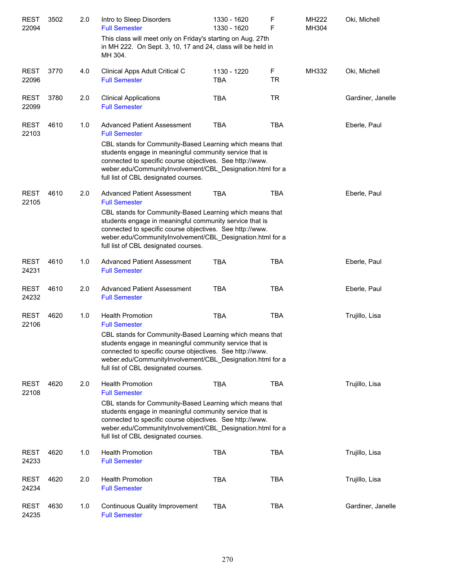| <b>REST</b>          | 3502 | 2.0 | Intro to Sleep Disorders                                                                                                                                                                                                                                                             | 1330 - 1620 | F          | MH222 | Oki, Michell      |
|----------------------|------|-----|--------------------------------------------------------------------------------------------------------------------------------------------------------------------------------------------------------------------------------------------------------------------------------------|-------------|------------|-------|-------------------|
| 22094                |      |     | <b>Full Semester</b><br>This class will meet only on Friday's starting on Aug. 27th                                                                                                                                                                                                  | 1330 - 1620 | F          | MH304 |                   |
|                      |      |     | in MH 222. On Sept. 3, 10, 17 and 24, class will be held in<br>MH 304.                                                                                                                                                                                                               |             |            |       |                   |
| <b>REST</b>          | 3770 | 4.0 | Clinical Apps Adult Critical C                                                                                                                                                                                                                                                       | 1130 - 1220 | F          | MH332 | Oki, Michell      |
| 22096                |      |     | <b>Full Semester</b>                                                                                                                                                                                                                                                                 | <b>TBA</b>  | <b>TR</b>  |       |                   |
| <b>REST</b><br>22099 | 3780 | 2.0 | <b>Clinical Applications</b><br><b>Full Semester</b>                                                                                                                                                                                                                                 | <b>TBA</b>  | <b>TR</b>  |       | Gardiner, Janelle |
| <b>REST</b><br>22103 | 4610 | 1.0 | <b>Advanced Patient Assessment</b><br><b>Full Semester</b>                                                                                                                                                                                                                           | <b>TBA</b>  | <b>TBA</b> |       | Eberle, Paul      |
|                      |      |     | CBL stands for Community-Based Learning which means that<br>students engage in meaningful community service that is<br>connected to specific course objectives. See http://www.<br>weber.edu/CommunityInvolvement/CBL_Designation.html for a<br>full list of CBL designated courses. |             |            |       |                   |
| <b>REST</b><br>22105 | 4610 | 2.0 | <b>Advanced Patient Assessment</b><br><b>Full Semester</b>                                                                                                                                                                                                                           | <b>TBA</b>  | <b>TBA</b> |       | Eberle, Paul      |
|                      |      |     | CBL stands for Community-Based Learning which means that<br>students engage in meaningful community service that is<br>connected to specific course objectives. See http://www.<br>weber.edu/CommunityInvolvement/CBL_Designation.html for a<br>full list of CBL designated courses. |             |            |       |                   |
| <b>REST</b><br>24231 | 4610 | 1.0 | <b>Advanced Patient Assessment</b><br><b>Full Semester</b>                                                                                                                                                                                                                           | <b>TBA</b>  | <b>TBA</b> |       | Eberle, Paul      |
| <b>REST</b><br>24232 | 4610 | 2.0 | <b>Advanced Patient Assessment</b><br><b>Full Semester</b>                                                                                                                                                                                                                           | <b>TBA</b>  | <b>TBA</b> |       | Eberle, Paul      |
| <b>REST</b><br>22106 | 4620 | 1.0 | <b>Health Promotion</b><br><b>Full Semester</b>                                                                                                                                                                                                                                      | <b>TBA</b>  | <b>TBA</b> |       | Trujillo, Lisa    |
|                      |      |     | CBL stands for Community-Based Learning which means that<br>students engage in meaningful community service that is<br>connected to specific course objectives. See http://www.<br>weber.edu/CommunityInvolvement/CBL Designation.html for a<br>full list of CBL designated courses. |             |            |       |                   |
| <b>REST</b><br>22108 | 4620 | 2.0 | <b>Health Promotion</b><br><b>Full Semester</b>                                                                                                                                                                                                                                      | <b>TBA</b>  | <b>TBA</b> |       | Trujillo, Lisa    |
|                      |      |     | CBL stands for Community-Based Learning which means that<br>students engage in meaningful community service that is<br>connected to specific course objectives. See http://www.<br>weber.edu/CommunityInvolvement/CBL Designation.html for a<br>full list of CBL designated courses. |             |            |       |                   |
| <b>REST</b><br>24233 | 4620 | 1.0 | <b>Health Promotion</b><br><b>Full Semester</b>                                                                                                                                                                                                                                      | <b>TBA</b>  | <b>TBA</b> |       | Trujillo, Lisa    |
| <b>REST</b><br>24234 | 4620 | 2.0 | <b>Health Promotion</b><br><b>Full Semester</b>                                                                                                                                                                                                                                      | <b>TBA</b>  | TBA        |       | Trujillo, Lisa    |
| <b>REST</b><br>24235 | 4630 | 1.0 | <b>Continuous Quality Improvement</b><br><b>Full Semester</b>                                                                                                                                                                                                                        | <b>TBA</b>  | <b>TBA</b> |       | Gardiner, Janelle |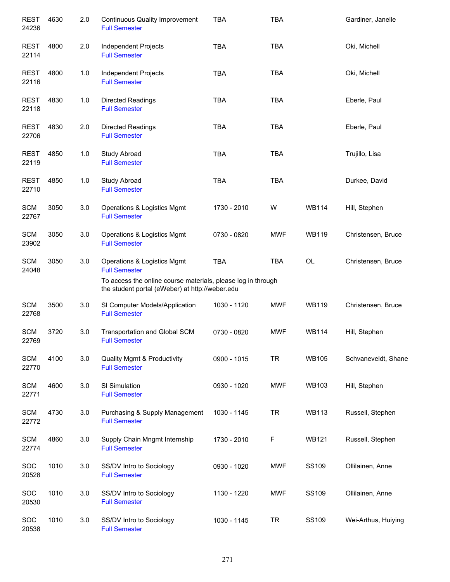| <b>REST</b><br>24236 | 4630 | 2.0   | <b>Continuous Quality Improvement</b><br><b>Full Semester</b>                                                                                                          | <b>TBA</b>  | <b>TBA</b> |              | Gardiner, Janelle   |
|----------------------|------|-------|------------------------------------------------------------------------------------------------------------------------------------------------------------------------|-------------|------------|--------------|---------------------|
| <b>REST</b><br>22114 | 4800 | 2.0   | Independent Projects<br><b>Full Semester</b>                                                                                                                           | <b>TBA</b>  | <b>TBA</b> |              | Oki, Michell        |
| <b>REST</b><br>22116 | 4800 | 1.0   | Independent Projects<br><b>Full Semester</b>                                                                                                                           | <b>TBA</b>  | <b>TBA</b> |              | Oki, Michell        |
| REST<br>22118        | 4830 | $1.0$ | Directed Readings<br><b>Full Semester</b>                                                                                                                              | <b>TBA</b>  | <b>TBA</b> |              | Eberle, Paul        |
| <b>REST</b><br>22706 | 4830 | 2.0   | Directed Readings<br><b>Full Semester</b>                                                                                                                              | <b>TBA</b>  | <b>TBA</b> |              | Eberle, Paul        |
| REST<br>22119        | 4850 | 1.0   | Study Abroad<br><b>Full Semester</b>                                                                                                                                   | <b>TBA</b>  | <b>TBA</b> |              | Trujillo, Lisa      |
| <b>REST</b><br>22710 | 4850 | 1.0   | Study Abroad<br><b>Full Semester</b>                                                                                                                                   | <b>TBA</b>  | <b>TBA</b> |              | Durkee, David       |
| <b>SCM</b><br>22767  | 3050 | 3.0   | Operations & Logistics Mgmt<br><b>Full Semester</b>                                                                                                                    | 1730 - 2010 | W          | <b>WB114</b> | Hill, Stephen       |
| <b>SCM</b><br>23902  | 3050 | 3.0   | Operations & Logistics Mgmt<br><b>Full Semester</b>                                                                                                                    | 0730 - 0820 | <b>MWF</b> | <b>WB119</b> | Christensen, Bruce  |
| <b>SCM</b><br>24048  | 3050 | 3.0   | Operations & Logistics Mgmt<br><b>Full Semester</b><br>To access the online course materials, please log in through<br>the student portal (eWeber) at http://weber.edu | <b>TBA</b>  | <b>TBA</b> | OL           | Christensen, Bruce  |
| <b>SCM</b><br>22768  | 3500 | 3.0   | SI Computer Models/Application<br><b>Full Semester</b>                                                                                                                 | 1030 - 1120 | <b>MWF</b> | <b>WB119</b> | Christensen, Bruce  |
| <b>SCM</b><br>22769  | 3720 | 3.0   | Transportation and Global SCM<br><b>Full Semester</b>                                                                                                                  | 0730 - 0820 | <b>MWF</b> | <b>WB114</b> | Hill, Stephen       |
| <b>SCM</b><br>22770  | 4100 | 3.0   | <b>Quality Mgmt &amp; Productivity</b><br><b>Full Semester</b>                                                                                                         | 0900 - 1015 | <b>TR</b>  | <b>WB105</b> | Schvaneveldt, Shane |
| <b>SCM</b><br>22771  | 4600 | 3.0   | SI Simulation<br><b>Full Semester</b>                                                                                                                                  | 0930 - 1020 | <b>MWF</b> | <b>WB103</b> | Hill, Stephen       |
| <b>SCM</b><br>22772  | 4730 | 3.0   | Purchasing & Supply Management<br><b>Full Semester</b>                                                                                                                 | 1030 - 1145 | <b>TR</b>  | <b>WB113</b> | Russell, Stephen    |
| <b>SCM</b><br>22774  | 4860 | 3.0   | Supply Chain Mngmt Internship<br><b>Full Semester</b>                                                                                                                  | 1730 - 2010 | F          | <b>WB121</b> | Russell, Stephen    |
| SOC<br>20528         | 1010 | 3.0   | SS/DV Intro to Sociology<br><b>Full Semester</b>                                                                                                                       | 0930 - 1020 | <b>MWF</b> | SS109        | Ollilainen, Anne    |
| SOC<br>20530         | 1010 | 3.0   | SS/DV Intro to Sociology<br><b>Full Semester</b>                                                                                                                       | 1130 - 1220 | <b>MWF</b> | SS109        | Ollilainen, Anne    |
| SOC<br>20538         | 1010 | 3.0   | SS/DV Intro to Sociology<br><b>Full Semester</b>                                                                                                                       | 1030 - 1145 | <b>TR</b>  | SS109        | Wei-Arthus, Huiying |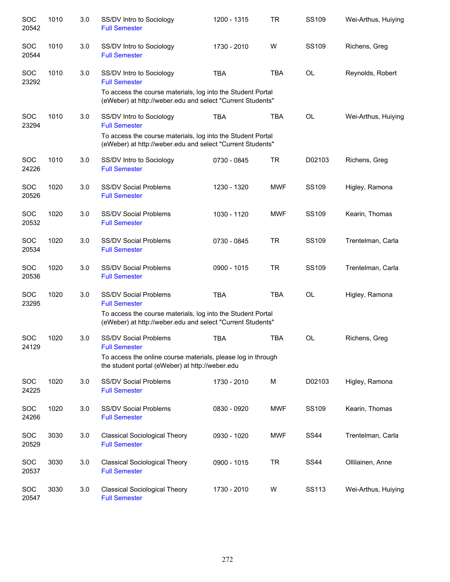| SOC<br>20542        | 1010 | 3.0 | SS/DV Intro to Sociology<br><b>Full Semester</b>                                                                                                                                  | 1200 - 1315   | TR         | SS109        | Wei-Arthus, Huiying |
|---------------------|------|-----|-----------------------------------------------------------------------------------------------------------------------------------------------------------------------------------|---------------|------------|--------------|---------------------|
| SOC<br>20544        | 1010 | 3.0 | SS/DV Intro to Sociology<br><b>Full Semester</b>                                                                                                                                  | 1730 - 2010   | W          | <b>SS109</b> | Richens, Greg       |
| <b>SOC</b><br>23292 | 1010 | 3.0 | SS/DV Intro to Sociology<br><b>Full Semester</b><br>To access the course materials, log into the Student Portal<br>(eWeber) at http://weber.edu and select "Current Students"     | <b>TBA</b>    | <b>TBA</b> | OL           | Reynolds, Robert    |
| <b>SOC</b><br>23294 | 1010 | 3.0 | SS/DV Intro to Sociology<br><b>Full Semester</b><br>To access the course materials, log into the Student Portal<br>(eWeber) at http://weber.edu and select "Current Students"     | <b>TBA</b>    | <b>TBA</b> | <b>OL</b>    | Wei-Arthus, Huiying |
| <b>SOC</b><br>24226 | 1010 | 3.0 | SS/DV Intro to Sociology<br><b>Full Semester</b>                                                                                                                                  | 0730 - 0845   | <b>TR</b>  | D02103       | Richens, Greg       |
| SOC<br>20526        | 1020 | 3.0 | <b>SS/DV Social Problems</b><br><b>Full Semester</b>                                                                                                                              | 1230 - 1320   | <b>MWF</b> | SS109        | Higley, Ramona      |
| SOC<br>20532        | 1020 | 3.0 | SS/DV Social Problems<br><b>Full Semester</b>                                                                                                                                     | 1030 - 1120   | <b>MWF</b> | SS109        | Kearin, Thomas      |
| <b>SOC</b><br>20534 | 1020 | 3.0 | <b>SS/DV Social Problems</b><br><b>Full Semester</b>                                                                                                                              | 0730 - 0845   | <b>TR</b>  | SS109        | Trentelman, Carla   |
| <b>SOC</b><br>20536 | 1020 | 3.0 | <b>SS/DV Social Problems</b><br><b>Full Semester</b>                                                                                                                              | $0900 - 1015$ | <b>TR</b>  | SS109        | Trentelman, Carla   |
| <b>SOC</b><br>23295 | 1020 | 3.0 | <b>SS/DV Social Problems</b><br><b>Full Semester</b><br>To access the course materials, log into the Student Portal<br>(eWeber) at http://weber.edu and select "Current Students" | <b>TBA</b>    | <b>TBA</b> | OL           | Higley, Ramona      |
| SOC<br>24129        | 1020 | 3.0 | <b>SS/DV Social Problems</b><br><b>Full Semester</b><br>To access the online course materials, please log in through<br>the student portal (eWeber) at http://weber.edu           | <b>TBA</b>    | <b>TBA</b> | OL           | Richens, Greg       |
| <b>SOC</b><br>24225 | 1020 | 3.0 | <b>SS/DV Social Problems</b><br><b>Full Semester</b>                                                                                                                              | 1730 - 2010   | М          | D02103       | Higley, Ramona      |
| SOC<br>24266        | 1020 | 3.0 | <b>SS/DV Social Problems</b><br><b>Full Semester</b>                                                                                                                              | 0830 - 0920   | <b>MWF</b> | SS109        | Kearin, Thomas      |
| SOC<br>20529        | 3030 | 3.0 | <b>Classical Sociological Theory</b><br><b>Full Semester</b>                                                                                                                      | 0930 - 1020   | <b>MWF</b> | <b>SS44</b>  | Trentelman, Carla   |
| SOC<br>20537        | 3030 | 3.0 | <b>Classical Sociological Theory</b><br><b>Full Semester</b>                                                                                                                      | 0900 - 1015   | <b>TR</b>  | <b>SS44</b>  | Ollilainen, Anne    |
| SOC<br>20547        | 3030 | 3.0 | <b>Classical Sociological Theory</b><br><b>Full Semester</b>                                                                                                                      | 1730 - 2010   | W          | SS113        | Wei-Arthus, Huiying |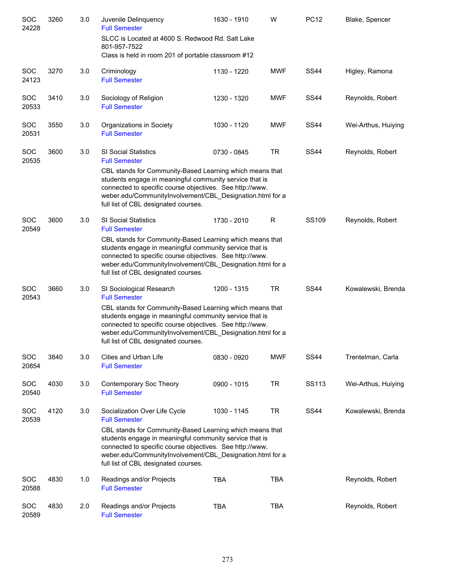| SOC<br>24228        | 3260 | 3.0 | Juvenile Delinquency<br><b>Full Semester</b>                                                                                                                                                                                                                                         | 1630 - 1910 | W          | <b>PC12</b> | Blake, Spencer      |
|---------------------|------|-----|--------------------------------------------------------------------------------------------------------------------------------------------------------------------------------------------------------------------------------------------------------------------------------------|-------------|------------|-------------|---------------------|
|                     |      |     | SLCC is Located at 4600 S. Redwood Rd. Salt Lake<br>801-957-7522<br>Class is held in room 201 of portable classroom #12                                                                                                                                                              |             |            |             |                     |
| <b>SOC</b><br>24123 | 3270 | 3.0 | Criminology<br><b>Full Semester</b>                                                                                                                                                                                                                                                  | 1130 - 1220 | <b>MWF</b> | <b>SS44</b> | Higley, Ramona      |
| <b>SOC</b><br>20533 | 3410 | 3.0 | Sociology of Religion<br><b>Full Semester</b>                                                                                                                                                                                                                                        | 1230 - 1320 | <b>MWF</b> | <b>SS44</b> | Reynolds, Robert    |
| <b>SOC</b><br>20531 | 3550 | 3.0 | Organizations in Society<br><b>Full Semester</b>                                                                                                                                                                                                                                     | 1030 - 1120 | <b>MWF</b> | <b>SS44</b> | Wei-Arthus, Huiying |
| <b>SOC</b><br>20535 | 3600 | 3.0 | <b>SI Social Statistics</b><br><b>Full Semester</b>                                                                                                                                                                                                                                  | 0730 - 0845 | <b>TR</b>  | <b>SS44</b> | Reynolds, Robert    |
|                     |      |     | CBL stands for Community-Based Learning which means that<br>students engage in meaningful community service that is<br>connected to specific course objectives. See http://www.<br>weber.edu/CommunityInvolvement/CBL_Designation.html for a<br>full list of CBL designated courses. |             |            |             |                     |
| SOC<br>20549        | 3600 | 3.0 | <b>SI Social Statistics</b><br><b>Full Semester</b>                                                                                                                                                                                                                                  | 1730 - 2010 | R          | SS109       | Reynolds, Robert    |
|                     |      |     | CBL stands for Community-Based Learning which means that<br>students engage in meaningful community service that is<br>connected to specific course objectives. See http://www.<br>weber.edu/CommunityInvolvement/CBL_Designation.html for a<br>full list of CBL designated courses. |             |            |             |                     |
| <b>SOC</b><br>20543 | 3660 | 3.0 | SI Sociological Research<br><b>Full Semester</b>                                                                                                                                                                                                                                     | 1200 - 1315 | <b>TR</b>  | <b>SS44</b> | Kowalewski, Brenda  |
|                     |      |     | CBL stands for Community-Based Learning which means that<br>students engage in meaningful community service that is<br>connected to specific course objectives. See http://www.<br>weber.edu/CommunityInvolvement/CBL_Designation.html for a<br>full list of CBL designated courses. |             |            |             |                     |
| <b>SOC</b><br>20854 | 3840 | 3.0 | Cities and Urban Life<br><b>Full Semester</b>                                                                                                                                                                                                                                        | 0830 - 0920 | <b>MWF</b> | <b>SS44</b> | Trentelman, Carla   |
| <b>SOC</b><br>20540 | 4030 | 3.0 | Contemporary Soc Theory<br><b>Full Semester</b>                                                                                                                                                                                                                                      | 0900 - 1015 | <b>TR</b>  | SS113       | Wei-Arthus, Huiying |
| <b>SOC</b><br>20539 | 4120 | 3.0 | Socialization Over Life Cycle<br><b>Full Semester</b><br>CBL stands for Community-Based Learning which means that                                                                                                                                                                    | 1030 - 1145 | <b>TR</b>  | <b>SS44</b> | Kowalewski, Brenda  |
|                     |      |     | students engage in meaningful community service that is<br>connected to specific course objectives. See http://www.<br>weber.edu/CommunityInvolvement/CBL_Designation.html for a<br>full list of CBL designated courses.                                                             |             |            |             |                     |
| <b>SOC</b><br>20588 | 4830 | 1.0 | Readings and/or Projects<br><b>Full Semester</b>                                                                                                                                                                                                                                     | <b>TBA</b>  | <b>TBA</b> |             | Reynolds, Robert    |
| SOC<br>20589        | 4830 | 2.0 | Readings and/or Projects<br><b>Full Semester</b>                                                                                                                                                                                                                                     | <b>TBA</b>  | <b>TBA</b> |             | Reynolds, Robert    |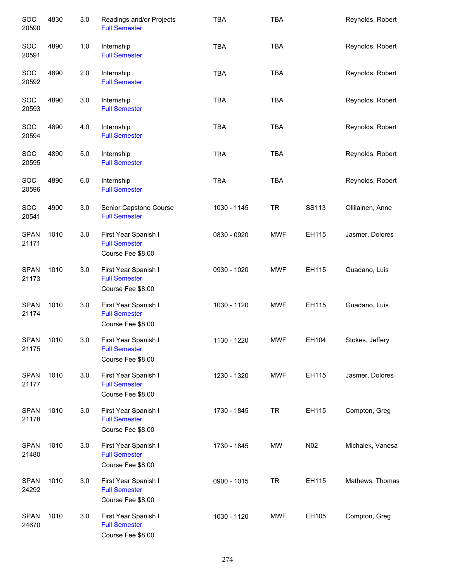| SOC<br>20590         | 4830 | 3.0   | Readings and/or Projects<br><b>Full Semester</b>                  | <b>TBA</b>  | <b>TBA</b> |       | Reynolds, Robert |
|----------------------|------|-------|-------------------------------------------------------------------|-------------|------------|-------|------------------|
| SOC<br>20591         | 4890 | $1.0$ | Internship<br><b>Full Semester</b>                                | <b>TBA</b>  | <b>TBA</b> |       | Reynolds, Robert |
| SOC<br>20592         | 4890 | 2.0   | Internship<br><b>Full Semester</b>                                | <b>TBA</b>  | <b>TBA</b> |       | Reynolds, Robert |
| SOC<br>20593         | 4890 | 3.0   | Internship<br><b>Full Semester</b>                                | <b>TBA</b>  | <b>TBA</b> |       | Reynolds, Robert |
| SOC<br>20594         | 4890 | 4.0   | Internship<br><b>Full Semester</b>                                | <b>TBA</b>  | <b>TBA</b> |       | Reynolds, Robert |
| SOC<br>20595         | 4890 | 5.0   | Internship<br><b>Full Semester</b>                                | <b>TBA</b>  | <b>TBA</b> |       | Reynolds, Robert |
| SOC<br>20596         | 4890 | 6.0   | Internship<br><b>Full Semester</b>                                | <b>TBA</b>  | <b>TBA</b> |       | Reynolds, Robert |
| SOC<br>20541         | 4900 | 3.0   | Senior Capstone Course<br><b>Full Semester</b>                    | 1030 - 1145 | <b>TR</b>  | SS113 | Ollilainen, Anne |
| <b>SPAN</b><br>21171 | 1010 | 3.0   | First Year Spanish I<br><b>Full Semester</b><br>Course Fee \$8.00 | 0830 - 0920 | <b>MWF</b> | EH115 | Jasmer, Dolores  |
| <b>SPAN</b><br>21173 | 1010 | 3.0   | First Year Spanish I<br><b>Full Semester</b><br>Course Fee \$8.00 | 0930 - 1020 | <b>MWF</b> | EH115 | Guadano, Luis    |
| <b>SPAN</b><br>21174 | 1010 | 3.0   | First Year Spanish I<br><b>Full Semester</b><br>Course Fee \$8.00 | 1030 - 1120 | <b>MWF</b> | EH115 | Guadano, Luis    |
| <b>SPAN</b><br>21175 | 1010 | 3.0   | First Year Spanish I<br><b>Full Semester</b><br>Course Fee \$8.00 | 1130 - 1220 | <b>MWF</b> | EH104 | Stokes, Jeffery  |
| <b>SPAN</b><br>21177 | 1010 | 3.0   | First Year Spanish I<br><b>Full Semester</b><br>Course Fee \$8.00 | 1230 - 1320 | <b>MWF</b> | EH115 | Jasmer, Dolores  |
| <b>SPAN</b><br>21178 | 1010 | 3.0   | First Year Spanish I<br><b>Full Semester</b><br>Course Fee \$8.00 | 1730 - 1845 | <b>TR</b>  | EH115 | Compton, Greg    |
| <b>SPAN</b><br>21480 | 1010 | 3.0   | First Year Spanish I<br><b>Full Semester</b><br>Course Fee \$8.00 | 1730 - 1845 | <b>MW</b>  | N02   | Michalek, Vanesa |
| <b>SPAN</b><br>24292 | 1010 | 3.0   | First Year Spanish I<br><b>Full Semester</b><br>Course Fee \$8.00 | 0900 - 1015 | <b>TR</b>  | EH115 | Mathews, Thomas  |
| <b>SPAN</b><br>24670 | 1010 | 3.0   | First Year Spanish I<br><b>Full Semester</b><br>Course Fee \$8.00 | 1030 - 1120 | <b>MWF</b> | EH105 | Compton, Greg    |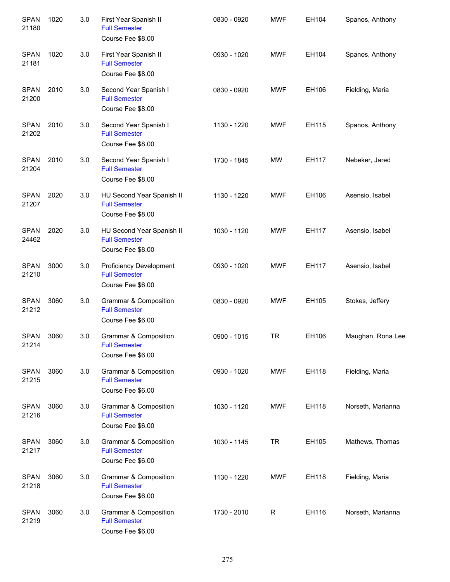| <b>SPAN</b><br>21180 | 1020 | 3.0 | First Year Spanish II<br><b>Full Semester</b><br>Course Fee \$8.00            | 0830 - 0920 | <b>MWF</b> | EH104 | Spanos, Anthony   |
|----------------------|------|-----|-------------------------------------------------------------------------------|-------------|------------|-------|-------------------|
| <b>SPAN</b><br>21181 | 1020 | 3.0 | First Year Spanish II<br><b>Full Semester</b><br>Course Fee \$8.00            | 0930 - 1020 | <b>MWF</b> | EH104 | Spanos, Anthony   |
| <b>SPAN</b><br>21200 | 2010 | 3.0 | Second Year Spanish I<br><b>Full Semester</b><br>Course Fee \$8.00            | 0830 - 0920 | <b>MWF</b> | EH106 | Fielding, Maria   |
| <b>SPAN</b><br>21202 | 2010 | 3.0 | Second Year Spanish I<br><b>Full Semester</b><br>Course Fee \$8.00            | 1130 - 1220 | <b>MWF</b> | EH115 | Spanos, Anthony   |
| <b>SPAN</b><br>21204 | 2010 | 3.0 | Second Year Spanish I<br><b>Full Semester</b><br>Course Fee \$8.00            | 1730 - 1845 | <b>MW</b>  | EH117 | Nebeker, Jared    |
| <b>SPAN</b><br>21207 | 2020 | 3.0 | HU Second Year Spanish II<br><b>Full Semester</b><br>Course Fee \$8.00        | 1130 - 1220 | <b>MWF</b> | EH106 | Asensio, Isabel   |
| <b>SPAN</b><br>24462 | 2020 | 3.0 | HU Second Year Spanish II<br><b>Full Semester</b><br>Course Fee \$8.00        | 1030 - 1120 | <b>MWF</b> | EH117 | Asensio, Isabel   |
| <b>SPAN</b><br>21210 | 3000 | 3.0 | <b>Proficiency Development</b><br><b>Full Semester</b><br>Course Fee \$6.00   | 0930 - 1020 | <b>MWF</b> | EH117 | Asensio, Isabel   |
| <b>SPAN</b><br>21212 | 3060 | 3.0 | Grammar & Composition<br><b>Full Semester</b><br>Course Fee \$6.00            | 0830 - 0920 | <b>MWF</b> | EH105 | Stokes, Jeffery   |
| <b>SPAN</b><br>21214 | 3060 | 3.0 | Grammar & Composition<br><b>Full Semester</b><br>Course Fee \$6.00            | 0900 - 1015 | <b>TR</b>  | EH106 | Maughan, Rona Lee |
| <b>SPAN</b><br>21215 | 3060 | 3.0 | Grammar & Composition<br><b>Full Semester</b><br>Course Fee \$6.00            | 0930 - 1020 | <b>MWF</b> | EH118 | Fielding, Maria   |
| <b>SPAN</b><br>21216 | 3060 | 3.0 | <b>Grammar &amp; Composition</b><br><b>Full Semester</b><br>Course Fee \$6.00 | 1030 - 1120 | <b>MWF</b> | EH118 | Norseth, Marianna |
| <b>SPAN</b><br>21217 | 3060 | 3.0 | Grammar & Composition<br><b>Full Semester</b><br>Course Fee \$6.00            | 1030 - 1145 | <b>TR</b>  | EH105 | Mathews, Thomas   |
| <b>SPAN</b><br>21218 | 3060 | 3.0 | Grammar & Composition<br><b>Full Semester</b><br>Course Fee \$6.00            | 1130 - 1220 | <b>MWF</b> | EH118 | Fielding, Maria   |
| <b>SPAN</b><br>21219 | 3060 | 3.0 | Grammar & Composition<br><b>Full Semester</b><br>Course Fee \$6.00            | 1730 - 2010 | R          | EH116 | Norseth, Marianna |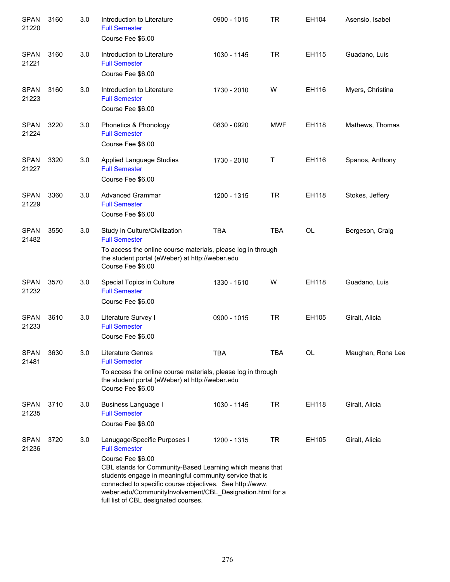| <b>SPAN</b><br>21220 | 3160 | 3.0 | Introduction to Literature<br><b>Full Semester</b><br>Course Fee \$6.00                                                                                                                                                                                                                                                                                           | 0900 - 1015 | TR         | EH104     | Asensio, Isabel   |
|----------------------|------|-----|-------------------------------------------------------------------------------------------------------------------------------------------------------------------------------------------------------------------------------------------------------------------------------------------------------------------------------------------------------------------|-------------|------------|-----------|-------------------|
| <b>SPAN</b><br>21221 | 3160 | 3.0 | Introduction to Literature<br><b>Full Semester</b><br>Course Fee \$6.00                                                                                                                                                                                                                                                                                           | 1030 - 1145 | TR         | EH115     | Guadano, Luis     |
| <b>SPAN</b><br>21223 | 3160 | 3.0 | Introduction to Literature<br><b>Full Semester</b><br>Course Fee \$6.00                                                                                                                                                                                                                                                                                           | 1730 - 2010 | W          | EH116     | Myers, Christina  |
| <b>SPAN</b><br>21224 | 3220 | 3.0 | Phonetics & Phonology<br><b>Full Semester</b><br>Course Fee \$6.00                                                                                                                                                                                                                                                                                                | 0830 - 0920 | <b>MWF</b> | EH118     | Mathews, Thomas   |
| <b>SPAN</b><br>21227 | 3320 | 3.0 | <b>Applied Language Studies</b><br><b>Full Semester</b><br>Course Fee \$6.00                                                                                                                                                                                                                                                                                      | 1730 - 2010 | Τ          | EH116     | Spanos, Anthony   |
| <b>SPAN</b><br>21229 | 3360 | 3.0 | <b>Advanced Grammar</b><br><b>Full Semester</b><br>Course Fee \$6.00                                                                                                                                                                                                                                                                                              | 1200 - 1315 | TR         | EH118     | Stokes, Jeffery   |
| <b>SPAN</b><br>21482 | 3550 | 3.0 | Study in Culture/Civilization<br><b>Full Semester</b><br>To access the online course materials, please log in through<br>the student portal (eWeber) at http://weber.edu<br>Course Fee \$6.00                                                                                                                                                                     | <b>TBA</b>  | <b>TBA</b> | <b>OL</b> | Bergeson, Craig   |
| <b>SPAN</b><br>21232 | 3570 | 3.0 | Special Topics in Culture<br><b>Full Semester</b><br>Course Fee \$6.00                                                                                                                                                                                                                                                                                            | 1330 - 1610 | W          | EH118     | Guadano, Luis     |
| <b>SPAN</b><br>21233 | 3610 | 3.0 | Literature Survey I<br><b>Full Semester</b><br>Course Fee \$6.00                                                                                                                                                                                                                                                                                                  | 0900 - 1015 | TR         | EH105     | Giralt, Alicia    |
| <b>SPAN</b><br>21481 | 3630 | 3.0 | <b>Literature Genres</b><br><b>Full Semester</b><br>To access the online course materials, please log in through<br>the student portal (eWeber) at http://weber.edu<br>Course Fee \$6.00                                                                                                                                                                          | <b>TBA</b>  | <b>TBA</b> | OL        | Maughan, Rona Lee |
| <b>SPAN</b><br>21235 | 3710 | 3.0 | Business Language I<br><b>Full Semester</b><br>Course Fee \$6.00                                                                                                                                                                                                                                                                                                  | 1030 - 1145 | <b>TR</b>  | EH118     | Giralt, Alicia    |
| <b>SPAN</b><br>21236 | 3720 | 3.0 | Lanugage/Specific Purposes I<br><b>Full Semester</b><br>Course Fee \$6.00<br>CBL stands for Community-Based Learning which means that<br>students engage in meaningful community service that is<br>connected to specific course objectives. See http://www.<br>weber.edu/CommunityInvolvement/CBL_Designation.html for a<br>full list of CBL designated courses. | 1200 - 1315 | <b>TR</b>  | EH105     | Giralt, Alicia    |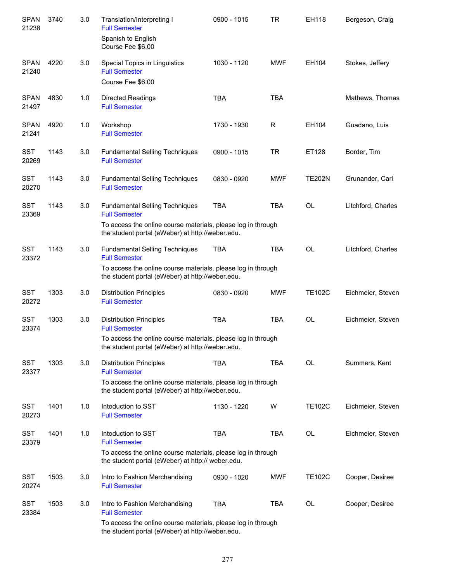| <b>SPAN</b><br>21238 | 3740 | 3.0 | Translation/Interpreting I<br><b>Full Semester</b>                                                                | 0900 - 1015 | <b>TR</b>  | EH118         | Bergeson, Craig    |
|----------------------|------|-----|-------------------------------------------------------------------------------------------------------------------|-------------|------------|---------------|--------------------|
|                      |      |     | Spanish to English<br>Course Fee \$6.00                                                                           |             |            |               |                    |
| <b>SPAN</b><br>21240 | 4220 | 3.0 | Special Topics in Linguistics<br><b>Full Semester</b>                                                             | 1030 - 1120 | <b>MWF</b> | EH104         | Stokes, Jeffery    |
|                      |      |     | Course Fee \$6.00                                                                                                 |             |            |               |                    |
| <b>SPAN</b><br>21497 | 4830 | 1.0 | <b>Directed Readings</b><br><b>Full Semester</b>                                                                  | <b>TBA</b>  | <b>TBA</b> |               | Mathews, Thomas    |
| <b>SPAN</b><br>21241 | 4920 | 1.0 | Workshop<br><b>Full Semester</b>                                                                                  | 1730 - 1930 | R          | EH104         | Guadano, Luis      |
| <b>SST</b><br>20269  | 1143 | 3.0 | <b>Fundamental Selling Techniques</b><br><b>Full Semester</b>                                                     | 0900 - 1015 | <b>TR</b>  | ET128         | Border, Tim        |
| <b>SST</b><br>20270  | 1143 | 3.0 | <b>Fundamental Selling Techniques</b><br><b>Full Semester</b>                                                     | 0830 - 0920 | <b>MWF</b> | <b>TE202N</b> | Grunander, Carl    |
| <b>SST</b><br>23369  | 1143 | 3.0 | <b>Fundamental Selling Techniques</b><br><b>Full Semester</b>                                                     | <b>TBA</b>  | <b>TBA</b> | <b>OL</b>     | Litchford, Charles |
|                      |      |     | To access the online course materials, please log in through<br>the student portal (eWeber) at http://weber.edu.  |             |            |               |                    |
| <b>SST</b><br>23372  | 1143 | 3.0 | <b>Fundamental Selling Techniques</b><br><b>Full Semester</b>                                                     | <b>TBA</b>  | <b>TBA</b> | <b>OL</b>     | Litchford, Charles |
|                      |      |     | To access the online course materials, please log in through<br>the student portal (eWeber) at http://weber.edu.  |             |            |               |                    |
| <b>SST</b><br>20272  | 1303 | 3.0 | <b>Distribution Principles</b><br><b>Full Semester</b>                                                            | 0830 - 0920 | <b>MWF</b> | <b>TE102C</b> | Eichmeier, Steven  |
| <b>SST</b><br>23374  | 1303 | 3.0 | <b>Distribution Principles</b><br><b>Full Semester</b>                                                            | <b>TBA</b>  | <b>TBA</b> | <b>OL</b>     | Eichmeier, Steven  |
|                      |      |     | To access the online course materials, please log in through<br>the student portal (eWeber) at http://weber.edu.  |             |            |               |                    |
| <b>SST</b><br>23377  | 1303 | 3.0 | <b>Distribution Principles</b><br><b>Full Semester</b>                                                            | <b>TBA</b>  | <b>TBA</b> | <b>OL</b>     | Summers, Kent      |
|                      |      |     | To access the online course materials, please log in through<br>the student portal (eWeber) at http://weber.edu.  |             |            |               |                    |
| SST<br>20273         | 1401 | 1.0 | Intoduction to SST<br><b>Full Semester</b>                                                                        | 1130 - 1220 | W          | <b>TE102C</b> | Eichmeier, Steven  |
| <b>SST</b><br>23379  | 1401 | 1.0 | Intoduction to SST<br><b>Full Semester</b>                                                                        | <b>TBA</b>  | <b>TBA</b> | OL            | Eichmeier, Steven  |
|                      |      |     | To access the online course materials, please log in through<br>the student portal (eWeber) at http:// weber.edu. |             |            |               |                    |
| <b>SST</b><br>20274  | 1503 | 3.0 | Intro to Fashion Merchandising<br><b>Full Semester</b>                                                            | 0930 - 1020 | <b>MWF</b> | <b>TE102C</b> | Cooper, Desiree    |
| <b>SST</b><br>23384  | 1503 | 3.0 | Intro to Fashion Merchandising<br><b>Full Semester</b>                                                            | <b>TBA</b>  | TBA        | <b>OL</b>     | Cooper, Desiree    |
|                      |      |     | To access the online course materials, please log in through<br>the student portal (eWeber) at http://weber.edu.  |             |            |               |                    |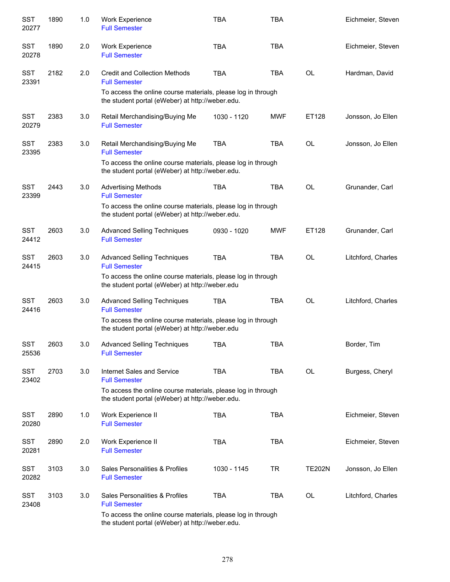| <b>SST</b><br>20277 | 1890 | 1.0 | Work Experience<br><b>Full Semester</b>                                                                           | <b>TBA</b>  | <b>TBA</b> |               | Eichmeier, Steven  |
|---------------------|------|-----|-------------------------------------------------------------------------------------------------------------------|-------------|------------|---------------|--------------------|
| <b>SST</b><br>20278 | 1890 | 2.0 | Work Experience<br><b>Full Semester</b>                                                                           | <b>TBA</b>  | <b>TBA</b> |               | Eichmeier, Steven  |
| <b>SST</b><br>23391 | 2182 | 2.0 | Credit and Collection Methods<br><b>Full Semester</b>                                                             | <b>TBA</b>  | <b>TBA</b> | <b>OL</b>     | Hardman, David     |
|                     |      |     | To access the online course materials, please log in through<br>the student portal (eWeber) at http://weber.edu.  |             |            |               |                    |
| <b>SST</b><br>20279 | 2383 | 3.0 | Retail Merchandising/Buying Me<br><b>Full Semester</b>                                                            | 1030 - 1120 | <b>MWF</b> | ET128         | Jonsson, Jo Ellen  |
| <b>SST</b><br>23395 | 2383 | 3.0 | Retail Merchandising/Buying Me<br><b>Full Semester</b>                                                            | <b>TBA</b>  | <b>TBA</b> | <b>OL</b>     | Jonsson, Jo Ellen  |
|                     |      |     | To access the online course materials, please log in through<br>the student portal (eWeber) at http://weber.edu.  |             |            |               |                    |
| <b>SST</b><br>23399 | 2443 | 3.0 | <b>Advertising Methods</b><br><b>Full Semester</b>                                                                | <b>TBA</b>  | <b>TBA</b> | OL            | Grunander, Carl    |
|                     |      |     | To access the online course materials, please log in through<br>the student portal (eWeber) at http://weber.edu.  |             |            |               |                    |
| <b>SST</b><br>24412 | 2603 | 3.0 | <b>Advanced Selling Techniques</b><br><b>Full Semester</b>                                                        | 0930 - 1020 | <b>MWF</b> | ET128         | Grunander, Carl    |
| <b>SST</b><br>24415 | 2603 | 3.0 | <b>Advanced Selling Techniques</b><br><b>Full Semester</b>                                                        | <b>TBA</b>  | <b>TBA</b> | <b>OL</b>     | Litchford, Charles |
|                     |      |     | To access the online course materials, please log in through<br>the student portal (eWeber) at http://weber.edu   |             |            |               |                    |
| <b>SST</b><br>24416 | 2603 | 3.0 | <b>Advanced Selling Techniques</b><br><b>Full Semester</b>                                                        | <b>TBA</b>  | <b>TBA</b> | <b>OL</b>     | Litchford, Charles |
|                     |      |     | To access the online course materials, please log in through<br>the student portal (eWeber) at http://weber.edu   |             |            |               |                    |
| <b>SST</b><br>25536 | 2603 | 3.0 | <b>Advanced Selling Techniques</b><br><b>Full Semester</b>                                                        | TBA         | <b>TBA</b> |               | Border, Tim        |
| <b>SST</b><br>23402 | 2703 | 3.0 | Internet Sales and Service<br><b>Full Semester</b>                                                                | <b>TBA</b>  | <b>TBA</b> | OL            | Burgess, Cheryl    |
|                     |      |     | To access the online course materials, please log in through<br>the student portal (eWeber) at http://weber.edu.  |             |            |               |                    |
| <b>SST</b><br>20280 | 2890 | 1.0 | Work Experience II<br><b>Full Semester</b>                                                                        | <b>TBA</b>  | <b>TBA</b> |               | Eichmeier, Steven  |
| <b>SST</b><br>20281 | 2890 | 2.0 | Work Experience II<br><b>Full Semester</b>                                                                        | <b>TBA</b>  | <b>TBA</b> |               | Eichmeier, Steven  |
| <b>SST</b><br>20282 | 3103 | 3.0 | Sales Personalities & Profiles<br><b>Full Semester</b>                                                            | 1030 - 1145 | <b>TR</b>  | <b>TE202N</b> | Jonsson, Jo Ellen  |
| <b>SST</b><br>23408 | 3103 | 3.0 | Sales Personalities & Profiles<br><b>Full Semester</b>                                                            | <b>TBA</b>  | <b>TBA</b> | OL            | Litchford, Charles |
|                     |      |     | To access the online course materials, please log in through<br>the student pertal (e) Neber) at http://weber.edu |             |            |               |                    |

the student portal (eWeber) at http://weber.edu.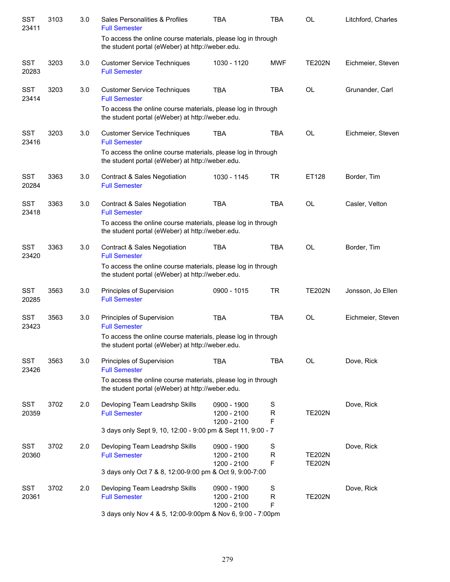| <b>SST</b><br>23411 | 3103 | 3.0 | Sales Personalities & Profiles<br><b>Full Semester</b>                                                           | <b>TBA</b>                                | <b>TBA</b>            | <b>OL</b>                      | Litchford, Charles |
|---------------------|------|-----|------------------------------------------------------------------------------------------------------------------|-------------------------------------------|-----------------------|--------------------------------|--------------------|
|                     |      |     | To access the online course materials, please log in through<br>the student portal (eWeber) at http://weber.edu. |                                           |                       |                                |                    |
| <b>SST</b><br>20283 | 3203 | 3.0 | <b>Customer Service Techniques</b><br><b>Full Semester</b>                                                       | 1030 - 1120                               | <b>MWF</b>            | <b>TE202N</b>                  | Eichmeier, Steven  |
| <b>SST</b><br>23414 | 3203 | 3.0 | <b>Customer Service Techniques</b><br><b>Full Semester</b>                                                       | <b>TBA</b>                                | <b>TBA</b>            | <b>OL</b>                      | Grunander, Carl    |
|                     |      |     | To access the online course materials, please log in through<br>the student portal (eWeber) at http://weber.edu. |                                           |                       |                                |                    |
| <b>SST</b><br>23416 | 3203 | 3.0 | <b>Customer Service Techniques</b><br><b>Full Semester</b>                                                       | <b>TBA</b>                                | <b>TBA</b>            | <b>OL</b>                      | Eichmeier, Steven  |
|                     |      |     | To access the online course materials, please log in through<br>the student portal (eWeber) at http://weber.edu. |                                           |                       |                                |                    |
| <b>SST</b><br>20284 | 3363 | 3.0 | <b>Contract &amp; Sales Negotiation</b><br><b>Full Semester</b>                                                  | 1030 - 1145                               | <b>TR</b>             | ET128                          | Border, Tim        |
| <b>SST</b><br>23418 | 3363 | 3.0 | <b>Contract &amp; Sales Negotiation</b><br><b>Full Semester</b>                                                  | <b>TBA</b>                                | <b>TBA</b>            | <b>OL</b>                      | Casler, Velton     |
|                     |      |     | To access the online course materials, please log in through<br>the student portal (eWeber) at http://weber.edu. |                                           |                       |                                |                    |
| <b>SST</b><br>23420 | 3363 | 3.0 | <b>Contract &amp; Sales Negotiation</b><br><b>Full Semester</b>                                                  | <b>TBA</b>                                | <b>TBA</b>            | <b>OL</b>                      | Border, Tim        |
|                     |      |     | To access the online course materials, please log in through<br>the student portal (eWeber) at http://weber.edu. |                                           |                       |                                |                    |
| <b>SST</b><br>20285 | 3563 | 3.0 | Principles of Supervision<br><b>Full Semester</b>                                                                | 0900 - 1015                               | <b>TR</b>             | <b>TE202N</b>                  | Jonsson, Jo Ellen  |
| <b>SST</b><br>23423 | 3563 | 3.0 | Principles of Supervision<br><b>Full Semester</b>                                                                | <b>TBA</b>                                | <b>TBA</b>            | <b>OL</b>                      | Eichmeier, Steven  |
|                     |      |     | To access the online course materials, please log in through<br>the student portal (eWeber) at http://weber.edu. |                                           |                       |                                |                    |
| <b>SST</b><br>23426 | 3563 | 3.0 | Principles of Supervision<br><b>Full Semester</b>                                                                | <b>TBA</b>                                | <b>TBA</b>            | <b>OL</b>                      | Dove, Rick         |
|                     |      |     | To access the online course materials, please log in through<br>the student portal (eWeber) at http://weber.edu. |                                           |                       |                                |                    |
| <b>SST</b><br>20359 | 3702 | 2.0 | Devloping Team Leadrshp Skills<br><b>Full Semester</b>                                                           | 0900 - 1900<br>1200 - 2100<br>1200 - 2100 | S<br>R<br>F           | <b>TE202N</b>                  | Dove, Rick         |
|                     |      |     | 3 days only Sept 9, 10, 12:00 - 9:00 pm & Sept 11, 9:00 - 7                                                      |                                           |                       |                                |                    |
| <b>SST</b><br>20360 | 3702 | 2.0 | Devloping Team Leadrshp Skills<br><b>Full Semester</b>                                                           | 0900 - 1900<br>1200 - 2100<br>1200 - 2100 | $\mathbf S$<br>R<br>F | <b>TE202N</b><br><b>TE202N</b> | Dove, Rick         |
|                     |      |     | 3 days only Oct 7 & 8, 12:00-9:00 pm & Oct 9, 9:00-7:00                                                          |                                           |                       |                                |                    |
| <b>SST</b><br>20361 | 3702 | 2.0 | Devloping Team Leadrshp Skills<br><b>Full Semester</b>                                                           | 0900 - 1900<br>1200 - 2100<br>1200 - 2100 | S<br>R<br>F           | <b>TE202N</b>                  | Dove, Rick         |
|                     |      |     | 3 days only Nov 4 & 5, 12:00-9:00pm & Nov 6, 9:00 - 7:00pm                                                       |                                           |                       |                                |                    |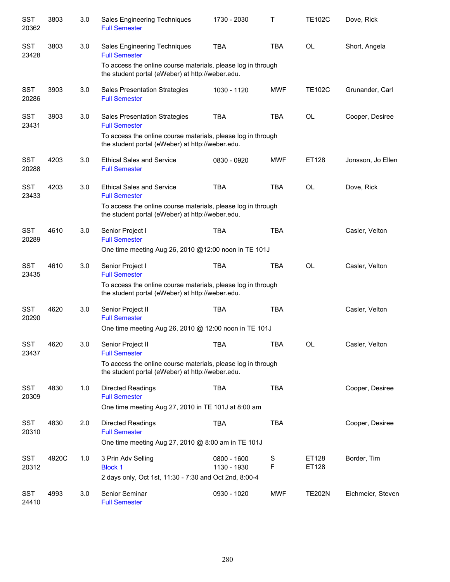| <b>SST</b><br>20362 | 3803  | 3.0 | Sales Engineering Techniques<br><b>Full Semester</b>                                                             | 1730 - 2030                | т          | <b>TE102C</b>  | Dove, Rick        |
|---------------------|-------|-----|------------------------------------------------------------------------------------------------------------------|----------------------------|------------|----------------|-------------------|
| <b>SST</b><br>23428 | 3803  | 3.0 | Sales Engineering Techniques<br><b>Full Semester</b>                                                             | <b>TBA</b>                 | <b>TBA</b> | <b>OL</b>      | Short, Angela     |
|                     |       |     | To access the online course materials, please log in through<br>the student portal (eWeber) at http://weber.edu. |                            |            |                |                   |
| <b>SST</b><br>20286 | 3903  | 3.0 | <b>Sales Presentation Strategies</b><br><b>Full Semester</b>                                                     | 1030 - 1120                | <b>MWF</b> | <b>TE102C</b>  | Grunander, Carl   |
| <b>SST</b><br>23431 | 3903  | 3.0 | <b>Sales Presentation Strategies</b><br><b>Full Semester</b>                                                     | <b>TBA</b>                 | <b>TBA</b> | OL             | Cooper, Desiree   |
|                     |       |     | To access the online course materials, please log in through<br>the student portal (eWeber) at http://weber.edu. |                            |            |                |                   |
| <b>SST</b><br>20288 | 4203  | 3.0 | <b>Ethical Sales and Service</b><br><b>Full Semester</b>                                                         | 0830 - 0920                | <b>MWF</b> | ET128          | Jonsson, Jo Ellen |
| <b>SST</b><br>23433 | 4203  | 3.0 | <b>Ethical Sales and Service</b><br><b>Full Semester</b>                                                         | <b>TBA</b>                 | <b>TBA</b> | <b>OL</b>      | Dove, Rick        |
|                     |       |     | To access the online course materials, please log in through<br>the student portal (eWeber) at http://weber.edu. |                            |            |                |                   |
| <b>SST</b><br>20289 | 4610  | 3.0 | Senior Project I<br><b>Full Semester</b>                                                                         | <b>TBA</b>                 | <b>TBA</b> |                | Casler, Velton    |
|                     |       |     | One time meeting Aug 26, 2010 @12:00 noon in TE 101J                                                             |                            |            |                |                   |
| <b>SST</b><br>23435 | 4610  | 3.0 | Senior Project I<br><b>Full Semester</b>                                                                         | <b>TBA</b>                 | <b>TBA</b> | OL             | Casler, Velton    |
|                     |       |     | To access the online course materials, please log in through<br>the student portal (eWeber) at http://weber.edu. |                            |            |                |                   |
| <b>SST</b><br>20290 | 4620  | 3.0 | Senior Project II<br><b>Full Semester</b>                                                                        | <b>TBA</b>                 | <b>TBA</b> |                | Casler, Velton    |
|                     |       |     | One time meeting Aug 26, 2010 @ 12:00 noon in TE 101J                                                            |                            |            |                |                   |
| <b>SST</b><br>23437 | 4620  | 3.0 | Senior Project II<br><b>Full Semester</b>                                                                        | <b>TBA</b>                 | TBA        | OL             | Casler, Velton    |
|                     |       |     | To access the online course materials, please log in through<br>the student portal (eWeber) at http://weber.edu. |                            |            |                |                   |
| <b>SST</b><br>20309 | 4830  | 1.0 | <b>Directed Readings</b><br><b>Full Semester</b>                                                                 | <b>TBA</b>                 | <b>TBA</b> |                | Cooper, Desiree   |
|                     |       |     | One time meeting Aug 27, 2010 in TE 101J at 8:00 am                                                              |                            |            |                |                   |
| <b>SST</b><br>20310 | 4830  | 2.0 | <b>Directed Readings</b><br><b>Full Semester</b>                                                                 | <b>TBA</b>                 | TBA        |                | Cooper, Desiree   |
|                     |       |     | One time meeting Aug 27, 2010 @ 8:00 am in TE 101J                                                               |                            |            |                |                   |
| <b>SST</b><br>20312 | 4920C | 1.0 | 3 Prin Adv Selling<br><b>Block 1</b>                                                                             | 0800 - 1600<br>1130 - 1930 | S<br>F     | ET128<br>ET128 | Border, Tim       |
|                     |       |     | 2 days only, Oct 1st, 11:30 - 7:30 and Oct 2nd, 8:00-4                                                           |                            |            |                |                   |
| <b>SST</b><br>24410 | 4993  | 3.0 | Senior Seminar<br><b>Full Semester</b>                                                                           | 0930 - 1020                | <b>MWF</b> | <b>TE202N</b>  | Eichmeier, Steven |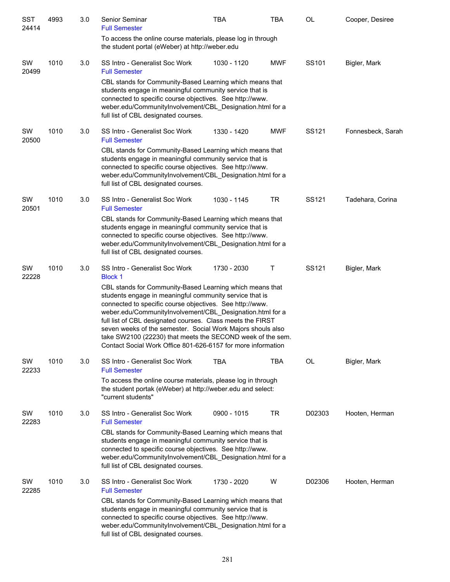| SST<br>24414 | 4993 | 3.0 | Senior Seminar<br><b>Full Semester</b>                                                                                                                                                                                                                                                                                                                                                                                                                                                                  | <b>TBA</b>  | <b>TBA</b> | <b>OL</b>         | Cooper, Desiree   |
|--------------|------|-----|---------------------------------------------------------------------------------------------------------------------------------------------------------------------------------------------------------------------------------------------------------------------------------------------------------------------------------------------------------------------------------------------------------------------------------------------------------------------------------------------------------|-------------|------------|-------------------|-------------------|
|              |      |     | To access the online course materials, please log in through<br>the student portal (eWeber) at http://weber.edu                                                                                                                                                                                                                                                                                                                                                                                         |             |            |                   |                   |
| SW<br>20499  | 1010 | 3.0 | SS Intro - Generalist Soc Work<br><b>Full Semester</b>                                                                                                                                                                                                                                                                                                                                                                                                                                                  | 1030 - 1120 | <b>MWF</b> | SS101             | Bigler, Mark      |
|              |      |     | CBL stands for Community-Based Learning which means that<br>students engage in meaningful community service that is<br>connected to specific course objectives. See http://www.<br>weber.edu/CommunityInvolvement/CBL_Designation.html for a<br>full list of CBL designated courses.                                                                                                                                                                                                                    |             |            |                   |                   |
| SW<br>20500  | 1010 | 3.0 | SS Intro - Generalist Soc Work<br><b>Full Semester</b>                                                                                                                                                                                                                                                                                                                                                                                                                                                  | 1330 - 1420 | <b>MWF</b> | SS <sub>121</sub> | Fonnesbeck, Sarah |
|              |      |     | CBL stands for Community-Based Learning which means that<br>students engage in meaningful community service that is<br>connected to specific course objectives. See http://www.<br>weber.edu/CommunityInvolvement/CBL Designation.html for a<br>full list of CBL designated courses.                                                                                                                                                                                                                    |             |            |                   |                   |
| SW<br>20501  | 1010 | 3.0 | SS Intro - Generalist Soc Work<br><b>Full Semester</b>                                                                                                                                                                                                                                                                                                                                                                                                                                                  | 1030 - 1145 | <b>TR</b>  | SS121             | Tadehara, Corina  |
|              |      |     | CBL stands for Community-Based Learning which means that<br>students engage in meaningful community service that is<br>connected to specific course objectives. See http://www.<br>weber.edu/CommunityInvolvement/CBL_Designation.html for a<br>full list of CBL designated courses.                                                                                                                                                                                                                    |             |            |                   |                   |
| SW<br>22228  | 1010 | 3.0 | SS Intro - Generalist Soc Work<br><b>Block 1</b>                                                                                                                                                                                                                                                                                                                                                                                                                                                        | 1730 - 2030 | Т          | SS121             | Bigler, Mark      |
|              |      |     | CBL stands for Community-Based Learning which means that<br>students engage in meaningful community service that is<br>connected to specific course objectives. See http://www.<br>weber.edu/CommunityInvolvement/CBL_Designation.html for a<br>full list of CBL designated courses. Class meets the FIRST<br>seven weeks of the semester. Social Work Majors shouls also<br>take SW2100 (22230) that meets the SECOND week of the sem.<br>Contact Social Work Office 801-626-6157 for more information |             |            |                   |                   |
| SW<br>22233  | 1010 | 3.0 | SS Intro - Generalist Soc Work<br><b>Full Semester</b>                                                                                                                                                                                                                                                                                                                                                                                                                                                  | TBA         | <b>TBA</b> | OL                | Bigler, Mark      |
|              |      |     | To access the online course materials, please log in through<br>the student portak (eWeber) at http://weber.edu and select:<br>"current students"                                                                                                                                                                                                                                                                                                                                                       |             |            |                   |                   |
| SW<br>22283  | 1010 | 3.0 | SS Intro - Generalist Soc Work<br><b>Full Semester</b>                                                                                                                                                                                                                                                                                                                                                                                                                                                  | 0900 - 1015 | <b>TR</b>  | D02303            | Hooten, Herman    |
|              |      |     | CBL stands for Community-Based Learning which means that<br>students engage in meaningful community service that is<br>connected to specific course objectives. See http://www.<br>weber.edu/CommunityInvolvement/CBL_Designation.html for a<br>full list of CBL designated courses.                                                                                                                                                                                                                    |             |            |                   |                   |
| SW<br>22285  | 1010 | 3.0 | SS Intro - Generalist Soc Work<br><b>Full Semester</b>                                                                                                                                                                                                                                                                                                                                                                                                                                                  | 1730 - 2020 | W          | D02306            | Hooten, Herman    |
|              |      |     | CBL stands for Community-Based Learning which means that<br>students engage in meaningful community service that is<br>connected to specific course objectives. See http://www.<br>weber.edu/CommunityInvolvement/CBL_Designation.html for a<br>full list of CBL designated courses.                                                                                                                                                                                                                    |             |            |                   |                   |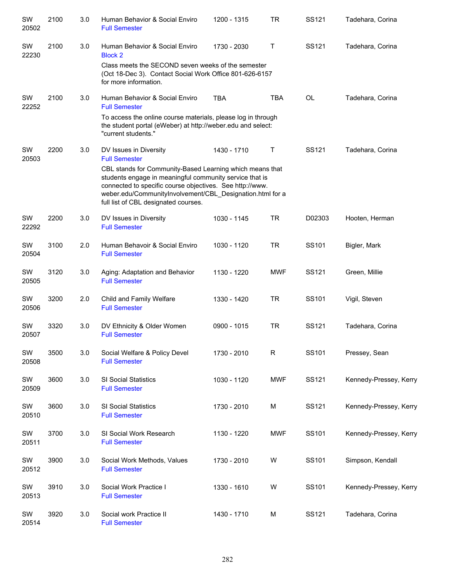| SW<br>20502 | 2100 | 3.0 | Human Behavior & Social Enviro<br><b>Full Semester</b>                                                                                                                                                                                                                               | 1200 - 1315 | <b>TR</b>   | SS121     | Tadehara, Corina       |
|-------------|------|-----|--------------------------------------------------------------------------------------------------------------------------------------------------------------------------------------------------------------------------------------------------------------------------------------|-------------|-------------|-----------|------------------------|
| SW<br>22230 | 2100 | 3.0 | Human Behavior & Social Enviro<br><b>Block 2</b>                                                                                                                                                                                                                                     | 1730 - 2030 | Τ           | SS121     | Tadehara, Corina       |
|             |      |     | Class meets the SECOND seven weeks of the semester<br>(Oct 18-Dec 3). Contact Social Work Office 801-626-6157<br>for more information.                                                                                                                                               |             |             |           |                        |
| SW<br>22252 | 2100 | 3.0 | Human Behavior & Social Enviro<br><b>Full Semester</b>                                                                                                                                                                                                                               | <b>TBA</b>  | <b>TBA</b>  | <b>OL</b> | Tadehara, Corina       |
|             |      |     | To access the online course materials, please log in through<br>the student portal (eWeber) at http://weber.edu and select:<br>"current students."                                                                                                                                   |             |             |           |                        |
| SW<br>20503 | 2200 | 3.0 | DV Issues in Diversity<br><b>Full Semester</b>                                                                                                                                                                                                                                       | 1430 - 1710 | Τ           | SS121     | Tadehara, Corina       |
|             |      |     | CBL stands for Community-Based Learning which means that<br>students engage in meaningful community service that is<br>connected to specific course objectives. See http://www.<br>weber.edu/CommunityInvolvement/CBL_Designation.html for a<br>full list of CBL designated courses. |             |             |           |                        |
| SW<br>22292 | 2200 | 3.0 | DV Issues in Diversity<br><b>Full Semester</b>                                                                                                                                                                                                                                       | 1030 - 1145 | <b>TR</b>   | D02303    | Hooten, Herman         |
| SW<br>20504 | 3100 | 2.0 | Human Behavoir & Social Enviro<br><b>Full Semester</b>                                                                                                                                                                                                                               | 1030 - 1120 | <b>TR</b>   | SS101     | Bigler, Mark           |
| SW<br>20505 | 3120 | 3.0 | Aging: Adaptation and Behavior<br><b>Full Semester</b>                                                                                                                                                                                                                               | 1130 - 1220 | <b>MWF</b>  | SS121     | Green, Millie          |
| SW<br>20506 | 3200 | 2.0 | Child and Family Welfare<br><b>Full Semester</b>                                                                                                                                                                                                                                     | 1330 - 1420 | <b>TR</b>   | SS101     | Vigil, Steven          |
| SW<br>20507 | 3320 | 3.0 | DV Ethnicity & Older Women<br><b>Full Semester</b>                                                                                                                                                                                                                                   | 0900 - 1015 | <b>TR</b>   | SS121     | Tadehara, Corina       |
| SW<br>20508 | 3500 | 3.0 | Social Welfare & Policy Devel<br><b>Full Semester</b>                                                                                                                                                                                                                                | 1730 - 2010 | $\mathsf R$ | SS101     | Pressey, Sean          |
| SW<br>20509 | 3600 | 3.0 | SI Social Statistics<br><b>Full Semester</b>                                                                                                                                                                                                                                         | 1030 - 1120 | <b>MWF</b>  | SS121     | Kennedy-Pressey, Kerry |
| SW<br>20510 | 3600 | 3.0 | SI Social Statistics<br><b>Full Semester</b>                                                                                                                                                                                                                                         | 1730 - 2010 | M           | SS121     | Kennedy-Pressey, Kerry |
| SW<br>20511 | 3700 | 3.0 | SI Social Work Research<br><b>Full Semester</b>                                                                                                                                                                                                                                      | 1130 - 1220 | MWF         | SS101     | Kennedy-Pressey, Kerry |
| SW<br>20512 | 3900 | 3.0 | Social Work Methods, Values<br><b>Full Semester</b>                                                                                                                                                                                                                                  | 1730 - 2010 | W           | SS101     | Simpson, Kendall       |
| SW<br>20513 | 3910 | 3.0 | Social Work Practice I<br><b>Full Semester</b>                                                                                                                                                                                                                                       | 1330 - 1610 | W           | SS101     | Kennedy-Pressey, Kerry |
| SW<br>20514 | 3920 | 3.0 | Social work Practice II<br><b>Full Semester</b>                                                                                                                                                                                                                                      | 1430 - 1710 | M           | SS121     | Tadehara, Corina       |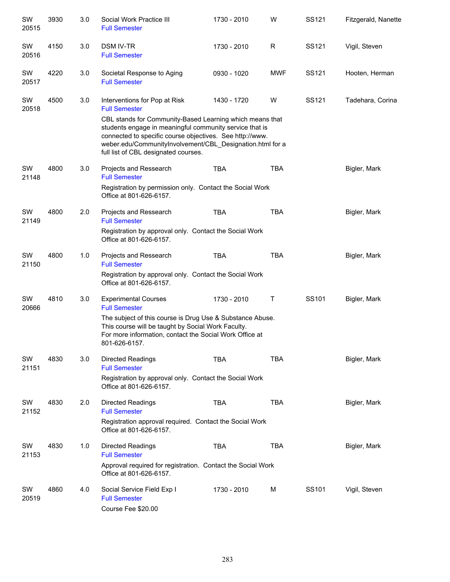| SW<br>20515 | 3930 | 3.0 | Social Work Practice III<br><b>Full Semester</b>                                                                                                                                                                                                                                     | 1730 - 2010 | W          | SS121 | Fitzgerald, Nanette |
|-------------|------|-----|--------------------------------------------------------------------------------------------------------------------------------------------------------------------------------------------------------------------------------------------------------------------------------------|-------------|------------|-------|---------------------|
| SW<br>20516 | 4150 | 3.0 | <b>DSM IV-TR</b><br><b>Full Semester</b>                                                                                                                                                                                                                                             | 1730 - 2010 | R          | SS121 | Vigil, Steven       |
| SW<br>20517 | 4220 | 3.0 | Societal Response to Aging<br><b>Full Semester</b>                                                                                                                                                                                                                                   | 0930 - 1020 | <b>MWF</b> | SS121 | Hooten, Herman      |
| SW<br>20518 | 4500 | 3.0 | Interventions for Pop at Risk<br><b>Full Semester</b>                                                                                                                                                                                                                                | 1430 - 1720 | W          | SS121 | Tadehara, Corina    |
|             |      |     | CBL stands for Community-Based Learning which means that<br>students engage in meaningful community service that is<br>connected to specific course objectives. See http://www.<br>weber.edu/CommunityInvolvement/CBL_Designation.html for a<br>full list of CBL designated courses. |             |            |       |                     |
| SW<br>21148 | 4800 | 3.0 | Projects and Ressearch<br><b>Full Semester</b>                                                                                                                                                                                                                                       | <b>TBA</b>  | <b>TBA</b> |       | Bigler, Mark        |
|             |      |     | Registration by permission only. Contact the Social Work<br>Office at 801-626-6157.                                                                                                                                                                                                  |             |            |       |                     |
| SW<br>21149 | 4800 | 2.0 | Projects and Ressearch<br><b>Full Semester</b>                                                                                                                                                                                                                                       | <b>TBA</b>  | <b>TBA</b> |       | Bigler, Mark        |
|             |      |     | Registration by approval only. Contact the Social Work<br>Office at 801-626-6157.                                                                                                                                                                                                    |             |            |       |                     |
| SW<br>21150 | 4800 | 1.0 | Projects and Ressearch<br><b>Full Semester</b>                                                                                                                                                                                                                                       | <b>TBA</b>  | <b>TBA</b> |       | Bigler, Mark        |
|             |      |     | Registration by approval only. Contact the Social Work<br>Office at 801-626-6157.                                                                                                                                                                                                    |             |            |       |                     |
| SW<br>20666 | 4810 | 3.0 | <b>Experimental Courses</b><br><b>Full Semester</b>                                                                                                                                                                                                                                  | 1730 - 2010 | Τ          | SS101 | Bigler, Mark        |
|             |      |     | The subject of this course is Drug Use & Substance Abuse.<br>This course will be taught by Social Work Faculty.<br>For more information, contact the Social Work Office at<br>801-626-6157.                                                                                          |             |            |       |                     |
| SW<br>21151 | 4830 | 3.0 | <b>Directed Readings</b><br><b>Full Semester</b>                                                                                                                                                                                                                                     | <b>TBA</b>  | <b>TBA</b> |       | Bigler, Mark        |
|             |      |     | Registration by approval only. Contact the Social Work<br>Office at 801-626-6157.                                                                                                                                                                                                    |             |            |       |                     |
| SW<br>21152 | 4830 | 2.0 | <b>Directed Readings</b><br><b>Full Semester</b>                                                                                                                                                                                                                                     | <b>TBA</b>  | <b>TBA</b> |       | Bigler, Mark        |
|             |      |     | Registration approval required. Contact the Social Work<br>Office at 801-626-6157.                                                                                                                                                                                                   |             |            |       |                     |
| SW<br>21153 | 4830 | 1.0 | <b>Directed Readings</b><br><b>Full Semester</b>                                                                                                                                                                                                                                     | <b>TBA</b>  | <b>TBA</b> |       | Bigler, Mark        |
|             |      |     | Approval required for registration. Contact the Social Work<br>Office at 801-626-6157.                                                                                                                                                                                               |             |            |       |                     |
| SW<br>20519 | 4860 | 4.0 | Social Service Field Exp I<br><b>Full Semester</b><br>Course Fee \$20.00                                                                                                                                                                                                             | 1730 - 2010 | м          | SS101 | Vigil, Steven       |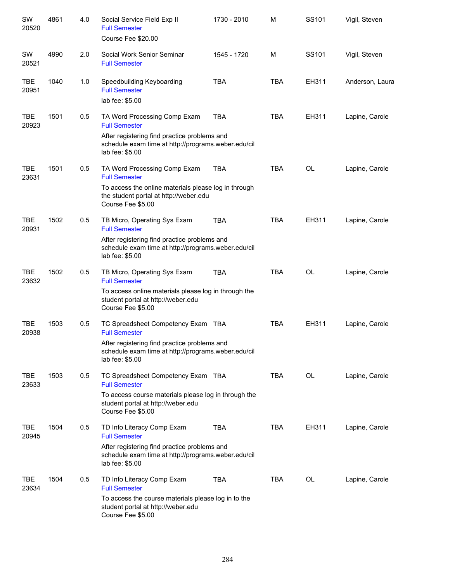| SW<br>20520         | 4861 | 4.0 | Social Service Field Exp II<br><b>Full Semester</b><br>Course Fee \$20.00                                                                                                            | 1730 - 2010 | M          | SS101             | Vigil, Steven   |
|---------------------|------|-----|--------------------------------------------------------------------------------------------------------------------------------------------------------------------------------------|-------------|------------|-------------------|-----------------|
| SW<br>20521         | 4990 | 2.0 | Social Work Senior Seminar<br><b>Full Semester</b>                                                                                                                                   | 1545 - 1720 | м          | SS <sub>101</sub> | Vigil, Steven   |
| <b>TBE</b><br>20951 | 1040 | 1.0 | Speedbuilding Keyboarding<br><b>Full Semester</b><br>lab fee: \$5.00                                                                                                                 | <b>TBA</b>  | <b>TBA</b> | EH311             | Anderson, Laura |
| <b>TBE</b><br>20923 | 1501 | 0.5 | TA Word Processing Comp Exam<br><b>Full Semester</b><br>After registering find practice problems and<br>schedule exam time at http://programs.weber.edu/cil<br>lab fee: \$5.00       | <b>TBA</b>  | <b>TBA</b> | EH311             | Lapine, Carole  |
| <b>TBE</b><br>23631 | 1501 | 0.5 | TA Word Processing Comp Exam<br><b>Full Semester</b><br>To access the online materials please log in through<br>the student portal at http://weber.edu<br>Course Fee \$5.00          | <b>TBA</b>  | <b>TBA</b> | OL                | Lapine, Carole  |
| <b>TBE</b><br>20931 | 1502 | 0.5 | TB Micro, Operating Sys Exam<br><b>Full Semester</b><br>After registering find practice problems and<br>schedule exam time at http://programs.weber.edu/cil<br>lab fee: \$5.00       | <b>TBA</b>  | <b>TBA</b> | EH311             | Lapine, Carole  |
| <b>TBE</b><br>23632 | 1502 | 0.5 | TB Micro, Operating Sys Exam<br><b>Full Semester</b><br>To access online materials please log in through the<br>student portal at http://weber.edu<br>Course Fee \$5.00              | <b>TBA</b>  | <b>TBA</b> | <b>OL</b>         | Lapine, Carole  |
| <b>TBE</b><br>20938 | 1503 | 0.5 | TC Spreadsheet Competency Exam TBA<br><b>Full Semester</b><br>After registering find practice problems and<br>schedule exam time at http://programs.weber.edu/cil<br>lab fee: \$5.00 |             | <b>TBA</b> | EH311             | Lapine, Carole  |
| <b>TBE</b><br>23633 | 1503 | 0.5 | TC Spreadsheet Competency Exam TBA<br><b>Full Semester</b><br>To access course materials please log in through the<br>student portal at http://weber.edu<br>Course Fee \$5.00        |             | <b>TBA</b> | OL                | Lapine, Carole  |
| <b>TBE</b><br>20945 | 1504 | 0.5 | TD Info Literacy Comp Exam<br><b>Full Semester</b><br>After registering find practice problems and<br>schedule exam time at http://programs.weber.edu/cil<br>lab fee: \$5.00         | <b>TBA</b>  | <b>TBA</b> | EH311             | Lapine, Carole  |
| TBE<br>23634        | 1504 | 0.5 | TD Info Literacy Comp Exam<br><b>Full Semester</b><br>To access the course materials please log in to the<br>student portal at http://weber.edu<br>Course Fee \$5.00                 | <b>TBA</b>  | TBA        | OL                | Lapine, Carole  |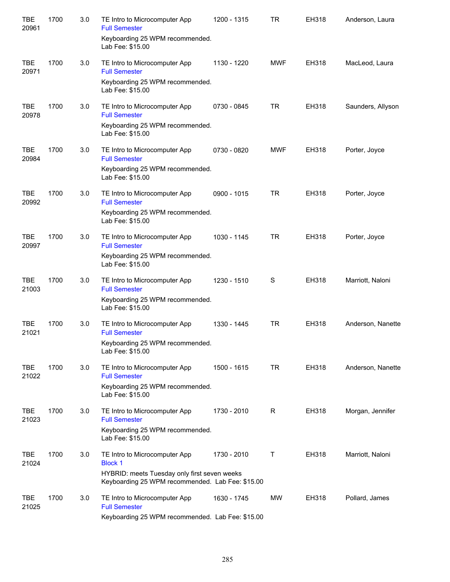| <b>TBE</b><br>20961 | 1700 | 3.0 | TE Intro to Microcomputer App<br><b>Full Semester</b><br>Keyboarding 25 WPM recommended.<br>Lab Fee: \$15.00                                        | 1200 - 1315   | <b>TR</b>  | EH318 | Anderson, Laura   |
|---------------------|------|-----|-----------------------------------------------------------------------------------------------------------------------------------------------------|---------------|------------|-------|-------------------|
| <b>TBE</b><br>20971 | 1700 | 3.0 | TE Intro to Microcomputer App<br><b>Full Semester</b><br>Keyboarding 25 WPM recommended.<br>Lab Fee: \$15.00                                        | 1130 - 1220   | <b>MWF</b> | EH318 | MacLeod, Laura    |
| <b>TBE</b><br>20978 | 1700 | 3.0 | TE Intro to Microcomputer App<br><b>Full Semester</b><br>Keyboarding 25 WPM recommended.<br>Lab Fee: \$15.00                                        | 0730 - 0845   | <b>TR</b>  | EH318 | Saunders, Allyson |
| <b>TBE</b><br>20984 | 1700 | 3.0 | TE Intro to Microcomputer App<br><b>Full Semester</b><br>Keyboarding 25 WPM recommended.<br>Lab Fee: \$15.00                                        | 0730 - 0820   | <b>MWF</b> | EH318 | Porter, Joyce     |
| <b>TBE</b><br>20992 | 1700 | 3.0 | TE Intro to Microcomputer App<br><b>Full Semester</b><br>Keyboarding 25 WPM recommended.<br>Lab Fee: \$15.00                                        | $0900 - 1015$ | <b>TR</b>  | EH318 | Porter, Joyce     |
| <b>TBE</b><br>20997 | 1700 | 3.0 | TE Intro to Microcomputer App<br><b>Full Semester</b><br>Keyboarding 25 WPM recommended.<br>Lab Fee: \$15.00                                        | 1030 - 1145   | <b>TR</b>  | EH318 | Porter, Joyce     |
| <b>TBE</b><br>21003 | 1700 | 3.0 | TE Intro to Microcomputer App<br><b>Full Semester</b><br>Keyboarding 25 WPM recommended.<br>Lab Fee: \$15.00                                        | 1230 - 1510   | S          | EH318 | Marriott, Naloni  |
| <b>TBE</b><br>21021 | 1700 | 3.0 | TE Intro to Microcomputer App<br><b>Full Semester</b><br>Keyboarding 25 WPM recommended.<br>Lab Fee: \$15.00                                        | 1330 - 1445   | <b>TR</b>  | EH318 | Anderson, Nanette |
| <b>TBE</b><br>21022 | 1700 | 3.0 | TE Intro to Microcomputer App<br><b>Full Semester</b><br>Keyboarding 25 WPM recommended.<br>Lab Fee: \$15.00                                        | 1500 - 1615   | <b>TR</b>  | EH318 | Anderson, Nanette |
| TBE<br>21023        | 1700 | 3.0 | TE Intro to Microcomputer App<br><b>Full Semester</b><br>Keyboarding 25 WPM recommended.<br>Lab Fee: \$15.00                                        | 1730 - 2010   | R          | EH318 | Morgan, Jennifer  |
| TBE<br>21024        | 1700 | 3.0 | TE Intro to Microcomputer App<br><b>Block 1</b><br>HYBRID: meets Tuesday only first seven weeks<br>Keyboarding 25 WPM recommended. Lab Fee: \$15.00 | 1730 - 2010   | Τ          | EH318 | Marriott, Naloni  |
| <b>TBE</b><br>21025 | 1700 | 3.0 | TE Intro to Microcomputer App<br><b>Full Semester</b><br>Keyboarding 25 WPM recommended. Lab Fee: \$15.00                                           | 1630 - 1745   | <b>MW</b>  | EH318 | Pollard, James    |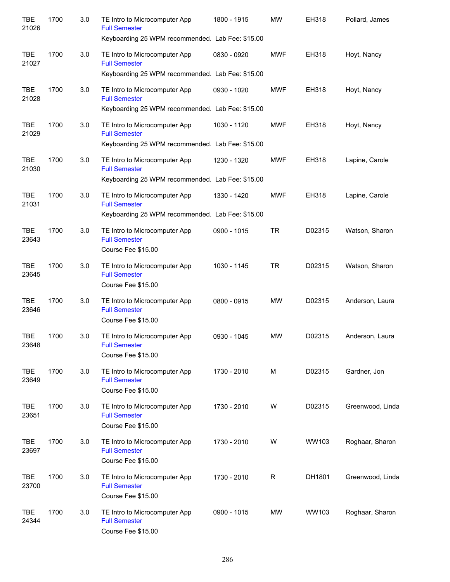| <b>TBE</b><br>21026 | 1700 | 3.0 | TE Intro to Microcomputer App<br><b>Full Semester</b><br>Keyboarding 25 WPM recommended. Lab Fee: \$15.00 | 1800 - 1915   | MW         | EH318  | Pollard, James   |
|---------------------|------|-----|-----------------------------------------------------------------------------------------------------------|---------------|------------|--------|------------------|
| <b>TBE</b><br>21027 | 1700 | 3.0 | TE Intro to Microcomputer App<br><b>Full Semester</b><br>Keyboarding 25 WPM recommended. Lab Fee: \$15.00 | 0830 - 0920   | <b>MWF</b> | EH318  | Hoyt, Nancy      |
| <b>TBE</b><br>21028 | 1700 | 3.0 | TE Intro to Microcomputer App<br><b>Full Semester</b><br>Keyboarding 25 WPM recommended. Lab Fee: \$15.00 | 0930 - 1020   | <b>MWF</b> | EH318  | Hoyt, Nancy      |
| <b>TBE</b><br>21029 | 1700 | 3.0 | TE Intro to Microcomputer App<br><b>Full Semester</b><br>Keyboarding 25 WPM recommended. Lab Fee: \$15.00 | 1030 - 1120   | <b>MWF</b> | EH318  | Hoyt, Nancy      |
| <b>TBE</b><br>21030 | 1700 | 3.0 | TE Intro to Microcomputer App<br><b>Full Semester</b><br>Keyboarding 25 WPM recommended. Lab Fee: \$15.00 | 1230 - 1320   | <b>MWF</b> | EH318  | Lapine, Carole   |
| <b>TBE</b><br>21031 | 1700 | 3.0 | TE Intro to Microcomputer App<br><b>Full Semester</b><br>Keyboarding 25 WPM recommended. Lab Fee: \$15.00 | 1330 - 1420   | <b>MWF</b> | EH318  | Lapine, Carole   |
| <b>TBE</b><br>23643 | 1700 | 3.0 | TE Intro to Microcomputer App<br><b>Full Semester</b><br>Course Fee \$15.00                               | $0900 - 1015$ | <b>TR</b>  | D02315 | Watson, Sharon   |
| <b>TBE</b><br>23645 | 1700 | 3.0 | TE Intro to Microcomputer App<br><b>Full Semester</b><br>Course Fee \$15.00                               | 1030 - 1145   | <b>TR</b>  | D02315 | Watson, Sharon   |
| <b>TBE</b><br>23646 | 1700 | 3.0 | TE Intro to Microcomputer App<br><b>Full Semester</b><br>Course Fee \$15.00                               | 0800 - 0915   | <b>MW</b>  | D02315 | Anderson, Laura  |
| <b>TBE</b><br>23648 | 1700 | 3.0 | TE Intro to Microcomputer App<br><b>Full Semester</b><br>Course Fee \$15.00                               | 0930 - 1045   | MW.        | D02315 | Anderson, Laura  |
| <b>TBE</b><br>23649 | 1700 | 3.0 | TE Intro to Microcomputer App<br><b>Full Semester</b><br>Course Fee \$15.00                               | 1730 - 2010   | M          | D02315 | Gardner, Jon     |
| <b>TBE</b><br>23651 | 1700 | 3.0 | TE Intro to Microcomputer App<br><b>Full Semester</b><br>Course Fee \$15.00                               | 1730 - 2010   | W          | D02315 | Greenwood, Linda |
| <b>TBE</b><br>23697 | 1700 | 3.0 | TE Intro to Microcomputer App<br><b>Full Semester</b><br>Course Fee \$15.00                               | 1730 - 2010   | W          | WW103  | Roghaar, Sharon  |
| <b>TBE</b><br>23700 | 1700 | 3.0 | TE Intro to Microcomputer App<br><b>Full Semester</b><br>Course Fee \$15.00                               | 1730 - 2010   | R          | DH1801 | Greenwood, Linda |
| <b>TBE</b><br>24344 | 1700 | 3.0 | TE Intro to Microcomputer App<br><b>Full Semester</b><br>Course Fee \$15.00                               | 0900 - 1015   | MW         | WW103  | Roghaar, Sharon  |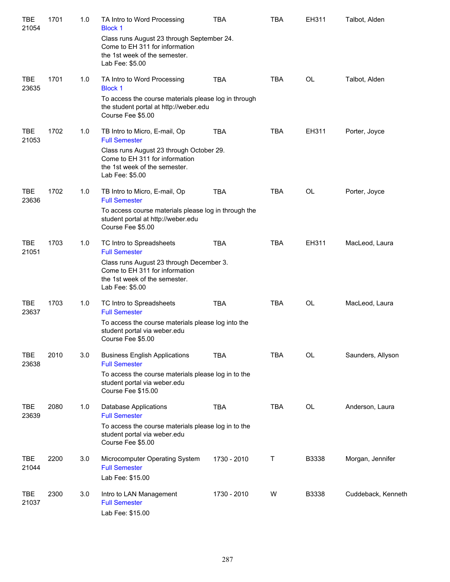| TBE<br>21054        | 1701 | 1.0 | TA Intro to Word Processing<br><b>Block 1</b>                                                                                    | <b>TBA</b>  | <b>TBA</b> | EH311     | Talbot, Alden      |
|---------------------|------|-----|----------------------------------------------------------------------------------------------------------------------------------|-------------|------------|-----------|--------------------|
|                     |      |     | Class runs August 23 through September 24.<br>Come to EH 311 for information<br>the 1st week of the semester.<br>Lab Fee: \$5.00 |             |            |           |                    |
| <b>TBE</b><br>23635 | 1701 | 1.0 | TA Intro to Word Processing<br><b>Block 1</b>                                                                                    | <b>TBA</b>  | <b>TBA</b> | <b>OL</b> | Talbot, Alden      |
|                     |      |     | To access the course materials please log in through<br>the student portal at http://weber.edu<br>Course Fee \$5.00              |             |            |           |                    |
| <b>TBE</b><br>21053 | 1702 | 1.0 | TB Intro to Micro, E-mail, Op<br><b>Full Semester</b>                                                                            | <b>TBA</b>  | <b>TBA</b> | EH311     | Porter, Joyce      |
|                     |      |     | Class runs August 23 through October 29.<br>Come to EH 311 for information<br>the 1st week of the semester.<br>Lab Fee: \$5.00   |             |            |           |                    |
| <b>TBE</b><br>23636 | 1702 | 1.0 | TB Intro to Micro, E-mail, Op<br><b>Full Semester</b>                                                                            | <b>TBA</b>  | <b>TBA</b> | <b>OL</b> | Porter, Joyce      |
|                     |      |     | To access course materials please log in through the<br>student portal at http://weber.edu<br>Course Fee \$5.00                  |             |            |           |                    |
| <b>TBE</b><br>21051 | 1703 | 1.0 | TC Intro to Spreadsheets<br><b>Full Semester</b>                                                                                 | <b>TBA</b>  | <b>TBA</b> | EH311     | MacLeod, Laura     |
|                     |      |     | Class runs August 23 through December 3.<br>Come to EH 311 for information<br>the 1st week of the semester.<br>Lab Fee: \$5.00   |             |            |           |                    |
| <b>TBE</b><br>23637 | 1703 | 1.0 | TC Intro to Spreadsheets<br><b>Full Semester</b>                                                                                 | <b>TBA</b>  | <b>TBA</b> | <b>OL</b> | MacLeod, Laura     |
|                     |      |     | To access the course materials please log into the<br>student portal via weber.edu<br>Course Fee \$5.00                          |             |            |           |                    |
| <b>TBE</b><br>23638 | 2010 | 3.0 | <b>Business English Applications</b><br><b>Full Semester</b>                                                                     | <b>TBA</b>  | <b>TBA</b> | <b>OL</b> | Saunders, Allyson  |
|                     |      |     | To access the course materials please log in to the<br>student portal via weber.edu<br>Course Fee \$15.00                        |             |            |           |                    |
| <b>TBE</b><br>23639 | 2080 | 1.0 | <b>Database Applications</b><br><b>Full Semester</b>                                                                             | <b>TBA</b>  | <b>TBA</b> | <b>OL</b> | Anderson, Laura    |
|                     |      |     | To access the course materials please log in to the<br>student portal via weber.edu<br>Course Fee \$5.00                         |             |            |           |                    |
| <b>TBE</b><br>21044 | 2200 | 3.0 | Microcomputer Operating System<br><b>Full Semester</b><br>Lab Fee: \$15.00                                                       | 1730 - 2010 | Т          | B3338     | Morgan, Jennifer   |
| <b>TBE</b><br>21037 | 2300 | 3.0 | Intro to LAN Management<br><b>Full Semester</b><br>Lab Fee: \$15.00                                                              | 1730 - 2010 | W          | B3338     | Cuddeback, Kenneth |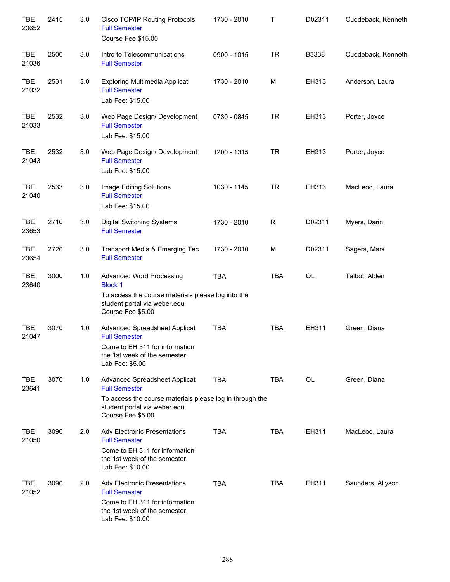| <b>TBE</b><br>23652 | 2415 | 3.0 | Cisco TCP/IP Routing Protocols<br><b>Full Semester</b><br>Course Fee \$15.00                                                                                           | 1730 - 2010 | т            | D02311       | Cuddeback, Kenneth |
|---------------------|------|-----|------------------------------------------------------------------------------------------------------------------------------------------------------------------------|-------------|--------------|--------------|--------------------|
| TBE<br>21036        | 2500 | 3.0 | Intro to Telecommunications<br><b>Full Semester</b>                                                                                                                    | 0900 - 1015 | <b>TR</b>    | <b>B3338</b> | Cuddeback, Kenneth |
| TBE<br>21032        | 2531 | 3.0 | Exploring Multimedia Applicati<br><b>Full Semester</b><br>Lab Fee: \$15.00                                                                                             | 1730 - 2010 | M            | EH313        | Anderson, Laura    |
| <b>TBE</b><br>21033 | 2532 | 3.0 | Web Page Design/ Development<br><b>Full Semester</b><br>Lab Fee: \$15.00                                                                                               | 0730 - 0845 | <b>TR</b>    | EH313        | Porter, Joyce      |
| <b>TBE</b><br>21043 | 2532 | 3.0 | Web Page Design/ Development<br><b>Full Semester</b><br>Lab Fee: \$15.00                                                                                               | 1200 - 1315 | <b>TR</b>    | EH313        | Porter, Joyce      |
| <b>TBE</b><br>21040 | 2533 | 3.0 | Image Editing Solutions<br><b>Full Semester</b><br>Lab Fee: \$15.00                                                                                                    | 1030 - 1145 | <b>TR</b>    | EH313        | MacLeod, Laura     |
| TBE<br>23653        | 2710 | 3.0 | <b>Digital Switching Systems</b><br><b>Full Semester</b>                                                                                                               | 1730 - 2010 | $\mathsf{R}$ | D02311       | Myers, Darin       |
| <b>TBE</b><br>23654 | 2720 | 3.0 | Transport Media & Emerging Tec<br><b>Full Semester</b>                                                                                                                 | 1730 - 2010 | M            | D02311       | Sagers, Mark       |
| <b>TBE</b><br>23640 | 3000 | 1.0 | Advanced Word Processing<br><b>Block 1</b><br>To access the course materials please log into the<br>student portal via weber.edu<br>Course Fee \$5.00                  | <b>TBA</b>  | <b>TBA</b>   | OL           | Talbot, Alden      |
| <b>TBE</b><br>21047 | 3070 | 1.0 | Advanced Spreadsheet Applicat<br><b>Full Semester</b><br>Come to EH 311 for information<br>the 1st week of the semester.<br>Lab Fee: \$5.00                            | <b>TBA</b>  | <b>TBA</b>   | EH311        | Green, Diana       |
| <b>TBE</b><br>23641 | 3070 | 1.0 | Advanced Spreadsheet Applicat<br><b>Full Semester</b><br>To access the course materials please log in through the<br>student portal via weber.edu<br>Course Fee \$5.00 | <b>TBA</b>  | <b>TBA</b>   | <b>OL</b>    | Green, Diana       |
| <b>TBE</b><br>21050 | 3090 | 2.0 | <b>Adv Electronic Presentations</b><br><b>Full Semester</b><br>Come to EH 311 for information<br>the 1st week of the semester.<br>Lab Fee: \$10.00                     | <b>TBA</b>  | <b>TBA</b>   | EH311        | MacLeod, Laura     |
| <b>TBE</b><br>21052 | 3090 | 2.0 | <b>Adv Electronic Presentations</b><br><b>Full Semester</b><br>Come to EH 311 for information<br>the 1st week of the semester.<br>Lab Fee: \$10.00                     | <b>TBA</b>  | <b>TBA</b>   | EH311        | Saunders, Allyson  |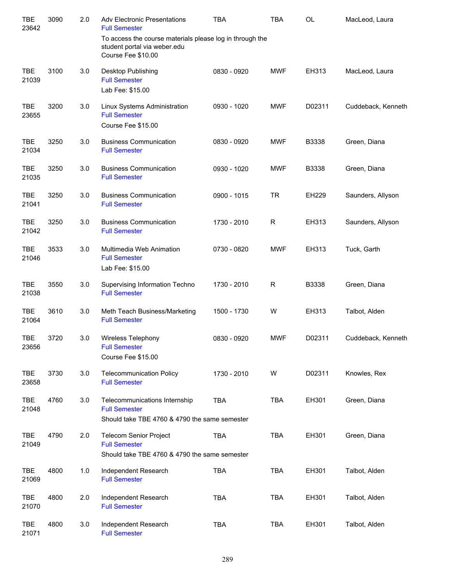| <b>TBE</b><br>23642 | 3090 | 2.0 | <b>Adv Electronic Presentations</b><br><b>Full Semester</b>                                                    | <b>TBA</b>  | <b>TBA</b> | <b>OL</b>    | MacLeod, Laura     |
|---------------------|------|-----|----------------------------------------------------------------------------------------------------------------|-------------|------------|--------------|--------------------|
|                     |      |     | To access the course materials please log in through the<br>student portal via weber.edu<br>Course Fee \$10.00 |             |            |              |                    |
| <b>TBE</b><br>21039 | 3100 | 3.0 | Desktop Publishing<br><b>Full Semester</b>                                                                     | 0830 - 0920 | <b>MWF</b> | EH313        | MacLeod, Laura     |
|                     |      |     | Lab Fee: \$15.00                                                                                               |             |            |              |                    |
| <b>TBE</b><br>23655 | 3200 | 3.0 | Linux Systems Administration<br><b>Full Semester</b><br>Course Fee \$15.00                                     | 0930 - 1020 | <b>MWF</b> | D02311       | Cuddeback, Kenneth |
| <b>TBE</b><br>21034 | 3250 | 3.0 | <b>Business Communication</b><br><b>Full Semester</b>                                                          | 0830 - 0920 | <b>MWF</b> | B3338        | Green, Diana       |
| <b>TBE</b><br>21035 | 3250 | 3.0 | <b>Business Communication</b><br><b>Full Semester</b>                                                          | 0930 - 1020 | <b>MWF</b> | B3338        | Green, Diana       |
| <b>TBE</b><br>21041 | 3250 | 3.0 | <b>Business Communication</b><br><b>Full Semester</b>                                                          | 0900 - 1015 | <b>TR</b>  | <b>EH229</b> | Saunders, Allyson  |
| <b>TBE</b><br>21042 | 3250 | 3.0 | <b>Business Communication</b><br><b>Full Semester</b>                                                          | 1730 - 2010 | R          | EH313        | Saunders, Allyson  |
| <b>TBE</b><br>21046 | 3533 | 3.0 | Multimedia Web Animation<br><b>Full Semester</b><br>Lab Fee: \$15.00                                           | 0730 - 0820 | <b>MWF</b> | EH313        | Tuck, Garth        |
| <b>TBE</b><br>21038 | 3550 | 3.0 | Supervising Information Techno<br><b>Full Semester</b>                                                         | 1730 - 2010 | R          | B3338        | Green, Diana       |
| TBE<br>21064        | 3610 | 3.0 | Meth Teach Business/Marketing<br><b>Full Semester</b>                                                          | 1500 - 1730 | W          | EH313        | Talbot, Alden      |
| TBE<br>23656        | 3720 | 3.0 | <b>Wireless Telephony</b><br><b>Full Semester</b><br>Course Fee \$15.00                                        | 0830 - 0920 | <b>MWF</b> | D02311       | Cuddeback, Kenneth |
| <b>TBE</b><br>23658 | 3730 | 3.0 | <b>Telecommunication Policy</b><br><b>Full Semester</b>                                                        | 1730 - 2010 | W          | D02311       | Knowles, Rex       |
| <b>TBE</b><br>21048 | 4760 | 3.0 | Telecommunications Internship<br><b>Full Semester</b><br>Should take TBE 4760 & 4790 the same semester         | TBA         | TBA        | EH301        | Green, Diana       |
| <b>TBE</b><br>21049 | 4790 | 2.0 | Telecom Senior Project<br><b>Full Semester</b><br>Should take TBE 4760 & 4790 the same semester                | <b>TBA</b>  | TBA        | EH301        | Green, Diana       |
| <b>TBE</b><br>21069 | 4800 | 1.0 | Independent Research<br><b>Full Semester</b>                                                                   | <b>TBA</b>  | TBA        | EH301        | Talbot, Alden      |
| <b>TBE</b><br>21070 | 4800 | 2.0 | Independent Research<br><b>Full Semester</b>                                                                   | <b>TBA</b>  | TBA        | EH301        | Talbot, Alden      |
| <b>TBE</b><br>21071 | 4800 | 3.0 | Independent Research<br><b>Full Semester</b>                                                                   | <b>TBA</b>  | <b>TBA</b> | EH301        | Talbot, Alden      |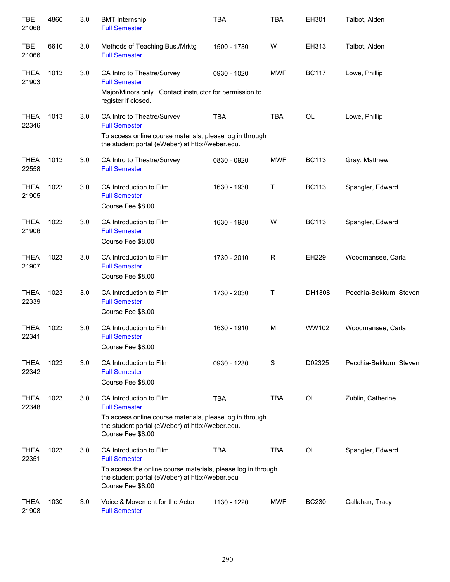| <b>TBE</b><br>21068  | 4860 | 3.0 | <b>BMT</b> Internship<br><b>Full Semester</b>                                                                                                                                           | <b>TBA</b>  | <b>TBA</b>  | EH301        | Talbot, Alden          |
|----------------------|------|-----|-----------------------------------------------------------------------------------------------------------------------------------------------------------------------------------------|-------------|-------------|--------------|------------------------|
| <b>TBE</b><br>21066  | 6610 | 3.0 | Methods of Teaching Bus./Mrktg<br><b>Full Semester</b>                                                                                                                                  | 1500 - 1730 | W           | EH313        | Talbot, Alden          |
| <b>THEA</b><br>21903 | 1013 | 3.0 | CA Intro to Theatre/Survey<br><b>Full Semester</b><br>Major/Minors only. Contact instructor for permission to<br>register if closed.                                                    | 0930 - 1020 | <b>MWF</b>  | <b>BC117</b> | Lowe, Phillip          |
| <b>THEA</b><br>22346 | 1013 | 3.0 | CA Intro to Theatre/Survey<br><b>Full Semester</b><br>To access online course materials, please log in through<br>the student portal (eWeber) at http://weber.edu.                      | <b>TBA</b>  | <b>TBA</b>  | OL           | Lowe, Phillip          |
| <b>THEA</b><br>22558 | 1013 | 3.0 | CA Intro to Theatre/Survey<br><b>Full Semester</b>                                                                                                                                      | 0830 - 0920 | <b>MWF</b>  | <b>BC113</b> | Gray, Matthew          |
| <b>THEA</b><br>21905 | 1023 | 3.0 | CA Introduction to Film<br><b>Full Semester</b><br>Course Fee \$8.00                                                                                                                    | 1630 - 1930 | Т           | <b>BC113</b> | Spangler, Edward       |
| <b>THEA</b><br>21906 | 1023 | 3.0 | CA Introduction to Film<br><b>Full Semester</b><br>Course Fee \$8.00                                                                                                                    | 1630 - 1930 | W           | <b>BC113</b> | Spangler, Edward       |
| <b>THEA</b><br>21907 | 1023 | 3.0 | CA Introduction to Film<br><b>Full Semester</b><br>Course Fee \$8.00                                                                                                                    | 1730 - 2010 | R           | EH229        | Woodmansee, Carla      |
| <b>THEA</b><br>22339 | 1023 | 3.0 | CA Introduction to Film<br><b>Full Semester</b><br>Course Fee \$8.00                                                                                                                    | 1730 - 2030 | Τ           | DH1308       | Pecchia-Bekkum, Steven |
| <b>THEA</b><br>22341 | 1023 | 3.0 | CA Introduction to Film<br><b>Full Semester</b><br>Course Fee \$8.00                                                                                                                    | 1630 - 1910 | M           | WW102        | Woodmansee, Carla      |
| <b>THEA</b><br>22342 | 1023 | 3.0 | CA Introduction to Film<br><b>Full Semester</b><br>Course Fee \$8.00                                                                                                                    | 0930 - 1230 | $\mathbf S$ | D02325       | Pecchia-Bekkum, Steven |
| <b>THEA</b><br>22348 | 1023 | 3.0 | CA Introduction to Film<br><b>Full Semester</b><br>To access online course materials, please log in through<br>the student portal (eWeber) at http://weber.edu.<br>Course Fee \$8.00    | <b>TBA</b>  | <b>TBA</b>  | OL           | Zublin, Catherine      |
| <b>THEA</b><br>22351 | 1023 | 3.0 | CA Introduction to Film<br><b>Full Semester</b><br>To access the online course materials, please log in through<br>the student portal (eWeber) at http://weber.edu<br>Course Fee \$8.00 | <b>TBA</b>  | <b>TBA</b>  | OL           | Spangler, Edward       |
| <b>THEA</b><br>21908 | 1030 | 3.0 | Voice & Movement for the Actor<br><b>Full Semester</b>                                                                                                                                  | 1130 - 1220 | <b>MWF</b>  | <b>BC230</b> | Callahan, Tracy        |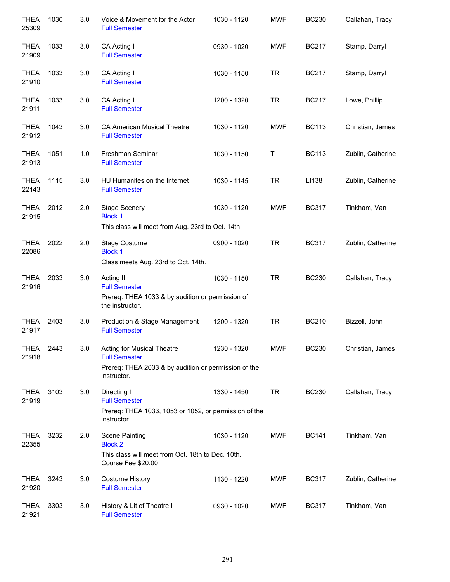| <b>THEA</b><br>25309 | 1030 | 3.0 | Voice & Movement for the Actor<br><b>Full Semester</b>                                                                    | 1030 - 1120 | <b>MWF</b> | <b>BC230</b> | Callahan, Tracy   |
|----------------------|------|-----|---------------------------------------------------------------------------------------------------------------------------|-------------|------------|--------------|-------------------|
| <b>THEA</b><br>21909 | 1033 | 3.0 | CA Acting I<br><b>Full Semester</b>                                                                                       | 0930 - 1020 | <b>MWF</b> | <b>BC217</b> | Stamp, Darryl     |
| <b>THEA</b><br>21910 | 1033 | 3.0 | CA Acting I<br><b>Full Semester</b>                                                                                       | 1030 - 1150 | <b>TR</b>  | <b>BC217</b> | Stamp, Darryl     |
| <b>THEA</b><br>21911 | 1033 | 3.0 | CA Acting I<br><b>Full Semester</b>                                                                                       | 1200 - 1320 | <b>TR</b>  | <b>BC217</b> | Lowe, Phillip     |
| <b>THEA</b><br>21912 | 1043 | 3.0 | CA American Musical Theatre<br><b>Full Semester</b>                                                                       | 1030 - 1120 | <b>MWF</b> | <b>BC113</b> | Christian, James  |
| <b>THEA</b><br>21913 | 1051 | 1.0 | Freshman Seminar<br><b>Full Semester</b>                                                                                  | 1030 - 1150 | Т          | <b>BC113</b> | Zublin, Catherine |
| <b>THEA</b><br>22143 | 1115 | 3.0 | HU Humanites on the Internet<br><b>Full Semester</b>                                                                      | 1030 - 1145 | <b>TR</b>  | LI138        | Zublin, Catherine |
| <b>THEA</b><br>21915 | 2012 | 2.0 | <b>Stage Scenery</b><br><b>Block 1</b><br>This class will meet from Aug. 23rd to Oct. 14th.                               | 1030 - 1120 | <b>MWF</b> | <b>BC317</b> | Tinkham, Van      |
| <b>THEA</b><br>22086 | 2022 | 2.0 | Stage Costume<br><b>Block 1</b><br>Class meets Aug. 23rd to Oct. 14th.                                                    | 0900 - 1020 | <b>TR</b>  | <b>BC317</b> | Zublin, Catherine |
| <b>THEA</b><br>21916 | 2033 | 3.0 | Acting II<br><b>Full Semester</b><br>Prereq: THEA 1033 & by audition or permission of<br>the instructor.                  | 1030 - 1150 | <b>TR</b>  | <b>BC230</b> | Callahan, Tracy   |
| <b>THEA</b><br>21917 | 2403 | 3.0 | Production & Stage Management<br><b>Full Semester</b>                                                                     | 1200 - 1320 | <b>TR</b>  | <b>BC210</b> | Bizzell, John     |
| <b>THEA</b><br>21918 | 2443 | 3.0 | Acting for Musical Theatre<br><b>Full Semester</b><br>Prereq: THEA 2033 & by audition or permission of the<br>instructor. | 1230 - 1320 | <b>MWF</b> | <b>BC230</b> | Christian, James  |
| <b>THEA</b><br>21919 | 3103 | 3.0 | Directing I<br><b>Full Semester</b><br>Prereq: THEA 1033, 1053 or 1052, or permission of the<br>instructor.               | 1330 - 1450 | <b>TR</b>  | <b>BC230</b> | Callahan, Tracy   |
| <b>THEA</b><br>22355 | 3232 | 2.0 | <b>Scene Painting</b><br><b>Block 2</b><br>This class will meet from Oct. 18th to Dec. 10th.<br>Course Fee \$20.00        | 1030 - 1120 | <b>MWF</b> | <b>BC141</b> | Tinkham, Van      |
| <b>THEA</b><br>21920 | 3243 | 3.0 | <b>Costume History</b><br><b>Full Semester</b>                                                                            | 1130 - 1220 | MWF        | <b>BC317</b> | Zublin, Catherine |
| <b>THEA</b><br>21921 | 3303 | 3.0 | History & Lit of Theatre I<br><b>Full Semester</b>                                                                        | 0930 - 1020 | MWF        | <b>BC317</b> | Tinkham, Van      |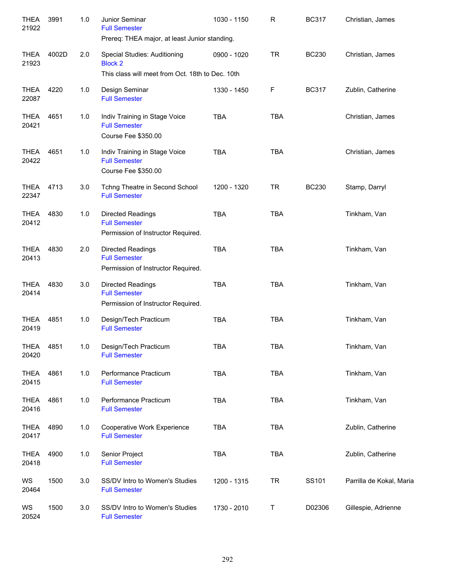| THEA<br>21922        | 3991  | 1.0   | Junior Seminar<br><b>Full Semester</b><br>Prereq: THEA major, at least Junior standing.            | 1030 - 1150 | R           | <b>BC317</b> | Christian, James         |
|----------------------|-------|-------|----------------------------------------------------------------------------------------------------|-------------|-------------|--------------|--------------------------|
| <b>THEA</b><br>21923 | 4002D | 2.0   | Special Studies: Auditioning<br><b>Block 2</b><br>This class will meet from Oct. 18th to Dec. 10th | 0900 - 1020 | <b>TR</b>   | <b>BC230</b> | Christian, James         |
| <b>THEA</b><br>22087 | 4220  | 1.0   | Design Seminar<br><b>Full Semester</b>                                                             | 1330 - 1450 | F           | <b>BC317</b> | Zublin, Catherine        |
| <b>THEA</b><br>20421 | 4651  | 1.0   | Indiv Training in Stage Voice<br><b>Full Semester</b><br>Course Fee \$350.00                       | <b>TBA</b>  | <b>TBA</b>  |              | Christian, James         |
| THEA<br>20422        | 4651  | 1.0   | Indiv Training in Stage Voice<br><b>Full Semester</b><br>Course Fee \$350.00                       | <b>TBA</b>  | <b>TBA</b>  |              | Christian, James         |
| THEA<br>22347        | 4713  | 3.0   | Tchng Theatre in Second School<br><b>Full Semester</b>                                             | 1200 - 1320 | <b>TR</b>   | <b>BC230</b> | Stamp, Darryl            |
| THEA<br>20412        | 4830  | 1.0   | <b>Directed Readings</b><br><b>Full Semester</b><br>Permission of Instructor Required.             | <b>TBA</b>  | <b>TBA</b>  |              | Tinkham, Van             |
| <b>THEA</b><br>20413 | 4830  | 2.0   | Directed Readings<br><b>Full Semester</b><br>Permission of Instructor Required.                    | <b>TBA</b>  | <b>TBA</b>  |              | Tinkham, Van             |
| <b>THEA</b><br>20414 | 4830  | 3.0   | Directed Readings<br><b>Full Semester</b><br>Permission of Instructor Required.                    | <b>TBA</b>  | <b>TBA</b>  |              | Tinkham, Van             |
| <b>THEA</b><br>20419 | 4851  | 1.0   | Design/Tech Practicum<br><b>Full Semester</b>                                                      | <b>TBA</b>  | <b>TBA</b>  |              | Tinkham, Van             |
| <b>THEA</b><br>20420 | 4851  | $1.0$ | Design/Tech Practicum<br><b>Full Semester</b>                                                      | <b>TBA</b>  | <b>TBA</b>  |              | Tinkham, Van             |
| <b>THEA</b><br>20415 | 4861  | 1.0   | Performance Practicum<br><b>Full Semester</b>                                                      | <b>TBA</b>  | <b>TBA</b>  |              | Tinkham, Van             |
| <b>THEA</b><br>20416 | 4861  | 1.0   | Performance Practicum<br><b>Full Semester</b>                                                      | <b>TBA</b>  | <b>TBA</b>  |              | Tinkham, Van             |
| <b>THEA</b><br>20417 | 4890  | 1.0   | Cooperative Work Experience<br><b>Full Semester</b>                                                | <b>TBA</b>  | <b>TBA</b>  |              | Zublin, Catherine        |
| <b>THEA</b><br>20418 | 4900  | $1.0$ | Senior Project<br><b>Full Semester</b>                                                             | <b>TBA</b>  | <b>TBA</b>  |              | Zublin, Catherine        |
| WS<br>20464          | 1500  | 3.0   | SS/DV Intro to Women's Studies<br><b>Full Semester</b>                                             | 1200 - 1315 | <b>TR</b>   | SS101        | Parrilla de Kokal, Maria |
| WS<br>20524          | 1500  | 3.0   | SS/DV Intro to Women's Studies<br><b>Full Semester</b>                                             | 1730 - 2010 | $\mathsf T$ | D02306       | Gillespie, Adrienne      |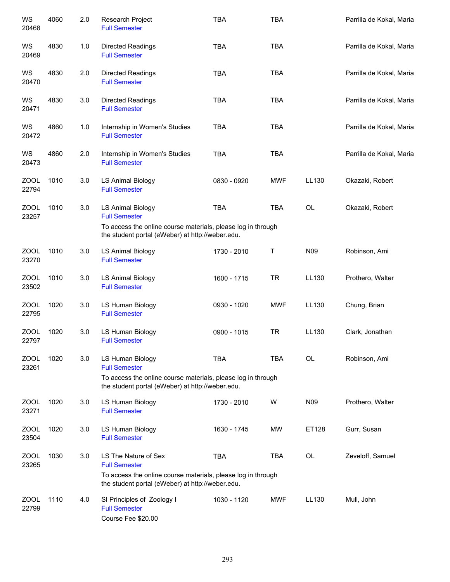| WS<br>20468          | 4060 | 2.0 | Research Project<br><b>Full Semester</b>                                                                                                                         | <b>TBA</b>  | <b>TBA</b> |                 | Parrilla de Kokal, Maria |
|----------------------|------|-----|------------------------------------------------------------------------------------------------------------------------------------------------------------------|-------------|------------|-----------------|--------------------------|
| WS<br>20469          | 4830 | 1.0 | <b>Directed Readings</b><br><b>Full Semester</b>                                                                                                                 | <b>TBA</b>  | <b>TBA</b> |                 | Parrilla de Kokal, Maria |
| WS<br>20470          | 4830 | 2.0 | <b>Directed Readings</b><br><b>Full Semester</b>                                                                                                                 | <b>TBA</b>  | <b>TBA</b> |                 | Parrilla de Kokal, Maria |
| WS<br>20471          | 4830 | 3.0 | Directed Readings<br><b>Full Semester</b>                                                                                                                        | <b>TBA</b>  | <b>TBA</b> |                 | Parrilla de Kokal, Maria |
| WS<br>20472          | 4860 | 1.0 | Internship in Women's Studies<br><b>Full Semester</b>                                                                                                            | <b>TBA</b>  | <b>TBA</b> |                 | Parrilla de Kokal, Maria |
| WS<br>20473          | 4860 | 2.0 | Internship in Women's Studies<br><b>Full Semester</b>                                                                                                            | <b>TBA</b>  | <b>TBA</b> |                 | Parrilla de Kokal, Maria |
| ZOOL<br>22794        | 1010 | 3.0 | <b>LS Animal Biology</b><br><b>Full Semester</b>                                                                                                                 | 0830 - 0920 | <b>MWF</b> | LL130           | Okazaki, Robert          |
| <b>ZOOL</b><br>23257 | 1010 | 3.0 | <b>LS Animal Biology</b><br><b>Full Semester</b>                                                                                                                 | <b>TBA</b>  | <b>TBA</b> | OL              | Okazaki, Robert          |
|                      |      |     | To access the online course materials, please log in through<br>the student portal (eWeber) at http://weber.edu.                                                 |             |            |                 |                          |
| ZOOL<br>23270        | 1010 | 3.0 | LS Animal Biology<br><b>Full Semester</b>                                                                                                                        | 1730 - 2010 | Τ          | N09             | Robinson, Ami            |
| <b>ZOOL</b><br>23502 | 1010 | 3.0 | <b>LS Animal Biology</b><br><b>Full Semester</b>                                                                                                                 | 1600 - 1715 | <b>TR</b>  | LL130           | Prothero, Walter         |
| <b>ZOOL</b><br>22795 | 1020 | 3.0 | LS Human Biology<br><b>Full Semester</b>                                                                                                                         | 0930 - 1020 | <b>MWF</b> | LL130           | Chung, Brian             |
| <b>ZOOL</b><br>22797 | 1020 | 3.0 | LS Human Biology<br><b>Full Semester</b>                                                                                                                         | 0900 - 1015 | <b>TR</b>  | LL130           | Clark, Jonathan          |
| <b>ZOOL</b><br>23261 | 1020 | 3.0 | LS Human Biology<br><b>Full Semester</b>                                                                                                                         | <b>TBA</b>  | <b>TBA</b> | <b>OL</b>       | Robinson, Ami            |
|                      |      |     | To access the online course materials, please log in through<br>the student portal (eWeber) at http://weber.edu.                                                 |             |            |                 |                          |
| <b>ZOOL</b><br>23271 | 1020 | 3.0 | LS Human Biology<br><b>Full Semester</b>                                                                                                                         | 1730 - 2010 | W          | N <sub>09</sub> | Prothero, Walter         |
| <b>ZOOL</b><br>23504 | 1020 | 3.0 | LS Human Biology<br><b>Full Semester</b>                                                                                                                         | 1630 - 1745 | MW         | ET128           | Gurr, Susan              |
| <b>ZOOL</b><br>23265 | 1030 | 3.0 | LS The Nature of Sex<br><b>Full Semester</b><br>To access the online course materials, please log in through<br>the student portal (eWeber) at http://weber.edu. | <b>TBA</b>  | <b>TBA</b> | <b>OL</b>       | Zeveloff, Samuel         |
| <b>ZOOL</b><br>22799 | 1110 | 4.0 | SI Principles of Zoology I<br><b>Full Semester</b><br>Course Fee \$20.00                                                                                         | 1030 - 1120 | <b>MWF</b> | LL130           | Mull, John               |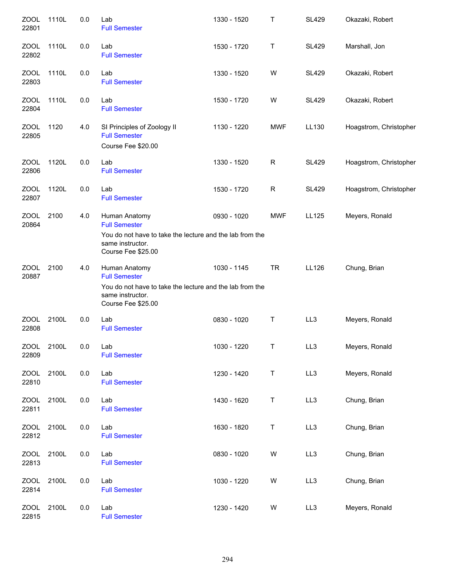| <b>ZOOL</b><br>22801 | 1110L | 0.0 | Lab<br><b>Full Semester</b>                                                                        | 1330 - 1520 | Τ          | <b>SL429</b> | Okazaki, Robert        |
|----------------------|-------|-----|----------------------------------------------------------------------------------------------------|-------------|------------|--------------|------------------------|
| <b>ZOOL</b><br>22802 | 1110L | 0.0 | Lab<br><b>Full Semester</b>                                                                        | 1530 - 1720 | Τ          | <b>SL429</b> | Marshall, Jon          |
| <b>ZOOL</b><br>22803 | 1110L | 0.0 | Lab<br><b>Full Semester</b>                                                                        | 1330 - 1520 | W          | <b>SL429</b> | Okazaki, Robert        |
| ZOOL<br>22804        | 1110L | 0.0 | Lab<br><b>Full Semester</b>                                                                        | 1530 - 1720 | W          | <b>SL429</b> | Okazaki, Robert        |
| ZOOL<br>22805        | 1120  | 4.0 | SI Principles of Zoology II<br><b>Full Semester</b><br>Course Fee \$20.00                          | 1130 - 1220 | <b>MWF</b> | LL130        | Hoagstrom, Christopher |
| ZOOL<br>22806        | 1120L | 0.0 | Lab<br><b>Full Semester</b>                                                                        | 1330 - 1520 | R          | <b>SL429</b> | Hoagstrom, Christopher |
| <b>ZOOL</b><br>22807 | 1120L | 0.0 | Lab<br><b>Full Semester</b>                                                                        | 1530 - 1720 | R          | <b>SL429</b> | Hoagstrom, Christopher |
| <b>ZOOL</b><br>20864 | 2100  | 4.0 | Human Anatomy<br><b>Full Semester</b>                                                              | 0930 - 1020 | <b>MWF</b> | LL125        | Meyers, Ronald         |
|                      |       |     | You do not have to take the lecture and the lab from the<br>same instructor.<br>Course Fee \$25.00 |             |            |              |                        |
| <b>ZOOL</b><br>20887 | 2100  | 4.0 | Human Anatomy<br><b>Full Semester</b>                                                              | 1030 - 1145 | <b>TR</b>  | LL126        | Chung, Brian           |
|                      |       |     | You do not have to take the lecture and the lab from the<br>same instructor.<br>Course Fee \$25.00 |             |            |              |                        |
| ZOOL<br>22808        | 2100L | 0.0 | Lab<br><b>Full Semester</b>                                                                        | 0830 - 1020 | T          | LL3          | Meyers, Ronald         |
| ZOOL<br>22809        | 2100L | 0.0 | Lab<br><b>Full Semester</b>                                                                        | 1030 - 1220 | $\sf T$    | LL3          | Meyers, Ronald         |
| <b>ZOOL</b><br>22810 | 2100L | 0.0 | Lab<br><b>Full Semester</b>                                                                        | 1230 - 1420 | T          | LL3          | Meyers, Ronald         |
| <b>ZOOL</b><br>22811 | 2100L | 0.0 | Lab<br><b>Full Semester</b>                                                                        | 1430 - 1620 | T          | LL3          | Chung, Brian           |
| <b>ZOOL</b><br>22812 | 2100L | 0.0 | Lab<br><b>Full Semester</b>                                                                        | 1630 - 1820 | T          | LL3          | Chung, Brian           |
| <b>ZOOL</b><br>22813 | 2100L | 0.0 | Lab<br><b>Full Semester</b>                                                                        | 0830 - 1020 | W          | LL3          | Chung, Brian           |
| <b>ZOOL</b><br>22814 | 2100L | 0.0 | Lab<br><b>Full Semester</b>                                                                        | 1030 - 1220 | W          | LL3          | Chung, Brian           |
| <b>ZOOL</b><br>22815 | 2100L | 0.0 | Lab<br><b>Full Semester</b>                                                                        | 1230 - 1420 | W          | LL3          | Meyers, Ronald         |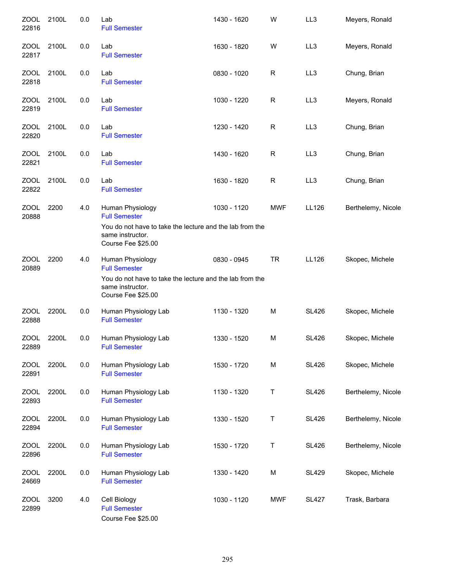| <b>ZOOL</b><br>22816 | 2100L | 0.0 | Lab<br><b>Full Semester</b>                                                                        | 1430 - 1620 | W          | LL3             | Meyers, Ronald     |
|----------------------|-------|-----|----------------------------------------------------------------------------------------------------|-------------|------------|-----------------|--------------------|
| <b>ZOOL</b><br>22817 | 2100L | 0.0 | Lab<br><b>Full Semester</b>                                                                        | 1630 - 1820 | W          | LL <sub>3</sub> | Meyers, Ronald     |
| <b>ZOOL</b><br>22818 | 2100L | 0.0 | Lab<br><b>Full Semester</b>                                                                        | 0830 - 1020 | R          | LL3             | Chung, Brian       |
| <b>ZOOL</b><br>22819 | 2100L | 0.0 | Lab<br><b>Full Semester</b>                                                                        | 1030 - 1220 | R          | LL <sub>3</sub> | Meyers, Ronald     |
| ZOOL<br>22820        | 2100L | 0.0 | Lab<br><b>Full Semester</b>                                                                        | 1230 - 1420 | R          | LL3             | Chung, Brian       |
| ZOOL<br>22821        | 2100L | 0.0 | Lab<br><b>Full Semester</b>                                                                        | 1430 - 1620 | R          | LL <sub>3</sub> | Chung, Brian       |
| ZOOL<br>22822        | 2100L | 0.0 | Lab<br><b>Full Semester</b>                                                                        | 1630 - 1820 | R          | LL3             | Chung, Brian       |
| <b>ZOOL</b><br>20888 | 2200  | 4.0 | Human Physiology<br><b>Full Semester</b>                                                           | 1030 - 1120 | <b>MWF</b> | LL126           | Berthelemy, Nicole |
|                      |       |     | You do not have to take the lecture and the lab from the<br>same instructor.<br>Course Fee \$25.00 |             |            |                 |                    |
| <b>ZOOL</b><br>20889 | 2200  | 4.0 | Human Physiology<br><b>Full Semester</b>                                                           | 0830 - 0945 | <b>TR</b>  | LL126           | Skopec, Michele    |
|                      |       |     | You do not have to take the lecture and the lab from the<br>same instructor.<br>Course Fee \$25.00 |             |            |                 |                    |
| ZOOL<br>22888        | 2200L | 0.0 | Human Physiology Lab<br><b>Full Semester</b>                                                       | 1130 - 1320 | M          | <b>SL426</b>    | Skopec, Michele    |
| ZOOL<br>22889        | 2200L | 0.0 | Human Physiology Lab<br><b>Full Semester</b>                                                       | 1330 - 1520 | M          | <b>SL426</b>    | Skopec, Michele    |
| <b>ZOOL</b><br>22891 | 2200L | 0.0 | Human Physiology Lab<br><b>Full Semester</b>                                                       | 1530 - 1720 | M          | <b>SL426</b>    | Skopec, Michele    |
| <b>ZOOL</b><br>22893 | 2200L | 0.0 | Human Physiology Lab<br><b>Full Semester</b>                                                       | 1130 - 1320 | T          | <b>SL426</b>    | Berthelemy, Nicole |
| ZOOL<br>22894        | 2200L | 0.0 | Human Physiology Lab<br><b>Full Semester</b>                                                       | 1330 - 1520 | T          | <b>SL426</b>    | Berthelemy, Nicole |
| <b>ZOOL</b><br>22896 | 2200L | 0.0 | Human Physiology Lab<br><b>Full Semester</b>                                                       | 1530 - 1720 | Τ          | <b>SL426</b>    | Berthelemy, Nicole |
| ZOOL<br>24669        | 2200L | 0.0 | Human Physiology Lab<br><b>Full Semester</b>                                                       | 1330 - 1420 | M          | <b>SL429</b>    | Skopec, Michele    |
| <b>ZOOL</b><br>22899 | 3200  | 4.0 | Cell Biology<br><b>Full Semester</b><br>Course Fee \$25.00                                         | 1030 - 1120 | <b>MWF</b> | <b>SL427</b>    | Trask, Barbara     |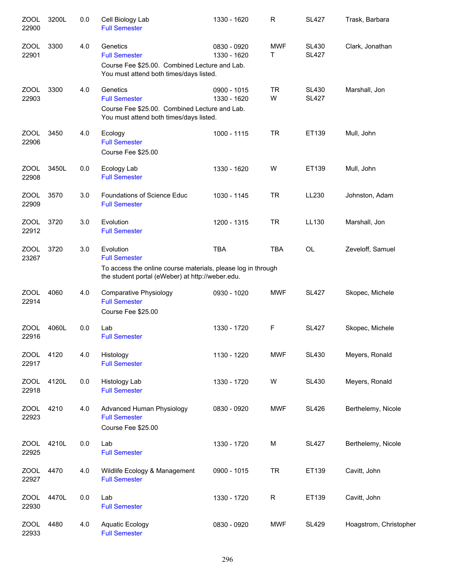| ZOOL<br>22900        | 3200L | 0.0 | Cell Biology Lab<br><b>Full Semester</b>                                                                                                              | 1330 - 1620                | R               | <b>SL427</b>                 | Trask, Barbara         |
|----------------------|-------|-----|-------------------------------------------------------------------------------------------------------------------------------------------------------|----------------------------|-----------------|------------------------------|------------------------|
| <b>ZOOL</b><br>22901 | 3300  | 4.0 | Genetics<br><b>Full Semester</b><br>Course Fee \$25.00. Combined Lecture and Lab.<br>You must attend both times/days listed.                          | 0830 - 0920<br>1330 - 1620 | <b>MWF</b><br>Τ | <b>SL430</b><br><b>SL427</b> | Clark, Jonathan        |
| <b>ZOOL</b><br>22903 | 3300  | 4.0 | Genetics<br><b>Full Semester</b><br>Course Fee \$25.00. Combined Lecture and Lab.<br>You must attend both times/days listed.                          | 0900 - 1015<br>1330 - 1620 | <b>TR</b><br>W  | <b>SL430</b><br><b>SL427</b> | Marshall, Jon          |
| <b>ZOOL</b><br>22906 | 3450  | 4.0 | Ecology<br><b>Full Semester</b><br>Course Fee \$25.00                                                                                                 | 1000 - 1115                | <b>TR</b>       | ET139                        | Mull, John             |
| <b>ZOOL</b><br>22908 | 3450L | 0.0 | Ecology Lab<br><b>Full Semester</b>                                                                                                                   | 1330 - 1620                | W               | ET139                        | Mull, John             |
| <b>ZOOL</b><br>22909 | 3570  | 3.0 | <b>Foundations of Science Educ</b><br><b>Full Semester</b>                                                                                            | 1030 - 1145                | <b>TR</b>       | LL230                        | Johnston, Adam         |
| <b>ZOOL</b><br>22912 | 3720  | 3.0 | Evolution<br><b>Full Semester</b>                                                                                                                     | 1200 - 1315                | <b>TR</b>       | LL130                        | Marshall, Jon          |
| <b>ZOOL</b><br>23267 | 3720  | 3.0 | Evolution<br><b>Full Semester</b><br>To access the online course materials, please log in through<br>the student portal (eWeber) at http://weber.edu. | <b>TBA</b>                 | <b>TBA</b>      | <b>OL</b>                    | Zeveloff, Samuel       |
| ZOOL<br>22914        | 4060  | 4.0 | <b>Comparative Physiology</b><br><b>Full Semester</b><br>Course Fee \$25.00                                                                           | 0930 - 1020                | <b>MWF</b>      | <b>SL427</b>                 | Skopec, Michele        |
| <b>ZOOL</b><br>22916 | 4060L | 0.0 | Lab<br><b>Full Semester</b>                                                                                                                           | 1330 - 1720                | F               | <b>SL427</b>                 | Skopec, Michele        |
| <b>ZOOL</b><br>22917 | 4120  | 4.0 | Histology<br><b>Full Semester</b>                                                                                                                     | 1130 - 1220                | <b>MWF</b>      | <b>SL430</b>                 | Meyers, Ronald         |
| <b>ZOOL</b><br>22918 | 4120L | 0.0 | Histology Lab<br><b>Full Semester</b>                                                                                                                 | 1330 - 1720                | W               | <b>SL430</b>                 | Meyers, Ronald         |
| <b>ZOOL</b><br>22923 | 4210  | 4.0 | <b>Advanced Human Physiology</b><br><b>Full Semester</b><br>Course Fee \$25.00                                                                        | 0830 - 0920                | <b>MWF</b>      | <b>SL426</b>                 | Berthelemy, Nicole     |
| <b>ZOOL</b><br>22925 | 4210L | 0.0 | Lab<br><b>Full Semester</b>                                                                                                                           | 1330 - 1720                | M               | <b>SL427</b>                 | Berthelemy, Nicole     |
| <b>ZOOL</b><br>22927 | 4470  | 4.0 | Wildlife Ecology & Management<br><b>Full Semester</b>                                                                                                 | 0900 - 1015                | <b>TR</b>       | ET139                        | Cavitt, John           |
| <b>ZOOL</b><br>22930 | 4470L | 0.0 | Lab<br><b>Full Semester</b>                                                                                                                           | 1330 - 1720                | $\mathsf R$     | ET139                        | Cavitt, John           |
| <b>ZOOL</b><br>22933 | 4480  | 4.0 | <b>Aquatic Ecology</b><br><b>Full Semester</b>                                                                                                        | 0830 - 0920                | <b>MWF</b>      | <b>SL429</b>                 | Hoagstrom, Christopher |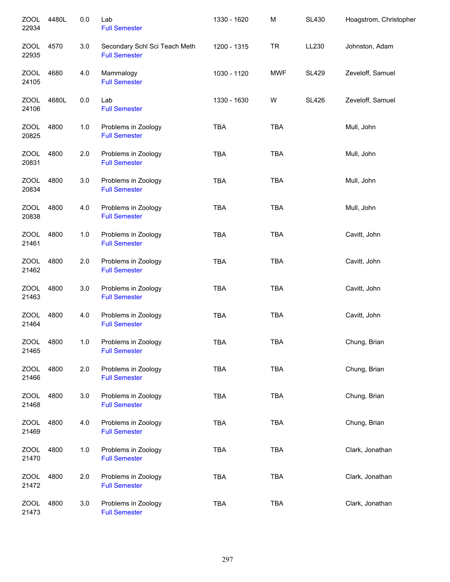| <b>ZOOL</b><br>22934 | 4480L | 0.0     | Lab<br><b>Full Semester</b>                           | 1330 - 1620 | M          | <b>SL430</b> | Hoagstrom, Christopher |
|----------------------|-------|---------|-------------------------------------------------------|-------------|------------|--------------|------------------------|
| <b>ZOOL</b><br>22935 | 4570  | 3.0     | Secondary Schl Sci Teach Meth<br><b>Full Semester</b> | 1200 - 1315 | <b>TR</b>  | LL230        | Johnston, Adam         |
| ZOOL<br>24105        | 4680  | 4.0     | Mammalogy<br><b>Full Semester</b>                     | 1030 - 1120 | <b>MWF</b> | <b>SL429</b> | Zeveloff, Samuel       |
| ZOOL<br>24106        | 4680L | 0.0     | Lab<br><b>Full Semester</b>                           | 1330 - 1630 | W          | <b>SL426</b> | Zeveloff, Samuel       |
| ZOOL<br>20825        | 4800  | 1.0     | Problems in Zoology<br><b>Full Semester</b>           | <b>TBA</b>  | <b>TBA</b> |              | Mull, John             |
| <b>ZOOL</b><br>20831 | 4800  | 2.0     | Problems in Zoology<br><b>Full Semester</b>           | <b>TBA</b>  | <b>TBA</b> |              | Mull, John             |
| <b>ZOOL</b><br>20834 | 4800  | 3.0     | Problems in Zoology<br><b>Full Semester</b>           | <b>TBA</b>  | <b>TBA</b> |              | Mull, John             |
| <b>ZOOL</b><br>20838 | 4800  | 4.0     | Problems in Zoology<br><b>Full Semester</b>           | <b>TBA</b>  | <b>TBA</b> |              | Mull, John             |
| <b>ZOOL</b><br>21461 | 4800  | 1.0     | Problems in Zoology<br><b>Full Semester</b>           | <b>TBA</b>  | <b>TBA</b> |              | Cavitt, John           |
| <b>ZOOL</b><br>21462 | 4800  | 2.0     | Problems in Zoology<br><b>Full Semester</b>           | <b>TBA</b>  | <b>TBA</b> |              | Cavitt, John           |
| <b>ZOOL</b><br>21463 | 4800  | 3.0     | Problems in Zoology<br><b>Full Semester</b>           | <b>TBA</b>  | <b>TBA</b> |              | Cavitt, John           |
| <b>ZOOL</b><br>21464 | 4800  | 4.0     | Problems in Zoology<br><b>Full Semester</b>           | <b>TBA</b>  | <b>TBA</b> |              | Cavitt, John           |
| <b>ZOOL</b><br>21465 | 4800  | 1.0     | Problems in Zoology<br><b>Full Semester</b>           | <b>TBA</b>  | <b>TBA</b> |              | Chung, Brian           |
| <b>ZOOL</b><br>21466 | 4800  | 2.0     | Problems in Zoology<br><b>Full Semester</b>           | <b>TBA</b>  | <b>TBA</b> |              | Chung, Brian           |
| ZOOL<br>21468        | 4800  | $3.0\,$ | Problems in Zoology<br><b>Full Semester</b>           | <b>TBA</b>  | <b>TBA</b> |              | Chung, Brian           |
| <b>ZOOL</b><br>21469 | 4800  | 4.0     | Problems in Zoology<br><b>Full Semester</b>           | <b>TBA</b>  | <b>TBA</b> |              | Chung, Brian           |
| <b>ZOOL</b><br>21470 | 4800  | 1.0     | Problems in Zoology<br><b>Full Semester</b>           | <b>TBA</b>  | <b>TBA</b> |              | Clark, Jonathan        |
| <b>ZOOL</b><br>21472 | 4800  | 2.0     | Problems in Zoology<br><b>Full Semester</b>           | <b>TBA</b>  | <b>TBA</b> |              | Clark, Jonathan        |
| <b>ZOOL</b><br>21473 | 4800  | 3.0     | Problems in Zoology<br><b>Full Semester</b>           | TBA         | <b>TBA</b> |              | Clark, Jonathan        |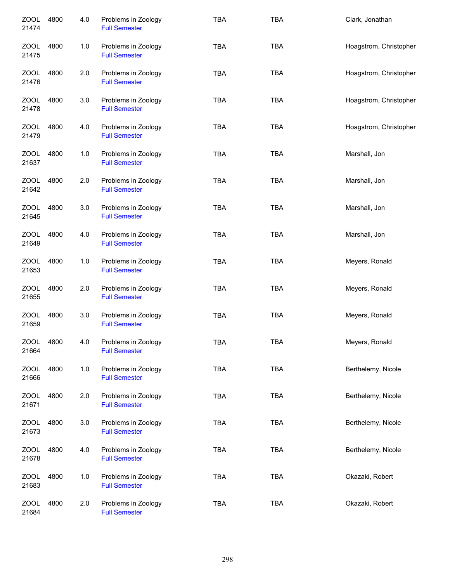| <b>ZOOL</b><br>21474 | 4800 | 4.0 | Problems in Zoology<br><b>Full Semester</b> | <b>TBA</b> | <b>TBA</b> | Clark, Jonathan        |
|----------------------|------|-----|---------------------------------------------|------------|------------|------------------------|
| ZOOL<br>21475        | 4800 | 1.0 | Problems in Zoology<br><b>Full Semester</b> | <b>TBA</b> | <b>TBA</b> | Hoagstrom, Christopher |
| ZOOL<br>21476        | 4800 | 2.0 | Problems in Zoology<br><b>Full Semester</b> | <b>TBA</b> | <b>TBA</b> | Hoagstrom, Christopher |
| ZOOL<br>21478        | 4800 | 3.0 | Problems in Zoology<br><b>Full Semester</b> | <b>TBA</b> | <b>TBA</b> | Hoagstrom, Christopher |
| ZOOL<br>21479        | 4800 | 4.0 | Problems in Zoology<br><b>Full Semester</b> | <b>TBA</b> | <b>TBA</b> | Hoagstrom, Christopher |
| ZOOL<br>21637        | 4800 | 1.0 | Problems in Zoology<br><b>Full Semester</b> | <b>TBA</b> | <b>TBA</b> | Marshall, Jon          |
| ZOOL<br>21642        | 4800 | 2.0 | Problems in Zoology<br><b>Full Semester</b> | <b>TBA</b> | <b>TBA</b> | Marshall, Jon          |
| <b>ZOOL</b><br>21645 | 4800 | 3.0 | Problems in Zoology<br><b>Full Semester</b> | <b>TBA</b> | <b>TBA</b> | Marshall, Jon          |
| ZOOL<br>21649        | 4800 | 4.0 | Problems in Zoology<br><b>Full Semester</b> | <b>TBA</b> | <b>TBA</b> | Marshall, Jon          |
| <b>ZOOL</b><br>21653 | 4800 | 1.0 | Problems in Zoology<br><b>Full Semester</b> | <b>TBA</b> | <b>TBA</b> | Meyers, Ronald         |
| <b>ZOOL</b><br>21655 | 4800 | 2.0 | Problems in Zoology<br><b>Full Semester</b> | <b>TBA</b> | <b>TBA</b> | Meyers, Ronald         |
| <b>ZOOL</b><br>21659 | 4800 | 3.0 | Problems in Zoology<br><b>Full Semester</b> | <b>TBA</b> | <b>TBA</b> | Meyers, Ronald         |
| <b>ZOOL</b><br>21664 | 4800 | 4.0 | Problems in Zoology<br><b>Full Semester</b> | <b>TBA</b> | <b>TBA</b> | Meyers, Ronald         |
| ZOOL<br>21666        | 4800 | 1.0 | Problems in Zoology<br><b>Full Semester</b> | <b>TBA</b> | <b>TBA</b> | Berthelemy, Nicole     |
| ZOOL<br>21671        | 4800 | 2.0 | Problems in Zoology<br><b>Full Semester</b> | <b>TBA</b> | <b>TBA</b> | Berthelemy, Nicole     |
| ZOOL<br>21673        | 4800 | 3.0 | Problems in Zoology<br><b>Full Semester</b> | <b>TBA</b> | <b>TBA</b> | Berthelemy, Nicole     |
| ZOOL<br>21678        | 4800 | 4.0 | Problems in Zoology<br><b>Full Semester</b> | <b>TBA</b> | <b>TBA</b> | Berthelemy, Nicole     |
| <b>ZOOL</b><br>21683 | 4800 | 1.0 | Problems in Zoology<br><b>Full Semester</b> | <b>TBA</b> | <b>TBA</b> | Okazaki, Robert        |
| <b>ZOOL</b><br>21684 | 4800 | 2.0 | Problems in Zoology<br><b>Full Semester</b> | <b>TBA</b> | TBA        | Okazaki, Robert        |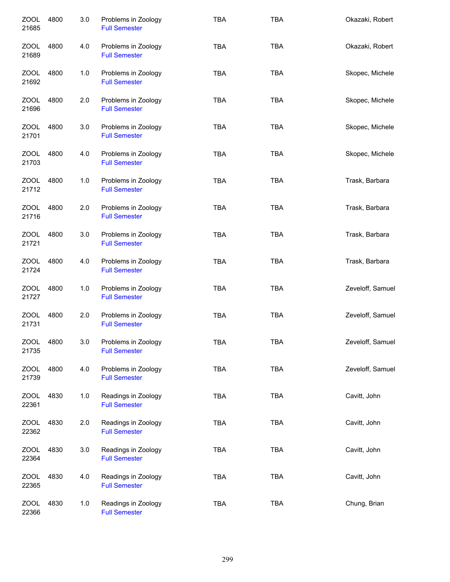| <b>ZOOL</b><br>21685 | 4800 | 3.0 | Problems in Zoology<br><b>Full Semester</b> | <b>TBA</b> | <b>TBA</b> | Okazaki, Robert  |
|----------------------|------|-----|---------------------------------------------|------------|------------|------------------|
| <b>ZOOL</b><br>21689 | 4800 | 4.0 | Problems in Zoology<br><b>Full Semester</b> | <b>TBA</b> | <b>TBA</b> | Okazaki, Robert  |
| <b>ZOOL</b><br>21692 | 4800 | 1.0 | Problems in Zoology<br><b>Full Semester</b> | <b>TBA</b> | <b>TBA</b> | Skopec, Michele  |
| ZOOL<br>21696        | 4800 | 2.0 | Problems in Zoology<br><b>Full Semester</b> | <b>TBA</b> | <b>TBA</b> | Skopec, Michele  |
| ZOOL<br>21701        | 4800 | 3.0 | Problems in Zoology<br><b>Full Semester</b> | <b>TBA</b> | <b>TBA</b> | Skopec, Michele  |
| <b>ZOOL</b><br>21703 | 4800 | 4.0 | Problems in Zoology<br><b>Full Semester</b> | <b>TBA</b> | <b>TBA</b> | Skopec, Michele  |
| <b>ZOOL</b><br>21712 | 4800 | 1.0 | Problems in Zoology<br><b>Full Semester</b> | <b>TBA</b> | <b>TBA</b> | Trask, Barbara   |
| <b>ZOOL</b><br>21716 | 4800 | 2.0 | Problems in Zoology<br><b>Full Semester</b> | <b>TBA</b> | <b>TBA</b> | Trask, Barbara   |
| <b>ZOOL</b><br>21721 | 4800 | 3.0 | Problems in Zoology<br><b>Full Semester</b> | <b>TBA</b> | <b>TBA</b> | Trask, Barbara   |
| <b>ZOOL</b><br>21724 | 4800 | 4.0 | Problems in Zoology<br><b>Full Semester</b> | <b>TBA</b> | <b>TBA</b> | Trask, Barbara   |
| <b>ZOOL</b><br>21727 | 4800 | 1.0 | Problems in Zoology<br><b>Full Semester</b> | <b>TBA</b> | <b>TBA</b> | Zeveloff, Samuel |
| <b>ZOOL</b><br>21731 | 4800 | 2.0 | Problems in Zoology<br><b>Full Semester</b> | <b>TBA</b> | <b>TBA</b> | Zeveloff, Samuel |
| <b>ZOOL</b><br>21735 | 4800 | 3.0 | Problems in Zoology<br><b>Full Semester</b> | TBA        | <b>TBA</b> | Zeveloff, Samuel |
| <b>ZOOL</b><br>21739 | 4800 | 4.0 | Problems in Zoology<br><b>Full Semester</b> | <b>TBA</b> | <b>TBA</b> | Zeveloff, Samuel |
| ZOOL<br>22361        | 4830 | 1.0 | Readings in Zoology<br><b>Full Semester</b> | <b>TBA</b> | <b>TBA</b> | Cavitt, John     |
| ZOOL<br>22362        | 4830 | 2.0 | Readings in Zoology<br><b>Full Semester</b> | <b>TBA</b> | <b>TBA</b> | Cavitt, John     |
| <b>ZOOL</b><br>22364 | 4830 | 3.0 | Readings in Zoology<br><b>Full Semester</b> | <b>TBA</b> | <b>TBA</b> | Cavitt, John     |
| ZOOL<br>22365        | 4830 | 4.0 | Readings in Zoology<br><b>Full Semester</b> | TBA        | <b>TBA</b> | Cavitt, John     |
| <b>ZOOL</b><br>22366 | 4830 | 1.0 | Readings in Zoology<br><b>Full Semester</b> | <b>TBA</b> | <b>TBA</b> | Chung, Brian     |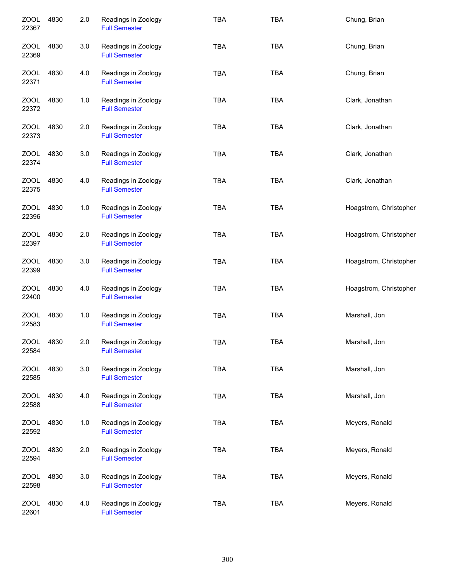| <b>ZOOL</b><br>22367 | 4830 | 2.0 | Readings in Zoology<br><b>Full Semester</b> | <b>TBA</b> | <b>TBA</b> | Chung, Brian           |
|----------------------|------|-----|---------------------------------------------|------------|------------|------------------------|
| ZOOL<br>22369        | 4830 | 3.0 | Readings in Zoology<br><b>Full Semester</b> | <b>TBA</b> | <b>TBA</b> | Chung, Brian           |
| ZOOL<br>22371        | 4830 | 4.0 | Readings in Zoology<br><b>Full Semester</b> | <b>TBA</b> | <b>TBA</b> | Chung, Brian           |
| ZOOL<br>22372        | 4830 | 1.0 | Readings in Zoology<br><b>Full Semester</b> | <b>TBA</b> | <b>TBA</b> | Clark, Jonathan        |
| ZOOL<br>22373        | 4830 | 2.0 | Readings in Zoology<br><b>Full Semester</b> | <b>TBA</b> | <b>TBA</b> | Clark, Jonathan        |
| ZOOL<br>22374        | 4830 | 3.0 | Readings in Zoology<br><b>Full Semester</b> | <b>TBA</b> | <b>TBA</b> | Clark, Jonathan        |
| <b>ZOOL</b><br>22375 | 4830 | 4.0 | Readings in Zoology<br><b>Full Semester</b> | <b>TBA</b> | <b>TBA</b> | Clark, Jonathan        |
| <b>ZOOL</b><br>22396 | 4830 | 1.0 | Readings in Zoology<br><b>Full Semester</b> | <b>TBA</b> | <b>TBA</b> | Hoagstrom, Christopher |
| ZOOL<br>22397        | 4830 | 2.0 | Readings in Zoology<br><b>Full Semester</b> | <b>TBA</b> | <b>TBA</b> | Hoagstrom, Christopher |
| <b>ZOOL</b><br>22399 | 4830 | 3.0 | Readings in Zoology<br><b>Full Semester</b> | <b>TBA</b> | <b>TBA</b> | Hoagstrom, Christopher |
| <b>ZOOL</b><br>22400 | 4830 | 4.0 | Readings in Zoology<br><b>Full Semester</b> | <b>TBA</b> | <b>TBA</b> | Hoagstrom, Christopher |
| <b>ZOOL</b><br>22583 | 4830 | 1.0 | Readings in Zoology<br><b>Full Semester</b> | <b>TBA</b> | <b>TBA</b> | Marshall, Jon          |
| <b>ZOOL</b><br>22584 | 4830 | 2.0 | Readings in Zoology<br><b>Full Semester</b> | <b>TBA</b> | <b>TBA</b> | Marshall, Jon          |
| <b>ZOOL</b><br>22585 | 4830 | 3.0 | Readings in Zoology<br><b>Full Semester</b> | TBA        | <b>TBA</b> | Marshall, Jon          |
| <b>ZOOL</b><br>22588 | 4830 | 4.0 | Readings in Zoology<br><b>Full Semester</b> | <b>TBA</b> | <b>TBA</b> | Marshall, Jon          |
| ZOOL<br>22592        | 4830 | 1.0 | Readings in Zoology<br><b>Full Semester</b> | <b>TBA</b> | <b>TBA</b> | Meyers, Ronald         |
| <b>ZOOL</b><br>22594 | 4830 | 2.0 | Readings in Zoology<br><b>Full Semester</b> | <b>TBA</b> | <b>TBA</b> | Meyers, Ronald         |
| <b>ZOOL</b><br>22598 | 4830 | 3.0 | Readings in Zoology<br><b>Full Semester</b> | <b>TBA</b> | <b>TBA</b> | Meyers, Ronald         |
| <b>ZOOL</b><br>22601 | 4830 | 4.0 | Readings in Zoology<br><b>Full Semester</b> | <b>TBA</b> | <b>TBA</b> | Meyers, Ronald         |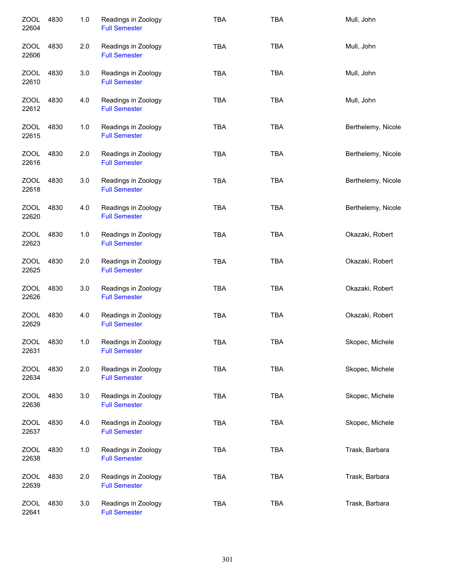| <b>ZOOL</b><br>22604 | 4830 | 1.0 | Readings in Zoology<br><b>Full Semester</b> | <b>TBA</b> | <b>TBA</b> | Mull, John         |
|----------------------|------|-----|---------------------------------------------|------------|------------|--------------------|
| ZOOL<br>22606        | 4830 | 2.0 | Readings in Zoology<br><b>Full Semester</b> | <b>TBA</b> | <b>TBA</b> | Mull, John         |
| ZOOL<br>22610        | 4830 | 3.0 | Readings in Zoology<br><b>Full Semester</b> | <b>TBA</b> | <b>TBA</b> | Mull, John         |
| ZOOL<br>22612        | 4830 | 4.0 | Readings in Zoology<br><b>Full Semester</b> | <b>TBA</b> | <b>TBA</b> | Mull, John         |
| ZOOL<br>22615        | 4830 | 1.0 | Readings in Zoology<br><b>Full Semester</b> | <b>TBA</b> | <b>TBA</b> | Berthelemy, Nicole |
| ZOOL<br>22616        | 4830 | 2.0 | Readings in Zoology<br><b>Full Semester</b> | <b>TBA</b> | <b>TBA</b> | Berthelemy, Nicole |
| <b>ZOOL</b><br>22618 | 4830 | 3.0 | Readings in Zoology<br><b>Full Semester</b> | <b>TBA</b> | <b>TBA</b> | Berthelemy, Nicole |
| <b>ZOOL</b><br>22620 | 4830 | 4.0 | Readings in Zoology<br><b>Full Semester</b> | <b>TBA</b> | <b>TBA</b> | Berthelemy, Nicole |
| <b>ZOOL</b><br>22623 | 4830 | 1.0 | Readings in Zoology<br><b>Full Semester</b> | <b>TBA</b> | <b>TBA</b> | Okazaki, Robert    |
| ZOOL<br>22625        | 4830 | 2.0 | Readings in Zoology<br><b>Full Semester</b> | <b>TBA</b> | <b>TBA</b> | Okazaki, Robert    |
| <b>ZOOL</b><br>22626 | 4830 | 3.0 | Readings in Zoology<br><b>Full Semester</b> | <b>TBA</b> | <b>TBA</b> | Okazaki, Robert    |
| <b>ZOOL</b><br>22629 | 4830 | 4.0 | Readings in Zoology<br><b>Full Semester</b> | <b>TBA</b> | <b>TBA</b> | Okazaki, Robert    |
| ZOOL<br>22631        | 4830 | 1.0 | Readings in Zoology<br><b>Full Semester</b> | <b>TBA</b> | TBA        | Skopec, Michele    |
| <b>ZOOL</b><br>22634 | 4830 | 2.0 | Readings in Zoology<br><b>Full Semester</b> | <b>TBA</b> | <b>TBA</b> | Skopec, Michele    |
| ZOOL<br>22636        | 4830 | 3.0 | Readings in Zoology<br><b>Full Semester</b> | <b>TBA</b> | <b>TBA</b> | Skopec, Michele    |
| <b>ZOOL</b><br>22637 | 4830 | 4.0 | Readings in Zoology<br><b>Full Semester</b> | <b>TBA</b> | <b>TBA</b> | Skopec, Michele    |
| <b>ZOOL</b><br>22638 | 4830 | 1.0 | Readings in Zoology<br><b>Full Semester</b> | <b>TBA</b> | TBA        | Trask, Barbara     |
| <b>ZOOL</b><br>22639 | 4830 | 2.0 | Readings in Zoology<br><b>Full Semester</b> | <b>TBA</b> | <b>TBA</b> | Trask, Barbara     |
| <b>ZOOL</b><br>22641 | 4830 | 3.0 | Readings in Zoology<br><b>Full Semester</b> | <b>TBA</b> | <b>TBA</b> | Trask, Barbara     |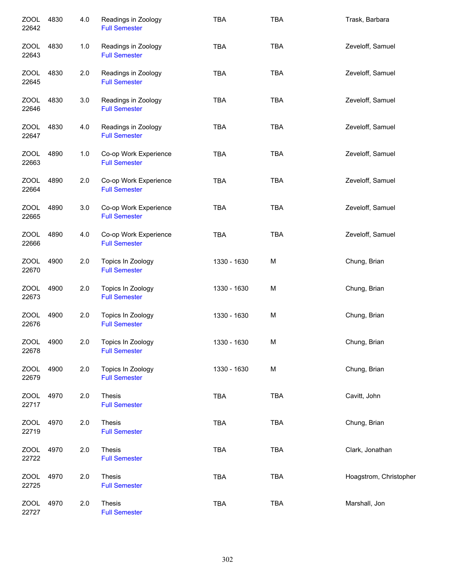| <b>ZOOL</b><br>22642 | 4830 | 4.0 | Readings in Zoology<br><b>Full Semester</b>   | <b>TBA</b>  | <b>TBA</b> | Trask, Barbara         |
|----------------------|------|-----|-----------------------------------------------|-------------|------------|------------------------|
| ZOOL<br>22643        | 4830 | 1.0 | Readings in Zoology<br><b>Full Semester</b>   | <b>TBA</b>  | <b>TBA</b> | Zeveloff, Samuel       |
| ZOOL<br>22645        | 4830 | 2.0 | Readings in Zoology<br><b>Full Semester</b>   | <b>TBA</b>  | <b>TBA</b> | Zeveloff, Samuel       |
| ZOOL<br>22646        | 4830 | 3.0 | Readings in Zoology<br><b>Full Semester</b>   | <b>TBA</b>  | <b>TBA</b> | Zeveloff, Samuel       |
| ZOOL<br>22647        | 4830 | 4.0 | Readings in Zoology<br><b>Full Semester</b>   | <b>TBA</b>  | <b>TBA</b> | Zeveloff, Samuel       |
| ZOOL<br>22663        | 4890 | 1.0 | Co-op Work Experience<br><b>Full Semester</b> | <b>TBA</b>  | <b>TBA</b> | Zeveloff, Samuel       |
| <b>ZOOL</b><br>22664 | 4890 | 2.0 | Co-op Work Experience<br><b>Full Semester</b> | <b>TBA</b>  | <b>TBA</b> | Zeveloff, Samuel       |
| <b>ZOOL</b><br>22665 | 4890 | 3.0 | Co-op Work Experience<br><b>Full Semester</b> | <b>TBA</b>  | <b>TBA</b> | Zeveloff, Samuel       |
| <b>ZOOL</b><br>22666 | 4890 | 4.0 | Co-op Work Experience<br><b>Full Semester</b> | <b>TBA</b>  | <b>TBA</b> | Zeveloff, Samuel       |
| <b>ZOOL</b><br>22670 | 4900 | 2.0 | Topics In Zoology<br><b>Full Semester</b>     | 1330 - 1630 | M          | Chung, Brian           |
| <b>ZOOL</b><br>22673 | 4900 | 2.0 | Topics In Zoology<br><b>Full Semester</b>     | 1330 - 1630 | M          | Chung, Brian           |
| <b>ZOOL</b><br>22676 | 4900 | 2.0 | Topics In Zoology<br><b>Full Semester</b>     | 1330 - 1630 | M          | Chung, Brian           |
| <b>ZOOL</b><br>22678 | 4900 | 2.0 | Topics In Zoology<br><b>Full Semester</b>     | 1330 - 1630 | M          | Chung, Brian           |
| ZOOL<br>22679        | 4900 | 2.0 | Topics In Zoology<br><b>Full Semester</b>     | 1330 - 1630 | M          | Chung, Brian           |
| ZOOL<br>22717        | 4970 | 2.0 | Thesis<br><b>Full Semester</b>                | TBA         | <b>TBA</b> | Cavitt, John           |
| ZOOL<br>22719        | 4970 | 2.0 | Thesis<br><b>Full Semester</b>                | <b>TBA</b>  | <b>TBA</b> | Chung, Brian           |
| <b>ZOOL</b><br>22722 | 4970 | 2.0 | Thesis<br><b>Full Semester</b>                | TBA         | <b>TBA</b> | Clark, Jonathan        |
| <b>ZOOL</b><br>22725 | 4970 | 2.0 | Thesis<br><b>Full Semester</b>                | TBA         | <b>TBA</b> | Hoagstrom, Christopher |
| ZOOL<br>22727        | 4970 | 2.0 | Thesis<br><b>Full Semester</b>                | TBA         | <b>TBA</b> | Marshall, Jon          |